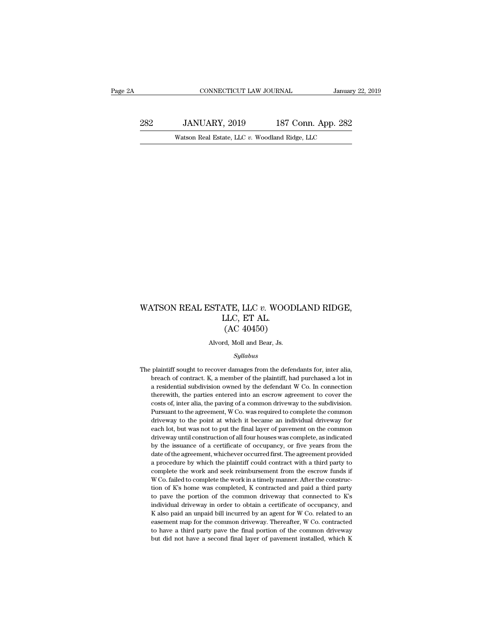282 JANUARY, 2019<br>
282 JANUARY, 2019 187 Conn. App. 282<br>
282 Watson Real Estate, LLC v. Woodland Ridge, LLC CONNECTICUT LAW JOURNAL January<br>JANUARY, 2019 187 Conn. App. 282<br>Watson Real Estate, LLC *v.* Woodland Ridge, LLC

### WATSON REAL ESTATE, LLC *v*. WOODLAND RIDGE,<br>LLC, ET AL.<br>(AC 40450) ATE, LLC *v*. WOO<br>LLC, ET AL.<br>(AC 40450) TE, LLC v. WOODI<br>LLC, ET AL.<br>(AC 40450)<br>d, Moll and Bear, Js. WATSON REAL ESTATE, LLC  $v$ . WOODLAND RIDGE,<br>LLC, ET AL.<br>(AC 40450)<br>Alvord, Moll and Bear, Js.

### *Syllabus*

 $(AC 40450)$ <br>Alvord, Moll and Bear, Js.<br>Syllabus<br>The plaintiff sought to recover damages from the defendants for, inter alia,<br>breach of contract. K, a member of the plaintiff, had purchased a lot in (AC 404500)<br>
Alvord, Moll and Bear, Js.<br>
Syllabus<br>
plaintiff sought to recover damages from the defendants for, inter alia,<br>
breach of contract. K, a member of the plaintiff, had purchased a lot in<br>
a residential subdivisi Alvord, Moll and Bear, Js.<br> *Syllabus*<br>
plaintiff sought to recover damages from the defendants for, inter alia,<br>
breach of contract. K, a member of the plaintiff, had purchased a lot in<br>
a residential subdivision owned by Syllabus<br>plaintiff sought to recover damages from the defendants for, inter alia,<br>breach of contract. K, a member of the plaintiff, had purchased a lot in<br>a residential subdivision owned by the defendant W Co. In connectio Syllabus<br>plaintiff sought to recover damages from the defendants for, inter alia,<br>breach of contract. K, a member of the plaintiff, had purchased a lot in<br>a residential subdivision owned by the defendant W Co. In connectio plaintiff sought to recover damages from the defendants for, inter alia, breach of contract. K, a member of the plaintiff, had purchased a lot in a residential subdivision owned by the defendant W Co. In connection therewi breach of contract. K, a member of the plaintiff, had purchased a lot in<br>a residential subdivision owned by the defendant W Co. In connection<br>therewith, the parties entered into an escrow agreement to cover the<br>costs of, i a residential subdivision owned by the defendant W Co. In connection<br>therewith, the parties entered into an escrow agreement to cover the<br>costs of, inter alia, the paving of a common driveway to the subdivision.<br>Pursuant t drivewith, the parties entered into an escrow agreement to cover the costs of, inter alia, the paving of a common driveway to the subdivision. Pursuant to the agreement, W Co. was required to complete the common driveway t costs of, inter alia, the paving of a common driveway to the subdivision.<br>Pursuant to the agreement, W Co. was required to complete the common<br>driveway to the point at which it became an individual driveway for<br>each lot, b Pursuant to the agreement, W Co. was required to complete the common driveway to the point at which it became an individual driveway for each lot, but was not to put the final layer of pavement on the common driveway until a procedure by which it became an individual driveway for each lot, but was not to put the final layer of pavement on the common driveway until construction of all four houses was complete, as indicated by the issuance of each lot, but was not to put the final layer of pavement on the common driveway until construction of all four houses was complete, as indicated by the issuance of a certificate of occupancy, or five years from the date of driveway until construction of all four houses was complete, as indicated by the issuance of a certificate of occupancy, or five years from the date of the agreement, whichever occurred first. The agreement provided a proc by the issuance of a certificate of occupancy, or five years from the date of the agreement, whichever occurred first. The agreement provided a procedure by which the plaintiff could contract with a third party to complete by a to determine the agreement, whichever occurred first. The agreement provided a procedure by which the plaintiff could contract with a third party to complete the work and seek reimbursement from the escrow funds if W a procedure by which the plaintiff could contract with a third party to complete the work and seek reimbursement from the escrow funds if W Co. failed to complete the work in a timely manner. After the construction of K's reported be work and seek reimbursement from the escrow funds if W Co. failed to complete the work in a timely manner. After the construction of K's home was completed, K contracted and paid a third party to pave the porti W Co. failed to complete the work in a timely manner. After the construction of K's home was completed, K contracted and paid a third party to pave the portion of the common driveway that connected to K's individual drivew to of K's home was completed, K contracted and paid a third party<br>to pave the portion of the common driveway that connected to K's<br>individual driveway in order to obtain a certificate of occupancy, and<br>K also paid an unpai tion of K's home was completed, K contracted and paid a third party to pave the portion of the common driveway that connected to K's individual driveway in order to obtain a certificate of occupancy, and K also paid an un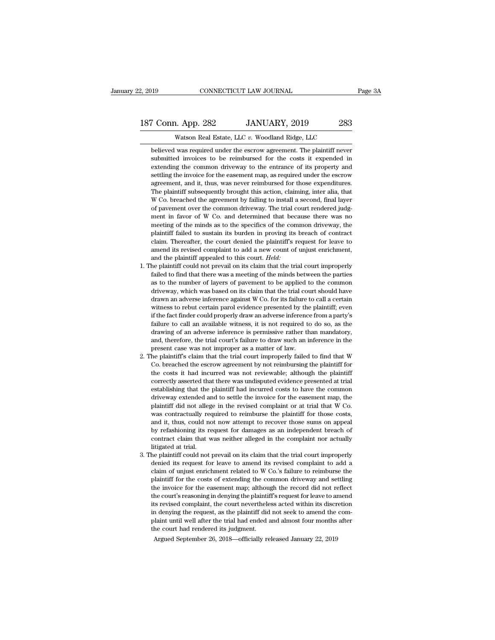# 2, 2019 CONNECTICUT LAW JOURNAL Page 3A<br>187 Conn. App. 282 JANUARY, 2019 283<br>Watson Real Estate, LLC v. Woodland Ridge, LLC

CONNECTICUT LAW JOURNAL<br>
1. App. 282 JANUARY, 2019 283<br>
Watson Real Estate, LLC *v.* Woodland Ridge, LLC<br>
was required under the escrow agreement. The plaintiff never F Conn. App. 282 JANUARY, 2019 283<br>Watson Real Estate, LLC v. Woodland Ridge, LLC<br>believed was required under the escrow agreement. The plaintiff never<br>submitted invoices to be reimbursed for the costs it expended in Submitted invoices to be reimbursed for the costs it expended in<br>extending the costs it expended in extending the common driveway to the entrance of its property and<br>extending the common driveway to the entrance of its pro extending the common driveway to the entrance of its property and Watson Real Estate, LLC v. Woodland Ridge, LLC<br>believed was required under the escrow agreement. The plaintiff never<br>submitted invoices to be reimbursed for the costs it expended in<br>extending the common driveway to the ent Watson Real Estate, LLC v. Woodland Ridge, LLC<br>believed was required under the escrow agreement. The plaintiff never<br>submitted invoices to be reimbursed for the costs it expended in<br>extending the common driveway to the ent believed was required under the escrow agreement. The plaintiff never submitted invoices to be reimbursed for the costs it expended in extending the common driveway to the entrance of its property and settling the invoice Submitted invoices to be reimbursed for the costs it expended in<br>extending the common driveway to the entrance of its property and<br>settling the invoice for the easement map, as required under the escrow<br>agreement, and it, subhidical invoices to be tennouised for the costas it experience in<br>extending the common driveway to the entrance of its property and<br>settling the invoice for the easement map, as required under the escrow<br>agreement, and extending the common diveway to the chiracte of its property and<br>settling the invoice for the easement map, as required under the escrow<br>agreement, and it, thus, was never reimbursed for those expenditures.<br>The plaintiff s setting the invoice for the casement hiap, as required under the esserow<br>agreement, and it, thus, was never reimbursed for those expenditures.<br>The plaintiff subsequently brought this action, claiming, inter alia, that<br>W Co age experiment, and it, thus, was never remnounsed for diose experimentes.<br>The plaintiff subsequently brought this action, claiming, inter alia, that<br>W Co. breached the agreement by failing to install a second, final layer The plaintiff subsequently brought this action, claiming, inter and, that W Co. breached the agreement by failing to install a second, final layer of pavement over the common driveway. The trial court rendered judgment in amend its revised complaint of the common driveway. The trial court rendered judgment in favor of W Co. and determined that because there was no meeting of the minds as to the specifics of the common driveway, the plaintif and the plaintiff appealed to this counterpart of W Co. and determined that been meeting of the minds as to the specifics of the complaintiff failed to sustain its burden in proving its claim. Thereafter, the court denied ment in favor of w co. and determined that because there was no<br>meeting of the minds as to the specifics of the common driveway, the<br>plaintiff failed to sustain its burden in proving its breach of contract<br>claim. Thereafte failed to find that there was a meeting of the minds as to the specifies of the continuor diveway, the plaintiff failed to sustain its burden in proving its breach of contract claim. Thereafter, the court denied the plaint

- plantant raned to sustant its burdent in proving its breach of contract<br>claim. Thereafter, the court denied the plaintiff's request for leave to<br>amend its revised complaint to add a new count of unjust enrichment,<br>and the claim. Thereater, the court denied the plantints request for leave to amend its revised complaint to add a new count of unjust enrichment, and the plaintiff could not prevail on its claim that the trial court improperly fa aniend its revised complaint to add a hew count of digist emicinent,<br>and the plaintiff appealed to this court. *Held*:<br>he plaintiff could not prevail on its claim that the trial court improperly<br>failed to find that there w and the plaintiff could not prevail on its court. *Heta.*<br>Failed to find that there was a meeting of the minds between the parties<br>as to the number of layers of pavement to be applied to the common<br>driveway, which was base failed to find that there was a meeting of the minds between the parties as to the number of layers of pavement to be applied to the common driveway, which was based on its claim that the trial court should have drawn an a failure to call an available witness, it is not required to do so, as the drawing of an adverse inference against W Co. for its failure to call a certain witness to rebut certain parol evidence presented by the plaintiff; as to the number of layers of pavement to be applied to the common<br>driveway, which was based on its claim that the trial court should have<br>drawn an adverse inference against W Co. for its failure to call a certain<br>witness driveway, which was based on its claim that the trial court should have<br>drawn an adverse inference against W Co. for its failure to call a certain<br>witness to rebut certain parol evidence presented by the plaintiff; even<br>if mawn an auverse interence against w Co. for its rande to witness to rebut certain parol evidence presented by the if the fact finder could properly draw an adverse inference failure to call an available witness, it is not whitess to rebut certain parot evidence presented by the plaintin; even<br>if the fact finder could properly draw an adverse inference from a party's<br>failure to call an available witness, it is not required to do so, as the<br>d In the fact inder could properly draw an adverse interence from a party s<br>failure to call an available witness, it is not required to do so, as the<br>drawing of an adverse inference is permissive rather than mandatory,<br>and,
- The costs it had incurred was not reviewable; although the plaintiff or the costs it had incurred was not improper as a matter of law.<br>The present case was not improper as a matter of law.<br>The plaintiff's claim that the tr drawing of an adverse interence is periussive radier dial mandatory,<br>and, therefore, the trial court's failure to draw such an inference in the<br>present case was not improper as a matter of law.<br>he plaintiff's claim that th and, utercore, the that court's rande to draw such an interence in the present case was not improper as a matter of law.<br>
Ahe plaintiff's claim that the trial court improperly failed to find that W<br>
Co. breached the escrow present case was not improper as a matter or raw.<br>
Ahe plaintiff's claim that the trial court improperly failed to find that W<br>
Co. breached the escrow agreement by not reimbursing the plaintiff for<br>
the costs it had incur replantint is claim that the that court improperly laned to find that w<br>Co. breached the escrow agreement by not reimbursing the plaintiff for<br>the costs it had incurred was not reviewable; although the plaintiff<br>correctly Co. breached the escrow agreement by not reimbursing the plaintiff of the costs it had incurred was not reviewable; although the plaintiff correctly asserted that there was undisputed evidence presented at trial establishi de costs it had incurred was not reviewable, antiough the plantiff correctly asserted that there was undisputed evidence presented at trial establishing that the plaintiff had incurred costs to have the common driveway ext correctly asserted that there was unusplued evidence presented at that establishing that the plaintiff had incurred costs to have the common driveway extended and to settle the invoice for the easement map, the plaintiff d establishing that the plantificant had incurred costs to have the continuity divieway extended and to settle the invoice for the easement map, the plaintiff did not allege in the revised complaint or at trial that W Co. wa driveway extended and to settle the invoice for the easement map, the plaintiff did not allege in the revised complaint or at trial that W Co. was contractually required to reimburse the plaintiff for those costs, and it, Framily in the plaintiff could not an existed complaint of at that that we count was contractually required to remburse the plaintiff for those costs, and it, thus, could not now attempt to recover those sums on appeal by was contractually required to relinbulse the plantific for those costs, and it, thus, could not now attempt to recover those sums on appeal by refashioning its request for damages as an independent breach of contract claim
- and it, thus, could not now attempt to recover those sums on appear<br>by refashioning its request for damages as an independent breach of<br>contract claim that was neither alleged in the complaint nor actually<br>litigated at tri by relastinoling its request for dangees as an independent breach of contract claim that was neither alleged in the complaint nor actually litigated at trial.<br>he plaintiff could not prevail on its claim that the trial cour contract ciann that was helther aneged in the complaint nor actually<br>highered at trial.<br>the plaintiff could not prevail on its claim that the trial court improperly<br>denied its request for leave to amend its revised complai Integrated at trial.<br>The plaintiff could not prevail on its claim that the trial court improperly<br>denied its request for leave to amend its revised complaint to add a<br>claim of unjust enrichment related to W Co.'s failure t if the plantificant column to prevail on its claim that the that court improperty<br>denied its request for leave to amend its revised complaint to add a<br>claim of unjust enrichment related to W Co.'s failure to reimburse the<br> defined its request for leave to antend its revised complaint to add a<br>claim of unjust enrichment related to W Co.'s failure to reimburse the<br>plaintiff for the costs of extending the common driveway and settling<br>the invoic claim of unjust enterment related to  $w$  co. s failure to remnouse the plaintiff for the costs of extending the common driveway and settling the invoice for the easement map; although the record did not reflect the court' plantant for the costs of extending the co.<br>the invoice for the easement map; although<br>the court's reasoning in denying the plaintif<br>its revised complaint, the court neverthele<br>in denying the request, as the plaintiff did<br> he court's reasoning in denying the plaintiff's request for leave to at<br>s revised complaint, the court nevertheless acted within its discr<br>n denying the request, as the plaintiff did not seek to amend the<br>plaint until well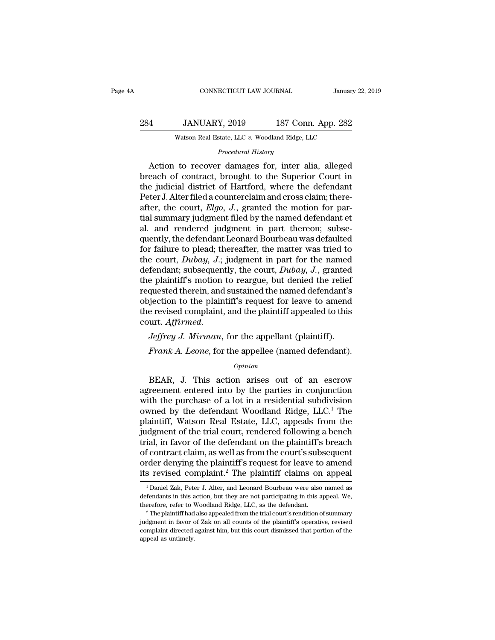| A   | CONNECTICUT LAW JOURNAL                        |                    | January 22, 2019 |
|-----|------------------------------------------------|--------------------|------------------|
|     |                                                |                    |                  |
| 284 | JANUARY, 2019                                  | 187 Conn. App. 282 |                  |
|     | Watson Real Estate, LLC v. Woodland Ridge, LLC |                    |                  |

Watson Real Estate, LLC v. Woodland Ridge, LLC<br> *Procedural History*<br>
Action to recover damages for, inter alia, alleged 4 JANUARY, 2019 187 Conn. App. 282<br>Watson Real Estate, LLC v. Woodland Ridge, LLC<br>*Procedural History*<br>Action to recover damages for, inter alia, alleged<br>each of contract, brought to the Superior Court in Breach of contract, brought to the Superior Court in the judicial district of Hartford, where the defendant pater I alter filed a counterclaim and cross claim: there-284 JANUARY, 2019 187 Conn. App. 282<br>Watson Real Estate, LLC v. Woodland Ridge, LLC<br>Procedural History<br>Action to recover damages for, inter alia, alleged<br>breach of contract, brought to the Superior Court in<br>the judicial d Watson Real Estate, LLC v. Woodland Ridge, LLC<br>
Procedural History<br>
Action to recover damages for, inter alia, alleged<br>
breach of contract, brought to the Superior Court in<br>
the judicial district of Hartford, where the def Procedural History<br>
Procedural History<br>
Action to recover damages for, inter alia, alleged<br>
breach of contract, brought to the Superior Court in<br>
the judicial district of Hartford, where the defendant<br>
Peter J. Alter filed *Procedural History*<br>Action to recover damages for, inter alia, alleged<br>breach of contract, brought to the Superior Court in<br>the judicial district of Hartford, where the defendant<br>Peter J. Alter filed a counterclaim and cr Action to recover damages for, inter alia, alleged<br>breach of contract, brought to the Superior Court in<br>the judicial district of Hartford, where the defendant<br>Peter J. Alter filed a counterclaim and cross claim; there-<br>af breach of contract, brought to the Superior Court in<br>the judicial district of Hartford, where the defendant<br>Peter J. Alter filed a counterclaim and cross claim; there-<br>after, the court, *Elgo*, *J*., granted the motion for the judicial district of Hartford, where the defendant<br>Peter J. Alter filed a counterclaim and cross claim; there-<br>after, the court, *Elgo*, J., granted the motion for par-<br>tial summary judgment filed by the named defendan Peter J. Alter filed a counterclaim and cross claim; thereafter, the court, *Elgo*, *J*., granted the motion for partial summary judgment filed by the named defendant et al. and rendered judgment in part thereon; subsequen after, the court, *Elgo*, *J.*, granted the motion for partial summary judgment filed by the named defendant et al. and rendered judgment in part thereon; subsequently, the defendant Leonard Bourbeau was defaulted for fail tial summary judgment filed by the named defendant et<br>al. and rendered judgment in part thereon; subse-<br>quently, the defendant Leonard Bourbeau was defaulted<br>for failure to plead; thereafter, the matter was tried to<br>the c al. and rendered judgment in part thereon; subsequently, the defendant Leonard Bourbeau was defaulted<br>for failure to plead; thereafter, the matter was tried to<br>the court, *Dubay*, *J*.; judgment in part for the named<br>defen quently, the defendant Leonard Bourbeau was defaulted<br>for failure to plead; thereafter, the matter was tried to<br>the court, *Dubay*, *J*.; judgment in part for the named<br>defendant; subsequently, the court, *Dubay*, *J*., gr for failure to plead; thereafter, the matter was tried to<br>the court, *Dubay*, *J*.; judgment in part for the named<br>defendant; subsequently, the court, *Dubay*, *J*., granted<br>the plaintiff's motion to reargue, but denied t court. *Affirmed. Jeffrey J. Mirman*, for the appellant (plaintiff).<br>Frankforther, and sustained the named defendant's jection to the plaintiff's request for leave to amend<br>e revised complaint, and the plaintiff appealed to this<br>urt. *Affi Frank A. Leone,* for the appellee (named defendant's piection to the plaintiff's request for leave to amend e revised complaint, and the plaintiff appealed to this urt. *Affirmed.*<br>*Jeffrey J. Mirman,* for the appellant (

### *Opinion*

Let the complaint, and the plaintin appeared to this<br>urt. Affirmed.<br>Jeffrey J. Mirman, for the appellee (named defendant).<br>Frank A. Leone, for the appellee (named defendant).<br>Opinion<br>BEAR, J. This action arises out of an e *Jeffrey J. Mirman*, for the appellant (plaintiff).<br>Frank A. Leone, for the appellee (named defendant).<br>opinion<br>BEAR, J. This action arises out of an escrow<br>agreement entered into by the parties in conjunction<br>with the p *Jeffrey J. Mirman*, for the appellant (plaintiff).<br>Frank A. Leone, for the appellee (named defendant).<br> $o_{pinion}$ <br>BEAR, J. This action arises out of an escrow<br>agreement entered into by the parties in conjunction<br>with the pu Frank A. Leone, for the appellee (named defendant).<br>  $\frac{Opinion}{P}$ <br>
BEAR, J. This action arises out of an escrow<br>
agreement entered into by the parties in conjunction<br>
with the purchase of a lot in a residential subdivision  $opinion$ <br>
BEAR, J. This action arises out of an escrow<br>
agreement entered into by the parties in conjunction<br>
with the purchase of a lot in a residential subdivision<br>
owned by the defendant Woodland Ridge, LLC.<sup>1</sup> The<br>
plaint *Opinion*<br>BEAR, J. This action arises out of an escrow<br>agreement entered into by the parties in conjunction<br>with the purchase of a lot in a residential subdivision<br>owned by the defendant Woodland Ridge, LLC.<sup>1</sup> The<br>plaint BEAR, J. This action arises out of an escrow<br>agreement entered into by the parties in conjunction<br>with the purchase of a lot in a residential subdivision<br>owned by the defendant Woodland Ridge,  $LLC^1$  The<br>plaintiff, Watson agreement entered into by the parties in conjunction<br>with the purchase of a lot in a residential subdivision<br>owned by the defendant Woodland Ridge, LLC.<sup>1</sup> The<br>plaintiff, Watson Real Estate, LLC, appeals from the<br>judgment with the purchase of a lot in a residential subdivision<br>owned by the defendant Woodland Ridge, LLC.<sup>1</sup> The<br>plaintiff, Watson Real Estate, LLC, appeals from the<br>judgment of the trial court, rendered following a bench<br>trial, owned by the defendant Woodland Ridge, LLC.<sup>1</sup> The plaintiff, Watson Real Estate, LLC, appeals from the judgment of the trial court, rendered following a bench trial, in favor of the defendant on the plaintiff's breach of ial, in favor of the defendant on the plaintiff's breach<br>f contract claim, as well as from the court's subsequent<br>rder denying the plaintiff's request for leave to amend<br>s revised complaint.<sup>2</sup> The plaintiff claims on appe of contract claim, as well as from the court's subsequent<br>order denying the plaintiff's request for leave to amend<br>its revised complaint.<sup>2</sup> The plaintiff claims on appeal.<br><sup>1</sup> Daniel Zak, Peter J. Alter, and Leonard Bourb

order denying the plaintiff's request for leave to amend<br>its revised complaint.<sup>2</sup> The plaintiff claims on appeal<br> $\frac{1}{1}$ Daniel Zak, Peter J. Alter, and Leonard Bourbeau were also named as<br>defendants in this action, but

<sup>&</sup>lt;sup>1</sup> Daniel Zak, Peter J. Alter, and Leonard Bourbeau were also named as<br><sup>1</sup> Daniel Zak, Peter J. Alter, and Leonard Bourbeau were also named as<br>defendants in this action, but they are not participating in this appeal. We,<br> <sup>1</sup> Daniel Zak, Peter J. Alter, and Leonard Bourbeau were also named as defendants in this action, but they are not participating in this appeal. We, therefore, refer to Woodland Ridge, LLC, as the defendant.<br><sup>2</sup> The plai  $^1$  Daniel Zak, Peter J. Alter, and Leonard Bourbeau were also named as defendants in this action, but they are not participating in this appeal. We, therefore, refer to Woodland Ridge, LLC, as the defendant.<br>  $^2$  The p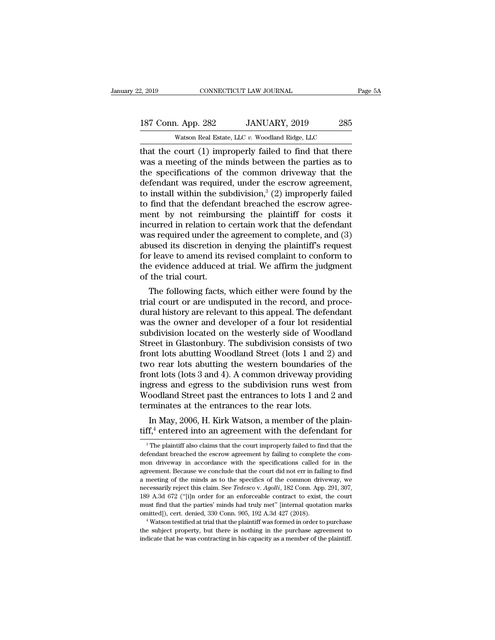Example 2, 2019 CONNECTICUT LAW JOURNAL Page 5A<br>
187 Conn. App. 282 JANUARY, 2019 285<br>
Watson Real Estate, LLC v. Woodland Ridge, LLC<br>
that the court (1) improperly failed to find that there<br>
was a meeting of the minds be 187 Conn. App. 282 JANUARY, 2019 285<br>Watson Real Estate, LLC v. Woodland Ridge, LLC<br>that the court (1) improperly failed to find that there<br>was a meeting of the minds between the parties as to<br>the specifications of the com 187 Conn. App. 282 JANUARY, 2019 285<br>Watson Real Estate, LLC v. Woodland Ridge, LLC<br>that the court (1) improperly failed to find that there<br>was a meeting of the minds between the parties as to<br>the specifications of the co 187 Conn. App. 282 JANUARY, 2019 285<br>Watson Real Estate, LLC v. Woodland Ridge, LLC<br>that the court (1) improperly failed to find that there<br>was a meeting of the minds between the parties as to<br>the specifications of the co Watson Real Estate, LLC v. Woodland Ridge, LLC<br>that the court (1) improperly failed to find that there<br>was a meeting of the minds between the parties as to<br>the specifications of the common driveway that the<br>defendant was watson keal Estate, LLC v. Woodland Ridge, LLC<br>that the court (1) improperly failed to find that there<br>was a meeting of the minds between the parties as to<br>the specifications of the common driveway that the<br>defendant was that the court (1) improperly failed to find that there<br>was a meeting of the minds between the parties as to<br>the specifications of the common driveway that the<br>defendant was required, under the escrow agreement,<br>to instal was a meeting of the minds between the parties as to<br>the specifications of the common driveway that the<br>defendant was required, under the escrow agreement,<br>to install within the subdivision,<sup>3</sup> (2) improperly failed<br>to fi the specifications of the common driveway that the defendant was required, under the escrow agreement, to install within the subdivision,<sup>3</sup> (2) improperly failed to find that the defendant breached the escrow agreement b defendant was required, under the escrow agreement,<br>to install within the subdivision,<sup>3</sup> (2) improperly failed<br>to find that the defendant breached the escrow agree-<br>ment by not reimbursing the plaintiff for costs it<br>incu to install within the subdivision,<sup>3</sup> (2) improperly failed<br>to find that the defendant breached the escrow agree-<br>ment by not reimbursing the plaintiff for costs it<br>incurred in relation to certain work that the defendant<br> to find that the defendant breached the escrow agreement by not reimbursing the plaintiff for costs it incurred in relation to certain work that the defendant was required under the agreement to complete, and (3) abused it ment by not reimbure<br>incurred in relation to<br>was required under the<br>abused its discretion i<br>for leave to amend its<br>the evidence adduced<br>of the trial court.<br>The following facts, curred in relation to certain work that the defendant<br>as required under the agreement to complete, and (3)<br>used its discretion in denying the plaintiff's request<br>r leave to amend its revised complaint to conform to<br>e evide was required under the agreement to complete, and  $(3)$ <br>abused its discretion in denying the plaintiff's request<br>for leave to amend its revised complaint to conform to<br>the evidence adduced at trial. We affirm the judgment

abused its discretion in denying the plaintiff is request<br>for leave to amend its revised complaint to conform to<br>the evidence adduced at trial. We affirm the judgment<br>of the trial court.<br>The following facts, which either w for leave to amend its revised complaint to conform to<br>the evidence adduced at trial. We affirm the judgment<br>of the trial court.<br>The following facts, which either were found by the<br>trial court or are undisputed in the reco the evidence adduced at trial. We allman the judgment<br>of the trial court.<br>The following facts, which either were found by the<br>trial court or are undisputed in the record, and proce-<br>dural history are relevant to this appea or the trial court.<br>The following facts, which either were found by the<br>trial court or are undisputed in the record, and proce-<br>dural history are relevant to this appeal. The defendant<br>was the owner and developer of a four The following facts, which either were found by the<br>trial court or are undisputed in the record, and proce-<br>dural history are relevant to this appeal. The defendant<br>was the owner and developer of a four lot residential<br>su trial court or are undisputed in the record, and procedural history are relevant to this appeal. The defendant<br>was the owner and developer of a four lot residential<br>subdivision located on the westerly side of Woodland<br>Stre dural history are relevant to this appeal. The defendant<br>was the owner and developer of a four lot residential<br>subdivision located on the westerly side of Woodland<br>Street in Glastonbury. The subdivision consists of two<br>fro was the owner and developer of a four lot residential<br>subdivision located on the westerly side of Woodland<br>Street in Glastonbury. The subdivision consists of two<br>front lots abutting Woodland Street (lots 1 and 2) and<br>two r subdivision located on the westerly side of Woodland<br>Street in Glastonbury. The subdivision consists of two<br>front lots abutting Woodland Street (lots 1 and 2) and<br>two rear lots abutting the western boundaries of the<br>front Street in Glastonbury. The subdivision consists of<br>ront lots abutting Woodland Street (lots 1 and 2<br>two rear lots abutting the western boundaries c<br>front lots (lots 3 and 4). A common driveway prov<br>ingress and egress to th In May, 2006, H. Kirk Watson, a member of the plain-<br>In May, 2006, H. A common driveway providing<br>gress and egress to the subdivision runs west from<br>coodland Street past the entrances to lots 1 and 2 and<br>minates at the en two rear lots abutting the western boundaries of the<br>front lots (lots 3 and 4). A common driveway providing<br>ingress and egress to the subdivision runs west from<br>Woodland Street past the entrances to lots 1 and 2 and<br>termi

<sup>3</sup> The plaintiff also claims that the court improperly failed to find that the plaintiff  $^3$  The plaintiff also claims that the court improperly failed to find that the fendant breached the escrow agreement by failing to defining the entrances to the rear lots.<br>In May, 2006, H. Kirk Watson, a member of the plain-<br> $\text{diff}^{4}$  entered into an agreement with the defendant for<br> $\frac{1}{3}$  The plaintiff also claims that the court improperly faile In May, 2006, H. Kirk Watson, a member of the plain-<br>tiff,<sup>4</sup> entered into an agreement with the defendant for<br><sup>3</sup> The plaintiff also claims that the court improperly failed to find that the<br>defendant breached the escrow  $\frac{1}{3}$  The plaintiff also claims that the court improperly failed to find that the defendant breached the escrow agreement by failing to complete the common driveway in accordance with the specifications called for in <sup>3</sup> The plaintiff also claims that the court improperly failed to find that the defendant breached the escrow agreement by failing to complete the common driveway in accordance with the specifications called for in the ag <sup>3</sup> The plaintiff also claims that the court improperly failed to find that the defendant breached the escrow agreement by failing to complete the common driveway in accordance with the specifications called for in the ag defendant breached the escrow agreement by failing to complete the com-<br>mon driveway in accordance with the specifications called for in the<br>agreement. Because we conclude that the court did not err in failing to find<br>a me mon driveway in accordance with the specifications called for in the agreement. Because we conclude that the court did not err in failing to find a meeting of the minds as to the specifics of the common driveway, we neces agreement. Because we conclude that the court did not err in failing to find a meeting of the minds as to the specifics of the common driveway, we necessarily reject this claim. See *Tedesco* v.  $Agolli$ , 182 Conn. App. 291, incressarily reject this claim. See *Tedesco* v. *Agolli*, 182 Conn. App. 291, 307, 189 A.3d 672 ("[i]n order for an enforceable contract to exist, the court must find that the parties' minds had truly met" [internal quota 189 A.3d 672 ("[i]n order for an enforceable contract to exist, the court must find that the parties' minds had truly met" [internal quotation marks omitted]), cert. denied, 330 Conn. 905, 192 A.3d 427 (2018).<br>
"Watson te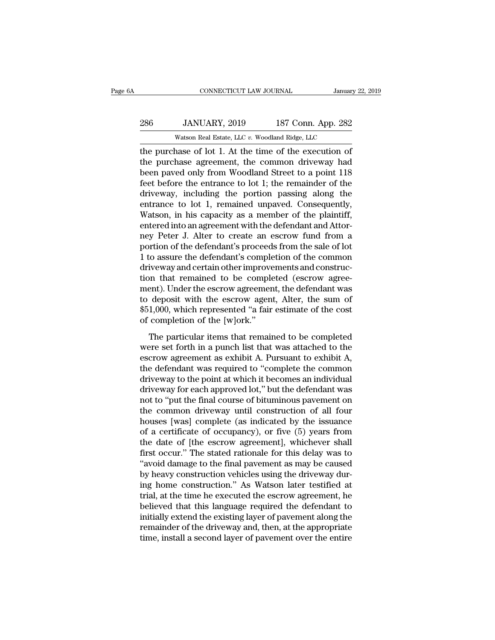## 286 JANUARY, 2019<br>286 JANUARY, 2019 187 Conn. App. 282<br>286 JANUARY, 2019 187 Conn. App. 282 CONNECTICUT LAW JOURNAL January<br>JANUARY, 2019 187 Conn. App. 282<br>Watson Real Estate, LLC *v.* Woodland Ridge, LLC<br>hase of lot 1 At the time of the execution of

CONNECTICUT LAW JOURNAL January 22, 2019<br>
286 JANUARY, 2019 187 Conn. App. 282<br>
286 Watson Real Estate, LLC v. Woodland Ridge, LLC<br>
1. At the time of the execution of<br>
1. At the time of the execution of<br>
1. At the time of 286 JANUARY, 2019 187 Conn. App. 282<br>Watson Real Estate, LLC v. Woodland Ridge, LLC<br>the purchase of lot 1. At the time of the execution of<br>the purchase agreement, the common driveway had<br>been paved only from Woodland Stre  $\begin{tabular}{ c c c c} \multicolumn{1}{c}{\textbf{286}} & JANUARY, 2019 & 187 Conn. App. 282 \\ \hline \hline \textbf{Watson Real Estimate, LLC } v. \textbf{Woodland Ridge, LLC} \\ \hline \textbf{the purchase of lot 1. At the time of the execution of the purchase agreement, the common driverway had been paved only from Woodland Street to a point 118 feet before the entrance to lot 1; the remainder of the driver way, including the portion passing along the time.} \end{tabular}$ Ferry 2019 187 Conn. App. 282<br>
Watson Real Estate, LLC v. Woodland Ridge, LLC<br>
the purchase of lot 1. At the time of the execution of<br>
the purchase agreement, the common driveway had<br>
been paved only from Woodland Street Watson Real Estate, LLC v. Woodland Ridge, LLC<br>the purchase of lot 1. At the time of the execution of<br>the purchase agreement, the common driveway had<br>been paved only from Woodland Street to a point 118<br>feet before the ent watson Real Estate, LLC  $v$ . Woodland Ridge, LLC<br>the purchase of lot 1. At the time of the execution of<br>the purchase agreement, the common driveway had<br>been paved only from Woodland Street to a point 118<br>feet before the e the purchase of lot 1. At the time of the execution of<br>the purchase agreement, the common driveway had<br>been paved only from Woodland Street to a point 118<br>feet before the entrance to lot 1; the remainder of the<br>driveway, i the purchase agreement, the common driveway had<br>been paved only from Woodland Street to a point 118<br>feet before the entrance to lot 1; the remainder of the<br>driveway, including the portion passing along the<br>entrance to lot been paved only from Woodland Street to a point 118<br>feet before the entrance to lot 1; the remainder of the<br>driveway, including the portion passing along the<br>entrance to lot 1, remained unpaved. Consequently,<br>Watson, in hi feet before the entrance to lot 1; the remainder of the driveway, including the portion passing along the entrance to lot 1, remained unpaved. Consequently, Watson, in his capacity as a member of the plaintiff, entered int driveway, including the portion passing along the<br>entrance to lot 1, remained unpaved. Consequently,<br>Watson, in his capacity as a member of the plaintiff,<br>entered into an agreement with the defendant and Attor-<br>ney Peter J entrance to lot 1, remained unpaved. Consequently,<br>Watson, in his capacity as a member of the plaintiff,<br>entered into an agreement with the defendant and Attor-<br>ney Peter J. Alter to create an escrow fund from a<br>portion of Watson, in his capacity as a member of the plaintiff,<br>entered into an agreement with the defendant and Attor-<br>ney Peter J. Alter to create an escrow fund from a<br>portion of the defendant's proceeds from the sale of lot<br>1 to entered into an agreement with the defendant and Attor-<br>ney Peter J. Alter to create an escrow fund from a<br>portion of the defendant's proceeds from the sale of lot<br>1 to assure the defendant's completion of the common<br>drive ney Peter J. Alter to create an escrow fund from a<br>portion of the defendant's proceeds from the sale of lot<br>1 to assure the defendant's completion of the common<br>driveway and certain other improvements and construc-<br>tion th portion of the defendant's proceeds from the sale of lot 1 to assure the defendant's completion of the common driveway and certain other improvements and construction that remained to be completed (escrow agreement). Under 1 to assure the defendant's comple<br>driveway and certain other improve<br>tion that remained to be comple<br>ment). Under the escrow agreemer<br>to deposit with the escrow agen<br>\$51,000, which represented "a fair<br>of completion of the The particular is end of the parameter and tender of the defendant was<br>deposit with the escrow agreement, the defendant was<br>deposit with the escrow agent, Alter, the sum of<br>1,000, which represented "a fair estimate of the were that the escrow agreement, the defendant was<br>to deposit with the escrow agent, Alter, the sum of<br>\$51,000, which represented "a fair estimate of the cost<br>of completion of the [w]ork."<br>The particular items that remained

escribe and the escrow agreement, the detention was<br>to deposit with the escrow agent, Alter, the sum of<br>\$51,000, which represented "a fair estimate of the cost<br>of completion of the [w]ork."<br>The particular items that remain  $\frac{1}{2}$  and  $\frac{1}{2}$  and  $\frac{1}{2}$  and  $\frac{1}{2}$  and  $\frac{1}{2}$  and  $\frac{1}{2}$  and  $\frac{1}{2}$  and  $\frac{1}{2}$  and  $\frac{1}{2}$  and  $\frac{1}{2}$  are  $\frac{1}{2}$  and  $\frac{1}{2}$  are  $\frac{1}{2}$  are  $\frac{1}{2}$  are  $\frac{1}{2}$  are  $\frac{1}{2}$  a derivative, which represented a ran estimate of ate cost<br>of completion of the [w]ork."<br>The particular items that remained to be completed<br>were set forth in a punch list that was attached to the<br>escrow agreement as exhibit The particular items that remained to be completed<br>were set forth in a punch list that was attached to the<br>escrow agreement as exhibit A. Pursuant to exhibit A,<br>the defendant was required to "complete the common<br>driveway The particular items that remained to be completed<br>were set forth in a punch list that was attached to the<br>escrow agreement as exhibit A. Pursuant to exhibit A,<br>the defendant was required to "complete the common<br>driveway t were set forth in a punch list that was attached to the<br>escrow agreement as exhibit A. Pursuant to exhibit A,<br>the defendant was required to "complete the common<br>driveway to the point at which it becomes an individual<br>driv escrow agreement as exhibit A. Pursuant to exhibit A,<br>the defendant was required to "complete the common<br>driveway to the point at which it becomes an individual<br>driveway for each approved lot," but the defendant was<br>not to the defendant was required to "complete the common<br>driveway to the point at which it becomes an individual<br>driveway for each approved lot," but the defendant was<br>not to "put the final course of bituminous pavement on<br>the c driveway to the point at which it becomes an individual<br>driveway for each approved lot," but the defendant was<br>not to "put the final course of bituminous pavement on<br>the common driveway until construction of all four<br>house driveway for each approved lot," but the defendant was<br>not to "put the final course of bituminous pavement on<br>the common driveway until construction of all four<br>houses [was] complete (as indicated by the issuance<br>of a cert not to "put the final course of bituminous pavement on<br>the common driveway until construction of all four<br>houses [was] complete (as indicated by the issuance<br>of a certificate of occupancy), or five (5) years from<br>the date the common driveway until construction of all four<br>houses [was] complete (as indicated by the issuance<br>of a certificate of occupancy), or five (5) years from<br>the date of [the escrow agreement], whichever shall<br>first occur. houses [was] complete (as indicated by the issuance<br>of a certificate of occupancy), or five (5) years from<br>the date of [the escrow agreement], whichever shall<br>first occur." The stated rationale for this delay was to<br>"avoid of a certificate of occupancy), or five (5) years from<br>the date of [the escrow agreement], whichever shall<br>first occur." The stated rationale for this delay was to<br>"avoid damage to the final pavement as may be caused<br>by he the date of [the escrow agreement], whichever shall<br>first occur." The stated rationale for this delay was to<br>"avoid damage to the final pavement as may be caused<br>by heavy construction vehicles using the driveway dur-<br>ing h first occur." The stated rationale for this delay was to "avoid damage to the final pavement as may be caused<br>by heavy construction vehicles using the driveway during home construction." As Watson later testified at<br>trial, "avoid damage to the final pavement as may be caused<br>by heavy construction vehicles using the driveway dur-<br>ing home construction." As Watson later testified at<br>trial, at the time he executed the escrow agreement, he<br>belie by heavy construction vehicles using the driveway during home construction." As Watson later testified at trial, at the time he executed the escrow agreement, he believed that this language required the defendant to initia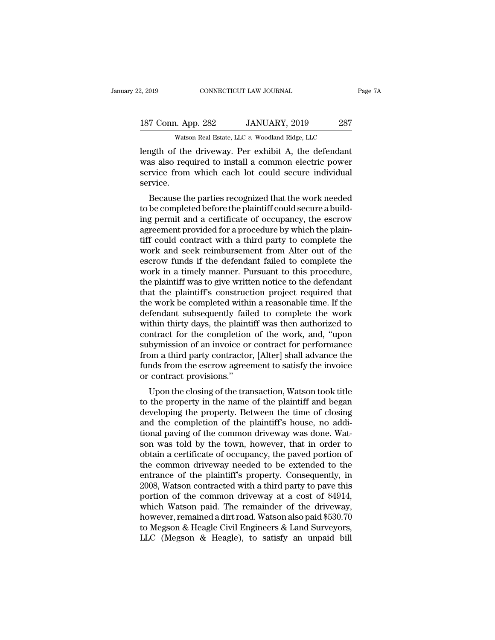## 2, 2019 CONNECTICUT LAW JOURNAL Page 7A<br>187 Conn. App. 282 JANUARY, 2019 287<br>Watson Real Estate, LLC v. Woodland Ridge, LLC CONNECTICUT LAW JOURNAL<br>
1. App. 282 JANUARY, 2019 287<br>
Watson Real Estate, LLC *v.* Woodland Ridge, LLC<br>
<sup>2</sup> the driveway Per exhibit A the defendant

2, 2019 CONNECTICUT LAW JOURNAL Page 7/2<br>
187 Conn. App. 282 JANUARY, 2019 287<br>
Watson Real Estate, LLC v. Woodland Ridge, LLC<br>
1991 Length of the driveway. Per exhibit A, the defendant<br>
was also required to install a comm 187 Conn. App. 282 JANUARY, 2019 287<br>Watson Real Estate, LLC v. Woodland Ridge, LLC<br>length of the driveway. Per exhibit A, the defendant<br>was also required to install a common electric power<br>service from which each lot coul 187 Conn. App. 282 JANUARY, 2019 287<br>Watson Real Estate, LLC v. Woodland Ridge, LLC<br>length of the driveway. Per exhibit A, the defendant<br>was also required to install a common electric power<br>service from which each lot cou service. Watson Real Estate, LLC  $v$ . Woodland Ridge, LLC<br>
angth of the driveway. Per exhibit A, the defendant<br>
as also required to install a common electric power<br>
rvice from which each lot could secure individual<br>
rvice.<br>
Becaus length of the driveway. Per exhibit A, the defendant<br>was also required to install a common electric power<br>service from which each lot could secure individual<br>service.<br>Because the parties recognized that the work needed<br>to

rength of the driveway. Fer exhibit A, the defendant<br>was also required to install a common electric power<br>service from which each lot could secure individual<br>service.<br>Because the parties recognized that the work needed<br>to was also required to instant a common electric power<br>service from which each lot could secure individual<br>service.<br>Because the parties recognized that the work needed<br>to be completed before the plaintiff could secure a buil Service from which each fot could secure mulvidual<br>service.<br>Because the parties recognized that the work needed<br>to be completed before the plaintiff could secure a build-<br>ing permit and a certificate of occupancy, the escr Because the parties recognized that the work needed<br>to be completed before the plaintiff could secure a build-<br>ing permit and a certificate of occupancy, the escrow<br>agreement provided for a procedure by which the plain-<br>ti Because the parties recognized that the work needed<br>to be completed before the plaintiff could secure a build-<br>ing permit and a certificate of occupancy, the escrow<br>agreement provided for a procedure by which the plain-<br>ti to be completed before the plaintiff could secure a building permit and a certificate of occupancy, the escrow<br>agreement provided for a procedure by which the plaintiff could contract with a third party to complete the<br>wor ing permit and a certificate of occupancy, the escrow<br>agreement provided for a procedure by which the plain-<br>tiff could contract with a third party to complete the<br>work and seek reimbursement from Alter out of the<br>escrow f agreement provided for a procedure by which the plaintiff could contract with a third party to complete the work and seek reimbursement from Alter out of the escrow funds if the defendant failed to complete the work in a t tiff could contract with a third party to complete the<br>work and seek reimbursement from Alter out of the<br>escrow funds if the defendant failed to complete the<br>work in a timely manner. Pursuant to this procedure,<br>the plainti work and seek reimbursement from Alter out of the<br>escrow funds if the defendant failed to complete the<br>work in a timely manner. Pursuant to this procedure,<br>the plaintiff was to give written notice to the defendant<br>that the escrow funds if the defendant failed to complete the<br>work in a timely manner. Pursuant to this procedure,<br>the plaintiff was to give written notice to the defendant<br>that the plaintiff's construction project required that<br>th work in a timely manner. Pursuant to this procedure,<br>the plaintiff was to give written notice to the defendant<br>that the plaintiff's construction project required that<br>the work be completed within a reasonable time. If the<br> the plaintiff was to give written notice to the defendant<br>that the plaintiff's construction project required that<br>the work be completed within a reasonable time. If the<br>defendant subsequently failed to complete the work<br>wi that the plaintiff's construction project required that<br>the work be completed within a reasonable time. If the<br>defendant subsequently failed to complete the work<br>within thirty days, the plaintiff was then authorized to<br>con the work be completed within a reasonable time. If the defendant subsequently failed to complete the work within thirty days, the plaintiff was then authorized to contract for the completion of the work, and, "upon subymis defendant subsequently fail<br>within thirty days, the plaint<br>contract for the completion<br>subymission of an invoice or<br>from a third party contractor<br>funds from the escrow agree<br>or contract provisions."<br>Upon the closing of the The completion of the work, and, "upon<br>bymission of an invoice or contract for performance<br>om a third party contractor, [Alter] shall advance the<br>nds from the escrow agreement to satisfy the invoice<br>contract provisions."<br>U contract for the completion of the work, and, upon<br>subymission of an invoice or contract for performance<br>from a third party contractor, [Alter] shall advance the<br>funds from the escrow agreement to satisfy the invoice<br>or co

subyfilission of an invoice of contract for performance<br>from a third party contractor, [Alter] shall advance the<br>funds from the escrow agreement to satisfy the invoice<br>or contract provisions."<br>Upon the closing of the trans Finds from the escrow agreement to satisfy the invoice<br>funds from the escrow agreement to satisfy the invoice<br>or contract provisions."<br>Upon the closing of the transaction, Watson took title<br>to the property in the name of t tinuas front the escrow agreement to satisfy the invoice<br>or contract provisions."<br>Upon the closing of the transaction, Watson took title<br>to the property in the name of the plaintiff and began<br>developing the property. Betwe Upon the closing of the transaction, Watson took title<br>to the property in the name of the plaintiff and began<br>developing the property. Between the time of closing<br>and the completion of the plaintiff's house, no addi-<br>tiona Upon the closing of the transaction, Watson took title<br>to the property in the name of the plaintiff and began<br>developing the property. Between the time of closing<br>and the completion of the plaintiff's house, no addi-<br>tiona to the property in the name of the plaintiff and began<br>developing the property. Between the time of closing<br>and the completion of the plaintiff's house, no addi-<br>tional paving of the common driveway was done. Wat-<br>son was developing the property. Between the time of closing<br>and the completion of the plaintiff's house, no addi-<br>tional paving of the common driveway was done. Wat-<br>son was told by the town, however, that in order to<br>obtain a ce and the completion of the plaintiff's house, no additional paving of the common driveway was done. Watson was told by the town, however, that in order to obtain a certificate of occupancy, the paved portion of the common d tional paving of the common driveway was done. Watson was told by the town, however, that in order to obtain a certificate of occupancy, the paved portion of the common driveway needed to be extended to the entrance of th son was told by the town, however, that in order to<br>obtain a certificate of occupancy, the paved portion of<br>the common driveway needed to be extended to the<br>entrance of the plaintiff's property. Consequently, in<br>2008, Wats obtain a certificate of occupancy, the paved portion of<br>the common driveway needed to be extended to the<br>entrance of the plaintiff's property. Consequently, in<br>2008, Watson contracted with a third party to pave this<br>portio the common driveway needed to be extended to the<br>entrance of the plaintiff's property. Consequently, in<br>2008, Watson contracted with a third party to pave this<br>portion of the common driveway at a cost of \$4914,<br>which Watso entrance of the plaintiff's property. Consequently, in 2008, Watson contracted with a third party to pave this portion of the common driveway at a cost of \$4914, which Watson paid. The remainder of the driveway, however, r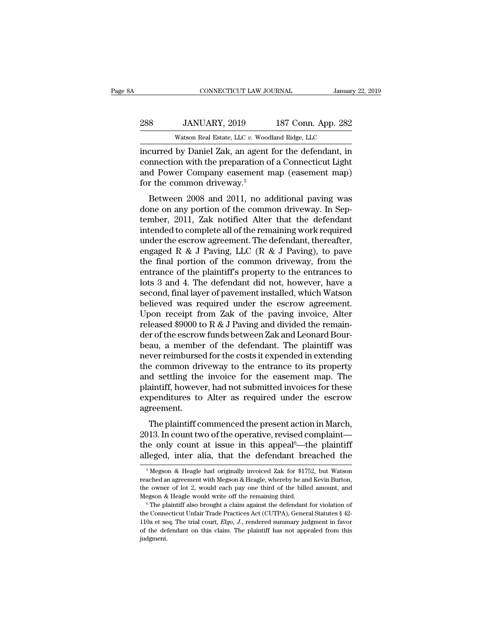## 288 JANUARY, 2019<br>
288 JANUARY, 2019 187 Conn. App. 282<br>
288 JANUARY, 2019 187 Conn. App. 282 CONNECTICUT LAW JOURNAL January<br>JANUARY, 2019 187 Conn. App. 282<br>Watson Real Estate, LLC *v.* Woodland Ridge, LLC<br>by Daniel Zak an agent for the defendant in

CONNECTICUT LAW JOURNAL January 22, 2019<br>
288 JANUARY, 2019 187 Conn. App. 282<br>
Watson Real Estate, LLC v. Woodland Ridge, LLC<br>
incurred by Daniel Zak, an agent for the defendant, in<br>
connection with the preparation of a C 288 JANUARY, 2019 187 Conn. App. 282<br>Watson Real Estate, LLC v. Woodland Ridge, LLC<br>incurred by Daniel Zak, an agent for the defendant, in<br>connection with the preparation of a Connecticut Light<br>and Power Company easement m 288 JANUARY, 2019 187 Conn. App. 282<br>Watson Real Estate, LLC v. Woodland Ridge, LLC<br>incurred by Daniel Zak, an agent for the defendant, in<br>connection with the preparation of a Connecticut Light<br>and Power Company easement  $\begin{tabular}{ c c c} \multicolumn{1}{c}{{\bf 288}} & JANUARY, 2019\\ \hline \multicolumn{1}{c}{{\bf Watson Real Estate, LLC v. Wood}}\\ \hline \multicolumn{1}{c}{{\bf 288}} & {\bf 288} & {\bf 298} & {\bf 209} \\ \hline \multicolumn{1}{c}{{\bf 288}} & {\bf 298} & {\bf 299} & {\bf 209} \\ \multicolumn{1}{c}{{\bf 288}} & {\bf 299} & {\bf 299} & {\bf 209} \\ \multicolumn{1}{c}{{\bf 299}} & {\bf$ Watson Real Estate, LLC  $v$ . Woodland Ridge, LLC<br>
curred by Daniel Zak, an agent for the defendant, in<br>
innection with the preparation of a Connecticut Light<br>
d Power Company easement map (easement map)<br>
r the common driv incurred by Daniel Zak, an agent for the defendant, in<br>connection with the preparation of a Connecticut Light<br>and Power Company easement map (easement map)<br>for the common driveway.<sup>5</sup><br>Between 2008 and 2011, no additional p

Incurred by Danier Zak, an agent for the defendant, in<br>connection with the preparation of a Connecticut Light<br>and Power Company easement map (easement map)<br>for the common driveway.<sup>5</sup><br>Between 2008 and 2011, no additional p and Power Company easement map (easement map)<br>for the common driveway.<sup>5</sup><br>Between 2008 and 2011, no additional paving was<br>done on any portion of the common driveway. In Sep-<br>tember, 2011, Zak notified Alter that the defen for the common driveway.<sup>5</sup><br>
Between 2008 and 2011, no additional paving was<br>
done on any portion of the common driveway. In Sep-<br>
tember, 2011, Zak notified Alter that the defendant<br>
intended to complete all of the remai Between 2008 and 2011, no additional paving was<br>done on any portion of the common driveway. In Sep-<br>tember, 2011, Zak notified Alter that the defendant<br>intended to complete all of the remaining work required<br>under the esc Between 2008 and 2011, no additional paving was<br>done on any portion of the common driveway. In Sep-<br>tember, 2011, Zak notified Alter that the defendant<br>intended to complete all of the remaining work required<br>under the escr done on any portion of the common driveway. In September, 2011, Zak notified Alter that the defendant<br>intended to complete all of the remaining work required<br>under the escrow agreement. The defendant, thereafter,<br>engaged tember, 2011, Zak notified Alter that the defendant<br>intended to complete all of the remaining work required<br>under the escrow agreement. The defendant, thereafter,<br>engaged R & J Paving, LLC (R & J Paving), to pave<br>the final intended to complete all of the remaining work required<br>under the escrow agreement. The defendant, thereafter,<br>engaged R & J Paving, LLC (R & J Paving), to pave<br>the final portion of the common driveway, from the<br>entrance o under the escrow agreement. The defendant, thereafter,<br>engaged R & J Paving, LLC (R & J Paving), to pave<br>the final portion of the common driveway, from the<br>entrance of the plaintiff's property to the entrances to<br>lots 3 a engaged R & J Paving, LLC (R & J Paving), to pave<br>the final portion of the common driveway, from the<br>entrance of the plaintiff's property to the entrances to<br>lots 3 and 4. The defendant did not, however, have a<br>second, fi the final portion of the common driveway, from the<br>entrance of the plaintiff's property to the entrances to<br>lots 3 and 4. The defendant did not, however, have a<br>second, final layer of pavement installed, which Watson<br>belie entrance of the plaintiff's property to the entrances to<br>lots 3 and 4. The defendant did not, however, have a<br>second, final layer of pavement installed, which Watson<br>believed was required under the escrow agreement.<br>Upon r lots 3 and 4. The defendant did not, however, have a<br>second, final layer of pavement installed, which Watson<br>believed was required under the escrow agreement.<br>Upon receipt from Zak of the paving invoice, Alter<br>released \$90 second, final layer of pavement installed, which Watson<br>believed was required under the escrow agreement.<br>Upon receipt from Zak of the paving invoice, Alter<br>released \$9000 to R & J Paving and divided the remain-<br>der of the believed was required under the escrow agreement.<br>Upon receipt from Zak of the paving invoice, Alter<br>released \$9000 to R & J Paving and divided the remain-<br>der of the escrow funds between Zak and Leonard Bour-<br>beau, a memb Upon receipt from Zak of the paving invoice, Alter<br>released \$9000 to R & J Paving and divided the remain-<br>der of the escrow funds between Zak and Leonard Bour-<br>beau, a member of the defendant. The plaintiff was<br>never reim released \$9000 to R & J Paving and divided the remain-<br>der of the escrow funds between Zak and Leonard Bour-<br>beau, a member of the defendant. The plaintiff was<br>never reimbursed for the costs it expended in extending<br>the co der of the escrow funds between Zak and Leonard Bourbeau, a member of the defendant. The plaintiff was<br>never reimbursed for the costs it expended in extending<br>the common driveway to the entrance to its property<br>and settlin agreement. Framion driveway to the entrance to its property<br>d settling the invoice for the easement map. The<br>aintiff, however, had not submitted invoices for these<br>penditures to Alter as required under the escrow<br>reement.<br>The plainti and settling the invoice for the easement map. The<br>plaintiff, however, had not submitted invoices for these<br>expenditures to Alter as required under the escrow<br>agreement.<br>The plaintiff commenced the present action in March,

and setting the invoice for the easement map. The<br>plaintiff, however, had not submitted invoices for these<br>expenditures to Alter as required under the escrow<br>agreement.<br>The plaintiff commenced the present action in March,<br> plantin, nowever, had not subhidical involces for these<br>expenditures to Alter as required under the escrow<br>agreement.<br>The plaintiff commenced the present action in March,<br>2013. In count two of the operative, revised compl The plaintiff commenced the present action in March,<br>
113. In count two of the operative, revised complaint—<br>
ie only count at issue in this appeal<sup>6</sup>—the plaintiff<br>
leged, inter alia, that the defendant breached the<br>
<sup>5</sup> 2013. In count two of the operative, revised complaint—<br>the only count at issue in this appeal<sup>6</sup>—the plaintiff<br>alleged, inter alia, that the defendant breached the<br><sup>5</sup>Megson & Heagle had originally invoiced Zak for \$1752

the only count at issue in this appeal<sup>6</sup>—the plaintiff alleged, inter alia, that the defendant breached the  $\frac{1}{\sqrt{5}}$  Megson & Heagle had originally invoiced Zak for \$1752, but Watson reached an agreement with Megson alleged, inter alia, that the defendant breached the<br>
<sup>5</sup> Megson & Heagle had originally invoiced Zak for \$1752, but Watson<br>
reached an agreement with Megson & Heagle, whereby he and Kevin Burton,<br>
the owner of lot 2, wou <sup>5</sup> Megson & Heagle had originally invoiced Zak for \$1752, but Watson reached an agreement with Megson & Heagle, whereby he and Kevin Burton, the owner of lot 2, would each pay one third of the billed amount, and Megson &

Treached an agreement with Megson & Heagle, whereby he and Kevin Burton, the owner of lot 2, would each pay one third of the billed amount, and Megson & Heagle would write off the remaining third.<br>
<sup>6</sup> The plaintiff also b the owner of lot 2, would each pay one third of the billed amount, and Megson & Heagle would write off the remaining third.<br>
<sup>6</sup> The plaintiff also brought a claim against the defendant for violation of the Connecticut Un judgment.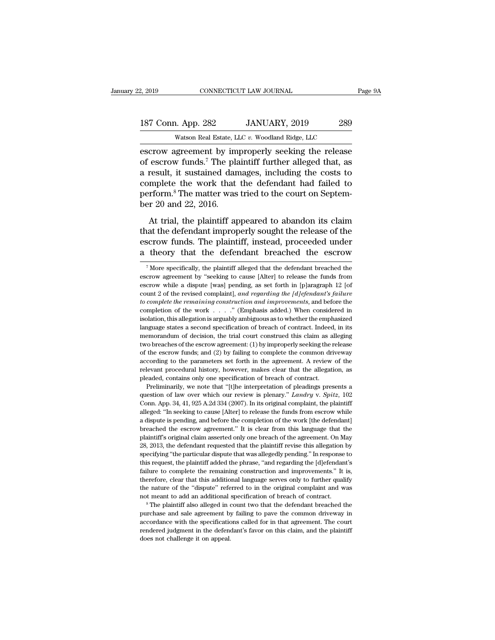escrow agreement by improperly seeking the release<br>
a result it sustained demonstration and release<br>
a result it sustained demonstration including the release<br>
a result it sustained demonstration including the costs to 187 Conn. App. 282 JANUARY, 2019 289<br>Watson Real Estate, LLC v. Woodland Ridge, LLC<br>escrow agreement by improperly seeking the release<br>of escrow funds.<sup>7</sup> The plaintiff further alleged that, as<br>a result, it sustained damag 187 Conn. App. 282 JANUARY, 2019 289<br>Watson Real Estate, LLC v. Woodland Ridge, LLC<br>escrow agreement by improperly seeking the release<br>of escrow funds.<sup>7</sup> The plaintiff further alleged that, as<br>a result, it sustained dama 187 Conn. App. 282 JANUARY, 2019 289<br>Watson Real Estate, LLC  $v$ . Woodland Ridge, LLC<br>escrow agreement by improperly seeking the release<br>of escrow funds.<sup>7</sup> The plaintiff further alleged that, as<br>a result, it sustained da Watson Real Estate, LLC v. Woodland Ridge, LLC<br>escrow agreement by improperly seeking the release<br>of escrow funds.<sup>7</sup> The plaintiff further alleged that, as<br>a result, it sustained damages, including the costs to<br>complete t watson keal Estate, L.<br>escrow agreement by im<br>of escrow funds.<sup>7</sup> The pla<br>a result, it sustained dan<br>complete the work that<br>perform.<sup>8</sup> The matter was<br>ber 20 and 22, 2016.<br>At trial, the plaintiff ap Example and S.<sup>7</sup> The plaintiff further alleged that, as<br>result, it sustained damages, including the costs to<br>mplete the work that the defendant had failed to<br>rform.<sup>8</sup> The matter was tried to the court on Septem-<br>r 20 and of escrew randstrike plantain rander analoged analysis<br>a result, it sustained damages, including the costs to<br>complete the work that the defendant had failed to<br>perform.<sup>8</sup> The matter was tried to the court on Septem-<br>ber

escribing the session complete the work that the defendant had failed to perform.<sup>8</sup> The matter was tried to the court on September 20 and 22, 2016.<br>At trial, the plaintiff appeared to abandon its claim that the defendant perform.<sup>8</sup> The matter was tried to the court on Septem-<br>ber 20 and 22, 2016.<br>At trial, the plaintiff appeared to abandon its claim<br>that the defendant improperly sought the release of the<br>escrow funds. The plaintiff, inste At trial, the plaintiff appeared to abandon its claim<br>that the defendant improperly sought the release of the<br>escrow funds. The plaintiff, instead, proceeded under<br>a theory that the defendant breached the escrow<br> $\frac{1}{\sqrt{2$ that the defendant improperly sought the release of the<br>escrow funds. The plaintiff, instead, proceeded under<br>a theory that the defendant breached the escrow<br><sup>7</sup>More specifically, the plaintiff alleged that the defendant b

according to the parameters set forth in the agreement. A review of the relevant procedural history, however, makes clear that the allegation, as pleaded, contains only one specification of breach of contract. Preliminari relevant procedural history, however, makes clear that the allegation, as pleaded, contains only one specification of breach of contract.<br>Preliminarily, we note that "[t]he interpretation of pleadings presents a question o pleaded, contains only one specification of breach of contract.<br>
Preliminarily, we note that "[t]he interpretation of pleadings presents a<br>
question of law over which our review is plenary." *Landry* v. *Spitz*, 102<br>
Conn. Preliminarily, we note that "[t]he interpretation of pleadings presents a question of law over which our review is plenary." *Landry v. Spitz*, 102 Conn. App. 34, 41, 925 A.2d 334 (2007). In its original complaint, the pla plastion of law over which our review is plenary." *Landry v. Spitz*, 102 Conn. App. 34, 41, 925 A.2d 334 (2007). In its original complaint, the plaintiff alleged: "In seeking to cause [Alter] to release the funds from esc Conn. App. 34, 41, 925 A.2d 334 (2007). In its original complaint, the plaintiff alleged: "In seeking to cause [Alter] to release the funds from escrow while a dispute is pending, and before the completion of the work [the alleged: "In seeking to cause [Alter] to release the funds from escrow while a dispute is pending, and before the completion of the work [the defendant] breached the escrow agreement." It is clear from this language that t and dispute is pending, and before the completion of the work [the defendant] breached the escrow agreement." It is clear from this language that the plaintiff's original claim asserted only one breach of the agreement. On a useful the restrow agreement." It is clear from this language that the plaintiff's original claim asserted only one breach of the agreement. On May 28, 2013, the defendant requested that the plaintiff revise this allegat plaintiff's original claim asserted only one breach of the agreement. On May 28, 2013, the defendant requested that the plaintiff revise this allegation by specifying "the particular dispute that was allegedly pending." In 28, 2013, the defendant requested that the plaintiff revise this allegation by specifying "the particular dispute that was allegedly pending." In response to this request, the plaintiff added the phrase, "and regarding the specifying "the particular dispute that was allegedly pending." In response to this request, the plaintiff added the phrase, "and regarding the [d]efendant's failure to complete the remaining construction and improvements. and vertice the remaining construction and improvements." It is, therefore, clear that this additional language serves only to further qualify the nature of the "dispute" referred to in the original complaint and was not m the nature of the "dispute" referred to in the original complaint and was not meant to add an additional specification of breach of contract.

failure to complete the remaining construction and improvements." It is, therefore, clear that this additional language serves only to further qualify the nature of the "dispute" referred to in the original complaint and

escrow funds. The plaintiff, instead, proceeded under<br>a theory that the defendant breached the escrow<br> $\frac{1}{\sqrt{2}}$  More specifically, the plaintiff alleged that the defendant breached the<br>escrow agreement by "seeking to c a theory that the defendant breached the escrow<br><sup>7</sup>More specifically, the plaintiff alleged that the defendant breached the<br>escrow agreement by "seeking to cause [Alter] to release the funds from<br>escrow while a dispute [wa *Theory* that the deferminant breached the escrow<br> *Theory* and the plaintiff alleged that the defendant breached the<br>
escrow agreement by "seeking to cause [Alter] to release the funds from<br>
escrow while a dispute [was] p <sup>7</sup> More specifically, the plaintiff alleged that the defendant breached the escrow agreement by "seeking to cause [Alter] to release the funds from escrow while a dispute [was] pending, as set forth in [p]aragraph 12 [of is extract the presention, the parameter of the exist of the entries are escrow agreement by "seeking to cause [Alter] to release the funds from escrow while a dispute [was] pending, as set forth in [p]aragraph 12 [of cou because a second while a dispute [was] pending, as set forth in [p]aragraph 12 [of count 2 of the revised complaint], *and regarding the [d]efendant's failure* to *complete the remaining construction and improvements*, an count 2 of the revised complaint], and regarding the [d]efendant's failure to complete the remaining construction and improvements, and before the completion of the work . . . ." (Emphasis added.) When considered in isola to complete the remaining construction and improvements, and before the completion of the work . . . ." (Emphasis added.) When considered in isolation, this allegation is arguably ambiguous as to whether the emphasized la completion of the work  $\dots$ ." (Emphasis added.) When considered in isolation, this allegation is arguably ambiguous as to whether the emphasized language states a second specification of breach of contract. Indeed, in its isolation, this allegation is arguably ambiguous as to whether the emphasized language states a second specification of breach of contract. Indeed, in its memorandum of decision, the trial court construed this claim as al relevant was also all specification of breach of contract. Indeed, in its memorandum of decision, the trial court construed this claim as alleging two breaches of the escrow agreement: (1) by improperly seeking the release language states a second specification of breach of contract. Indeed, in its memorandum of decision, the trial court construed this claim as alleging two breaches of the escrow agreement: (1) by improperly seeking the rel Frequence of the escrow agreement: (1) by improperly seeking the release the escrow funds; and (2) by failing to complete the common driveway cording to the parameters set forth in the agreement. A review of the levant pr of the escrow funds; and (2) by failing to complete the common driveway according to the parameters set forth in the agreement. A review of the relevant procedural history, however, makes clear that the allegation, as plea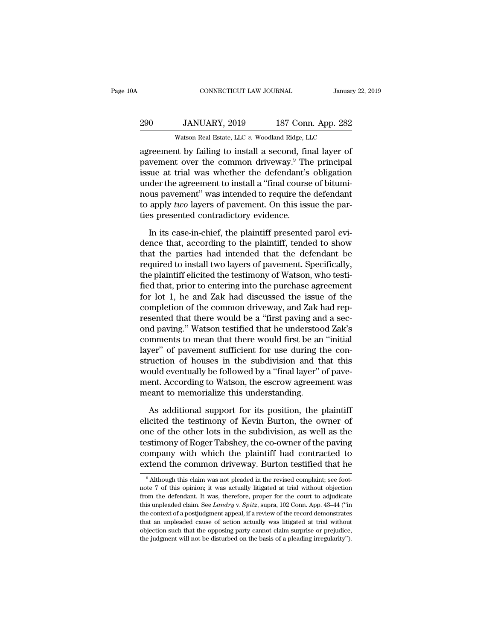## 290 CONNECTICUT LAW JOURNAL January 22, 2019<br>290 JANUARY, 2019 187 Conn. App. 282<br>290 Watson Real Estate, LLC v. Woodland Ridge, LLC CONNECTICUT LAW JOURNAL January 22, 2019<br>290 JANUARY, 2019 187 Conn. App. 282<br>Watson Real Estate, LLC *v.* Woodland Ridge, LLC<br>agreement by failing to install a second, final layer of

CONNECTICUT LAW JOURNAL January 22, 2019<br>
290 JANUARY, 2019 187 Conn. App. 282<br>
290 Watson Real Estate, LLC v. Woodland Ridge, LLC<br>
282 Watson Real Estate, LLC v. Woodland Ridge, LLC<br>
28 agreement by failing to install a s 290 JANUARY, 2019 187 Conn. App. 282<br>Watson Real Estate, LLC  $v$ . Woodland Ridge, LLC<br>agreement by failing to install a second, final layer of<br>pavement over the common driveway.<sup>9</sup> The principal<br>issue at trial was whether 290 JANUARY, 2019 187 Conn. App. 282<br>Watson Real Estate, LLC  $v$ . Woodland Ridge, LLC<br>agreement by failing to install a second, final layer of<br>pavement over the common driveway.<sup>9</sup> The principal<br>issue at trial was whether 290 JANUARY, 2019 187 Conn. App. 282<br>
Watson Real Estate, LLC  $v$ . Woodland Ridge, LLC<br>
agreement by failing to install a second, final layer of<br>
pavement over the common driveway.<sup>9</sup> The principal<br>
issue at trial was whe Watson Real Estate, LLC  $v$ . Woodland Ridge, LLC<br>agreement by failing to install a second, final layer of<br>pavement over the common driveway.<sup>9</sup> The principal<br>issue at trial was whether the defendant's obligation<br>under the wason hear estate, LLC  $v$ . Woodhand hidge, LLC<br>agreement by failing to install a second, final layer of<br>pavement over the common driveway.<sup>9</sup> The principal<br>issue at trial was whether the defendant's obligation<br>under the agreement by failing to install a second, fir<br>pavement over the common driveway.<sup>9</sup> Th<br>issue at trial was whether the defendant's<br>under the agreement to install a "final course<br>nous pavement" was intended to require the<br>to In its case-in-chief, the plaintiff, tended to show the part of the agreement to install a "final course of bitumi-<br>In its case-in-chief, the plaintiff presented parol evi-<br>In its case-in-chief, the plaintiff presented par under the agreement to install a "final course of bituminous pavement" was intended to require the defendant<br>to apply *two* layers of pavement. On this issue the parties presented contradictory evidence.<br>In its case-in-chi

nous pavement" was intended to require the defendant<br>to apply *two* layers of pavement. On this issue the par-<br>ties presented contradictory evidence.<br>In its case-in-chief, the plaintiff presented parol evi-<br>dence that, acc to apply *two* layers of pavement. On this issue the parties presented contradictory evidence.<br>In its case-in-chief, the plaintiff presented parol evidence that, according to the plaintiff, tended to show<br>that the parties ties presented contradictory evidence.<br>
In its case-in-chief, the plaintiff presented parol evidence that, according to the plaintiff, tended to show<br>
that the parties had intended that the defendant be<br>
required to instal In its case-in-chief, the plaintiff presented parol evi-<br>dence that, according to the plaintiff, tended to show<br>that the parties had intended that the defendant be<br>required to install two layers of pavement. Specifically,<br> In its case-in-chief, the plaintiff presented parol evi-<br>dence that, according to the plaintiff, tended to show<br>that the parties had intended that the defendant be<br>required to install two layers of pavement. Specifically,<br> dence that, according to the plaintiff, tended to show<br>that the parties had intended that the defendant be<br>required to install two layers of pavement. Specifically,<br>the plaintiff elicited the testimony of Watson, who testi that the parties had intended that the defendant be<br>required to install two layers of pavement. Specifically,<br>the plaintiff elicited the testimony of Watson, who testi-<br>fied that, prior to entering into the purchase agreem required to install two layers of pavement. Specifically,<br>the plaintiff elicited the testimony of Watson, who testi-<br>fied that, prior to entering into the purchase agreement<br>for lot 1, he and Zak had discussed the issue of the plaintiff elicited the testimony of Watson, who testi-<br>fied that, prior to entering into the purchase agreement<br>for lot 1, he and Zak had discussed the issue of the<br>completion of the common driveway, and Zak had rep-<br>r fied that, prior to entering into the purchase agreement<br>for lot 1, he and Zak had discussed the issue of the<br>completion of the common driveway, and Zak had rep-<br>resented that there would be a "first paving and a sec-<br>ond for lot 1, he and Zak had discussed the issue of the<br>completion of the common driveway, and Zak had rep-<br>resented that there would be a "first paving and a sec-<br>ond paving." Watson testified that he understood Zak's<br>commen completion of the common driveway, and Zak had rep-<br>resented that there would be a "first paving and a sec-<br>ond paving." Watson testified that he understood Zak's<br>comments to mean that there would first be an "initial<br>laye resented that there would be a "first paving and a sec-<br>ond paving." Watson testified that he understood Zak's<br>comments to mean that there would first be an "initial<br>layer" of pavement sufficient for use during the con-<br>st ond paving." Watson testified that he understoccomments to mean that there would first be an layer" of pavement sufficient for use during the struction of houses in the subdivision and the would eventually be followed by a portive of payement sufficient for use during the con-<br>vection of houses in the subdivision and that this<br>build eventually be followed by a "final layer" of pave-<br>ent. According to Watson, the escrow agreement was<br>eant to struction of houses in the subdivision and that this<br>would eventually be followed by a "final layer" of pave-<br>ment. According to Watson, the escrow agreement was<br>meant to memorialize this understanding.<br>As additional suppo

would eventually be followed by a "final layer" of pave-<br>ment. According to Watson, the escrow agreement was<br>meant to memorialize this understanding.<br>As additional support for its position, the plaintiff<br>elicited the testi ment. According to Watson, the escrow agreement was<br>meant to memorialize this understanding.<br>As additional support for its position, the plaintiff<br>elicited the testimony of Kevin Burton, the owner of<br>one of the other lots meant to memorialize this understanding.<br>As additional support for its position, the plaintiff<br>elicited the testimony of Kevin Burton, the owner of<br>one of the other lots in the subdivision, as well as the<br>testimony of Roge As additional support for its position, the plaintiff elicited the testimony of Kevin Burton, the owner of one of the other lots in the subdivision, as well as the testimony of Roger Tabshey, the co-owner of the paving co ne of the other lots in the subdivision, as well as the estimony of Roger Tabshey, the co-owner of the paving<br>ompany with which the plaintiff had contracted to<br>xtend the common driveway. Burton testified that he<br><sup>9</sup> Althou testimony of Roger Tabshey, the co-owner of the paving<br>company with which the plaintiff had contracted to<br>extend the common driveway. Burton testified that he<br><sup>9</sup> Although this claim was not pleaded in the revised complain

company with which the plaintiff had contracted to extend the common driveway. Burton testified that he  $\frac{9}{4}$  Although this claim was not pleaded in the revised complaint; see footnote 7 of this opinion; it was actual extend the common driveway. Burton testified that he<br>
<sup>9</sup> Although this claim was not pleaded in the revised complaint; see foot-<br>
note 7 of this opinion; it was actually litigated at trial without objection<br>
from the defe Although this claim was not pleaded in the revised complaint; see foot-<br>note 7 of this opinion; it was actually litigated at trial without objection<br>from the defendant. It was, therefore, proper for the court to adjudicat <sup>9</sup> Although this claim was not pleaded in the revised complaint; see footnote 7 of this opinion; it was actually litigated at trial without objection from the defendant. It was, therefore, proper for the court to adjudic note 7 of this opinion; it was actually litigated at trial without objection from the defendant. It was, therefore, proper for the court to adjudicate this unpleaded claim. See *Landry v. Spitz*, supra, 102 Conn. App. 43– from the defendant. It was, therefore, proper for the court to adjudicate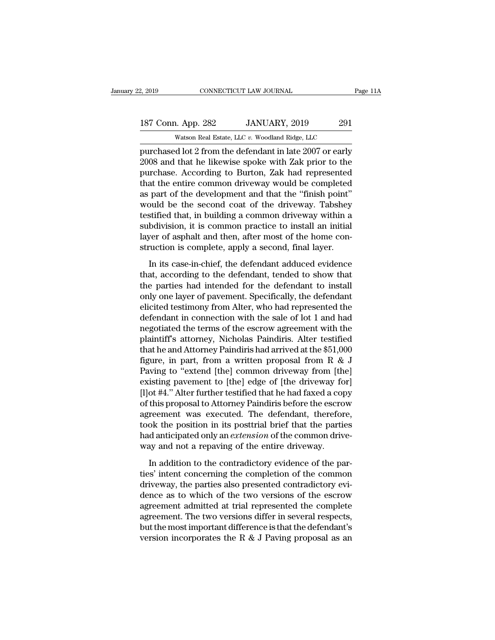## 2, 2019 CONNECTICUT LAW JOURNAL Page 11A<br>187 Conn. App. 282 JANUARY, 2019 291<br>Watson Real Estate, LLC v. Woodland Ridge, LLC 2, 2019 CONNECTICUT LAW JOURNAL Page 11A<br>187 Conn. App. 282 JANUARY, 2019 291<br>Watson Real Estate, LLC *v.* Woodland Ridge, LLC<br>purchased lot 2 from the defendant in late 2007 or early

Page 11A<br>
2, 2019 CONNECTICUT LAW JOURNAL Page 11A<br>
187 Conn. App. 282 JANUARY, 2019 291<br>
2011 Watson Real Estate, LLC v. Woodland Ridge, LLC<br>
purchased lot 2 from the defendant in late 2007 or early<br>
2008 and that he like 2018 187 Conn. App. 282 JANUARY, 2019 291<br>Watson Real Estate, LLC v. Woodland Ridge, LLC<br>purchased lot 2 from the defendant in late 2007 or early<br>2008 and that he likewise spoke with Zak prior to the<br>purchase. According to 187 Conn. App. 282 JANUARY, 2019 291<br>Watson Real Estate, LLC v. Woodland Ridge, LLC<br>purchased lot 2 from the defendant in late 2007 or early<br>2008 and that he likewise spoke with Zak prior to the<br>purchase. According to Bur 187 Conn. App. 282 JANUARY, 2019 291<br>
Watson Real Estate, LLC  $v$ . Woodland Ridge, LLC<br>
purchased lot 2 from the defendant in late 2007 or early<br>
2008 and that he likewise spoke with Zak prior to the<br>
purchase. According Watson Real Estate, LLC v. Woodland Ridge, LLC<br>purchased lot 2 from the defendant in late 2007 or early<br>2008 and that he likewise spoke with Zak prior to the<br>purchase. According to Burton, Zak had represented<br>that the enti was a Estate, LLC  $v$ . Woodland Ridge, LLC<br>purchased lot 2 from the defendant in late 2007 or early<br>2008 and that he likewise spoke with Zak prior to the<br>purchase. According to Burton, Zak had represented<br>that the entire purchased lot 2 from the defendant in late 2007 or early<br>2008 and that he likewise spoke with Zak prior to the<br>purchase. According to Burton, Zak had represented<br>that the entire common driveway would be completed<br>as part o 2008 and that he likewise spoke with Zak prior to the<br>purchase. According to Burton, Zak had represented<br>that the entire common driveway would be completed<br>as part of the development and that the "finish point"<br>would be th purchase. According to Burton, Zak had represented<br>that the entire common driveway would be completed<br>as part of the development and that the "finish point"<br>would be the second coat of the driveway. Tabshey<br>testified that, that the entire common driveway would be completed<br>as part of the development and that the "finish point"<br>would be the second coat of the driveway. Tabshey<br>testified that, in building a common driveway within a<br>subdivision Final be the second coat of the driveway. Tabshey<br>stified that, in building a common driveway within a<br>bdivision, it is common practice to install an initial<br>ver of asphalt and then, after most of the home con-<br>ruction is testified that, in building a common driveway within a<br>subdivision, it is common practice to install an initial<br>layer of asphalt and then, after most of the home con-<br>struction is complete, apply a second, final layer.<br>In

subdivision, it is common practice to install an initial<br>layer of asphalt and then, after most of the home con-<br>struction is complete, apply a second, final layer.<br>In its case-in-chief, the defendant adduced evidence<br>that, layer of asphalt and then, after most of the home construction is complete, apply a second, final layer.<br>In its case-in-chief, the defendant adduced evidence<br>that, according to the defendant, tended to show that<br>the partie electricion is complete, apply a second, final layer.<br>
In its case-in-chief, the defendant adduced evidence<br>
that, according to the defendant, tended to show that<br>
the parties had intended for the defendant to install<br>
onl In its case-in-chief, the defendant adduced evidence<br>that, according to the defendant, tended to show that<br>the parties had intended for the defendant to install<br>only one layer of pavement. Specifically, the defendant<br>elici In its case-in-chief, the defendant adduced evidence<br>that, according to the defendant, tended to show that<br>the parties had intended for the defendant to install<br>only one layer of pavement. Specifically, the defendant<br>elic that, according to the defendant, tended to show that<br>the parties had intended for the defendant to install<br>only one layer of pavement. Specifically, the defendant<br>elicited testimony from Alter, who had represented the<br>de the parties had intended for the defendant to install<br>only one layer of pavement. Specifically, the defendant<br>elicited testimony from Alter, who had represented the<br>defendant in connection with the sale of lot 1 and had<br>n only one layer of pavement. Specifically, the defendant<br>elicited testimony from Alter, who had represented the<br>defendant in connection with the sale of lot 1 and had<br>negotiated the terms of the escrow agreement with the<br>pl elicited testimony from Alter, who had represented the<br>defendant in connection with the sale of lot 1 and had<br>negotiated the terms of the escrow agreement with the<br>plaintiff's attorney, Nicholas Paindiris. Alter testified<br> defendant in connection with the sale of lot 1 and had<br>negotiated the terms of the escrow agreement with the<br>plaintiff's attorney, Nicholas Paindiris. Alter testified<br>that he and Attorney Paindiris had arrived at the \$51,0 negotiated the terms of the escrow agreement with the<br>plaintiff's attorney, Nicholas Paindiris. Alter testified<br>that he and Attorney Paindiris had arrived at the \$51,000<br>figure, in part, from a written proposal from R & J<br> plaintiff's attorney, Nicholas Paindiris. Alter testified<br>that he and Attorney Paindiris had arrived at the \$51,000<br>figure, in part, from a written proposal from R & J<br>Paving to "extend [the] common driveway from [the]<br>exi that he and Attorney Paindiris had arrived at the  $$51,000$ <br>figure, in part, from a written proposal from R & J<br>Paving to "extend [the] common driveway from [the]<br>existing pavement to [the] edge of [the driveway for]<br>[l]o figure, in part, from a written proposal from R & J<br>Paving to "extend [the] common driveway from [the]<br>existing pavement to [the] edge of [the driveway for]<br>[l]ot #4." Alter further testified that he had faxed a copy<br>of t Paving to "extend [the] common driveway from [the] existing pavement to [the] edge of [the driveway for] [l]ot #4." Alter further testified that he had faxed a copy of this proposal to Attorney Paindiris before the escrow existing pavement to [the] edge of [the driveway fo<br>[l]ot #4." Alter further testified that he had faxed a cop<br>of this proposal to Attorney Paindiris before the escro<br>agreement was executed. The defendant, therefor<br>took th this proposal to Attorney Paindiris before the escrow<br>reement was executed. The defendant, therefore,<br>ok the position in its posttrial brief that the parties<br>d anticipated only an *extension* of the common drive-<br>ay and no agreement was executed. The defendant, therefore,<br>took the position in its posttrial brief that the parties<br>had anticipated only an *extension* of the common drive-<br>way and not a repaving of the entire driveway.<br>In additio

took the position in its posttrial brief that the parties<br>had anticipated only an *extension* of the common drive-<br>way and not a repaving of the entire driveway.<br>In addition to the contradictory evidence of the par-<br>ties' had anticipated only an *extension* of the common drive-<br>way and not a repaving of the entire driveway.<br>In addition to the contradictory evidence of the par-<br>ties' intent concerning the completion of the common<br>driveway, t way and not a repaving of the entire driveway.<br>In addition to the contradictory evidence of the par-<br>ties' intent concerning the completion of the common<br>driveway, the parties also presented contradictory evi-<br>dence as to In addition to the contradictory evidence of the parties' intent concerning the completion of the common driveway, the parties also presented contradictory evidence as to which of the two versions of the escrow agreement In addition to the contradictory evidence of the parties' intent concerning the completion of the common driveway, the parties also presented contradictory evidence as to which of the two versions of the escrow agreement ties' intent concerning the completion of the common<br>driveway, the parties also presented contradictory evi-<br>dence as to which of the two versions of the escrow<br>agreement admitted at trial represented the complete<br>agreeme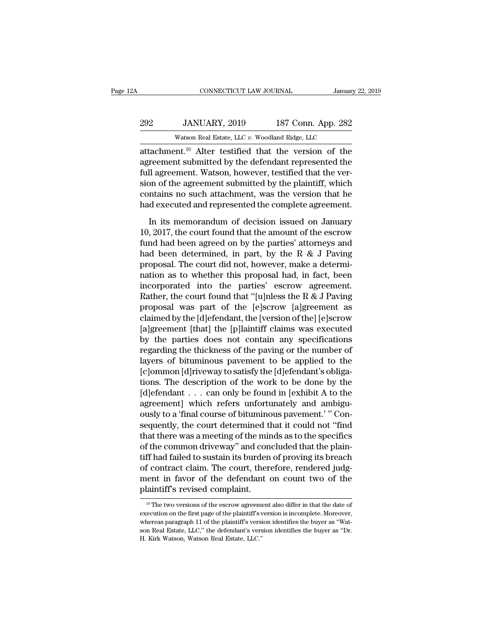| 2Α  | CONNECTICUT LAW JOURNAL                                           |                    | January 22, 2019 |
|-----|-------------------------------------------------------------------|--------------------|------------------|
| 292 | JANUARY, 2019                                                     | 187 Conn. App. 282 |                  |
|     | Watson Real Estate, LLC v. Woodland Ridge, LLC                    |                    |                  |
|     | attachment. <sup>10</sup> Alter testified that the version of the |                    |                  |

CONNECTICUT LAW JOURNAL January 22, 2019<br>
292 JANUARY, 2019 187 Conn. App. 282<br>
Watson Real Estate, LLC v. Woodland Ridge, LLC<br>
attachment.<sup>10</sup> Alter testified that the version of the<br>
agreement submitted by the defendant 292 JANUARY, 2019 187 Conn. App. 282<br>Watson Real Estate, LLC v. Woodland Ridge, LLC<br>attachment.<sup>10</sup> Alter testified that the version of the<br>agreement submitted by the defendant represented the<br>full agreement. Watson, howe Full agreement. Watson Real Estate, LLC v. Woodland Ridge, LLC<br>attachment.<sup>10</sup> Alter testified that the version of the agreement submitted by the defendant represented the full agreement. Watson, however, testified that t  $\begin{array}{l} \textbf{292} \qquad \textbf{JANUARY, 2019} \qquad \textbf{187 Conn. App. 282} \\ \textbf{Watson Real Estate, LLC } v. \text{ Woodland Ridge, LLC} \\ \textbf{attachment.}^{10} \text{ Alter testified that the version of the agreement submitted by the defendant represented the full agreement. Watson, however, testified that the version of the agreement submitted by the plaintiff, which contains no such attachment, was the version that he had executed and {conposed the computed agreement.} \end{array}$ Watson Real Estate, LLC  $v$ . Woodland Ridge, LLC<br>attachment.<sup>10</sup> Alter testified that the version of the<br>agreement submitted by the defendant represented the<br>full agreement. Watson, however, testified that the ver-<br>sion o wason Real Estate, LLC  $v$ . Woodland Ridge, LLC<br>attachment.<sup>10</sup> Alter testified that the version of the<br>agreement submitted by the defendant represented the<br>full agreement. Watson, however, testified that the ver-<br>sion of reement submitted by the defendant represented the<br>Il agreement. Watson, however, testified that the ver-<br>on of the agreement submitted by the plaintiff, which<br>ntains no such attachment, was the version that he<br>d executed full agreement. Watson, however, testified that the version of the agreement submitted by the plaintiff, which contains no such attachment, was the version that he had executed and represented the complete agreement.<br>In i

Fund had executed and represented by the plaintiff, which contains no such attachment, was the version that he had executed and represented the complete agreement.<br>In its memorandum of decision issued on January 10, 2017, From the the eigenment emergency and probability and position that he<br>had executed and represented the complete agreement.<br>In its memorandum of decision issued on January<br>10, 2017, the court found that the amount of the e had executed and represented the complete agreement.<br>In its memorandum of decision issued on January<br>10, 2017, the court found that the amount of the escrow<br>fund had been agreed on by the parties' attorneys and<br>had been d In its memorandum of decision issued on January<br>10, 2017, the court found that the amount of the escrow<br>fund had been agreed on by the parties' attorneys and<br>had been determined, in part, by the R & J Paving<br>proposal. The In its memorandum of decision issued on January 10, 2017, the court found that the amount of the escrow fund had been agreed on by the parties' attorneys and had been determined, in part, by the R & J Paving proposal. The 10, 2017, the court found that the amount of the escrow<br>fund had been agreed on by the parties' attorneys and<br>had been determined, in part, by the R & J Paving<br>proposal. The court did not, however, make a determi-<br>nation fund had been agreed on by the parties' attorneys and<br>had been determined, in part, by the R & J Paving<br>proposal. The court did not, however, make a determi-<br>nation as to whether this proposal had, in fact, been<br>incorpora had been determined, in part, by the R & J Paving<br>proposal. The court did not, however, make a determi-<br>nation as to whether this proposal had, in fact, been<br>incorporated into the parties' escrow agreement.<br>Rather, the cou proposal. The court did not, however, make a determi-<br>nation as to whether this proposal had, in fact, been<br>incorporated into the parties' escrow agreement.<br>Rather, the court found that "[u]nless the R & J Paving<br>proposal nation as to whether this proposal had, in fact, been<br>incorporated into the parties' escrow agreement.<br>Rather, the court found that "[u]nless the R & J Paving<br>proposal was part of the [e]scrow [a]greement as<br>claimed by th incorporated into the parties' escrow agreement.<br>Rather, the court found that "[u]nless the R & J Paving<br>proposal was part of the [e]scrow [a]greement as<br>claimed by the [d]efendant, the [version of the] [e]scrow<br>[a]greemen Rather, the court found that "[u]nless the R & J Paving<br>proposal was part of the [e]scrow [a]greement as<br>claimed by the [d]efendant, the [version of the] [e]scrow<br>[a]greement [that] the [p]laintiff claims was executed<br>by t proposal was part of the [e]scrow [a]greement as<br>claimed by the [d]efendant, the [version of the] [e]scrow<br>[a]greement [that] the [p]laintiff claims was executed<br>by the parties does not contain any specifications<br>regarding claimed by the [d]efendant, the [version of the] [e]scrow<br>[a]greement [that] the [p]laintiff claims was executed<br>by the parties does not contain any specifications<br>regarding the thickness of the paving or the number of<br>lay [a]greement [that] the [p]laintiff claims was executed<br>by the parties does not contain any specifications<br>regarding the thickness of the paving or the number of<br>layers of bituminous pavement to be applied to the<br>[c]ommon [ by the parties does not contain any specifications<br>regarding the thickness of the paving or the number of<br>layers of bituminous pavement to be applied to the<br>[c]ommon [d]riveway to satisfy the [d]efendant's obliga-<br>tions. T regarding the thickness of the paving or the number of<br>layers of bituminous pavement to be applied to the<br>[c]ommon [d]riveway to satisfy the [d]efendant's obliga-<br>tions. The description of the work to be done by the<br>[d]efe layers of bituminous pavement to be applied to the<br>[c]ommon [d]riveway to satisfy the [d]efendant's obliga-<br>tions. The description of the work to be done by the<br>[d]efendant . . . can only be found in [exhibit A to the<br>agre [c]ommon [d]riveway to satisfy the [d]efendant's obligations. The description of the work to be done by the [d]efendant . . . can only be found in [exhibit A to the agreement] which refers unfortunately and ambiguously to tions. The description of the work to be done by the [d]efendant . . . can only be found in [exhibit A to the agreement] which refers unfortunately and ambiguously to a 'final course of bituminous pavement.' " Consequentl [d]efendant . . . can only be found in [exhibit A to the<br>agreement] which refers unfortunately and ambigu-<br>ously to a 'final course of bituminous pavement.' " Con-<br>sequently, the court determined that it could not "find<br>th agreement] which refers unfortunately and ambiguously to a 'final course of bituminous pavement.' " Consequently, the court determined that it could not "find that there was a meeting of the minds as to the specifics of th ously to a 'final course of bituminous pavement.' " Consequently, the court determined that it could not "find<br>that there was a meeting of the minds as to the specifics<br>of the common driveway" and concluded that the plainsequently, the court determined that there was a meeting of the min<br>of the common driveway" and con<br>tiff had failed to sustain its burden<br>of contract claim. The court, there<br>ment in favor of the defendant of<br>plaintiff's re tiff had failed to sustain its burden of proving its breach<br>of contract claim. The court, therefore, rendered judg-<br>ment in favor of the defendant on count two of the<br>plaintiff's revised complaint.<br> $\frac{10 \text{ T} \cdot \text{m}}{10 \text$ of contract claim. The court, therefore, rendered judgment in favor of the defendant on count two of the plaintiff's revised complaint.<br>
<sup>10</sup> The two versions of the escrow agreement also differ in that the date of executi

ment in favor of the defendant on count two of the<br>plaintiff's revised complaint.<br><sup>10</sup> The two versions of the escrow agreement also differ in that the date of<br>execution on the first page of the plaintiff's version is inco plaintiff's revised complaint.<br>
<sup>10</sup> The two versions of the escrow agreement also differ in that the date of<br>
execution on the first page of the plaintiff's version is incomplete. Moreover,<br>
whereas paragraph 11 of the pl  $\frac{10}{10}$  The two versions of the escrow agreem<br>execution on the first page of the plaintiff's verses<br>whereas paragraph 11 of the plaintiff's versi<br>son Real Estate, LLC.'' the defendant's vers<br>H. Kirk Watson, Watson Rea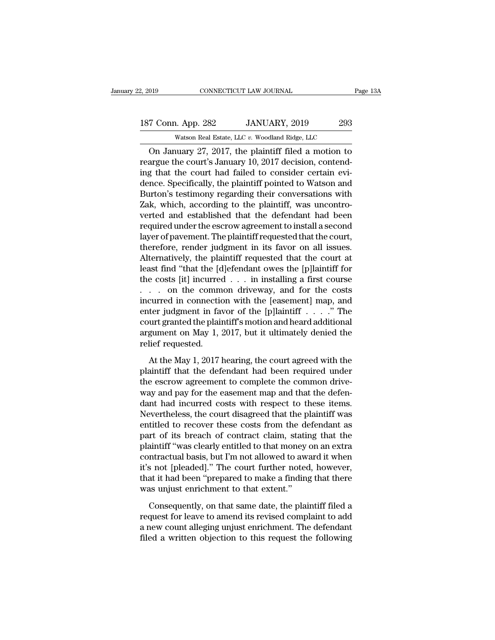CONNECTICUT LAW JOURNAL Page 13A<br>
T Conn. App. 282 JANUARY, 2019 293<br>
Watson Real Estate, LLC v. Woodland Ridge, LLC<br>
On January 27, 2017, the plaintiff filed a motion to<br>
argue the court's January 10, 2017 decision, conte 187 Conn. App. 282 JANUARY, 2019 293<br>Watson Real Estate, LLC v. Woodland Ridge, LLC<br>On January 27, 2017, the plaintiff filed a motion to<br>reargue the court's January 10, 2017 decision, contend-<br>ing that the court had failed 187 Conn. App. 282 JANUARY, 2019 293<br>
Watson Real Estate, LLC v. Woodland Ridge, LLC<br>
On January 27, 2017, the plaintiff filed a motion to<br>
reargue the court's January 10, 2017 decision, contend-<br>
ing that the court had f 187 Conn. App. 282 JANUARY, 2019 293<br>
Watson Real Estate, LLC  $v$ . Woodland Ridge, LLC<br>
On January 27, 2017, the plaintiff filed a motion to<br>
reargue the court's January 10, 2017 decision, contend-<br>
ing that the court had Watson Real Estate, LLC  $v$ . Woodland Ridge, LLC<br>
On January 27, 2017, the plaintiff filed a motion to<br>
reargue the court's January 10, 2017 decision, contend-<br>
ing that the court had failed to consider certain evi-<br>
denc was a Estate, LLC  $v$ . Woodand Ridge, LLC<br>
On January 27, 2017, the plaintiff filed a motion to<br>
reargue the court's January 10, 2017 decision, contend-<br>
ing that the court had failed to consider certain evi-<br>
dence. Spec On January 27, 2017, the plaintiff filed a motion to<br>reargue the court's January 10, 2017 decision, contend-<br>ing that the court had failed to consider certain evi-<br>dence. Specifically, the plaintiff pointed to Watson and<br>B reargue the court's January 10, 2017 decision, contend-<br>ing that the court had failed to consider certain evi-<br>dence. Specifically, the plaintiff pointed to Watson and<br>Burton's testimony regarding their conversations with<br> ing that the court had failed to consider certain evidence. Specifically, the plaintiff pointed to Watson and Burton's testimony regarding their conversations with Zak, which, according to the plaintiff, was uncontroverted dence. Specifically, the plaintiff pointed to Watson and Burton's testimony regarding their conversations with Zak, which, according to the plaintiff, was uncontroverted and established that the defendant had been required Burton's testimony regarding their conversations with<br>Zak, which, according to the plaintiff, was uncontro-<br>verted and established that the defendant had been<br>required under the escrow agreement to install a second<br>layer o Zak, which, according to the plaintiff, was uncontroverted and established that the defendant had been required under the escrow agreement to install a second layer of pavement. The plaintiff requested that the court, the verted and established that the defendant had been<br>required under the escrow agreement to install a second<br>layer of pavement. The plaintiff requested that the court,<br>therefore, render judgment in its favor on all issues.<br>A required under the escrow agreement to install a second<br>layer of pavement. The plaintiff requested that the court,<br>therefore, render judgment in its favor on all issues.<br>Alternatively, the plaintiff requested that the cour layer of pavement. The plaintiff requested that the court,<br>therefore, render judgment in its favor on all issues.<br>Alternatively, the plaintiff requested that the court at<br>least find "that the [d]efendant owes the [p]lainti therefore, render judgment in its favor on all issues.<br>Alternatively, the plaintiff requested that the court at<br>least find "that the [d]efendant owes the [p]laintiff for<br>the costs [it] incurred . . . in installing a first Alternatively, the plaintiff requested that the court at least find "that the [d]efendant owes the [p]laintiff for the costs [it] incurred  $\ldots$  in installing a first course  $\ldots$  on the common driveway, and for the costs least find "that the [d]efendant owes the [p]laintiff for<br>the costs [it] incurred  $\dots$  in installing a first course<br> $\dots$  on the common driveway, and for the costs<br>incurred in connection with the [easement] map, and<br>enter the costs [it] incurred<br>
. . . on the comm<br>
incurred in connectic<br>
enter judgment in fav<br>
court granted the plain<br>
argument on May 1, 2<br>
relief requested.<br>
At the May 1, 2017 l curred in connection with the [easement] map, and<br>ter judgment in favor of the [p]laintiff  $\dots$ . "The<br>urt granted the plaintiff's motion and heard additional<br>gument on May 1, 2017, but it ultimately denied the<br>lief reques enter judgment in favor of the [p]laintiff  $\ldots$  .  $\ddot{\cdot}$  The<br>court granted the plaintiff's motion and heard additional<br>argument on May 1, 2017, but it ultimately denied the<br>relief requested.<br>At the May 1, 2017 hearing,

the escrow agreement on May 1, 2017, but it ultimately denied the relief requested.<br>At the May 1, 2017, but it ultimately denied the relief requested.<br>At the May 1, 2017 hearing, the court agreed with the plaintiff that th argument on May 1, 2017, but it ultimately denied the<br>relief requested.<br>At the May 1, 2017 hearing, the court agreed with the<br>plaintiff that the defendant had been required under<br>the escrow agreement to complete the common relief requested.<br>At the May 1, 2017 hearing, the court agreed with the plaintiff that the defendant had been required under<br>the escrow agreement to complete the common drive-<br>way and pay for the easement map and that the At the May 1, 2017 hearing, the court agreed with the plaintiff that the defendant had been required under the escrow agreement to complete the common drive-<br>way and pay for the easement map and that the defendant had incu At the May 1, 2017 hearing, the court agreed with the<br>plaintiff that the defendant had been required under<br>the escrow agreement to complete the common drive-<br>way and pay for the easement map and that the defen-<br>dant had in plaintiff that the defendant had been required under<br>the escrow agreement to complete the common drive-<br>way and pay for the easement map and that the defen-<br>dant had incurred costs with respect to these items.<br>Nevertheless the escrow agreement to complete the common drive-<br>way and pay for the easement map and that the defen-<br>dant had incurred costs with respect to these items.<br>Nevertheless, the court disagreed that the plaintiff was<br>entitled way and pay for the easement map and that the defen-<br>dant had incurred costs with respect to these items.<br>Nevertheless, the court disagreed that the plaintiff was<br>entitled to recover these costs from the defendant as<br>part dant had incurred costs with respect to these items.<br>Nevertheless, the court disagreed that the plaintiff was<br>entitled to recover these costs from the defendant as<br>part of its breach of contract claim, stating that the<br>pla Nevertheless, the court disagreed that the plaintiff was<br>entitled to recover these costs from the defendant as<br>part of its breach of contract claim, stating that the<br>plaintiff "was clearly entitled to that money on an extr entitled to recover these costs from the de<br>part of its breach of contract claim, statir<br>plaintiff "was clearly entitled to that money c<br>contractual basis, but I'm not allowed to aw:<br>it's not [pleaded]." The court further aintiff "was clearly entitled to that money on an extra<br>ntractual basis, but I'm not allowed to award it when<br>s not [pleaded]." The court further noted, however,<br>at it had been "prepared to make a finding that there<br>as unj reprendice to award it when<br>it's not [pleaded]." The court further noted, however,<br>that it had been "prepared to make a finding that there<br>was unjust enrichment to that extent."<br>Consequently, on that same date, the plainti

it's not [pleaded]." The court further noted, however, that it had been "prepared to make a finding that there was unjust enrichment to that extent."<br>Consequently, on that same date, the plaintiff filed a request for leave that it had been "prepared to make a finding that there was unjust enrichment to that extent."<br>Consequently, on that same date, the plaintiff filed a<br>request for leave to amend its revised complaint to add<br>a new count alle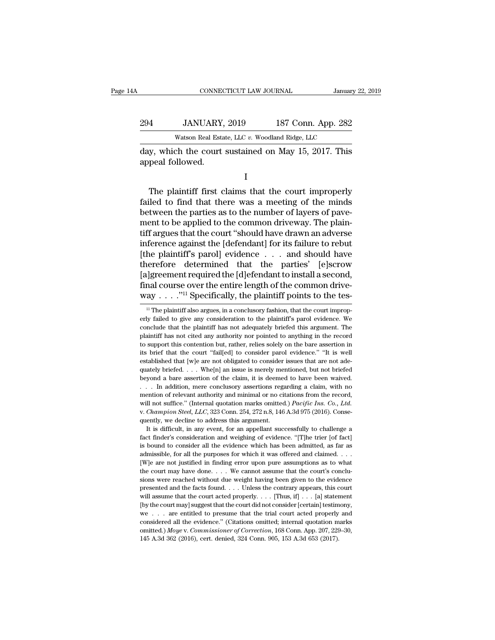|     | CONNECTICUT LAW JOURNAL                                                  | January 22, 2019   |
|-----|--------------------------------------------------------------------------|--------------------|
| 294 | JANUARY, 2019                                                            | 187 Conn. App. 282 |
|     | Watson Real Estate, LLC v. Woodland Ridge, LLC                           |                    |
|     | day, which the court sustained on May 15, 2017. This<br>appeal followed. |                    |
|     |                                                                          |                    |

Watson Real Estate, LLC v. Woodland Ridge, LLC<br>
y, which the court sustained on May 15, 2017. This<br>
peal followed.<br>
I<br>
The plaintiff first claims that the court improperly<br>
lied to find that there was a meeting of the min Watson Real Estate, LLC  $v$ . Woodland Ridge, LLC<br>day, which the court sustained on May 15, 2017. This<br>appeal followed.<br>I<br>The plaintiff first claims that the court improperly<br>failed to find that there was a meeting of the day, which the court sustained on May 15, 2017. This<br>appeal followed.<br>I<br>The plaintiff first claims that the court improperly<br>failed to find that there was a meeting of the minds<br>between the parties as to the number of laye appeal followed.<br>
I<br>
The plaintiff first claims that the court improperly<br>
failed to find that there was a meeting of the minds<br>
between the parties as to the number of layers of pave-<br>
ment to be applied to the common dri I<br>
The plaintiff first claims that the court improperly<br>
failed to find that there was a meeting of the minds<br>
between the parties as to the number of layers of pave-<br>
ment to be applied to the common driveway. The plain-<br> The plaintiff first claims that the court improperly<br>failed to find that there was a meeting of the minds<br>between the parties as to the number of layers of pave-<br>ment to be applied to the common driveway. The plain-<br>tiff The plaintiff first claims that the court improperly<br>failed to find that there was a meeting of the minds<br>between the parties as to the number of layers of pave-<br>ment to be applied to the common driveway. The plain-<br>tiff failed to find that there was a meeting of the minds<br>between the parties as to the number of layers of pave-<br>ment to be applied to the common driveway. The plain-<br>tiff argues that the court "should have drawn an adverse<br>in between the parties as to the number of layers of pave-<br>ment to be applied to the common driveway. The plain-<br>tiff argues that the court "should have drawn an adverse<br>inference against the [defendant] for its failure to re ment to be applied to the common driveway. The plain-<br>tiff argues that the court "should have drawn an adverse<br>inference against the [defendant] for its failure to rebut<br>[the plaintiff's parol] evidence . . . and should h tiff argues that the court "should have drawn an adverse<br>inference against the [defendant] for its failure to rebut<br>[the plaintiff's parol] evidence . . . and should have<br>therefore determined that the parties' [e]scrow<br>[a 11 Interaction and that the parties' [e]scrow<br>
1] greement required the [d]efendant to install a second,<br>
12 Interaction and course over the entire length of the common drive-<br>
23 . . . . "<sup>11</sup> Specifically, the plaintiff [a]greement required the [d]efendant to install a second,<br>final course over the entire length of the common drive-<br>way  $\ldots$  ."<sup>11</sup> Specifically, the plaintiff points to the tes-<br><sup>11</sup> The plaintiff also argues, in a concl

final course over the entire length of the common drive-<br>way  $\ldots$ ...<sup>711</sup> Specifically, the plaintiff points to the tes-<br> $\frac{11}{10}$  The plaintiff also argues, in a conclusory fashion, that the court improperly failed to multiplant of the cited any the plaintiff points to the tes-<br>  $\frac{1}{1}$  The plaintiff also argues, in a conclusory fashion, that the court improp-<br>
erly failed to give any consideration to the plaintiff's parol evidence. way  $\ldots$  Specifically, the plaintiff points to the tes-<br>  $\frac{1}{1}$  The plaintiff also argues, in a conclusory fashion, that the court improperly failed to give any consideration to the plaintiff's parol evidence. We conc <sup>11</sup> The plaintiff also argues, in a conclusory fashion, that the court improperly failed to give any consideration to the plaintiff's parol evidence. We conclude that the plaintiff has not adequately briefed this argumen erly failed to give any consideration to the plaintiff's parol evidence. We conclude that the plaintiff has not adequately briefed this argument. The plaintiff has not cited any authority nor pointed to anything in the re conclude that the plaintiff has not adequately briefed this argument. The plaintiff has not cited any authority nor pointed to anything in the record to support this contention but, rather, relies solely on the bare asser plaintiff has not cited any authority nor pointed to anything in the record to support this contention but, rather, relies solely on the bare assertion in its brief that the court "fail[ed] to consider parol evidence." "I to support this contention but, rather, relies solely on the bare assertion in its brief that the court "fail[ed] to consider parol evidence." "It is well established that [w]e are not obligated to consider issues that are its brief that the court "fail[ed] to consider parol evidence." "It is well established that [w]e are not obligated to consider issues that are not adequately briefed... Whe[n] an issue is merely mentioned, but not briefe we stablished that [w]e are not obligated to consider issues that are not ade-<br>equately briefed. . . . Whe[n] an issue is merely mentioned, but not briefed<br>beyond a bare assertion of the claim, it is deemed to have been wa quately briefed. . . . Whe[n] an issue is merely mentioned, but not briefed<br>beyond a bare assertion of the claim, it is deemed to have been waived.<br>. . . In addition, mere conclusory assertions regarding a claim, with no<br> It is difficult, in any event, for an appellant successfully to challenge a claim, with no ention of relevant authority and minimal or no citations from the record, and minimal or in contractions from the record, in the s fact finder's consideration and weighing of evidence. "[T]he trier film and weight and weight and weight and weight  $Racific$  *Ins. Co., Ltd.* v. *Champion Steel, LLC*, 323 Conn. 254, 272 n.8, 146 A.3d 975 (2016). Consequent

will not suffice." (Internal quotation marks omitted.) *Pacific Ins. Co., Ltd.* v. *Champion Steel, LLC*, 323 Conn. 254, 272 n.8, 146 A.3d 975 (2016). Consequently, we decline to address this argument.<br>It is difficult, in v. *Champion Steel, LLC*, 323 Conn. 254, 272 n.8, 146 A.3d 975 (2016). Consequently, we decline to address this argument.<br>It is difficult, in any event, for an appellant successfully to challenge a fact finder's considera mently, we decline to address this argument.<br>It is difficult, in any event, for an appellant successfully to challenge a<br>fact finder's consideration and weighing of evidence. "[T]he trier [of fact]<br>is bound to consider all It is difficult, in any event, for an appellant successfully to challenge a<br>fact finder's consideration and weighing of evidence. "[T]he trier [of fact]<br>is bound to consider all the evidence which has been admitted, as fa fact finder's consideration and weighing of evidence. "[T]he trier [of fact] is bound to consider all the evidence which has been admitted, as far as admissible, for all the purposes for which it was offered and claimed. is bound to consider all the evidence which has been admitted, as far as admissible, for all the purposes for which it was offered and claimed. . . . [W]e are not justified in finding error upon pure assumptions as to wha admissible, for all the purposes for which it was offered and claimed. . . . . [W]e are not justified in finding error upon pure assumptions as to what the court may have done. . . . We cannot assume that the court's conc EXECT THE COURT THE COURT THE THE COURT THE THE COURT THE COURT THE COURT MAY have done. . . . We cannot assume that the court's conclusions were reached without due weight having been given to the evidence presented and We court may have done. . . . We cannot assume that the court's conclusions were reached without due weight having been given to the evidence presented and the facts found. . . . Unless the contrary appears, this court wi the court may have done.... We cannot assume that the court's conclusions were reached without due weight having been given to the evidence presented and the facts found.... Unless the contrary appears, this court will as presented and the facts found. . . . Unless the contrary appears, this court will assume that the court acted properly. . . . [Thus, if] . . . [a] statement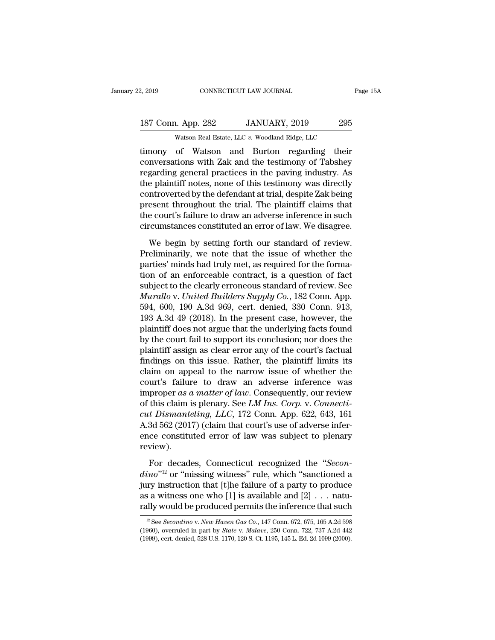2, 2019 CONNECTICUT LAW JOURNAL Page 15A<br>
187 Conn. App. 282 JANUARY, 2019 295<br>
Watson Real Estate, LLC v. Woodland Ridge, LLC<br>
timony of Watson and Burton regarding their<br>
conversations with Zak and the testimony of Tabsh 187 Conn. App. 282 JANUARY, 2019 295<br>Watson Real Estate, LLC v. Woodland Ridge, LLC<br>timony of Watson and Burton regarding their<br>conversations with Zak and the testimony of Tabshey<br>regarding general practices in the paving 187 Conn. App. 282 JANUARY, 2019 295<br>Watson Real Estate, LLC v. Woodland Ridge, LLC<br>timony of Watson and Burton regarding their<br>conversations with Zak and the testimony of Tabshey<br>regarding general practices in the paving 187 Conn. App. 282 JANUARY, 2019 295<br>
Watson Real Estate, LLC  $v$ . Woodland Ridge, LLC<br>
timony of Watson and Burton regarding their<br>
conversations with Zak and the testimony of Tabshey<br>
regarding general practices in the Watson Real Estate, LLC  $v$ . Woodland Ridge, LLC<br>timony of Watson and Burton regarding their<br>conversations with Zak and the testimony of Tabshey<br>regarding general practices in the paving industry. As<br>the plaintiff notes, wason kear estate, LLC  $v$ . Woodand Kidge, LLC<br>timony of Watson and Burton regarding their<br>conversations with Zak and the testimony of Tabshey<br>regarding general practices in the paving industry. As<br>the plaintiff notes, no timony of Watson and Burton regarding their<br>conversations with Zak and the testimony of Tabshey<br>regarding general practices in the paving industry. As<br>the plaintiff notes, none of this testimony was directly<br>controverted b conversations with Zak and the testimony of Tabshey<br>regarding general practices in the paving industry. As<br>the plaintiff notes, none of this testimony was directly<br>controverted by the defendant at trial, despite Zak being<br> Example plaintiff notes, none of this testimony was directly<br>e plaintiff notes, none of this testimony was directly<br>ntroverted by the defendant at trial, despite Zak being<br>esent throughout the trial. The plaintiff claims t relative principles of the defendant at trial, despite Zak being<br>present throughout the trial. The plaintiff claims that<br>the court's failure to draw an adverse inference in such<br>circumstances constituted an error of law. W

present throughout the trial. The plaintiff claims that<br>the court's failure to draw an adverse inference in such<br>circumstances constituted an error of law. We disagree.<br>We begin by setting forth our standard of review.<br>Pre the court's failure to draw an adverse inference in such<br>circumstances constituted an error of law. We disagree.<br>We begin by setting forth our standard of review.<br>Preliminarily, we note that the issue of whether the<br>parti circumstances constituted an error of law. We disagree.<br>We begin by setting forth our standard of review.<br>Preliminarily, we note that the issue of whether the<br>parties' minds had truly met, as required for the forma-<br>tion o We begin by setting forth our standard of review.<br>Preliminarily, we note that the issue of whether the<br>parties' minds had truly met, as required for the forma-<br>tion of an enforceable contract, is a question of fact<br>subject We begin by setting forth our standard of review.<br>Preliminarily, we note that the issue of whether the<br>parties' minds had truly met, as required for the forma-<br>tion of an enforceable contract, is a question of fact<br>subject Preliminarily, we note that the issue of whether the<br>parties' minds had truly met, as required for the forma-<br>tion of an enforceable contract, is a question of fact<br>subject to the clearly erroneous standard of review. See<br> parties' minds had truly met, as required for the formation of an enforceable contract, is a question of fact subject to the clearly erroneous standard of review. See *Murallo v. United Builders Supply Co.*, 182 Conn. App. tion of an enforceable contract, is a question of fact<br>subject to the clearly erroneous standard of review. See<br>*Murallo* v. *United Builders Supply Co.*, 182 Conn. App.<br>594, 600, 190 A.3d 969, cert. denied, 330 Conn. 913, subject to the clearly erroneous standard of review. See<br>Murallo v. United Builders Supply Co., 182 Conn. App.<br>594, 600, 190 A.3d 969, cert. denied, 330 Conn. 913,<br>193 A.3d 49 (2018). In the present case, however, the<br>plai Murallo v. United Builders Supply Co., 182 Conn. App.<br>594, 600, 190 A.3d 969, cert. denied, 330 Conn. 913,<br>193 A.3d 49 (2018). In the present case, however, the<br>plaintiff does not argue that the underlying facts found<br>by t 594, 600, 190 A.3d 969, cert. denied, 330 Conn. 913, 193 A.3d 49 (2018). In the present case, however, the plaintiff does not argue that the underlying facts found by the court fail to support its conclusion; nor does the 193 A.3d 49 (2018). In the present case, however, the plaintiff does not argue that the underlying facts found by the court fail to support its conclusion; nor does the plaintiff assign as clear error any of the court's f plaintiff does not argue that the underlying facts found<br>by the court fail to support its conclusion; nor does the<br>plaintiff assign as clear error any of the court's factual<br>findings on this issue. Rather, the plaintiff li by the court fail to support its conclusion; nor does the plaintiff assign as clear error any of the court's factual findings on this issue. Rather, the plaintiff limits its claim on appeal to the narrow issue of whether t plaintiff assign as clear error any of the court's factual<br>findings on this issue. Rather, the plaintiff limits its<br>claim on appeal to the narrow issue of whether the<br>court's failure to draw an adverse inference was<br>improp findings on this issue. Rather, the plaintiff limits its<br>claim on appeal to the narrow issue of whether the<br>court's failure to draw an adverse inference was<br>improper as a matter of law. Consequently, our review<br>of this cl claim on appeal to the narrow issue of whether the<br>court's failure to draw an adverse inference was<br>improper as a matter of law. Consequently, our review<br>of this claim is plenary. See *LM Ins. Corp.* v. *Connecti-*<br>*cut D* review). this claim is plenary. See *LM Ins. Corp.* v. *Connecti-t Dismanteling, LLC,* 172 Conn. App. 622, 643, 161<br>3d 562 (2017) (claim that court's use of adverse infer-<br>ce constituted error of law was subject to plenary<br>view).<br>F *cut Dismanteling, LLC,* 172 Conn. App. 622, 643, 161<br>A.3d 562 (2017) (claim that court's use of adverse infer-<br>ence constituted error of law was subject to plenary<br>review).<br>For decades, Connecticut recognized the "*Secon-*

A.3d 562 (2017) (claim that court's use of adverse infer-<br>ence constituted error of law was subject to plenary<br>review).<br>For decades, Connecticut recognized the "*Secon-<br>dino*"<sup>12</sup> or "missing witness" rule, which "sanctio ence constituted error of law was subject to plenary<br>review).<br>For decades, Connecticut recognized the "Secon-<br> $dino$ "<sup>12</sup> or "missing witness" rule, which "sanctioned a<br>jury instruction that [t]he failure of a party to prod review).<br>
For decades, Connecticut recognized the "*Secondino*"<sup>12</sup> or "missing witness" rule, which "sanctioned a<br>
jury instruction that [t]he failure of a party to produce<br>
as a witness one who [1] is available and [2] 12 *no*<sup>212</sup> or "missing witness" rule, which "sanctioned a<br>iry instruction that [t]he failure of a party to produce<br>is a witness one who [1] is available and [2] . . . natu-<br>illy would be produced permits the inference th jury instruction that [t]he failure of a party to produce<br>as a witness one who [1] is available and [2] . . . natu-<br>rally would be produced permits the inference that such<br> $\frac{12 \text{ See } Secondino \text{ v. } New \text{ Haven } Gas \text{ Co. } 147 \text{ Conn. } 672, 6$ 

as a witness one who [1] is available and [2] . . . naturally would be produced permits the inference that such  $\frac{12}{12}$  See *Secondino v. New Haven Gas Co.*, 147 Conn. 672, 675, 165 A.2d 598 (1960), overruled in part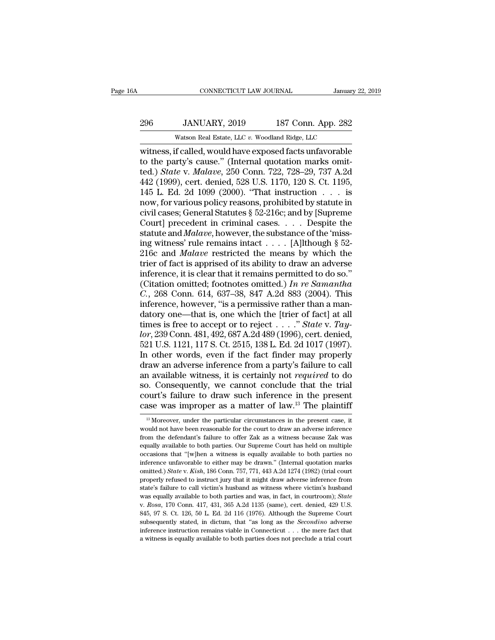## 296 JANUARY, 2019 187 Conn. App. 282<br>Watson Real Estate, LLC v. Woodland Ridge, LLC CONNECTICUT LAW JOURNAL January<br>JANUARY, 2019 187 Conn. App. 282<br>Watson Real Estate, LLC *v.* Woodland Ridge, LLC<br>f called would have exposed facts unfavorable

CONNECTICUT LAW JOURNAL January 22, 2019<br>
296 JANUARY, 2019 187 Conn. App. 282<br>
Watson Real Estate, LLC v. Woodland Ridge, LLC<br>
witness, if called, would have exposed facts unfavorable<br>
to the party's cause." (Internal quo 296 JANUARY, 2019 187 Conn. App. 282<br>Watson Real Estate, LLC v. Woodland Ridge, LLC<br>Witness, if called, would have exposed facts unfavorable<br>to the party's cause.'' (Internal quotation marks omit-<br>ted.) *State v. Malave*, 187 Conn. App. 282<br>
Watson Real Estate, LLC v. Woodland Ridge, LLC<br>
witness, if called, would have exposed facts unfavorable<br>
to the party's cause." (Internal quotation marks omit-<br>
ted.) *State* v. *Malave*, 250 Conn. 722 296 JANUARY, 2019 187 Conn. App. 282<br>
Watson Real Estate, LLC v. Woodland Ridge, LLC<br>
witness, if called, would have exposed facts unfavorable<br>
to the party's cause." (Internal quotation marks omit-<br>
ted.) *State* v. *Mala* Watson Real Estate, LLC v. Woodland Ridge, LLC<br>witness, if called, would have exposed facts unfavorable<br>to the party's cause." (Internal quotation marks omit-<br>ted.) State v. Malave, 250 Conn. 722, 728–29, 737 A.2d<br>442 (19 Watson Real Estate, LLC v. Woodland Ridge, LLC<br>witness, if called, would have exposed facts unfavorable<br>to the party's cause." (Internal quotation marks omit-<br>ted.) *State* v. *Malave*, 250 Conn. 722, 728–29, 737 A.2d<br>442 witness, if called, would have exposed facts unfavorable<br>to the party's cause." (Internal quotation marks omit-<br>ted.) *State* v. *Malave*, 250 Conn. 722, 728–29, 737 A.2d<br>442 (1999), cert. denied, 528 U.S. 1170, 120 S. Ct. to the party's cause." (Internal quotation marks omit-<br>ted.) *State* v. *Malave*, 250 Conn. 722, 728–29, 737 A.2d<br>442 (1999), cert. denied, 528 U.S. 1170, 120 S. Ct. 1195,<br>145 L. Ed. 2d 1099 (2000). "That instruction . . ted.) *State* v. *Malave*, 250 Conn. 722, 728–29, 737 A.2d<br>442 (1999), cert. denied, 528 U.S. 1170, 120 S. Ct. 1195,<br>145 L. Ed. 2d 1099 (2000). "That instruction . . . is<br>now, for various policy reasons, prohibited by stat 442 (1999), cert. denied, 528 U.S. 1170, 120 S. Ct. 1195, 145 L. Ed. 2d 1099 (2000). "That instruction . . . is<br>now, for various policy reasons, prohibited by statute in<br>civil cases; General Statutes § 52-216c; and by [Su 145 L. Ed. 2d 1099 (2000). "That instruction . . . is<br>now, for various policy reasons, prohibited by statute in<br>civil cases; General Statutes § 52-216c; and by [Supreme<br>Court] precedent in criminal cases. . . . Despite th now, for various policy reasons, prohibited by statute in<br>civil cases; General Statutes § 52-216c; and by [Supreme<br>Court] precedent in criminal cases. . . . Despite the<br>statute and *Malave*, however, the substance of the civil cases; General Statutes § 52-216c; and by [Supreme Court] precedent in criminal cases. . . . Despite the statute and *Malave*, however, the substance of the 'missing witness' rule remains intact . . . . [A]lthough § Court] precedent in criminal cases. . . . Despite the<br>statute and *Malave*, however, the substance of the 'miss-<br>ing witness' rule remains intact . . . . [A]lthough § 52-<br>216c and *Malave* restricted the means by which th statute and *Malave*, however, the substance of the 'missing witness' rule remains intact . . . . . [A]lthough  $\S$  52-<br>216c and *Malave* restricted the means by which the<br>trier of fact is apprised of its ability to draw a ing witness' rule remains intact . . . . . [A]lthough § 52-<br>216c and *Malave* restricted the means by which the<br>trier of fact is apprised of its ability to draw an adverse<br>inference, it is clear that it remains permitted 216c and *Malave* restricted the means by which the<br>trier of fact is apprised of its ability to draw an adverse<br>inference, it is clear that it remains permitted to do so."<br>(Citation omitted; footnotes omitted.) In re Sama trier of fact is apprised of its ability to draw an adverse<br>inference, it is clear that it remains permitted to do so."<br>(Citation omitted; footnotes omitted.) In re Samantha<br>C., 268 Conn. 614, 637–38, 847 A.2d 883 (2004). inference, it is clear that it remains permitted to do so."<br>
(Citation omitted; footnotes omitted.) In re Samantha<br> *C.*, 268 Conn. 614, 637–38, 847 A.2d 883 (2004). This<br>
inference, however, "is a permissive rather than a (Citation omitted; footnotes omitted.) In re Samantha<br>
C., 268 Conn. 614, 637–38, 847 A.2d 883 (2004). This<br>
inference, however, "is a permissive rather than a man-<br>
datory one—that is, one which the [trier of fact] at al C., 268 Conn. 614, 637–38, 847 A.2d 883 (2004). This<br>inference, however, "is a permissive rather than a man-<br>datory one—that is, one which the [trier of fact] at all<br>times is free to accept or to reject  $\ldots$ ." *State v.* inference, however, "is a permissive rather than a mandatory one—that is, one which the [trier of fact] at all<br>times is free to accept or to reject  $\ldots$ ." *State v. Tay-*<br>*lor*, 239 Conn. 481, 492, 687 A.2d 489 (1996), c datory one—that is, one which the [trier of fact] at all<br>times is free to accept or to reject  $\ldots$  ." State v. Tay-<br>lor, 239 Conn. 481, 492, 687 A.2d 489 (1996), cert. denied,<br>521 U.S. 1121, 117 S. Ct. 2515, 138 L. Ed. 2 times is free to accept or to reject . . . . " State v. Tay-<br>lor, 239 Conn. 481, 492, 687 A.2d 489 (1996), cert. denied,<br>521 U.S. 1121, 117 S. Ct. 2515, 138 L. Ed. 2d 1017 (1997).<br>In other words, even if the fact finder m lor, 239 Conn. 481, 492, 687 A.2d 489 (1996), cert. denied, 521 U.S. 1121, 117 S. Ct. 2515, 138 L. Ed. 2d 1017 (1997).<br>In other words, even if the fact finder may properly draw an adverse inference from a party's failure 521 U.S. 1121, 117 S. Ct. 2515, 138 L. Ed. 2d 1017 (1997).<br>In other words, even if the fact finder may properly<br>draw an adverse inference from a party's failure to call<br>an available witness, it is certainly not *required* 13 available witness, it is certainly not *required* to do<br>
20. Consequently, we cannot conclude that the trial<br>
20. Consequently, we cannot conclude that the trial<br>
20. The present case, it<br>
213 Moreover, under the parti so. Consequently, we cannot conclude that the trial court's failure to draw such inference in the present case was improper as a matter of law.<sup>13</sup> The plaintiff  $\frac{13 \text{ Moreover, under the particular circumstances in the present case, it would not have been reasonable for the court to draw an adverse inference from the defendant's failure to offer Zak as a witness because Zak was$ 

from the defendant's failure to draw such inference in the present case was improper as a matter of law.<sup>13</sup> The plaintiff  $\frac{B}{B}$  Moreover, under the particular circumstances in the present case, it would not have been case was improper as a matter of law.<sup>13</sup> The plaintiff  $\frac{18}{18}$  Moreover, under the particular circumstances in the present case, it would not have been reasonable for the court to draw an adverse inference from the d Case Was Improper as a matter of faw. The plantime as<br>
<sup>13</sup> Moreover, under the particular circumstances in the present case, it would not have been reasonable for the court to draw an adverse inference from the defendant <sup>13</sup> Moreover, under the particular circumstances in the present case, it would not have been reasonable for the court to draw an adverse inference from the defendant's failure to offer Zak as a witness because Zak was eq would not have been reasonable for the court to draw an adverse inference<br>from the defendant's failure to offer Zak as a witness because Zak was<br>equally available to both parties. Our Supreme Court has held on multiple<br>occ from the defendant's failure to offer Zak as a witness because Zak was equally available to both parties. Our Supreme Court has held on multiple occasions that "[w]hen a witness is equally available to both parties no infe equally available to both parties. Our Supreme Court has held on multiple occasions that "[w]hen a witness is equally available to both parties no inference unfavorable to either may be drawn." (Internal quotation marks om becasions that "[w]hen a witness is equally available to both parties no<br>inference unfavorable to either may be drawn." (Internal quotation marks<br>omitted.) *State* v. *Kish*, 186 Conn. 757, 771, 443 A.2d 1274 (1982) (trial omitted.) State v. Kish, 186 Conn. 757, 771, 443 A.2d 1274 (1982) (trial court properly refused to instruct jury that it might draw adverse inference from state's failure to call victim's husband as witness where victim's properly refused to instruct jury that it might draw adverse inference from state's failure to call victim's husband as witness where victim's husband was equally available to both parties and was, in fact, in courtroom); state's failure to call victim's husband as witness where victim's husband was equally available to both parties and was, in fact, in courtroom); *State* v. *Rosa*, 170 Conn. 417, 431, 365 A.2d 1135 (same), cert. denied, was equally available to both parties and was, in fact, in courtroom); State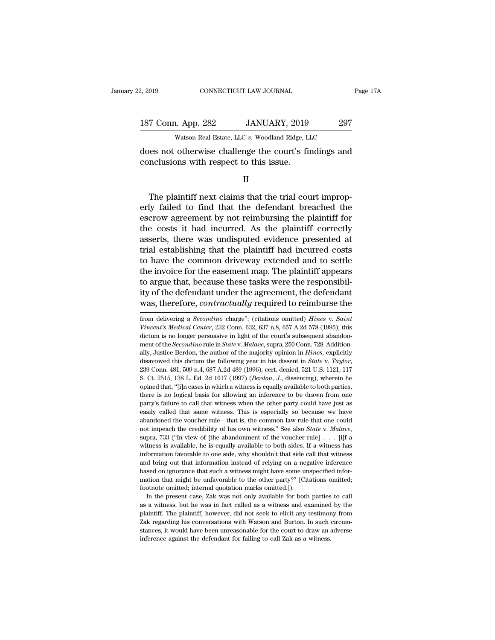| 2, 2019            | CONNECTICUT LAW JOURNAL                                                                          | Page 17A |
|--------------------|--------------------------------------------------------------------------------------------------|----------|
| 187 Conn. App. 282 | JANUARY, 2019                                                                                    | 297      |
|                    | Watson Real Estate, LLC v. Woodland Ridge, LLC                                                   |          |
|                    | does not otherwise challenge the court's findings and<br>conclusions with respect to this issue. |          |
|                    |                                                                                                  |          |

Watson Real Estate, LLC v. Woodland Ridge, LLC<br>
Des not otherwise challenge the court's findings and<br>
mclusions with respect to this issue.<br>
II<br>
The plaintiff next claims that the trial court improp-<br>
ly failed to find tha does not otherwise challenge the court's findings and<br>conclusions with respect to this issue.<br>II<br>The plaintiff next claims that the trial court improp-<br>erly failed to find that the defendant breached the<br>escrow agreement b does not otherwise challenge the court's findings and<br>conclusions with respect to this issue.<br>II<br>The plaintiff next claims that the trial court improp-<br>erly failed to find that the defendant breached the<br>escrow agreement b conclusions with respect to this issue.<br>
II<br>
The plaintiff next claims that the trial court improperly<br>
failed to find that the defendant breached the<br>
escrow agreement by not reimbursing the plaintiff for<br>
the costs it ha II<br>In The plaintiff next claims that the trial court improp-<br>erly failed to find that the defendant breached the<br>escrow agreement by not reimbursing the plaintiff for<br>the costs it had incurred. As the plaintiff correctly<br>a The plaintiff next claims that the trial court improperly failed to find that the defendant breached the escrow agreement by not reimbursing the plaintiff for the costs it had incurred. As the plaintiff correctly asserts, The plaintiff next claims that the trial court improperly failed to find that the defendant breached the escrow agreement by not reimbursing the plaintiff for the costs it had incurred. As the plaintiff correctly asserts, erly failed to find that the defendant breached the<br>escrow agreement by not reimbursing the plaintiff for<br>the costs it had incurred. As the plaintiff correctly<br>asserts, there was undisputed evidence presented at<br>trial esta escrow agreement by not reimbursing the plaintiff for<br>the costs it had incurred. As the plaintiff correctly<br>asserts, there was undisputed evidence presented at<br>trial establishing that the plaintiff had incurred costs<br>to ha the costs it had incurred. As the plaintiff correctly asserts, there was undisputed evidence presented at trial establishing that the plaintiff had incurred costs to have the common driveway extended and to settle the invo asserts, there was undisputed evidence presented at<br>trial establishing that the plaintiff had incurred costs<br>to have the common driveway extended and to settle<br>the invoice for the easement map. The plaintiff appears<br>to arg the invoice for the easement map. The plaintiff appears<br>to argue that, because these tasks were the responsibil-<br>ity of the defendant under the agreement, the defendant<br>was, therefore, *contractually* required to reimburse to argue that, because these tasks were the responsibility of the defendant under the agreement, the defendant was, therefore, *contractually* required to reimburse the from delivering a *Secondino* charge"; (citations omi

ity of the defendant under the agreement, the defendant<br>was, therefore, *contractually* required to reimburse the<br>from delivering a *Secondino* charge"; (citations omitted) *Hines v. Saint<br>Vincent's Medical Center*, 232 Co was, therefore, *contractually* required to reimburse the from delivering a *Secondino* charge"; (citations omitted) *Hines* v. *Saint Vincent's Medical Center*, 232 Conn. 632, 637 n.8, 657 A.2d 578 (1995); this dictum i was, therefore, *contructually* required to reminduise the<br>from delivering a *Secondino* charge"; (citations omitted) *Hines* v. *Saint*<br>Vincent's Medical Center, 232 Conn. 632, 637 n.8, 657 A.2d 578 (1995); this<br>dictum is from delivering a *Secondino* charge"; (citations omitted) *Hines* v. *Saint* Vincent's Medical Center, 232 Conn. 632, 637 n.8, 657 A.2d 578 (1995); this dictum is no longer persuasive in light of the court's subsequent ab Fractive Incident Polen, 1221 Coll. 1331, 138 Coll. 138 L. Ed. 2011. 123 Coll. 2012. Addition-<br>ally, Justice Berdon, the author of the majority opinion in *Hines*, explicitly<br>disavowed this dictum the following year in his ment of the *Secondino* rule in *State* v. *Malave*, supra, 250 Conn. 728. Additionally, Justice Berdon, the author of the majority opinion in *Hines*, explicitly disavowed this dictum the following year in his dissent in ally, Justice Berdon, the author of the majority opinion in *Hines*, explicitly disavowed this dictum the following year in his dissent in *State* v. *Taylor*, 239 Conn. 481, 509 n.4, 687 A.2d 489 (1996), cert. denied, 521 disavowed this dictum the following year in his dissent in *State v. Taylor*, 239 Conn. 481, 509 n.4, 687 A.2d 489 (1996), cert. denied, 521 U.S. 1121, 117 S. Ct. 2515, 138 L. Ed. 2d 1017 (1997) (*Berdon*, *J.*, dissentin 239 Conn. 481, 509 n.4, 687 A.2d 489 (1996), cert. denied, 521 U.S. 1121, 117<br>S. Ct. 2515, 138 L. Ed. 2d 1017 (1997) (*Berdon*, *J.*, dissenting), wherein he<br>opined that, "[i]n cases in which a witness is equally availabl **EXECUTE 1888 L. Ed. 2d 1017** (1997) (*Berdon*, *J*., dissenting), wherein he opined that, "[i]n cases in which a witness is equally available to both parties, there is no logical basis for allowing an inference to be dra or imped that, "[i]n cases in which a witness is equally available to both parties, there is no logical basis for allowing an inference to be drawn from one party's failure to call that witness when the other party could h party's failure to call that witness when the other party could have just as easily called that same witness. This is especially so because we have abandoned the voucher rule—that is, the common law rule that one could no peasily called that same witness. This is especially so because we have abandoned the voucher rule—that is, the common law rule that one could not impeach the credibility of his own witness." See also *State* v. *Malave*, and band oned the voucher rule—that is, the common law rule that one could not impeach the credibility of his own witness." See also *State* v. *Malave*, supra, 733 ("In view of [the abandonment of the voucher rule]  $\ldots$ about impeach the credibility of his own witness." See also *State v. Malave*, supra, 733 ("In view of [the abandonment of the voucher rule] . . . [i]f a witness is available, he is equally available to both sides. If a w supra, 733 ("In view of [the abandonment of the voucher rule]  $\ldots$  [i]f a witness is available, he is equally available to both sides. If a witness has information favorable to one side, why shouldn't that side call that witness is available, he is equally available to both sides. Information favorable to one side, why shouldn't that side c and bring out that information instead of relying on a neg based on ignorance that such a witness mi In the present case, We was not only available for the present case of original that side call that witness d bring out that information instead of relying on a negative inference sed on ignorance that such a witness might and bring out that information instead of relying on a negative inference based on ignorance that such a witness might have some unspecified information that might be unfavorable to the other party?" [Citations omitted; fo

based on ignorance that such a witness might have some unspecified information that might be unfavorable to the other party?" [Citations omitted; footnote omitted; internal quotation marks omitted.]).<br>In the present case, mation that might be unfavorable to the other party?" [Citations omitted; footnote omitted; internal quotation marks omitted.]).<br>In the present case, Zak was not only available for both parties to call as a witness, but h stances, it would be the was in fact to draw and between the present case, Zak was not only available for both parties to call as a witness, but he was in fact called as a witness and examined by the plaintiff. The plainti as a witness, but he was in fact called as a witness and examined by the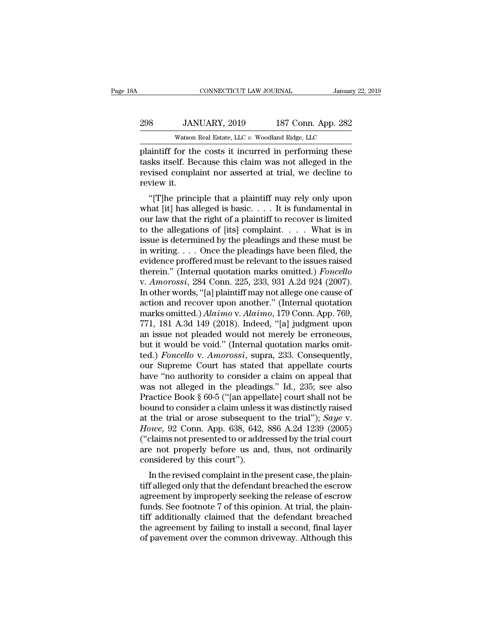## 298 JANUARY, 2019 187 Conn. App. 282<br>Tanuary 22, 2019 187 Conn. App. 282<br>Watson Real Estate, LLC v. Woodland Ridge, LLC CONNECTICUT LAW JOURNAL January<br>JANUARY, 2019 187 Conn. App. 282<br>Watson Real Estate, LLC *v.* Woodland Ridge, LLC<br>for the costs it incurred in performing these

FRAM CONNECTICUT LAW JOURNAL January 22, 2019<br>
298 JANUARY, 2019 187 Conn. App. 282<br>
298 Watson Real Estate, LLC v. Woodland Ridge, LLC<br>
plaintiff for the costs it incurred in performing these<br>
tasks itself. Because this c 187 Conn. App. 282<br>
298 JANUARY, 2019 187 Conn. App. 282<br>
282<br>
281 Watson Real Estate, LLC v. Woodland Ridge, LLC<br>
282<br>
291 Delaintiff for the costs it incurred in performing these<br>
2015 tasks itself. Because this claim wa 298 JANUARY, 2019 187 Conn. App. 282<br>Watson Real Estate, LLC  $v$ . Woodland Ridge, LLC<br>plaint iff for the costs it incurred in performing these<br>tasks itself. Because this claim was not alleged in the<br>revised complaint nor 298 JAN<br>Watson<br>plaintiff for th<br>tasks itself. Be<br>review it.<br>review it.<br>"[T]he princ Watson Real Estate, LLC v. Woodland Ridge, LLC<br>
aintiff for the costs it incurred in performing these<br>
sks itself. Because this claim was not alleged in the<br>
vised complaint nor asserted at trial, we decline to<br>
view it.<br> plaintiff for the costs it incurred in performing these<br>tasks itself. Because this claim was not alleged in the<br>revised complaint nor asserted at trial, we decline to<br>review it.<br>"[T]he principle that a plaintiff may rely o

plantiff for the costs it incurred in performing these<br>tasks itself. Because this claim was not alleged in the<br>review it.<br>"[T]he principle that a plaintiff may rely only upon<br>what [it] has alleged is basic.... It is funda tasks itsen. Because this claim was not aneged in the<br>revised complaint nor asserted at trial, we decline to<br>review it.<br>"[T]he principle that a plaintiff may rely only upon<br>what [it] has alleged is basic.... It is fundame revised complaint not asserted at trial, we decline to<br>review it.<br>"[T]he principle that a plaintiff may rely only upon<br>what [it] has alleged is basic.... It is fundamental in<br>our law that the right of a plaintiff to recove in a plaintiff may rely only upon<br>
"[T]he principle that a plaintiff may rely only upon<br>
what [it] has alleged is basic.... It is fundamental in<br>
our law that the right of a plaintiff to recover is limited<br>
to the allegat "[T]he principle that a plaintiff may rely only upon<br>what [it] has alleged is basic.... It is fundamental in<br>our law that the right of a plaintiff to recover is limited<br>to the allegations of [its] complaint.... What is in what [it] has alleged is basic. . . . It is fundamental in<br>our law that the right of a plaintiff to recover is limited<br>to the allegations of [its] complaint. . . . . What is in<br>issue is determined by the pleadings and the our law that the right of a plaintiff to recover is limited<br>to the allegations of [its] complaint. . . . . What is in<br>issue is determined by the pleadings and these must be<br>in writing. . . . Once the pleadings have been fi to the allegations of [its] complaint. . . . . What is in issue is determined by the pleadings and these must be in writing. . . . Once the pleadings have been filed, the evidence proffered must be relevant to the issues issue is determined by the pleadings and these must be<br>in writing.... Once the pleadings have been filed, the<br>evidence proffered must be relevant to the issues raised<br>therein.'' (Internal quotation marks omitted.) *Foncel* in writing. . . . Once the pleadings have been filed, the evidence proffered must be relevant to the issues raised therein." (Internal quotation marks omitted.) *Foncello* v. *Amorossi*, 284 Conn. 225, 233, 931 A.2d 924 (2 evidence proffered must be relevant to the issues raised<br>therein." (Internal quotation marks omitted.) *Foncello*<br>v. Amorossi, 284 Conn. 225, 233, 931 A.2d 924 (2007).<br>In other words, "[a] plaintiff may not allege one caus therein." (Internal quotation marks omitted.) *Foncello*<br>v. Amorossi, 284 Conn. 225, 233, 931 A.2d 924 (2007).<br>In other words, "[a] plaintiff may not allege one cause of<br>action and recover upon another." (Internal quotatio v. Amorossi, 284 Conn. 225, 233, 931 A.2d 924 (2007).<br>In other words, "[a] plaintiff may not allege one cause of<br>action and recover upon another." (Internal quotation<br>marks omitted.) Alaimo v. Alaimo, 179 Conn. App. 769,<br> In other words, "[a] plaintiff may not allege one cause of<br>action and recover upon another." (Internal quotation<br>marks omitted.) *Alaimo* v. *Alaimo*, 179 Conn. App. 769,<br>771, 181 A.3d 149 (2018). Indeed, "[a] judgment upo action and recover upon another." (Internal quotation<br>marks omitted.) Alaimo v. Alaimo, 179 Conn. App. 769,<br>771, 181 A.3d 149 (2018). Indeed, "[a] judgment upon<br>an issue not pleaded would not merely be erroneous,<br>but it w marks omitted.) Alaimo v. Alaimo, 179 Conn. App. 769,<br>771, 181 A.3d 149 (2018). Indeed, "[a] judgment upon<br>an issue not pleaded would not merely be erroneous,<br>but it would be void." (Internal quotation marks omit-<br>ted.) 771, 181 A.3d 149 (2018). Indeed, "[a] judgment upon<br>an issue not pleaded would not merely be erroneous,<br>but it would be void." (Internal quotation marks omit-<br>ted.) *Foncello* v. Amorossi, supra, 233. Consequently,<br>our Su an issue not pleaded would not merely be erroneous,<br>but it would be void." (Internal quotation marks omit-<br>ted.) *Foncello* v. Amorossi, supra, 233. Consequently,<br>our Supreme Court has stated that appellate courts<br>have "no but it would be void." (Internal quotation marks omit-<br>ted.) *Foncello* v. *Amorossi*, supra, 233. Consequently,<br>our Supreme Court has stated that appellate courts<br>have "no authority to consider a claim on appeal that<br>was ted.) *Foncello* v. *Amorossi*, supra, 233. Consequently,<br>our Supreme Court has stated that appellate courts<br>have "no authority to consider a claim on appeal that<br>was not alleged in the pleadings." Id., 235; see also<br>Pract our Supreme Court has stated that appellate courts<br>have "no authority to consider a claim on appeal that<br>was not alleged in the pleadings." Id., 235; see also<br>Practice Book § 60-5 ("[an appellate] court shall not be<br>bound have "no authority to consider a claim on appeal that<br>was not alleged in the pleadings." Id., 235; see also<br>Practice Book § 60-5 ("[an appellate] court shall not be<br>bound to consider a claim unless it was distinctly raise was not alleged in the pleadings." Id., 235; see also<br>Practice Book § 60-5 ("[an appellate] court shall not be<br>bound to consider a claim unless it was distinctly raised<br>at the trial or arose subsequent to the trial"); *Sa* Practice Book § 60-5 ("[an appel<br>bound to consider a claim unless<br>at the trial or arose subsequent<br> $However, 92$  Conn. App. 638, 642,<br>("claims not presented to or addr<br>are not properly before us and<br>considered by this court").<br> dulla to consider a claim unless it was distinctly raised<br>the trial or arose subsequent to the trial"); Saye v.<br>owe, 92 Conn. App. 638, 642, 886 A.2d 1239 (2005)<br>claims not presented to or addressed by the trial court<br>e no at the that of alose subsequent to the that *j*, *suge* v.<br> *Howe*, 92 Conn. App. 638, 642, 886 A.2d 1239 (2005)<br>
("claims not presented to or addressed by the trial court<br>
are not properly before us and, thus, not ordinar

 $\mu_0$  and  $\mu_1$  and  $\mu_2$  is the relation of addressed by the trial court are not properly before us and, thus, not ordinarily considered by this court").<br>In the revised complaint in the present case, the plaintiff all (Crains not presented to or addressed by the trial court<br>are not properly before us and, thus, not ordinarily<br>considered by this court").<br>In the revised complaint in the present case, the plain-<br>tiff alleged only that the are not properly before us and, thus, not ordinary<br>considered by this court").<br>In the revised complaint in the present case, the plain-<br>tiff alleged only that the defendant breached the escrow<br>funds. See footnote 7 of this In the revised complaint in the present case, the plain-<br>tiff alleged only that the defendant breached the escrow<br>agreement by improperly seeking the release of escrow<br>funds. See footnote 7 of this opinion. At trial, the p In the revised complaint in the present case, the plain-<br>tiff alleged only that the defendant breached the escrow<br>agreement by improperly seeking the release of escrow<br>funds. See footnote 7 of this opinion. At trial, the p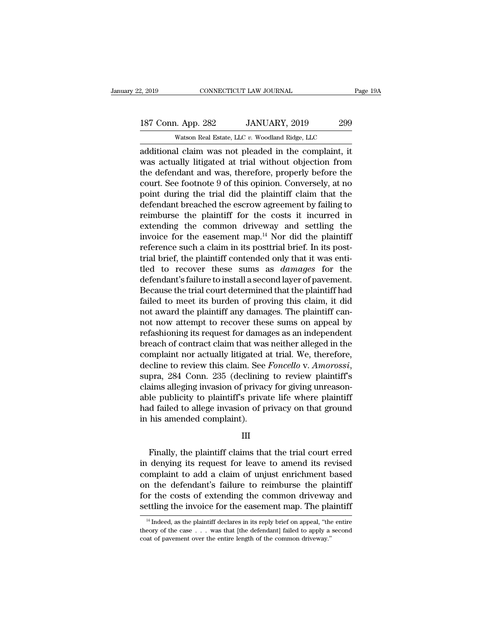## 2, 2019 CONNECTICUT LAW JOURNAL Page 19A<br>187 Conn. App. 282 JANUARY, 2019 299<br>Watson Real Estate, LLC v. Woodland Ridge, LLC CONNECTICUT LAW JOURNAL<br>
1. App. 282 JANUARY, 2019 299<br>
Watson Real Estate, LLC *v.* Woodland Ridge, LLC<br>
1. Claim was not pleaded in the complaint it

2, 2019 CONNECTICUT LAW JOURNAL Page 194<br>
187 Conn. App. 282 JANUARY, 2019 299<br>
Watson Real Estate, LLC v. Woodland Ridge, LLC<br>
additional claim was not pleaded in the complaint, it<br>
was actually litigated at trial without 187 Conn. App. 282 JANUARY, 2019 299<br>Watson Real Estate, LLC v. Woodland Ridge, LLC<br>additional claim was not pleaded in the complaint, it<br>was actually litigated at trial without objection from<br>the defendant and was, theref 187 Conn. App. 282 JANUARY, 2019 299<br>Watson Real Estate, LLC v. Woodland Ridge, LLC<br>additional claim was not pleaded in the complaint, it<br>was actually litigated at trial without objection from<br>the defendant and was, there 187 Conn. App. 282 JANUARY, 2019 299<br>
Watson Real Estate, LLC  $v$ . Woodland Ridge, LLC<br>
additional claim was not pleaded in the complaint, it<br>
was actually litigated at trial without objection from<br>
the defendant and was, Watson Real Estate, LLC  $v$ . Woodland Ridge, LLC<br>additional claim was not pleaded in the complaint, it<br>was actually litigated at trial without objection from<br>the defendant and was, therefore, properly before the<br>court. Se was on Real Estate, LLC  $v$ . Woodhand Ridge, LLC<br>additional claim was not pleaded in the complaint, it<br>was actually litigated at trial without objection from<br>the defendant and was, therefore, properly before the<br>court. Se additional claim was not pleaded in the complaint, it<br>was actually litigated at trial without objection from<br>the defendant and was, therefore, properly before the<br>court. See footnote 9 of this opinion. Conversely, at no<br>po was actually litigated at trial without objection from<br>the defendant and was, therefore, properly before the<br>court. See footnote 9 of this opinion. Conversely, at no<br>point during the trial did the plaintiff claim that the the defendant and was, therefore, properly before the<br>court. See footnote 9 of this opinion. Conversely, at no<br>point during the trial did the plaintiff claim that the<br>defendant breached the escrow agreement by failing to<br>r court. See footnote 9 of this opinion. Conversely, at no<br>point during the trial did the plaintiff claim that the<br>defendant breached the escrow agreement by failing to<br>reimburse the plaintiff for the costs it incurred in<br>e point during the trial did the plaintiff claim that the<br>defendant breached the escrow agreement by failing to<br>reimburse the plaintiff for the costs it incurred in<br>extending the common driveway and settling the<br>invoice for defendant breached the escrow agreement by failing to<br>reimburse the plaintiff for the costs it incurred in<br>extending the common driveway and settling the<br>invoice for the easement map.<sup>14</sup> Nor did the plaintiff<br>reference su reimburse the plaintiff for the costs it incurred in<br>extending the common driveway and settling the<br>invoice for the easement map.<sup>14</sup> Nor did the plaintiff<br>reference such a claim in its posttrial brief. In its post-<br>trial extending the common driveway and settling the<br>invoice for the easement map.<sup>14</sup> Nor did the plaintiff<br>reference such a claim in its posttrial brief. In its post-<br>trial brief, the plaintiff contended only that it was enti invoice for the easement map.<sup>14</sup> Nor did the plaintiff<br>reference such a claim in its posttrial brief. In its post-<br>trial brief, the plaintiff contended only that it was enti-<br>tled to recover these sums as *damages* for th reference such a claim in its posttrial brief. In its post-<br>trial brief, the plaintiff contended only that it was enti-<br>tled to recover these sums as *damages* for the<br>defendant's failure to install a second layer of pavem trial brief, the plaintiff contended only that it was enti-<br>tled to recover these sums as *damages* for the<br>defendant's failure to install a second layer of pavement.<br>Because the trial court determined that the plaintiff h tled to recover these sums as *damages* for the<br>defendant's failure to install a second layer of pavement.<br>Because the trial court determined that the plaintiff had<br>failed to meet its burden of proving this claim, it did<br>n defendant's failure to install a second layer of pavement.<br>Because the trial court determined that the plaintiff had<br>failed to meet its burden of proving this claim, it did<br>not award the plaintiff any damages. The plaintif Because the trial court determined that the plaintiff had<br>failed to meet its burden of proving this claim, it did<br>not award the plaintiff any damages. The plaintiff can-<br>not now attempt to recover these sums on appeal by<br>r failed to meet its burden of proving this claim, it did<br>not award the plaintiff any damages. The plaintiff can-<br>not now attempt to recover these sums on appeal by<br>refashioning its request for damages as an independent<br>brea not now attempt to recover these sums on appeal by<br>refashioning its request for damages as an independent<br>breach of contract claim that was neither alleged in the<br>complaint nor actually litigated at trial. We, therefore,<br>d refashioning its request for damages as an independent<br>breach of contract claim that was neither alleged in the<br>complaint nor actually litigated at trial. We, therefore,<br>decline to review this claim. See *Foncello* v. Amor breach of contract claim that was neither alleged in the complaint nor actually litigated at trial. We, therefore, decline to review this claim. See *Foncello v. Amorossi*, supra, 284 Conn. 235 (declining to review plainti complaint nor actually litigated a<br>decline to review this claim. See<br>supra, 284 Conn. 235 (declining<br>claims alleging invasion of privac<br>able publicity to plaintiff's priva<br>had failed to allege invasion of p<br>in his amended Finally, the plaintiff's private life where plaintiff<br>Finalled to allege invasion of privacy on that ground<br>his amended complaint).<br>III<br>Finally, the plaintiff claims that the trial court erred<br>denying its request for leave

### III

able publicity to plaintiff s private life where plaintiff<br>had failed to allege invasion of privacy on that ground<br>in his amended complaint).<br>III<br>Finally, the plaintiff claims that the trial court erred<br>in denying its requ nad failed to allege invasion of privacy on that ground<br>in his amended complaint).<br>III<br>Finally, the plaintiff claims that the trial court erred<br>in denying its request for leave to amend its revised<br>complaint to add a claim III<br>III<br>Finally, the plaintiff claims that the trial court erred<br>in denying its request for leave to amend its revised<br>complaint to add a claim of unjust enrichment based<br>on the defendant's failure to reimburse the plainti III<br>Finally, the plaintiff claims that the trial court erred<br>in denying its request for leave to amend its revised<br>complaint to add a claim of unjust enrichment based<br>on the defendant's failure to reimburse the plaintiff<br>f Finally, the plaintiff claims that the trial court erred<br>in denying its request for leave to amend its revised<br>complaint to add a claim of unjust enrichment based<br>on the defendant's failure to reimburse the plaintiff<br>for momplaint to add a claim of unjust enrichment based<br>in the defendant's failure to reimburse the plaintiff<br>pr the costs of extending the common driveway and<br>ttling the invoice for the easement map. The plaintiff<br> $\frac{14}{10}$ on the defendant's failure to reimburse the plaintiff<br>for the costs of extending the common driveway and<br>settling the invoice for the easement map. The plaintiff<br> $\frac{14 \text{ Indeed, as the plaintiff declares in its reply brief on appeal, "the entire  
theory of the case . . . was that [the defendant] failed to apply a second  
coat of pavement over the entire length of the common driver$ 

for the costs of extending the common driveway.<br>Settling the invoice for the easement map. The planet is a state plaintiff declares in its reply brief on appeal, "the theory of the case  $\dots$  was that [the defendant] faile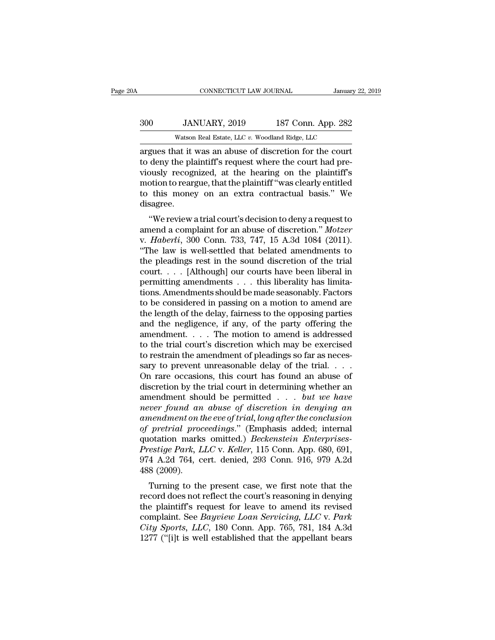## EXECUTE CONNECTICUT LAW JOURNAL January 22, 2019<br>300 JANUARY, 2019 187 Conn. App. 282<br>Watson Real Estate, LLC v. Woodland Ridge, LLC CONNECTICUT LAW JOURNAL January<br>JANUARY, 2019 187 Conn. App. 282<br>Watson Real Estate, LLC *v.* Woodland Ridge, LLC<br>nat it was an abuse of discretion for the court

CONNECTICUT LAW JOURNAL January 22, 2019<br>
300 JANUARY, 2019 187 Conn. App. 282<br>
300 Watson Real Estate, LLC v. Woodland Ridge, LLC<br>
300 Watson Real Estate, LLC v. Woodland Ridge, LLC<br>
300 argues that it was an abuse of dis 187 Conn. App. 282<br>
Watson Real Estate, LLC v. Woodland Ridge, LLC<br>
argues that it was an abuse of discretion for the court<br>
to deny the plaintiff's request where the court had pre-<br>
viously recognized, at the hearing on t 300 JANUARY, 2019 187 Conn. App. 282<br>Watson Real Estate, LLC  $v$ . Woodland Ridge, LLC<br>argues that it was an abuse of discretion for the court<br>to deny the plaintiff's request where the court had pre-<br>viously recognized, at 300 JANUARY, 2019 187 Conn. App. 282<br>
Watson Real Estate, LLC v. Woodland Ridge, LLC<br>
argues that it was an abuse of discretion for the court<br>
to deny the plaintiff's request where the court had pre-<br>
viously recognized, a Watson Real Estate, LLC  $v$ . Woodland Ridge, LLC<br>argues that it was an abuse of discretion for the court<br>to deny the plaintiff's request where the court had pre-<br>viously recognized, at the hearing on the plaintiff's<br>motio disagree. deny the plaintiff's request where the court had pre-<br>
busy recognized, at the hearing on the plaintiff's<br>
busy recognized, at the hearing on the plaintiff's<br>
otion to reargue, that the plaintiff "was clearly entitled<br>
thi a complete the court had previously recognized, at the hearing on the plaintiff's<br>motion to reargue, that the plaintiff "was clearly entitled<br>to this money on an extra contractual basis." We<br>disagree.<br>"We review a trial co

viously recognized, at the hearing on the plaintin's<br>motion to reargue, that the plaintiff "was clearly entitled<br>to this money on an extra contractual basis." We<br>disagree.<br>"We review a trial court's decision to deny a requ to this money on an extra contractual basis." We<br>
disagree.<br>
"We review a trial court's decision to deny a request to<br>
amend a complaint for an abuse of discretion." *Motzer*<br>
v. *Haberli*, 300 Conn. 733, 747, 15 A.3d 1084 the pleadings rest in the sound discretion." We review a trial court's decision to deny a request to<br>amend a complaint for an abuse of discretion." *Motzer*<br>v. *Haberli*, 300 Conn. 733, 747, 15 A.3d 1084 (2011).<br>"The law "We review a trial court's decision to deny a request to<br>amend a complaint for an abuse of discretion." *Motzer*<br>v. *Haberli*, 300 Conn. 733, 747, 15 A.3d 1084 (2011).<br>"The law is well-settled that belated amendments to<br>t "We review a trial court's decision to deny a request to amend a complaint for an abuse of discretion." *Motzer* v. *Haberli*, 300 Conn. 733, 747, 15 A.3d 1084 (2011). "The law is well-settled that belated amendments to t amend a complaint for an abuse of discretion." *Motzer*<br>v. *Haberli*, 300 Conn. 733, 747, 15 A.3d 1084 (2011).<br>"The law is well-settled that belated amendments to<br>the pleadings rest in the sound discretion of the trial<br>co v. *Haberli*, 300 Conn. 733, 747, 15 A.3d 1084 (2011).<br>
"The law is well-settled that belated amendments to<br>
the pleadings rest in the sound discretion of the trial<br>
court. . . . [Although] our courts have been liberal in "The law is well-settled that belated amendments to<br>the pleadings rest in the sound discretion of the trial<br>court. . . . [Although] our courts have been liberal in<br>permitting amendments . . . this liberality has limita-<br>t the pleadings rest in the sound discretion of the trial<br>court. . . . [Although] our courts have been liberal in<br>permitting amendments . . . this liberality has limita-<br>tions. Amendments should be made seasonably. Factors<br> court. . . . [Although] our courts have been liberal in permitting amendments . . . this liberality has limitations. Amendments should be made seasonably. Factors to be considered in passing on a motion to amend are the l permitting amendments . . . this liberality has limitations. Amendments should be made seasonably. Factors<br>to be considered in passing on a motion to amend are<br>the length of the delay, fairness to the opposing parties<br>and tions. Amendments should be made seasonably. Factors<br>to be considered in passing on a motion to amend are<br>the length of the delay, fairness to the opposing parties<br>and the negligence, if any, of the party offering the<br>ame to be considered in passing on a motion to amend are<br>the length of the delay, fairness to the opposing parties<br>and the negligence, if any, of the party offering the<br>amendment. . . . The motion to amend is addressed<br>to the the length of the delay, fairness to the opposing parties<br>and the negligence, if any, of the party offering the<br>amendment.....The motion to amend is addressed<br>to the trial court's discretion which may be exercised<br>to rest and the negligence, if any, of the party offering the<br>amendment.... The motion to amend is addressed<br>to the trial court's discretion which may be exercised<br>to restrain the amendment of pleadings so far as neces-<br>sary to p amendment. . . . . The motion to amend is addressed<br>to the trial court's discretion which may be exercised<br>to restrain the amendment of pleadings so far as neces-<br>sary to prevent unreasonable delay of the trial. . . .<br>On *is* to the trial court's discretion which may be exercised<br>to restrain the amendment of pleadings so far as neces-<br>sary to prevent unreasonable delay of the trial....<br>On rare occasions, this court has found an abuse of<br>di *amendment of pleadings so far as necessary to prevent unreasonable delay of the trial....*<br> *Amendment of the concessions, this court has found an abuse of discretion by the trial court in determining whether an amendment* sary to prevent unreasonable delay of the trial....<br> *On rare occasions, this court has found an abuse of discretion by the trial court in determining whether an amendment should be permitted ... <i>but we have never found* On rare occasions, this court has found an abuse of<br>discretion by the trial court in determining whether an<br>amendment should be permitted.... *but we have<br>never found an abuse of discretion in denying an<br>amendment on the e* discretion by the trial court in determining whether an<br>amendment should be permitted . . . *but we have<br>never found an abuse of discretion in denying an*<br>amendment on the eve of trial, long after the conclusion<br>of pretria amendment should be permitted . . . but we have<br>never found an abuse of discretion in denying an<br>amendment on the eve of trial, long after the conclusion<br>of pretrial proceedings." (Emphasis added; internal<br>quotation marks mever found am<br>amendment on t<br>of pretrial proc<br>quotation marks<br>Prestige Park, L<br>974 A.2d 764, c<br>488 (2009).<br>Turning to th mention the evelog triat, ong after the conclusion<br>pretrial proceedings." (Emphasis added; internal<br>otation marks omitted.) *Beckenstein Enterprises-*<br>estige Park, LLC v. Keller, 115 Conn. App. 680, 691,<br>4 A.2d 764, cert. of pretrait proceedings. (Emphasis added, internation<br>quotation marks omitted.) *Beckenstein Enterprises-<br>Prestige Park, LLC* v. *Keller*, 115 Conn. App. 680, 691,<br>974 A.2d 764, cert. denied, 293 Conn. 916, 979 A.2d<br>488 (

quotation marks onlited.) *Beckerstein Enterpress-*<br>*Prestige Park, LLC v. Keller,* 115 Conn. App. 680, 691,<br>974 A.2d 764, cert. denied, 293 Conn. 916, 979 A.2d<br>488 (2009).<br>Turning to the present case, we first note that t Frestige Fark, *LLC* v. *Retter*, 115 Collit. App. 060, 051,<br>974 A.2d 764, cert. denied, 293 Conn. 916, 979 A.2d<br>488 (2009).<br>Turning to the present case, we first note that the<br>record does not reflect the court's reasoning *CHA CHA CHA CHA CHA CHA CHA CHA CHA CHA CHO CHA CHO CHA CHO CHA CHO CHA CHA CHA CHA CHA CHA CHA CHA CHA CHA CHA CHA CHA CHA CHA CHA CHA CHA CHA CHA* Turning to the present case, we first note that the record does not reflect the court's reasoning in denying the plaintiff's request for leave to amend its revised complaint. See *Bayview Loan Servicing*, *LLC* v. *Park Ci*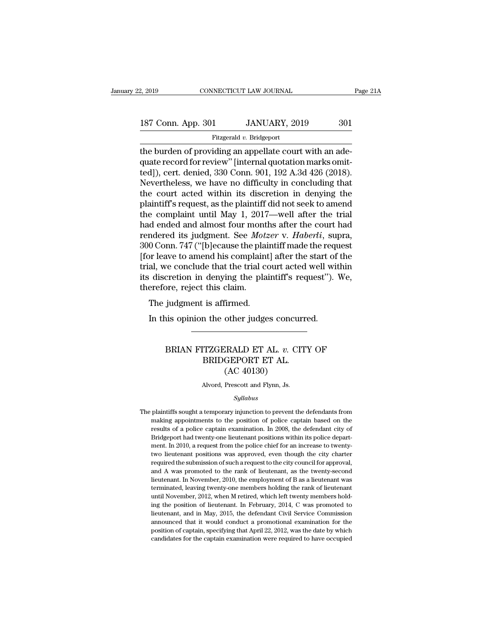Fitzgerald *v.* Bridgeport

2, 2019 CONNECTICUT LAW JOURNAL<br>
187 Conn. App. 301 JANUARY, 2019 301<br>
Fitzgerald v. Bridgeport<br>
the burden of providing an appellate court with an ade-<br>
quate record for review" [internal quotation marks omit-<br>
tod]), gor 187 Conn. App. 301 JANUARY, 2019 301<br>Fitzgerald v. Bridgeport<br>the burden of providing an appellate court with an ade-<br>quate record for review'' [internal quotation marks omit-<br>ted]), cert. denied, 330 Conn. 901, 192 A.3d 4 187 Conn. App. 301 JANUARY, 2019 301<br>
Fitzgerald v. Bridgeport<br>
the burden of providing an appellate court with an adequate record for review" [internal quotation marks omit-<br>
ted]), cert. denied, 330 Conn. 901, 192 A.3d 4 187 Conn. App. 301 JANUARY, 2019 301<br>Fitzgerald v. Bridgeport<br>the burden of providing an appellate court with an ade-<br>quate record for review" [internal quotation marks omit-<br>ted]), cert. denied, 330 Conn. 901, 192 A.3d 4 Fitzgerald v. Bridgeport<br>
The burden of providing an appellate court with an ade-<br>
quate record for review" [internal quotation marks omit-<br>
ted]), cert. denied, 330 Conn. 901, 192 A.3d 426 (2018).<br>
Nevertheless, we have Fitzgerald v. Bridgeport<br>the burden of providing an appellate court with an ade-<br>quate record for review" [internal quotation marks omit-<br>ted]), cert. denied, 330 Conn. 901, 192 A.3d 426 (2018).<br>Nevertheless, we have no d the burden of providing an appellate court with an ade-<br>quate record for review" [internal quotation marks omit-<br>ted]), cert. denied, 330 Conn. 901, 192 A.3d 426 (2018).<br>Nevertheless, we have no difficulty in concluding th quate record for review" [internal quotation marks omit-<br>ted]), cert. denied, 330 Conn. 901, 192 A.3d 426 (2018).<br>Nevertheless, we have no difficulty in concluding that<br>the court acted within its discretion in denying the<br> ted]), cert. denied, 330 Conn. 901, 192 A.3d 426 (2018).<br>Nevertheless, we have no difficulty in concluding that<br>the court acted within its discretion in denying the<br>plaintiff's request, as the plaintiff did not seek to ame Nevertheless, we have no difficulty in concluding that<br>the court acted within its discretion in denying the<br>plaintiff's request, as the plaintiff did not seek to amend<br>the complaint until May 1, 2017—well after the trial<br>h the court acted within its discretion in denying the plaintiff's request, as the plaintiff did not seek to amend<br>the complaint until May 1, 2017—well after the trial<br>had ended and almost four months after the court had<br>ren plaintiff's request, as the plaintiff did not seek to amend<br>the complaint until May 1, 2017—well after the trial<br>had ended and almost four months after the court had<br>rendered its judgment. See *Motzer* v. *Haberli*, supra, the complaint until May 1, 2017—well after the trial<br>had ended and almost four months after the court had<br>rendered its judgment. See *Motzer* v. *Haberli*, supra,<br>300 Conn. 747 ("[b]ecause the plaintiff made the request<br>[f had ended and almost four mont<br>rendered its judgment. See *Mot*.<br>300 Conn. 747 ("[b]ecause the pla<br>[for leave to amend his complain<br>trial, we conclude that the trial c<br>its discretion in denying the pla<br>therefore, reject th  $0 \text{ Conn.} 747$  ("[b]ecause the plaint  $0 \text{ Conn.} 747$  ("[b]ecause the plaint al, we conclude that the trial constant al, we conclude that the trial constant all  $\alpha$  discretion in denying the plaint energient is affirmed.<br>Th In the start of the start of the start of al, we conclude that the trial court acted well with discretion in denying the plaintiff's request").<br>The judgment is affirmed.<br>In this opinion the other judges concurred.

### preed this claim.<br>
is opinion the other judges concurred.<br> **BRIAN FITZGERALD ET AL.** *v***. CITY OF<br>
BRIDGEPORT ET AL.**<br>
(AC 40130) is affirmed.<br>
In the other judges concurre<br>
TZGERALD ET AL. v. CITY<br>
BRIDGEPORT ET AL.<br>
(AC 40130) other judges concu<br>
CRALD ET AL. v. C.<br>
GEPORT ET AL.<br>
(AC 40130)<br>
Prescott and Flynn, Js. BRIAN FITZGERALD ET AL. *v*. CITY OF<br>BRIDGEPORT ET AL.<br>(AC 40130)<br>Alvord, Prescott and Flynn, Js.

### *Syllabus*

The plaintiffs sought a temporary injunction to prevent the defendants from<br>making appointments to the position of police captain based on the<br>making appointments to the position of police captain based on the (AC 401500)<br>
Alvord, Prescott and Flynn, Js.<br>
Syllabus<br>
plaintiffs sought a temporary injunction to prevent the defendants from<br>
making appointments to the position of police captain based on the<br>
results of a police capta Alvord, Prescott and Flynn, Js.<br>
Syllabus<br>
plaintiffs sought a temporary injunction to prevent the defendants from<br>
making appointments to the position of police captain based on the<br>
results of a police captain examinatio  $Syllabus$ plaintiffs sought a temporary injunction to prevent the defendants from<br>making appointments to the position of police captain based on the<br>results of a police captain examination. In 2008, the defendant city of<br>Bridg *Syltabus*<br>plaintiffs sought a temporary injunction to prevent the defendants from<br>making appointments to the position of police captain based on the<br>results of a police captain examination. In 2008, the defendant city of<br> plaintiffs sought a temporary injunction to prevent the defendants from<br>making appointments to the position of police captain based on the<br>results of a police captain examination. In 2008, the defendant city of<br>Bridgeport remaking appointments to the position of police captain based on the results of a police captain examination. In 2008, the defendant city of Bridgeport had twenty-one lieutenant positions within its police department. In 2 results of a police captain examination. In 2008, the defendant city of Bridgeport had twenty-one lieutenant positions within its police department. In 2010, a request from the police chief for an increase to twenty-two l Bridgeport had twenty-one lieutenant positions within its police department. In 2010, a request from the police chief for an increase to twenty-<br>two lieutenant positions was approved, even though the city charter<br>required ment. In 2010, a request from the police chief for an increase to twenty-<br>two lieutenant positions was approved, even though the city charter<br>required the submission of such a request to the city council for approval,<br>and woo lieutenant positions was approved, even though the city charter<br>required the submission of such a request to the city council for approval,<br>and A was promoted to the rank of lieutenant, as the twenty-second<br>lieutenant. required the submission of such a request to the city council for approval, and A was promoted to the rank of lieutenant, as the twenty-second lieutenant. In November, 2010, the employment of B as a lieutenant was terminat required a was promoted to the rank of lieutenant, as the twenty-second lieutenant. In November, 2010, the employment of B as a lieutenant was terminated, leaving twenty-one members holding the rank of lieutenant until Nov ileutenant. In November, 2010, the employment of B as a lieutenant was<br>terminated, leaving twenty-one members holding the rank of lieutenant was<br>terminated, leaving twenty-one members holding the rank of lieutenant<br>until N reminated, leaving twenty-one members holding the rank of lieutenant<br>until November, 2012, when M retired, which left twenty members hold-<br>ing the position of lieutenant. In February, 2014, C was promoted to<br>lieutenant, an terminated, leaving twenty-one members holding the rank of lieutenant until November, 2012, when M retired, which left twenty members holding the position of lieutenant. In February, 2014, C was promoted to lieutenant, and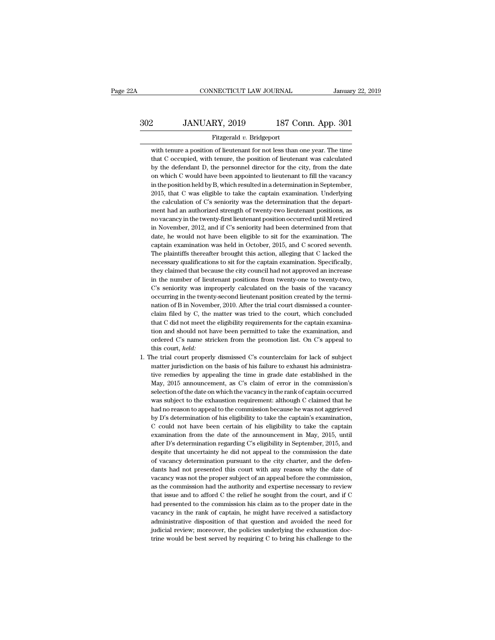# EXECUTE CONNECTICUT LAW JOURNAL January 22, 2019<br>302 JANUARY, 2019 187 Conn. App. 301<br>Fitzgerald v. Bridgeport

### Fitzgerald *v.* Bridgeport

MINUARY, 2019 187 Conn. App. 301<br>
Fitzgerald v. Bridgeport<br>
with tenure a position of lieutenant for not less than one year. The time<br>
that C occupied, with tenure, the position of lieutenant was calculated JANUARY, 2019 187 Conn. App. 301<br>Fitzgerald v. Bridgeport<br>with tenure a position of lieutenant for not less than one year. The time<br>that C occupied, with tenure, the position of lieutenant was calculated<br>by the defendant D **by definition** B. JANUARY, 2019 187 Conn. App. 301<br>Fitzgerald v. Bridgeport<br>with tenure a position of lieutenant for not less than one year. The time<br>that C occupied, with tenure, the position of lieutenant was calculate Fitzgerald  $v$ . Bridgeport<br>with tenure a position of lieutenant for not less than one year. The time<br>that C occupied, with tenure, the position of lieutenant was calculated<br>by the defendant D, the personnel director for t Fitzgerald v. Bridgeport<br>with tenure a position of lieutenant for not less than one year. The time<br>that C occupied, with tenure, the position of lieutenant was calculated<br>by the defendant D, the personnel director for the with tenure a position of lieutenant for not less than one year. The time<br>that C occupied, with tenure, the position of lieutenant was calculated<br>by the defendant D, the personnel director for the city, from the date<br>on wh that C occupied, with tenure, the position of lieutenant was calculated<br>by the defendant D, the personnel director for the city, from the date<br>on which C would have been appointed to lieutenant to fill the vacancy<br>in the p by the defendant D, the personnel director for the city, from the date<br>on which C would have been appointed to lieutenant to fill the vacancy<br>in the position held by B, which resulted in a determination in September,<br>2015, on which C would have been appointed to lieutenant to fill the vacancy<br>in the position held by B, which resulted in a determination in September,<br>2015, that C was eligible to take the captain examination. Underlying<br>the ca in the position held by B, which resulted in a determination in September, 2015, that C was eligible to take the captain examination. Underlying the calculation of C's seniority was the determination that the department ha 2015, that C was eligible to take the captain examination. Underlying<br>the calculation of C's seniority was the determination that the depart-<br>ment had an authorized strength of twenty-two lieutenant positions, as<br>no vacanc the calculation of C's seniority was the determination that the department had an authorized strength of twenty-two lieutenant positions, as no vacancy in the twenty-first lieutenant position occurred until M retired in No ment had an authorized strength of twenty-two lieutenant positions, as<br>no vacancy in the twenty-first lieutenant position occurred until M retired<br>in November, 2012, and if C's seniority had been determined from that<br>date, no vacancy in the twenty-first lieutenant position occurred until M retired<br>in November, 2012, and if C's seniority had been determined from that<br>date, he would not have been eligible to sit for the examination. The<br>captai in November, 2012, and if C's seniority had been determined from that date, he would not have been eligible to sit for the examination. The captain examination was held in October, 2015, and C scored seventh. The plaintiff date, he would not have been eligible to sit for the examination. The captain examination was held in October, 2015, and C scored seventh. The plaintiffs thereafter brought this action, alleging that C lacked the necessary captain examination was held in October, 2015, and C scored seventh.<br>The plaintiffs thereafter brought this action, alleging that C lacked the<br>necessary qualifications to sit for the captain examination. Specifically,<br>they captain examination was held in October, 2015, and C scored seventh. The plaintiffs thereafter brought this action, alleging that C lacked the necessary qualifications to sit for the captain examination. Specifically, they necessary qualifications to sit for the captain examination. Specifically, they claimed that because the city council had not approved an increase in the number of lieutenant positions from twenty-one to twenty-two, C's se they claimed that because the city council had not approved an increase<br>in the number of lieutenant positions from twenty-one to twenty-two,<br>C's seniority was improperly calculated on the basis of the vacancy<br>occurring in in the number of lieutenant positions from twenty-one to twenty-two,  $C$ 's seniority was improperly calculated on the basis of the vacancy occurring in the twenty-second lieutenant position created by the termination of B C's seniority was improperly calculated on the basis of the vacancy occurring in the twenty-second lieutenant position created by the termination of B in November, 2010. After the trial court dismissed a counter-<br>claim fi occurring in the twenty-second lieutenant position created by the termination of B in November, 2010. After the trial court dismissed a counter-<br>claim filed by C, the matter was tried to the court, which concluded<br>that C d nation of B in Novemb<br>claim filed by C, the<br>that C did not meet th<br>tion and should not h<br>ordered C's name str<br>this court, *held*:<br>he trial court properl % claim filed by C, the matter was tried to the court, which concluded<br>that C did not meet the eligibility requirements for the captain examina-<br>tion and should not have been permitted to take the examination, and<br>ordered

that C did not meet the eligibility requirements for the captain examination and should not have been permitted to take the examination, and ordered C's name stricken from the promotion list. On C's appeal to this court, tion and should not have been permitted to take the examination, and ordered C's name stricken from the promotion list. On C's appeal to this court, *held*:<br>he trial court properly dismissed C's counterclaim for lack of s ordered C's name stricken from the promotion list. On C's appeal to<br>this court, *held*:<br>he trial court properly dismissed C's counterclaim for lack of subject<br>matter jurisdiction on the basis of his failure to exhaust his this court, *held:*<br>he trial court properly dismissed C's counterclaim for lack of subject<br>matter jurisdiction on the basis of his failure to exhaust his administra-<br>tive remedies by appealing the time in grade date establ he trial court properly dismissed C's counterclaim for lack of subject<br>matter jurisdiction on the basis of his failure to exhaust his administra-<br>tive remedies by appealing the time in grade date established in the<br>May, 20 matter jurisdiction on the basis of his failure to exhaust his administrative remedies by appealing the time in grade date established in the May, 2015 announcement, as C's claim of error in the commission's selection of t tive remedies by appealing the time in grade date established in the May, 2015 announcement, as C's claim of error in the commission's selection of the date on which the vacancy in the rank of captain occurred was subject May, 2015 announcement, as C's claim of error in the commission's selection of the date on which the vacancy in the rank of captain occurred was subject to the exhaustion requirement: although C claimed that he had no reas selection of the date on which the vacancy in the rank of captain occurred<br>was subject to the exhaustion requirement: although C claimed that he<br>had no reason to appeal to the commission because he was not aggrieved<br>by D's was subject to the exhaustion requirement: although C claimed that he<br>had no reason to appeal to the commission because he was not aggrieved<br>by D's determination of his eligibility to take the captain's examination,<br>C coul had no reason to appeal to the commission because he was not aggrieved<br>by D's determination of his eligibility to take the captain's examination,<br>C could not have been certain of his eligibility to take the captain<br>examina by D's determination of his eligibility to take the captain's examination, C could not have been certain of his eligibility to take the captain examination from the date of the announcement in May, 2015, until after D's d C could not have been certain of his eligibility to take the captain examination from the date of the announcement in May, 2015, until after D's determination regarding C's eligibility in September, 2015, and despite that examination from the date of the announcement in May, 2015, until<br>after D's determination regarding C's eligibility in September, 2015, and<br>despite that uncertainty he did not appeal to the commission the date<br>of vacancy d after D's determination regarding C's eligibility in September, 2015, and<br>despite that uncertainty he did not appeal to the commission the date<br>of vacancy determination pursuant to the city charter, and the defen-<br>dants ha despite that uncertainty he did not appeal to the commission the date of vacancy determination pursuant to the city charter, and the defendants had not presented this court with any reason why the date of vacancy was not t of vacancy determination pursuant to the city charter, and the defendants had not presented this court with any reason why the date of vacancy was not the proper subject of an appeal before the commission, as the commissio dants had not presented this court with any reason why the date of vacancy was not the proper subject of an appeal before the commission, as the commission had the authority and expertise necessary to review that issue and vacancy was not the proper subject of an appeal before the commission, as the commission had the authority and expertise necessary to review that issue and to afford C the relief he sought from the court, and if C had pres as the commission had the authority and expertise necessary to review<br>that issue and to afford C the relief he sought from the court, and if C<br>had presented to the commission his claim as to the proper date in the<br>vacancy that issue and to afford C the relief he sought from the court, and if C had presented to the commission his claim as to the proper date in the vacancy in the rank of captain, he might have received a satisfactory administ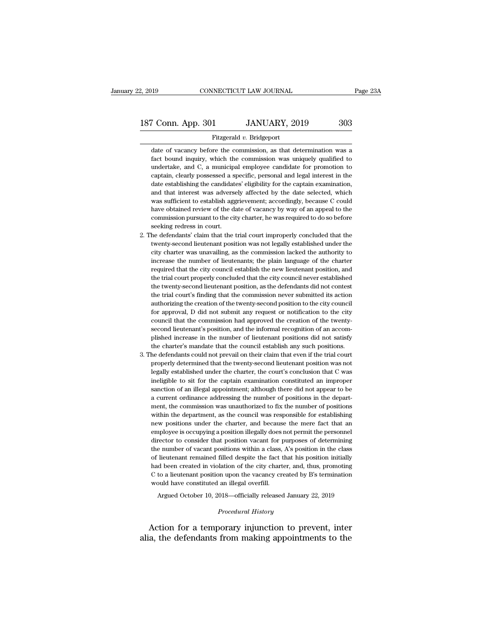### Fitzgerald *v.* Bridgeport

Fitzgerald v. Bridgeport<br>
The commission of vacancy before the commission, as that determination was a<br>
fact bound inquiry, which the commission was uniquely qualified to Fitzgerald v. Bridgeport<br>Fitzgerald v. Bridgeport<br>date of vacancy before the commission, as that determination was a<br>fact bound inquiry, which the commission was uniquely qualified to<br>undertake, and C, a municipal employee The Connet of Solid Connet of Solid Connect Connect Connect Connect Connect Connect Connect Connect Connect Connect Connect Connect Connect Connect Connect Connect Connect Connect Connect Connect Connect Connect Connect Co Fitzgerald v. Bridgeport<br>date of vacancy before the commission, as that determination was a<br>fact bound inquiry, which the commission was uniquely qualified to<br>undertake, and C, a municipal employee candidate for promotion Fitzgerald v. Bridgeport<br>date of vacancy before the commission, as that determination was a<br>fact bound inquiry, which the commission was uniquely qualified to<br>undertake, and C, a municipal employee candidate for promotion date of vacancy before the commission, as that determination was a<br>fact bound inquiry, which the commission was uniquely qualified to<br>undertake, and C, a municipal employee candidate for promotion to<br>captain, clearly posse fact bound inquiry, which the commission was uniquely qualified to undertake, and C, a municipal employee candidate for promotion to captain, clearly possessed a specific, personal and legal interest in the date establishi metrake, and C, a municipal employee candidate for promotion to captain, clearly possessed a specific, personal and legal interest in the date establishing the candidates' eligibility for the captain examination, and that captain, clearly possessed a specific, personal and legal interest in the date establishing the candidates' eligibility for the captain examination, and that interest was adversely affected by the date selected, which was Expection of the establishing the candidate establishing the candidate and that interest was adverse was sufficient to establish agg have obtained review of the da commission pursuant to the cit seeking redress in court.<br>H and that interest was adversely affected by the date selected, which was sufficient to establish aggrievement; accordingly, because C could have obtained review of the date of vacancy by way of an appeal to the commission was sufficient to establish aggrievement; accordingly, because C could<br>have obtained review of the date of vacancy by way of an appeal to the<br>commission pursuant to the city charter, he was required to do so before<br>seeking

- have obtained review of the date of vacancy by way of an appeal to the commission pursuant to the city charter, he was required to do so before seeking redress in court.<br>He defendants' claim that the trial court improperly commission pursuant to the city charter, he was required to do so before<br>seeking redress in court.<br>the defendants' claim that the trial court improperly concluded that the<br>twenty-second lieutenant position was not legally seeking redress in court.<br>he defendants' claim that the trial court improperly concluded that the<br>twenty-second lieutenant position was not legally established under the<br>city charter was unavailing, as the commission lacke the defendants' claim that the trial court improperly concluded that the twenty-second lieutenant position was not legally established under the city charter was unavailing, as the commission lacked the authority to increa twenty-second lieutenant position was not legally established under the city charter was unavailing, as the commission lacked the authority to increase the number of lieutenants; the plain language of the charter required city charter was unavailing, as the commission lacked the authority to increase the number of lieutenants; the plain language of the charter required that the city council establish the new lieutenant position, and the tri increase the number of lieutenants; the plain language of the charter required that the city council establish the new lieutenant position, and the trial court properly concluded that the city council never established the required that the city council establish the new lieutenant position, and<br>the trial court properly concluded that the city council never established<br>the twenty-second lieutenant position, as the defendants did not contest<br> the trial court properly concluded that the city council never established<br>the twenty-second lieutenant position, as the defendants did not contest<br>the trial court's finding that the commission never submitted its action<br>a the twenty-second lieutenant position, as the defendants did not contest<br>the trial court's finding that the commission never submitted its action<br>authorizing the creation of the twenty-second position to the city council<br>f the trial court's finding that the commission never submitted its action authorizing the creation of the twenty-second position to the city council for approval, D did not submit any request or notification to the city cou authorizing the creation of the twenty-second position to the city council<br>for approval, D did not submit any request or notification to the city<br>council that the commission had approved the creation of the twenty-<br>second for approval, D did not submit any request or notification to the city<br>council that the commission had approved the creation of the twenty-<br>second lieutenant's position, and the informal recognition of an accom-<br>plished in council that the commission had approved the creation of the twenty-<br>second lieutenant's position, and the informal recognition of an accom-<br>plished increase in the number of lieutenant positions did not satisfy<br>the charte
- second lieutenant's position, and the informal recognition of an accomplished increase in the number of lieutenant positions did not satisfy the charter's mandate that the council establish any such positions. The defendan plished increase in the number of lieutenant positions did not satisfy<br>the charter's mandate that the council establish any such positions.<br>he defendants could not prevail on their claim that even if the trial court<br>proper the charter's mandate that the council establish any such positions.<br>he defendants could not prevail on their claim that even if the trial court<br>properly determined that the twenty-second lieutenant position was not<br>legall he defendants could not prevail on their claim that even if the trial court<br>properly determined that the twenty-second lieutenant position was not<br>legally established under the charter, the court's conclusion that C was<br>in properly determined that the twenty-second lieutenant position was not legally established under the charter, the court's conclusion that C was ineligible to sit for the captain examination constituted an improper sanction legally established under the charter, the court's conclusion that C was<br>ineligible to sit for the captain examination constituted an improper<br>sanction of an illegal appointment; although there did not appear to be<br>a curre ineligible to sit for the captain examination constituted an improper sanction of an illegal appointment; although there did not appear to be a current ordinance addressing the number of positions in the department, the co sanction of an illegal appointment; although there did not appear to be a current ordinance addressing the number of positions in the department, the commission was unauthorized to fix the number of positions within the de a current ordinance addressing the number of positions in the department, the commission was unauthorized to fix the number of positions within the department, as the council was responsible for establishing new positions ment, the commission was unauthorized to fix the number of positions within the department, as the council was responsible for establishing new positions under the charter, and because the mere fact that an employee is occ within the department, as the council was responsible for establishing<br>new positions under the charter, and because the mere fact that an<br>employee is occupying a position illegally does not permit the personnel<br>director to had been created in violation of the violation of the view positions under the charter, and because the mere fact that an employee is occupying a position illegally does not permit the personnel director to consider that p employee is occupying a position illegally does not permit the personnel director to consider that position vacant for purposes of determining the number of vacant positions within a class, A's position in the class of lie director to consider that position vacant for p<br>the number of vacant positions within a class,<br>of lieutenant remained filled despite the fact t<br>had been created in violation of the city chart<br>C to a lieutenant position upo e number of vacant positions within a class, A's position in the class<br>lieutenant remained filled despite the fact that his position initially<br>d been created in violation of the city charter, and, thus, promoting<br>to a lieu had been created in violation of the city charter, and, thus, promoting C to a lieutenant position upon the vacancy created by B's termination would have constituted an illegal overfill.<br>Argued October 10, 2018—officially had been created in violation of the city charter, and, thus, promoting<br>C to a lieutenant position upon the vacancy created by B's termination<br>would have constituted an illegal overfill.<br>Argued October 10, 2018—officially

C to a lieutenant position upon the vacancy created by B's termination<br>would have constituted an illegal overfill.<br>Argued October 10, 2018—officially released January 22, 2019<br>*Procedural History*<br>Action for a temporary in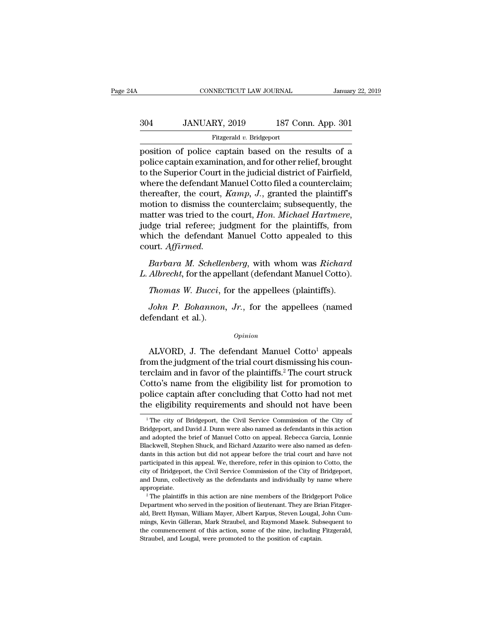### EXECUTE CONNECTICUT LAW JOURNAL January 22, 2019<br>304 JANUARY, 2019 187 Conn. App. 301<br>Fitzgerald v. Bridgeport Fitzgerald *v.* Bridgeport

FREE CONNECTICUT LAW JOURNAL January 22, 2019<br>
304 JANUARY, 2019 187 Conn. App. 301<br>
Fitzgerald v. Bridgeport<br>
position of police captain based on the results of a<br>
police captain examination, and for other relief, brought  $\begin{array}{cc}\n 304 & \text{JANUARY, } 2019 & \text{187 Conn. App. } 301 \\
 \hline\n \text{Fitzgerald } v. \text{ Bridgeport} \\
 \text{position of police captain based on the results of a police captain examination, and for other relief, brought to the Superior Court in the judicial district of Fairfield, when the defendant Manuel Cette filed a counterclaim.\n\end{array}$  $\begin{array}{r} \text{304} & \text{JANUARY, 2019} \ \text{Fitzgerald } v. \text{ Bridgeport} \ \text{position of police captain based on the results of a police captain examination, and for other relief, brought to the Superior Court in the judicial district of Fairfield, where the defendant Manuel Cotto filed a counterclaim; therefore, the court. *Kamm, I.* granted the plaintexts.$  $304$  JANUARY, 2019 187 Conn. App. 301<br>
Fitzgerald v. Bridgeport<br>
position of police captain based on the results of a<br>
police captain examination, and for other relief, brought<br>
to the Superior Court in the judicial dist Fitzgerald v. Bridgeport<br>position of police captain based on the results of a<br>police captain examination, and for other relief, brought<br>to the Superior Court in the judicial district of Fairfield,<br>where the defendant Manue Fitzgerald v. Bridgeport<br>position of police captain based on the results of a<br>police captain examination, and for other relief, brought<br>to the Superior Court in the judicial district of Fairfield,<br>where the defendant Manu position of police captain based on the results of a<br>police captain examination, and for other relief, brought<br>to the Superior Court in the judicial district of Fairfield,<br>where the defendant Manuel Cotto filed a countercl to the Superior Court in the judicial district of Fairfield,<br>where the defendant Manuel Cotto filed a counterclaim;<br>thereafter, the court, *Kamp*, *J.*, granted the plaintiff's<br>motion to dismiss the counterclaim; subsequen court. *Affirmed. Barbara M. Schellenberg, with whom was Richard Albrecht, for the appellant Counter-Rige trial referee; judgment for the plaintiffs, from inch the defendant Manuel Cotto appealed to this urt. Affirmed.*<br>Barbara M. Schellen *L. Albrecht,* for the appellant (defendant Manuel Cotto).<br> *L. Affirmed.*<br> *L. Albrecht,* for the appellant (defendant Manuel Cotto).<br> *Barbara M. Schellenberg,* with whom was *Richard*<br> *L. Albrecht,* for the appellant ( *Thomas W. Bucci, formas W. Bucci, formas W. Bucci, formas W. Schellenberg, with whom was Richard Albrecht, for the appellant (defendant Manuel Cotto).<br><i>Thomas W. Bucci, for the appellees (plaintiffs).*<br>*John P. Bohannon,* 

Firmed.<br> *Barbara M. Schellenberg*, with whom was *Richard*<br> *Albrecht*, for the appellant (defendant Manuel Cotto).<br> *Thomas W. Bucci*, for the appellees (plaintiffs).<br> *John P. Bohannon, Jr.*, for the appellees (named<br>
f Barbara M. Scheller<br>L. Albrecht, for the app<br>Thomas W. Bucci, f<br>John P. Bohannon,<br>defendant et al.).

### *Opinion*

Thomas W. Bucci, for the appellees (plaintiffs).<br>
John P. Bohannon, Jr., for the appellees (named<br>
fendant et al.).<br>  $\begin{array}{c} \text{Option} \end{array}$ <br>
ALVORD, J. The defendant Manuel Cotto<sup>1</sup> appeals<br>
om the judgment of the trial cour *John P. Bohannon, Jr.*, for the appellees (named<br>defendant et al.).<br> $\frac{opinion}{opinion}$ <br>ALVORD, J. The defendant Manuel Cotto<sup>1</sup> appeals<br>from the judgment of the trial court dismissing his coun-<br>terclaim and in favor of the plai John P. Bohannon, Jr., for the appellees (named<br>defendant et al.).<br> $Opinion$ <br>ALVORD, J. The defendant Manuel Cotto<sup>1</sup> appeals<br>from the judgment of the trial court dismissing his coun-<br>terclaim and in favor of the plaintiffs.<sup></sup>  $\alpha$ <br>  $\alpha$  appeals<br>  $\alpha$  ALVORD, J. The defendant Manuel Cotto<sup>1</sup> appeals<br>
from the judgment of the trial court dismissing his coun-<br>
terclaim and in favor of the plaintiffs.<sup>2</sup> The court struck<br>
Cotto's name from the eli  $o$ *pinion*<br>ALVORD, J. The defendant Manuel Cotto<sup>1</sup> appeals<br>from the judgment of the trial court dismissing his coun-<br>terclaim and in favor of the plaintiffs.<sup>2</sup> The court struck<br>Cotto's name from the eligibility list fo ALVORD, J. The defendant Manuel Cotto<sup>1</sup> appeals<br>from the judgment of the trial court dismissing his coun-<br>terclaim and in favor of the plaintiffs.<sup>2</sup> The court struck<br>Cotto's name from the eligibility list for promotion rclaim and in favor of the plaintiffs.<sup>2</sup> The court struck<br>otto's name from the eligibility list for promotion to<br>olice captain after concluding that Cotto had not met<br>e eligibility requirements and should not have been<br><sup>1</sup> Cotto's name from the eligibility list for promotion to<br>police captain after concluding that Cotto had not met<br>the eligibility requirements and should not have been<br><sup>1</sup>The city of Bridgeport, the Civil Service Commission o

police captain after concluding that Cotto had not met<br>the eligibility requirements and should not have been<br><sup>1</sup>The city of Bridgeport, the Civil Service Commission of the City of<br>Bridgeport, and David J. Dunn were also na the eligibility requirements and should not have been<br>
<sup>1</sup>The city of Bridgeport, the Civil Service Commission of the City of<br>
Bridgeport, and David J. Dunn were also named as defendants in this action<br>
and adopted the bri The city of Bridgeport, the Civil Service Commission of the City of Bridgeport, and David J. Dunn were also named as defendants in this action and adopted the brief of Manuel Cotto on appeal. Rebecca Garcia, Lonnie Blackwe <sup>1</sup> The city of Bridgeport, the Civil Service Commission of the City of Bridgeport, and David J. Dunn were also named as defendants in this action and adopted the brief of Manuel Cotto on appeal. Rebecca Garcia, Lonnie Bl Bridgeport, and David J. Dunn were also named as defendants in this action<br>and adopted the brief of Manuel Cotto on appeal. Rebecca Garcia, Lonnie<br>Blackwell, Stephen Shuck, and Richard Azzarito were also named as defen-<br>da and adopted the brief of Manuel Cotto on appeal. Rebecca Garcia, Lonnie Blackwell, Stephen Shuck, and Richard Azzarito were also named as defendants in this action but did not appear before the trial court and have not par appropriate. and the plaintiffs in this action but did not appear before the trial court and have not tricipated in this appeal. We, therefore, refer in this opinion to Cotto, the y of Bridgeport, the Civil Service Commission of the Ci participated in this appeal. We, therefore, refer in this opinion to Cotto, the city of Bridgeport, the Civil Service Commission of the City of Bridgeport, and Dunn, collectively as the defendants and individually by name

city of Bridgeport, the Civil Service Commission of the City of Bridgeport, and Dunn, collectively as the defendants and individually by name where appropriate.<br>
<sup>2</sup> The plaintiffs in this action are nine members of the Br end Dunn, collectively as the defendants and individually by name where appropriate.<br>
<sup>2</sup> The plaintiffs in this action are nine members of the Bridgeport Police Department who served in the position of lieutenant. They ar appropriate.<br>
<sup>2</sup> The plaintiffs in this action are nine members of the Bridgeport Police<br>
Department who served in the position of lieutenant. They are Brian Fitzger-<br>
ald, Brett Hyman, William Mayer, Albert Karpus, Steve <sup>2</sup> The plaintiffs in this action are nine members of the Bridger Department who served in the position of lieutenant. They are Bri<br>ald, Brett Hyman, William Mayer, Albert Karpus, Steven Lougal, a<br>mings, Kevin Gilleran, Ma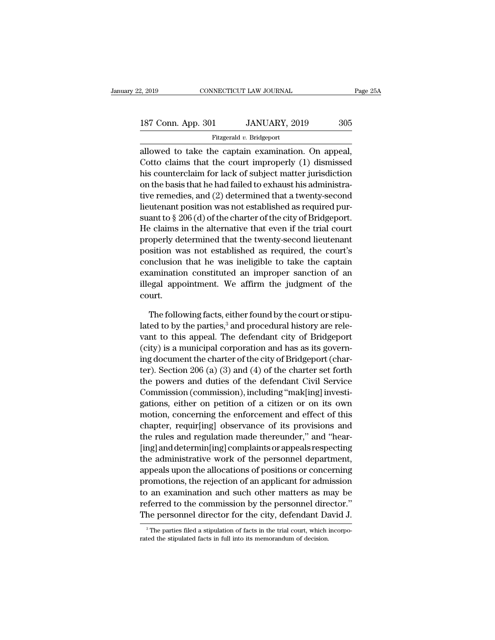| 2, 2019            | CONNECTICUT LAW JOURNAL  | Page 25A |  |
|--------------------|--------------------------|----------|--|
|                    |                          |          |  |
| 187 Conn. App. 301 | JANUARY, 2019            | 305      |  |
|                    | Fitzgerald v. Bridgeport |          |  |

2, 2019 CONNECTICUT LAW JOURNAL Page 2<br>
187 Conn. App. 301 JANUARY, 2019 305<br>
Fitzgerald v. Bridgeport<br>
allowed to take the captain examination. On appeal,<br>
Cotto claims that the court improperly (1) dismissed<br>
bis counte 187 Conn. App. 301 JANUARY, 2019 305<br>Fitzgerald v. Bridgeport<br>allowed to take the captain examination. On appeal,<br>Cotto claims that the court improperly (1) dismissed<br>his counterclaim for lack of subject matter jurisdicti 187 Conn. App. 301 JANUARY, 2019 305<br>
Fitzgerald v. Bridgeport<br>
allowed to take the captain examination. On appeal,<br>
Cotto claims that the court improperly (1) dismissed<br>
his counterclaim for lack of subject matter jurisd 187 Conn. App. 301 JANUARY, 2019 305<br>Fitzgerald v. Bridgeport<br>allowed to take the captain examination. On appeal,<br>Cotto claims that the court improperly (1) dismissed<br>his counterclaim for lack of subject matter jurisdicti Fitzgerald v. Bridgeport<br>
allowed to take the captain examination. On appeal,<br>
Cotto claims that the court improperly (1) dismissed<br>
his counterclaim for lack of subject matter jurisdiction<br>
on the basis that he had faile Fraggala as Englished as required allowed to take the captain examination. On appeal, Cotto claims that the court improperly (1) dismissed his counterclaim for lack of subject matter jurisdiction on the basis that he had allowed to take the captain examination. On appeal,<br>Cotto claims that the court improperly (1) dismissed<br>his counterclaim for lack of subject matter jurisdiction<br>on the basis that he had failed to exhaust his administra-<br>t Cotto claims that the court improperly (1) dismissed<br>his counterclaim for lack of subject matter jurisdiction<br>on the basis that he had failed to exhaust his administra-<br>tive remedies, and (2) determined that a twenty-seco ms countercialm for lack of subject matter jurisdiction<br>on the basis that he had failed to exhaust his administra-<br>tive remedies, and (2) determined that a twenty-second<br>lieutenant position was not established as required on the basis that he had railed to exhaust his administrative remedies, and (2) determined that a twenty-second lieutenant position was not established as required pursuant to  $\S 206$  (d) of the charter of the city of Bri tive remeates, and (2) determined that a twenty-second<br>lieutenant position was not established as required pur-<br>suant to § 206 (d) of the charter of the city of Bridgeport.<br>He claims in the alternative that even if the tr meutenant position was not established as required pursuant to  $\S 206$  (d) of the charter of the city of Bridgeport.<br>He claims in the alternative that even if the trial court<br>properly determined that the twenty-second lie suant to  $\S 200(0)$  or the charter of the city of Bridgeport.<br>He claims in the alternative that even if the trial court<br>properly determined that the twenty-second lieutenant<br>position was not established as required, the c court. sition was not established as required, the court's<br>nclusion that he was ineligible to take the captain<br>amination constituted an improper sanction of an<br>egal appointment. We affirm the judgment of the<br>urt.<br>The following fa conclusion that he was ineligible to take the captain<br>examination constituted an improper sanction of an<br>illegal appointment. We affirm the judgment of the<br>court.<br>The following facts, either found by the court or stipu-<br>la

examination constituted an improper sanction of an<br>illegal appointment. We affirm the judgment of the<br>court.<br>The following facts, either found by the court or stipu-<br>lated to by the parties,<sup>3</sup> and procedural history are r illegal appointment. We affirm the judgment of the<br>court.<br>The following facts, either found by the court or stipu-<br>lated to by the parties,<sup>3</sup> and procedural history are rele-<br>vant to this appeal. The defendant city of Br court.<br>The following facts, either found by the court or stipulated to by the parties,<sup>3</sup> and procedural history are relevant to this appeal. The defendant city of Bridgeport (city) is a municipal corporation and has as i The following facts, either found by the court or stipulated to by the parties,<sup>3</sup> and procedural history are relevant to this appeal. The defendant city of Bridgeport (city) is a municipal corporation and has as its gover The following facts, either found by the court or supulated to by the parties,<sup>3</sup> and procedural history are relevant to this appeal. The defendant city of Bridgeport (city) is a municipal corporation and has as its gover rated to by the parties," and procedural mistory are relevant to this appeal. The defendant city of Bridgeport (city) is a municipal corporation and has as its governing document the charter of the city of Bridgeport (char vant to this appear. The detendant city of Bridgeport<br>(city) is a municipal corporation and has as its governing document the charter of the city of Bridgeport (char-<br>ter). Section 206 (a) (3) and (4) of the charter set fo (city) is a municipal corporation and has as its governing document the charter of the city of Bridgeport (charter). Section 206 (a) (3) and (4) of the charter set forth the powers and duties of the defendant Civil Service ing aocument the charter of the clty of Bridgeport (charter). Section 206 (a) (3) and (4) of the charter set forth<br>the powers and duties of the defendant Civil Service<br>Commission (commission), including "mak[ing] investi-<br> ter). Section 200 (a) (3) and (4) of the charter set forth<br>the powers and duties of the defendant Civil Service<br>Commission (commission), including "mak[ing] investi-<br>gations, either on petition of a citizen or on its own<br> the powers and dutes of the detendant CIVII Service<br>Commission (commission), including "mak[ing] investi-<br>gations, either on petition of a citizen or on its own<br>motion, concerning the enforcement and effect of this<br>chapter Commission (commission), including making invesu-<br>gations, either on petition of a citizen or on its own<br>motion, concerning the enforcement and effect of this<br>chapter, requir[ing] observance of its provisions and<br>the rules gations, entier on petition of a citizen or on its own<br>motion, concerning the enforcement and effect of this<br>chapter, requir[ing] observance of its provisions and<br>the rules and regulation made thereunder," and "hear-<br>[ing] motion, concerning the enforcement and effect of this<br>chapter, requir[ing] observance of its provisions and<br>the rules and regulation made thereunder," and "hear-<br>[ing] and determin[ing] complaints or appeals respecting<br>the chapter, requiring observance of its provisions and<br>the rules and regulation made thereunder," and "hear-<br>[ing] and determin[ing] complaints or appeals respecting<br>the administrative work of the personnel department,<br>appeal referred to the commission by the commission of the commission and determining complaints or appeals respecting<br>the administrative work of the personnel department,<br>appeals upon the allocations of positions or concerning<br>p Img] and deterning complaints or appears respecting<br>the administrative work of the personnel department,<br>appeals upon the allocations of positions or concerning<br>promotions, the rejection of an applicant for admission<br>to an promotions, the rejection of an applicant for admission<br>to an examination and such other matters as may be<br>referred to the commission by the personnel director."<br>The personnel director for the city, defendant David J.<br> $\frac$ The personnel director for the city, defendant David J.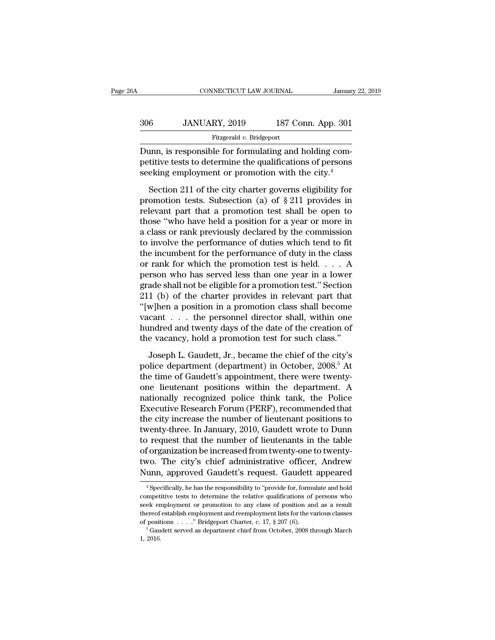| jΑ  | CONNECTICUT LAW JOURNAL  |                    | January 22, 2019 |
|-----|--------------------------|--------------------|------------------|
| 306 | JANUARY, 2019            | 187 Conn. App. 301 |                  |
|     | Fitzgerald v. Bridgeport |                    |                  |

CONNECTICUT LAW JOURNAL<br>
306 JANUARY, 2019 187 Conn. App. 301<br>
Fitzgerald v. Bridgeport<br>
Dunn, is responsible for formulating and holding com-<br>
petitive tests to determine the qualifications of persons<br>
socking employment 906 JANUARY, 2019 187 Conn. App. 301<br>Fitzgerald v. Bridgeport<br>Dunn, is responsible for formulating and holding competitive tests to determine the qualifications of persons<br>seeking employment or promotion with the city.<sup>4</sup>  $\begin{tabular}{ll} \multicolumn{1}{l}{{\bf 306}} & JANUARY, 2019 & 187 Conn. App. 301 \\ \hline \hline \multicolumn{1}{l}{\bf Fitzgerald $v$. Bridgeport} \\ \hline \hline \multicolumn{1}{l}{\bf Dunn, is responsible for formulating and holding competitive tests to determine the qualifications of persons seeking employment or promotion with the city. \end{tabular}$  $\frac{S_1}{S_2}$  of  $\frac{S_2}{S_1}$   $\frac{S_3}{S_2}$   $\frac{S_4}{S_3}$   $\frac{S_5}{S_4}$   $\frac{S_5}{S_5}$   $\frac{S_6}{S_6}$  and  $\frac{S_7}{S_6}$  and  $\frac{S_7}{S_6}$  and  $\frac{S_7}{S_6}$  and  $\frac{S_7}{S_6}$  and  $\frac{S_7}{S_6}$  and  $\frac{S_7}{S_6}$  and  $\frac{S_7}{$ 

Fitzgerald v. Bridgeport<br>
Dunn, is responsible for formulating and holding com-<br>
petitive tests to determine the qualifications of persons<br>
seeking employment or promotion with the city.<sup>4</sup><br>
Section 211 of the city charte Dunn, is responsible for formulating and holding competitive tests to determine the qualifications of persons<br>seeking employment or promotion with the city.<sup>4</sup><br>Section 211 of the city charter governs eligibility for<br>promo E and, a Telephastic Telephastical contributions of persons<br>
seeking employment or promotion with the city.<sup>4</sup><br>
Section 211 of the city charter governs eligibility for<br>
promotion tests. Subsection (a) of  $\S 211$  provides seeking employment or promotion with the city.<sup>4</sup><br>Section 211 of the city charter governs eligibility for<br>promotion tests. Subsection (a) of  $\S 211$  provides in<br>relevant part that a promotion test shall be open to<br>those " Section 211 of the city charter governs eligibility for<br>promotion tests. Subsection (a) of  $\S 211$  provides in<br>relevant part that a promotion test shall be open to<br>those "who have held a position for a year or more in<br>a c Section 211 of the city charter governs eligibility for<br>promotion tests. Subsection (a) of  $\S 211$  provides in<br>relevant part that a promotion test shall be open to<br>those "who have held a position for a year or more in<br>a c promotion tests. Subsection (a) of  $\S 211$  provides in<br>relevant part that a promotion test shall be open to<br>those "who have held a position for a year or more in<br>a class or rank previously declared by the commission<br>to in relevant part that a promotion test shall be open to<br>those "who have held a position for a year or more in<br>a class or rank previously declared by the commission<br>to involve the performance of duties which tend to fit<br>the i those "who have held a position for a year or more in<br>a class or rank previously declared by the commission<br>to involve the performance of duties which tend to fit<br>the incumbent for the performance of duty in the class<br>or a class or rank previously declared by the commission<br>to involve the performance of duties which tend to fit<br>the incumbent for the performance of duty in the class<br>or rank for which the promotion test is held.  $\ldots$  A<br>per to involve the performance of duties which tend to fit<br>the incumbent for the performance of duty in the class<br>or rank for which the promotion test is held.  $\dots$  A<br>person who has served less than one year in a lower<br>grade the incumbent for the performance of duty in the class<br>or rank for which the promotion test is held. . . . A<br>person who has served less than one year in a lower<br>grade shall not be eligible for a promotion test." Section<br>2 or rank for which the promotion test is held. . . . A<br>person who has served less than one year in a lower<br>grade shall not be eligible for a promotion test." Section<br>211 (b) of the charter provides in relevant part that<br>"[ person who has served less than one year in a lower<br>grade shall not be eligible for a promotion test." Section<br>211 (b) of the charter provides in relevant part that<br>"[w]hen a position in a promotion class shall become<br>vaca 1 (b) of the charter provides in relevant part that  $w$ ]hen a position in a promotion class shall become<br>cant . . . the personnel director shall, within one<br>undred and twenty days of the date of the creation of<br>e vacancy, "[w]hen a position in a promotion class shall become<br>vacant . . . the personnel director shall, within one<br>hundred and twenty days of the date of the creation of<br>the vacancy, hold a promotion test for such class."<br>Joseph

vacant  $\ldots$  the personnel director shall, within one<br>hundred and twenty days of the date of the creation of<br>the vacancy, hold a promotion test for such class."<br>Joseph L. Gaudett, Jr., became the chief of the city's<br>polic Fractional diventy days of the date of the creation of<br>the vacancy, hold a promotion test for such class."<br>Joseph L. Gaudett, Jr., became the chief of the city's<br>police department (department) in October, 2008.<sup>5</sup> At<br>the t nationally recognized police think tank, the Police Boss.<br>
Joseph L. Gaudett, Jr., became the chief of the city's<br>
police department (department) in October, 2008.<sup>5</sup> At<br>
the time of Gaudett's appointment, there were twent Let the strate, the presence of the city's<br>police department (department) in October, 2008.<sup>5</sup> At<br>the time of Gaudett's appointment, there were twenty-<br>one lieutenant positions within the department. A<br>nationally recognize Joseph L. Gaudett, Jr., became the chief of the city's<br>police department (department) in October, 2008.<sup>5</sup> At<br>the time of Gaudett's appointment, there were twenty-<br>one lieutenant positions within the department. A<br>nationa police department (department) in October, 2008.<sup>5</sup> At<br>the time of Gaudett's appointment, there were twenty-<br>one lieutenant positions within the department. A<br>nationally recognized police think tank, the Police<br>Executive R the time of Gaudett's appointment, there were twenty-<br>one lieutenant positions within the department. A<br>nationally recognized police think tank, the Police<br>Executive Research Forum (PERF), recommended that<br>the city increas one lieutenant positions within the department. A<br>nationally recognized police think tank, the Police<br>Executive Research Forum (PERF), recommended that<br>the city increase the number of lieutenant positions to<br>twenty-three. nationally recognized police think tank, the Police<br>Executive Research Forum (PERF), recommended that<br>the city increase the number of lieutenant positions to<br>twenty-three. In January, 2010, Gaudett wrote to Dunn<br>to request Executive Research Forum (PERF), recommended that<br>the city increase the number of lieutenant positions to<br>twenty-three. In January, 2010, Gaudett wrote to Dunn<br>to request that the number of lieutenants in the table<br>of orga Forthermannism in the table<br>forganization be increased from twenty-one to twenty-<br>vo. The city's chief administrative officer, Andrew<br>unn, approved Gaudett's request. Gaudett appeared<br><sup>4</sup>Specifically, he has the responsibi of organization be increased from twenty-one to twenty-<br>two. The city's chief administrative officer, Andrew<br>Nunn, approved Gaudett's request. Gaudett appeared<br><sup>4</sup> Specifically, he has the responsibility to "provide for, f

two. The city's chief administrative officer, Andrew<br>Nunn, approved Gaudett's request. Gaudett appeared<br><sup>4</sup>Specifically, he has the responsibility to "provide for, formulate and hold<br>competitive tests to determine the rela Nunn, approved Gaudett's request. Gaudett appeared<br>  $\overline{ }$  specifically, he has the responsibility to "provide for, formulate and hold<br>
competitive tests to determine the relative qualifications of persons who<br>
seek empl of positions . . . .'' Bridgeport Charter, c. 17, § 207 (6). <sup>5</sup> Gaudett served as department chief from October, 2008 through March % competitive tests to determine the relative qualifications of persons who seek employment or promotion to any class of position and as a result thereof establish employment and reemployment lists for the various classes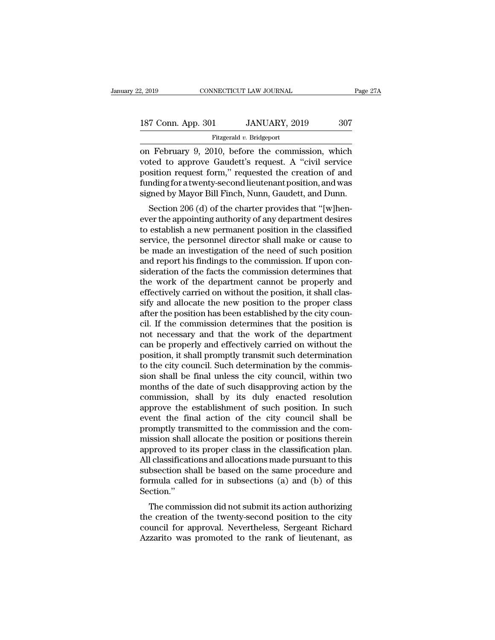| 2, 2019            | CONNECTICUT LAW JOURNAL  | Page 27A |  |
|--------------------|--------------------------|----------|--|
| 187 Conn. App. 301 | JANUARY, 2019            | 307      |  |
|                    | Fitzgerald v. Bridgeport |          |  |

2, 2019 CONNECTICUT LAW JOURNAL Page 27A<br>
187 Conn. App. 301 JANUARY, 2019 307<br>
Fitzgerald v. Bridgeport<br>
on February 9, 2010, before the commission, which<br>
voted to approve Gaudett's request. A "civil service 187 Conn. App. 301 JANUARY, 2019 307<br>Fitzgerald v. Bridgeport<br>on February 9, 2010, before the commission, which<br>voted to approve Gaudett's request. A "civil service<br>position request form," requested the creation of and<br>fun 187 Conn. App. 301 JANUARY, 2019 307<br>
Fitzgerald v. Bridgeport<br>
on February 9, 2010, before the commission, which<br>
voted to approve Gaudett's request. A "civil service<br>
position request form," requested the creation of and 187 Conn. App. 301 JANUARY, 2019 307<br>Fitzgerald v. Bridgeport<br>on February 9, 2010, before the commission, which<br>voted to approve Gaudett's request. A "civil service<br>position request form," requested the creation of and<br>fun Fitzgerald v. Bridgeport<br>
The Commission, which<br>
voted to approve Gaudett's request. A "civil service<br>
position request form," requested the creation of and<br>
funding for a twenty-second lieutenant position, and was<br>
signed February 9, 2010, before the commission, which<br>ted to approve Gaudett's request. A "civil service<br>sition request form," requested the creation of and<br>mding for a twenty-second lieutenant position, and was<br>gned by Mayor Bil on February 9, 2010, before the commission, which<br>voted to approve Gaudett's request. A "civil service<br>position request form," requested the creation of and<br>funding for a twenty-second lieutenant position, and was<br>signed b

Frontier to approve Gaudent's Fequest. A Civil service<br>position request form," requested the creation of and<br>funding for a twenty-second lieutenant position, and was<br>signed by Mayor Bill Finch, Nunn, Gaudett, and Dunn.<br>Sec position request form, requested the creation of and<br>funding for a twenty-second lieutenant position, and was<br>signed by Mayor Bill Finch, Nunn, Gaudett, and Dunn.<br>Section 206 (d) of the charter provides that "[w]hen-<br>ever runtung for a twenty-second neuteriant position, and was<br>signed by Mayor Bill Finch, Nunn, Gaudett, and Dunn.<br>Section 206 (d) of the charter provides that "[w]hen-<br>ever the appointing authority of any department desires<br>to signed by mayor Bin Finch, Numi, Gaudett, and Bumi.<br>Section 206 (d) of the charter provides that "[w]hen-<br>ever the appointing authority of any department desires<br>to establish a new permanent position in the classified<br>serv Section 206 (d) of the charter provides that "[w]hen-<br>ever the appointing authority of any department desires<br>to establish a new permanent position in the classified<br>service, the personnel director shall make or cause to<br>b ever the appointing authority of any department desires<br>to establish a new permanent position in the classified<br>service, the personnel director shall make or cause to<br>be made an investigation of the need of such position<br>a to establish a new permanent position in the classified<br>service, the personnel director shall make or cause to<br>be made an investigation of the need of such position<br>and report his findings to the commission. If upon con-<br>s service, the personnel director shall make or cause to<br>be made an investigation of the need of such position<br>and report his findings to the commission. If upon con-<br>sideration of the facts the commission determines that<br>th be made an investigation of the need of such position<br>and report his findings to the commission. If upon con-<br>sideration of the facts the commission determines that<br>the work of the department cannot be properly and<br>effecti and report his findings to the commission. If upon consideration of the facts the commission determines that<br>the work of the department cannot be properly and<br>effectively carried on without the position, it shall clas-<br>sif sideration of the facts the commission determines that<br>the work of the department cannot be properly and<br>effectively carried on without the position, it shall clas-<br>sify and allocate the new position to the proper class<br>af the work of the department cannot be properly and<br>effectively carried on without the position, it shall clas-<br>sify and allocate the new position to the proper class<br>after the position has been established by the city couneffectively carried on without the position, it shall classify and allocate the new position to the proper class<br>after the position has been established by the city council. If the commission determines that the position i sify and allocate the new position to the proper class<br>after the position has been established by the city coun-<br>cil. If the commission determines that the position is<br>not necessary and that the work of the department<br>can after the position has been established by the city council. If the commission determines that the position is<br>not necessary and that the work of the department<br>can be properly and effectively carried on without the<br>positi cil. If the commission determines that the position is<br>not necessary and that the work of the department<br>can be properly and effectively carried on without the<br>position, it shall promptly transmit such determination<br>to the not necessary and that the work of the department<br>can be properly and effectively carried on without the<br>position, it shall promptly transmit such determination<br>to the city council. Such determination by the commis-<br>sion s can be properly and effectively carried on without the<br>position, it shall promptly transmit such determination<br>to the city council. Such determination by the commis-<br>sion shall be final unless the city council, within two<br> position, it shall promptly transmit such determination<br>to the city council. Such determination by the commis-<br>sion shall be final unless the city council, within two<br>months of the date of such disapproving action by the<br>c to the city council. Such determination by the commission shall be final unless the city council, within two months of the date of such disapproving action by the commission, shall by its duly enacted resolution approve th sion shall be final unless the city council, within two<br>months of the date of such disapproving action by the<br>commission, shall by its duly enacted resolution<br>approve the establishment of such position. In such<br>event the f months of the date of such disapproving action by the commission, shall by its duly enacted resolution approve the establishment of such position. In such event the final action of the city council shall be promptly transm commission, shall by its duly enacted resolution<br>approve the establishment of such position. In such<br>event the final action of the city council shall be<br>promptly transmitted to the commission and the com-<br>mission shall al approve the establishment of such position. In such<br>event the final action of the city council shall be<br>promptly transmitted to the commission and the com-<br>mission shall allocate the position or positions therein<br>approved event the final action of the city council shall be<br>promptly transmitted to the commission and the com-<br>mission shall allocate the position or positions therein<br>approved to its proper class in the classification plan.<br>All Section.'' SSION Shan ahocate the position of positions therein<br>proved to its proper class in the classification plan.<br>I classifications and allocations made pursuant to this<br>bsection shall be based on the same procedure and<br>rmula ca approved to its proper class in the classification plan.<br>All classifications and allocations made pursuant to this<br>subsection shall be based on the same procedure and<br>formula called for in subsections (a) and (b) of this<br>S

An classifications and anocations made pursuant to this<br>subsection shall be based on the same procedure and<br>formula called for in subsections (a) and (b) of this<br>Section."<br>The commission did not submit its action authorizi Subsection shall be based of the same procedule and<br>formula called for in subsections (a) and (b) of this<br>Section."<br>The commission did not submit its action authorizing<br>the creation of the twenty-second position to the cit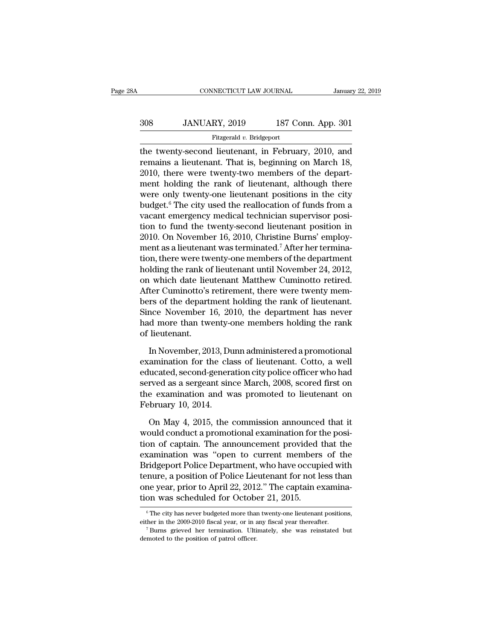| 8Α  | CONNECTICUT LAW JOURNAL  |                    | January 22, 2019 |
|-----|--------------------------|--------------------|------------------|
| 308 | JANUARY, 2019            | 187 Conn. App. 301 |                  |
|     | Fitzgerald v. Bridgeport |                    |                  |

CONNECTICUT LAW JOURNAL January 22, 2019<br>
308 JANUARY, 2019 187 Conn. App. 301<br>
Fitzgerald v. Bridgeport<br>
the twenty-second lieutenant, in February, 2010, and<br>
remains a lieutenant. That is, beginning on March 18,<br>
2010, t 308 JANUARY, 2019 187 Conn. App. 301<br>Fitzgerald v. Bridgeport<br>the twenty-second lieutenant, in February, 2010, and<br>remains a lieutenant. That is, beginning on March 18,<br>2010, there were twenty-two members of the depart-<br>m  $308$  JANUARY, 2019 187 Conn. App. 301<br>
Fitzgerald v. Bridgeport<br>
the twenty-second lieutenant, in February, 2010, and<br>
remains a lieutenant. That is, beginning on March 18,<br>
2010, there were twenty-two members of the dep 308 JANUARY, 2019 187 Conn. App. 301<br>
Fitzgerald v. Bridgeport<br>
the twenty-second lieutenant, in February, 2010, and<br>
remains a lieutenant. That is, beginning on March 18,<br>
2010, there were twenty-two members of the depar Fitzgerald v. Bridgeport<br>the twenty-second lieutenant, in February, 2010, and<br>remains a lieutenant. That is, beginning on March 18,<br>2010, there were twenty-two members of the depart-<br>ment holding the rank of lieutenant, a Fitzgerald v. Bidgeport<br>the twenty-second lieutenant, in February, 2010, and<br>remains a lieutenant. That is, beginning on March 18,<br>2010, there were twenty-two members of the depart-<br>ment holding the rank of lieutenant, al the twenty-second lieutenant, in February, 2010, and<br>remains a lieutenant. That is, beginning on March 18,<br>2010, there were twenty-two members of the depart-<br>ment holding the rank of lieutenant, although there<br>were only tw remains a lieutenant. That is, beginning on March 18,<br>2010, there were twenty-two members of the depart-<br>ment holding the rank of lieutenant, although there<br>were only twenty-one lieutenant positions in the city<br>budget.<sup>6</sup> 2010, there were twenty-two members of the depart-<br>ment holding the rank of lieutenant, although there<br>were only twenty-one lieutenant positions in the city<br>budget.<sup>6</sup> The city used the reallocation of funds from a<br>vacant ment holding the rank of lieutenant, although there<br>were only twenty-one lieutenant positions in the city<br>budget.<sup>6</sup> The city used the reallocation of funds from a<br>vacant emergency medical technician supervisor posi-<br>tion were only twenty-one lieutenant positions in the city<br>budget.<sup>6</sup> The city used the reallocation of funds from a<br>vacant emergency medical technician supervisor posi-<br>tion to fund the twenty-second lieutenant position in<br>201 budget.<sup>6</sup> The city used the reallocation of funds from a<br>vacant emergency medical technician supervisor posi-<br>tion to fund the twenty-second lieutenant position in<br>2010. On November 16, 2010, Christine Burns' employ-<br>ment vacant emergency medical technician supervisor position to fund the twenty-second lieutenant position in 2010. On November 16, 2010, Christine Burns' employment as a lieutenant was terminated.<sup>7</sup> After her termination, the tion to fund the twenty-second lieutenant position in 2010. On November 16, 2010, Christine Burns' employment as a lieutenant was terminated.<sup>7</sup> After her termination, there were twenty-one members of the department holdin 2010. On November 16, 2010, Christine Burns' employment as a lieutenant was terminated.<sup>7</sup> After her termination, there were twenty-one members of the department holding the rank of lieutenant until November 24, 2012, on w ment as a lieutenant was terminated.<sup>7</sup> After her termination, there were twenty-one members of the department holding the rank of lieutenant until November 24, 2012, on which date lieutenant Matthew Cuminotto retired. Aft tion, there were twenty-one members of the department<br>holding the rank of lieutenant until November 24, 2012,<br>on which date lieutenant Matthew Cuminotto retired.<br>After Cuminotto's retirement, there were twenty mem-<br>bers of holding the rank of<br>on which date lieu<br>After Cuminotto's<br>bers of the depart<br>Since November 1<br>had more than two<br>of lieutenant.<br>In November, 20 ter Cuminotto's retirement, there were twenty mem-<br>rs of the department holding the rank of lieutenant.<br>nce November 16, 2010, the department has never<br>d more than twenty-one members holding the rank<br>lieutenant.<br>In Novembe bers of the department holding the rank of lieutenant.<br>Since November 16, 2010, the department has never<br>had more than twenty-one members holding the rank<br>of lieutenant.<br>In November, 2013, Dunn administered a promotional<br>e

Since November 16, 2010, the department has never<br>had more than twenty-one members holding the rank<br>of lieutenant.<br>In November, 2013, Dunn administered a promotional<br>examination for the class of lieutenant. Cotto, a well<br>e had more than twenty-one members holding the rank<br>of lieutenant.<br>In November, 2013, Dunn administered a promotional<br>examination for the class of lieutenant. Cotto, a well<br>educated, second-generation city police officer who of lieutenant.<br>
In November, 2013, Dunn administered a promotional<br>
examination for the class of lieutenant. Cotto, a well<br>
educated, second-generation city police officer who had<br>
served as a sergeant since March, 2008, s In November, 2013, Du<br>examination for the cla<br>educated, second-genera<br>served as a sergeant sin<br>the examination and w<br>February 10, 2014.<br>On May 4, 2015, the may a amination for the class of lieutenant. Cotto, a well<br>ucated, second-generation city police officer who had<br>rved as a sergeant since March, 2008, scored first on<br>e examination and was promoted to lieutenant on<br>bruary educated, second-generation city police officer who had<br>served as a sergeant since March, 2008, scored first on<br>the examination and was promoted to lieutenant on<br>February 10, 2014.<br>On May 4, 2015, the commission announced

served as a sergeant since March, 2008, scored first on<br>the examination and was promoted to lieutenant on<br>February 10, 2014.<br>On May 4, 2015, the commission announced that it<br>would conduct a promotional examination for the the examination and was promoted to lieutenant on<br>February 10, 2014.<br>On May 4, 2015, the commission announced that it<br>would conduct a promotional examination for the posi-<br>tion of captain. The announcement provided that th February 10, 2014.<br>
On May 4, 2015, the commission announced that it<br>
would conduct a promotional examination for the posi-<br>
tion of captain. The announcement provided that the<br>
examination was "open to current members of On May 4, 2015, the commission announced that it<br>would conduct a promotional examination for the posi-<br>tion of captain. The announcement provided that the<br>examination was "open to current members of the<br>Bridgeport Police D On May 4, 2015, the commission announced that it<br>would conduct a promotional examination for the posi-<br>tion of captain. The announcement provided that the<br>examination was "open to current members of the<br>Bridgeport Police D would conduct a promotional examination for t<br>tion of captain. The announcement provided<br>examination was "open to current members<br>Bridgeport Police Department, who have occup<br>tenure, a position of Police Lieutenant for not Bridgeport Police Department, who have occupied with<br>tenure, a position of Police Lieutenant for not less than<br>one year, prior to April 22, 2012." The captain examina-<br>tion was scheduled for October 21, 2015.<br> $\overbrace{\phantom{i_{\rm{$ tenure, a position of Police Lieutenant for not less than<br>one year, prior to April 22, 2012." The captain examina-<br>tion was scheduled for October 21, 2015.<br> $\frac{1}{10}$ <br> $\frac{1}{10}$ <br> $\frac{1}{10}$ <br> $\frac{1}{10}$ <br> $\frac{1}{10}$ <br> $\frac{1}{10}$ 

tion was scheduled for October 21, 2015.<br>
Fine city has never budgeted more than twenty-one lies<br>
either in the 2009-2010 fiscal year, or in any fiscal year the position<br>
Furns grieved her termination. Ultimately, she was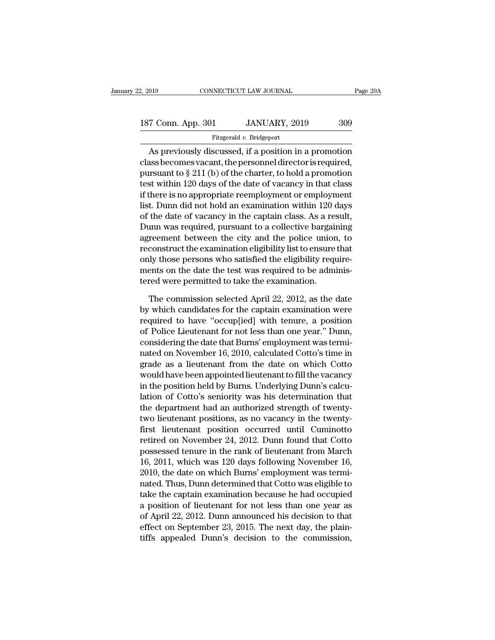| 2, 2019            | CONNECTICUT LAW JOURNAL  | Page 29A |
|--------------------|--------------------------|----------|
| 187 Conn. App. 301 | JANUARY, 2019            | 309      |
|                    | Fitzgerald v. Bridgeport |          |

### Fitzgerald *v.* Bridgeport

As previously discussed, if a position in a promotion 187 Conn. App. 301 JANUARY, 2019 309<br>Fitzgerald v. Bridgeport<br>As previously discussed, if a position in a promotion<br>class becomes vacant, the personnel director is required,<br>pursuant to  $\S 211$  (b) of the charter, to hold 187 Conn. App. 301 JANUARY, 2019 309<br>
Fitzgerald v. Bridgeport<br>
As previously discussed, if a position in a promotion<br>
class becomes vacant, the personnel director is required,<br>
pursuant to § 211 (b) of the charter, to ho 187 Conn. App. 301 JANUARY, 2019 309<br>Fitzgerald v. Bridgeport<br>As previously discussed, if a position in a promotion<br>class becomes vacant, the personnel director is required,<br>pursuant to  $\S 211$  (b) of the charter, to hold Fitzgerald v. Bridgeport<br>
As previously discussed, if a position in a promotion<br>
class becomes vacant, the personnel director is required,<br>
pursuant to  $\S 211$  (b) of the charter, to hold a promotion<br>
test within 120 days Fraggerad *i*. Braggerate is consistent in a promotion class becomes vacant, the personnel director is required, pursuant to  $\S 211$  (b) of the charter, to hold a promotion test within 120 days of the date of vacancy in t As previously discussed, if a position in a promotion<br>class becomes vacant, the personnel director is required,<br>pursuant to  $\S 211$  (b) of the charter, to hold a promotion<br>test within 120 days of the date of vacancy in th class becomes vacant, the personnel director is required,<br>pursuant to § 211 (b) of the charter, to hold a promotion<br>test within 120 days of the date of vacancy in that class<br>if there is no appropriate reemployment or emplo pursuant to § 211 (b) of the charter, to hold a promotion<br>test within 120 days of the date of vacancy in that class<br>if there is no appropriate reemployment or employment<br>list. Dunn did not hold an examination within 120 da test within 120 days of the date of vacancy in that class<br>if there is no appropriate reemployment or employment<br>list. Dunn did not hold an examination within 120 days<br>of the date of vacancy in the captain class. As a resul if there is no appropriate reemployment or employment<br>list. Dunn did not hold an examination within 120 days<br>of the date of vacancy in the captain class. As a result,<br>Dunn was required, pursuant to a collective bargaining<br> list. Dunn did not hold an examination within 120 days<br>of the date of vacancy in the captain class. As a result,<br>Dunn was required, pursuant to a collective bargaining<br>agreement between the city and the police union, to<br>re of the date of vacancy in the captain class. As a responsive to the collective bargain agreement between the city and the police unior reconstruct the examination eligibility list to ensure only those persons who satisfied reement between the city and the police union, to<br>construct the examination eligibility list to ensure that<br>ly those persons who satisfied the eligibility require-<br>ents on the date the test was required to be adminis-<br>red reconstruct the examination eligibility list to ensure that<br>only those persons who satisfied the eligibility require-<br>ments on the date the test was required to be adminis-<br>tered were permitted to take the examination.<br>The

only those persons who satisfied the eligibility require-<br>ments on the date the test was required to be adminis-<br>tered were permitted to take the examination.<br>The commission selected April 22, 2012, as the date<br>by which ca ments on the date the test was required to be adminis-<br>tered were permitted to take the examination.<br>The commission selected April 22, 2012, as the date<br>by which candidates for the captain examination were<br>required to have tered were permitted to take the examination.<br>The commission selected April 22, 2012, as the date<br>by which candidates for the captain examination were<br>required to have "occup[ied] with tenure, a position<br>of Police Lieutena The commission selected April 22, 2012, as the date<br>by which candidates for the captain examination were<br>required to have "occup[ied] with tenure, a position<br>of Police Lieutenant for not less than one year." Dunn,<br>consider The commission selected April 22, 2012, as the date<br>by which candidates for the captain examination were<br>required to have "occup[ied] with tenure, a position<br>of Police Lieutenant for not less than one year." Dunn,<br>consider by which candidates for the captain examination were<br>required to have "occup[ied] with tenure, a position<br>of Police Lieutenant for not less than one year." Dunn,<br>considering the date that Burns' employment was termi-<br>nated required to have "occup[ied] with tenure, a position<br>of Police Lieutenant for not less than one year." Dunn,<br>considering the date that Burns' employment was termi-<br>nated on November 16, 2010, calculated Cotto's time in<br>gra of Police Lieutenant for not less than one year." Dunn,<br>considering the date that Burns' employment was termi-<br>nated on November 16, 2010, calculated Cotto's time in<br>grade as a lieutenant from the date on which Cotto<br>would considering the date that Burns' employment was terminated on November 16, 2010, calculated Cotto's time in grade as a lieutenant from the date on which Cotto would have been appointed lieutenant to fill the vacancy in the nated on November 16, 2010, calculated Cotto's time in<br>grade as a lieutenant from the date on which Cotto<br>would have been appointed lieutenant to fill the vacancy<br>in the position held by Burns. Underlying Dunn's calcu-<br>lat grade as a lieutenant from the date on which Cotto<br>would have been appointed lieutenant to fill the vacancy<br>in the position held by Burns. Underlying Dunn's calcu-<br>lation of Cotto's seniority was his determination that<br>the would have been appointed lieutenant to fill the vacancy<br>in the position held by Burns. Underlying Dunn's calcu-<br>lation of Cotto's seniority was his determination that<br>the department had an authorized strength of twenty-<br>t in the position held by Burns. Underlying Dunn's calculation of Cotto's seniority was his determination that<br>the department had an authorized strength of twenty-<br>two lieutenant positions, as no vacancy in the twenty-<br>first lation of Cotto's seniority was his determination that<br>the department had an authorized strength of twenty-<br>two lieutenant positions, as no vacancy in the twenty-<br>first lieutenant position occurred until Cuminotto<br>retired two lieutenant had an authorized strength of twenty-<br>two lieutenant positions, as no vacancy in the twenty-<br>first lieutenant position occurred until Cuminotto<br>retired on November 24, 2012. Dunn found that Cotto<br>possessed t two lieutenant positions, as no vacancy in the twenty-<br>first lieutenant position occurred until Cuminotto<br>retired on November 24, 2012. Dunn found that Cotto<br>possessed tenure in the rank of lieutenant from March<br>16, 2011, first lieutenant position occurred until Cuminotto<br>retired on November 24, 2012. Dunn found that Cotto<br>possessed tenure in the rank of lieutenant from March<br>16, 2011, which was 120 days following November 16,<br>2010, the dat retired on November 24, 2012. Dunn found that Cotto<br>possessed tenure in the rank of lieutenant from March<br>16, 2011, which was 120 days following November 16,<br>2010, the date on which Burns' employment was termi-<br>nated. Thus possessed tenure in the rank of lieutenant from March 16, 2011, which was 120 days following November 16, 2010, the date on which Burns' employment was terminated. Thus, Dunn determined that Cotto was eligible to take the 16, 2011, which was 120 days following November 16, 2010, the date on which Burns' employment was terminated. Thus, Dunn determined that Cotto was eligible to take the captain examination because he had occupied a position 2010, the date on which Burns' employment was terminated. Thus, Dunn determined that Cotto was eligible to take the captain examination because he had occupied a position of lieutenant for not less than one year as of Apri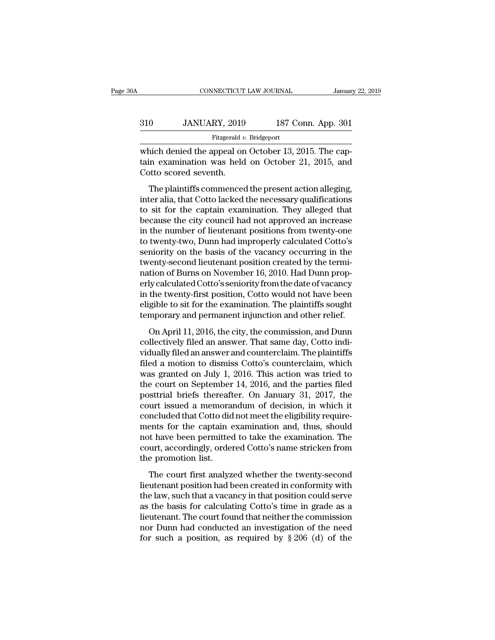|     | CONNECTICUT LAW JOURNAL  |                    | January 22, 2019 |
|-----|--------------------------|--------------------|------------------|
| 310 | JANUARY, 2019            | 187 Conn. App. 301 |                  |
|     | Fitzgerald v. Bridgeport |                    |                  |

CONNECTICUT LAW JOURNAL Januar<br>
310 JANUARY, 2019 187 Conn. App. 301<br>
Fitzgerald v. Bridgeport<br>
which denied the appeal on October 13, 2015. The cap-<br>
tain examination was held on October 21, 2015, and<br>
Cotto second souout 310 JANUARY, 2019 187 Conn. App. 301<br>Fitzgerald v. Bridgeport<br>which denied the appeal on October 13, 2015. The cap-<br>tain examination was held on October 21, 2015, and<br>Cotto scored seventh.  $\begin{array}{c|c} \text{310} & \text{JANUARY, 2019} \ \hline \text{Fitzgerald } v \\ \text{which denied the appeal on } \text{tain examination was held} \\ \text{Cotto scored seventh.} \end{array}$  $\frac{0}{0}$  JANUARY, 2019 187 Conn. App. 301<br>
Fitzgerald v. Bridgeport<br>
iich denied the appeal on October 13, 2015. The cap-<br>
in examination was held on October 21, 2015, and<br>
outo scored seventh.<br>
The plaintiffs commenced

Fitzgerald v. Bridgeport<br>which denied the appeal on October 13, 2015. The cap-<br>tain examination was held on October 21, 2015, and<br>Cotto scored seventh.<br>The plaintiffs commenced the present action alleging,<br>inter alia, tha which denied the appeal on October 13, 2015. The captain examination was held on October 21, 2015, and<br>Cotto scored seventh.<br>The plaintiffs commenced the present action alleging,<br>inter alia, that Cotto lacked the necessary which defied the appear of october 19, 2015. The cap-<br>tain examination was held on October 21, 2015, and<br>Cotto scored seventh.<br>The plaintiffs commenced the present action alleging,<br>inter alia, that Cotto lacked the necessa in the plaintiffs commenced the present action alleging,<br>inter alia, that Cotto lacked the necessary qualifications<br>to sit for the captain examination. They alleged that<br>because the city council had not approved an increas The plaintiffs commenced the present action alleging,<br>inter alia, that Cotto lacked the necessary qualifications<br>to sit for the captain examination. They alleged that<br>because the city council had not approved an increase<br>i The plaintiffs commenced the present action alleging,<br>inter alia, that Cotto lacked the necessary qualifications<br>to sit for the captain examination. They alleged that<br>because the city council had not approved an increase<br>i inter alia, that Cotto lacked the necessary qualifications<br>to sit for the captain examination. They alleged that<br>because the city council had not approved an increase<br>in the number of lieutenant positions from twenty-one<br>t to sit for the captain examination. They alleged that<br>because the city council had not approved an increase<br>in the number of lieutenant positions from twenty-one<br>to twenty-two, Dunn had improperly calculated Cotto's<br>senior because the city council had not approved an increase<br>in the number of lieutenant positions from twenty-one<br>to twenty-two, Dunn had improperly calculated Cotto's<br>seniority on the basis of the vacancy occurring in the<br>twent in the number of lieutenant positions from twenty-one<br>to twenty-two, Dunn had improperly calculated Cotto's<br>seniority on the basis of the vacancy occurring in the<br>twenty-second lieutenant position created by the termi-<br>nat to twenty-two, Dunn had improperly calculated Cotto's<br>seniority on the basis of the vacancy occurring in the<br>twenty-second lieutenant position created by the termi-<br>nation of Burns on November 16, 2010. Had Dunn prop-<br>erly seniority on the basis of the vacancy occurring in the<br>twenty-second lieutenant position created by the termi-<br>nation of Burns on November 16, 2010. Had Dunn prop-<br>erly calculated Cotto's seniority from the date of vacancy Ends become metalling position created by the critical<br>tion of Burns on November 16, 2010. Had Dunn prop-<br>ly calculated Cotto's seniority from the date of vacancy<br>the twenty-first position, Cotto would not have been<br>gible ration of Baris of November 10, 2010. That Band properly calculated Cotto's seniority from the date of vacancy<br>in the twenty-first position, Cotto would not have been<br>eligible to sit for the examination. The plaintiffs sou

in the twenty-first position, Cotto would not have been<br>eligible to sit for the examination. The plaintiffs sought<br>temporary and permanent injunction and other relief.<br>On April 11, 2016, the city, the commission, and Dunn filed a motion to dismiss Cotto's container and other relief.<br>
On April 11, 2016, the city, the commission, and Dunn<br>
collectively filed an answer. That same day, Cotto indi-<br>
vidually filed an answer and counterclaim. The temporary and permanent injunction and other relief.<br>
On April 11, 2016, the city, the commission, and Dunn<br>
collectively filed an answer. That same day, Cotto indi-<br>
vidually filed an answer and counterclaim. The plainti on April 11, 2016, the city, the commission, and Dunn<br>collectively filed an answer. That same day, Cotto indi-<br>vidually filed an answer and counterclaim. The plaintiffs<br>filed a motion to dismiss Cotto's counterclaim, which On April 11, 2016, the city, the commission, and Dunn<br>collectively filed an answer. That same day, Cotto indi-<br>vidually filed an answer and counterclaim. The plaintiffs<br>filed a motion to dismiss Cotto's counterclaim, which collectively filed an answer. That same day, Cotto indi-<br>vidually filed an answer and counterclaim. The plaintiffs<br>filed a motion to dismiss Cotto's counterclaim, which<br>was granted on July 1, 2016. This action was tried to vidually filed an answer and counterclaim. The plaintiffs<br>filed a motion to dismiss Cotto's counterclaim, which<br>was granted on July 1, 2016. This action was tried to<br>the court on September 14, 2016, and the parties filed<br>p filed a motion to dismiss Cotto's counterclaim, which<br>was granted on July 1, 2016. This action was tried to<br>the court on September 14, 2016, and the parties filed<br>posttrial briefs thereafter. On January 31, 2017, the<br>court was granted on July 1, 2016. This action was tried to<br>the court on September 14, 2016, and the parties filed<br>posttrial briefs thereafter. On January 31, 2017, the<br>court issued a memorandum of decision, in which it<br>conclude the court on September 14, 2016, and the parties filed<br>posttrial briefs thereafter. On January 31, 2017, the<br>court issued a memorandum of decision, in which it<br>concluded that Cotto did not meet the eligibility require-<br>men posttrial briefs thereaft<br>court issued a memora<br>concluded that Cotto did<br>ments for the captain  $\epsilon$ <br>not have been permitted<br>court, accordingly, order<br>the promotion list.<br>The court first analyz and associal a memorialism of decision, in which is<br>included that Cotto did not meet the eligibility require-<br>ents for the captain examination and, thus, should<br>the have been permitted to take the examination. The<br>urt, acc Exercise and solid darks intermediate digitally require<br>ments for the captain examination and, thus, should<br>not have been permitted to take the examination. The<br>court, accordingly, ordered Cotto's name stricken from<br>the pr

the law, such that a vacancy in the symmetric serves as the promotion list.<br>The court, accordingly, ordered Cotto's name stricken from<br>the promotion list.<br>The court first analyzed whether the twenty-second<br>lieutenant posit From the promotion list.<br>
The court, accordingly, ordered Cotto's name stricken from<br>
the promotion list.<br>
The court first analyzed whether the twenty-second<br>
lieutenant position had been created in conformity with<br>
the la the promotion list.<br>
The court first analyzed whether the twenty-second<br>
lieutenant position had been created in conformity with<br>
the law, such that a vacancy in that position could serve<br>
as the basis for calculating Cot The court first analyzed whether the twenty-second<br>lieutenant position had been created in conformity with<br>the law, such that a vacancy in that position could serve<br>as the basis for calculating Cotto's time in grade as a<br> The court first analyzed whether the twenty-second<br>lieutenant position had been created in conformity with<br>the law, such that a vacancy in that position could serve<br>as the basis for calculating Cotto's time in grade as a<br>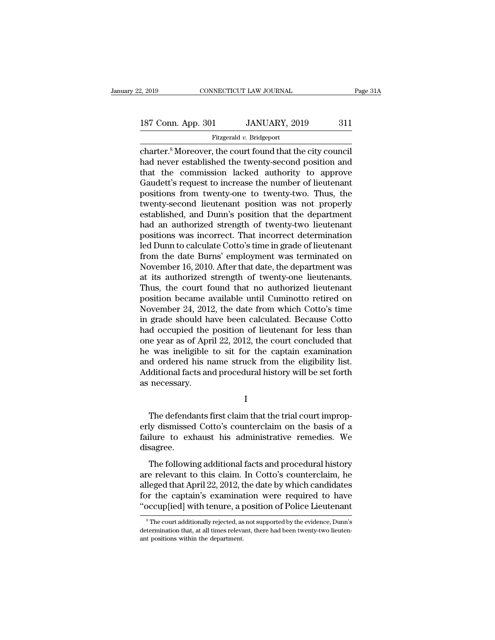# 2, 2019 CONNECTICUT LAW JOURNAL Page 31A<br>187 Conn. App. 301 JANUARY, 2019 311<br>Fitzgerald v. Bridgeport

Fitzgerald *v.* Bridgeport

connecticut LAW JOURNAL Page 3<br>
187 Conn. App. 301 JANUARY, 2019 311<br>
Fitzgerald v. Bridgeport<br>
charter.<sup>8</sup> Moreover, the court found that the city council<br>
had never established the twenty-second position and<br>
that the co 187 Conn. App. 301 JANUARY, 2019 311<br>Fitzgerald v. Bridgeport<br>Charter.<sup>8</sup> Moreover, the court found that the city council<br>had never established the twenty-second position and<br>that the commission lacked authority to approve 187 Conn. App. 301 JANUARY, 2019 311<br>
Fitzgerald v. Bridgeport<br>
charter.<sup>8</sup> Moreover, the court found that the city council<br>
had never established the twenty-second position and<br>
that the commission lacked authority to ap 187 Conn. App. 301 JANUARY, 2019 311<br>Fitzgerald v. Bridgeport<br>Charter.<sup>8</sup> Moreover, the court found that the city council<br>had never established the twenty-second position and<br>that the commission lacked authority to approve Fitzgerald v. Bridgeport<br>
Fitzgerald v. Bridgeport<br>
charter.<sup>8</sup> Moreover, the court found that the city council<br>
had never established the twenty-second position and<br>
that the commission lacked authority to approve<br>
Gaudet Fitzgerald v. Bridgeport<br>
charter.<sup>8</sup> Moreover, the court found that the city council<br>
had never established the twenty-second position and<br>
that the commission lacked authority to approve<br>
Gaudett's request to increase th charter.<sup>8</sup> Moreover, the court found that the city council<br>had never established the twenty-second position and<br>that the commission lacked authority to approve<br>Gaudett's request to increase the number of lieutenant<br>positi had never established the twenty-second position and<br>that the commission lacked authority to approve<br>Gaudett's request to increase the number of lieutenant<br>positions from twenty-one to twenty-two. Thus, the<br>twenty-second l that the commission lacked authority to approve<br>Gaudett's request to increase the number of lieutenant<br>positions from twenty-one to twenty-two. Thus, the<br>twenty-second lieutenant position was not properly<br>established, and Gaudett's request to increase the number of lieutenant<br>positions from twenty-one to twenty-two. Thus, the<br>twenty-second lieutenant position was not properly<br>established, and Dunn's position that the department<br>had an autho positions from twenty-one to twenty-two. Thus, the<br>twenty-second lieutenant position was not properly<br>established, and Dunn's position that the department<br>had an authorized strength of twenty-two lieutenant<br>positions was i twenty-second lieutenant position was not properly<br>established, and Dunn's position that the department<br>had an authorized strength of twenty-two lieutenant<br>positions was incorrect. That incorrect determination<br>led Dunn to established, and Dunn's position that the department<br>had an authorized strength of twenty-two lieutenant<br>positions was incorrect. That incorrect determination<br>led Dunn to calculate Cotto's time in grade of lieutenant<br>from had an authorized strength of twenty-two lieutenant<br>positions was incorrect. That incorrect determination<br>led Dunn to calculate Cotto's time in grade of lieutenant<br>from the date Burns' employment was terminated on<br>November positions was incorrect. That incorrect determination<br>led Dunn to calculate Cotto's time in grade of lieutenant<br>from the date Burns' employment was terminated on<br>November 16, 2010. After that date, the department was<br>at it led Dunn to calculate Cotto's time in grade of lieutenant<br>from the date Burns' employment was terminated on<br>November 16, 2010. After that date, the department was<br>at its authorized strength of twenty-one lieutenants.<br>Thus, from the date Burns' employment was terminated on<br>November 16, 2010. After that date, the department was<br>at its authorized strength of twenty-one lieutenants.<br>Thus, the court found that no authorized lieutenant<br>position b November 16, 2010. After that date, the department was<br>at its authorized strength of twenty-one lieutenants.<br>Thus, the court found that no authorized lieutenant<br>position became available until Cuminotto retired on<br>November at its authorized strength of twenty-one lieutenants.<br>Thus, the court found that no authorized lieutenant<br>position became available until Cuminotto retired on<br>November 24, 2012, the date from which Cotto's time<br>in grade sh Thus, the court found that no authorized lieutenant<br>position became available until Cuminotto retired on<br>November 24, 2012, the date from which Cotto's time<br>in grade should have been calculated. Because Cotto<br>had occupied position became available until Cuminotto retired on<br>November 24, 2012, the date from which Cotto's time<br>in grade should have been calculated. Because Cotto<br>had occupied the position of lieutenant for less than<br>one year as November 24, 2012, the date from which Cotto's time<br>in grade should have been calculated. Because Cotto<br>had occupied the position of lieutenant for less than<br>one year as of April 22, 2012, the court concluded that<br>he was i in grade should had<br>had occupied the<br>one year as of Apr<br>he was ineligible<br>and ordered his n<br>Additional facts an<br>as necessary. was ineligible to sit for the captain examination<br>d ordered his name struck from the eligibility list.<br>diditional facts and procedural history will be set forth<br>necessary.<br>I<br>The defendants first claim that the trial court

I

and ordered his name struck from the eligibility list.<br>Additional facts and procedural history will be set forth<br>as necessary.<br>I<br>The defendants first claim that the trial court improp-<br>erly dismissed Cotto's counterclaim o Additional facts and procedural history will be set forth<br>as necessary.<br>I<br>The defendants first claim that the trial court improp-<br>erly dismissed Cotto's counterclaim on the basis of a<br>failure to exhaust his administrative disagree. I<br>The defendants first claim that the trial court improp-<br>ly dismissed Cotto's counterclaim on the basis of a<br>lure to exhaust his administrative remedies. We<br>sagree.<br>The following additional facts and procedural history<br>e The defendants first claim that the trial court improperly dismissed Cotto's counterclaim on the basis of a<br>failure to exhaust his administrative remedies. We<br>disagree.<br>The following additional facts and procedural history

The decendarity first edaily and the did codit improperly dismissed Cotto's counterclaim on the basis of a failure to exhaust his administrative remedies. We disagree.<br>The following additional facts and procedural history Failure to exhaust his administrative remedies. We<br>disagree.<br>The following additional facts and procedural history<br>are relevant to this claim. In Cotto's counterclaim, he<br>alleged that April 22, 2012, the date by which cand The following additional facts and procedural history<br>are relevant to this claim. In Cotto's counterclaim, he<br>alleged that April 22, 2012, the date by which candidates<br>for the captain's examination were required to have<br>"o re relevant to this claim. In Cotto's counterclaim, he leged that April 22, 2012, the date by which candidates or the captain's examination were required to have occup[ied] with tenure, a position of Police Lieutenant  $^s$ alleged that April 22, 2012, the date by which candidates<br>for the captain's examination were required to have<br>"occup[ied] with tenure, a position of Police Lieutenant<br><sup>8</sup>The court additionally rejected, as not supported by

for the captain's examinat<br>
"occup[ied] with tenure, a p<br>  $\frac{1}{\sqrt{2\pi}}$ <br>  $\frac{1}{\sqrt{2\pi}}$ <br>  $\frac{1}{\sqrt{2\pi}}$  and  $\frac{1}{\sqrt{2\pi}}$ <br>  $\frac{1}{\sqrt{2\pi}}$  and  $\frac{1}{\sqrt{2\pi}}$ <br>  $\frac{1}{\sqrt{2\pi}}$  and  $\frac{1}{\sqrt{2\pi}}$ <br>  $\frac{1}{\sqrt{2\pi}}$ <br>  $\frac{1}{\sqrt{2$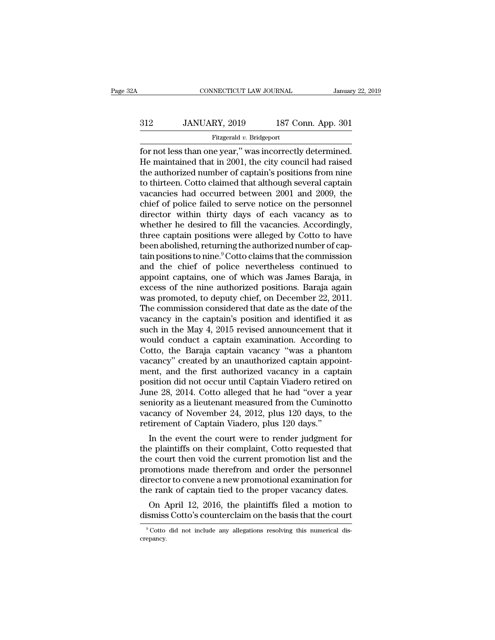# EXECUTE CONNECTICUT LAW JOURNAL January 22, 2019<br>312 JANUARY, 2019 187 Conn. App. 301<br>Fitzgerald v. Bridgeport

### Fitzgerald *v.* Bridgeport

FORMECTICUT LAW JOURNAL January 22, 2<br>
312 JANUARY, 2019 187 Conn. App. 301<br>
Fitzgerald v. Bridgeport<br>
for not less than one year,'' was incorrectly determined.<br>
He maintained that in 2001, the city council had raised<br>
the  $312$  JANUARY, 2019 187 Conn. App. 301<br>Fitzgerald v. Bridgeport<br>for not less than one year," was incorrectly determined.<br>He maintained that in 2001, the city council had raised<br>the authorized number of captain's positions  $\begin{tabular}{ c c c c} \multicolumn{1}{c}{{\bf{312}}} & JANUARY, 2019 & 187 Conn. App. 301 \\ \hline \hline \multicolumn{1}{c}{{\bf{512}}}\end{tabular} \\ \begin{tabular}{ c } {\bf{52}} & {\bf{53}}\\ \hline \multicolumn{1}{c}{{\bf{52}}}\end{tabular} \\ \begin{tabular}{ c } {\bf{54}}\\ \hline \multicolumn{1}{c}{{\bf{53}}}\end{tabular} \\ \begin{tabular}{ c } {\bf{54}}\\ \hline \multicolumn{1}{c}{{\bf{54}}}\end{tabular} \\ \begin{tabular}{ c$  $312$  JANUARY, 2019 187 Conn. App. 301<br>
Fitzgerald v. Bridgeport<br>
for not less than one year," was incorrectly determined.<br>
He maintained that in 2001, the city council had raised<br>
the authorized number of captain's posit Fitzgerald v. Bridgeport<br>
Fitzgerald v. Bridgeport<br>
If the maintained that in 2001, the city council had raised<br>
the authorized number of captain's positions from nine<br>
to thirteen. Cotto claimed that although several capt Fitzgerald v. Bridgeport<br>for not less than one year," was incorrectly determined.<br>He maintained that in 2001, the city council had raised<br>the authorized number of captain's positions from nine<br>to thirteen. Cotto claimed th for not less than one year," was incorrectly determined.<br>He maintained that in 2001, the city council had raised<br>the authorized number of captain's positions from nine<br>to thirteen. Cotto claimed that although several capta He maintained that in 2001, the city council had raised<br>the authorized number of captain's positions from nine<br>to thirteen. Cotto claimed that although several captain<br>vacancies had occurred between 2001 and 2009, the<br>chie the authorized number of captain's positions from nine<br>to thirteen. Cotto claimed that although several captain<br>vacancies had occurred between 2001 and 2009, the<br>chief of police failed to serve notice on the personnel<br>dire to thirteen. Cotto claimed that although several captain vacancies had occurred between 2001 and 2009, the chief of police failed to serve notice on the personnel director within thirty days of each vacancy as to whether h vacancies had occurred between 2001 and 2009, the<br>chief of police failed to serve notice on the personnel<br>director within thirty days of each vacancy as to<br>whether he desired to fill the vacancies. Accordingly,<br>three capta chief of police failed to serve notice on the personnel<br>director within thirty days of each vacancy as to<br>whether he desired to fill the vacancies. Accordingly,<br>three captain positions were alleged by Cotto to have<br>been ab director within thirty days of each vacancy as to<br>whether he desired to fill the vacancies. Accordingly,<br>three captain positions were alleged by Cotto to have<br>been abolished, returning the authorized number of cap-<br>tain po whether he desired to fill the vacancies. Accordingly,<br>three captain positions were alleged by Cotto to have<br>been abolished, returning the authorized number of cap-<br>tain positions to nine.<sup>9</sup> Cotto claims that the commissi three captain positions were alleged by Cotto to have<br>been abolished, returning the authorized number of cap-<br>tain positions to nine.<sup>9</sup> Cotto claims that the commission<br>and the chief of police nevertheless continued to<br>ap been abolished, returning the authorized number of captain positions to nine.<sup>9</sup> Cotto claims that the commission<br>and the chief of police nevertheless continued to<br>appoint captains, one of which was James Baraja, in<br>excess tain positions to nine.<sup>9</sup> Cotto claims that the commission<br>and the chief of police nevertheless continued to<br>appoint captains, one of which was James Baraja, in<br>excess of the nine authorized positions. Baraja again<br>was p and the chief of police nevertheless continued to<br>appoint captains, one of which was James Baraja, in<br>excess of the nine authorized positions. Baraja again<br>was promoted, to deputy chief, on December 22, 2011.<br>The commissio appoint captains, one of which was James Baraja, in<br>excess of the nine authorized positions. Baraja again<br>was promoted, to deputy chief, on December 22, 2011.<br>The commission considered that date as the date of the<br>vacancy excess of the nine authorized positions. Baraja again<br>was promoted, to deputy chief, on December 22, 2011.<br>The commission considered that date as the date of the<br>vacancy in the captain's position and identified it as<br>such was promoted, to deputy chief, on December 22, 2011.<br>The commission considered that date as the date of the<br>vacancy in the captain's position and identified it as<br>such in the May 4, 2015 revised announcement that it<br>would The commission considered that date as the date of the vacancy in the captain's position and identified it as<br>such in the May 4, 2015 revised announcement that it<br>would conduct a captain examination. According to<br>Cotto, th vacancy in the captain's position and identified it as<br>such in the May 4, 2015 revised announcement that it<br>would conduct a captain examination. According to<br>Cotto, the Baraja captain vacancy "was a phantom<br>vacancy" create such in the May 4, 2015 revised announcement that it<br>would conduct a captain examination. According to<br>Cotto, the Baraja captain vacancy "was a phantom<br>vacancy" created by an unauthorized captain appoint-<br>ment, and the fir would conduct a captain examination. According to<br>Cotto, the Baraja captain vacancy "was a phantom<br>vacancy" created by an unauthorized captain appoint-<br>ment, and the first authorized vacancy in a captain<br>position did not o Cotto, the Baraja captain vacancy "was a phantom<br>vacancy" created by an unauthorized captain appoint-<br>ment, and the first authorized vacancy in a captain<br>position did not occur until Captain Viadero retired on<br>June 28, 201 vacancy" created by an unauthorized captain appoment, and the first authorized vacancy in a capt position did not occur until Captain Viadero retired June 28, 2014. Cotto alleged that he had "over a y seniority as a lieute Fin, and the first authorized vacancy in a captain<br>isition did not occur until Captain Viadero retired on<br>me 28, 2014. Cotto alleged that he had "over a year<br>miority as a lieutenant measured from the Cuminotto<br>cancy of Nov position did not occur until Captain viadero retired on<br>June 28, 2014. Cotto alleged that he had "over a year<br>seniority as a lieutenant measured from the Cuminotto<br>vacancy of November 24, 2012, plus 120 days, to the<br>retire

June 28, 2014. Cotto aneged that he had over a year<br>seniority as a lieutenant measured from the Cuminotto<br>vacancy of November 24, 2012, plus 120 days, to the<br>retirement of Captain Viadero, plus 120 days."<br>In the event the semority as a neutenant measured from the Cuminotto<br>vacancy of November 24, 2012, plus 120 days, to the<br>retirement of Captain Viadero, plus 120 days."<br>In the event the court were to render judgment for<br>the plaintiffs on th vacancy of November 24, 2012, plus 120 days, to the<br>retirement of Captain Viadero, plus 120 days."<br>In the event the court were to render judgment for<br>the plaintiffs on their complaint, Cotto requested that<br>the court then v reurement of Captain viadero, plus 120 days.<br>In the event the court were to render judgment for<br>the plaintiffs on their complaint, Cotto requested that<br>the court then void the current promotion list and the<br>promotions made In the event the court were to render judgment for<br>e plaintiffs on their complaint, Cotto requested that<br>e court then void the current promotion list and the<br>omotions made therefrom and order the personnel<br>rector to conven the plaintins on their complaint, Cotto requested that<br>the court then void the current promotion list and the<br>promotions made therefrom and order the personnel<br>director to convene a new promotional examination for<br>the rank director to convene a new promotional examination for<br>the rank of captain tied to the proper vacancy dates.<br>On April 12, 2016, the plaintiffs filed a motion to<br>dismiss Cotto's counterclaim on the basis that the court

crepancy.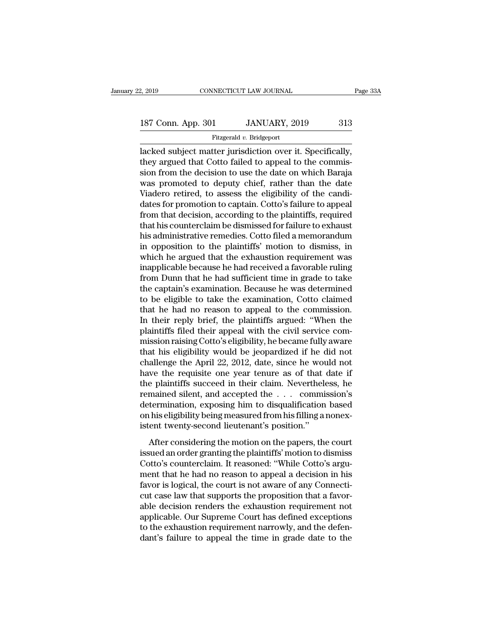# 2, 2019 CONNECTICUT LAW JOURNAL Page 33A<br>187 Conn. App. 301 JANUARY, 2019 313<br>Fitzgerald v. Bridgeport

### Fitzgerald *v.* Bridgeport

2, 2019 CONNECTICUT LAW JOURNAL Page 3<br>
187 Conn. App. 301 JANUARY, 2019 313<br>
Fitzgerald v. Bridgeport<br>
Iacked subject matter jurisdiction over it. Specifically,<br>
they argued that Cotto failed to appeal to the commis-<br>
si 187 Conn. App. 301 JANUARY, 2019 313<br>Fitzgerald v. Bridgeport<br>lacked subject matter jurisdiction over it. Specifically,<br>they argued that Cotto failed to appeal to the commis-<br>sion from the decision to use the date on which 187 Conn. App. 301 JANUARY, 2019 313<br>
Fitzgerald v. Bridgeport<br>
lacked subject matter jurisdiction over it. Specifically,<br>
they argued that Cotto failed to appeal to the commis-<br>
sion from the decision to use the date on 187 Conn. App. 301 JANUARY, 2019 313<br>
Fitzgerald v. Bridgeport<br>
lacked subject matter jurisdiction over it. Specifically,<br>
they argued that Cotto failed to appeal to the commis-<br>
sion from the decision to use the date on Fitzgerald *v*. Bridgeport<br>
Iacked subject matter jurisdiction over it. Specifically,<br>
they argued that Cotto failed to appeal to the commis-<br>
sion from the decision to use the date on which Baraja<br>
was promoted to deputy Fitzgerald v. Bridgeport<br>lacked subject matter jurisdiction over it. Specifically,<br>they argued that Cotto failed to appeal to the commis-<br>sion from the decision to use the date on which Baraja<br>was promoted to deputy chief, lacked subject matter jurisdiction over it. Specifically,<br>they argued that Cotto failed to appeal to the commis-<br>sion from the decision to use the date on which Baraja<br>was promoted to deputy chief, rather than the date<br>Via they argued that Cotto failed to appeal to the commission from the decision to use the date on which Baraja<br>was promoted to deputy chief, rather than the date<br>Viadero retired, to assess the eligibility of the candi-<br>dates sion from the decision to use the date on which Baraja<br>was promoted to deputy chief, rather than the date<br>Viadero retired, to assess the eligibility of the candi-<br>dates for promotion to captain. Cotto's failure to appeal<br>f was promoted to deputy chief, rather than the date<br>Viadero retired, to assess the eligibility of the candi-<br>dates for promotion to captain. Cotto's failure to appeal<br>from that decision, according to the plaintiffs, require Viadero retired, to assess the eligibility of the candi-<br>dates for promotion to captain. Cotto's failure to appeal<br>from that decision, according to the plaintiffs, required<br>that his counterclaim be dismissed for failure to dates for promotion to captain. Cotto's failure to appeal<br>from that decision, according to the plaintiffs, required<br>that his counterclaim be dismissed for failure to exhaust<br>his administrative remedies. Cotto filed a memor from that decision, according to the plaintiffs, required<br>that his counterclaim be dismissed for failure to exhaust<br>his administrative remedies. Cotto filed a memorandum<br>in opposition to the plaintiffs' motion to dismiss, that his counterclaim be dismissed for failure to exhaust<br>his administrative remedies. Cotto filed a memorandum<br>in opposition to the plaintiffs' motion to dismiss, in<br>which he argued that the exhaustion requirement was<br>ina his administrative remedies. Cotto filed a memorandum<br>in opposition to the plaintiffs' motion to dismiss, in<br>which he argued that the exhaustion requirement was<br>inapplicable because he had received a favorable ruling<br>from in opposition to the plaintiffs' motion to dismiss, in<br>which he argued that the exhaustion requirement was<br>inapplicable because he had received a favorable ruling<br>from Dunn that he had sufficient time in grade to take<br>the which he argued that the exhaustion requirement was<br>inapplicable because he had received a favorable ruling<br>from Dunn that he had sufficient time in grade to take<br>the captain's examination. Because he was determined<br>to be inapplicable because he had received a favorable ruling<br>from Dunn that he had sufficient time in grade to take<br>the captain's examination. Because he was determined<br>to be eligible to take the examination, Cotto claimed<br>that from Dunn that he had sufficient time in grade to take<br>the captain's examination. Because he was determined<br>to be eligible to take the examination, Cotto claimed<br>that he had no reason to appeal to the commission.<br>In their the captain's examination. Because he was determined<br>to be eligible to take the examination, Cotto claimed<br>that he had no reason to appeal to the commission.<br>In their reply brief, the plaintiffs argued: "When the<br>plaintiff to be eligible to take the examination, Cotto claimed<br>that he had no reason to appeal to the commission.<br>In their reply brief, the plaintiffs argued: "When the<br>plaintiffs filed their appeal with the civil service com-<br>miss that he had no reason to appeal to the commission.<br>In their reply brief, the plaintiffs argued: "When the<br>plaintiffs filed their appeal with the civil service com-<br>mission raising Cotto's eligibility, he became fully aware In their reply brief, the plaintiffs argued: "When the plaintiffs filed their appeal with the civil service commission raising Cotto's eligibility, he became fully aware that his eligibility would be jeopardized if he did plaintiffs filed their appeal with the civil service commission raising Cotto's eligibility, he became fully aware<br>that his eligibility would be jeopardized if he did not<br>challenge the April 22, 2012, date, since he would mission raising Cotto's eligibility, he became fully aware<br>that his eligibility would be jeopardized if he did not<br>challenge the April 22, 2012, date, since he would not<br>have the requisite one year tenure as of that date i that his eligibility would be jeopardized if he did not challenge the April 22, 2012, date, since he would not have the requisite one year tenure as of that date if the plaintiffs succeed in their claim. Nevertheless, he r challenge the April 22, 2012, date, since he wou<br>have the requisite one year tenure as of that  $\alpha$ <br>the plaintiffs succeed in their claim. Neverthele<br>remained silent, and accepted the  $\dots$  commis<br>determination, exposing h re the requisite one year tends as of that date in<br>e plaintiffs succeed in their claim. Nevertheless, he<br>mained silent, and accepted the . . . commission's<br>termination, exposing him to disqualification based<br>his eligibilit Framaline state and accepted the . . . commission's<br>determination, exposing him to disqualification based<br>on his eligibility being measured from his filling a nonex-<br>istent twenty-second lieutenant's position."<br>After consi

determination, exposing him to disqualification based<br>on his eligibility being measured from his filling a nonex-<br>istent twenty-second lieutenant's position."<br>After considering the motion on the papers, the court<br>issued a ment that he had no reason to appear of any Connection<br>and he had no reasonably being measured from his filling a nonex-<br>istent twenty-second lieutenant's position."<br>After considering the motion on the papers, the court<br>is factor is the considering the motion of the papers, the court<br>issued an order granting the plaintiffs' motion to dismiss<br>Cotto's counterclaim. It reasoned: "While Cotto's argu-<br>ment that he had no reason to appeal a decisi After considering the motion on the papers, the court<br>issued an order granting the plaintiffs' motion to dismiss<br>Cotto's counterclaim. It reasoned: "While Cotto's argu-<br>ment that he had no reason to appeal a decision in hi After considering the motion on the papers, the court<br>issued an order granting the plaintiffs' motion to dismiss<br>Cotto's counterclaim. It reasoned: "While Cotto's argu-<br>ment that he had no reason to appeal a decision in hi issued an order granting the plaintiffs' motion to dismiss<br>Cotto's counterclaim. It reasoned: "While Cotto's argu-<br>ment that he had no reason to appeal a decision in his<br>favor is logical, the court is not aware of any Conn Cotto's counterclaim. It reasoned: "While Cotto's argument that he had no reason to appeal a decision in his favor is logical, the court is not aware of any Connecticut case law that supports the proposition that a favorab ment that he had no reason to appeal a decision in his<br>favor is logical, the court is not aware of any Connecti-<br>cut case law that supports the proposition that a favor-<br>able decision renders the exhaustion requirement not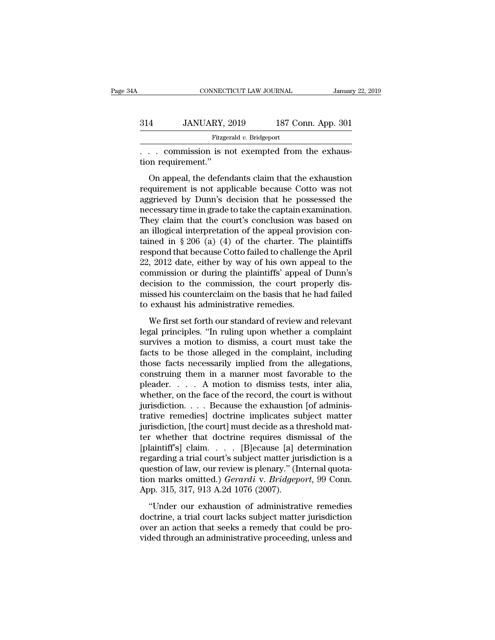|     | CONNECTICUT LAW JOURNAL                                           |                    | January 22, 2019 |
|-----|-------------------------------------------------------------------|--------------------|------------------|
| 314 | JANUARY, 2019                                                     | 187 Conn. App. 301 |                  |
|     | Fitzgerald v. Bridgeport                                          |                    |                  |
|     | commission is not exempted from the exhaus-<br>tion requirement." |                    |                  |
|     | On appeal, the defendants claim that the exhaustion               |                    |                  |

 $\frac{187 \text{ Conn. App. } 301}{\text{Fitzerald } v. \text{ Bridgeport}}$ <br>
... commission is not exempted from the exhaustion<br>
on appeal, the defendants claim that the exhaustion<br>
quirement is not applicable because Cotto was not<br>
grieved by Dunn's docisio 314 JANUARY, 2019 187 Conn. App. 301<br>Fitzgerald v. Bridgeport<br> $\ldots$  commission is not exempted from the exhaustion<br>requirement."<br>On appeal, the defendants claim that the exhaustion<br>requirement is not applicable because Co Fitzgerald v. Bridgeport<br>
. . . . commission is not exempted from the exhaustion<br>
requirement."<br>
On appeal, the defendants claim that the exhaustion<br>
requirement is not applicable because Cotto was not<br>
aggrieved by Dunn' necessary im a find the captain of the captain communities on appeal, the defendants claim that the exhaustion requirement is not applicable because Cotto was not aggrieved by Dunn's decision that he possessed the necessar They claim that the exhaustion requirement."<br>
On appeal, the defendants claim that the exhaustion<br>
requirement is not applicable because Cotto was not<br>
aggrieved by Dunn's decision that he possessed the<br>
necessary time in on requirement.<br>
On appeal, the defendants claim that the exhaustion<br>
requirement is not applicable because Cotto was not<br>
aggrieved by Dunn's decision that he possessed the<br>
necessary time in grade to take the captain ex On appeal, the defendants claim that the exhaustion<br>requirement is not applicable because Cotto was not<br>aggrieved by Dunn's decision that he possessed the<br>necessary time in grade to take the captain examination.<br>They clai requirement is not applicable because Cotto was not<br>aggrieved by Dunn's decision that he possessed the<br>necessary time in grade to take the captain examination.<br>They claim that the court's conclusion was based on<br>an illogic aggrieved by Dunn's decision that he possessed the<br>necessary time in grade to take the captain examination.<br>They claim that the court's conclusion was based on<br>an illogical interpretation of the appeal provision con-<br>taine necessary time in grade to take the captain examination.<br>They claim that the court's conclusion was based on<br>an illogical interpretation of the appeal provision con-<br>tained in § 206 (a) (4) of the charter. The plaintiffs<br>r They claim that the court's conclusion was based on<br>an illogical interpretation of the appeal provision con-<br>tained in  $\S 206$  (a) (4) of the charter. The plaintiffs<br>respond that because Cotto failed to challenge the Apri an illogical interpretation of the appeal provision contained in  $\S 206$  (a) (4) of the charter. The plaintiffs respond that because Cotto failed to challenge the April 22, 2012 date, either by way of his own appeal to th tained in  $\S 206$  (a) (4) of the charter. The<br>respond that because Cotto failed to challenge<br>22, 2012 date, either by way of his own app<br>commission or during the plaintiffs' appeal<br>decision to the commission, the court pr  $2012$  date, either by way of his own appeal to the<br>munission or during the plaintiffs' appeal of Dunn's<br>cision to the commission, the court properly dis-<br>issed his counterclaim on the basis that he had failed<br>exhaust his Legal principles. The plaintiffs' appeal of Dunn's<br>decision to the commission, the court properly dis-<br>missed his counterclaim on the basis that he had failed<br>to exhaust his administrative remedies.<br>We first set forth our

solutions of daring the plantins depeat of Datatis<br>decision to the commission, the court properly dis-<br>missed his counterclaim on the basis that he had failed<br>to exhaust his administrative remedies.<br>We first set forth our missed his counterclaim on the basis that he had failed<br>to exhaust his administrative remedies.<br>We first set forth our standard of review and relevant<br>legal principles. "In ruling upon whether a complaint<br>survives a motion the exhaust his administrative remedies.<br>We first set forth our standard of review and relevant<br>legal principles. "In ruling upon whether a complaint<br>survives a motion to dismiss, a court must take the<br>facts to be those a We first set forth our standard of review and relevant<br>legal principles. "In ruling upon whether a complaint<br>survives a motion to dismiss, a court must take the<br>facts to be those alleged in the complaint, including<br>those We first set forth our standard of review and relevant<br>legal principles. "In ruling upon whether a complaint<br>survives a motion to dismiss, a court must take the<br>facts to be those alleged in the complaint, including<br>those legal principles. "In ruling upon whether a complaint<br>survives a motion to dismiss, a court must take the<br>facts to be those alleged in the complaint, including<br>those facts necessarily implied from the allegations,<br>construi survives a motion to dismiss, a court must take the<br>facts to be those alleged in the complaint, including<br>those facts necessarily implied from the allegations,<br>construing them in a manner most favorable to the<br>pleader.... facts to be those alleged in the complaint, including<br>those facts necessarily implied from the allegations,<br>construing them in a manner most favorable to the<br>pleader. . . . . A motion to dismiss tests, inter alia,<br>whether those facts necessarily implied from the allegations,<br>construing them in a manner most favorable to the<br>pleader.  $\ldots$  A motion to dismiss tests, inter alia,<br>whether, on the face of the record, the court is without<br>jurisd construing them in a manner most favorable to the<br>pleader. . . . . A motion to dismiss tests, inter alia,<br>whether, on the face of the record, the court is without<br>jurisdiction. . . . Because the exhaustion [of adminis-<br>tr pleader. . . . . A motion to dismiss tests, inter alia,<br>whether, on the face of the record, the court is without<br>jurisdiction. . . . Because the exhaustion [of adminis-<br>trative remedies] doctrine implicates subject matter<br> whether, on the face of the record, the court is without<br>jurisdiction. . . . Because the exhaustion [of adminis-<br>trative remedies] doctrine implicates subject matter<br>jurisdiction, [the court] must decide as a threshold ma jurisdiction. . . . Because the exhaustion [of administrative remedies] doctrine implicates subject matter jurisdiction, [the court] must decide as a threshold matter whether that doctrine requires dismissal of the [plain trative remedies] doctrine implicates subject matter<br>jurisdiction, [the court] must decide as a threshold mat-<br>ter whether that doctrine requires dismissal of the<br>[plaintiff's] claim.... [B]ecause [a] determination<br>regardi jurisdiction, [the court] must decide as a ther whether that doctrine requires disn<br>[plaintiff's] claim. . . . [B]ecause [a] d<br>regarding a trial court's subject matter jur<br>question of law, our review is plenary." (Ir<br>tion Under a maximum control equities distinguing a trial court's subject matter jurisdiction is a estion of law, our review is plenary." (Internal quota-<br>n marks omitted.) *Gerardi* v. *Bridgeport*, 99 Conn.<br>pp. 315, 317, 913 regarding a trial court's subject matter jurisdiction is a<br>question of law, our review is plenary." (Internal quota-<br>tion marks omitted.) *Gerardi* v. *Bridgeport*, 99 Conn.<br>App. 315, 317, 913 A.2d 1076 (2007).<br>"Under our

regarding a rital courts subject indicer jamsacetori is a<br>question of law, our review is plenary." (Internal quota-<br>tion marks omitted.) *Gerardi* v. *Bridgeport*, 99 Conn.<br>App. 315, 317, 913 A.2d 1076 (2007).<br>"Under our e Figures and transformation marks omitted.) *Gerardi* v. *Bridgeport*, 99 Conn.<br>App. 315, 317, 913 A.2d 1076 (2007).<br>
"Under our exhaustion of administrative remedies<br>
doctrine, a trial court lacks subject matter jurisdicti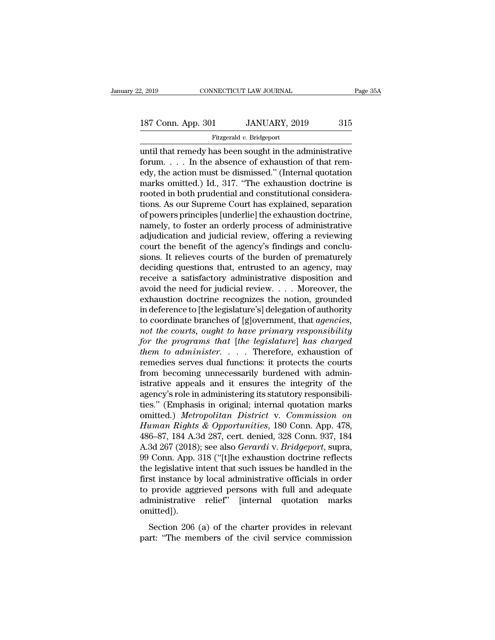Fitzgerald *v.* Bridgeport

2, 2019 CONNECTICUT LAW JOURNAL Page 35A<br>
187 Conn. App. 301 JANUARY, 2019 315<br>
Fitzgerald v. Bridgeport<br>
until that remedy has been sought in the administrative<br>
forum.... In the absence of exhaustion of that remedy the 187 Conn. App. 301 JANUARY, 2019 315<br>Fitzgerald v. Bridgeport<br>until that remedy has been sought in the administrative<br>forum.... In the absence of exhaustion of that rem-<br>edy, the action must be dismissed." (Internal quota 187 Conn. App. 301 JANUARY, 2019 315<br>
Fitzgerald v. Bridgeport<br>
until that remedy has been sought in the administrative<br>
forum.... In the absence of exhaustion of that rem-<br>
edy, the action must be dismissed.'' (Internal 187 Conn. App. 301 JANUARY, 2019 315<br>
Fitzgerald v. Bridgeport<br>
until that remedy has been sought in the administrative<br>
forum.... In the absence of exhaustion of that rem-<br>
edy, the action must be dismissed." (Internal q Fitzgerald v. Bridgeport<br>
until that remedy has been sought in the administrative<br>
forum.... In the absence of exhaustion of that rem-<br>
edy, the action must be dismissed." (Internal quotation<br>
marks omitted.) Id., 317. "T Fizgerald v. Bridgeport<br>until that remedy has been sought in the administrative<br>forum.... In the absence of exhaustion of that rem-<br>edy, the action must be dismissed." (Internal quotation<br>marks omitted.) Id., 317. "The ex until that remedy has been sought in the administrative<br>forum. . . . In the absence of exhaustion of that rem-<br>edy, the action must be dismissed." (Internal quotation<br>marks omitted.) Id., 317. "The exhaustion doctrine is<br> forum. . . . . In the absence of exhaustion of that remedy, the action must be dismissed." (Internal quotation marks omitted.) Id., 317. "The exhaustion doctrine is rooted in both prudential and constitutional considerati edy, the action must be dismissed." (Internal quotation<br>marks omitted.) Id., 317. "The exhaustion doctrine is<br>rooted in both prudential and constitutional considera-<br>tions. As our Supreme Court has explained, separation<br>of marks omitted.) Id., 317. "The exhaustion doctrine is<br>rooted in both prudential and constitutional considera-<br>tions. As our Supreme Court has explained, separation<br>of powers principles [underlie] the exhaustion doctrine,<br>n rooted in both prudential and constitutional considerations. As our Supreme Court has explained, separation of powers principles [underlie] the exhaustion doctrine, namely, to foster an orderly process of administrative ad tions. As our Supreme Court has explained, separation<br>of powers principles [underlie] the exhaustion doctrine,<br>namely, to foster an orderly process of administrative<br>adjudication and judicial review, offering a reviewing<br>c of powers principles [underlie] the exhaustion doctrine,<br>namely, to foster an orderly process of administrative<br>adjudication and judicial review, offering a reviewing<br>court the benefit of the agency's findings and conclu-<br> namely, to foster an orderly process of administrative<br>adjudication and judicial review, offering a reviewing<br>court the benefit of the agency's findings and conclu-<br>sions. It relieves courts of the burden of prematurely<br>de adjudication and judicial review, offering a reviewing<br>court the benefit of the agency's findings and conclu-<br>sions. It relieves courts of the burden of prematurely<br>deciding questions that, entrusted to an agency, may<br>rece court the benefit of the agency's findings and conclusions. It relieves courts of the burden of prematurely deciding questions that, entrusted to an agency, may receive a satisfactory administrative disposition and avoid sions. It relieves courts of the burden of prematurely<br>deciding questions that, entrusted to an agency, may<br>receive a satisfactory administrative disposition and<br>avoid the need for judicial review.... Moreover, the<br>exhaust deciding questions that, entrusted to an agency, may<br>receive a satisfactory administrative disposition and<br>avoid the need for judicial review.... Moreover, the<br>exhaustion doctrine recognizes the notion, grounded<br>in deferen *for the programs that interiors and avoid the need for judicial review.* . . . Moreover, the exhaustion doctrine recognizes the notion, grounded in deference to [the legislature's] delegation of authority to coordinate br *therefore in the need for judicial review.* . . . . Moreover, the exhaustion doctrine recognizes the notion, grounded in deference to [the legislature's] delegation of authority to coordinate branches of [g]overnment, tha exhaustion doctrine recognizes the notion, grounded<br>in deference to [the legislature's] delegation of authority<br>to coordinate branches of [g]overnment, that *agencies*,<br>*not the courts, ought to have primary responsibility* in deference to [the legislature's] delegation of authority<br>to coordinate branches of [g]overnment, that agencies,<br>not the courts, ought to have primary responsibility<br>for the programs that [the legislature] has charged<br>th to coordinate branches of [g]overnment, that agencies,<br>not the courts, ought to have primary responsibility<br>for the programs that [the legislature] has charged<br>them to administer. . . . . Therefore, exhaustion of<br>remedies not the courts, ought to have primary responsibility<br>for the programs that [the legislature] has charged<br>them to administer. . . . Therefore, exhaustion of<br>remedies serves dual functions: it protects the courts<br>from becom for the programs that [the legislature] has charged<br>
them to administer. . . . . Therefore, exhaustion of<br>
remedies serves dual functions: it protects the courts<br>
from becoming unnecessarily burdened with admin-<br>
istrativ them to administer. . . . . Therefore, exhaustion of<br>remedies serves dual functions: it protects the courts<br>from becoming unnecessarily burdened with admin-<br>istrative appeals and it ensures the integrity of the<br>agency's ro remedies serves dual functions: it protects the courts<br>from becoming unnecessarily burdened with admin-<br>istrative appeals and it ensures the integrity of the<br>agency's role in administering its statutory responsibili-<br>ties. from becoming unnecessarily burdened with administrative appeals and it ensures the integrity of the agency's role in administering its statutory responsibilities." (Emphasis in original; internal quotation marks omitted.) istrative appeals and it ensures the integrity of the agency's role in administering its statutory responsibili-<br>ties." (Emphasis in original; internal quotation marks<br>omitted.) *Metropolitan District* v. *Commission on*<br> agency's role in administering its statutory responsibilities." (Emphasis in original; internal quotation marks<br>omitted.) *Metropolitan District* v. *Commission on*<br>Human Rights & Opportunities, 180 Conn. App. 478,<br>486–87, ties." (Emphasis in original; internal quotation marks<br>omitted.) *Metropolitan District* v. *Commission on*<br>*Human Rights & Opportunities*, 180 Conn. App. 478,<br>486–87, 184 A.3d 287, cert. denied, 328 Conn. 937, 184<br>A.3d 26 omitted.) Metropolitan District v. Commission on<br>Human Rights & Opportunities, 180 Conn. App. 478,<br>486–87, 184 A.3d 287, cert. denied, 328 Conn. 937, 184<br>A.3d 267 (2018); see also *Gerardi* v. *Bridgeport*, supra,<br>99 Conn. Human Rights & Opportunities, 180 Conn. App. 478,<br>486–87, 184 A.3d 287, cert. denied, 328 Conn. 937, 184<br>A.3d 267 (2018); see also *Gerardi* v. *Bridgeport*, supra,<br>99 Conn. App. 318 ("[t]he exhaustion doctrine reflects<br>th 486–87, 184 A.3d 287, cert. denied, 328 Conn. 937, 184<br>A.3d 267 (2018); see also *Gerardi* v. *Bridgeport*, supra,<br>99 Conn. App. 318 ("[t]he exhaustion doctrine reflects<br>the legislative intent that such issues be handled i omitted]). Example 12 (Fight character accurate reflects)<br>e legislative intent that such issues be handled in the<br>st instance by local administrative officials in order<br>provide aggrieved persons with full and adequate<br>ministrative re the legislative intent that such issues be handled in the<br>first instance by local administrative officials in order<br>to provide aggrieved persons with full and adequate<br>administrative relief" [internal quotation marks<br>omitt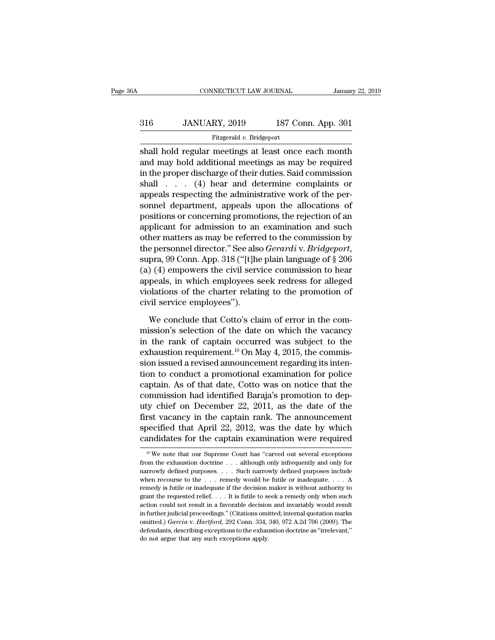# EXECUTE CONNECTICUT LAW JOURNAL January 22, 2019<br>316 JANUARY, 2019 187 Conn. App. 301<br>Fitzgerald v. Bridgeport

### Fitzgerald *v.* Bridgeport

CONNECTICUT LAW JOURNAL January 22, 2019<br>
316 JANUARY, 2019 187 Conn. App. 301<br>
Fitzgerald v. Bridgeport<br>
Shall hold regular meetings at least once each month<br>
and may hold additional meetings as may be required<br>
in the pr 316 JANUARY, 2019 187 Conn. App. 301<br>Fitzgerald v. Bridgeport<br>Shall hold regular meetings at least once each month<br>and may hold additional meetings as may be required<br>in the proper discharge of their duties. Said commissi 316 JANUARY, 2019 187 Conn. App. 301<br>
Fitzgerald v. Bridgeport<br>
shall hold regular meetings at least once each month<br>
and may hold additional meetings as may be required<br>
in the proper discharge of their duties. Said comm  $316$  JANUARY, 2019 187 Conn. App. 301<br>
Fitzgerald v. Bridgeport<br>
shall hold regular meetings at least once each month<br>
and may hold additional meetings as may be required<br>
in the proper discharge of their duties. Said co Fitzgerald v. Bridgeport<br>
shall hold regular meetings at least once each month<br>
and may hold additional meetings as may be required<br>
in the proper discharge of their duties. Said commission<br>
shall . . . . (4) hear and det shall hold regular meetings at least once each month<br>and may hold additional meetings as may be required<br>in the proper discharge of their duties. Said commission<br>shall  $\ldots$  (4) hear and determine complaints or<br>appeals re shall hold regular meetings at least once each month<br>and may hold additional meetings as may be required<br>in the proper discharge of their duties. Said commission<br>shall . . . . (4) hear and determine complaints or<br>appeals r and may hold additional meetings as may be required<br>in the proper discharge of their duties. Said commission<br>shall  $\ldots$  (4) hear and determine complaints or<br>appeals respecting the administrative work of the per-<br>sonnel d in the proper discharge of their duties. Said commission<br>shall  $\ldots$  (4) hear and determine complaints or<br>appeals respecting the administrative work of the per-<br>sonnel department, appeals upon the allocations of<br>positions shall . . . . (4) hear and determine complaints or<br>appeals respecting the administrative work of the per-<br>sonnel department, appeals upon the allocations of<br>positions or concerning promotions, the rejection of an<br>applicant sonnel department, appeals upon the allocations of<br>positions or concerning promotions, the rejection of an<br>applicant for admission to an examination and such<br>other matters as may be referred to the commission by<br>the perso positions or concerning promotions, the rejection of an<br>applicant for admission to an examination and such<br>other matters as may be referred to the commission by<br>the personnel director." See also *Gerardi* v. *Bridgeport*,<br> applicant for admission to an examination and such<br>other matters as may be referred to the commission by<br>the personnel director." See also *Gerardi* v. *Bridgeport*,<br>supra, 99 Conn. App. 318 ("[t]he plain language of § 206 % other matters as may be referred to the commission by<br>the personnel director." See also *Gerardi* v. *Bridgeport*,<br>supra, 99 Conn. App. 318 ("[t]he plain language of  $\S$  206<br>(a) (4) empowers the civil service commission pra, 99 Conn. App. 318 ("[t]he plain language of  $\S$  206 ) (4) empowers the civil service commission to hear<br>peals, in which employees seek redress for alleged<br>plations of the charter relating to the promotion of<br>vil serv (a) (4) empowers the civil service commission to hear<br>appeals, in which employees seek redress for alleged<br>violations of the charter relating to the promotion of<br>civil service employees").<br>We conclude that Cotto's claim o

appeals, in which employees seek redress for alleged<br>violations of the charter relating to the promotion of<br>civil service employees").<br>We conclude that Cotto's claim of error in the com-<br>mission's selection of the date on violations of the charter relating to the promotion of<br>civil service employees").<br>We conclude that Cotto's claim of error in the com-<br>mission's selection of the date on which the vacancy<br>in the rank of captain occurred wa civil service employees").<br>We conclude that Cotto's claim of error in the com-<br>mission's selection of the date on which the vacancy<br>in the rank of captain occurred was subject to the<br>exhaustion requirement.<sup>10</sup> On May 4, We conclude that Cotto's claim of error in the com-<br>mission's selection of the date on which the vacancy<br>in the rank of captain occurred was subject to the<br>exhaustion requirement.<sup>10</sup> On May 4, 2015, the commis-<br>sion issu We conclude that Cotto's claim of error in the com-<br>mission's selection of the date on which the vacancy<br>in the rank of captain occurred was subject to the<br>exhaustion requirement.<sup>10</sup> On May 4, 2015, the commis-<br>sion issu mission's selection of the date on which the vacancy<br>in the rank of captain occurred was subject to the<br>exhaustion requirement.<sup>10</sup> On May 4, 2015, the commis-<br>sion issued a revised announcement regarding its inten-<br>tion in the rank of captain occurred was subject to the<br>exhaustion requirement.<sup>10</sup> On May 4, 2015, the commis-<br>sion issued a revised announcement regarding its inten-<br>tion to conduct a promotional examination for police<br>capta exhaustion requirement.<sup>10</sup> On May 4, 2015, the commission issued a revised announcement regarding its intention to conduct a promotional examination for police captain. As of that date, Cotto was on notice that the commis sion issued a revised announcement regarding its intention to conduct a promotional examination for police captain. As of that date, Cotto was on notice that the commission had identified Baraja's promotion to deputy chief tion to conduct a promotional examination for police<br>captain. As of that date, Cotto was on notice that the<br>commission had identified Baraja's promotion to dep-<br>uty chief on December 22, 2011, as the date of the<br>first vac uty chief on December 22, 2011, as the date of the first vacancy in the captain rank. The announcement specified that April 22, 2012, was the date by which candidates for the captain examination were required  $\frac{10 \text{ We}$ first vacancy in the captain rank. The announcement<br>specified that April 22, 2012, was the date by which<br>candidates for the captain examination were required<br> $\frac{10 \text{ We}}{10 \text{ We}}$  note that our Supreme Court has "carved

specified that April 22, 2012, was the date by which<br>candidates for the captain examination were required<br> $\frac{10 \text{ We}}{10 \text{ We}}$  note that our Supreme Court has "carved out several exceptions<br>from the exhaustion doctrine candidates for the captain examination were required<br>
<sup>10</sup> We note that our Supreme Court has "carved out several exceptions<br>
from the exhaustion doctrine . . . although only infrequently and only for<br>
narrowly defined pu The method of the Captain examination were required as  $\frac{1}{10}$  We note that our Supreme Court has "carved out several exceptions from the exhaustion doctrine . . . although only infrequently and only for narrowly defin <sup>10</sup> We note that our Supreme Court has "carved out several exceptions from the exhaustion doctrine . . . although only infrequently and only for narrowly defined purposes . . . . Such narrowly defined purposes include wh from the exhaustion doctrine . . . although only infrequently and only for narrowly defined purposes. . . . Such narrowly defined purposes include when recourse to the . . . remedy would be futile or inadequate. . . . A r narrowly defined purposes. . . . Such narrowly defined purposes include when recourse to the . . . remedy would be futile or inadequate. . . . A remedy is futile or inadequate if the decision maker is without authority to mentry docurse to the . . . remedy would be futile or inadequate. . . . A remedy is futile or inadequate if the decision maker is without authority to grant the requested relief. . . . It is futile to seek a remedy only wh remedy is futile or inadequate if the decision maker is without authority to grant the requested relief. . . . It is futile to seek a remedy only when such action could not result in a favorable decision and invariably wo grant the requested relief.  $\dots$  It is futile to seek a remedy only when such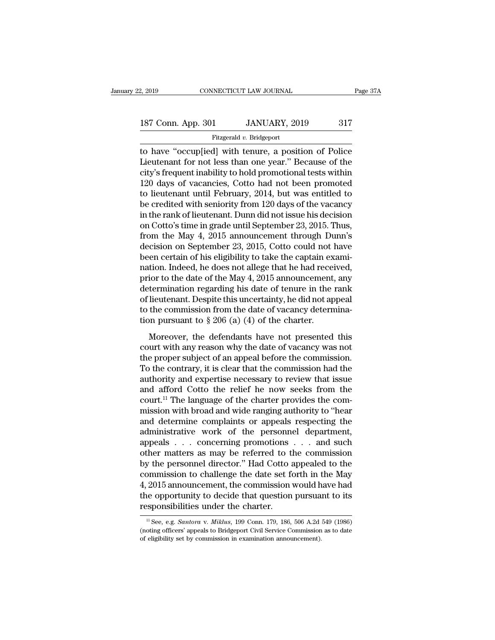# 2, 2019 CONNECTICUT LAW JOURNAL Page 37A<br>187 Conn. App. 301 JANUARY, 2019 317<br>Fitzgerald v. Bridgeport

### Fitzgerald *v.* Bridgeport

2, 2019 CONNECTICUT LAW JOURNAL Page 37A<br>
187 Conn. App. 301 JANUARY, 2019 317<br>
Fitzgerald v. Bridgeport<br>
to have "occup[ied] with tenure, a position of Police<br>
Lieutenant for not less than one year." Because of the<br>
city 187 Conn. App. 301 JANUARY, 2019 317<br>Fitzgerald v. Bridgeport<br>to have "occup[ied] with tenure, a position of Police<br>Lieutenant for not less than one year." Because of the<br>city's frequent inability to hold promotional tests 187 Conn. App. 301 JANUARY, 2019 317<br>
Fitzgerald v. Bridgeport<br>
to have "occup[ied] with tenure, a position of Police<br>
Lieutenant for not less than one year." Because of the<br>
city's frequent inability to hold promotional 187 Conn. App. 301 JANUARY, 2019 317<br>
Fitzgerald v. Bridgeport<br>
to have "occup[ied] with tenure, a position of Police<br>
Lieutenant for not less than one year." Because of the<br>
city's frequent inability to hold promotional Fitzgerald v. Bridgeport<br>
to have "occup[ied] with tenure, a position of Police<br>
Lieutenant for not less than one year." Because of the<br>
city's frequent inability to hold promotional tests within<br>
120 days of vacancies, C Fitzgerald v. Bridgeport<br>to have "occup[ied] with tenure, a position of Police<br>Lieutenant for not less than one year." Because of the<br>city's frequent inability to hold promotional tests within<br>120 days of vacancies, Cotto to have "occup[ied] with tenure, a position of Police<br>Lieutenant for not less than one year." Because of the<br>city's frequent inability to hold promotional tests within<br>120 days of vacancies, Cotto had not been promoted<br>to Lieutenant for not less than one year." Because of the<br>city's frequent inability to hold promotional tests within<br>120 days of vacancies, Cotto had not been promoted<br>to lieutenant until February, 2014, but was entitled to<br>b city's frequent inability to hold promotional tests within<br>120 days of vacancies, Cotto had not been promoted<br>to lieutenant until February, 2014, but was entitled to<br>be credited with seniority from 120 days of the vacancy<br> 120 days of vacancies, Cotto had not been promoted<br>to lieutenant until February, 2014, but was entitled to<br>be credited with seniority from 120 days of the vacancy<br>in the rank of lieutenant. Dunn did not issue his decision<br> to lieutenant until February, 2014, but was entitled to<br>be credited with seniority from 120 days of the vacancy<br>in the rank of lieutenant. Dunn did not issue his decision<br>on Cotto's time in grade until September 23, 2015. be credited with seniority from 120 days of the vacancy<br>in the rank of lieutenant. Dunn did not issue his decision<br>on Cotto's time in grade until September 23, 2015. Thus,<br>from the May 4, 2015 announcement through Dunn's<br>d in the rank of lieutenant. Dunn did not issue his decision<br>on Cotto's time in grade until September 23, 2015. Thus,<br>from the May 4, 2015 announcement through Dunn's<br>decision on September 23, 2015, Cotto could not have<br>been on Cotto's time in grade until September 23, 2015. Thus,<br>from the May 4, 2015 announcement through Dunn's<br>decision on September 23, 2015, Cotto could not have<br>been certain of his eligibility to take the captain exami-<br>nati from the May 4, 2015 announcement through Dunn's<br>decision on September 23, 2015, Cotto could not have<br>been certain of his eligibility to take the captain exami-<br>nation. Indeed, he does not allege that he had received,<br>pri decision on September 23, 2015, Cotto could not have<br>been certain of his eligibility to take the captain exami-<br>nation. Indeed, he does not allege that he had received,<br>prior to the date of the May 4, 2015 announcement, a been certain of his eligibility to take the captain ex<br>nation. Indeed, he does not allege that he had rece<br>prior to the date of the May 4, 2015 announcement<br>determination regarding his date of tenure in the<br>of lieutenant. From the date of the May 4, 2015 announcement, any<br>termination regarding his date of tenure in the rank<br>lieutenant. Despite this uncertainty, he did not appeal<br>the commission from the date of vacancy determina-<br>on pursuan prior to the date of the may r, 2019 annoancement, any<br>determination regarding his date of tenure in the rank<br>of lieutenant. Despite this uncertainty, he did not appeal<br>to the commission from the date of vacancy determina

the proper subject of an appeal before the commission and to the commission from the date of vacancy determination pursuant to § 206 (a) (4) of the charter.<br>Moreover, the defendants have not presented this court with any r of heaterlands. Despite ans ancertaintly, it at not apply to the commission from the date of vacancy determination pursuant to  $\S 206$  (a) (4) of the charter.<br>Moreover, the defendants have not presented this court with an also the commission from the date of vacancy determination pursuant to § 206 (a) (4) of the charter.<br>
Moreover, the defendants have not presented this<br>
court with any reason why the date of vacancy was not<br>
the proper sub Moreover, the defendants have not presented this<br>court with any reason why the date of vacancy was not<br>the proper subject of an appeal before the commission.<br>To the contrary, it is clear that the commission had the<br>author Moreover, the defendants have not presented this<br>court with any reason why the date of vacancy was not<br>the proper subject of an appeal before the commission.<br>To the contrary, it is clear that the commission had the<br>author court with any reason why the date of vacancy was not<br>the proper subject of an appeal before the commission.<br>To the contrary, it is clear that the commission had the<br>authority and expertise necessary to review that issue<br>a the proper subject of an appeal before the commission.<br>To the contrary, it is clear that the commission had the<br>authority and expertise necessary to review that issue<br>and afford Cotto the relief he now seeks from the<br>court To the contrary, it is clear that the commission had the<br>authority and expertise necessary to review that issue<br>and afford Cotto the relief he now seeks from the<br>court.<sup>11</sup> The language of the charter provides the com-<br>mi authority and expertise necessary to review that issue<br>and afford Cotto the relief he now seeks from the<br>court.<sup>11</sup> The language of the charter provides the com-<br>mission with broad and wide ranging authority to "hear<br>and d and afford Cotto the relief he now seeks from the<br>court.<sup>11</sup> The language of the charter provides the com-<br>mission with broad and wide ranging authority to "hear<br>and determine complaints or appeals respecting the<br>administ court.<sup>11</sup> The language of the charter provides the com-<br>mission with broad and wide ranging authority to "hear<br>and determine complaints or appeals respecting the<br>administrative work of the personnel department,<br>appeals . mission with broad and wide ranging authority to "hear<br>and determine complaints or appeals respecting the<br>administrative work of the personnel department,<br>appeals . . . concerning promotions . . . and such<br>other matters as and determine complaints or appeals respecting the<br>administrative work of the personnel department,<br>appeals . . . concerning promotions . . . and such<br>other matters as may be referred to the commission<br>by the personnel di administrative work of the personnel department,<br>appeals . . . concerning promotions . . . and such<br>other matters as may be referred to the commission<br>by the personnel director." Had Cotto appealed to the<br>commission to cha appeals . . . concerning promotions<br>other matters as may be referred to t<br>by the personnel director." Had Cotto :<br>commission to challenge the date set f<br>4, 2015 announcement, the commission<br>the opportunity to decide that commission to challenge the date set forth in the May 4, 2015 announcement, the commission would have had the opportunity to decide that question pursuant to its responsibilities under the charter.<br>
<sup>11</sup> See, e.g. *Santora* 4, 2015 announcement, the commission would have had<br>the opportunity to decide that question pursuant to its<br>responsibilities under the charter.<br> $\frac{1}{12}$  See, e.g. *Santora* v. *Miklus*, 199 Conn. 179, 186, 506 A.2d 549

the opportunity to decide that question pursual responsibilities under the charter.<br>
<sup>11</sup>See, e.g. *Santora* v. *Miklus*, 199 Conn. 179, 186, 506 A.2d (noting officers' appeals to Bridgeport Civil Service Commission of el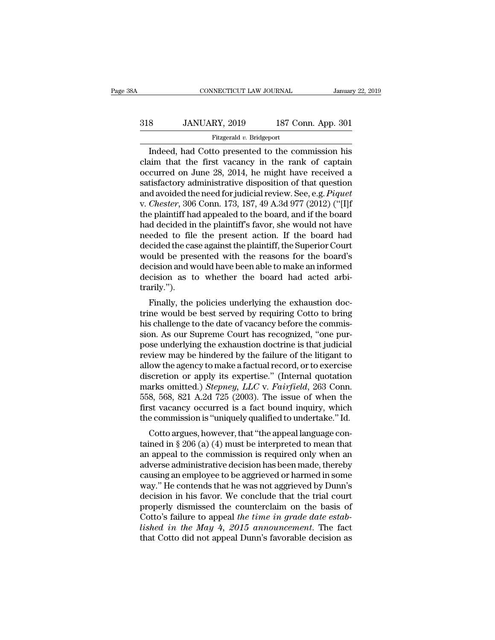## EXECUTE CONNECTICUT LAW JOURNAL January 22, 2019<br>318 JANUARY, 2019 187 Conn. App. 301<br>Fitzgerald v. Bridgeport Fitzgerald *v.* Bridgeport

CONNECTICUT LAW JOURNAL January 22, 2019<br>
Sanuary 22, 2019<br>
IST Conn. App. 301<br>
Fitzgerald v. Bridgeport<br>
Indeed, had Cotto presented to the commission his<br>
im that the first vacancy in the rank of captain<br>
courred on June  $\begin{array}{c|c} \hline \text{318} & \text{JANUARY, 2019} & \text{187 Conn. App. 301} \\ \hline \text{Fitzgerald } v. \text{ Bridgeport} \\ \hline \text{Indeed, had Cotto presented to the commission his claim that the first vacancy in the rank of captain occurred on June 28, 2014, he might have received a satisfactory administrative dispersion of that question.} \end{array}$ 318 JANUARY, 2019 187 Conn. App. 301<br>Fitzgerald v. Bridgeport<br>Indeed, had Cotto presented to the commission his<br>claim that the first vacancy in the rank of captain<br>occurred on June 28, 2014, he might have received a<br>satis 318 JANUARY, 2019 187 Conn. App. 301<br>
Fitzgerald v. Bridgeport<br>
Indeed, had Cotto presented to the commission his<br>
claim that the first vacancy in the rank of captain<br>
occurred on June 28, 2014, he might have received a<br> Fitzgerald v. Bridgeport<br>
Indeed, had Cotto presented to the commission his<br>
claim that the first vacancy in the rank of captain<br>
occurred on June 28, 2014, he might have received a<br>
satisfactory administrative disposition Fitzgerald v. Bridgeport<br>Indeed, had Cotto presented to the commission his<br>claim that the first vacancy in the rank of captain<br>occurred on June 28, 2014, he might have received a<br>satisfactory administrative disposition of Indeed, had Cotto presented to the commission his<br>claim that the first vacancy in the rank of captain<br>occurred on June 28, 2014, he might have received a<br>satisfactory administrative disposition of that question<br>and avoided claim that the first vacancy in the rank of captain<br>occurred on June 28, 2014, he might have received a<br>satisfactory administrative disposition of that question<br>and avoided the need for judicial review. See, e.g. *Piquet*<br> occurred on June 28, 2014, he might have received a<br>satisfactory administrative disposition of that question<br>and avoided the need for judicial review. See, e.g. *Piquet*<br>v. *Chester*, 306 Conn. 173, 187, 49 A.3d 977 (2012) satisfactory administrative disposition of that question<br>and avoided the need for judicial review. See, e.g. *Piquet*<br>v. *Chester*, 306 Conn. 173, 187, 49 A.3d 977 (2012) ("[I]f<br>the plaintiff had appealed to the board, and and avoided the need for judicial review. See, e.g. *Piquet*<br>v. *Chester*, 306 Conn. 173, 187, 49 A.3d 977 (2012) ("[I]f<br>the plaintiff had appealed to the board, and if the board<br>had decided in the plaintiff's favor, she w v. *Chester*, 306 Conn. 173, 187, 49 A.3d 977 (2012) ("[I]f<br>the plaintiff had appealed to the board, and if the board<br>had decided in the plaintiff's favor, she would not have<br>needed to file the present action. If the board the plaintiff had appealed to the board, and if the board<br>had decided in the plaintiff's favor, she would not have<br>needed to file the present action. If the board had<br>decided the case against the plaintiff, the Superior Co trarily.''). Finally, the policies underlying the exhaustion doc-<br>resolution and would have been able to make an informed<br>cision and would have been able to make an informed<br>cision as to whether the board had acted arbi-<br>arily.").<br>Fina decided the case against the plantini, the superior Court<br>would be presented with the reasons for the board's<br>decision as to whether the board had acted arbi-<br>trarily.").<br>Finally, the policies underlying the exhaustion doc

would be presented with the reasons for the board s<br>decision and would have been able to make an informed<br>decision as to whether the board had acted arbi-<br>trarily.").<br>Finally, the policies underlying the exhaustion doc-<br>tr decision and would have been able to make an informed<br>decision as to whether the board had acted arbi-<br>trarily.").<br>Finally, the policies underlying the exhaustion doc-<br>trine would be best served by requiring Cotto to bring pose underlying the exhaustion doctrine would be best served by requiring Cotto to bring<br>his challenge to the date of vacancy before the commis-<br>sion. As our Supreme Court has recognized, "one pur-<br>pose underlying the exha rially, the policies underlying the exhaustion doctrine would be best served by requiring Cotto to bring<br>his challenge to the date of vacancy before the commis-<br>sion. As our Supreme Court has recognized, "one pur-<br>pose und Finally, the policies underlying the exhaustion doctrine would be best served by requiring Cotto to bring<br>his challenge to the date of vacancy before the commis-<br>sion. As our Supreme Court has recognized, "one pur-<br>pose u trine would be best served by requiring Cotto to bring<br>his challenge to the date of vacancy before the commis-<br>sion. As our Supreme Court has recognized, "one pur-<br>pose underlying the exhaustion doctrine is that judicial<br>r his challenge to the date of vacancy before the commission. As our Supreme Court has recognized, "one pur-<br>pose underlying the exhaustion doctrine is that judicial<br>review may be hindered by the failure of the litigant to<br>a sion. As our Supreme Court has recognized, "one pur-<br>pose underlying the exhaustion doctrine is that judicial<br>review may be hindered by the failure of the litigant to<br>allow the agency to make a factual record, or to exerci pose underlying the exhaustion doctrine is that judicial<br>review may be hindered by the failure of the litigant to<br>allow the agency to make a factual record, or to exercise<br>discretion or apply its expertise." (Internal quot review may be hindered by the failure of the litigant to<br>allow the agency to make a factual record, or to exercise<br>discretion or apply its expertise." (Internal quotation<br>marks omitted.) *Stepney, LLC* v. *Fairfield*, 263 by the agency to make a factual record, or to exercise<br>scretion or apply its expertise." (Internal quotation<br>arks omitted.) *Stepney, LLC* v. *Fairfield*, 263 Conn.<br>8, 568, 821 A.2d 725 (2003). The issue of when the<br>st vac the marks omitted.) *Stepney, LLC* v. *Fairfield*, 263 Conn.<br>558, 568, 821 A.2d 725 (2003). The issue of when the<br>first vacancy occurred is a fact bound inquiry, which<br>the commission is "uniquely qualified to undertake."

marks onlined.) stephey, EEC v. Furfreta, 203 Collit.<br>558, 568, 821 A.2d 725 (2003). The issue of when the<br>first vacancy occurred is a fact bound inquiry, which<br>the commission is "uniquely qualified to undertake." Id.<br>Cot abo, 300, 821 A.2d 725 (2005). The issue of when the first vacancy occurred is a fact bound inquiry, which the commission is "uniquely qualified to undertake." Id.<br>Cotto argues, however, that "the appeal language containe inst vacancy occurred is a ract bound inquiry, which<br>the commission is "uniquely qualified to undertake." Id.<br>Cotto argues, however, that "the appeal language con-<br>tained in § 206 (a) (4) must be interpreted to mean that<br>a the commission is uniquely quanned to undertake. Tu.<br>Cotto argues, however, that "the appeal language con-<br>tained in § 206 (a) (4) must be interpreted to mean that<br>an appeal to the commission is required only when an<br>adver Cotto argues, however, that "the appeal language con-<br>tained in § 206 (a) (4) must be interpreted to mean that<br>an appeal to the commission is required only when an<br>adverse administrative decision has been made, thereby<br>ca tained in § 206 (a) (4) must be interpreted to mean that<br>an appeal to the commission is required only when an<br>adverse administrative decision has been made, thereby<br>causing an employee to be aggrieved or harmed in some<br>wa an appeal to the commission is required only when an adverse administrative decision has been made, thereby causing an employee to be aggrieved or harmed in some way." He contends that he was not aggrieved by Dunn's decisi adverse administrative decision has been made, thereby<br>causing an employee to be aggrieved or harmed in some<br>way." He contends that he was not aggrieved by Dunn's<br>decision in his favor. We conclude that the trial court<br>pro causing an employee to be aggrieved or harmed in some<br>way." He contends that he was not aggrieved by Dunn's<br>decision in his favor. We conclude that the trial court<br>properly dismissed the counterclaim on the basis of<br>Cotto'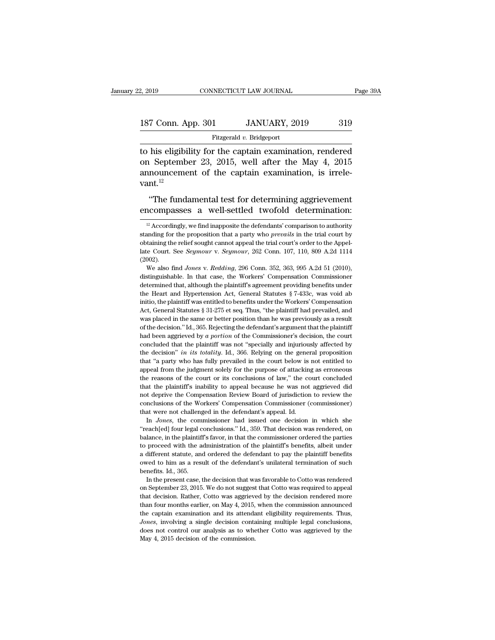Fitzgerald *v.* Bridgeport

2, 2019 CONNECTICUT LAW JOURNAL Page 39A<br>
187 Conn. App. 301 JANUARY, 2019 319<br>
Fitzgerald v. Bridgeport<br>
to his eligibility for the captain examination, rendered<br>
on September 23, 2015, well after the May 4, 2015<br>
announc 187 Conn. App. 301 JANUARY, 2019 319<br>Fitzgerald v. Bridgeport<br>to his eligibility for the captain examination, rendered<br>on September 23, 2015, well after the May 4, 2015<br>announcement of the captain examination, is irrele-187 Conn. App. 301 JANUARY, 2019 319<br>Fitzgerald v. Bridgeport<br>to his eligibility for the captain examination, rendered<br>on September 23, 2015, well after the May 4, 2015<br>announcement of the captain examination, is irrele-<br> vant.<sup>12</sup> Fitzgerald v. Bridgeport<br>
his eligibility for the captain examination, rendered<br>  $\alpha$  September 23, 2015, well after the May 4, 2015<br>
nouncement of the captain examination, is irrele-<br>
t.<sup>12</sup><br>
"The fundamental test for de to his eligibility for the captain examination, rendered<br>on September 23, 2015, well after the May 4, 2015<br>announcement of the captain examination, is irrele-<br>vant.<sup>12</sup><br>"The fundamental test for determining aggrievement<br>e

standing for the proposition that a party who *prevails* in the trial court by obtaining the relief sought cannot appeal the trial court's order to the Appellate Court. See *Seymour* v. *Seymour*, 262 Conn. 107, 110, 809 behavior and proposition that a party interpretation of the that court's order to the Appellate Court. See *Seymour* v. *Seymour*, 262 Conn. 107, 110, 809 A.2d 1114 (2002).<br>We also find *Jones v. Redding*, 296 Conn. 352, Late Court. See *Seymour* v. *Seymour*, 262 Conn. 107, 110, 809 A.2d 1114 (2002).<br>We also find *Jones* v. *Redding*, 296 Conn. 352, 363, 995 A.2d 51 (2010), distinguishable. In that case, the Workers' Compensation Commissi (2002).<br>
We also find *Jones v. Redding*, 296 Conn. 352, 363, 995 A.2d 51 (2010),<br>
distinguishable. In that case, the Workers' Compensation Commissioner<br>
determined that, although the plaintiff's agreement providing benef We also find *Jones v. Redding*, 296 Conn. 352, 363, 995 A.2d 51 (2010), distinguishable. In that case, the Workers' Compensation Commissioner determined that, although the plaintiff's agreement providing benefits under t initio, the plaintiff was entitled to benefits under the Workers' Compensation<br>Act, General Statutes § 31-275 et seq. Thus, "the plaintiff had prevailed, and<br>was placed in the same or better position than he was previously determined that, although the plaintiff's agreement providing benefits under<br>the Heart and Hypertension Act, General Statutes § 7-433c, was void ab<br>initio, the plaintiff was entitled to benefits under the Workers' Compens the Heart and Hypertension Act, General Statutes § 7-433c, was void ab<br>initio, the plaintiff was entitled to benefits under the Workers' Compensation<br>Act, General Statutes § 31-275 et seq. Thus, "the plaintiff had prevaile in the main transformation of the plaintiff was entitled to benefits under the Workers' Compensation Act, General Statutes § 31-275 et seq. Thus, "the plaintiff had prevailed, and was placed in the same or better position Act, General Statutes § 31-275 et seq. Thus, "the plaintiff had prevailed, and was placed in the same or better position than he was previously as a result of the decision." Id., 365. Rejecting the defendant's argument tha was placed in the same or better position than he was previously as a result of the decision." Id., 365. Rejecting the defendant's argument that the plaintiff had been aggrieved by a portion of the Commissioner's decision appear on the decision." Id., 365. Rejecting the defendant's argument that the plaintiff had been aggrieved by a portion of the Commissioner's decision, the court concluded that the plaintiff was not "specially and injuri the reasons of the commissioner's decision, the court concluded that the plaintiff was not "specially and injuriously affected by the decision" *in its totality*. Id., 366. Relying on the general proposition that "a party concluded that the plaintiff was not "specially and injuriously affected by the decision" *in its totality*. Id., 366. Relying on the general proposition that "a party who has fully prevailed in the court below is not ent the decision" *in its totality*. Id., 366. Relying on the general proposition that "a party who has fully prevailed in the court below is not entitled to appeal from the judgment solely for the purpose of attacking as erro that "a party who has fully prevailed in the court below is not entitled to appeal from the judgment solely for the purpose of attacking as erroneous the reasons of the court or its conclusions of law," the court concluded and a pack that were not is conclusions of attacking<br>appeal from the judgment solely for the purpose of attacking<br>the reasons of the court or its conclusions of law," the co<br>that the plaintiff's inability to appeal because Free about or its conclusions of law," the court concluded<br>at the plaintiff's inability to appeal because he was not aggrieved did<br>at the plaintiff's inability to appeal because he was not aggrieved did<br>t deprive the Compe that the plaintiff's inability to appeal because he was not aggrieved did not deprive the Compensation Review Board of jurisdiction to review the conclusions of the Workers' Compensation Commissioner (commissioner) that we

ance deprive the Compensation Review Board of jurisdiction to review the conclusions of the Workers' Compensation Commissioner (commissioner) that were not challenged in the defendant's appeal. Id.<br>
In *Jones*, the commiss to deprive and the Workers' Compensation Commissioner (commissioner)<br>that were not challenged in the defendant's appeal. Id.<br>In *Jones*, the commissioner had issued one decision in which she<br>"reach[ed] four legal conclusio that were not challenged in the defendant's appeal. Id.<br>
In *Jones*, the commissioner had issued one decision in which she<br>
"reach[ed] four legal conclusions." Id., 359. That decision was rendered, on<br>
balance, in the plai In Jones, the commissioner had issued one decision in which she<br>
"reach[ed] four legal conclusions." Id., 359. That decision was rendered, on<br>
balance, in the plaintiff's favor, in that the commissioner ordered the parties "reach[ed] four legal c<br>"reach[ed] four legal c<br>balance, in the plaintifit<br>to proceed with the a<br>a different statute, and<br>a different statute, and<br>we do him as a rest<br>benefits. Id., 365.<br>In the present case, t In the plaintiff's favor, in that the commissioner ordered the parties<br>proceed with the administration of the plaintiff's benefits, albeit under<br>different statute, and ordered the defendant to pay the plaintiff benefits<br>we to proceed with the administration of the plaintiff's benefits, albeit under<br>a different statute, and ordered the defendant to pay the plaintiff benefits<br>owed to him as a result of the defendant's unilateral termination of

a different statute, and ordered the defendant to pay the plaintiff benefits owed to him as a result of the defendant's unilateral termination of such benefits. Id., 365.<br>In the present case, the decision that was favorabl owed to him as a result of the defendant's unilateral termination of such benefits. Id., 365.<br>In the present case, the decision that was favorable to Cotto was rendered on September 23, 2015. We do not suggest that Cotto w benefits. Id., 365.<br>In the present case, the decision that was favorable to Cotto was rendered<br>on September 23, 2015. We do not suggest that Cotto was required to appeal<br>that decision. Rather, Cotto was aggrieved by the de In the present case, the decision that was favorable to Cotto was rendered on September 23, 2015. We do not suggest that Cotto was required to appeal that decision. Rather, Cotto was aggrieved by the decision rendered more on September 23, 2015. We do not suggest that Cotto was required to appeal<br>that decision. Rather, Cotto was aggrieved by the decision rendered more<br>than four months earlier, on May 4, 2015, when the commission announced<br>th that decision. Rather, Cotto was aggrieved by the decision rendered more than four months earlier, on May 4, 2015, when the commission announced the captain examination and its attendant eligibility requirements. Thus, *J* 

untitively accordingly, we find imapposite the defendants' comparison to authority  $\frac{12}{12}$  Accordingly, we find imapposite the defendants' comparison to authority and imapposite the aparty who *prevails* in the trial The fundamental test for determining aggrievement<br>encompasses a well-settled twofold determination:<br><sup>12</sup> Accordingly, we find inapposite the defendants' comparison to authority<br>standing for the proposition that a party who "The fundamental test for determining aggrievement<br>encompasses a well-settled twofold determination:<br> $\frac{12}{12}$  Accordingly, we find inapposite the defendants' comparison to authority<br>standing for the proposition that a encompasses a well-settled twofold determination:<br><sup>12</sup> Accordingly, we find inapposite the defendants' comparison to authority<br>standing for the proposition that a party who *prevails* in the trial court by<br>obtaining the re (2002). <sup>12</sup> Accordingly, we find inapposite the defendants' comparison to authority anding for the proposition that a party who *prevails* in the trial court by taining the relief sought cannot appeal the trial court's order to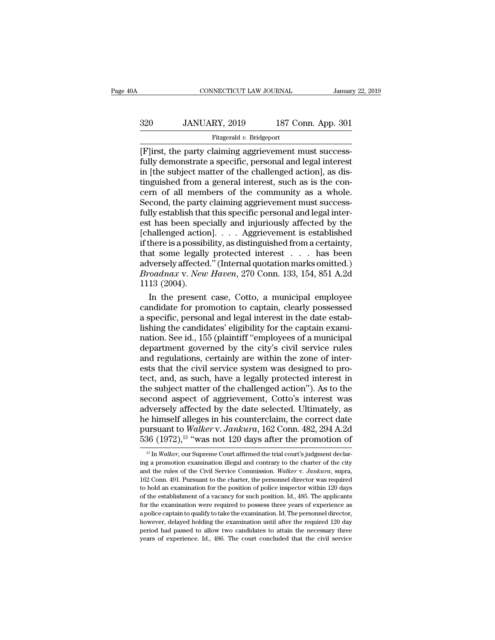# EXECUTE CONNECTICUT LAW JOURNAL January 22, 2019<br>320 JANUARY, 2019 187 Conn. App. 301<br>Fitzgerald v. Bridgeport

### Fitzgerald *v.* Bridgeport

CONNECTICUT LAW JOURNAL<br>
320 JANUARY, 2019 187 Conn. App. 301<br>
Fitzgerald v. Bridgeport<br>
Flirst, the party claiming aggrievement must success-<br>
fully demonstrate a specific, personal and legal interest<br>
in Ithe subject mat Fully demonstrate a specific, personal and legal interest<br>  $\begin{bmatrix}\n\text{First, the party claiming aggrievement must success}\n\text{fully demonstrate a specific, personal and legal interest}\n\text{in [the subject matter of the challenged action], as distinguished from a general interest such as is the con-$ 320 JANUARY, 2019 187 Conn. App. 301<br>
Fitzgerald v. Bridgeport<br>
[F]irst, the party claiming aggrievement must success-<br>
fully demonstrate a specific, personal and legal interest<br>
in [the subject matter of the challenged a 320 JANUARY, 2019 187 Conn. App. 301<br>
Fitzgerald v. Bridgeport<br>
[F]irst, the party claiming aggrievement must success-<br>
fully demonstrate a specific, personal and legal interest<br>
in [the subject matter of the challenged a Fitzgerald v. Bridgeport<br>
Fitzgerald v. Bridgeport<br>
[F]irst, the party claiming aggrievement must success-<br>
fully demonstrate a specific, personal and legal interest<br>
in [the subject matter of the challenged action], as d Flirst, the party claiming aggrievement must success-<br>fully demonstrate a specific, personal and legal interest<br>in [the subject matter of the challenged action], as dis-<br>tinguished from a general interest, such as is the c [F]irst, the party claiming aggrievement must success-<br>fully demonstrate a specific, personal and legal interest<br>in [the subject matter of the challenged action], as dis-<br>tinguished from a general interest, such as is the fully demonstrate a specific, personal and legal interest<br>in [the subject matter of the challenged action], as dis-<br>tinguished from a general interest, such as is the con-<br>cern of all members of the community as a whole.<br>S in [the subject matter of the challenged action], as distinguished from a general interest, such as is the concern of all members of the community as a whole.<br>Second, the party claiming aggrievement must successfully estab tinguished from a general interest, such as is the concern of all members of the community as a whole.<br>Second, the party claiming aggrievement must successfully establish that this specific personal and legal interest has cern of all members of the community as a whole.<br>Second, the party claiming aggrievement must success-<br>fully establish that this specific personal and legal inter-<br>est has been specially and injuriously affected by the<br>[c Second, the party claiming aggrievement must success-<br>fully establish that this specific personal and legal inter-<br>est has been specially and injuriously affected by the<br>[challenged action]. . . . Aggrievement is establish fully establish that this specific personal and legal interest has been specially and injuriously affected by the [challenged action]. . . . Aggrievement is established if there is a possibility, as distinguished from a ce est has been spee<br>
[challenged action<br>
if there is a possib<br>
that some legally<br>
adversely affected<br> *Broadnax v. New*<br>
1113 (2004).<br>
In the present hallenged action].  $\ldots$  Aggrievement is established<br>there is a possibility, as distinguished from a certainty,<br>at some legally protected interest  $\ldots$  has been<br>versely affected." (Internal quotation marks omitted.)<br> $roadmax v$ if there is a possibility, as distinguished from a certainty,<br>that some legally protected interest  $\dots$  has been<br>adversely affected." (Internal quotation marks omitted.)<br>*Broadnax v. New Haven*, 270 Conn. 133, 154, 851 A.

that some legally protected interest  $\ldots$  has been<br>adversely affected." (Internal quotation marks omitted.)<br>*Broadnax v. New Haven*, 270 Conn. 133, 154, 851 A.2d<br>1113 (2004).<br>In the present case, Cotto, a municipal emplo adversely affected." (Internal quotation marks omitted.)<br>Broadnax v. New Haven, 270 Conn. 133, 154, 851 A.2d<br>1113 (2004).<br>In the present case, Cotto, a municipal employee<br>candidate for promotion to captain, clearly possess Broadnax v. New Haven, 270 Conn. 133, 154, 851 A.2d<br>1113 (2004).<br>In the present case, Cotto, a municipal employee<br>candidate for promotion to captain, clearly possessed<br>a specific, personal and legal interest in the date es 1113 (2004).<br>
In the present case, Cotto, a municipal employee<br>
candidate for promotion to captain, clearly possessed<br>
a specific, personal and legal interest in the date estab-<br>
lishing the candidates' eligibility for the In the present case, Cotto, a municipal employee candidate for promotion to captain, clearly possessed a specific, personal and legal interest in the date establishing the candidates' eligibility for the captain examinatio candidate for promotion to captain, clearly possessed<br>a specific, personal and legal interest in the date estab-<br>lishing the candidates' eligibility for the captain exami-<br>nation. See id., 155 (plaintiff "employees of a mu a specific, personal and legal interest in the date establishing the candidates' eligibility for the captain examination. See id., 155 (plaintiff "employees of a municipal department governed by the city's civil service ru lishing the candidates' eligibility for the captain exami-<br>nation. See id., 155 (plaintiff "employees of a municipal<br>department governed by the city's civil service rules<br>and regulations, certainly are within the zone of i nation. See id., 155 (plaintiff "employees of a municipal<br>department governed by the city's civil service rules<br>and regulations, certainly are within the zone of inter-<br>ests that the civil service system was designed to pr department governed by the city's civil service rules<br>and regulations, certainly are within the zone of inter-<br>ests that the civil service system was designed to pro-<br>tect, and, as such, have a legally protected interest and regulations, certainly are within the zone of interests that the civil service system was designed to pro-<br>tect, and, as such, have a legally protected interest in<br>the subject matter of the challenged action"). As to t ests that the civil service system was designed to pro-<br>tect, and, as such, have a legally protected interest in<br>the subject matter of the challenged action"). As to the<br>second aspect of aggrievement, Cotto's interest was<br> tect, and, as such, have a legally protected interest in<br>the subject matter of the challenged action"). As to the<br>second aspect of aggrievement, Cotto's interest was<br>adversely affected by the date selected. Ultimately, as diversely affected by the date selected. Ultimately, as<br>
as himself alleges in his counterclaim, the correct date<br>
ursuant to *Walker* v. *Jankura*, 162 Conn. 482, 294 A.2d<br>
36 (1972),<sup>13</sup> "was not 120 days after the promo he himself alleges in his counterclaim, the correct date<br>pursuant to *Walker* v. Jankura, 162 Conn. 482, 294 A.2d<br>536 (1972),<sup>13</sup> "was not 120 days after the promotion of<br><sup>13</sup> In *Walker*, our Supreme Court affirmed the tr

pursuant to *Walker* v. *Jankura*, 162 Conn. 482, 294 A.2d<br>536 (1972),<sup>13</sup> "was not 120 days after the promotion of<br><sup>13</sup> In *Walker*, our Supreme Court affirmed the trial court's judgment declaring a promotion examination  $1836 (1972)$ ,  $13$  "was not 120 days after the promotion of  $1816$  Malker, our Supreme Court affirmed the trial court's judgment declaring a promotion examination illegal and contrary to the charter of the city and the ru  $t^{13}$  In *Walker*, our Supreme Court affirmed the trial court's judgment declaring a promotion examination illegal and contrary to the charter of the city and the rules of the Civil Service Commission. *Walker* v. *Jank* <sup>13</sup> In *Walker*, our Supreme Court affirmed the trial court's judgment declaring a promotion examination illegal and contrary to the charter of the city and the rules of the Civil Service Commission. *Walker v. Jankura*, for the examination illegal and contrary to the charter of the city<br>and the rules of the Civil Service Commission. *Walker* v. *Jankura*, supra,<br>162 Conn. 491. Pursuant to the charter, the personnel director was required<br>t and the rules of the Civil Service Commission. Walker v. Jankura, supra, 162 Conn. 491. Pursuant to the charter, the personnel director was required to hold an examination for the position of police inspector within 120 d however, delayed holding the examination until after the necessary difference as a police inspector within 120 days of the establishment of a vacancy for such position. Id., 485. The applicants for the examination were req For bold an examination for the position of police inspector within 120 days of the establishment of a vacancy for such position. Id., 485. The applicants for the examination were required to possess three years of experie of the establishment of a vacancy for such position. Id., 485. The applicants for the examination were required to possess three years of experience as a police captain to qualify to take the examination. Id. The personnel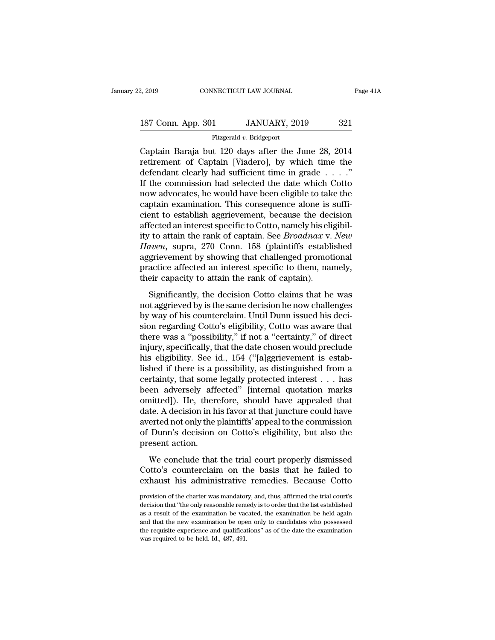| 2, 2019            | CONNECTICUT LAW JOURNAL  | Page 41A |
|--------------------|--------------------------|----------|
| 187 Conn. App. 301 | JANUARY, 2019            | 321      |
|                    | Fitzgerald v. Bridgeport |          |

2, 2019 CONNECTICUT LAW JOURNAL Page 41A<br>
187 Conn. App. 301 JANUARY, 2019 321<br>
Fitzgerald v. Bridgeport<br>
Captain Baraja but 120 days after the June 28, 2014<br>
retirement of Captain [Viadero], by which time the<br>
dofondant c 187 Conn. App. 301 JANUARY, 2019 321<br>Fitzgerald v. Bridgeport<br>Captain Baraja but 120 days after the June 28, 2014<br>retirement of Captain [Viadero], by which time the<br>defendant clearly had sufficient time in grade . . . ."<br>I 187 Conn. App. 301 JANUARY, 2019 321<br>
Fitzgerald v. Bridgeport<br>
Captain Baraja but 120 days after the June 28, 2014<br>
retirement of Captain [Viadero], by which time the<br>
defendant clearly had sufficient time in grade . . . 187 Conn. App. 301 JANUARY, 2019 321<br>
Fitzgerald v. Bridgeport<br>
Captain Baraja but 120 days after the June 28, 2014<br>
retirement of Captain [Viadero], by which time the<br>
defendant clearly had sufficient time in grade . . . Fitzgerald v. Bridgeport<br>
Captain Baraja but 120 days after the June 28, 2014<br>
retirement of Captain [Viadero], by which time the<br>
defendant clearly had sufficient time in grade . . . ."<br>
If the commission had selected the Fitzgerald v. Bridgeport<br>Captain Baraja but 120 days after the June 28, 2014<br>retirement of Captain [Viadero], by which time the<br>defendant clearly had sufficient time in grade  $\ldots$ ."<br>If the commission had selected the dat Captain Baraja but 120 days after the June 28, 2014<br>retirement of Captain [Viadero], by which time the<br>defendant clearly had sufficient time in grade  $\ldots$ ."<br>If the commission had selected the date which Cotto<br>now advocat retirement of Captain [Viadero], by which time the<br>defendant clearly had sufficient time in grade . . . ."<br>If the commission had selected the date which Cotto<br>now advocates, he would have been eligible to take the<br>captain defendant clearly had sufficient time in grade . . . ."<br>If the commission had selected the date which Cotto<br>now advocates, he would have been eligible to take the<br>captain examination. This consequence alone is suffi-<br>cient If the commission had selected the date which Cotto<br>now advocates, he would have been eligible to take the<br>captain examination. This consequence alone is suffi-<br>cient to establish aggrievement, because the decision<br>affecte now advocates, he would have been eligible to take the captain examination. This consequence alone is sufficient to establish aggrievement, because the decision affected an interest specific to Cotto, namely his eligibilit captain examination. This consequence alone is sufficient to establish aggrievement, because the decision affected an interest specific to Cotto, namely his eligibility to attain the rank of captain. See *Broadnax v. New H* cient to establish aggrievement, because the dec<br>affected an interest specific to Cotto, namely his eli<br>ity to attain the rank of captain. See *Broadnax* v.<br>*Haven*, supra, 270 Conn. 158 (plaintiffs establi<br>aggrievement by The decision of the rank of captain. See *Broadnax v. New*<br> *i* to attain the rank of captain. See *Broadnax v. New*<br> *iven*, supra, 270 Conn. 158 (plaintiffs established<br>
grievement by showing that challenged promotional not a sum and the same dependent of experiment to the same dependent of the stablished aggrievement by showing that challenged promotional practice affected an interest specific to them, namely, their capacity to attain th

Frace, Supra, 210 Com. 150 (plantins established<br>aggrievement by showing that challenged promotional<br>practice affected an interest specific to them, namely,<br>their capacity to attain the rank of captain).<br>Significantly, the significantly is showng and enanchged pronodonal practice affected an interest specific to them, namely, their capacity to attain the rank of captain).<br>Significantly, the decision Cotto claims that he was not aggrieved by plactice directed an interest specific to dieth, halfler,<br>their capacity to attain the rank of captain).<br>Significantly, the decision Cotto claims that he was<br>not aggrieved by is the same decision he now challenges<br>by way o Significantly, the decision Cotto claims that he was<br>not aggrieved by is the same decision he now challenges<br>by way of his counterclaim. Until Dunn issued his deci-<br>sion regarding Cotto's eligibility, Cotto was aware that<br> Significantly, the decision Cotto claims that he was<br>not aggrieved by is the same decision he now challenges<br>by way of his counterclaim. Until Dunn issued his deci-<br>sion regarding Cotto's eligibility, Cotto was aware that<br> not aggrieved by is the same decision he now challenges<br>by way of his counterclaim. Until Dunn issued his deci-<br>sion regarding Cotto's eligibility, Cotto was aware that<br>there was a "possibility," if not a "certainty," of d by way of his counterclaim. Until Dunn issued his decision regarding Cotto's eligibility, Cotto was aware that<br>there was a "possibility," if not a "certainty," of direct<br>injury, specifically, that the date chosen would pre sion regarding Cotto's eligibility, Cotto was aware that<br>there was a "possibility," if not a "certainty," of direct<br>injury, specifically, that the date chosen would preclude<br>his eligibility. See id., 154 ("[a]ggrievement there was a "possibility," if not a "certainty," of direct<br>injury, specifically, that the date chosen would preclude<br>his eligibility. See id., 154 ("[a]ggrievement is estab-<br>lished if there is a possibility, as distinguish injury, specifically, that the date chosen would preclude<br>his eligibility. See id., 154 ("[a]ggrievement is estab-<br>lished if there is a possibility, as distinguished from a<br>certainty, that some legally protected interest . his eligibility. See id., 154 ("[a]ggrievement is estab-<br>lished if there is a possibility, as distinguished from a<br>certainty, that some legally protected interest . . . has<br>been adversely affected" [internal quotation mark lished if there is a possibility, as distinguished from a<br>certainty, that some legally protected interest  $\dots$  has<br>been adversely affected" [internal quotation marks<br>omitted]). He, therefore, should have appealed that<br>dat certainty, that some<br>been adversely affer<br>omitted]). He, there<br>date. A decision in h<br>averted not only the p<br>of Dunn's decision<br>present action.<br>We conclude that Internal quotation manual<br>inted]). He, therefore, should have appealed that<br>te. A decision in his favor at that juncture could have<br>erted not only the plaintiffs' appeal to the commission<br>Dunn's decision on Cotto's eligibi date. A decision in his favor at that juncture could have<br>averted not only the plaintiffs' appeal to the commission<br>of Dunn's decision on Cotto's eligibility, but also the<br>present action.<br>We conclude that the trial court p and the plaintiffs' appeal to the commission<br>of Dunn's decision on Cotto's eligibility, but also the<br>present action.<br>We conclude that the trial court properly dismissed<br>Cotto's counterclaim on the basis that he failed to<br>e

We conclude that the trial court properly dismissed<br>Cotto's counterclaim on the basis that he failed to<br>exhaust his administrative remedies. Because Cotto<br>provision of the charter was mandatory, and, thus, affirmed the tri We conclude that the trial court properly dismissed<br>Cotto's counterclaim on the basis that he failed to<br>exhaust his administrative remedies. Because Cotto<br>provision of the charter was mandatory, and, thus, affirmed the tri

Cotto's counterclaim on the basis that he failed to exhaust his administrative remedies. Because Cotto provision of the charter was mandatory, and, thus, affirmed the trial court's decision that "the only reasonable remedy exhaust his administrative remedies. Because Cotto<br>provision of the charter was mandatory, and, thus, affirmed the trial court's<br>decision that "the only reasonable remedy is to order that the list established<br>as a result o EXITALLST THIS ALTHITIST ALTYCE TEHTECTIES. DECAUSE COTTO<br>provision of the charter was mandatory, and, thus, affirmed the trial court's<br>decision that "the only reasonable remedy is to order that the list established<br>as a r provision of the charter was mandatory, and, thus, affirmed the trial court's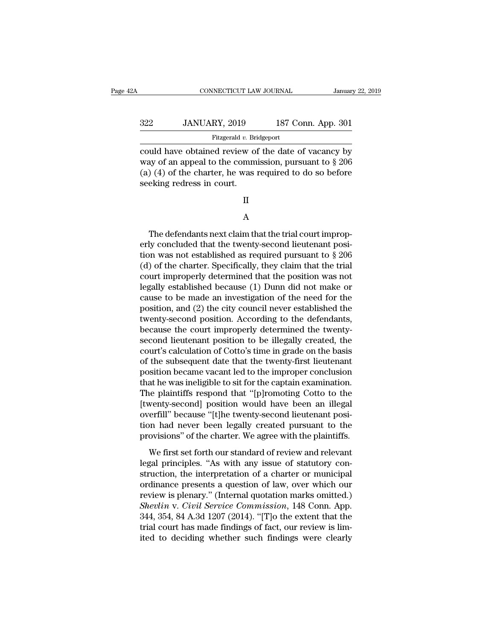| Ά   | CONNECTICUT LAW JOURNAL                                                                                                                                                        |                    | January 22, 2019 |
|-----|--------------------------------------------------------------------------------------------------------------------------------------------------------------------------------|--------------------|------------------|
| 322 | JANUARY, 2019                                                                                                                                                                  | 187 Conn. App. 301 |                  |
|     | Fitzgerald v. Bridgeport                                                                                                                                                       |                    |                  |
|     | could have obtained review of the date of vacancy by<br>way of an appeal to the commission, pursuant to $\S 206$<br>$(a)$ $(b)$ of the shorter he was required to do so before |                    |                  |

322 JANUARY, 2019 187 Conn. App. 301<br>Fitzgerald v. Bridgeport<br>could have obtained review of the date of vacancy by<br>way of an appeal to the commission, pursuant to § 206<br>(a) (4) of the charter, he was required to do so bef (a)  $\frac{322}{\text{2444 v. Bridgeport}}$ <br>
Fitzgerald v. Bridgeport<br>
Could have obtained review of the date of vacancy by<br>
way of an appeal to the commission, pursuant to § 206<br>
(a) (4) of the charter, he was required to do so before<br>
s  $\begin{array}{lll}\n & \text{JANUARY, 2019} \ \hline \text{Fitzgerald } v. \text{ Bri-} \ \text{Could have obtained review on} \ \text{way of an appeal to the comm} \ \text{(a) (4) of the charter, he was seeking redress in court.} \ \text{II}\n\end{array}$ 

II

### A

 $\begin{aligned} \text{(4) of the charter, he was required to do so before} \ \text{eking redress in court.} \ \text{I} \ \text{A} \ \text{The defaults next claim that the trial court improving concluded that the twenty-second lieutenant position was not established as required invariant to  $8.206 \ \text{m} \end{aligned}$$ seeking redress in court.<br>
II<br>
A<br>
The defendants next claim that the trial court improperly<br>
concluded that the twenty-second lieutenant posi-<br>
tion was not established as required pursuant to  $\S 206$ <br>
(d) of the charter S II<br>
A<br>
The defendants next claim that the trial court improp-<br>
erly concluded that the twenty-second lieutenant posi-<br>
tion was not established as required pursuant to § 206<br>
(d) of the charter. Specifically, they claim th (d) of the charter. Specifically, they claim that the trial A<br>
The defendants next claim that the trial court improperly concluded that the twenty-second lieutenant posi-<br>
tion was not established as required pursuant to  $\S 206$ <br>
(d) of the charter. Specifically, they claim that t The defendants next claim that the trial court improp-<br>erly concluded that the twenty-second lieutenant posi-<br>tion was not established as required pursuant to  $\S$  206<br>(d) of the charter. Specifically, they claim that the The defendants next claim that the trial court improperly concluded that the twenty-second lieutenant position was not established as required pursuant to  $\S 206$  (d) of the charter. Specifically, they claim that the tria erly concluded that the twenty-second lieutenant position was not established as required pursuant to § 206 (d) of the charter. Specifically, they claim that the trial court improperly determined that the position was not tion was not established as required pursuant to  $\S 206$ <br>(d) of the charter. Specifically, they claim that the trial<br>court improperly determined that the position was not<br>legally established because (1) Dunn did not make (d) of the charter. Specifically, they claim that the trial court improperly determined that the position was not legally established because (1) Dunn did not make or cause to be made an investigation of the need for the court improperly determined that the position was not<br>legally established because (1) Dunn did not make or<br>cause to be made an investigation of the need for the<br>position, and (2) the city council never established the<br>twen legally established because (1) Dunn did not make or<br>cause to be made an investigation of the need for the<br>position, and (2) the city council never established the<br>twenty-second position. According to the defendants,<br>becau cause to be made an investigation of the need for the<br>position, and (2) the city council never established the<br>twenty-second position. According to the defendants,<br>because the court improperly determined the twenty-<br>second position, and (2) the city council never established the<br>twenty-second position. According to the defendants,<br>because the court improperly determined the twenty-<br>second lieutenant position to be illegally created, the<br>cour twenty-second position. According to the defendants,<br>because the court improperly determined the twenty-<br>second lieutenant position to be illegally created, the<br>court's calculation of Cotto's time in grade on the basis<br>of because the court improperly determined the twenty-<br>second lieutenant position to be illegally created, the<br>court's calculation of Cotto's time in grade on the basis<br>of the subsequent date that the twenty-first lieutenant<br> second lieutenant position to be illegally created, the court's calculation of Cotto's time in grade on the basis<br>of the subsequent date that the twenty-first lieutenant<br>position became vacant led to the improper conclusio court's calculation of Cotto's time in grade on the basis<br>of the subsequent date that the twenty-first lieutenant<br>position became vacant led to the improper conclusion<br>that he was ineligible to sit for the captain examinat of the subsequent date that the twenty-first lieutenant<br>position became vacant led to the improper conclusion<br>that he was ineligible to sit for the captain examination.<br>The plaintiffs respond that "[p]romoting Cotto to the position became vacant led to the improper conclusion<br>that he was ineligible to sit for the captain examination.<br>The plaintiffs respond that "[p]romoting Cotto to the<br>[twenty-second] position would have been an illegal<br>ove The mass means of the captain channels in the plaintiffs respond that "[p]romoting Cotto to the wenty-second] position would have been an illegal erfill" because "[t]he twenty-second lieutenant position had never been lega Interparamental projects and the processing of the distribution in the provisions" because "[t]he twenty-second lieutenant position had never been legally created pursuant to the provisions" of the charter. We agree with t

structing best and the structure of a charter or means<br>overfill" because "[t]he twenty-second lieutenant posi-<br>tion had never been legally created pursuant to the<br>provisions" of the charter. We agree with the plaintiffs.<br>W ordinance presents a question present is a present to the provisions" of the charter. We agree with the plaintiffs.<br>We first set forth our standard of review and relevant<br>legal principles. "As with any issue of statutory c provisions" of the charter. We agree with the plaintiffs.<br>We first set forth our standard of review and relevant<br>legal principles. "As with any issue of statutory con-<br>struction, the interpretation of a charter or municipa *Shevlince Commission* of the enable of the signed what the prominent legal principles. "As with any issue of statutory construction, the interpretation of a charter or municipal ordinance presents a question of law, over We first set forth our standard of review and relevant<br>legal principles. "As with any issue of statutory con-<br>struction, the interpretation of a charter or municipal<br>ordinance presents a question of law, over which our<br>rev legal principles. "As with any issue of statutory construction, the interpretation of a charter or municipal ordinance presents a question of law, over which our review is plenary." (Internal quotation marks omitted.) *She* struction, the interpretation of a charter or municipal<br>ordinance presents a question of law, over which our<br>review is plenary." (Internal quotation marks omitted.)<br>Shevlin v. Civil Service Commission, 148 Conn. App.<br>344,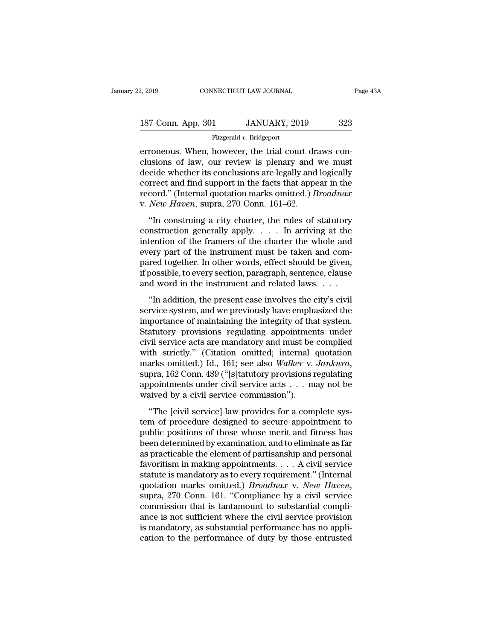2, 2019 CONNECTICUT LAW JOURNAL Page 43A<br>187 Conn. App. 301 JANUARY, 2019 323<br>Fitzgerald v. Bridgeport

Fitzgerald *v.* Bridgeport

errore on Magnetic Connect Connect Connect Connect Connect Connect Connect Connect Connect Connect Connect Connect Connect Connect Connect Connect Connect Connect Connect Connect Connect Connect Connect Connect Connect Co 187 Conn. App. 301 JANUARY, 2019 323<br>Fitzgerald v. Bridgeport<br>erroneous. When, however, the trial court draws conclusions of law, our review is plenary and we must<br>decide whether its conclusions are legally and logically<br> 187 Conn. App. 301 JANUARY, 2019 323<br>
Fitzgerald v. Bridgeport<br>
erroneous. When, however, the trial court draws conclusions of law, our review is plenary and we must<br>
decide whether its conclusions are legally and logical 187 Conn. App. 301 JANUARY, 2019 323<br>
Fitzgerald v. Bridgeport<br>
erroneous. When, however, the trial court draws conclusions of law, our review is plenary and we must<br>
decide whether its conclusions are legally and logical Fitzgerald v. Bridgeport<br>
Fitzgerald v. Bridgeport<br>
erroneous. When, however, the trial court draws conclusions of law, our review is plenary and we must<br>
decide whether its conclusions are legally and logically<br>
correct a Fitzgerald v. Bridgeport<br>erroneous. When, however, the trial court dracture<br>clusions of law, our review is plenary and<br>decide whether its conclusions are legally and<br>correct and find support in the facts that appe<br>record." foncous: when, nowever, the that court thaws consisions of law, our review is plenary and we must<br>cide whether its conclusions are legally and logically<br>rrect and find support in the facts that appear in the<br>cord." (Inter clusions of fair, our fevrew is plenary and we must<br>decide whether its conclusions are legally and logically<br>correct and find support in the facts that appear in the<br>record." (Internal quotation marks omitted.) *Broadnax* 

decide whether as conclusions are tegany and logically<br>correct and find support in the facts that appear in the<br>record." (Internal quotation marks omitted.) *Broadnax*<br>v. *New Haven*, supra, 270 Conn. 161–62.<br>"In construct record." (Internal quotation marks omitted.) *Broadnax*<br>v. New Haven, supra, 270 Conn. 161–62.<br>"In construing a city charter, the rules of statutory<br>construction generally apply.... In arriving at the<br>intention of the fra pared together. In other words, effect should be given,<br>if possible, to every series of statutory<br>construction generally apply.  $\ldots$  In arriving at the<br>intention of the framers of the charter the whole and<br>every part of "In construing a city charter, the rules of statutory<br>construction generally apply.... In arriving at the<br>intention of the framers of the charter the whole and<br>every part of the instrument must be taken and com-<br>pared tog "In construing a city charter, the rules of statutory construction generally apply. . . . In arriving at the intention of the framers of the charter the whole and every part of the instrument must be taken and compared to The figure in the framers of the charter the whole and<br>
erry part of the instrument must be taken and com-<br>
red together. In other words, effect should be given,<br>
possible, to every section, paragraph, sentence, clause<br>
d method of the instrument must be taken and com-<br>pared together. In other words, effect should be given,<br>if possible, to every section, paragraph, sentence, clause<br>and word in the instrument and related laws. . . . .<br>"In ad

pared together. In other words, effect should be given,<br>pared together. In other words, effect should be given,<br>if possible, to every section, paragraph, sentence, clause<br>and word in the instrument and related laws.  $\ldots$ parea esgence. In state words, effect should be given,<br>if possible, to every section, paragraph, sentence, clause<br>and word in the instrument and related laws. . . .<br>"In addition, the present case involves the city's civil<br> and word in the instrument and related laws. . . .<br>
"In addition, the present case involves the city's civil<br>
service system, and we previously have emphasized the<br>
importance of maintaining the integrity of that system.<br> "In addition, the present case involves the city's civil<br>service system, and we previously have emphasized the<br>importance of maintaining the integrity of that system.<br>Statutory provisions regulating appointments under<br>civ "In addition, the present case involves the city's civil<br>service system, and we previously have emphasized the<br>importance of maintaining the integrity of that system.<br>Statutory provisions regulating appointments under<br>civi importance of maintaining the integrity of that system.<br>Statutory provisions regulating appointments under<br>civil service acts are mandatory and must be complied<br>with strictly." (Citation omitted; internal quotation<br>marks o Statutory provisions regulating appointmen<br>civil service acts are mandatory and must be<br>with strictly." (Citation omitted; internal<br>marks omitted.) Id., 161; see also Walker v.<br>supra, 162 Conn. 489 ("[s]tatutory provisions In service also are manufactry and mast be completed the strictly." (Citation omitted; internal quotation arks omitted.) Id., 161; see also *Walker v. Jankura*, pra, 162 Conn. 489 ("[s] tatutory provisions regulating poin marks omitted.) Id., 161; see also *Walker v. Jankura*,<br>supra, 162 Conn. 489 ("[s]tatutory provisions regulating<br>appointments under civil service acts  $\dots$  may not be<br>waived by a civil service commission").<br>"The [civil se

marks of those and whole means of those whose methods appointments under civil service acts  $\ldots$  may not be waived by a civil service commission").<br>
"The [civil service] law provides for a complete system of procedure de appointments under civil service acts  $\dots$  may not be<br>waived by a civil service commission").<br>"The [civil service] law provides for a complete sys-<br>tem of procedure designed to secure appointment to<br>public positions of th Exponsionation and the elements of the elements of provides for a complete system of procedure designed to secure appointment to public positions of those whose merit and fitness has been determined by examination, and to "The [civil service commission").<br>
"The [civil service] law provides for a complete sys-<br>
tem of procedure designed to secure appointment to<br>
public positions of those whose merit and fitness has<br>
been determined by exami "The [civil service] law provides for a complete system of procedure designed to secure appointment to public positions of those whose merit and fitness has been determined by examination, and to eliminate as far as pract tem of procedure designed to secure appointment to<br>public positions of those whose merit and fitness has<br>been determined by examination, and to eliminate as far<br>as practicable the element of partisanship and personal<br>favor been determined by examination, and to eliminate as far<br>as practicable the element of partisanship and personal<br>favoritism in making appointments.... A civil service<br>statute is mandatory as to every requirement." (Interna as practicable the element of partisanship and personal favoritism in making appointments. . . . A civil service statute is mandatory as to every requirement." (Internal quotation marks omitted.) *Broadnax v. New Haven*, favoritism in making appointments. . . . A civil service<br>statute is mandatory as to every requirement." (Internal<br>quotation marks omitted.) *Broadnax* v. *New Haven*,<br>supra, 270 Conn. 161. "Compliance by a civil service<br>c statute is mandatory as to every requirement." (Internal quotation marks omitted.) *Broadnax* v. *New Haven*, supra, 270 Conn. 161. "Compliance by a civil service commission that is tantamount to substantial compliance is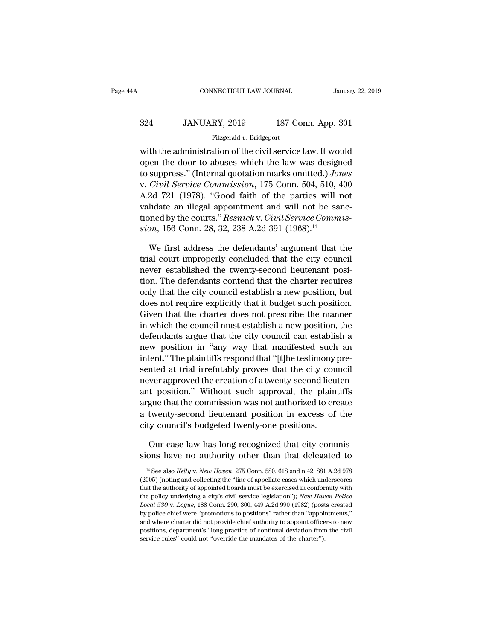## EXECUTE CONNECTICUT LAW JOURNAL January 22, 2019<br>324 JANUARY, 2019 187 Conn. App. 301<br>Fitzgerald v. Bridgeport Fitzgerald *v.* Bridgeport

CONNECTICUT LAW JOURNAL January 22, 2019<br>
324 JANUARY, 2019 187 Conn. App. 301<br>
Fitzgerald v. Bridgeport<br>
with the administration of the civil service law. It would<br>
open the door to abuses which the law was designed<br>
to s 324 JANUARY, 2019 187 Conn. App. 301<br>Fitzgerald v. Bridgeport<br>with the administration of the civil service law. It would<br>open the door to abuses which the law was designed<br>to suppress." (Internal quotation marks omitted.) 187 Conn. App. 301<br>
Fitzgerald v. Bridgeport<br>
with the administration of the civil service law. It would<br>
open the door to abuses which the law was designed<br>
to suppress.'' (Internal quotation marks omitted.) *Jones*<br>
v. 324 JANUARY, 2019 187 Conn. App. 301<br>
Fitzgerald v. Bridgeport<br>
with the administration of the civil service law. It would<br>
open the door to abuses which the law was designed<br>
to suppress." (Internal quotation marks omitte Fitzgerald v. Bridgeport<br>
with the administration of the civil service law. It would<br>
open the door to abuses which the law was designed<br>
to suppress." (Internal quotation marks omitted.) Jones<br>
v. Civil Service Commission valid at the administration of the civil service law. It would<br>open the door to abuses which the law was designed<br>to suppress." (Internal quotation marks omitted.) Jones<br>v. Civil Service Commission, 175 Conn. 504, 510, 40 with the administration of the civil service law. It would<br>open the door to abuses which the law was designed<br>to suppress." (Internal quotation marks omitted.) *Jones*<br>v. *Civil Service Commission*, 175 Conn. 504, 510, 400 open the door to abuses which the law was design<br>to suppress." (Internal quotation marks omitted.) *Jon*<br>v. *Civil Service Commission*, 175 Conn. 504, 510, 4<br>A.2d 721 (1978). "Good faith of the parties will n<br>validate an i Civil Service Commission, 175 Conn. 504, 510, 400<br>2d 721 (1978). "Good faith of the parties will not<br>lidate an illegal appointment and will not be sanc-<br>nned by the courts." *Resnick* v. Civil Service Commis-<br>on, 156 Conn. A.2d 721 (1978). "Good faith of the parties will not validate an illegal appointment and will not be sanctioned by the courts."  $Resnick$  v. *Civil Service Commission*, 156 Conn. 28, 32, 238 A.2d 391 (1968).<sup>14</sup><br>We first addre

validate an illegal appointment and will not be sanctioned by the courts." *Resnick* v. *Civil Service Commission*, 156 Conn. 28, 32, 238 A.2d 391 (1968).<sup>14</sup><br>We first address the defendants' argument that the trial court tioned by the courts." *Resnick* v. *Civil Service Commission*, 156 Conn. 28, 32, 238 A.2d 391 (1968).<sup>14</sup><br>We first address the defendants' argument that the trial court improperly concluded that the city council<br>never es sion, 156 Conn. 28, 32, 238 A.2d 391 (1968).<sup>14</sup><br>We first address the defendants' argument that the<br>trial court improperly concluded that the city council<br>never established the twenty-second lieutenant posi-<br>tion. The def We first address the defendants' argument that the trial court improperly concluded that the city council never established the twenty-second lieutenant position. The defendants contend that the charter requires only that We first address the defendants' argument that the<br>trial court improperly concluded that the city council<br>never established the twenty-second lieutenant posi-<br>tion. The defendants contend that the charter requires<br>only tha trial court improperly concluded that the city council<br>never established the twenty-second lieutenant posi-<br>tion. The defendants contend that the charter requires<br>only that the city council establish a new position.<br>Given mever established the twenty-second lieutenant position. The defendants contend that the charter requires<br>only that the city council establish a new position, but<br>does not require explicitly that it budget such position.<br>G tion. The defendants contend that the charter requires<br>only that the city council establish a new position, but<br>does not require explicitly that it budget such position.<br>Given that the charter does not prescribe the manner only that the city council establish a new position, but<br>does not require explicitly that it budget such position.<br>Given that the charter does not prescribe the manner<br>in which the council must establish a new position, th does not require explicitly that it budget such position.<br>Given that the charter does not prescribe the manner<br>in which the council must establish a new position, the<br>defendants argue that the city council can establish a<br> Given that the charter does not prescribe the manner<br>in which the council must establish a new position, the<br>defendants argue that the city council can establish a<br>new position in "any way that manifested such an<br>intent." In which the council must establish a hew position, the<br>defendants argue that the city council can establish a<br>new position in "any way that manifested such an<br>intent." The plaintiffs respond that "[t]he testimony pre-<br>sen defendants argue that the city council can establish a<br>new position in "any way that manifested such an<br>intent." The plaintiffs respond that "[t]he testimony pre-<br>sented at trial irrefutably proves that the city council<br>ne new position in any way that manifested such and intent." The plaintiffs respond that "[t]he testimony presented at trial irrefutably proves that the city council never approved the creation of a twenty-second lieutenant p ment. The plaintins respond that [t]he testimony<br>sented at trial irrefutably proves that the city cou<br>never approved the creation of a twenty-second lieu<br>ant position." Without such approval, the plain<br>argue that the commi wer approved the creation of a twenty-second lieutent<br>t position." Without such approval, the plaintiffs<br>gue that the commission was not authorized to create<br>twenty-second lieutenant position in excess of the<br>y council's b ant position." Without such approval, the plaintiffs<br>argue that the commission was not authorized to create<br>a twenty-second lieutenant position in excess of the<br>city council's budgeted twenty-one positions.<br>Our case law h

ty council's budgeted twenty-one positions.<br>Our case law has long recognized that city commis-<br>ons have no authority other than that delegated to<br><sup>14</sup> See also *Kelly* v. *New Haven*, 275 Conn. 580, 618 and n.42, 881 A.2d

Our case law has long recognized that city commissions have no authority other than that delegated to  $\frac{14 \text{ See also} Kelly \text{ v. } New \text{ Haven, } 275 \text{ Conn. } 580, 618 \text{ and n.} 42, 881 \text{ A.} 2d 978}{(2005) (noting and collecting the "line of appellate cases which underscores that the authority of appointed boards must be exercised in conformity with$ Our case law has long recognized that city commissions have no authority other than that delegated to  $\frac{14}{}$  See also *Kelly v. New Haven*, 275 Com. 580, 618 and n.42, 881 A.2d 978 (2005) (noting and collecting the "li **sions have no authority other than that delegated to**<br> $\frac{14}{18}$  See also *Kelly v. New Haven*, 275 Conn. 580, 618 and n.42, 881 A.2d 978<br>(2005) (noting and collecting the "line of appellate cases which underscores<br>that <sup>14</sup> See also *Kelly v. New Haven*, 275 Conn. 580, 618 and n.42, 881 A.2d 978<br><sup>14</sup> See also *Kelly v. New Haven*, 275 Conn. 580, 618 and n.42, 881 A.2d 978<br>(2005) (noting and collecting the "line of appellate cases which u <sup>14</sup> See also *Kelly v. New Haven*, 275 Conn. 580, 618 and n.42, 881 A.2d 978 (2005) (noting and collecting the "line of appellate cases which underscores that the authority of appointed boards must be exercised in confor (2005) (noting and collecting the "line of appellate cases which underscores that the authority of appointed boards must be exercised in conformity with the policy underlying a city's civil service legislation"); *New Hav* that the authority of appointed boards must be exercised in conformity with the policy underlying a city's civil service legislation"); *New Haven Police Local 530 v. Logue*, 188 Conn. 290, 300, 449 A.2d 990 (1982) (posts the policy underlying a city's civil service legislation"); New Haven Police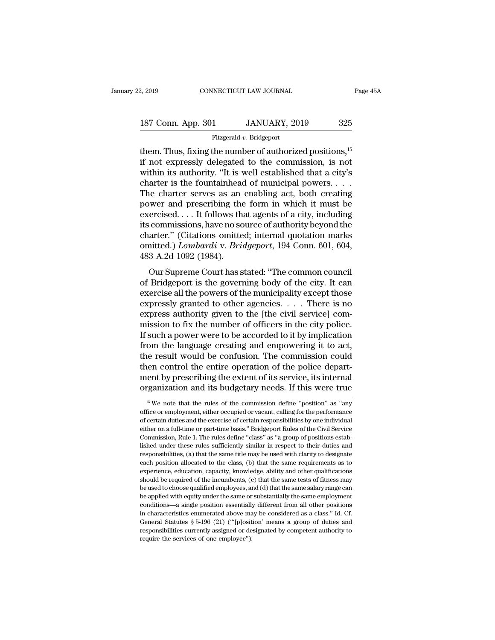Fitzgerald *v.* Bridgeport

2, 2019 CONNECTICUT LAW JOURNAL Page 45<br>
187 Conn. App. 301 JANUARY, 2019 325<br>
Fitzgerald v. Bridgeport<br>
them. Thus, fixing the number of authorized positions,<sup>15</sup><br>
if not expressly delegated to the commission, is not<br>
wi 187 Conn. App. 301 JANUARY, 2019 325<br>Fitzgerald v. Bridgeport<br>them. Thus, fixing the number of authorized positions,  $15$ <br>if not expressly delegated to the commission, is not<br>within its authority. "It is well established 187 Conn. App. 301 JANUARY, 2019 325<br>
Fitzgerald v. Bridgeport<br>
them. Thus, fixing the number of authorized positions,  $15$ <br>
if not expressly delegated to the commission, is not<br>
within its authority. "It is well establis 187 Conn. App. 301 JANUARY, 2019 325<br>
Fitzgerald v. Bridgeport<br>
them. Thus, fixing the number of authorized positions, <sup>15</sup><br>
if not expressly delegated to the commission, is not<br>
within its authority. "It is well establish Fitzgerald v. Bridgeport<br>them. Thus, fixing the number of authorized positions,<sup>15</sup><br>if not expressly delegated to the commission, is not<br>within its authority. "It is well established that a city's<br>charter is the fountainh them. Thus, fixing the number of authorized positions,<sup>15</sup><br>if not expressly delegated to the commission, is not<br>within its authority. "It is well established that a city's<br>charter is the fountainhead of municipal powers. . if not expressly delegated to the commission, is not<br>within its authority. "It is well established that a city's<br>charter is the fountainhead of municipal powers....<br>The charter serves as an enabling act, both creating<br>pow within its authority. "It is well established that a city's<br>charter is the fountainhead of municipal powers. . . .<br>The charter serves as an enabling act, both creating<br>power and prescribing the form in which it must be<br>ex charter is the fountainhead of municipal powers. . . . The charter serves as an enabling act, both creating power and prescribing the form in which it must be exercised. . . . It follows that agents of a city, including it The charter serves as an enabling act, both creating<br>power and prescribing the form in which it must be<br>exercised.... It follows that agents of a city, including<br>its commissions, have no source of authority beyond the<br>cha Were and prescribing the form in which it mast be<br>ercised.... It follows that agents of a city, including<br>commissions, have no source of authority beyond the<br>arter." (Citations omitted; internal quotation marks<br>nitted.) *L* its commissions, have no source of authority beyond the<br>charter." (Citations omitted; internal quotation marks<br>omitted.) Lombardi v. Bridgeport, 194 Conn. 601, 604,<br>483 A.2d 1092 (1984).<br>Our Supreme Court has stated: "The

reseministicals, have no solate of all the powers of that the condition of the municipality condition of the municipality except those expressly granted to other agencies. . . . There is no average authority given to the l enarier. (Charlons onlined, internal quotation makes<br>omitted.) Lombardi v. Bridgeport, 194 Conn. 601, 604,<br>483 A.2d 1092 (1984).<br>Our Supreme Court has stated: "The common council<br>of Bridgeport is the governing body of the expressed as a completed by the civil services.<br>
The common council<br>
our Supreme Court has stated: "The common council<br>
of Bridgeport is the governing body of the city. It can<br>
expressly granted to other agencies. . . . Th Foo A.2d 1002 (1004).<br>
Our Supreme Court has stated: "The common council<br>
of Bridgeport is the governing body of the city. It can<br>
exercise all the powers of the municipality except those<br>
expressly granted to other agenci Our Supreme Court has stated: "The common council<br>of Bridgeport is the governing body of the city. It can<br>exercise all the powers of the municipality except those<br>expressly granted to other agencies. . . . There is no<br>exp of Bridgeport is the governing body of the city. It can<br>exercise all the powers of the municipality except those<br>expressly granted to other agencies. . . . There is no<br>express authority given to the [the civil service] com exercise all the powers of the municipality except those<br>expressly granted to other agencies. . . . . There is no<br>express authority given to the [the civil service] com-<br>mission to fix the number of officers in the city p expressly granted to other agencies.  $\ldots$  . There is no express authority given to the [the civil service] commission to fix the number of officers in the city police. If such a power were to be accorded to it by implica express authority given to the [the civil service] commission to fix the number of officers in the city police.<br>If such a power were to be accorded to it by implication<br>from the language creating and empowering it to act,<br> mission to fix the number of officers in the city police.<br>If such a power were to be accorded to it by implication<br>from the language creating and empowering it to act,<br>the result would be confusion. The commission could<br>t ier result would be confusion. The commission could<br>ten control the entire operation of the police depart-<br>ent by prescribing the extent of its service, its internal<br>"ganization and its budgetary needs. If this were true<br>" then control the entire operation of the police department by prescribing the extent of its service, its internal organization and its budgetary needs. If this were true  $\frac{15 \text{ We}}{15 \text{ We}}$  note that the rules of the c

ment by prescribing the extent of its service, its internal organization and its budgetary needs. If this were true  $\frac{15 \text{ We}}{15 \text{ We}}$  note that the rules of the commission define "position" as "any office or employme either or a full-time or part-time basis.'' Bridgeport Rules of the Civil Service, the Tute of the Civil Service or employment, either occupied or vacant, calling for the performance of certain duties and the exercise of organization and its budgetary needs. If this were true  $\frac{15 \text{ We}}{15 \text{ We}}$  note that the rules of the commission define "position" as "any office or employment, either occupied or vacant, calling for the performance o <sup>15</sup> We note that the rules of the commission define "position" as "any office or employment, either occupied or vacant, calling for the performance of certain duties and the exercise of certain responsibilities by one in office or employment, either occupied or vacant, calling for the performance of certain duties and the exercise of certain responsibilities by one individual either on a full-time or part-time basis." Bridgeport Rules of t of certain duties and the exercise of certain responsibilities by one individual<br>either on a full-time or part-time basis." Bridgeport Rules of the Civil Service<br>Commission, Rule 1. The rules define "class" as "a group of experience, at the or part-time basis." Bridgeport Rules of the Civil Service Commission, Rule 1. The rules define "class" as "a group of positions established under these rules sufficiently similar in respect to their dut Commission, Rule 1. The rules define "class" as "a group of positions established under these rules sufficiently similar in respect to their duties and responsibilities, (a) that the same title may be used with clarity to lished under these rules sufficiently similar in respect to their duties and responsibilities, (a) that the same title may be used with clarity to designate each position allocated to the class, (b) that the same requireme responsibilities, (a) that the same title may be used with clarity to designate each position allocated to the class, (b) that the same requirements as to experience, education, capacity, knowledge, ability and other qual responsition allocated to the class, (b) that the same requirements as to experience, education, capacity, knowledge, ability and other qualifications should be required of the incumbents, (c) that the same tests of fitnes experience, education, capacity, knowledge, ability and other qualifications should be required of the incumbents, (c) that the same tests of fitness may be used to choose qualified employees, and (d) that the same salary Should be required of the incumbents, (c) that the same tests of fitness may be used to choose qualified employees, and (d) that the same salary range can be applied with equity under the same or substantially the same em be used to choose qualified employees, and (d) that the same salary range can<br>be applied with equity under the same or substantially the same employment<br>conditions—a single position essentially different from all other po be used to choose qualified employees, and (d) that the same salary range can<br>be applied with equity under the same or substantially the same employment<br>conditions—a single position essentially different from all other po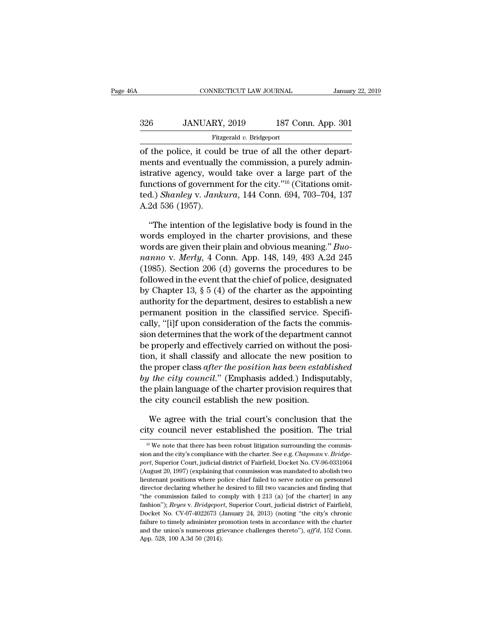## EXECUTE CONNECTICUT LAW JOURNAL January 22, 2019<br>326 JANUARY, 2019 187 Conn. App. 301<br>Fitzgerald v. Bridgeport Fitzgerald *v.* Bridgeport

CONNECTICUT LAW JOURNAL Januar<br>
326 JANUARY, 2019 187 Conn. App. 301<br>
Fitzgerald v. Bridgeport<br>
of the police, it could be true of all the other depart-<br>
ments and eventually the commission, a purely admin-326 JANUARY, 2019 187 Conn. App. 301<br>Fitzgerald v. Bridgeport<br>of the police, it could be true of all the other depart-<br>ments and eventually the commission, a purely admin-<br>istrative agency, would take over a large part of 326 JANUARY, 2019 187 Conn. App. 301<br>
Fitzgerald v. Bridgeport<br>
of the police, it could be true of all the other depart-<br>
ments and eventually the commission, a purely administrative agency, would take over a large part o 326 JANUARY, 2019 187 Conn. App. 301<br>
Fitzgerald v. Bridgeport<br>
of the police, it could be true of all the other depart-<br>
ments and eventually the commission, a purely admin-<br>
istrative agency, would take over a large par Fitzgerald v. Bridgeport<br>of the police, it could be true of all the other depart-<br>ments and eventually the commission, a purely admin-<br>istrative agency, would take over a large part of the<br>functions of government for the c of the police, it could<br>ments and eventually<br>istrative agency, wou<br>functions of governme<br>ted.) *Shanley v. Jank*<br>A.2d 536 (1957).<br>"The intention of th ents and eventually the commission, a purely admin-<br>
rative agency, would take over a large part of the<br>
nctions of government for the city."<sup>16</sup> (Citations omit-<br>
d.) *Shanley v. Jankura*, 144 Conn. 694, 703–704, 137<br>
2d istrative agency, would take over a large part of the<br>functions of government for the city."<sup>16</sup> (Citations omit-<br>ted.) *Shanley v. Jankura*, 144 Conn. 694, 703–704, 137<br>A.2d 536 (1957).<br>"The intention of the legislative

functions of government for the city."<sup>16</sup> (Citations omitted.) *Shanley v. Jankura*, 144 Conn. 694, 703–704, 137<br>A.2d 536 (1957).<br>"The intention of the legislative body is found in the<br>words employed in the charter provis *nanopy v. Jankura, 144 Conn. 694, 703–704, 137*<br> *nanopy 1957).*<br> *i* The intention of the legislative body is found in the words employed in the charter provisions, and these<br> *words* are given their plain and obvious me A.2d 536 (1957).<br>
"The intention of the legislative body is found in the<br>
words employed in the charter provisions, and these<br>
words are given their plain and obvious meaning." *Buo-<br>
nanno* v. *Merly*, 4 Conn. App. 148, "The intention of the legislative body is found in the words employed in the charter provisions, and these words are given their plain and obvious meaning." *Buonanno v. Merly*, 4 Conn. App. 148, 149, 493 A.2d 245 (1985). "The intention of the legislative body is found in the<br>words employed in the charter provisions, and these<br>words are given their plain and obvious meaning." *Buo-<br>nanno* v. *Merly*, 4 Conn. App. 148, 149, 493 A.2d 245<br>(19 words employed in the charter provisions, and these<br>words are given their plain and obvious meaning." *Buo-<br>nanno* v. *Merly*, 4 Conn. App. 148, 149, 493 A.2d 245<br>(1985). Section 206 (d) governs the procedures to be<br>follo words are given their plain and obvious meaning." *Buonanno* v. *Merly*, 4 Conn. App. 148, 149, 493 A.2d 245 (1985). Section 206 (d) governs the procedures to be followed in the event that the chief of police, designated nanno v. Merty, 4 Conn. App. 148, 149, 493 A.2d 245 (1985). Section 206 (d) governs the procedures to be followed in the event that the chief of police, designated by Chapter 13,  $\S$  5 (4) of the charter as the appointing (1985). Section 206 (d) governs the procedures to be<br>followed in the event that the chief of police, designated<br>by Chapter 13,  $\S 5$  (4) of the charter as the appointing<br>authority for the department, desires to establish followed in the event that the chief of police, designated<br>by Chapter 13, § 5 (4) of the charter as the appointing<br>authority for the department, desires to establish a new<br>permanent position in the classified service. Spe by Chapter 13, § 5 (4) of the charter as the appointing<br>authority for the department, desires to establish a new<br>permanent position in the classified service. Specifi-<br>cally, "[i]f upon consideration of the facts the commi authority for the department, desires to establish a new<br>permanent position in the classified service. Specifi-<br>cally, "[i]f upon consideration of the facts the commis-<br>sion determines that the work of the department canno permanent position in the classified service. Specifically, "[i]f upon consideration of the facts the commission determines that the work of the department cannot be properly and effectively carried on without the position cally, "[1]t upon consideration of the facts the commission determines that the work of the department cannot<br>be properly and effectively carried on without the posi-<br>tion, it shall classify and allocate the new position t sion determines that the work of the department c<br>be properly and effectively carried on without the<br>tion, it shall classify and allocate the new posit<br>the proper class after the position has been estable<br>by the city coun where the new position to<br>e proper class *after the position has been established*<br>the city council." (Emphasis added.) Indisputably,<br>e plain language of the charter provision requires that<br>e city council establish the ne the proper class *after the position has been established*<br>by the city council." (Emphasis added.) Indisputably,<br>the plain language of the charter provision requires that<br>the city council establish the new position.<br>We ag

<sup>16</sup> Me agree with the trial court's conclusion that the<br>ty council never established the position. The trial<br>ty council never established the position. The trial<br><sup>16</sup> We note that there has been robust litigation surroundi We agree with the trial court's conclusion that the city council never established the position. The trial <sup>16</sup> We note that there has been robust litigation surrounding the commission and the city's compliance with the ch We agree with the trial court's conclusion that the city council never established the position. The trial  $\frac{16 \text{ We}}{16 \text{ We}}$  note that there has been robust litigation surrounding the commission and the city's complia City council never established the position. The trial<br>
<sup>16</sup> We note that there has been robust litigation surrounding the commis-<br>
sion and the city's compliance with the charter. See e.g. *Chapman v. Bridge-*<br> *port*, S Lity COURCIT HEVET ESTADILISHED THE UTAL THE THAT THE READ TRIMATE THE READER OF THE READER OF THE READER SCHOLEN and the city's compliance with the charter. See e.g. *Chapman v. Bridge-port*, Superior Court, judicial dis <sup>16</sup> We note that there has been robust litigation surrounding the commission and the city's compliance with the charter. See e.g. *Chapman v. Bridge-port*, Superior Court, judicial district of Fairfield, Docket No. CV-96 sion and the city's compliance with the charter. See e.g. *Chapman v. Bridge-*<br>port, Superior Court, judicial district of Fairfield, Docket No. CV-96-0331064<br>(August 20, 1997) (explaining that commission was mandated to ab port, Superior Court, judicial district of Fairfield, Docket No. CV-96-0331064 (August 20, 1997) (explaining that commission was mandated to abolish two lieutenant positions where police chief failed to serve notice on per for, suggest 20, 1997) (explaining that commission was mandated to abolish two lieutenant positions where police chief failed to serve notice on personnel director declaring whether he desired to fill two vacancies and fin lieutenant positions where police chief failed to serve notice on personnel director declaring whether he desired to fill two vacancies and finding that "the commission failed to comply with § 213 (a) [of the charter] in director declaring whether he desired to fill two vacancies and finding that "the commission failed to comply with § 213 (a) [of the charter] in any fashion''); *Reyes v. Bridgeport*, Superior Court, judicial district of F "the commission failed to commission failed to commission failed to commission failed to complexe the fashion"); *Reyes* v. *Bridgepor* Docket No. CV-07-4022673 (all the union's numerous grid App. 528, 100 A.3d 50 (2014).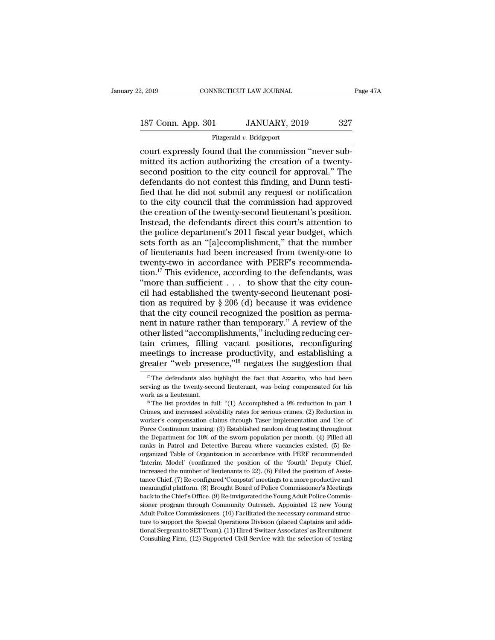### Fitzgerald *v.* Bridgeport

connectricut LAW JOURNAL<br>
187 Conn. App. 301 JANUARY, 2019 327<br>
Fitzgerald v. Bridgeport<br>
court expressly found that the commission "never sub-<br>
mitted its action authorizing the creation of a twenty-<br>
second position to t 187 Conn. App. 301 JANUARY, 2019 327<br>Fitzgerald v. Bridgeport<br>court expressly found that the commission "never sub-<br>mitted its action authorizing the creation of a twenty-<br>second position to the city council for approval." 187 Conn. App. 301 JANUARY, 2019 327<br>
Fitzgerald v. Bridgeport<br>
court expressly found that the commission "never sub-<br>
mitted its action authorizing the creation of a twenty-<br>
second position to the city council for appro 187 Conn. App. 301 JANUARY, 2019 327<br>
Fitzgerald v. Bridgeport<br>
court expressly found that the commission "never sub-<br>
mitted its action authorizing the creation of a twenty-<br>
second position to the city council for appro Fitzgerald v. Bridgeport<br>
Fitzgerald v. Bridgeport<br>
court expressly found that the commission "never sub-<br>
mitted its action authorizing the creation of a twenty-<br>
second position to the city council for approval." The<br>
d Fitzgerald  $v$ . Bridgeport<br>
court expressly found that the commission "never sub-<br>
mitted its action authorizing the creation of a twenty-<br>
second position to the city council for approval." The<br>
defendants do not contest court expressly found that the commission "never submitted its action authorizing the creation of a twenty-<br>second position to the city council for approval." The<br>defendants do not contest this finding, and Dunn testi-<br>fie mitted its action authorizing the creation of a twenty-<br>second position to the city council for approval." The<br>defendants do not contest this finding, and Dunn testi-<br>fied that he did not submit any request or notification second position to the city council for approval." The<br>defendants do not contest this finding, and Dunn testi-<br>fied that he did not submit any request or notification<br>to the city council that the commission had approved<br>th defendants do not contest this finding, and Dunn testi-<br>fied that he did not submit any request or notification<br>to the city council that the commission had approved<br>the creation of the twenty-second lieutenant's position.<br> fied that he did not submit any request or notification<br>to the city council that the commission had approved<br>the creation of the twenty-second lieutenant's position.<br>Instead, the defendants direct this court's attention to fied that he did not submit any request or notification<br>to the city council that the commission had approved<br>the creation of the twenty-second lieutenant's position.<br>Instead, the defendants direct this court's attention t the creation of the twenty-second lieutenant's position.<br>Instead, the defendants direct this court's attention to<br>the police department's 2011 fiscal year budget, which<br>sets forth as an "[a]ccomplishment," that the number Instead, the defendants direct this court's attention to<br>the police department's 2011 fiscal year budget, which<br>sets forth as an "[a]ccomplishment," that the number<br>of lieutenants had been increased from twenty-one to<br>twe the police department's 2011 fiscal year budget, which<br>sets forth as an "[a]ccomplishment," that the number<br>of lieutenants had been increased from twenty-one to<br>twenty-two in accordance with PERF's recommenda-<br>tion.<sup>17</sup> T sets forth as an "[a]ccomplishment," that the number<br>of lieutenants had been increased from twenty-one to<br>twenty-two in accordance with PERF's recommenda-<br>tion.<sup>17</sup> This evidence, according to the defendants, was<br>"more th of lieutenants had been increased from twenty-one to<br>twenty-two in accordance with PERF's recommenda-<br>tion.<sup>17</sup> This evidence, according to the defendants, was<br>"more than sufficient  $\dots$  to show that the city coun-<br>cil ha twenty-two in accordance with PERF's recommendation.<sup>17</sup> This evidence, according to the defendants, was "more than sufficient  $\ldots$  to show that the city council had established the twenty-second lieutenant position as r tion.<sup>17</sup> This evidence, according to the defendants, was<br>
"more than sufficient . . . to show that the city council had established the twenty-second lieutenant posi-<br>
tion as required by § 206 (d) because it was evidenc "more than sufficient  $\ldots$  to show that the city council had established the twenty-second lieutenant position as required by  $\S 206$  (d) because it was evidence that the city council recognized the position as permanent cil had established the twenty-second lieutenant posi-<br>tion as required by § 206 (d) because it was evidence<br>that the city council recognized the position as perma-<br>nent in nature rather than temporary." A review of the<br>ot tion as required by  $\S 206$  (d) because it was evidence<br>that the city council recognized the position as perma-<br>nent in nature rather than temporary." A review of the<br>other listed "accomplishments," including reducing cer ther listed "accomplishments," including reducing cer-<br>in crimes, filling vacant positions, reconfiguring<br>eetings to increase productivity, and establishing a<br>reater "web presence,"<sup>18</sup> negates the suggestion that<br><sup>17</sup> The tain crimes, filling vacant positions, reconfiguring<br>meetings to increase productivity, and establishing a<br>greater "web presence,"<sup>18</sup> negates the suggestion that<br> $\frac{17}{17}$  The defendants also highlight the fact that Az

meetings to increase productivity, and establishing a greater "web presence,"<sup>18</sup> negates the suggestion that  $\frac{17}{17}$  The defendants also highlight the fact that Azzarito, who had been serving as the twenty-second lie

greater web presence,  $\cdot$  hegates the suggestion that  $\frac{17}{17}$  The defendants also highlight the fact that Azzarito, who had been serving as the twenty-second lieutenant, was being compensated for his work as a lieute <sup>17</sup> The defendants also highlight the fact that Azzarito, who had been serving as the twenty-second lieutenant, was being compensated for his work as a lieutenant.<br><sup>18</sup> The list provides in full: "(1) Accomplished a 9% r Force Continuum training. (3) Established random drug testing in part 1<br>For a lieutenant.<br><sup>18</sup> The list provides in full: "(1) Accomplished a 9% reduction in part 1<br>Crimes, and increased solvability rates for serious crime Film and the variables in full: "(1) Accomplished a 9% reduction in part 1 <sup>18</sup> The list provides in full: "(1) Accomplished a 9% reduction in part 1 Crimes, and increased solvability rates for serious crimes. (2) Reductio <sup>18</sup> The list provides in full: "(1) Accomplished a  $9%$  reduction in part 1 Crimes, and increased solvability rates for serious crimes. (2) Reduction in worker's compensation claims through Taser implementation and Use o Trimes, and increased solvability rates for serious crimes. (2) Reduction in worker's compensation claims through Taser implementation and Use of Force Continuum training. (3) Established random drug testing throughout the Exercise compensation claims through Taser implementation and Use of Force Continuum training. (3) Established random drug testing throughout the Department for 10% of the sworn population per month. (4) Filled all ranks i Force Continuum training. (3) Established random drug testing throughout<br>the Department for 10% of the sworn population per month. (4) Filled all<br>ranks in Patrol and Detective Bureau where vacancies existed. (5) Re-<br>organ the Department for 10% of the sworn population per month. (4) Filled all ranks in Patrol and Detective Bureau where vacancies existed. (5) Re-organized Table of Organization in accordance with PERF recommended 'Interim Mod ranks in Patrol and Detective Bureau where vacancies existed. (5) Re-<br>organized Table of Organization in accordance with PERF recommended<br>'Interim Model' (confirmed the position of the 'fourth' Deputy Chief,<br>increased the back to the Chief's Office. (9) Re-invigorated the Young Adult Police Commented Organized Table of Organization in accordance with PERF recommended interimment of lieutenants to 22). (6) Filled the position of Assistance C "Interim Model" (confirmed the position of the "fourth" Deputy Chief, increased the number of lieutenants to 22). (6) Filled the position of Assistance Chief. (7) Re-configured 'Compstat' meetings to a more productive and 'Interim Model' (confirmed the position of the 'fourth' Deputy Chief,<br>increased the number of lieutenants to 22). (6) Filled the position of Assis-<br>tance Chief. (7) Re-configured 'Compstat' meetings to a more productive an tance Chief. (7) Re-configured 'Compstat' meetings to a more productive and<br>meaningful platform. (8) Brought Board of Police Commissioner's Meetings<br>back to the Chief's Office. (9) Re-invigorated the Young Adult Police Com meaningful platform. (8) Brought Board of Police Commissioner's Meetings back to the Chief's Office. (9) Re-invigorated the Young Adult Police Commis-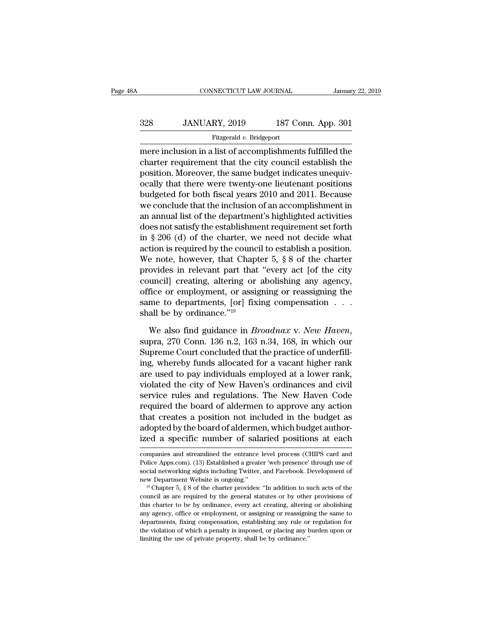## EXECUTE CONNECTICUT LAW JOURNAL January 22, 2019<br>328 JANUARY, 2019 187 Conn. App. 301<br>Fitzgerald v. Bridgeport Fitzgerald *v.* Bridgeport

CONNECTICUT LAW JOURNAL January 22, 2019<br>
328 JANUARY, 2019 187 Conn. App. 301<br>
Fitzgerald v. Bridgeport<br>
Terre inclusion in a list of accomplishments fulfilled the<br>
charter requirement that the city council establish the<br>  $328$  JANUARY, 2019 187 Conn. App. 301<br>Fitzgerald v. Bridgeport<br>mere inclusion in a list of accomplishments fulfilled the<br>charter requirement that the city council establish the<br>position. Moreover, the same budget indicat  $\frac{328}{\text{Fitzgerald } v. \text{ Bridgeport}}$ <br>
Fitzgerald v. Bridgeport<br>
mere inclusion in a list of accomplishments fulfilled the<br>
charter requirement that the city council establish the<br>
position. Moreover, the same budget indicates unequ  $328$  JANUARY,  $2019$  187 Conn. App. 301<br>
Fitzgerald v. Bridgeport<br>
mere inclusion in a list of accomplishments fulfilled the<br>
charter requirement that the city council establish the<br>
position. Moreover, the same budget i Fitzgerald v. Bridgeport<br>
mere inclusion in a list of accomplishments fulfilled the<br>
charter requirement that the city council establish the<br>
position. Moreover, the same budget indicates unequiv-<br>
ocally that there were razgerad *v*. Braggeration<br>mere inclusion in a list of accomplishments fulfilled the<br>charter requirement that the city council establish the<br>position. Moreover, the same budget indicates unequiv-<br>ocally that there were twe mere inclusion in a list of accomplishments fulfilled the<br>charter requirement that the city council establish the<br>position. Moreover, the same budget indicates unequiv-<br>ocally that there were twenty-one lieutenant position charter requirement that the city council establish the<br>position. Moreover, the same budget indicates unequiv-<br>ocally that there were twenty-one lieutenant positions<br>budgeted for both fiscal years 2010 and 2011. Because<br>we position. Moreover, the same budget indicates unequiv-<br>ocally that there were twenty-one lieutenant positions<br>budgeted for both fiscal years 2010 and 2011. Because<br>we conclude that the inclusion of an accomplishment in<br>an ocally that there were twenty-one lieutenant positions<br>budgeted for both fiscal years 2010 and 2011. Because<br>we conclude that the inclusion of an accomplishment in<br>an annual list of the department's highlighted activities<br> budgeted for both fiscal years 2010 and 2011. Because<br>we conclude that the inclusion of an accomplishment in<br>an annual list of the department's highlighted activities<br>does not satisfy the establishment requirement set fort we conclude that the inclusion of an accomplishment in<br>an annual list of the department's highlighted activities<br>does not satisfy the establishment requirement set forth<br>in § 206 (d) of the charter, we need not decide what an annual list of the department's highlighted activities<br>does not satisfy the establishment requirement set forth<br>in § 206 (d) of the charter, we need not decide what<br>action is required by the council to establish a posit does not satisfy the establishment requirement set forth<br>in § 206 (d) of the charter, we need not decide what<br>action is required by the council to establish a position.<br>We note, however, that Chapter 5, § 8 of the charter in § 206 (d) of the charter, we need not decide what<br>action is required by the council to establish a position.<br>We note, however, that Chapter 5, § 8 of the charter<br>provides in relevant part that "every act [of the city<br>c action is required by the counci<br>We note, however, that Chapt<br>provides in relevant part that<br>council] creating, altering or<br>office or employment, or assig<br>same to departments, [or] fixi<br>shall be by ordinance."<sup>19</sup><br>We also provides in relevant part that "every act [of the city<br>council] creating, altering or abolishing any agency,<br>office or employment, or assigning or reassigning the<br>same to departments, [or] fixing compensation . . .<br>shall b

office or employment, or assigning or reassigning the<br>same to departments, [or] fixing compensation . . .<br>shall be by ordinance."<sup>19</sup><br>We also find guidance in *Broadnax* v. New Haven,<br>supra, 270 Conn. 136 n.2, 163 n.34, 1 same to departments, [or] fixing compensation . . . shall be by ordinance."<sup>19</sup><br>
We also find guidance in *Broadnax v. New Haven*,<br>
supra, 270 Conn. 136 n.2, 163 n.34, 168, in which our<br>
Supreme Court concluded that the p shall be by ordinance."<sup>19</sup><br>We also find guidance in *Broadnax v. New Haven*,<br>supra, 270 Conn. 136 n.2, 163 n.34, 168, in which our<br>Supreme Court concluded that the practice of underfill-<br>ing, whereby funds allocated for We also find guidance in *Broadnax v. New Haven*,<br>supra, 270 Conn. 136 n.2, 163 n.34, 168, in which our<br>Supreme Court concluded that the practice of underfill-<br>ing, whereby funds allocated for a vacant higher rank<br>are used We also find guidance in *Broadnax v. New Haven*,<br>supra, 270 Conn. 136 n.2, 163 n.34, 168, in which our<br>Supreme Court concluded that the practice of underfill-<br>ing, whereby funds allocated for a vacant higher rank<br>are used supra, 270 Conn. 136 n.2, 163 n.34, 168, in which our<br>Supreme Court concluded that the practice of underfill-<br>ing, whereby funds allocated for a vacant higher rank<br>are used to pay individuals employed at a lower rank,<br>viol Supreme Court concluded that the practice of underfilling, whereby funds allocated for a vacant higher rank, are used to pay individuals employed at a lower rank, violated the city of New Haven's ordinances and civil servi ing, whereby funds allocated for a vacant higher rank<br>are used to pay individuals employed at a lower rank,<br>violated the city of New Haven's ordinances and civil<br>service rules and regulations. The New Haven Code<br>required t are used to pay individuals employed at a lower rank,<br>violated the city of New Haven's ordinances and civil<br>service rules and regulations. The New Haven Code<br>required the board of aldermen to approve any action<br>that create required the board of aldermen to approve any action<br>that creates a position not included in the budget as<br>adopted by the board of aldermen, which budget author-<br>ized a specific number of salaried positions at each<br>compani that creates a position not included in the budget as<br>adopted by the board of aldermen, which budget author-<br>ized a specific number of salaried positions at each<br>companies and streamlined the entrance level process (CHIPS

adopted by the board of aldermen, which budget authorized a specific number of salaried positions at each companies and streamlined the entrance level process (CHIPS card and Police Apps.com). (13) Established a greater 'w ized a specific number of salaried positions at each<br>companies and streamlined the entrance level process (CHIPS card and<br>Police Apps.com). (13) Established a greater 'web presence' through use of<br>social networking sights

companies and streamlined the entrance level process (CHIPS card and Police Apps.com). (13) Established a greater 'web presence' through use of social networking sights including Twitter, and Facebook. Development of new D Police Apps.com). (13) Established a greater 'web presence' through use of social networking sights including Twitter, and Facebook. Development of new Department Website is ongoing."<br><sup>19</sup> Chapter 5, § 8 of the charter pro Follow any social networking sights including Twitter, and Facebook. Development of new Department Website is ongoing."<br><sup>19</sup> Chapter 5, § 8 of the charter provides: "In addition to such acts of the council as are required new Department Website is ongoing."<br>
<sup>19</sup> Chapter 5, § 8 of the charter provides: "In addition to such acts of the<br>
council as are required by the general statutes or by other provisions of<br>
this charter to be by ordinance the violation of the charter provides: "In addition to such acts of the council as are required by the general statutes or by other provisions of this charter to be by ordinance, every act creating, altering or abolishing council as are required by the general statutes or by other<br>this charter to be by ordinance, every act creating, altering<br>any agency, office or employment, or assigning or reassigni<br>departments, fixing compensation, establ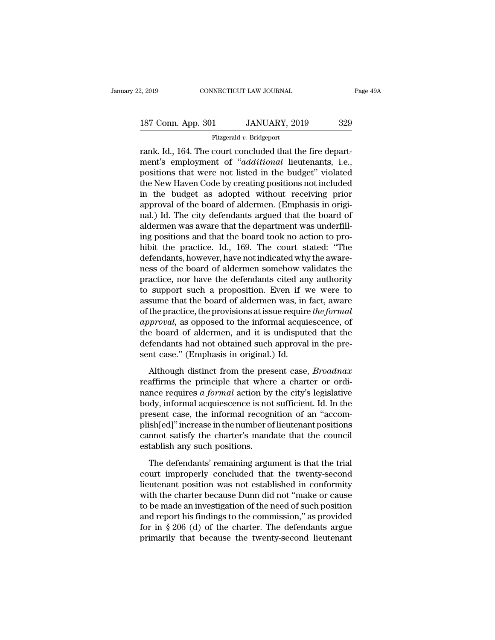Fitzgerald *v.* Bridgeport

readed that Higgs and Same Connecticut Care of the MUARY, 2019<br>
Titzgerald v. Bridgeport<br>
Tank. Id., 164. The court concluded that the fire depart-<br>
Trank. Id., 164. The court concluded that the fire depart-<br>
The concluded 187 Conn. App. 301 JANUARY, 2019 329<br>Fitzgerald v. Bridgeport<br>Trank. Id., 164. The court concluded that the fire depart-<br>ment's employment of "*additional* lieutenants, i.e.,<br>positions that were not listed in the budget" v 187 Conn. App. 301 JANUARY, 2019 329<br>
Fitzgerald v. Bridgeport<br>
rank. Id., 164. The court concluded that the fire depart-<br>
ment's employment of "*additional* lieutenants, i.e.,<br>
positions that were not listed in the budge 187 Conn. App. 301 JANUARY, 2019 329<br>
Fitzgerald v. Bridgeport<br>
rank. Id., 164. The court concluded that the fire depart-<br>
ment's employment of "*additional* lieutenants, i.e.,<br>
positions that were not listed in the budge Figure 1.1 Figure 1.1 Figure 1.1 Figure 1.1 Figure 1.1 Figure 1.1 Figure 1.1 Figure 1.1 Figure 1.1 Figure 1.1 Figure 1.1 Figure 1.1 Figure 1.1 Figure 1.1 Figure 1.1 Figure 1.1 The budget as adopted without receiving prior Fitzgerald v. Bridgeport<br>
rank. Id., 164. The court concluded that the fire depart-<br>
ment's employment of "*additional* lieutenants, i.e.,<br>
positions that were not listed in the budget" violated<br>
the New Haven Code by crea rank. Id., 164. The court concluded that the fire department's employment of "*additional* lieutenants, i.e., positions that were not listed in the budget" violated the New Haven Code by creating positions not included in ment's employment of "*additional* lieutenants, i.e., positions that were not listed in the budget" violated the New Haven Code by creating positions not included in the budget as adopted without receiving prior approval o positions that were not listed in the budget" violated<br>the New Haven Code by creating positions not included<br>in the budget as adopted without receiving prior<br>approval of the board of aldermen. (Emphasis in origi-<br>nal.) Id. the New Haven Code by creating positions not included<br>in the budget as adopted without receiving prior<br>approval of the board of aldermen. (Emphasis in origi-<br>nal.) Id. The city defendants argued that the board of<br>aldermen in the budget as adopted without receiving prior<br>approval of the board of aldermen. (Emphasis in original.) Id. The city defendants argued that the board of<br>aldermen was aware that the department was underfill-<br>ing positio approval of the board of aldermen. (Emphasis in original.) Id. The city defendants argued that the board of aldermen was aware that the department was underfilling positions and that the board took no action to prohibit th nal.) Id. The city defendants argued that the board of<br>aldermen was aware that the department was underfill-<br>ing positions and that the board took no action to pro-<br>hibit the practice. Id., 169. The court stated: "The<br>defe aldermen was aware that the department was underfill-<br>ing positions and that the board took no action to pro-<br>hibit the practice. Id., 169. The court stated: "The<br>defendants, however, have not indicated why the aware-<br>ness ing positions and that the board took no action to pro-<br>hibit the practice. Id., 169. The court stated: "The<br>defendants, however, have not indicated why the aware-<br>ness of the board of aldermen somehow validates the<br>practi hibit the practice. Id., 169. The court stated: "The defendants, however, have not indicated why the awareness of the board of aldermen somehow validates the practice, nor have the defendants cited any authority to support defendants, however, have not indicated why the awareness of the board of aldermen somehow validates the practice, nor have the defendants cited any authority to support such a proposition. Even if we were to assume that t ness of the board of aldermen somehow validates the<br>practice, nor have the defendants cited any authority<br>to support such a proposition. Even if we were to<br>assume that the board of aldermen was, in fact, aware<br>of the pract practice, nor have the defendants cited any authority<br>to support such a proposition. Even if we were to<br>assume that the board of aldermen was, in fact, aware<br>of the practice, the provisions at issue require *the formal*<br>*a* to support such a proposition. Even if v<br>assume that the board of aldermen was, in<br>of the practice, the provisions at issue require<br>*approval*, as opposed to the informal acqui<br>the board of aldermen, and it is undisput<br>def the practice, the provisions at issue require *the formal*<br>proval, as opposed to the informal acquiescence, of<br>e board of aldermen, and it is undisputed that the<br>fendants had not obtained such approval in the pre-<br>nt case. *approval*, as opposed to the informal acquiescence, of<br>the board of aldermen, and it is undisputed that the<br>defendants had not obtained such approval in the pre-<br>sent case." (Emphasis in original.) Id.<br>Although distinct

neferred, and it is undisputed that the defendants had not obtained such approval in the present case." (Emphasis in original.) Id.<br>Although distinct from the present case, *Broadnax* reaffirms the principle that where a c defendants had not obtained such approval in the present case." (Emphasis in original.) Id.<br>Although distinct from the present case, *Broadnax*<br>reaffirms the principle that where a charter or ordi-<br>nance requires a formal sent case." (Emphasis in original.) Id.<br>Although distinct from the present case, *Broadnax*<br>reaffirms the principle that where a charter or ordi-<br>nance requires a formal action by the city's legislative<br>body, informal acq Although distinct from the present case, *Broadnax*<br>reaffirms the principle that where a charter or ordinance requires *a formal* action by the city's legislative<br>body, informal acquiescence is not sufficient. Id. In the<br> Although distinct from the present case, *Broadnax* reaffirms the principle that where a charter or ordinance requires  $a$  *formal* action by the city's legislative body, informal acquiescence is not sufficient. Id. In th reaffirms the principle that wher<br>nance requires  $a$  formal action by<br>body, informal acquiescence is not<br>present case, the informal recogr<br>plish[ed]" increase in the number of<br>cannot satisfy the charter's mand<br>establish a dy, informal acquiescence is not sufficient. Id. In the esent case, the informal recognition of an "accomish[ed]" increase in the number of lieutenant positions mnot satisfy the charter's mandate that the council tablish a present case, the informal recognition of an "accom-<br>plish[ed]" increase in the number of lieutenant positions<br>cannot satisfy the charter's mandate that the council<br>establish any such positions.<br>The defendants' remaining a

plish[ed]" increase in the number of lieutenant positions<br>cannot satisfy the charter's mandate that the council<br>establish any such positions.<br>The defendants' remaining argument is that the trial<br>court improperly concluded real cannot satisfy the charter's mandate that the council<br>establish any such positions.<br>The defendants' remaining argument is that the trial<br>court improperly concluded that the twenty-second<br>lieutenant position was not es establish any such positions.<br>The defendants' remaining argument is that the trial<br>court improperly concluded that the twenty-second<br>lieutenant position was not established in conformity<br>with the charter because Dunn did n The defendants' remaining argument is that the trial<br>court improperly concluded that the twenty-second<br>lieutenant position was not established in conformity<br>with the charter because Dunn did not "make or cause<br>to be made The defendants' remaining argument is that the trial<br>court improperly concluded that the twenty-second<br>lieutenant position was not established in conformity<br>with the charter because Dunn did not "make or cause<br>to be made court improperly concluded that the twenty-second<br>lieutenant position was not established in conformity<br>with the charter because Dunn did not "make or cause<br>to be made an investigation of the need of such position<br>and repo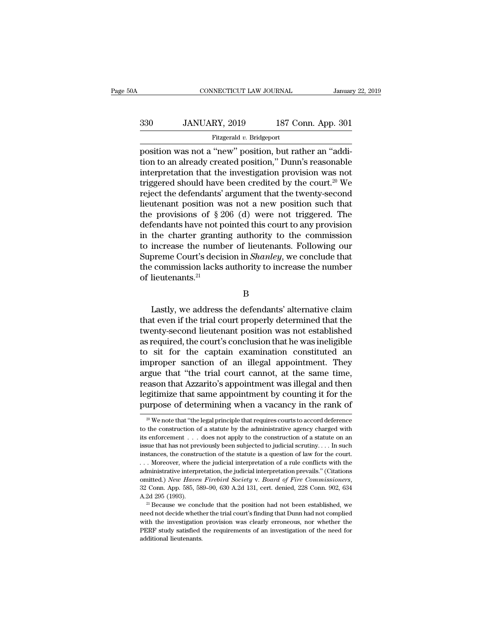## EXECUTE CONNECTICUT LAW JOURNAL January 22, 2019<br>330 JANUARY, 2019 187 Conn. App. 301<br>Fitzgerald v. Bridgeport Fitzgerald *v.* Bridgeport

 $\begin{tabular}{ll} \multicolumn{1}{l}{{\small\textrm{CONPECTICUT LAW JOURNAL}}} & & January 22, 2019 \\ \hline & & \multicolumn{1}{l}{\small\textrm{S30}} & & JANUARY, 2019 & & 187 \; Conn. \; App. \; 301 \\ & & \multicolumn{1}{l}{\small\textrm{Fitzgerald $v$. Bridgeport}} \\ \hline & & \multicolumn{1}{l}{\small\textrm{position was not a ``new'' position, but rather an ``addi-}} \\ \hline & & \multicolumn{1}{l}{\small\textrm{int}} & \multicolumn{1}{l}{\small\textrm{position was not}} \\ \hline & & \$ 330 JANUARY, 2019 187 Conn. App. 301<br>Fitzgerald v. Bridgeport<br>position was not a "new" position, but rather an "addition to an already created position," Dunn's reasonable<br>interpretation that the investigation provision w 330 JANUARY, 2019 187 Conn. App. 301<br>
Fitzgerald v. Bridgeport<br>
position was not a "new" position, but rather an "addi-<br>
tion to an already created position," Dunn's reasonable<br>
interpretation that the investigation provi 330 JANUARY, 2019 187 Conn. App. 301<br>
Fitzgerald v. Bridgeport<br>
position was not a "new" position, but rather an "addi-<br>
tion to an already created position," Dunn's reasonable<br>
interpretation that the investigation provi Fitzgerald v. Bridgeport<br>position was not a "new" position, but rather an "addi-<br>tion to an already created position," Dunn's reasonable<br>interpretation that the investigation provision was not<br>triggered should have been c Fitzgerald v. Bridgeport<br>position was not a "new" position, but rather an "addi-<br>tion to an already created position," Dunn's reasonable<br>interpretation that the investigation provision was not<br>triggered should have been c position was not a "new" position, but rather an "addition to an already created position," Dunn's reasonable<br>interpretation that the investigation provision was not<br>triggered should have been credited by the court.<sup>20</sup> W tion to an already created position," Dunn's reasonable<br>interpretation that the investigation provision was not<br>triggered should have been credited by the court.<sup>20</sup> We<br>reject the defendants' argument that the twenty-secon interpretation that the investigation provision was not<br>triggered should have been credited by the court.<sup>20</sup> We<br>reject the defendants' argument that the twenty-second<br>lieutenant position was not a new position such that<br>t triggered should have been credited by the court.<sup>20</sup> We<br>reject the defendants' argument that the twenty-second<br>lieutenant position was not a new position such that<br>the provisions of  $\S 206$  (d) were not triggered. The<br>de reject the defendants' argument that the twenty-second<br>lieutenant position was not a new position such that<br>the provisions of § 206 (d) were not triggered. The<br>defendants have not pointed this court to any provision<br>in the lieutenant position was not a new position such that<br>the provisions of  $\S 206$  (d) were not triggered. The<br>defendants have not pointed this court to any provision<br>in the charter granting authority to the commission<br>to inc the provisions of  $\S 2$ <br>defendants have not p<br>in the charter grantii<br>to increase the numb<br>Supreme Court's decis<br>the commission lacks<br>of lieutenants.<sup>21</sup> increase the number of lieutenants. Following our<br>preme Court's decision in *Shanley*, we conclude that<br>commission lacks authority to increase the number<br>lieutenants.<sup>21</sup><br>B<br>Lastly, we address the defendants' alternative cl

B

Supreme Court's decision in *Shanley*, we conclude that<br>the commission lacks authority to increase the number<br>of lieutenants.<sup>21</sup><br>B<br>Lastly, we address the defendants' alternative claim<br>that even if the trial court properl the commission lacks authority to increase the number<br>of lieutenants.<sup>21</sup><br>B<br>Lastly, we address the defendants' alternative claim<br>that even if the trial court properly determined that the<br>twenty-second lieutenant position w B<br>
B<br>
Lastly, we address the defendants' alternative claim<br>
that even if the trial court properly determined that the<br>
twenty-second lieutenant position was not established<br>
as required, the court's conclusion that he was B<br>
Lastly, we address the defendants' alternative claim<br>
that even if the trial court properly determined that the<br>
twenty-second lieutenant position was not established<br>
as required, the court's conclusion that he was ine Lastly, we address the defendants' alternative claim<br>that even if the trial court properly determined that the<br>twenty-second lieutenant position was not established<br>as required, the court's conclusion that he was ineligibl Lastly, we address the defendants' alternative claim<br>that even if the trial court properly determined that the<br>twenty-second lieutenant position was not established<br>as required, the court's conclusion that he was ineligibl that even if the trial court properly determined that the<br>twenty-second lieutenant position was not established<br>as required, the court's conclusion that he was ineligible<br>to sit for the captain examination constituted an<br>i twenty-second lieutenant position was not established<br>as required, the court's conclusion that he was ineligible<br>to sit for the captain examination constituted an<br>improper sanction of an illegal appointment. They<br>argue tha as required, the court's conclusion that he was ineligible<br>to sit for the captain examination constituted an<br>improper sanction of an illegal appointment. They<br>argue that "the trial court cannot, at the same time,<br>reason t gue that "the trial court cannot, at the same time,<br>eason that Azzarito's appointment was illegal and then<br>gitimize that same appointment by counting it for the<br>urpose of determining when a vacancy in the rank of<br> $\frac{20}{1$ reason that Azzarito's appointment was illegal and then<br>legitimize that same appointment by counting it for the<br>purpose of determining when a vacancy in the rank of<br> $\frac{20 \text{ W}}{30 \text{ W}}$  we note that "the legal principle t

legitimize that same appointment by counting it for the purpose of determining when a vacancy in the rank of  $\frac{1}{20}$  We note that "the legal principle that requires courts to accord deference to the construction of a s purpose of determining when a vacancy in the rank of<br>
<sup>20</sup> We note that "the legal principle that requires courts to accord deference<br>
to the construction of a statute by the administrative agency charged with<br>
its enforce <sup>20</sup> We note that "the legal principle that requires courts to accord deference to the construction of a statute by the administrative agency charged with its enforcement . . . does not apply to the construction of a stat <sup>20</sup> We note that "the legal principle that requires courts to accord deference to the construction of a statute by the administrative agency charged with its enforcement . . . does not apply to the construction of a stat its enforcement  $\ldots$  does not apply to the construction of a statute on an issue that has not previously been subjected to judicial scrutiny.... In such instances, the construction of the statute is a question of law for Instances, the construction of the statute is a question of law for the court.<br>
... Moreover, where the judicial interpretation of a rule conflicts with the<br>
administrative interpretation, the judicial interpretation prev net all ministrative interpretation, the judicial interpretation prevails." (Citations omitted.) New Haven Firebird Society v. Board of Fire Commissioners, 32 Conn. App. 585, 589–90, 630 A.2d 131, cert. denied, 228 Conn. 9

comitted.) New Haven Firebird Society v. Board of Fire Commissioners,<br>32 Conn. App. 585, 589–90, 630 A.2d 131, cert. denied, 228 Conn. 902, 634<br>A.2d 295 (1993).<br><sup>21</sup> Because we conclude that the position had not been estab 32 Conn. App. 585, 589–90, 630 A.2d 131, cert. denied, 228 Conn. 902, 634 A.2d 295 (1993).<br><sup>21</sup> Because we conclude that the position had not been established, we need not decide whether the trial court's finding that Dun <sup>21</sup> Because we conclude that the position had not been established, we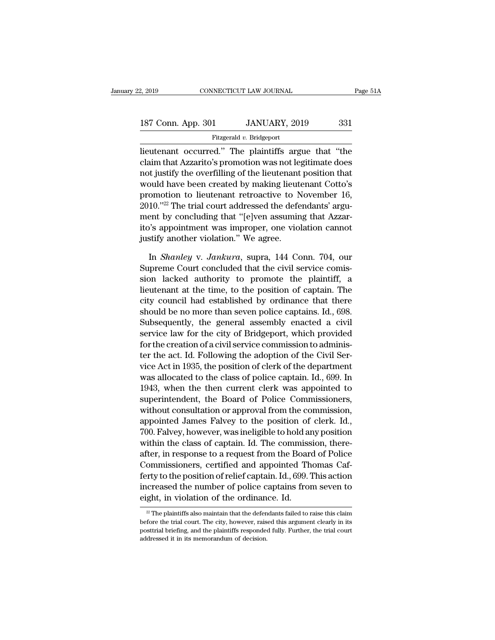| 2, 2019                  |  | CONNECTICUT LAW JOURNAL | Page 51A |  |
|--------------------------|--|-------------------------|----------|--|
|                          |  |                         |          |  |
| 187 Conn. App. 301       |  | JANUARY, 2019           | 331      |  |
| Fitzgerald v. Bridgeport |  |                         |          |  |

2, 2019 CONNECTICUT LAW JOURNAL Page 51A<br>
187 Conn. App. 301 JANUARY, 2019 331<br>
Fitzgerald v. Bridgeport<br>
lieutenant occurred.'' The plaintiffs argue that "the<br>
claim that Azzarito's promotion was not legitimate does 187 Conn. App. 301 JANUARY, 2019 331<br>Fitzgerald v. Bridgeport<br>lieutenant occurred." The plaintiffs argue that "the<br>claim that Azzarito's promotion was not legitimate does<br>not justify the overfilling of the lieutenant posit 187 Conn. App. 301 JANUARY, 2019 331<br>
Fitzgerald v. Bridgeport<br>
lieutenant occurred." The plaintiffs argue that "the<br>
claim that Azzarito's promotion was not legitimate does<br>
not justify the overfilling of the lieutenant 187 Conn. App. 301 JANUARY, 2019 331<br>
Fitzgerald v. Bridgeport<br>
lieutenant occurred." The plaintiffs argue that "the<br>
claim that Azzarito's promotion was not legitimate does<br>
not justify the overfilling of the lieutenant Fitzgerald v. Bridgeport<br>
lieutenant occurred." The plaintiffs argue that "the<br>
claim that Azzarito's promotion was not legitimate does<br>
not justify the overfilling of the lieutenant position that<br>
would have been created The trial courred." The plaintiffs argue that "the claim that Azzarito's promotion was not legitimate does not justify the overfilling of the lieutenant position that would have been created by making lieutenant Cotto's pr lieutenant occurred." The plaintiffs argue that "the<br>claim that Azzarito's promotion was not legitimate does<br>not justify the overfilling of the lieutenant position that<br>would have been created by making lieutenant Cotto's<br> claim that Azzarito's promotion was not legitimate does<br>not justify the overfilling of the lieutenant position that<br>would have been created by making lieutenant Cotto's<br>promotion to lieutenant retroactive to November 16,<br>2 not justify the overfilling of the lieutenant<br>would have been created by making lieut<br>promotion to lieutenant retroactive to N<br>2010.''<sup>22</sup> The trial court addressed the defe<br>ment by concluding that "[e]ven assumin<br>ito's ap omotion to lieutenant retroactive to November 16,<br>10."<sup>22</sup> The trial court addressed the defendants' argu-<br>ent by concluding that "[e]ven assuming that Azzar-<br>"'s appointment was improper, one violation cannot<br>stify anothe 2010."<sup>22</sup> The trial court addressed the defendants' argument by concluding that "[e]ven assuming that Azzarito's appointment was improper, one violation cannot justify another violation." We agree.<br>In *Shanley v. Jankura* 

ment by concluding that "[e]ven assuming that Azzarito's appointment was improper, one violation cannot<br>justify another violation." We agree.<br>In *Shanley* v. Jankura, supra, 144 Conn. 704, our<br>Supreme Court concluded that ito's appointment was improper, one violation cannot<br>justify another violation." We agree.<br>In *Shanley v. Jankura*, supra, 144 Conn. 704, our<br>Supreme Court concluded that the civil service comis-<br>sion lacked authority to p justify another violation." We agree.<br>
In *Shanley v. Jankura*, supra, 144 Conn. 704, our<br>
Supreme Court concluded that the civil service comis-<br>
sion lacked authority to promote the plaintiff, a<br>
lieutenant at the time, t In *Shanley* v. *Jankura*, supra, 144 Conn. 704, our<br>Supreme Court concluded that the civil service comis-<br>sion lacked authority to promote the plaintiff, a<br>lieutenant at the time, to the position of captain. The<br>city coun In *Shanley v. Jankura*, supra, 144 Conn. 704, our<br>Supreme Court concluded that the civil service comis-<br>sion lacked authority to promote the plaintiff, a<br>lieutenant at the time, to the position of captain. The<br>city counc Supreme Court concluded that the civil service comission lacked authority to promote the plaintiff, a<br>lieutenant at the time, to the position of captain. The<br>city council had established by ordinance that there<br>should be n sion lacked authority to promote the plaintiff, a<br>lieutenant at the time, to the position of captain. The<br>city council had established by ordinance that there<br>should be no more than seven police captains. Id., 698.<br>Subseq the fleutenant at the time, to the position of captain. The<br>city council had established by ordinance that there<br>should be no more than seven police captains. Id., 698.<br>Subsequently, the general assembly enacted a civil<br>se city council had established by ordinance that there<br>should be no more than seven police captains. Id., 698.<br>Subsequently, the general assembly enacted a civil<br>service law for the city of Bridgeport, which provided<br>for the should be no more than seven police captains. Id., 698.<br>Subsequently, the general assembly enacted a civil<br>service law for the city of Bridgeport, which provided<br>for the creation of a civil service commission to adminis-<br>t Subsequently, the general assembly enacted a civil<br>service law for the city of Bridgeport, which provided<br>for the creation of a civil service commission to adminis-<br>ter the act. Id. Following the adoption of the Civil Serservice law for the city of Bridgeport, which provided<br>for the creation of a civil service commission to adminis-<br>ter the act. Id. Following the adoption of the Civil Ser-<br>vice Act in 1935, the position of clerk of the dep for the creation of a civil service commission to administer the act. Id. Following the adoption of the Civil Service Act in 1935, the position of clerk of the department was allocated to the class of police captain. Id., ter the act. Id. Following the adoption of the Civil Service Act in 1935, the position of clerk of the department<br>was allocated to the class of police captain. Id., 699. In<br>1943, when the then current clerk was appointed t vice Act in 1935, the position of clerk of the department<br>was allocated to the class of police captain. Id., 699. In<br>1943, when the then current clerk was appointed to<br>superintendent, the Board of Police Commissioners,<br>wit was allocated to the class of police captain. Id., 699. In<br>1943, when the then current clerk was appointed to<br>superintendent, the Board of Police Commissioners,<br>without consultation or approval from the commission,<br>appoint 1943, when the then current clerk was appointed to<br>superintendent, the Board of Police Commissioners,<br>without consultation or approval from the commission,<br>appointed James Falvey to the position of clerk. Id.,<br>700. Falvey, superntendent, the Board of Police Commissioners,<br>without consultation or approval from the commission,<br>appointed James Falvey to the position of clerk. Id.,<br>700. Falvey, however, was ineligible to hold any position<br>within without consultation or approval from the commission,<br>appointed James Falvey to the position of clerk. Id.,<br>700. Falvey, however, was ineligible to hold any position<br>within the class of captain. Id. The commission, there-<br> appointed James Falvey to the position of clerk. Id.,<br>700. Falvey, however, was ineligible to hold any position<br>within the class of captain. Id. The commission, there-<br>after, in response to a request from the Board of Poli 700. Falvey, however, was ineligible to hold an within the class of captain. Id. The commiss<br>after, in response to a request from the Board Commissioners, certified and appointed Therty to the position of relief captain. Commissioners, certified and appointed Thomas Cafferty to the position of relief captain. Id., 699. This action<br>increased the number of police captains from seven to<br>eight, in violation of the ordinance. Id.<br> $\frac{1}{2}$ The ferty to the position of relief captain. Id., 699. This action<br>increased the number of police captains from seven to<br>eight, in violation of the ordinance. Id.<br> $\frac{2}{\sqrt{2}}$  The plaintiffs also maintain that the defendants

increased the number of police captains from seven to eight, in violation of the ordinance. Id.<br> $\frac{1}{2}$  The plaintiffs also maintain that the defendants failed to raise this claim before the trial court. The city, howev eight, in violation of the ordinance. Id.<br> $\frac{2}{2}$  The plaintiffs also maintain that the defendants failefore the trial court. The city, however, raised this a posttrial briefing, and the plaintiffs responded fully. Fund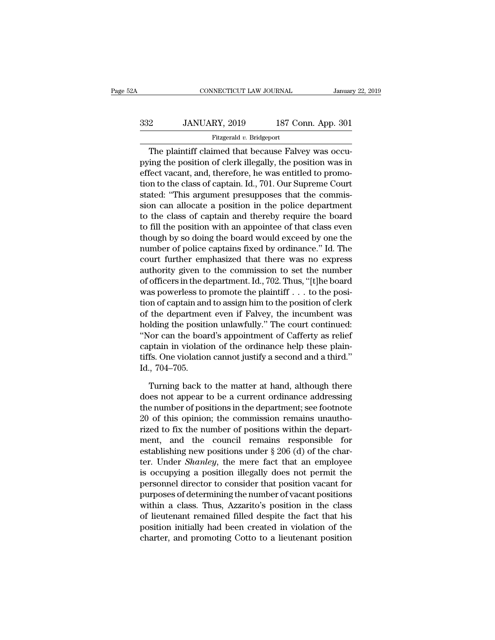## EXECUTE CONNECTICUT LAW JOURNAL January 22, 2019<br>332 JANUARY, 2019 187 Conn. App. 301<br>Fitzgerald v. Bridgeport Fitzgerald *v.* Bridgeport

CONNECTICUT LAW JOURNAL<br>
2 JANUARY, 2019 187 Conn. App. 301<br>
Fitzgerald v. Bridgeport<br>
The plaintiff claimed that because Falvey was occu-<br>
ing the position of clerk illegally, the position was in 332 JANUARY, 2019 187 Conn. App. 301<br>Fitzgerald v. Bridgeport<br>The plaintiff claimed that because Falvey was occupying the position of clerk illegally, the position was in<br>effect vacant, and, therefore, he was entitled to 332 JANUARY, 2019 187 Conn. App. 301<br>
Fitzgerald v. Bridgeport<br>
The plaintiff claimed that because Falvey was occupying the position of clerk illegally, the position was in<br>
effect vacant, and, therefore, he was entitled  $332$  JANUARY, 2019 187 Conn. App. 301<br>
Fitzgerald v. Bridgeport<br>
The plaintiff claimed that because Falvey was occupying the position of clerk illegally, the position was in<br>
effect vacant, and, therefore, he was entitle Fitzgerald  $v$ . Bridgeport<br>The plaintiff claimed that because Falvey was occu-<br>pying the position of clerk illegally, the position was in<br>effect vacant, and, therefore, he was entitled to promo-<br>tion to the class of capta The plaintiff claimed that because Falvey was occupying the position of clerk illegally, the position was in effect vacant, and, therefore, he was entitled to promotion to the class of captain. Id., 701. Our Supreme Court The plaintiff claimed that because Falvey was occu-<br>pying the position of clerk illegally, the position was in<br>effect vacant, and, therefore, he was entitled to promo-<br>tion to the class of captain. Id., 701. Our Supreme Co pying the position of clerk illegally, the position was in<br>effect vacant, and, therefore, he was entitled to promo-<br>tion to the class of captain. Id., 701. Our Supreme Court<br>stated: "This argument presupposes that the comm effect vacant, and, therefore, he was entitled to promotion to the class of captain. Id., 701. Our Supreme Court<br>stated: "This argument presupposes that the commis-<br>sion can allocate a position in the police department<br>to tion to the class of captain. Id., 701. Our Supreme Court<br>stated: "This argument presupposes that the commis-<br>sion can allocate a position in the police department<br>to the class of captain and thereby require the board<br>to f stated: "This argument presupposes that the commission can allocate a position in the police department<br>to the class of captain and thereby require the board<br>to fill the position with an appointee of that class even<br>though sion can allocate a position in the police department<br>to the class of captain and thereby require the board<br>to fill the position with an appointee of that class even<br>though by so doing the board would exceed by one the<br>num to the class of captain and thereby require the board<br>to fill the position with an appointee of that class even<br>though by so doing the board would exceed by one the<br>number of police captains fixed by ordinance." Id. The<br>co to fill the position with an appointee of that class even<br>though by so doing the board would exceed by one the<br>number of police captains fixed by ordinance." Id. The<br>court further emphasized that there was no express<br>autho though by so doing the board would exceed by one the<br>number of police captains fixed by ordinance." Id. The<br>court further emphasized that there was no express<br>authority given to the commission to set the number<br>of officers number of police captains fixed by ordinance." Id. The<br>court further emphasized that there was no express<br>authority given to the commission to set the number<br>of officers in the department. Id., 702. Thus, "[t]he board<br>was court further emphasized that there was no express<br>authority given to the commission to set the number<br>of officers in the department. Id., 702. Thus, "[t]he board<br>was powerless to promote the plaintiff . . . to the posi-<br>t authority given to the commission to set the number<br>of officers in the department. Id., 702. Thus, "[t]he board<br>was powerless to promote the plaintiff . . . to the posi-<br>tion of captain and to assign him to the position of of officers in the department. Id., 702. Thus, "[t]he board<br>was powerless to promote the plaintiff . . . to the posi-<br>tion of captain and to assign him to the position of clerk<br>of the department even if Falvey, the incumb was powerless to promote the plaintiff  $\ldots$  to the position of captain and to assign him to the position of clerk of the department even if Falvey, the incumbent was holding the position unlawfully.'' The court continued tion of captain and<br>of the departmen<br>holding the positi<br>"Nor can the boai<br>captain in violatio<br>tiffs. One violation<br>Id., 704–705.<br>Turning back to In the position unlawfully." The court continued:<br>The matter at hand, in violation of the ordinance help these plain-<br>fs. One violation cannot justify a second and a third."<br>Turning back to the matter at hand, although the "Nor can the board's appointment of Cafferty as relief captain in violation of the ordinance help these plaintiffs. One violation cannot justify a second and a third."<br>Id., 704–705.<br>Turning back to the matter at hand, alt

captain in violation of the ordinance help these plaintiffs. One violation cannot justify a second and a third."<br>Id., 704–705.<br>Turning back to the matter at hand, although there<br>does not appear to be a current ordinance ad tiffs. One violation cannot justify a second and a third."<br>
Id., 704–705.<br>
Turning back to the matter at hand, although there<br>
does not appear to be a current ordinance addressing<br>
the number of positions in the department Id., 704–705.<br>Turning back to the matter at hand, although there<br>does not appear to be a current ordinance addressing<br>the number of positions in the department; see footnote<br>20 of this opinion; the commission remains unau Turning back to the matter at hand, although there<br>does not appear to be a current ordinance addressing<br>the number of positions in the department; see footnote<br>20 of this opinion; the commission remains unautho-<br>rized to Turning back to the matter at hand, although there<br>does not appear to be a current ordinance addressing<br>the number of positions in the department; see footnote<br>20 of this opinion; the commission remains unautho-<br>rized to does not appear to be a current ordinance addressing<br>the number of positions in the department; see footnote<br>20 of this opinion; the commission remains unautho-<br>rized to fix the number of positions within the depart-<br>ment, the number of positions in the department; see footnote<br>20 of this opinion; the commission remains unautho-<br>rized to fix the number of positions within the depart-<br>ment, and the council remains responsible for<br>establishin 20 of this opinion; the commission remains unautho-<br>rized to fix the number of positions within the depart-<br>ment, and the council remains responsible for<br>establishing new positions under  $\S 206$  (d) of the char-<br>ter. Unde rized to fix the number of positions within the depart-<br>ment, and the council remains responsible for<br>establishing new positions under  $\S 206$  (d) of the char-<br>ter. Under *Shanley*, the mere fact that an employee<br>is occup ment, and the council remains responsible for<br>establishing new positions under  $\S 206$  (d) of the char-<br>ter. Under *Shanley*, the mere fact that an employee<br>is occupying a position illegally does not permit the<br>personnel establishing new positions under  $\S 206$  (d) of the char-<br>ter. Under *Shanley*, the mere fact that an employee<br>is occupying a position illegally does not permit the<br>personnel director to consider that position vacant for<br> ter. Under *Shanley*, the mere fact that an employee<br>is occupying a position illegally does not permit the<br>personnel director to consider that position vacant for<br>purposes of determining the number of vacant positions<br>with is occupying a position illegally does not permit the<br>personnel director to consider that position vacant for<br>purposes of determining the number of vacant positions<br>within a class. Thus, Azzarito's position in the class<br>of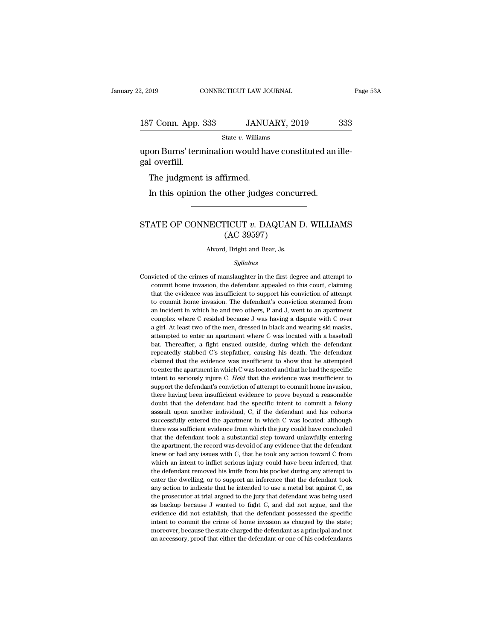### 2, 2019 CONNECTICUT LAW JOURNAL Page 53A<br>187 Conn. App. 333 JANUARY, 2019 333<br>State v. Williams State *v.* Williams upon Burns' termination would have constituted an ille-187 Conn. App.<br>187 Conn. App.<br>1990 werfill.<br>The judgment  $\frac{7 \text{ Conn. App. 333}}{\text{State } v. \text{ Williams}}$ <br>
Non Burns' termination would hal<br>
l overfill.<br>
The judgment is affirmed.<br>
In this opinion the other judge:

State v. Williams<br>
State v. Williams<br>
I overfill.<br>
The judgment is affirmed.<br>
In this opinion the other judges concurred.

### % gal overfill.<br>
The judgment is affirmed.<br>
In this opinion the other judges concurred.<br>
STATE OF CONNECTICUT *v*. DAQUAN D. WILLIAMS<br>
(AC 39597) firmed.<br>
other judges concu<br>
TICUT v. DAQUAN<br>(AC 39597)<br>
I, Bright and Bear, Js. STATE OF CONNECTICUT  $v$ . DAQUAN D. WILLIAMS<br>(AC 39597)<br>Alvord, Bright and Bear, Js.

### *Syllabus*

(AC 39597)<br>Alvord, Bright and Bear, Js.<br>Syllabus<br>Convicted of the crimes of manslaughter in the first degree and attempt to<br>commit home invasion, the defendant appealed to this court, claiming commit allows a determined a set of manifolds and the defendant appealed to this court, claiming that the evidence was insufficient to support his conviction of attempt to  $\frac{1}{2}$ Alvord, Bright and Bear, Js.<br>
Syllabus<br>
victed of the crimes of manslaughter in the first degree and attempt to<br>
commit home invasion, the defendant appealed to this court, claiming<br>
that the evidence was insufficient to s Syllabus<br>victed of the crimes of manslaughter in the first degree and attempt to<br>commit home invasion, the defendant appealed to this court, claiming<br>that the evidence was insufficient to support his conviction of attempt<br> *Syllabus*<br>sixted of the crimes of manslaughter in the first degree and attempt to<br>commit home invasion, the defendant appealed to this court, claiming<br>that the evidence was insufficient to support his conviction of attemp victed of the crimes of manslaughter in the first degree and attempt to commit home invasion, the defendant appealed to this court, claiming that the evidence was insufficient to support his conviction of attempt to commit commit home invasion, the defendant appealed to this court, claiming<br>that the evidence was insufficient to support his conviction of attempt<br>to commit home invasion. The defendant's conviction stemmed from<br>an incident in w battempted to enter an apartment where C was located with a baseball that the evidence was insufficient to support his conviction of attempt to commit home invasion. The defendant's conviction stemmed from an incident in w the commit home invasion. The defendant's conviction stemmed from<br>an incident in which he and two others, P and J, went to an apartment<br>complex where C resided because J was having a dispute with C over<br>a girl. At least tw an incident in which he and two others, P and J, went to an apartment<br>an incident in which he and two others, P and J, went to an apartment<br>complex where C resided because J was having a dispute with C over<br>a girl. At leas complex where C resided because J was having a dispute with C over<br>a girl. At least two of the men, dressed in black and wearing ski masks,<br>attempted to enter an apartment where C was located with a baseball<br>bat. Thereafte a girl. At least two of the men, dressed in black and wearing ski masks, attempted to enter an apartment where C was located with a baseball bat. Thereafter, a fight ensued outside, during which the defendant repeatedly s a stempted to enter an apartment where C was located with a baseball bat. Thereafter, a fight ensued outside, during which the defendant repeatedly stabbed C's stepfather, causing his death. The defendant claimed that the bat. Thereafter, a fight ensued outside, during which the defendant<br>repeatedly stabbed C's stepfather, causing his death. The defendant<br>claimed that the evidence was insufficient to show that he attempted<br>to enter the apar repeatedly stabbed C's stepfather, causing his death. The defendant claimed that the evidence was insufficient to show that he attempted to enter the apartment in which C was located and that he had the specific intent to claimed that the evidence was insufficient to show that he attempted to enter the apartment in which C was located and that he had the specific intent to seriously injure C. *Held* that the evidence was insufficient to su assumed the apartment in which C was located and that he had the specific intent to seriously injure C. Held that the evidence was insufficient to support the defendant's conviction of attempt to commit home invasion, ther intent to seriously injure C. Held that the evidence was insufficient to support the defendant's conviction of attempt to commit home invasion, there having been insufficient evidence to prove beyond a reasonable doubt tha support the defendant's conviction of attempt to commit home invasion, there having been insufficient evidence to prove beyond a reasonable doubt that the defendant had the specific intent to commit a felony assault upon a suppression and the defendant took a substantial step to the defendant of the defendant to commit a felony assault upon another individual, C, if the defendant and his cohorts successfully entered the apartment in which C doubt that the defendant had the specific intent to commit a felony doubt that the defendant had the specific intent to commit a felony assault upon another individual, C, if the defendant and his cohorts successfully ente assault upon another individual, C, if the defendant and his cohorts successfully entered the apartment in which C was located: although there was sufficient evidence from which the jury could have concluded that the defen successfully entered the apartment in which C was located: although<br>there was sufficient evidence from which the jury could have concluded<br>that the defendant took a substantial step toward unlawfully entering<br>the apartment there was sufficient evidence from which the jury could have concluded that the defendant took a substantial step toward unlawfully entering the apartment, the record was devoid of any evidence that the defendant knew or h that the defendant took a substantial step toward unlawfully entering<br>the apartment, the record was devoid of any evidence that the defendant<br>knew or had any issues with C, that he took any action toward C from<br>which an in the apartment, the record was devoid of any evidence that the defendant knew or had any issues with C, that he took any action toward C from which an intent to inflict serious injury could have been inferred, that the defe the prosecutor at trial argued to the jury that defendant was being the prosecutor and any issues with C, that he took any action toward C from which an intent to inflict serious injury could have been inferred, that the which an intent to inflict serious injury could have been inferred, that the defendant removed his knife from his pocket during any attempt to enter the dwelling, or to support an inference that the defendant took any acti the defendant removed his knife from his pocket during any attempt to enter the dwelling, or to support an inference that the defendant took any action to indicate that he intended to use a metal bat against  $C$ , as the p the defendant removed his knife from his pocket during any attempt to enter the dwelling, or to support an inference that the defendant took any action to indicate that he intended to use a metal bat against C, as the pros any action to indicate that he intended to use a metal bat against C, as the prosecutor at trial argued to the jury that defendant was being used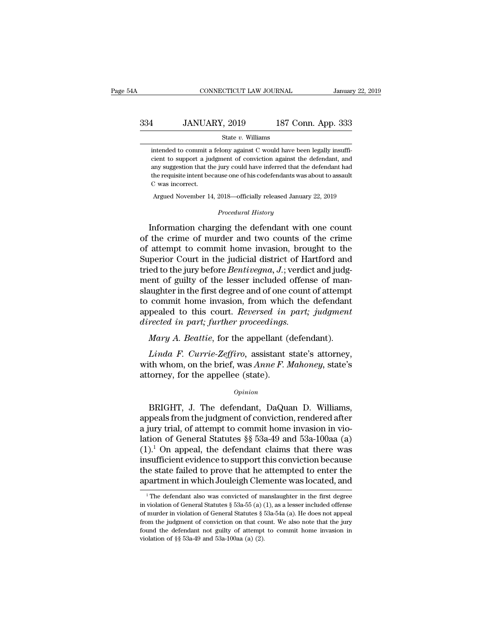### EXECUTE CONNECTICUT LAW JOURNAL January 22, 2019<br>334 JANUARY, 2019 187 Conn. App. 333<br>5tate v. Williams State *v.* Williams 334 JANUARY, 2019 187 Conn. App. 333<br>  $\frac{\text{State } v. \text{ Williams}}{\text{intended to commit a fellow against C would have been legally insufficient to support a judgment of conviction against the defendant, and}$

LANUARY, 2019 187 Conn. App. 333<br>
State v. Williams<br>
intended to commit a felony against C would have been legally insuffi-<br>
cient to support a judgment of conviction against the defendant, and<br>
any suggestion that the jur **14 JANUARY, 2019** 187 Conn. App. 333<br>
state  $v$ . Williams<br>
intended to commit a felony against C would have been legally insufficient to support a judgment of conviction against the defendant, and<br>
any suggestion that th  $\begin{minipage}[t]{0.7\textwidth} \begin{tabular}{p{0.8cm}} \textbf{State $v$. Williams$} \end{tabular} \end{minipage} \begin{minipage}[t]{0.7\textwidth} \begin{tabular}{p{0.8cm}} \textbf{State $v$} \end{tabular} \end{minipage} \begin{minipage}[t]{0.7\textwidth} \begin{tabular}{p{0.8cm}} \textbf{State $v$} \end{tabular} \end{minipage} \end{minipage} \begin{minipage}[t]{0.7\textwidth} \begin{tabular}{p{0.8cm}} \textbf{Right} & \textbf{Right} & \textbf{Right} \\ \textbf{Right} & \$ intended to commit a<br>cient to support a jud<br>any suggestion that the<br>the requisite intent bec<br>C was incorrect.<br>Argued November 14 ntended to commit a felony against C would have been legally insufficient to support a judgment of conviction against the defendant, and any suggestion that the jury could have inferred that the defendant had he requisite *Procedural have inferred that that*<br> *Procedural History*<br> *Procedural History*<br> *Procedural History* Information charging the defendant with one count<br>the crime of this contribute inferred that the defendant had<br>the requisite intent because one of his codefendants was about to assault<br>C was incorrect.<br>Argued November 14,

the requisite intent because one of his codefendants was about to assault<br>C was incorrect.<br>Argued November 14, 2018—officially released January 22, 2019<br>*Procedural History*<br>Information charging the defendant with one coun C was incorrect.<br>
Argued November 14, 2018—officially released January 22, 2019<br>  $Proceedural History$ <br>
Information charging the defendant with one count<br>
of the crime of murder and two counts of the crime<br>
of attempt to commit home inva Argued November 14, 2018—officially released January 22, 2019<br>
Procedural History<br>
Information charging the defendant with one count<br>
of the crime of murder and two counts of the crime<br>
of attempt to commit home invasion, *Procedural History*<br>Information charging the defendant with one count<br>of the crime of murder and two counts of the crime<br>of attempt to commit home invasion, brought to the<br>Superior Court in the judicial district of Hartfo mediate increasing the defendant with one count<br>of the crime of murder and two counts of the crime<br>of attempt to commit home invasion, brought to the<br>Superior Court in the judicial district of Hartford and<br>tried to the jur Information charging the defendant with one count<br>of the crime of murder and two counts of the crime<br>of attempt to commit home invasion, brought to the<br>Superior Court in the judicial district of Hartford and<br>tried to the of the crime of murder and two counts of the crime<br>of attempt to commit home invasion, brought to the<br>Superior Court in the judicial district of Hartford and<br>tried to the jury before *Bentivegna*, *J*.; verdict and judg-<br>m of attempt to commit home invasion, brought to the<br>Superior Court in the judicial district of Hartford and<br>tried to the jury before *Bentivegna*, *J*.; verdict and judg-<br>ment of guilty of the lesser included offense of man Superior Court in the judicial district of Ha<br>tried to the jury before *Bentivegna*, *J*.; verdic<br>ment of guilty of the lesser included offens<br>slaughter in the first degree and of one count<br>to commit home invasion, from wh Figure 1. The appellant of guilty of the lesser included offense of man-<br> *Mary A. Beattie, for the appellant* (defendant).<br> *Mary A. Beattie, for the appellant (defendant).*<br> *Mary A. Beattie, for the appellant (defendant Linda F. Currie-Zeffiro,* assistant state's the model of this count of attempt<br>pealed to this court. *Reversed in part; judgment*<br>rected in part; further proceedings.<br>*Mary A. Beattie*, for the appellant (defendant).<br>*Lin* to commit home invasion, from which the defendant<br>appealed to this court. *Reversed in part*; *judgment*<br>directed in part; further proceedings.<br>Mary A. Beattie, for the appellant (defendant).<br>Linda F. Currie-Zeffiro, assis

appealed to this court. *Reversed in*<br>directed in part; further proceedings.<br>Mary A. Beattie, for the appellant (<br>Linda F. Currie-Zeffiro, assistant :<br>with whom, on the brief, was Anne F. In<br>attorney, for the appellee (st Linda F. Currie-Zeffiro, assistant state's attorney,<br>th whom, on the brief, was Anne F. Mahoney, state's<br>torney, for the appellee (state).<br> $opinion$ <br>BRIGHT, J. The defendant, DaQuan D. Williams,<br>peals from the judgment of conv

### *Opinion*

Linda F. Currie-Zeffiro, assistant state's attorney,<br>with whom, on the brief, was Anne F. Mahoney, state's<br>attorney, for the appellee (state).<br> $o_{pinion}$ <br>BRIGHT, J. The defendant, DaQuan D. Williams,<br>appeals from the judgmen with whom, on the brief, was Anne F. Mahoney, state's<br>attorney, for the appellee (state).<br> $opinion$ <br>BRIGHT, J. The defendant, DaQuan D. Williams,<br>appeals from the judgment of conviction, rendered after<br>a jury trial, of attempt attorney, for the appellee (state).<br>  $\qquad$   $\qquad$   $\qquad$   $\qquad$   $\qquad$   $\qquad$   $\qquad$   $\qquad$   $\qquad$   $\qquad$   $\qquad$   $\qquad$   $\qquad$   $\qquad$   $\qquad$   $\qquad$   $\qquad$   $\qquad$   $\qquad$   $\qquad$   $\qquad$   $\qquad$   $\qquad$   $\qquad$   $\qquad$   $\qquad$   $\qquad$   $\qquad$   $\qquad$   $\qquad$   $\qquad$ <sup>Opinion</sup><br>
BRIGHT, J. The defendant, DaQuan D. Williams,<br>
appeals from the judgment of conviction, rendered after<br>
a jury trial, of attempt to commit home invasion in vio-<br>
lation of General Statutes §§ 53a-49 and 53a-100 ERIGHT, J. The defendant, DaQuan D. Williams,<br>appeals from the judgment of conviction, rendered after<br>a jury trial, of attempt to commit home invasion in vio-<br>lation of General Statutes  $\S$  53a-49 and 53a-100aa (a)<br> $(1)^1$ BRIGHT, J. The defendant, DaQuan D. Williams,<br>appeals from the judgment of conviction, rendered after<br>a jury trial, of attempt to commit home invasion in vio-<br>lation of General Statutes  $\S$  53a-49 and 53a-100aa (a)<br> $(1)^1$ appeals from the judgment of conviction, rendered after<br>a jury trial, of attempt to commit home invasion in vio-<br>lation of General Statutes §§ 53a-49 and 53a-100aa (a)<br> $(1)^{1}$  On appeal, the defendant claims that there w .).<sup>1</sup> On appeal, the defendant claims that there was sufficient evidence to support this conviction because in the state failed to prove that he attempted to enter the partment in which Jouleigh Clemente was located, and in sufficient evidence to support this conviction because<br>the state failed to prove that he attempted to enter the<br>apartment in which Jouleigh Clemente was located, and<br><sup>1</sup>The defendant also was convicted of manslaughter

the state failed to prove that he attempted to enter the apartment in which Jouleigh Clemente was located, and<br> $\frac{1}{1}$ The defendant also was convicted of manslaughter in the first degree in violation of General Statutes apartment in which Jouleigh Clemente was located, and<br>
<sup>1</sup>The defendant also was convicted of manslaughter in the first degree<br>
in violation of General Statutes § 53a-55 (a) (1), as a lesser included offense<br>
of murder in Four defendant also was convicted of manslaughter in the first degree in violation of General Statutes § 53a-55 (a) (1), as a lesser included offense of murder in violation of General Statutes § 53a-54a (a). He does not a <sup>1</sup> The defendant also was convicted of m<br>in violation of General Statutes § 53a-55 (a) (of murder in violation of General Statutes § {<br>from the judgment of conviction on that co<br>found the defendant not guilty of attempt<br>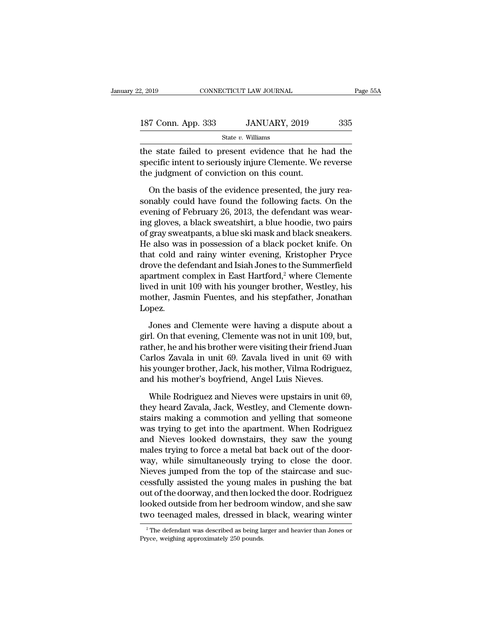| 2, 2019            | CONNECTICUT LAW JOURNAL | Page 55A |  |
|--------------------|-------------------------|----------|--|
|                    |                         |          |  |
| 187 Conn. App. 333 | JANUARY, 2019           | 335      |  |
|                    | State $v$ . Williams    |          |  |

Example 3.2019 CONNECTICUT LAW JOURNAL Page 55A<br>
187 Conn. App. 333 JANUARY, 2019 335<br>
5tate v. Williams<br>
the state failed to present evidence that he had the<br>
specific intent to seriously injure Clemente. We reverse<br>
the 187 Conn. App. 333 JANUARY, 2019 335<br>State v. Williams<br>the state failed to present evidence that he had the<br>specific intent to seriously injure Clemente. We reverse<br>the judgment of conviction on this count. 187 Conn. App. 333 JANUARY, 2019<br>
State v. Williams<br>
the state failed to present evidence that he laspecific intent to seriously injure Clemente. We<br>
the judgment of conviction on this count.<br>
On the basis of the evidence  $\frac{V}{\text{C} \cdot \text{C} \cdot \text{C} \cdot \text{C} \cdot \text{C} \cdot \text{C} \cdot \text{C} \cdot \text{C} \cdot \text{C} \cdot \text{C}}$  State *v*. Williams<br>
Extate failed to present evidence that he had the ecific intent to seriously injure Clemente. We reverse<br>
Equidgment of conv

State v. Williams<br>the state failed to present evidence that he had the<br>specific intent to seriously injure Clemente. We reverse<br>the judgment of conviction on this count.<br>On the basis of the evidence presented, the jury rea the state failed to present evidence that he had the<br>specific intent to seriously injure Clemente. We reverse<br>the judgment of conviction on this count.<br>On the basis of the evidence presented, the jury rea-<br>sonably could ha specific intent to seriously injure Clemente. We reverse<br>the judgment of conviction on this count.<br>On the basis of the evidence presented, the jury rea-<br>sonably could have found the following facts. On the<br>evening of Febru the judgment of conviction on this count.<br>
On the basis of the evidence presented, the jury reasonably could have found the following facts. On the<br>
evening of February 26, 2013, the defendant was wear-<br>
ing gloves, a blac On the basis of the evidence presented, the jury reasonably could have found the following facts. On the evening of February 26, 2013, the defendant was wearing gloves, a black sweatshirt, a blue hoodie, two pairs of gray On the basis of the evidence presented, the jury rea-<br>sonably could have found the following facts. On the<br>evening of February 26, 2013, the defendant was wear-<br>ing gloves, a black sweatshirt, a blue hoodie, two pairs<br>of g sonably could have found the following facts. On the<br>evening of February 26, 2013, the defendant was wear-<br>ing gloves, a black sweatshirt, a blue hoodie, two pairs<br>of gray sweatpants, a blue ski mask and black sneakers.<br>He evening of February 26, 2013, the defendant was wear-<br>ing gloves, a black sweatshirt, a blue hoodie, two pairs<br>of gray sweatpants, a blue ski mask and black sneakers.<br>He also was in possession of a black pocket knife. On<br>t ing gloves, a black sweatshirt, a blue hoodie, two pairs<br>of gray sweatpants, a blue ski mask and black sneakers.<br>He also was in possession of a black pocket knife. On<br>that cold and rainy winter evening, Kristopher Pryce<br>dr of gray sweatpants, a blue ski mask and black sneakers.<br>He also was in possession of a black pocket knife. On<br>that cold and rainy winter evening, Kristopher Pryce<br>drove the defendant and Isiah Jones to the Summerfield<br>apar Lopez. ove the defendant and Isiah Jones to the Summerfield<br>artment complex in East Hartford,<sup>2</sup> where Clemente<br>red in unit 109 with his younger brother, Westley, his<br>other, Jasmin Fuentes, and his stepfather, Jonathan<br>pez.<br>Jones apartment complex in East Hartford,<sup>2</sup> where Clemente<br>lived in unit 109 with his younger brother, Westley, his<br>mother, Jasmin Fuentes, and his stepfather, Jonathan<br>Lopez.<br>Jones and Clemente were having a dispute about a<br>gi

lived in unit 109 with his younger brother, Westley, his<br>mother, Jasmin Fuentes, and his stepfather, Jonathan<br>Lopez.<br>Jones and Clemente were having a dispute about a<br>girl. On that evening, Clemente was not in unit 109, but mother, Jasmin Fuentes, and his stepfather, Jonathan<br>Lopez.<br>Jones and Clemente were having a dispute about a<br>girl. On that evening, Clemente was not in unit 109, but,<br>rather, he and his brother were visiting their friend J Lopez.<br>
Jones and Clemente were having a dispute about a<br>
girl. On that evening, Clemente was not in unit 109, but,<br>
rather, he and his brother were visiting their friend Juan<br>
Carlos Zavala in unit 69. Zavala lived in uni Jones and Clemente were having a dispute about<br>girl. On that evening, Clemente was not in unit 109, brather, he and his brother were visiting their friend Ju<br>Carlos Zavala in unit 69. Zavala lived in unit 69 wi<br>his younger rl. On that evening, Clemente was not in unit 109, but,<br>ther, he and his brother were visiting their friend Juan<br>urlos Zavala in unit 69. Zavala lived in unit 69 with<br>s younger brother, Jack, his mother, Vilma Rodriguez,<br>d rather, he and his brother were visiting their friend Juan Carlos Zavala in unit 69. Zavala lived in unit 69 with<br>his younger brother, Jack, his mother, Vilma Rodriguez,<br>and his mother's boyfriend, Angel Luis Nieves.<br>While

Carlos Zavala in unit 69. Zavala lived in unit 69 with<br>his younger brother, Jack, his mother, Vilma Rodriguez,<br>and his mother's boyfriend, Angel Luis Nieves.<br>While Rodriguez and Nieves were upstairs in unit 69,<br>they heard his younger brother, Jack, his mother, Vilma Rodriguez,<br>and his mother's boyfriend, Angel Luis Nieves.<br>While Rodriguez and Nieves were upstairs in unit 69,<br>they heard Zavala, Jack, Westley, and Clemente down-<br>stairs making and his mother's boyfriend, Angel Luis Nieves.<br>While Rodriguez and Nieves were upstairs in unit 69,<br>they heard Zavala, Jack, Westley, and Clemente down-<br>stairs making a commotion and yelling that someone<br>was trying to get While Rodriguez and Nieves were upstairs in unit 69, they heard Zavala, Jack, Westley, and Clemente downstairs making a commotion and yelling that someone was trying to get into the apartment. When Rodriguez and Nieves loo While Rodriguez and Nieves were upstairs in unit 69,<br>they heard Zavala, Jack, Westley, and Clemente down-<br>stairs making a commotion and yelling that someone<br>was trying to get into the apartment. When Rodriguez<br>and Nieves l they heard Zavala, Jack, Westley, and Clemente down-<br>stairs making a commotion and yelling that someone<br>was trying to get into the apartment. When Rodriguez<br>and Nieves looked downstairs, they saw the young<br>males trying to stairs making a commotion and yelling that someone<br>was trying to get into the apartment. When Rodriguez<br>and Nieves looked downstairs, they saw the young<br>males trying to force a metal bat back out of the door-<br>way, while si was trying to get into the apartment. When Rodriguez<br>and Nieves looked downstairs, they saw the young<br>males trying to force a metal bat back out of the door-<br>way, while simultaneously trying to close the door.<br>Nieves jumpe and Nieves looked downstairs, they saw the young<br>males trying to force a metal bat back out of the door-<br>way, while simultaneously trying to close the door.<br>Nieves jumped from the top of the staircase and suc-<br>cessfully as males trying to force a metal bat back out of the door-<br>way, while simultaneously trying to close the door.<br>Nieves jumped from the top of the staircase and suc-<br>cessfully assisted the young males in pushing the bat<br>out of cessfully assisted the young males in pushing the bat<br>out of the doorway, and then locked the door. Rodriguez<br>looked outside from her bedroom window, and she saw<br>two teenaged males, dressed in black, wearing winter<br><sup>2</sup>The two teenaged males, dressed in black, wearing winter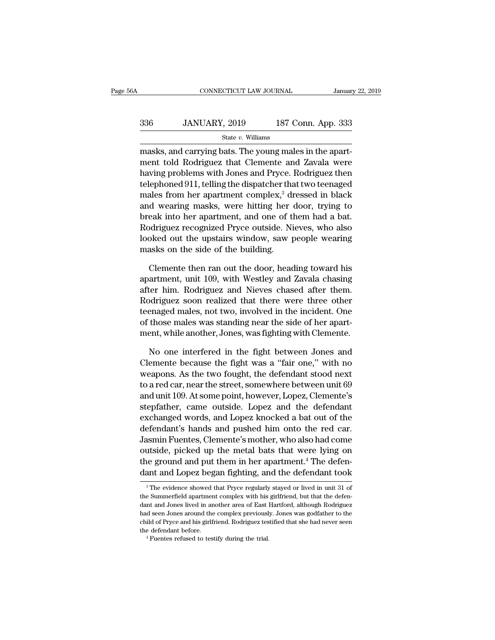## EXECUTE CONNECTICUT LAW JOURNAL January 22, 2019<br>336 JANUARY, 2019 187 Conn. App. 333<br>5tate v. Williams State *v.* Williams

CONNECTICUT LAW JOURNAL<br>
336 JANUARY, 2019 187 Conn. App. 333<br>
5tate v. Williams<br>
5tate v. Williams<br>
5tate v. Williams<br>
5tate v. Williams<br>
5tate v. Williams<br>
5tate v. Williams<br>
6tate clemente and Zavala were<br>
8tate clement  $336$  JANUARY, 2019 187 Conn. App. 333<br>  $\frac{\text{State } v. \text{ Williams}}{\text{massks, and carrying bats. The young males in the apart-  
ment told Rodriguez that Clement and Zavala were  
having problems with Jones and Pryce. Rodriguez then  
tolenoned 011, telling the diameter, but we teoned$  $\frac{\text{336}}{\text{State } v. \text{ Williams}}$ <br>  $\frac{\text{State } v. \text{ Williams}}{\text{mass}}$ <br>
masks, and carrying bats. The young males in the apartment told Rodriguez that Clemente and Zavala were<br>
having problems with Jones and Pryce. Rodriguez then<br>
telephoned 911 336 JANUARY, 2019 187 Conn. App. 333<br>  $\frac{\text{State } v. \text{ Williams}}{\text{mass}}$ <br>
masks, and carrying bats. The young males in the apart-<br>
ment told Rodriguez that Clemente and Zavala were<br>
having problems with Jones and Pryce. Rodriguez then State v. Williams<br>
masks, and carrying bats. The young males in the apart-<br>
ment told Rodriguez that Clemente and Zavala were<br>
having problems with Jones and Pryce. Rodriguez then<br>
telephoned 911, telling the dispatcher t masks, and carrying bats. The young males in the apartment told Rodriguez that Clemente and Zavala were having problems with Jones and Pryce. Rodriguez then telephoned 911, telling the dispatcher that two teenaged males f masks, and carrying bats. The young males in the apart-<br>ment told Rodriguez that Clemente and Zavala were<br>having problems with Jones and Pryce. Rodriguez then<br>telephoned 911, telling the dispatcher that two teenaged<br>males ment told Rodriguez that Clemente and Zavala were<br>having problems with Jones and Pryce. Rodriguez then<br>telephoned 911, telling the dispatcher that two teenaged<br>males from her apartment complex,<sup>3</sup> dressed in black<br>and wear having problems with Jones and Pryce. Rodriguez then<br>telephoned 911, telling the dispatcher that two teenaged<br>males from her apartment complex,<sup>3</sup> dressed in black<br>and wearing masks, were hitting her door, trying to<br>break telephoned 911, telling the dispatcher that<br>males from her apartment complex,<sup>3</sup> diand wearing masks, were hitting her<br>break into her apartment, and one of the<br>Rodriguez recognized Pryce outside. Ni<br>looked out the upstairs d wearing masks, were hitting her door, trying to<br>eak into her apartment, and one of them had a bat.<br>odriguez recognized Pryce outside. Nieves, who also<br>oked out the upstairs window, saw people wearing<br>asks on the side of break into her apartment, and one of them had a bat.<br>Rodriguez recognized Pryce outside. Nieves, who also<br>looked out the upstairs window, saw people wearing<br>masks on the side of the building.<br>Clemente then ran out the door

Rodriguez recognized Pryce outside. Nieves, who also<br>looked out the upstairs window, saw people wearing<br>masks on the side of the building.<br>Clemente then ran out the door, heading toward his<br>apartment, unit 109, with Westle looked out the upstairs window, saw people wearing<br>masks on the side of the building.<br>Clemente then ran out the door, heading toward his<br>apartment, unit 109, with Westley and Zavala chasing<br>after him. Rodriguez and Nieves masks on the side of the building.<br>Clemente then ran out the door, heading toward his<br>apartment, unit 109, with Westley and Zavala chasing<br>after him. Rodriguez and Nieves chased after them.<br>Rodriguez soon realized that the Clemente then ran out the door, heading toward his<br>apartment, unit 109, with Westley and Zavala chasing<br>after him. Rodriguez and Nieves chased after them.<br>Rodriguez soon realized that there were three other<br>teenaged males, Clemente then ran out the door, heading toward his<br>apartment, unit 109, with Westley and Zavala chasing<br>after him. Rodriguez and Nieves chased after them.<br>Rodriguez soon realized that there were three other<br>teenaged males, ter him. Rodriguez and Nieves chased after them.<br>
Depending odding that there were three other<br>
enaged males, not two, involved in the incident. One<br>
those males was standing near the side of her apart-<br>
ent, while another Rodriguez soon realized that there were three other<br>teenaged males, not two, involved in the incident. One<br>of those males was standing near the side of her apart-<br>ment, while another, Jones, was fighting with Clemente.<br>No

teenaged males, not two, involved in the incident. One<br>of those males was standing near the side of her apart-<br>ment, while another, Jones, was fighting with Clemente.<br>No one interfered in the fight between Jones and<br>Clemen of those males was standing near the side of her apartment, while another, Jones, was fighting with Clemente.<br>No one interfered in the fight between Jones and<br>Clemente because the fight was a "fair one," with no<br>weapons. A ment, while another, Jones, was fighting with Clemente.<br>
No one interfered in the fight between Jones and<br>
Clemente because the fight was a "fair one," with no<br>
weapons. As the two fought, the defendant stood next<br>
to a re No one interfered in the fight between Jones and<br>Clemente because the fight was a "fair one," with no<br>weapons. As the two fought, the defendant stood next<br>to a red car, near the street, somewhere between unit 69<br>and unit 1 No one interfered in the fight between Jones and<br>Clemente because the fight was a "fair one," with no<br>weapons. As the two fought, the defendant stood next<br>to a red car, near the street, somewhere between unit 69<br>and unit 1 Clemente because the fight was a "fair one," with no<br>weapons. As the two fought, the defendant stood next<br>to a red car, near the street, somewhere between unit 69<br>and unit 109. At some point, however, Lopez, Clemente's<br>ste weapons. As the two fought, the defendant stood next<br>to a red car, near the street, somewhere between unit 69<br>and unit 109. At some point, however, Lopez, Clemente's<br>stepfather, came outside. Lopez and the defendant<br>exchan to a red car, near the street, somewhere between unit b9<br>and unit 109. At some point, however, Lopez, Clemente's<br>stepfather, came outside. Lopez and the defendant<br>exchanged words, and Lopez knocked a bat out of the<br>defenda and unit 109. At some point, however, Lopez, Clemente's<br>stepfather, came outside. Lopez and the defendant<br>exchanged words, and Lopez knocked a bat out of the<br>defendant's hands and pushed him onto the red car.<br>Jasmin Fuente steptather, came outside. Lopez and the defendant<br>exchanged words, and Lopez knocked a bat out of the<br>defendant's hands and pushed him onto the red car.<br>Jasmin Fuentes, Clemente's mother, who also had come<br>outside, picked shim Fuentes, Clemente showler, who also had come<br>utside, picked up the metal bats that were lying on<br>ne ground and put them in her apartment.<sup>4</sup> The defen-<br>ant and Lopez began fighting, and the defendant took<br><sup>3</sup>The evide outside, picked up the metal bats that were lying on<br>the ground and put them in her apartment.<sup>4</sup> The defen-<br>dant and Lopez began fighting, and the defendant took<br><sup>3</sup>The evidence showed that Pryce regularly stayed or lived

the ground and put them in her apartment.<sup>4</sup> The defendant and Lopez began fighting, and the defendant took <sup>3</sup>The evidence showed that Pryce regularly stayed or lived in unit 31 of the Summerfield apartment complex with h dant and Lopez began fighting, and the defendant took  $\overline{\phantom{a}}$  are evidence showed that Pryce regularly stayed or lived in unit 31 of the Summerfield apartment complex with his girlfriend, but that the defendant and Jo and and Lopez began righting, and the deferment took<br>
<sup>3</sup> The evidence showed that Pryce regularly stayed or lived in unit 31 of<br>
the Summerfield apartment complex with his girlfriend, but that the defen-<br>
dant and Jones l <sup>3</sup> The evidence showed that Pryce regularly the Summerfield apartment complex with his dant and Jones lived in another area of East lhad seen Jones around the complex previousle child of Pryce and his girlfriend. Rodrigu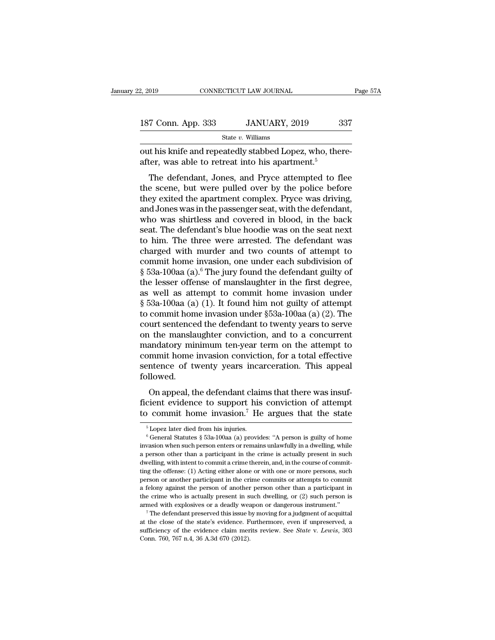| 2, 2019            | CONNECTICUT LAW JOURNAL | Page 57A |  |
|--------------------|-------------------------|----------|--|
|                    |                         |          |  |
| 187 Conn. App. 333 | JANUARY, 2019           | 337      |  |
|                    | State $v$ . Williams    |          |  |

 $\frac{2,2019}{2,2019}$  connectricut LAW JOURNAL<br>187 Conn. App. 333 JANUARY, 2019 337<br>5 State v. Williams<br>out his knife and repeatedly stabbed Lopez, who, there-<br>after, was able to retreat into his apartment.<sup>5</sup> 187 Conn. App. 333 JANUARY, 2019 State v. Williams<br>
out his knife and repeatedly stabbed Lopez, who, the after, was able to retreat into his apartment.<sup>5</sup><br>
The defendant, Jones, and Pryce attempted to f

 $\frac{7 \text{ Conn. App. 333}}{\text{State } v. \text{ Williams}}$ <br>
this knife and repeatedly stabbed Lopez, who, there-<br>
ter, was able to retreat into his apartment.<sup>5</sup><br>
The defendant, Jones, and Pryce attempted to flee<br>
e scene, but were pulled over by th 187 Conn. App. 333 JANUARY, 2019 337<br>
State v. Williams<br>
out his knife and repeatedly stabbed Lopez, who, there-<br>
after, was able to retreat into his apartment.<sup>5</sup><br>
The defendant, Jones, and Pryce attempted to flee<br>
the s State v. Williams<br>
out his knife and repeatedly stabbed Lopez, who, there-<br>
after, was able to retreat into his apartment.<sup>5</sup><br>
The defendant, Jones, and Pryce attempted to flee<br>
the scene, but were pulled over by the poli out his knife and repeatedly stabbed Lopez, who, thereafter, was able to retreat into his apartment.<sup>5</sup><br>The defendant, Jones, and Pryce attempted to flee<br>the scene, but were pulled over by the police before<br>they exited the out ins kille and repeatedly stabbed Lopez, who, thereafter, was able to retreat into his apartment.<sup>5</sup><br>The defendant, Jones, and Pryce attempted to flee<br>the scene, but were pulled over by the police before<br>they exited th anter, was able to retreat into its apartment.<br>The defendant, Jones, and Pryce attempted to flee<br>the scene, but were pulled over by the police before<br>they exited the apartment complex. Pryce was driving,<br>and Jones was in t The defendant, Jones, and Pryce attempted to flee<br>the scene, but were pulled over by the police before<br>they exited the apartment complex. Pryce was driving,<br>and Jones was in the passenger seat, with the defendant,<br>who was the scene, but were pulled over by the police before<br>they exited the apartment complex. Pryce was driving,<br>and Jones was in the passenger seat, with the defendant,<br>who was shirtless and covered in blood, in the back<br>seat. they exited the apartment complex. Pryce was driving,<br>and Jones was in the passenger seat, with the defendant,<br>who was shirtless and covered in blood, in the back<br>seat. The defendant's blue hoodie was on the seat next<br>to h and Jones was in the passenger seat, with the defendant,<br>who was shirtless and covered in blood, in the back<br>seat. The defendant's blue hoodie was on the seat next<br>to him. The three were arrested. The defendant was<br>charged who was shirtless and covered in blood, in the back<br>seat. The defendant's blue hoodie was on the seat next<br>to him. The three were arrested. The defendant was<br>charged with murder and two counts of attempt to<br>commit home in seat. The defendant's blue hoodie was on the seat next<br>to him. The three were arrested. The defendant was<br>charged with murder and two counts of attempt to<br>commit home invasion, one under each subdivision of<br> $\S 53a$ -100aa to him. The three were arrested. The defendant was<br>charged with murder and two counts of attempt to<br>commit home invasion, one under each subdivision of<br> $\S$  53a-100aa (a).<sup>6</sup> The jury found the defendant guilty of<br>the less charged with murder and two counts of attempt to<br>commit home invasion, one under each subdivision of<br> $\S$  53a-100aa (a).<sup>6</sup> The jury found the defendant guilty of<br>the lesser offense of manslaughter in the first degree,<br>as commit home invasion, one under each subdivision of  $\S$  53a-100aa (a).<sup>6</sup> The jury found the defendant guilty of the lesser offense of manslaughter in the first degree, as well as attempt to commit home invasion under  $\S$  $\S$  53a-100aa (a).<sup>6</sup> The jury found the defendant guilty of<br>the lesser offense of manslaughter in the first degree,<br>as well as attempt to commit home invasion under<br> $\S$  53a-100aa (a) (1). It found him not guilty of attem the lesser offense of manslaughter in the first degree,<br>as well as attempt to commit home invasion under<br>§ 53a-100aa (a) (1). It found him not guilty of attempt<br>to commit home invasion under §53a-100aa (a) (2). The<br>court s as well as attempt to commit home invasion under  $\S$  53a-100aa (a) (1). It found him not guilty of attempt<br>to commit home invasion under  $\S$ 53a-100aa (a) (2). The<br>court sentenced the defendant to twenty years to serve<br>on  $\S$  53a-100aa (a) (1). It found him not guilty of attempt<br>to commit home invasion under  $\S$ 53a-100aa (a) (2). The<br>court sentenced the defendant to twenty years to serve<br>on the manslaughter conviction, and to a concurrent<br> followed. In the manifolder conviction, and to a concurrent<br>andatory minimum ten-year term on the attempt to<br>mmit home invasion conviction, for a total effective<br>ntence of twenty years incarceration. This appeal<br>llowed.<br>On appeal, on the manistagnier conviction, and to a concurrent<br>mandatory minimum ten-year term on the attempt to<br>commit home invasion conviction, for a total effective<br>sentence of twenty years incarceration. This appeal<br>followed.<br>On that the mean of twenty years incarceration. This appeal followed.<br>
On appeal, the defendant claims that there was insuf-<br>
ficient evidence to support his conviction of attempt<br>
to commit home invasion.<sup>7</sup> He argues that

On appeal, the defendant claims that there was insuf-<br>cient evidence to support his conviction of attempt<br>o commit home invasion.<sup>7</sup> He argues that the state<br> $\frac{5 \text{ Lopez} \text{ later died from his injuries.}}{6 \text{ General Statistics § } 53a-100 \text{aa (a) provides: "A person is guilty of home}}$ <br>wasion

ficient evidence to support his conviction of attempt<br>to commit home invasion.<sup>7</sup> He argues that the state<br> $\frac{1}{5}$  Lopez later died from his injuries.<br> $\frac{6}{5}$  General Statutes  $\frac{5}{5}$  53a-100aa (a) provides: "A pers to commit home invasion.<sup>7</sup> He argues that the state<br>
<sup>5</sup> Lopez later died from his injuries.<br>
<sup>6</sup> General Statutes § 53a-100aa (a) provides: "A person is guilty of home<br>
invasion when such person enters or remains unlawf  $\frac{1}{6}$  Lopez later died from his injuries.<br>  $\frac{1}{6}$  Lopez later died from his injuries.<br>  $\frac{1}{6}$  General Statutes § 53a-100aa (a) provides: "A person is guilty of home<br>
invasion when such person enters or remains u <sup>5</sup> Lopez later died from his injuries.<br><sup>6</sup> General Statutes § 53a-100aa (a) provides: "A person is guilty of home invasion when such person enters or remains unlawfully in a dwelling, while a person other than a particip <sup>6</sup> General Statutes § 53a-100aa (a) provides: "A person is guilty of home invasion when such person enters or remains unlawfully in a dwelling, while a person other than a participant in the crime is actually present in invasion when such person enters or remains unlawfully in a dwelling, while a person other than a participant in the crime is actually present in such dwelling, with intent to commit a crime therein, and, in the course of a person other than a participant in the crime is actually present in such dwelling, with intent to commit a crime therein, and, in the course of committing the offense: (1) Acting either alone or with one or more persons, are wealing, with intent to commit a crime therein, and, in the course of committing the offense: (1) Acting either alone or with one or more persons, such person or another participant in the crime commits or attempts to at the close of the participant in the crime commits or attempts to commit a felony against the person of another person other than a participant in the crime who is actually present in such dwelling, or (2) such person i

a felony against the person of another person other than a participant in the crime who is actually present in such dwelling, or (2) such person is armed with explosives or a deadly weapon or dangerous instrument."<br>The def a felony against the person of another person other than a participant in the crime who is actually present in such dwelling, or (2) such person is armed with explosives or a deadly weapon or dangerous instrument." The de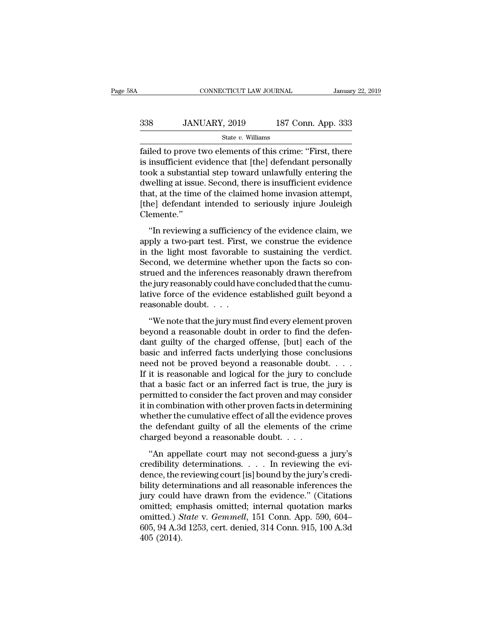## EXECUTE CONNECTICUT LAW JOURNAL January 22, 2019<br>338 JANUARY, 2019 187 Conn. App. 333<br>5tate v. Williams State *v.* Williams

FRI CONNECTICUT LAW JOURNAL January 22, 2019<br>
State v. Williams<br>
State v. Williams<br>
Failed to prove two elements of this crime: "First, there<br>
is insufficient evidence that [the] defendant personally<br>
took a substantial st  $338$  JANUARY, 2019 187 Conn. App. 333<br>  $\frac{\text{State } v. \text{ Williams}}{\text{failed to prove two elements of this crime: "First, there} }$  is insufficient evidence that [the] defendant personally took a substantial step toward unlawfully entering the dwelling at issue. Second, there i  $\begin{array}{lll}\n & \text{JANUARY, 2019} & \text{187 Conn. App. 333} \\
 \hline\n & \text{State } v. \text{ Williams} & \text{State } v. \text{ Williams} \\
 \text{failed to prove two elements of this crime: "First, there is insufficient evidence that [the] defendant personally took a substantial step toward unlawfully entering the dwelling at issue. Second, there is insufficient evidence that at the time of the claimed home invasion, it$  $338$  JANUARY, 2019 187 Conn. App. 333<br>  $\xrightarrow{\text{State } v. \text{ Williams}}$ <br>
failed to prove two elements of this crime: "First, there<br>
is insufficient evidence that [the] defendant personally<br>
took a substantial step toward unlawfully ente State v. Williams<br>
State v. Williams<br>
Failed to prove two elements of this crime: "First, there<br>
is insufficient evidence that [the] defendant personally<br>
took a substantial step toward unlawfully entering the<br>
dwelling a State v. Williams<br>
failed to prove two elements of this crime: "First, there<br>
is insufficient evidence that [the] defendant personally<br>
took a substantial step toward unlawfully entering the<br>
dwelling at issue. Second, the Clemente.'' The a substantial step toward unlawfully entering the<br>
velling at issue. Second, there is insufficient evidence<br>
at, at the time of the claimed home invasion attempt,<br>
ne] defendant intended to seriously injure Jouleigh<br>
e From a substantial step toward unlawnary entering the<br>dwelling at issue. Second, there is insufficient evidence<br>that, at the time of the claimed home invasion attempt,<br>[the] defendant intended to seriously injure Jouleigh<br>

In that, at the time of the claimed home invasion attempt,<br>
[the] defendant intended to seriously injure Jouleigh<br>
Clemente."<br>
"In reviewing a sufficiency of the evidence claim, we<br>
apply a two-part test. First, we constru Final, as the time of the claimed holie hivasion attempt,<br>
(the] defendant intended to seriously injure Jouleigh<br>
Clemente."<br>
"In reviewing a sufficiency of the evidence claim, we<br>
apply a two-part test. First, we construe Clemente."<br>
"In reviewing a sufficiency of the evidence claim, we<br>
apply a two-part test. First, we construe the evidence<br>
in the light most favorable to sustaining the verdict.<br>
Second, we determine whether upon the facts "In reviewing a sufficiency of the evidence claim, we<br>apply a two-part test. First, we construe the evidence<br>in the light most favorable to sustaining the verdict.<br>Second, we determine whether upon the facts so con-<br>strued "In reviewing a sufficiency of the evidence claim, we<br>apply a two-part test. First, we construe the evidence<br>in the light most favorable to sustaining the verdict.<br>Second, we determine whether upon the facts so con-<br>strue apply a two-part test. First,<br>in the light most favorable<br>Second, we determine whet<br>strued and the inferences re<br>the jury reasonably could hav<br>lative force of the evidence<br>reasonable doubt. . . .<br>"We note that the jury mus ond, we determine whether upon the facts so con-<br>
rued and the inferences reasonably drawn therefrom<br>
e jury reasonably could have concluded that the cumu-<br>
ive force of the evidence established guilt beyond a<br>
assonable d becond, we determine whence upon the races so construed and the inferences reasonably drawn therefrom<br>the jury reasonably could have concluded that the cumu-<br>lative force of the evidence established guilt beyond a<br>reasonab

dant guilty reasonably could have concluded that the cumulative force of the evidence established guilt beyond a reasonable doubt.<br>
"We note that the jury must find every element proven<br>
beyond a reasonable doubt in order lative force of the evidence established guilt beyond a<br>reasonable doubt.  $\dots$ <br>"We note that the jury must find every element proven<br>beyond a reasonable doubt in order to find the defen-<br>dant guilty of the charged offense marke force of the evidence established gain seyond a<br>reasonable doubt. . . .<br>"We note that the jury must find every element proven<br>beyond a reasonable doubt in order to find the defen-<br>dant guilty of the charged offense, "We note that the jury must find every element proven<br>beyond a reasonable doubt in order to find the defen-<br>dant guilty of the charged offense, [but] each of the<br>basic and inferred facts underlying those conclusions<br>need "We note that the jury must find every element proven<br>beyond a reasonable doubt in order to find the defen-<br>dant guilty of the charged offense, [but] each of the<br>basic and inferred facts underlying those conclusions<br>need beyond a reasonable doubt in order to find the defendant guilty of the charged offense, [but] each of the basic and inferred facts underlying those conclusions need not be proved beyond a reasonable doubt. . . . . If it is dant guilty of the charged offense, [but] each of the<br>basic and inferred facts underlying those conclusions<br>need not be proved beyond a reasonable doubt. . . .<br>If it is reasonable and logical for the jury to conclude<br>that basic and inferred facts underlying those conclusions<br>need not be proved beyond a reasonable doubt. . . .<br>If it is reasonable and logical for the jury to conclude<br>that a basic fact or an inferred fact is true, the jury is need not be proved beyond a reasonable doubt. . . . .<br>If it is reasonable and logical for the jury to conclude<br>that a basic fact or an inferred fact is true, the jury is<br>permitted to consider the fact proven and may consi If it is reasonable and logical for the jury to co<br>that a basic fact or an inferred fact is true, the<br>permitted to consider the fact proven and may c<br>it in combination with other proven facts in dete<br>whether the cumulative mitted to consider the fact proven and may consider<br>
in combination with other proven facts in determining<br>
nether the cumulative effect of all the evidence proves<br>
e defendant guilty of all the elements of the crime<br>
arg it in combination with other proven facts in determining<br>it in combination with other proven facts in determining<br>whether the cumulative effect of all the evidence proves<br>the defendant guilty of all the elements of the cri

whether the cumulative effect of all the evidence proves<br>the defendant guilty of all the elements of the crime<br>charged beyond a reasonable doubt.  $\dots$ <br>"An appellate court may not second-guess a jury's<br>credibility determin whence are candidate effects of an are evacuted proves<br>the defendant guilty of all the elements of the crime<br>charged beyond a reasonable doubt....<br>"An appellate court may not second-guess a jury's<br>credibility determinatio charged beyond a reasonable doubt....<br>
"An appellate court may not second-guess a jury's<br>
credibility determinations.... In reviewing the evi-<br>
dence, the reviewing court [is] bound by the jury's credi-<br>
bility determinat "An appellate court may not second-guess a jury's<br>credibility determinations.... In reviewing the evi-<br>dence, the reviewing court [is] bound by the jury's credi-<br>bility determinations and all reasonable inferences the<br>jur "An appellate court may not second-guess a jury's<br>credibility determinations. . . . In reviewing the evi-<br>dence, the reviewing court [is] bound by the jury's credi-<br>bility determinations and all reasonable inferences the<br>j credibility determinations. . . . In reviewing the evi-<br>dence, the reviewing court [is] bound by the jury's credi-<br>bility determinations and all reasonable inferences the<br>jury could have drawn from the evidence." (Citation dence, the r<br>bility deter<br>jury could<br>omitted.) S<br>605, 94 A.3<br>405 (2014).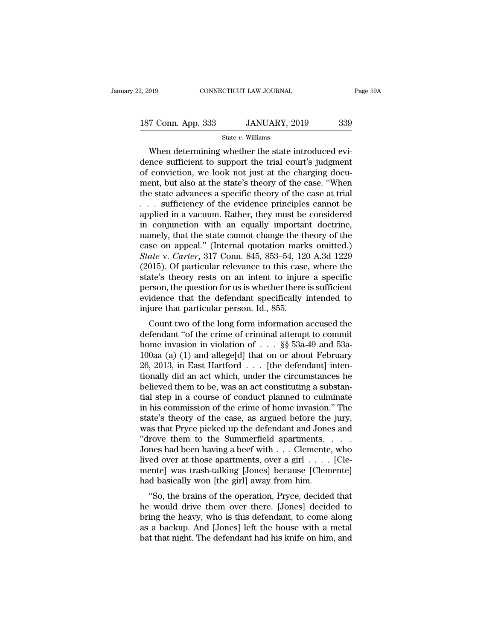### State *v.* Williams

January 22, 2019 CONNECTICUT LAW JOURNAL<br>
187 Conn. App. 333 JANUARY, 2019 339<br>
State v. Williams<br>
When determining whether the state introduced evi-<br>
dence sufficient to support the trial court's judgment<br>
of conviction, 187 Conn. App. 333 JANUARY, 2019 339<br>
State v. Williams<br>
When determining whether the state introduced evidence sufficient to support the trial court's judgment<br>
of conviction, we look not just at the charging document bu 187 Conn. App. 333 JANUARY, 2019 339<br>
State v. Williams<br>
When determining whether the state introduced evidence sufficient to support the trial court's judgment<br>
of conviction, we look not just at the charging docu-<br>
ment 187 Conn. App. 333 JANUARY, 2019 339<br>
State v. Williams<br>
When determining whether the state introduced evi-<br>
dence sufficient to support the trial court's judgment<br>
of conviction, we look not just at the charging docu-<br>
m State v. Williams<br>
State v. Williams<br>
When determining whether the state introduced evi-<br>
dence sufficient to support the trial court's judgment<br>
of conviction, we look not just at the charging docu-<br>
ment, but also at th State v. Williams<br>
When determining whether the state introduced evidence sufficient to support the trial court's judgment<br>
of conviction, we look not just at the charging docu-<br>
ment, but also at the state's theory of th When determining whether the state introduced evi-<br>dence sufficient to support the trial court's judgment<br>of conviction, we look not just at the charging docu-<br>ment, but also at the state's theory of the case. "When<br>the s dence sufficient to support the trial court's judgment<br>of conviction, we look not just at the charging docu-<br>ment, but also at the state's theory of the case. "When<br>the state advances a specific theory of the case at trial of conviction, we look not just at the charging document, but also at the state's theory of the case. "When<br>the state advances a specific theory of the case at trial<br> $\dots$  sufficiency of the evidence principles cannot be<br>a ment, but also at the state's theory of the case. "When<br>the state advances a specific theory of the case at trial<br>... sufficiency of the evidence principles cannot be<br>applied in a vacuum. Rather, they must be considered<br>i the state advances a specific theory of the case at trial<br>
... sufficiency of the evidence principles cannot be<br>
applied in a vacuum. Rather, they must be considered<br>
in conjunction with an equally important doctrine,<br>
nam ... sufficiency of the evidence principles cannot be applied in a vacuum. Rather, they must be considered in conjunction with an equally important doctrine, namely, that the state cannot change the theory of the case on a applied in a vacuum. Rather, they must be considered<br>in conjunction with an equally important doctrine,<br>namely, that the state cannot change the theory of the<br>case on appeal." (Internal quotation marks omitted.)<br>State v. C in conjunction with an equally important doctrine,<br>namely, that the state cannot change the theory of the<br>case on appeal." (Internal quotation marks omitted.)<br> $State$  v. Carter, 317 Conn. 845, 853–54, 120 A.3d 1229<br>(2015). Of namely, that the state cannot change the theory of the<br>case on appeal." (Internal quotation marks omitted.)<br>State v. Carter, 317 Conn. 845, 853–54, 120 A.3d 1229<br>(2015). Of particular relevance to this case, where the<br>stat case on appeal." (Internal quotation marks omitted.)<br> *State* v. *Carter*, 317 Conn. 845, 853–54, 120 A.3d 1229 (2015). Of particular relevance to this case, where the<br>
state's theory rests on an intent to injure a specif the v. Carter, 317 Collit. 845, 635–54, 120 A.5d 1225<br>015). Of particular relevance to this case, where the<br>ate's theory rests on an intent to injure a specific<br>rson, the question for us is whether there is sufficient<br>ide (2015). Or particular relevance to this case, where the<br>state's theory rests on an intent to injure a specific<br>person, the question for us is whether there is sufficient<br>evidence that the defendant specifically intended t

state's theory rests on an intent to injure a specific<br>person, the question for us is whether there is sufficient<br>evidence that the defendant specifically intended to<br>injure that particular person. Id., 855.<br>Count two of person, the question for us is whether there is sufficient<br>evidence that the defendant specifically intended to<br>injure that particular person. Id., 855.<br>Count two of the long form information accused the<br>defendant "of the injure that particular person. Id., 855.<br>Count two of the long form information accused the<br>defendant "of the crime of criminal attempt to commit<br>home invasion in violation of . . . §§ 53a-49 and 53a-<br>100aa (a) (1) and al full did an act which, under the circumstances he<br>befendant "of the crime of criminal attempt to commit<br>home invasion in violation of  $\dots$  \$ \$53a-49 and 53a-<br>100aa (a) (1) and allege[d] that on or about February<br>26, 2013, Count two of the long form information accused the<br>defendant "of the crime of criminal attempt to commit<br>home invasion in violation of  $\ldots$  \$\$ 53a-49 and 53a-<br>100aa (a) (1) and allege[d] that on or about February<br>26, 201 defendant "of the crime of criminal attempt to commit<br>home invasion in violation of  $\ldots$  \$\$ 53a-49 and 53a-<br>100aa (a) (1) and allege[d] that on or about February<br>26, 2013, in East Hartford  $\ldots$  [the defendant] inten-<br>ti home invasion in violation of . . . §§ 53a-49 and 53a-100aa (a) (1) and allege[d] that on or about February 26, 2013, in East Hartford . . . [the defendant] intentionally did an act which, under the circumstances he belie 100aa (a) (1) and allege[d] that on or about February 26, 2013, in East Hartford  $\ldots$  [the defendant] intentionally did an act which, under the circumstances he believed them to be, was an act constituting a substantial 26, 2013, in East Hartford  $\ldots$  [the defendant] intentionally did an act which, under the circumstances he believed them to be, was an act constituting a substantial step in a course of conduct planned to culminate in hi tionally did an act which, under the circumstances he<br>believed them to be, was an act constituting a substan-<br>tial step in a course of conduct planned to culminate<br>in his commission of the crime of home invasion." The<br>sta believed them to be, was an act constituting a substantial step in a course of conduct planned to culminate<br>in his commission of the crime of home invasion." The<br>state's theory of the case, as argued before the jury,<br>was t tial step in a course of conduct planned to culminate<br>in his commission of the crime of home invasion." The<br>state's theory of the case, as argued before the jury,<br>was that Pryce picked up the defendant and Jones and<br>"drov in his commission of the crime of home invasion." The state's theory of the case, as argued before the jury, was that Pryce picked up the defendant and Jones and "drove them to the Summerfield apartments. . . . . . Jones state's theory of the case, as argued before the<br>was that Pryce picked up the defendant and Jone:<br>"drove them to the Summerfield apartments.<br>Jones had been having a beef with . . . Clemente,<br>lived over at those apartments as that Fryce picked up the defendant and Jones and<br>
rove them to the Summerfield apartments. . . . .<br>
nes had been having a beef with . . . Clemente, who<br>
ed over at those apartments, over a girl . . . . [Cle-<br>
ente] was drove them to the summerheid apartments.  $\ldots$  .<br>Jones had been having a beef with  $\ldots$  Clemente, who<br>lived over at those apartments, over a girl  $\ldots$ . [Cle-<br>mente] was trash-talking [Jones] because [Clemente]<br>had basic

bones had been having a beer whit  $\ldots$  Clemente, who lived over at those apartments, over a girl  $\ldots$ . [Clemente] was trash-talking [Jones] because [Clemente] had basically won [the girl] away from him.<br>"So, the brains more over at those apartments, over a girt  $\ldots$  [Clemente] was trash-talking [Jones] because [Clemente] had basically won [the girl] away from him.<br>"So, the brains of the operation, Pryce, decided that he would drive the had basically won [the girl] away from him.<br>
"So, the brains of the operation, Pryce, decided that<br>
he would drive them over there. [Jones] decided to<br>
bring the heavy, who is this defendant, to come along<br>
as a backup. An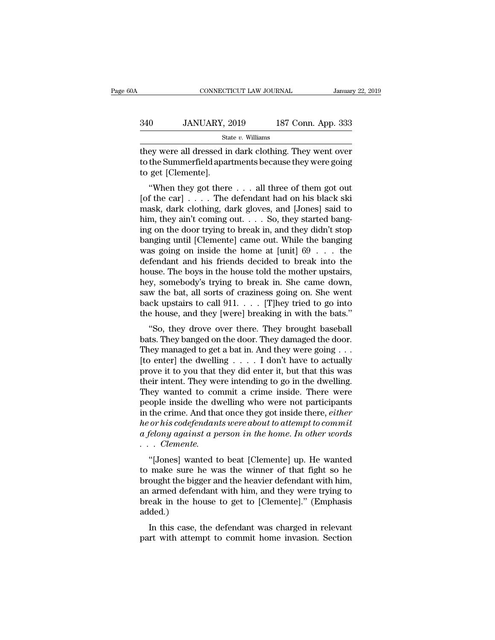## EXECUTE CONNECTICUT LAW JOURNAL January 22, 2019<br>340 JANUARY, 2019 187 Conn. App. 333<br>5tate v. Williams State *v.* Williams

CONNECTICUT LAW JOURNAL January 22, 2019<br>340 JANUARY, 2019 187 Conn. App. 333<br>5tate v. Williams<br>they were all dressed in dark clothing. They went over<br>to the Summerfield apartments because they were going<br>to get [Clomonto] 340 JANUARY, 2019 187 Conn. App. 333<br>
State v. Williams<br>
they were all dressed in dark clothing. They went over<br>
to the Summerfield apartments because they were going<br>
to get [Clemente]. 340 JANUARY, 2<br>
sta<br>
they were all dressed in<br>
to the Summerfield apar<br>
to get [Clemente].<br>
"When they got there  $\frac{187 \text{ Conn. App. 333}}{\text{State } v. \text{ Williams}}$ <br>
Ey were all dressed in dark clothing. They went over<br>
the Summerfield apartments because they were going<br>
get [Clemente].<br>
"When they got there . . . . all three of them got out<br>
f the ca

State v. Williams<br>
they were all dressed in dark clothing. They went over<br>
to the Summerfield apartments because they were going<br>
to get [Clemente].<br>
"When they got there . . . all three of them got out<br>
[of the car] . . they were all dressed in dark clothing. They went over<br>to the Summerfield apartments because they were going<br>to get [Clemente].<br>"When they got there . . . all three of them got out<br>[of the car] . . . . The defendant had on hey were an dressed in dark clotting. They went over<br>to the Summerfield apartments because they were going<br>to get [Clemente].<br>"When they got there . . . all three of them got out<br>[of the car] . . . . The defendant had on h to get [Clemente].<br>
"When they got there  $\dots$  all three of them got out<br>
[of the car]  $\dots$ . The defendant had on his black ski<br>
mask, dark clothing, dark gloves, and [Jones] said to<br>
him, they ain't coming out.  $\dots$  So, t When they got there . . . all three of them got out<br>[of the car] . . . . The defendant had on his black ski<br>mask, dark clothing, dark gloves, and [Jones] said to<br>him, they ain't coming out. . . . So, they started bang-<br>in "When they got there . . . all three of them got out<br>[of the car] . . . . The defendant had on his black ski<br>mask, dark clothing, dark gloves, and [Jones] said to<br>him, they ain't coming out. . . . So, they started bang-<br>i [of the car]  $\ldots$  . The defendant had on his black ski<br>mask, dark clothing, dark gloves, and [Jones] said to<br>him, they ain't coming out.  $\ldots$  So, they started bang-<br>ing on the door trying to break in, and they didn't st mask, dark clothing, dark gloves, and [Jones] said to<br>him, they ain't coming out. . . . So, they started bang-<br>ing on the door trying to break in, and they didn't stop<br>banging until [Clemente] came out. While the banging<br> him, they ain't coming out. . . . So, they started bang-<br>ing on the door trying to break in, and they didn't stop<br>banging until [Clemente] came out. While the banging<br>was going on inside the home at [unit]  $69 \ldots$  the<br>def ing on the door trying to break in, and they didn't stop<br>banging until [Clemente] came out. While the banging<br>was going on inside the home at [unit]  $69 \ldots$  the<br>defendant and his friends decided to break into the<br>house. T banging until [Clemente] came out. While the banging<br>was going on inside the home at [unit]  $69 \ldots$  the<br>defendant and his friends decided to break into the<br>house. The boys in the house told the mother upstairs,<br>hey, someb was going on inside the home at [unit]  $69 \ldots$  the defendant and his friends decided to break into the house. The boys in the house told the mother upstairs, hey, somebody's trying to break in. She came down, saw the bat, The house. The boys in the house told the mother upstairs,<br>y, somebody's trying to break in. She came down,<br>w the bat, all sorts of craziness going on. She went<br>ck upstairs to call 911. . . . [T]hey tried to go into<br>e hous hey, somebody's trying to break in. She came down,<br>saw the bat, all sorts of craziness going on. She went<br>back upstairs to call 911. . . . [T]hey tried to go into<br>the house, and they [were] breaking in with the bats."<br>"So,

They, somebody's trying to break in. She called town,<br>saw the bat, all sorts of craziness going on. She went<br>back upstairs to call 911.  $\ldots$  [T]hey tried to go into<br>the house, and they [were] breaking in with the bats."<br> saw the bat, an sorts of craziness going on: she went<br>back upstairs to call 911. . . . [T]hey tried to go into<br>the house, and they [were] breaking in with the bats."<br>"So, they drove over there. They brought baseball<br>bats. back upstairs to can  $911. \ldots 11$  fliey tried to go into<br>the house, and they [were] breaking in with the bats."<br>"So, they drove over there. They brought baseball<br>bats. They banged on the door. They damaged the door.<br>They the noise, and they [were] breaking in whit the bats.<br>
"So, they drove over there. They brought baseball<br>
bats. They banged on the door. They damaged the door.<br>
They managed to get a bat in. And they were going . . .<br>
[to "So, they drove over there. They brought baseball<br>bats. They banged on the door. They damaged the door.<br>They managed to get a bat in. And they were going . . .<br>[to enter] the dwelling . . . . I don't have to actually<br>prov bats. They banged on the door. They damaged the door.<br>They managed to get a bat in. And they were going  $\dots$ <br>[to enter] the dwelling  $\dots$ . I don't have to actually<br>prove it to you that they did enter it, but that this was They managed to get a bat in. And they were going . . .<br>[to enter] the dwelling . . . . . I don't have to actually<br>prove it to you that they did enter it, but that this was<br>their intent. They were intending to go in the d [to enter] the dwelling . . . . I don't have to actually<br>prove it to you that they did enter it, but that this was<br>their intent. They were intending to go in the dwelling.<br>They wanted to commit a crime inside. There were<br>p prove it to you that they did enter it, but that this was their intent. They were intending to go in the dwelling.<br>They wanted to commit a crime inside. There were people inside the dwelling who were not participants<br>in th *rheir intent. They we*<br>*They wanted to con*<br>*people inside the dw*<br>*in the crime. And that<br><i>he or his codefendant*<br>*a felony against a pe*<br>... *Clemente.*<br>"[Jones] wanted to Ey wanted to commit a crime inside. There were<br>
ople inside the dwelling who were not participants<br>
the crime. And that once they got inside there, *either*<br>
or his codefendants were about to attempt to commit<br>
felony agai people inside the dwelling who were not participants<br>in the crime. And that once they got inside there, *either*<br>*he or his codefendants were about to attempt to commit*<br>*a felony against a person in the home. In other wor* 

In the crine. And that once they got inside there, *ether*<br>*he or his codefendants were about to attempt to commit*<br> $a$  *felony against a person in the home. In other words*<br> $\cdot \cdot$  *Clemente.*<br>"[Jones] wanted to beat [Cle a felony against a person in the home. In other words<br>  $\therefore$  Clemente.<br>
"[Jones] wanted to beat [Clemente] up. He wanted<br>
to make sure he was the winner of that fight so he<br>
brought the bigger and the heavier defendant wi beyong ugathst a person in the home. In other words<br>  $\ldots$  Clemente.<br>
"[Jones] wanted to beat [Clemente] up. He wanted<br>
to make sure he was the winner of that fight so he<br>
brought the bigger and the heavier defendant with added.) pones] wanted to beat [Clemente] up. He wanted<br>make sure he was the winner of that fight so he<br>ought the bigger and the heavier defendant with him,<br>armed defendant with him, and they were trying to<br>eak in the house to get brought the bigger and the heavier defendant with him, an armed defendant with him, and they were trying to break in the house to get to [Clemente]." (Emphasis added.)<br>In this case, the defendant was charged in relevant pa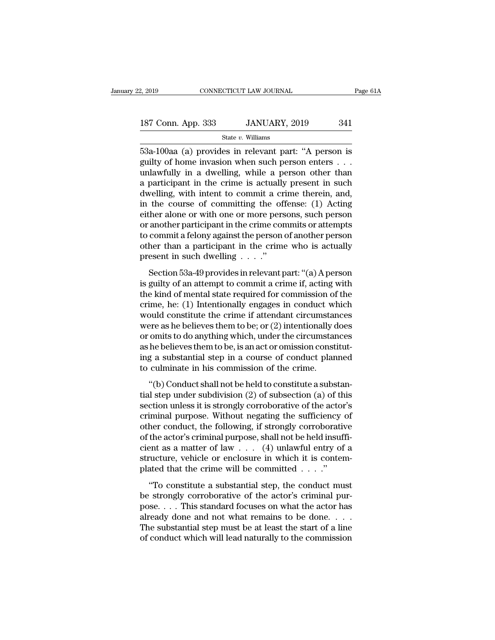State *v.* Williams

 $\frac{53a-100a}{2}$  (a) provides in relevant part: ''A person is<br>guilty of home invasion when such person enters . . .<br>and the state williams and the person is<br>guilty of home invasion when such person enters . . . 187 Conn. App. 333 JANUARY, 2019 341<br>
State v. Williams<br>
53a-100aa (a) provides in relevant part: "A person is<br>
guilty of home invasion when such person enters . . .<br>
unlawfully in a dwelling, while a person other than<br>
a 187 Conn. App. 333 JANUARY, 2019 341<br>
State v. Williams<br>
53a-100aa (a) provides in relevant part: "A person is<br>
guilty of home invasion when such person enters . . .<br>
unlawfully in a dwelling, while a person other than<br>
a 187 Conn. App. 333 JANUARY, 2019 341<br>
State v. Williams<br>
53a-100aa (a) provides in relevant part: "A person is<br>
guilty of home invasion when such person enters . . .<br>
unlawfully in a dwelling, while a person other than<br>
a State v. Williams<br>
State v. Williams<br>
53a-100aa (a) provides in relevant part: "A person is<br>
guilty of home invasion when such person enters . . .<br>
unlawfully in a dwelling, while a person other than<br>
a participant in the state v. Williams<br>53a-100aa (a) provides in relevant part: "A person is<br>guilty of home invasion when such person enters . . .<br>unlawfully in a dwelling, while a person other than<br>a participant in the crime is actually pres 53a-100aa (a) provides in relevant part: "A person is<br>guilty of home invasion when such person enters  $\dots$ <br>unlawfully in a dwelling, while a person other than<br>a participant in the crime is actually present in such<br>dwellin guilty of home invasion when such person enters . . .<br>unlawfully in a dwelling, while a person other than<br>a participant in the crime is actually present in such<br>dwelling, with intent to commit a crime therein, and,<br>in the unlawfully in a dwelling, while a person other than<br>a participant in the crime is actually present in such<br>dwelling, with intent to commit a crime therein, and,<br>in the course of committing the offense: (1) Acting<br>either al a participant in the crime is actually present in such<br>dwelling, with intent to commit a crime therein, and,<br>in the course of committing the offense: (1) Acting<br>either alone or with one or more persons, such person<br>or ano dwelling, with intent to commit a cr<br>in the course of committing the of<br>either alone or with one or more pers<br>or another participant in the crime cor<br>to commit a felony against the person<br>other than a participant in the c The same of community are offended (1) Treatis<br>ther alone or with one or more persons, such person<br>another participant in the crime commits or attempts<br>commit a felony against the person of another person<br>her than a parti or another participant in the crime commits or attempts<br>to commit a felony against the person of another person<br>other than a participant in the crime who is actually<br>present in such dwelling . . . ."<br>Section 53a-49 provid

to commit a felony against the person of another person<br>other than a participant in the crime who is actually<br>present in such dwelling  $\cdots$ ."<br>Section 53a-49 provides in relevant part: "(a) A person<br>is guilty of an attemp crime, then a participant in the crime who is actually<br>present in such dwelling . . . ."<br>Section 53a-49 provides in relevant part: "(a) A person<br>is guilty of an attempt to commit a crime if, acting with<br>the kind of mental back and a paraceptate in the crime who is actually<br>present in such dwelling  $\ldots$ ."<br>Section 53a-49 provides in relevant part: "(a) A person<br>is guilty of an attempt to commit a crime if, acting with<br>the kind of mental sta Section 53a-49 provides in relevant part: "(a) A person<br>is guilty of an attempt to commit a crime if, acting with<br>the kind of mental state required for commission of the<br>crime, he: (1) Intentionally engages in conduct whi Section 53a-49 provides in relevant part: "(a) A person<br>is guilty of an attempt to commit a crime if, acting with<br>the kind of mental state required for commission of the<br>crime, he: (1) Intentionally engages in conduct whi is guilty of an attempt to commit a crime if, acting with<br>the kind of mental state required for commission of the<br>crime, he: (1) Intentionally engages in conduct which<br>would constitute the crime if attendant circumstances<br> the kind of mental state required for commission of the<br>crime, he: (1) Intentionally engages in conduct which<br>would constitute the crime if attendant circumstances<br>were as he believes them to be; or (2) intentionally does<br> crime, he: (1) Intentionally engages in conduct w<br>would constitute the crime if attendant circumstar<br>were as he believes them to be; or (2) intentionally d<br>or omits to do anything which, under the circumstar<br>as he believes Free as he believes them to be; or (2) intentionally does<br>
omits to do anything which, under the circumstances<br>
he believes them to be, is an act or omission constitut-<br>
g a substantial step in a course of conduct planned<br> or omits to do anything which, under the circumstances<br>as he believes them to be, is an act or omission constituting<br>a substantial step in a course of conduct planned<br>to culminate in his commission of the crime.<br>"(b) Cond

or order to develop them, the corroborative as he believes them to be, is an act or omission constituting a substantial step in a course of conduct planned to culminate in his commission of the crime.<br>"(b) Conduct shall no ing a substantial step in a course of conduct planned<br>to culminate in his commission of the crime.<br>"(b) Conduct shall not be held to constitute a substan-<br>tial step under subdivision (2) of subsection (a) of this<br>section u to culminate in his commission of the crime.<br>
"(b) Conduct shall not be held to constitute a substantial step under subdivision (2) of subsection (a) of this<br>
section unless it is strongly corroborative of the actor's<br>
cr "(b) Conduct shall not be held to constitute a substantial step under subdivision (2) of subsection (a) of this section unless it is strongly corroborative of the actor's criminal purpose. Without negating the sufficiency "(b) Conduct shall not be held to constitute a substantial step under subdivision (2) of subsection (a) of this section unless it is strongly corroborative of the actor's criminal purpose. Without negating the sufficiency tial step under subdivision (2) of subsection (a) of this section unless it is strongly corroborative of the actor's criminal purpose. Without negating the sufficiency of other conduct, the following, if strongly corrobor section unless it is strongly corroborative of the actor<br>criminal purpose. Without negating the sufficiency<br>other conduct, the following, if strongly corroborative<br>of the actor's criminal purpose, shall not be held insuf<br> The conduct, the following, if strongly corroborative<br>
the actor's criminal purpose, shall not be held insuffi-<br>
ent as a matter of law  $\dots$  (4) unlawful entry of a<br>
ucture, vehicle or enclosure in which it is contem-<br>
at be strongly corroborative<br>of the actor's criminal purpose, shall not be held insuffi-<br>cient as a matter of law  $\dots$  (4) unlawful entry of a<br>structure, vehicle or enclosure in which it is contem-<br>plated that the crime will

be a standard for  $\mu$  is  $(4)$  unlawful entry of a structure, vehicle or enclosure in which it is contemplated that the crime will be committed  $\dots$ ."<br>"To constitute a substantial step, the conduct must be strongly corro structure, vehicle or enclosure in which it is contem-<br>plated that the crime will be committed . . . ."<br>"To constitute a substantial step, the conduct must<br>be strongly corroborative of the actor's criminal pur-<br>pose. . . plated that the crime will be committed  $\ldots$ ."<br>"To constitute a substantial step, the conduct must<br>be strongly corroborative of the actor's criminal pur-<br>pose.... This standard focuses on what the actor has<br>already done "To constitute a substantial step, the conduct must<br>be strongly corroborative of the actor's criminal pur-<br>pose.... This standard focuses on what the actor has<br>already done and not what remains to be done....<br>The substant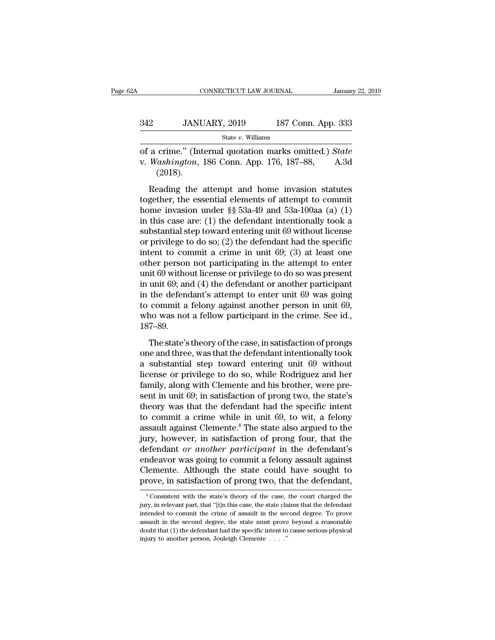| A   | CONNECTICUT LAW JOURNAL |                    | January 22, 2019 |
|-----|-------------------------|--------------------|------------------|
| 342 | JANUARY, 2019           | 187 Conn. App. 333 |                  |
|     | State $v$ . Williams    |                    |                  |

CONNECTICUT LAW JOURNAL January 22, 2019<br>
342 JANUARY, 2019 187 Conn. App. 333<br>
<sup>State v. Williams</sup><br>
of a crime." (Internal quotation marks omitted.) *State*<br>
v. *Washington*, 186 Conn. App. 176, 187–88, A.3d V. *JANUARY*, 2019 187 Conn. App. 333<br>
State v. Williams<br>
of a crime." (Internal quotation marks omitted.) *State*<br>
v. *Washington*, 186 Conn. App. 176, 187–88, A.3d<br>
(2018). (2018). 2 JANUARY, 2019 187 Conn. App. 333<br>
State v. Williams<br>
a crime." (Internal quotation marks omitted.) *State*<br>
Washington, 186 Conn. App. 176, 187–88, A.3d<br>
(2018).<br>
Reading the attempt and home invasion statutes<br>
gether,

State v. Williams<br>
of a crime." (Internal quotation marks omitted.) State<br>
v. Washington, 186 Conn. App. 176, 187–88, A.3d<br>
(2018).<br>
Reading the attempt and home invasion statutes<br>
together, the essential elements of atte of a crime." (Internal quotation marks omitted.) *State*<br>v. *Washington*, 186 Conn. App. 176, 187–88, A.3d<br>(2018).<br>Reading the attempt and home invasion statutes<br>together, the essential elements of attempt to commit<br>home v. Washington, 186 Conn. App. 176, 187–88, A.3d (2018).<br>
Reading the attempt and home invasion statutes<br>
together, the essential elements of attempt to commit<br>
home invasion under §§ 53a-49 and 53a-100aa (a) (1)<br>
in this (2018).<br>
Reading the attempt and home invasion statutes<br>
together, the essential elements of attempt to commit<br>
home invasion under §§ 53a-49 and 53a-100aa (a) (1)<br>
in this case are: (1) the defendant intentionally took a Reading the attempt and home invasion statutes<br>together, the essential elements of attempt to commit<br>home invasion under  $\S$  53a-49 and 53a-100aa (a) (1)<br>in this case are: (1) the defendant intentionally took a<br>substantia Reading the attempt and home invasion statutes<br>together, the essential elements of attempt to commit<br>home invasion under  $\S$  53a-49 and 53a-100aa (a) (1)<br>in this case are: (1) the defendant intentionally took a<br>substantia together, the essential elements of attempt to commit<br>home invasion under  $\S$  53a-49 and 53a-100aa (a) (1)<br>in this case are: (1) the defendant intentionally took a<br>substantial step toward entering unit 69 without license<br> home invasion under §§ 53a-49 and 53a-100aa (a) (1)<br>in this case are: (1) the defendant intentionally took a<br>substantial step toward entering unit 69 without license<br>or privilege to do so; (2) the defendant had the specif in this case are: (1) the defendant intentionally took a<br>substantial step toward entering unit 69 without license<br>or privilege to do so; (2) the defendant had the specific<br>intent to commit a crime in unit 69; (3) at least substantial step toward entering unit 69 without license<br>or privilege to do so; (2) the defendant had the specific<br>intent to commit a crime in unit 69; (3) at least one<br>other person not participating in the attempt to ente or privilege to do so; (2) the defendant had the specific<br>intent to commit a crime in unit 69; (3) at least one<br>other person not participating in the attempt to enter<br>unit 69 without license or privilege to do so was pres intent to commit a crime in unit  $69$ ;  $(3)$  at least one other person not participating in the attempt to enter unit  $69$  without license or privilege to do so was present in unit  $69$ ; and  $(4)$  the defendant or another 187–89. In the state is and (4) the defendant or another participant<br>the defendant's attempt to enter unit 69 was going<br>commit a felony against another person in unit 69,<br>no was not a fellow participant in the crime. See id.,<br>7–8 In the defendant's attempt to enter unit 69 was going<br>to commit a felony against another person in unit 69,<br>who was not a fellow participant in the crime. See id.,<br>187–89.<br>The state's theory of the case, in satisfaction o

a substantial statement of the transfer that is with going<br>to commit a felony against another person in unit 69,<br>who was not a fellow participant in the crime. See id.,<br>187–89.<br>The state's theory of the case, in satisfacti license or privilege to do so, which we consider the crime. See id.,<br>187–89.<br>The state's theory of the case, in satisfaction of prongs<br>one and three, was that the defendant intentionally took<br>a substantial step toward ente Family, along with Clemente and his brother, were pre-<br>solid and three, was that the defendant intentionally took<br>a substantial step toward entering unit 69 without<br>license or privilege to do so, while Rodriguez and her<br>fa The state's theory of the case, in satisfaction of prongs<br>one and three, was that the defendant intentionally took<br>a substantial step toward entering unit 69 without<br>license or privilege to do so, while Rodriguez and her<br> The state's theory of the case, in satisfaction of prongs<br>one and three, was that the defendant intentionally took<br>a substantial step toward entering unit 69 without<br>license or privilege to do so, while Rodriguez and her<br> one and three, was that the defendant intentionally took<br>a substantial step toward entering unit 69 without<br>license or privilege to do so, while Rodriguez and her<br>family, along with Clemente and his brother, were pre-<br>sent a substantial step toward entering unit 69 without<br>license or privilege to do so, while Rodriguez and her<br>family, along with Clemente and his brother, were pre-<br>sent in unit 69; in satisfaction of prong two, the state's<br>th license or privilege to do so, while Rodriguez and her<br>family, along with Clemente and his brother, were pre-<br>sent in unit 69; in satisfaction of prong two, the state's<br>theory was that the defendant had the specific intent family, along with Clemente and his brother, were present in unit 69; in satisfaction of prong two, the state's theory was that the defendant had the specific intent to commit a crime while in unit 69, to wit, a felony ass sent in unit 69; in satisfaction of prong two, the state's<br>theory was that the defendant had the specific intent<br>to commit a crime while in unit 69, to wit, a felony<br>assault against Clemente.<sup>8</sup> The state also argued to t theory was that the defendant had the specific intent<br>to commit a crime while in unit 69, to wit, a felony<br>assault against Clemente.<sup>8</sup> The state also argued to the<br>jury, however, in satisfaction of prong four, that the<br>de to commit a crime while in unit 69, to wit, a felony<br>assault against Clemente.<sup>8</sup> The state also argued to the<br>jury, however, in satisfaction of prong four, that the<br>defendant *or another participant* in the defendant's<br>e defendant *or another participant* in the defendant's<br>endeavor was going to commit a felony assault against<br>Clemente. Although the state could have sought to<br>prove, in satisfaction of prong two, that the defendant,<br>solvent endeavor was going to commit a felony assault against<br>Clemente. Although the state could have sought to<br>prove, in satisfaction of prong two, that the defendant,<br><sup>8</sup>Consistent with the state's theory of the case, the court

Clemente. Although the state could have sought to prove, in satisfaction of prong two, that the defendant,<br><sup>8</sup>Consistent with the state's theory of the case, the court charged the jury, in relevant part, that "[i]n this ca prove, in satisfaction of prong two, that the defendant,<br>  $\overline{\phantom{a}}$  consistent with the state's theory of the case, the court charged the<br>
jury, in relevant part, that "[i]n this case, the state claims that the defendan prove, in sausial tion of prong two, that the defendant,<br>solution is consistent with the state's theory of the case, the court charged the<br>jury, in relevant part, that "[i]n this case, the state claims that the defendant<br> jury, in relevant part, that "[i]n this case, the state claims that the defendant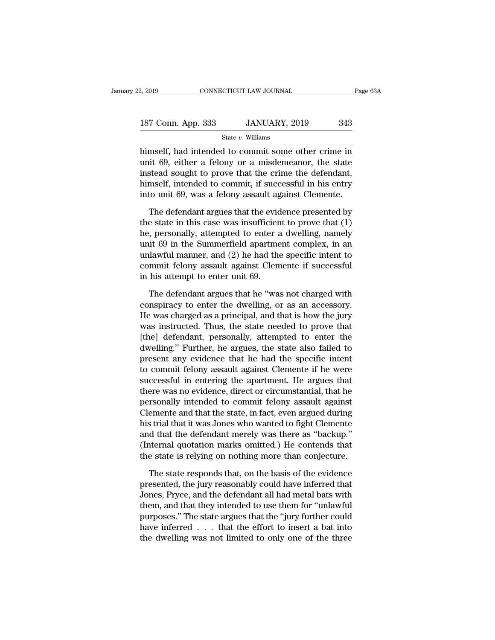| 2, 2019            | CONNECTICUT LAW JOURNAL | Page 63A |  |
|--------------------|-------------------------|----------|--|
|                    |                         |          |  |
| 187 Conn. App. 333 | JANUARY, 2019           | 343      |  |
|                    | State $v$ . Williams    |          |  |

2, 2019 CONNECTICUT LAW JOURNAL Page 63A<br>
187 Conn. App. 333 JANUARY, 2019 343<br>
5tate v. Williams<br>
himself, had intended to commit some other crime in<br>
unit 69, either a felony or a misdemeanor, the state<br>
inctead cought 187 Conn. App. 333 JANUARY, 2019 343<br>
State v. Williams<br>
himself, had intended to commit some other crime in<br>
unit 69, either a felony or a misdemeanor, the state<br>
instead sought to prove that the crime the defendant,<br>
hi 187 Conn. App. 333 JANUARY, 2019 343<br>
State v. Williams<br>
himself, had intended to commit some other crime in<br>
unit 69, either a felony or a misdemeanor, the state<br>
instead sought to prove that the crime the defendant,<br>
hi 187 Conn. App. 333 JANUARY, 2019 343<br>
State v. Williams<br>
himself, had intended to commit some other crime in<br>
unit 69, either a felony or a misdemeanor, the state<br>
instead sought to prove that the crime the defendant,<br>
hi State  $v$ . Williams<br>himself, had intended to commit some other crime in<br>unit 69, either a felony or a misdemeanor, the state<br>instead sought to prove that the crime the defendant,<br>himself, intended to commit, if successful mself, had intended to commit some other crime in<br>it 69, either a felony or a misdemeanor, the state<br>stead sought to prove that the crime the defendant,<br>mself, intended to commit, if successful in his entry<br>to unit 69, was unit 69, either a felony or a misdemeanor, the state<br>instead sought to prove that the crime the defendant,<br>himself, intended to commit, if successful in his entry<br>into unit 69, was a felony assault against Clemente.<br>The d

instead sought to prove that the crime the defendant,<br>himself, intended to commit, if successful in his entry<br>into unit 69, was a felony assault against Clemente.<br>The defendant argues that the evidence presented by<br>the st himself, intended to commit, if successful in his entry<br>into unit 69, was a felony assault against Clemente.<br>The defendant argues that the evidence presented by<br>the state in this case was insufficient to prove that (1)<br>he, into unit 69, was a felony assault against Clemente.<br>
The defendant argues that the evidence presented by<br>
the state in this case was insufficient to prove that  $(1)$ <br>
he, personally, attempted to enter a dwelling, namely The defendant argues that the evidence presented by<br>the state in this case was insufficient to prove that  $(1)$ <br>he, personally, attempted to enter a dwelling, namely<br>unit 69 in the Summerfield apartment complex, in an<br>unl The defendant argues that the evid<br>the state in this case was insufficien<br>he, personally, attempted to enter a<br>unit 69 in the Summerfield apartme<br>unlawful manner, and (2) he had the<br>commit felony assault against Clem<br>in hi Frequency, attempted to enter a dwelling, namely<br>it 69 in the Summerfield apartment complex, in an<br>lawful manner, and (2) he had the specific intent to<br>mmit felony assault against Clemente if successful<br>his attempt to ente unit 69 in the Summerfield apartment complex, in an unlawful manner, and (2) he had the specific intent to commit felony assault against Clemente if successful<br>in his attempt to enter unit 69.<br>The defendant argues that he

unlawful manner, and (2) he had the specific intent to<br>commit felony assault against Clemente if successful<br>in his attempt to enter unit 69.<br>The defendant argues that he "was not charged with<br>conspiracy to enter the dwelli commit felony assault against Clemente if successful<br>in his attempt to enter unit 69.<br>The defendant argues that he "was not charged with<br>conspiracy to enter the dwelling, or as an accessory.<br>He was charged as a principal, in his attempt to enter unit 69.<br>
The defendant argues that he "was not charged with<br>
conspiracy to enter the dwelling, or as an accessory.<br>
He was charged as a principal, and that is how the jury<br>
was instructed. Thus, th The defendant argues that he "was not charged with<br>conspiracy to enter the dwelling, or as an accessory.<br>He was charged as a principal, and that is how the jury<br>was instructed. Thus, the state needed to prove that<br>[the] de The defendant argues that he "was not charged with<br>conspiracy to enter the dwelling, or as an accessory.<br>He was charged as a principal, and that is how the jury<br>was instructed. Thus, the state needed to prove that<br>[the] de conspiracy to enter the dwelling, or as an accessory.<br>He was charged as a principal, and that is how the jury<br>was instructed. Thus, the state needed to prove that<br>[the] defendant, personally, attempted to enter the<br>dwellin He was charged as a principal, and that is how the jury<br>was instructed. Thus, the state needed to prove that<br>[the] defendant, personally, attempted to enter the<br>dwelling." Further, he argues, the state also failed to<br>prese was instructed. Thus, the state needed to prove that<br>[the] defendant, personally, attempted to enter the<br>dwelling." Further, he argues, the state also failed to<br>present any evidence that he had the specific intent<br>to commi [the] defendant, personally, attempted to enter the<br>dwelling." Further, he argues, the state also failed to<br>present any evidence that he had the specific intent<br>to commit felony assault against Clemente if he were<br>successf dwelling." Further, he argues, the state also failed to<br>present any evidence that he had the specific intent<br>to commit felony assault against Clemente if he were<br>successful in entering the apartment. He argues that<br>there w present any evidence that he had the specific intent<br>to commit felony assault against Clemente if he were<br>successful in entering the apartment. He argues that<br>there was no evidence, direct or circumstantial, that he<br>person to commit felony assault against Clemente if he were<br>successful in entering the apartment. He argues that<br>there was no evidence, direct or circumstantial, that he<br>personally intended to commit felony assault against<br>Clemen successful in entering the apartment. He argues that<br>there was no evidence, direct or circumstantial, that he<br>personally intended to commit felony assault against<br>Clemente and that the state, in fact, even argued during<br>hi there was no evidence, direct or circumstantial, that he<br>personally intended to commit felony assault against<br>Clemente and that the state, in fact, even argued during<br>his trial that it was Jones who wanted to fight Clement emente and that the state, in fact, even argued during<br>s trial that it was Jones who wanted to fight Clemente<br>d that the defendant merely was there as "backup."<br>internal quotation marks omitted.) He contends that<br>e state i his trial that it was Jones who wanted to fight Clemente<br>and that the defendant merely was there as "backup."<br>(Internal quotation marks omitted.) He contends that<br>the state is relying on nothing more than conjecture.<br>The s

and that the defendant merely was there as "backup."<br>(Internal quotation marks omitted.) He contends that<br>the state is relying on nothing more than conjecture.<br>The state responds that, on the basis of the evidence<br>presente (Internal quotation marks omitted.) He contends that<br>the state is relying on nothing more than conjecture.<br>The state responds that, on the basis of the evidence<br>presented, the jury reasonably could have inferred that<br>Jones the state is relying on nothing more than conjecture.<br>
The state responds that, on the basis of the evidence<br>
presented, the jury reasonably could have inferred that<br>
Jones, Pryce, and the defendant all had metal bats with The state responds that, on the basis of the evidence<br>presented, the jury reasonably could have inferred that<br>Jones, Pryce, and the defendant all had metal bats with<br>them, and that they intended to use them for "unlawful<br> The state responds that, on the basis of the evidence<br>presented, the jury reasonably could have inferred that<br>Jones, Pryce, and the defendant all had metal bats with<br>them, and that they intended to use them for "unlawful<br>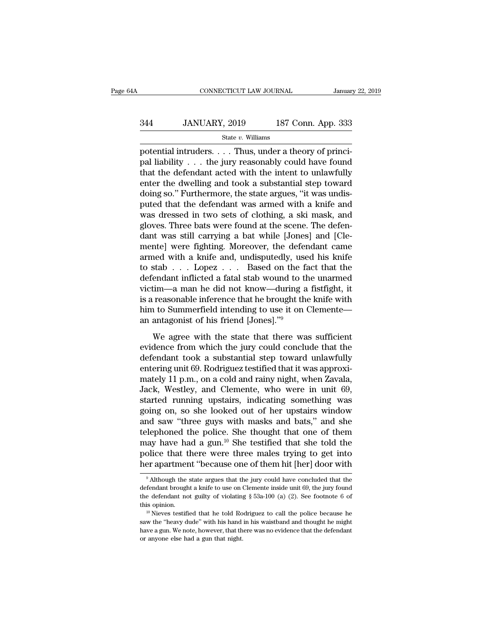# CONNECTICUT LAW JOURNAL January 22, 2019<br>344 JANUARY, 2019 187 Conn. App. 333<br>5tate v. Williams

### State *v.* Williams

CONNECTICUT LAW JOURNAL<br>
344 JANUARY, 2019 187 Conn. App. 333<br>
5tate v. Williams<br>
potential intruders. . . . Thus, under a theory of princi-<br>
pal liability . . . the jury reasonably could have found<br>
that the defendent act  $\begin{array}{ll} \text{344} & \text{JANUARY, 2019} & \text{187 Conn. App. 333} \ \text{544} & \text{55} & \text{56} & \text{66} \ \text{55} & \text{56} & \text{66} & \text{66} \ \text{56} & \text{66} & \text{66} & \text{66} & \text{66} \ \text{56} & \text{56} & \text{56} & \text{56} & \text{56} & \text{56} \ \text{56} & \text{56} & \text{56} & \text{56} & \text{56} & \text{56$  $\begin{array}{r} \text{344} & \text{JANUARY, } 2019 & \text{187 Conn. App. 333} \ \text{344} & \text{544} & \text{85} & \text{54} & \text{64} \ \text{34} & \text{64} & \text{64} & \text{64} & \text{64} & \text{64} & \text{64} \ \text{45} & \text{65} & \text{66} & \text{66} & \text{66} & \text{66} \ \text{46} & \text{47} & \text{48} & \text{49} & \text{40} & \text{40} \ \text{4$ 344 JANUARY, 2019 187 Conn. App. 333<br>  $\frac{\text{State } v. \text{ Williams}}{\text{potential intruders. . . . Thus, under a theory of principal liability . . . the jury reasonably could have found that the defendant acted with the intent to unlawfully enter the dwelling and took a substantial step toward doing so." Furthermore, the state argues, "it was undisputed that the defendant was removed with a brief and$ State v. Williams<br>
state v. Williams<br>
potential intruders. . . . Thus, under a theory of princi-<br>
pal liability . . . the jury reasonably could have found<br>
that the defendant acted with the intent to unlawfully<br>
enter the state v. Williams<br>potential intruders.... Thus, under a theory of princi-<br>pal liability ... the jury reasonably could have found<br>that the defendant acted with the intent to unlawfully<br>enter the dwelling and took a substan potential intruders. . . . Thus, under a theory of princi-<br>pal liability . . . the jury reasonably could have found<br>that the defendant acted with the intent to unlawfully<br>enter the dwelling and took a substantial step towa pal liability . . . the jury reasonably could have found<br>that the defendant acted with the intent to unlawfully<br>enter the dwelling and took a substantial step toward<br>doing so." Furthermore, the state argues, "it was undisthat the defendant acted with the intent to unlawfully<br>enter the dwelling and took a substantial step toward<br>doing so." Furthermore, the state argues, "it was undis-<br>puted that the defendant was armed with a knife and<br>was enter the dwelling and took a substantial step toward<br>doing so." Furthermore, the state argues, "it was undis-<br>puted that the defendant was armed with a knife and<br>was dressed in two sets of clothing, a ski mask, and<br>gloves doing so." Furthermore, the state argues, "it was undis-<br>puted that the defendant was armed with a knife and<br>was dressed in two sets of clothing, a ski mask, and<br>gloves. Three bats were found at the scene. The defen-<br>dant puted that the defendant was armed with a knife and<br>was dressed in two sets of clothing, a ski mask, and<br>gloves. Three bats were found at the scene. The defen-<br>dant was still carrying a bat while [Jones] and [Cle-<br>mente] w was dressed in two sets of clothing, a ski mask, and<br>gloves. Three bats were found at the scene. The defen-<br>dant was still carrying a bat while [Jones] and [Cle-<br>mente] were fighting. Moreover, the defendant came<br>armed wi gloves. Three bats were found at the scene. The defendant was still carrying a bat while [Jones] and [Clemente] were fighting. Moreover, the defendant came armed with a knife and, undisputedly, used his knife to stab . . . dant was still carrying a bat while [Jones] and [Clemente] were fighting. Moreover, the defendant came<br>armed with a knife and, undisputedly, used his knife<br>to stab  $\ldots$  Lopez  $\ldots$  Based on the fact that the<br>defendant in mente] were fighting. Moreover, the defendant came<br>armed with a knife and, undisputedly, used his knife<br>to stab . . . Lopez . . . Based on the fact that the<br>defendant inflicted a fatal stab wound to the unarmed<br>victim—a m armed with a knife and, undisputedly, use<br>to stab . . . Lopez . . . Based on the face<br>defendant inflicted a fatal stab wound to the victim—a man he did not know—during a<br>is a reasonable inference that he brought the<br>him t Figure 1.1.1 Experiment in the state of the trace that the endant inflicted a fatal stab wound to the unarmed<br>tim—a man he did not know—during a fistfight, it<br>reasonable inference that he brought the knife with<br>the to Sum victim—a man he did not know—during a fistfight, it<br>victim—a man he did not know—during a fistfight, it<br>is a reasonable inference that he brought the knife with<br>him to Summerfield intending to use it on Clemente—<br>an antago

Meant a matrix and not know adding a margin, it<br>is a reasonable inference that he brought the knife with<br>him to Summerfield intending to use it on Clemente—<br>an antagonist of his friend [Jones]."<sup>9</sup><br>We agree with the state For a consider a meteored and the stockpartic violence that the state is an antagonist of his friend [Jones]."<sup>9</sup><br>We agree with the state that there was sufficient<br>evidence from which the jury could conclude that the<br>defe matrix conducting a distributed internal grows.<br>
The agree with the state that there was sufficient<br>
evidence from which the jury could conclude that the<br>
defendant took a substantial step toward unlawfully<br>
entering unit We agree with the state that there was sufficient<br>evidence from which the jury could conclude that the<br>defendant took a substantial step toward unlawfully<br>entering unit 69. Rodriguez testified that it was approxi-<br>mately 1 We agree with the state that there was sufficient<br>evidence from which the jury could conclude that the<br>defendant took a substantial step toward unlawfully<br>entering unit 69. Rodriguez testified that it was approxi-<br>mately 1 evidence from which the jury could conclude that the<br>defendant took a substantial step toward unlawfully<br>entering unit 69. Rodriguez testified that it was approxi-<br>mately 11 p.m., on a cold and rainy night, when Zavala,<br>Ja defendant took a substantial step toward unlawfully<br>entering unit 69. Rodriguez testified that it was approxi-<br>mately 11 p.m., on a cold and rainy night, when Zavala,<br>Jack, Westley, and Clemente, who were in unit 69,<br>start entering unit 69. Rodriguez testified that it was approximately 11 p.m., on a cold and rainy night, when Zavala, Jack, Westley, and Clemente, who were in unit 69, started running upstairs, indicating something was going on mately 11 p.m., on a cold and rainy night, when Zavala,<br>Jack, Westley, and Clemente, who were in unit 69,<br>started running upstairs, indicating something was<br>going on, so she looked out of her upstairs window<br>and saw "three Jack, Westley, and Clemente, who were in unit 69,<br>started running upstairs, indicating something was<br>going on, so she looked out of her upstairs window<br>and saw "three guys with masks and bats," and she<br>telephoned the polic started running upstairs, indicating something was<br>going on, so she looked out of her upstairs window<br>and saw "three guys with masks and bats," and she<br>telephoned the police. She thought that one of them<br>may have had a gun telephoned the police. She thought that one of them<br>may have had a gun.<sup>10</sup> She testified that she told the<br>police that there were three males trying to get into<br>her apartment "because one of them hit [her] door with<br> $\frac{$ may have had a gun.<sup>10</sup> She testified that she told the police that there were three males trying to get into her apartment "because one of them hit [her] door with  $\frac{9}{4}$  Although the state argues that the jury could

police that there were three males trying to get into<br>her apartment "because one of them hit [her] door with<br> $\frac{1}{2}$  Although the state argues that the jury could have concluded that the<br>defendant brought a knife to use The mean of the matter in the test of the matter of the matter of the matter of the matter of the matter of the matter of the defendant brought a knife to use on Clemente inside unit 69, the jury found the defendant not gu <sup>9</sup> Although the state argues that the jury could have concluded that the defendant brought a knife to use on Clemente inside unit 69, the jury found the defendant not guilty of violating  $\S$  53a-100 (a) (2). See footnote

defendant brought a knife to use on Clemente inside unit 69, the jury found<br>the defendant not guilty of violating § 53a-100 (a) (2). See footnote 6 of<br>this opinion.<br><sup>10</sup> Nieves testified that he told Rodriguez to call the the defendant not guilty of violating<br>this opinion.<br><sup>10</sup> Nieves testified that he told Ro<br>saw the "heavy dude" with his hand<br>have a gun. We note, however, that th<br>or anyone else had a gun that night.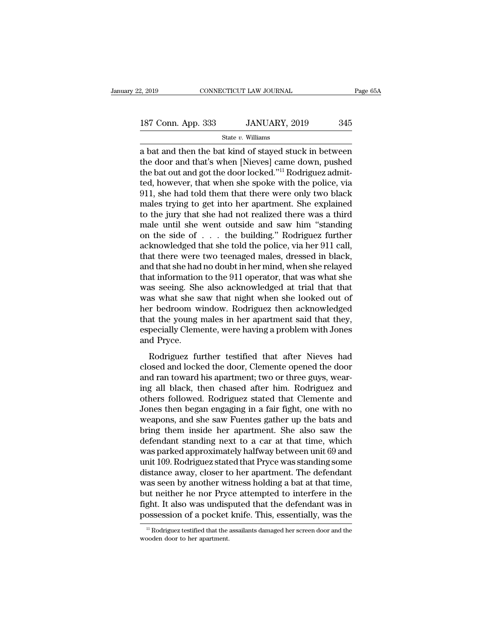# 2, 2019 CONNECTICUT LAW JOURNAL Page 65A<br>187 Conn. App. 333 JANUARY, 2019 345<br>State v. Williams

State *v.* Williams

2, 2019 CONNECTICUT LAW JOURNAL Page 65A<br>
187 Conn. App. 333 JANUARY, 2019 345<br>
5tate v. Williams<br>
a bat and then the bat kind of stayed stuck in between<br>
the door and that's when [Nieves] came down, pushed<br>
the bat cut a 187 Conn. App. 333 JANUARY, 2019 345<br>State v. Williams<br>a bat and then the bat kind of stayed stuck in between<br>the door and that's when [Nieves] came down, pushed<br>the bat out and got the door locked."<sup>11</sup> Rodriguez admit-<br>t 187 Conn. App. 333 JANUARY, 2019 345<br>
State v. Williams<br>
a bat and then the bat kind of stayed stuck in between<br>
the door and that's when [Nieves] came down, pushed<br>
the bat out and got the door locked.''<sup>11</sup> Rodriguez ad 187 Conn. App. 333 JANUARY, 2019 345<br>
State v. Williams<br>
a bat and then the bat kind of stayed stuck in between<br>
the door and that's when [Nieves] came down, pushed<br>
the bat out and got the door locked."<sup>11</sup> Rodriguez adm State v. Williams<br>
a bat and then the bat kind of stayed stuck in between<br>
the door and that's when [Nieves] came down, pushed<br>
the bat out and got the door locked."<sup>11</sup> Rodriguez admit-<br>
ted, however, that when she spoke state v. Williams<br>a bat and then the bat kind of stayed stuck in between<br>the door and that's when [Nieves] came down, pushed<br>the bat out and got the door locked."<sup>11</sup> Rodriguez admit-<br>ted, however, that when she spoke wit a bat and then the bat kind of stayed stuck in between<br>the door and that's when [Nieves] came down, pushed<br>the bat out and got the door locked."<sup>11</sup> Rodriguez admit-<br>ted, however, that when she spoke with the police, via<br>9 the door and that's when [Nieves] came down, pushed<br>the bat out and got the door locked."<sup>11</sup> Rodriguez admit-<br>ted, however, that when she spoke with the police, via<br>911, she had told them that there were only two black<br>ma the bat out and got the door locked."<sup>11</sup> Rodriguez admitted, however, that when she spoke with the police, via<br>911, she had told them that there were only two black<br>males trying to get into her apartment. She explained<br>to ted, however, that when she spoke with the police, via 911, she had told them that there were only two black<br>males trying to get into her apartment. She explained<br>to the jury that she had not realized there was a third<br>mal 911, she had told them that there were only two black<br>males trying to get into her apartment. She explained<br>to the jury that she had not realized there was a third<br>male until she went outside and saw him "standing<br>on the males trying to get into her apartment. She explained<br>to the jury that she had not realized there was a third<br>male until she went outside and saw him "standing<br>on the side of . . . the building." Rodriguez further<br>acknowle to the jury that she had not realized there was a third<br>male until she went outside and saw him "standing<br>on the side of  $\ldots$  the building." Rodriguez further<br>acknowledged that she told the police, via her 911 call,<br>that male until she went outside and saw him "standing<br>on the side of  $\ldots$  the building." Rodriguez further<br>acknowledged that she told the police, via her 911 call,<br>that there were two teenaged males, dressed in black,<br>and th on the side of . . . the building." Rodriguez further<br>acknowledged that she told the police, via her 911 call,<br>that there were two teenaged males, dressed in black,<br>and that she had no doubt in her mind, when she relayed<br>t acknowledged that she told the police, via her 911 call,<br>that there were two teenaged males, dressed in black,<br>and that she had no doubt in her mind, when she relayed<br>that information to the 911 operator, that was what she that there were two teenaged males, dressed in black,<br>and that she had no doubt in her mind, when she relayed<br>that information to the 911 operator, that was what she<br>was seeing. She also acknowledged at trial that that<br>was and that she had no doubt in her mind, when she relayed<br>that information to the 911 operator, that was what she<br>was seeing. She also acknowledged at trial that that<br>was what she saw that night when she looked out of<br>her be that informatior<br>was seeing. She<br>was what she s<br>her bedroom w<br>that the young :<br>especially Cleme<br>and Pryce.<br>Rodriguez fu Existency. Sixteen and that that that that that as<br>as what she saw that night when she looked out of<br>r bedroom window. Rodriguez then acknowledged<br>at the young males in her apartment said that they,<br>pecially Clemente, were was what she saw that hight when she looked out of<br>her bedroom window. Rodriguez then acknowledged<br>that the young males in her apartment said that they,<br>especially Clemente, were having a problem with Jones<br>and Pryce.<br>Rodr

and that the young males in her apartment said that they, especially Clemente, were having a problem with Jones<br>and Pryce.<br>Rodriguez further testified that after Nieves had<br>closed and locked the door, Clemente opened the d end and the young males in her aparament salar diat diety,<br>especially Clemente, were having a problem with Jones<br>and Pryce.<br>Rodriguez further testified that after Nieves had<br>closed and locked the door, Clemente opened the and Pryce.<br>
Rodriguez further testified that after Nieves had<br>
closed and locked the door, Clemente opened the door<br>
and ran toward his apartment; two or three guys, wear-<br>
ing all black, then chased after him. Rodriguez a Rodriguez further testified that after Nieves had<br>closed and locked the door, Clemente opened the door<br>and ran toward his apartment; two or three guys, wear-<br>ing all black, then chased after him. Rodriguez and<br>others follo Rodriguez further testified that after Nieves had<br>closed and locked the door, Clemente opened the door<br>and ran toward his apartment; two or three guys, wear-<br>ing all black, then chased after him. Rodriguez and<br>others follo closed and locked the door, Clemente opened the door<br>and ran toward his apartment; two or three guys, wear-<br>ing all black, then chased after him. Rodriguez and<br>others followed. Rodriguez stated that Clemente and<br>Jones then and ran toward his apartment; two or three guys, wearing all black, then chased after him. Rodriguez and others followed. Rodriguez stated that Clemente and Jones then began engaging in a fair fight, one with no weapons, a ing all black, then chased after him. Rodriguez and<br>others followed. Rodriguez stated that Clemente and<br>Jones then began engaging in a fair fight, one with no<br>weapons, and she saw Fuentes gather up the bats and<br>bring them others followed. Rodriguez stated that Clemente and<br>Jones then began engaging in a fair fight, one with no<br>weapons, and she saw Fuentes gather up the bats and<br>bring them inside her apartment. She also saw the<br>defendant sta Jones then began engaging in a fair fight, one with no<br>weapons, and she saw Fuentes gather up the bats and<br>bring them inside her apartment. She also saw the<br>defendant standing next to a car at that time, which<br>was parked a weapons, and she saw Fuentes gather up the bats and<br>bring them inside her apartment. She also saw the<br>defendant standing next to a car at that time, which<br>was parked approximately halfway between unit 69 and<br>unit 109. Rodr bring them inside her apartment. She also saw the<br>defendant standing next to a car at that time, which<br>was parked approximately halfway between unit 69 and<br>unit 109. Rodriguez stated that Pryce was standing some<br>distance a defendant standing next to a car at that time, which<br>was parked approximately halfway between unit 69 and<br>unit 109. Rodriguez stated that Pryce was standing some<br>distance away, closer to her apartment. The defendant<br>was se was parked approximately halfway between unit 69 and<br>unit 109. Rodriguez stated that Pryce was standing some<br>distance away, closer to her apartment. The defendant<br>was seen by another witness holding a bat at that time,<br>but was seen by another witness holding a bat at that time,<br>but neither he nor Pryce attempted to interfere in the<br>fight. It also was undisputed that the defendant was in<br>possession of a pocket knife. This, essentially, was t possession of a pocket knife. This, essentially, was the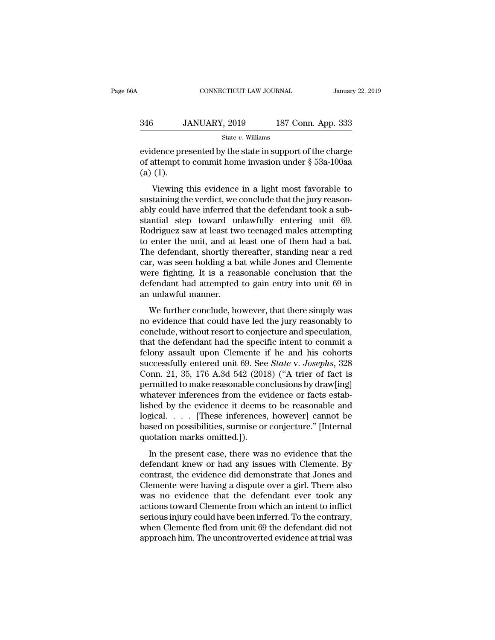| A   | CONNECTICUT LAW JOURNAL |                    | January 22, 2019 |
|-----|-------------------------|--------------------|------------------|
| 346 | JANUARY, 2019           | 187 Conn. App. 333 |                  |
|     | State $v$ . Williams    |                    |                  |

EXERCTIFY CONNECTICUT LAW JOURNAL January 22, 2019<br>
346 JANUARY, 2019 187 Conn. App. 333<br>
316 State v. Williams<br>
evidence presented by the state in support of the charge<br>
of attempt to commit home invasion under  $\S$  53a-1 346 JANUARY, 2019 187 Conn. App. 333<br>
State v. Williams<br>
evidence presented by the state in support of the charge<br>
of attempt to commit home invasion under § 53a-100aa<br>
(a) (1). 346 J.<br>
widence pre<br>
evidence pre<br>
of attempt to<br>
(a) (1).<br>
Viewing JANUARY, 2019 187 Conn. App. 333<br>
State v. Williams<br>
dence presented by the state in support of the charge<br>
ittempt to commit home invasion under § 53a-100aa<br>
(1).<br>
Viewing this evidence in a light most favorable to<br>
tain

state v. Williams<br>
subset of attempt to commit home invasion under  $\S$  53a-100aa<br>
(a) (1).<br>
Viewing this evidence in a light most favorable to<br>
sustaining the verdict, we conclude that the jury reason-<br>
ably could have in evidence presented by the state in support of the charge<br>of attempt to commit home invasion under  $\S$  53a-100aa<br>(a) (1).<br>Viewing this evidence in a light most favorable to<br>sustaining the verdict, we conclude that the jury state in support of the entage<br>of attempt to commit home invasion under  $\S$  53a-100aa<br>(a) (1).<br>Viewing this evidence in a light most favorable to<br>sustaining the verdict, we conclude that the jury reason-<br>ably could have i (a) (1).<br>
Viewing this evidence in a light most favorable to<br>
sustaining the verdict, we conclude that the jury reason-<br>
ably could have inferred that the defendant took a sub-<br>
stantial step toward unlawfully entering un Viewing this evidence in a light most favorable to<br>sustaining the verdict, we conclude that the jury reason-<br>ably could have inferred that the defendant took a sub-<br>stantial step toward unlawfully entering unit 69.<br>Rodrig Viewing this evidence in a light most favorable to<br>sustaining the verdict, we conclude that the jury reason-<br>ably could have inferred that the defendant took a sub-<br>stantial step toward unlawfully entering unit 69.<br>Rodrigu sustaining the verdict, we conclude that the jury reasonably could have inferred that the defendant took a substantial step toward unlawfully entering unit 69.<br>Rodriguez saw at least two teenaged males attempting to enter ably could have inferred that the defendant took a substantial step toward unlawfully entering unit 69.<br>Rodriguez saw at least two teenaged males attempting<br>to enter the unit, and at least one of them had a bat.<br>The defend stantial step toward unlawfully entering unit 69.<br>Rodriguez saw at least two teenaged males attempting<br>to enter the unit, and at least one of them had a bat.<br>The defendant, shortly thereafter, standing near a red<br>car, was Rodriguez saw at least tw<br>to enter the unit, and at l<br>The defendant, shortly th<br>car, was seen holding a ba<br>were fighting. It is a rea<br>defendant had attempted<br>an unlawful manner.<br>We further conclude, ho e defendant, shortly thereafter, standing near a red<br>r, was seen holding a bat while Jones and Clemente<br>ere fighting. It is a reasonable conclusion that the<br>fendant had attempted to gain entry into unit 69 in<br>unlawful mann no evidence that could be specified into the server fighting. It is a reasonable conclusion that the defendant had attempted to gain entry into unit 69 in<br>an unlawful manner.<br>We further conclude, however, that there simply

car, was seen notaing a sat while sories and crements<br>were fighting. It is a reasonable conclusion that the<br>defendant had attempted to gain entry into unit 69 in<br>an unlawful manner.<br>We further conclude, however, that there that that the defendant had attempted to gain entry into unit 69 in<br>an unlawful manner.<br>We further conclude, however, that there simply was<br>no evidence that could have led the jury reasonably to<br>conclude, without resort t We further conclude, however, that there simply was<br>no evidence that could have led the jury reasonably to<br>conclude, without resort to conjecture and speculation,<br>that the defendant had the specific intent to commit a<br>fel We further conclude, however, that there simply was<br>no evidence that could have led the jury reasonably to<br>conclude, without resort to conjecture and speculation,<br>that the defendant had the specific intent to commit a<br>felo We further conclude, however, that there simply was<br>no evidence that could have led the jury reasonably to<br>conclude, without resort to conjecture and speculation,<br>that the defendant had the specific intent to commit a<br>felo no evidence that could have led the jury reasonably to conclude, without resort to conjecture and speculation, that the defendant had the specific intent to commit a felony assault upon Clemente if he and his cohorts succe conclude, without resort to conjecture and speculation,<br>that the defendant had the specific intent to commit a<br>felony assault upon Clemente if he and his cohorts<br>successfully entered unit 69. See *State* v. Josephs, 328<br>Co that the defendant had the specific intent to commit a<br>felony assault upon Clemente if he and his cohorts<br>successfully entered unit 69. See *State v. Josephs*, 328<br>Conn. 21, 35, 176 A.3d 542 (2018) ("A trier of fact is<br>pe felony assault upon Clemente if he and his cohorts<br>successfully entered unit 69. See *State* v. Josephs, 328<br>Conn. 21, 35, 176 A.3d 542 (2018) ("A trier of fact is<br>permitted to make reasonable conclusions by draw[ing]<br>wha successfully entered unit 69. See *State* v. *Josephs*, 328<br>Conn. 21, 35, 176 A.3d 542 (2018) ("A trier of fact is<br>permitted to make reasonable conclusions by draw[ing]<br>whatever inferences from the evidence or facts estab-Conn. 21, 35, 176 A.3d 542 (2018) ("A trier of fact is<br>permitted to make reasonable conclusions by draw[ing]<br>whatever inferences from the evidence or facts estab-<br>lished by the evidence it deems to be reasonable and<br>logic Indiced to make reasonable concluded by  $\mu$  and  $\mu$  and<br>hed by the evidence it deems to be reasonable and<br>gical.  $\ldots$  [These inferences, however] cannot be<br>sed on possibilities, surmise or conjecture." [Internal<br>otatio defined by the evidence it deems to be reasonable and logical.  $\ldots$  [These inferences, however] cannot be based on possibilities, surmise or conjecture." [Internal quotation marks omitted.]).<br>In the present case, there w

dependence of the evidence diversity of the evidence did dependence." [Internal quotation marks omitted.]).<br>In the present case, there was no evidence that the defendant knew or had any issues with Clemente. By contrast, Expediant 1992 is a transmission possibilities, surmise or conjecture." [Internal quotation marks omitted.]).<br>
In the present case, there was no evidence that the defendant knew or had any issues with Clemente. By contras stated on possibilities, barntise of edificial. [Internation marks omitted.]).<br>
In the present case, there was no evidence that the<br>
defendant knew or had any issues with Clemente. By<br>
contrast, the evidence did demonstrat In the present case, there was no evidence that the<br>defendant knew or had any issues with Clemente. By<br>contrast, the evidence did demonstrate that Jones and<br>Clemente were having a dispute over a girl. There also<br>was no evi In the present case, there was no evidence that the<br>defendant knew or had any issues with Clemente. By<br>contrast, the evidence did demonstrate that Jones and<br>Clemente were having a dispute over a girl. There also<br>was no evi defendant knew or had any issues with Clemente. By<br>contrast, the evidence did demonstrate that Jones and<br>Clemente were having a dispute over a girl. There also<br>was no evidence that the defendant ever took any<br>actions towar contrast, the evidence did demonstrate that Jones and<br>Clemente were having a dispute over a girl. There also<br>was no evidence that the defendant ever took any<br>actions toward Clemente from which an intent to inflict<br>serious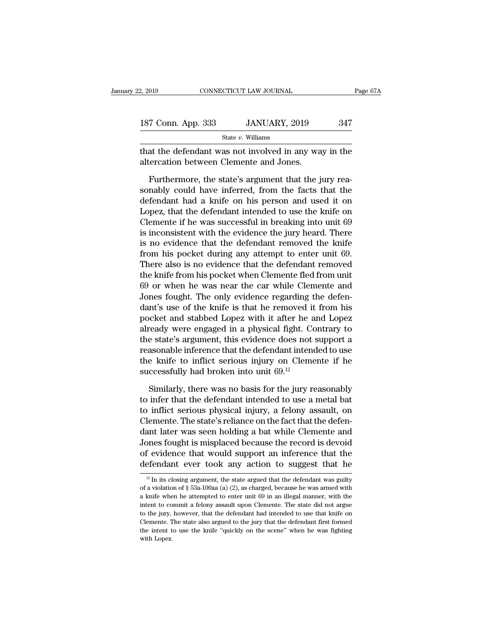| 2, 2019            | CONNECTICUT LAW JOURNAL                                                                          | Page 67A |
|--------------------|--------------------------------------------------------------------------------------------------|----------|
| 187 Conn. App. 333 | JANUARY, 2019                                                                                    | 347      |
|                    | State $v$ . Williams                                                                             |          |
|                    | that the defendant was not involved in any way in the<br>altercation between Clemente and Jones. |          |
|                    | Furthermore, the state's argument that the jury rea-                                             |          |

Furthermore, the state's argument that the jury rea-<br>Furthermore, the state's argument that the jury rea-<br>nably could have inferred, from the facts that the<br>fondant had a knife on his parson and used it on Solution of the state v. Williams<br>
State v. Williams<br>
state v. Williams<br>
that the defendant was not involved in any way in the<br>
altercation between Clemente and Jones.<br>
Furthermore, the state's argument that the jury reas State v. Williams<br>that the defendant was not involved in any way in the<br>altercation between Clemente and Jones.<br>Furthermore, the state's argument that the jury rea-<br>sonably could have inferred, from the facts that the<br>def that the defendant was not involved in any way in the<br>altercation between Clemente and Jones.<br>Furthermore, the state's argument that the jury rea-<br>sonably could have inferred, from the facts that the<br>defendant had a knife altercation between Clemente and Jones.<br>
Furthermore, the state's argument that the jury reasonably could have inferred, from the facts that the<br>
defendant had a knife on his person and used it on<br>
Lopez, that the defendan Furthermore, the state's argument that the jury reasonably could have inferred, from the facts that the defendant had a knife on his person and used it on Lopez, that the defendant intended to use the knife on Clemente if Furthermore, the state's argument that the jury reasonably could have inferred, from the facts that the defendant had a knife on his person and used it on Lopez, that the defendant intended to use the knife on Clemente if sonably could have inferred, from the facts that the<br>defendant had a knife on his person and used it on<br>Lopez, that the defendant intended to use the knife on<br>Clemente if he was successful in breaking into unit 69<br>is incon defendant had a knife on his person and used it on<br>Lopez, that the defendant intended to use the knife on<br>Clemente if he was successful in breaking into unit 69<br>is inconsistent with the evidence the jury heard. There<br>is no Lopez, that the defendant intended to use the knife on<br>Clemente if he was successful in breaking into unit 69<br>is inconsistent with the evidence the jury heard. There<br>is no evidence that the defendant removed the knife<br>from Clemente if he was successful in breaking into unit 69<br>is inconsistent with the evidence the jury heard. There<br>is no evidence that the defendant removed the knife<br>from his pocket during any attempt to enter unit 69.<br>There is inconsistent with the evidence the jury heard. There<br>is no evidence that the defendant removed the knife<br>from his pocket during any attempt to enter unit 69.<br>There also is no evidence that the defendant removed<br>the knif is no evidence that the defendant removed the knife<br>from his pocket during any attempt to enter unit 69.<br>There also is no evidence that the defendant removed<br>the knife from his pocket when Clemente fled from unit<br>69 or whe from his pocket during any attempt to enter unit 69.<br>There also is no evidence that the defendant removed<br>the knife from his pocket when Clemente fled from unit<br>69 or when he was near the car while Clemente and<br>Jones fough There also is no evidence that the defendant removed<br>the knife from his pocket when Clemente fled from unit<br>69 or when he was near the car while Clemente and<br>Jones fought. The only evidence regarding the defen-<br>dant's use the knife from his pocket when Clemente fled from unit<br>69 or when he was near the car while Clemente and<br>Jones fought. The only evidence regarding the defen-<br>dant's use of the knife is that he removed it from his<br>pocket an 69 or when he was near the car while Clemente and<br>Jones fought. The only evidence regarding the defen-<br>dant's use of the knife is that he removed it from his<br>pocket and stabbed Lopez with it after he and Lopez<br>already wer Jones fought. The only evidence regarding the defendant's use of the knife is that he removed it from his pocket and stabbed Lopez with it after he and Lopez already were engaged in a physical fight. Contrary to the state dant's use of the knife is that he removed if pocket and stabbed Lopez with it after he a already were engaged in a physical fight. Computed the state's argument, this evidence does not reasonable inference that the defen ready were engaged in a physical fight. Contrary to<br>e state's argument, this evidence does not support a<br>asonable inference that the defendant intended to use<br>e knife to inflict serious injury on Clemente if he<br>ccessfully the state's argument, this evidence does not support a<br>reasonable inference that the defendant intended to use<br>the knife to inflict serious injury on Clemente if he<br>successfully had broken into unit  $69.<sup>12</sup>$ <br>Similarly

reasonable inference that the defendant intended to use<br>the knife to inflict serious injury on Clemente if he<br>successfully had broken into unit  $69.<sup>12</sup>$ <br>Similarly, there was no basis for the jury reasonably<br>to infer t the knife to inflict serious injury on Clemente if he<br>successfully had broken into unit 69.<sup>12</sup><br>Similarly, there was no basis for the jury reasonably<br>to infer that the defendant intended to use a metal bat<br>to inflict serio successfully had broken into unit  $69.^{12}$ <br>
Similarly, there was no basis for the jury reasonably<br>
to infer that the defendant intended to use a metal bat<br>
to inflict serious physical injury, a felony assault, on<br>
Clemen Similarly, there was no basis for the jury reasonably<br>to infer that the defendant intended to use a metal bat<br>to inflict serious physical injury, a felony assault, on<br>Clemente. The state's reliance on the fact that the def Similarly, there was no basis for the jury reasonably<br>to infer that the defendant intended to use a metal bat<br>to inflict serious physical injury, a felony assault, on<br>Clemente. The state's reliance on the fact that the def to infer that the defendant intended to use a metal bat<br>to inflict serious physical injury, a felony assault, on<br>Clemente. The state's reliance on the fact that the defen-<br>dant later was seen holding a bat while Clemente ant later was seen nolding a bat while Clemente and<br>ones fought is misplaced because the record is devoid<br>f evidence that would support an inference that the<br>efendant ever took any action to suggest that he<br> $\frac{12 \text{ In its closing argument,$ Jones fought is misplaced because the record is devoid<br>of evidence that would support an inference that the<br>defendant ever took any action to suggest that he<br> $\frac{p}{2}$  In its closing argument, the state argued that the de

of evidence that would support an inference that the defendant ever took any action to suggest that he  $\frac{12 \text{ In its closing argument, the state argued that the defendant was guilty of a violation of § 53a-100aa (a) (2), as charged, because he was armed with a kinetic when he attempted to enter unit 69 in an illegal manner, with the intent to commit a fellow assault upon Clemente. The state did not argue$ defendant ever took any action to suggest that he<br>
<sup>12</sup> In its closing argument, the state argued that the defendant was guilty<br>
of a violation of § 53a-100aa (a) (2), as charged, because he was armed with<br>
a knife when h The jury, the state incomparation of  $\frac{1}{2}$  in its closing argument, the state argued that the defendant was guilty of a violation of  $\frac{1}{2}$  53a-100aa (a) (2), as charged, because he was armed with a knife when he a <sup>12</sup> In its closing argument, the state argued that the defendant was guilty of a violation of  $\S$  53a-100aa (a) (2), as charged, because he was armed with a knife when he attempted to enter unit 69 in an illegal manner, In a violation of § 53a-100aa (a) (2), as charged, because he was armed with a knife when he attempted to enter unit 69 in an illegal manner, with the intent to commit a felony assault upon Clemente. The state did not arg of a violation of  $\S$  53a-100aa (a) (2), as charged, because he was armed with a knife when he attempted to enter unit 69 in an illegal manner, with the intent to commit a felony assault upon Clemente. The state did not a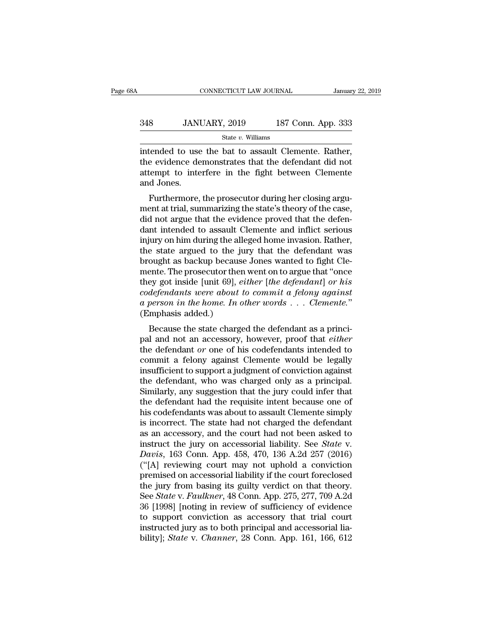## EXECUTE CONNECTICUT LAW JOURNAL January 22, 2019<br>348 JANUARY, 2019 187 Conn. App. 333<br>5tate v. Williams State *v.* Williams

 $\begin{array}{r} \text{COMRECTICUT LAW JOURNAL} \qquad \text{January 22, 24} \ \text{348} \qquad \text{JANUARY, 2019} \qquad \text{187 Conn. App. 333} \ \text{State } v. \ \text{Williams} \ \text{intended to use the bat to assault Clement. Rather, the evidence demonstrates that the defendant did not attempt to interfone in the fight between Clomonto.} \end{array}$  $\begin{tabular}{ll} \multicolumn{1}{l}{{\bf{348}}}&JANUARY,\, 2019&187\, \text{Conn. App. 333} \\ & \multicolumn{1}{l}{\bf{544\, }} & \multicolumn{1}{l}{\bf{544\, }} & \multicolumn{1}{l}{\bf{544\, }} & \multicolumn{1}{l}{\bf{544\, }} \\ & \multicolumn{1}{l}{\bf{54\, }} & \multicolumn{1}{l}{\bf{54\, }} & \multicolumn{1}{l}{\bf{54\, }} & \multicolumn{1}{l}{\bf{54\, }} & \multicolumn{1}{l}{\bf{54$ 348 JANUARY, 2019 187 Conn. App. 333<br>  $\frac{\text{State } v. \text{ Williams}}{\text{intended to use the bat to assault Clemente. Rather,}}$ the evidence demonstrates that the defendant did not attempt to interfere in the fight between Clemente and Jones. 348 JANI<br>
intended to use<br>
the evidence de<br>
attempt to inte<br>
and Jones.<br>
Furthermore, State  $v$ . Williams<br>
stended to use the bat to assault Clemente. Rather,<br>
e evidence demonstrates that the defendant did not<br>
tempt to interfere in the fight between Clemente<br>
d Jones.<br>
Furthermore, the prosecutor during intended to use the bat to assault Clemente. Rather,<br>the evidence demonstrates that the defendant did not<br>attempt to interfere in the fight between Clemente<br>and Jones.<br>Furthermore, the prosecutor during her closing argu-<br>m

miended to use the bat to assaunt Clemente. Kather,<br>the evidence demonstrates that the defendant did not<br>attempt to interfere in the fight between Clemente<br>and Jones.<br>Furthermore, the prosecutor during her closing argu-<br>me the evidence demonstrates that the defendant did not<br>attempt to interfere in the fight between Clemente<br>and Jones.<br>Furthermore, the prosecutor during her closing argu-<br>ment at trial, summarizing the state's theory of the c attempt to interfere in the right between Cremente<br>and Jones.<br>Furthermore, the prosecutor during her closing argu-<br>ment at trial, summarizing the state's theory of the case,<br>did not argue that the evidence proved that the Furthermore, the prosecutor during her closing argument at trial, summarizing the state's theory of the case, did not argue that the evidence proved that the defendant intended to assault Clemente and inflict serious injur Furthermore, the prosecutor during her closing argument at trial, summarizing the state's theory of the case, did not argue that the evidence proved that the defendant intended to assault Clemente and inflict serious inju ment at trial, summarizing the state's theory of the case,<br>did not argue that the evidence proved that the defen-<br>dant intended to assault Clemente and inflict serious<br>injury on him during the alleged home invasion. Rather did not argue that the evidence proved that the defen-<br>dant intended to assault Clemente and inflict serious<br>injury on him during the alleged home invasion. Rather,<br>the state argued to the jury that the defendant was<br>broug dant intended to assault Clemente and inflict serious<br>injury on him during the alleged home invasion. Rather,<br>the state argued to the jury that the defendant was<br>brought as backup because Jones wanted to fight Cle-<br>mente. *injury on him during the alleged home invasion. Rather,*<br>the state argued to the jury that the defendant was<br>brought as backup because Jones wanted to fight Cle-<br>mente. The prosecutor then went on to argue that "once<br>they because the state of the state of the state of the state of the state charge and the state charge that "once ey got inside [unit 69], *either [the defendant] or his defendants were about to commit a felony against person i* mente. The prosecutor then went on to argue that once<br>they got inside [unit 69], *either [the defendant] or his*<br>codefendants were about to commit a felony against<br>a person in the home. In other words . . . Clemente."<br>(Emp

they got fiside [unit 0*9*], *ether* [*the defendant*] or *nts*<br>codefendants were about to commit a felony against<br>a person in the home. In other words . . . Clemente."<br>(Emphasis added.)<br>Because the state charged the defen configurations were dood to commit a jetting against<br>a person in the home. In other words  $\ldots$  Clemente."<br>(Emphasis added.)<br>Because the state charged the defendant as a princi-<br>pal and not an accessory, however, proof th  $\mu$  person in the nome. In other words  $\ldots$  cluenties.<br>
(Emphasis added.)<br>
Because the state charged the defendant as a princi-<br>
pal and not an accessory, however, proof that *either*<br>
the defendant or one of his codefe Eniphasis added.)<br>Because the state charged the defendant as a princi-<br>pal and not an accessory, however, proof that *either*<br>the defendant  $or$  one of his codefendants intended to<br>commit a felony against Clemente would be Because the state charged the defendant as a princi-<br>pal and not an accessory, however, proof that *either*<br>the defendant *or* one of his codefendants intended to<br>commit a felony against Clemente would be legally<br>insuffici pal and not an accessory, however, proof that *either*<br>the defendant *or* one of his codefendants intended to<br>commit a felony against Clemente would be legally<br>insufficient to support a judgment of conviction against<br>the d the defendant *or* one of his codefendants intended to<br>commit a felony against Clemente would be legally<br>insufficient to support a judgment of conviction against<br>the defendant, who was charged only as a principal.<br>Similarl commit a felony against Clemente would be legally<br>insufficient to support a judgment of conviction against<br>the defendant, who was charged only as a principal.<br>Similarly, any suggestion that the jury could infer that<br>the de insufficient to support a judgment of conviction against<br>the defendant, who was charged only as a principal.<br>Similarly, any suggestion that the jury could infer that<br>the defendant had the requisite intent because one of<br>h the defendant, who was charged only as a principal.<br>Similarly, any suggestion that the jury could infer that<br>the defendant had the requisite intent because one of<br>his codefendants was about to assault Clemente simply<br>is in Similarly, any suggestion that the jury could infer that<br>the defendant had the requisite intent because one of<br>his codefendants was about to assault Clemente simply<br>is incorrect. The state had not charged the defendant<br>as the defendant had the requisite intent because one of<br>his codefendants was about to assault Clemente simply<br>is incorrect. The state had not charged the defendant<br>as an accessory, and the court had not been asked to<br>instruc his codefendants was about to assault Clemente simply<br>is incorrect. The state had not charged the defendant<br>as an accessory, and the court had not been asked to<br>instruct the jury on accessorial liability. See *State* v.<br>is incorrect. The state had not charged the defendant<br>as an accessory, and the court had not been asked to<br>instruct the jury on accessorial liability. See *State* v.<br> $Davis, 163$  Conn. App. 458, 470, 136 A.2d 257 (2016)<br>("[A as an accessory, and the court had not been asked to<br>instruct the jury on accessorial liability. See *State* v.<br>*Davis*, 163 Conn. App. 458, 470, 136 A.2d 257 (2016)<br>("[A] reviewing court may not uphold a conviction<br>premis instruct the jury on accessorial liability. See *State* v.<br> *Davis*, 163 Conn. App. 458, 470, 136 A.2d 257 (2016)<br>
("[A] reviewing court may not uphold a conviction<br>
premised on accessorial liability if the court foreclose Davis, 163 Conn. App. 458, 470, 136 A.2d 257 (2016)<br>("[A] reviewing court may not uphold a conviction<br>premised on accessorial liability if the court foreclosed<br>the jury from basing its guilty verdict on that theory.<br>See ("[A] reviewing court may not uphold a conviction<br>premised on accessorial liability if the court foreclosed<br>the jury from basing its guilty verdict on that theory.<br>See *State* v. *Faulkner*, 48 Conn. App. 275, 277, 709 A. premised on accessorial liability if the court foreclosed<br>the jury from basing its guilty verdict on that theory.<br>See *State* v. *Faulkner*, 48 Conn. App. 275, 277, 709 A.2d<br>36 [1998] [noting in review of sufficiency of ev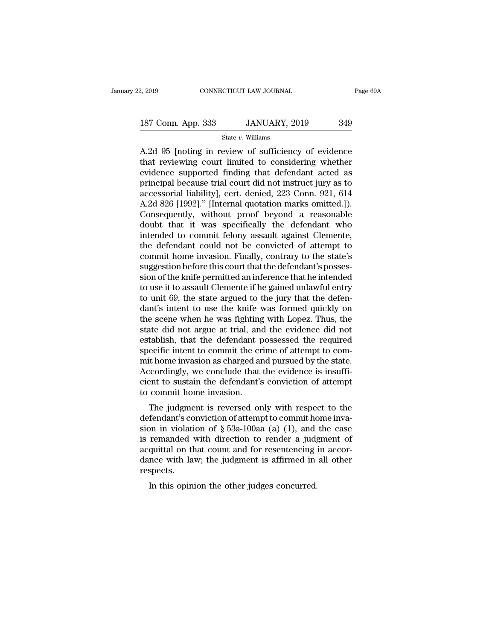State *v.* Williams

 $\frac{2,2019}{2,2019}$  connectricut LAW JOURNAL Page 69A<br>  $\frac{187 \text{ Conn. App. } 333}$  JANUARY, 2019  $\frac{349}{2}$ <br>  $\frac{120}{2}$ <br>
A.2d 95 [noting in review of sufficiency of evidence<br>
that reviewing court limited to considering whethe 187 Conn. App. 333 JANUARY, 2019 349<br>State v. Williams<br>A.2d 95 [noting in review of sufficiency of evidence<br>that reviewing court limited to considering whether<br>evidence supported finding that defendant acted as<br>principal b 187 Conn. App. 333 JANUARY, 2019 349<br>
State v. Williams<br>
A.2d 95 [noting in review of sufficiency of evidence<br>
that reviewing court limited to considering whether<br>
evidence supported finding that defendant acted as<br>
princ 187 Conn. App. 333 JANUARY, 2019 349<br>
State v. Williams<br>
A.2d 95 [noting in review of sufficiency of evidence<br>
that reviewing court limited to considering whether<br>
evidence supported finding that defendant acted as<br>
princ State v. Williams<br>A.2d 95 [noting in review of sufficiency of evidence<br>that reviewing court limited to considering whether<br>evidence supported finding that defendant acted as<br>principal because trial court did not instruct state v. Williams<br>A.2d 95 [noting in review of sufficiency of evidence<br>that reviewing court limited to considering whether<br>evidence supported finding that defendant acted as<br>principal because trial court did not instruct j A.2d 95 [noting in review of sufficiency of evidence<br>that reviewing court limited to considering whether<br>evidence supported finding that defendant acted as<br>principal because trial court did not instruct jury as to<br>accessor that reviewing court limited to considering whether<br>evidence supported finding that defendant acted as<br>principal because trial court did not instruct jury as to<br>accessorial liability], cert. denied, 223 Conn. 921, 614<br>A.2d evidence supported finding that defendant acted as<br>principal because trial court did not instruct jury as to<br>accessorial liability], cert. denied, 223 Conn. 921, 614<br>A.2d 826 [1992]." [Internal quotation marks omitted.]).<br> principal because trial court did not instruct jury as to<br>accessorial liability], cert. denied, 223 Conn. 921, 614<br>A.2d 826 [1992]." [Internal quotation marks omitted.]).<br>Consequently, without proof beyond a reasonable<br>dou accessorial liability], cert. denied, 223 Conn. 921, 614<br>A.2d 826 [1992]." [Internal quotation marks omitted.]).<br>Consequently, without proof beyond a reasonable<br>doubt that it was specifically the defendant who<br>intended to A.2d 826 [1992]." [Internal quotation marks omitted.]).<br>Consequently, without proof beyond a reasonable<br>doubt that it was specifically the defendant who<br>intended to commit felony assault against Clemente,<br>the defendant cou Consequently, without proof beyond a reasonable<br>doubt that it was specifically the defendant who<br>intended to commit felony assault against Clemente,<br>the defendant could not be convicted of attempt to<br>commit home invasion. doubt that it was specifically the defendant who<br>intended to commit felony assault against Clemente,<br>the defendant could not be convicted of attempt to<br>commit home invasion. Finally, contrary to the state's<br>suggestion befo intended to commit felony assault against Clemente,<br>the defendant could not be convicted of attempt to<br>commit home invasion. Finally, contrary to the state's<br>suggestion before this court that the defendant's posses-<br>sion o the defendant could not be convicted of attempt to<br>commit home invasion. Finally, contrary to the state's<br>suggestion before this court that the defendant's posses-<br>sion of the knife permitted an inference that he intended<br> commit home invasion. Finally, contrary to the state's<br>suggestion before this court that the defendant's posses-<br>sion of the knife permitted an inference that he intended<br>to use it to assault Clemente if he gained unlawful suggestion before this court that the defendant's posses-<br>sion of the knife permitted an inference that he intended<br>to use it to assault Clemente if he gained unlawful entry<br>to unit 69, the state argued to the jury that th sion of the knife permitted an inference that he intended<br>to use it to assault Clemente if he gained unlawful entry<br>to unit 69, the state argued to the jury that the defen-<br>dant's intent to use the knife was formed quickly to use it to assault Clemente if he gained unlawful entry<br>to unit 69, the state argued to the jury that the defen-<br>dant's intent to use the knife was formed quickly on<br>the scene when he was fighting with Lopez. Thus, the<br>s to unit 69, the state argued to the jury that the defendant's intent to use the knife was formed quickly on the scene when he was fighting with Lopez. Thus, the state did not argue at trial, and the evidence did not establ dant's intent to use the knife was formed quickly on<br>the scene when he was fighting with Lopez. Thus, the<br>state did not argue at trial, and the evidence did not<br>establish, that the defendant possessed the required<br>specific the scene when he was fighting with Lopez. Thus, the<br>state did not argue at trial, and the evidence did not<br>establish, that the defendant possessed the required<br>specific intent to commit the crime of attempt to com-<br>mit ho state did not argue at trial, ane<br>stablish, that the defendant p<br>specific intent to commit the cr<br>mit home invasion as charged an<br>Accordingly, we conclude that<br>cient to sustain the defendant's<br>to commit home invasion.<br>The Equivalently, that the defendant possessed the required<br>ecific intent to commit the crime of attempt to com-<br>it home invasion as charged and pursued by the state.<br>coordingly, we conclude that the evidence is insuffi-<br>ent specific intent to confinit the crime of attempt to com-<br>mit home invasion as charged and pursued by the state.<br>Accordingly, we conclude that the evidence is insuffi-<br>cient to sustain the defendant's conviction of attempt

Finit nome invasion as charged and pursued by the state.<br>Accordingly, we conclude that the evidence is insufficient to sustain the defendant's conviction of attempt<br>to commit home invasion.<br>The judgment is reversed only w Fractorumgry, we conclude that the evidence is insurricient to sustain the defendant's conviction of attempt<br>to commit home invasion.<br>The judgment is reversed only with respect to the<br>defendant's conviction of attempt to c EVENT TO SUSTAIN THE defendant SCONVICTION OF ALLERATIVE to commit home invasion.<br>The judgment is reversed only with respect to the defendant's conviction of attempt to commit home invasion in violation of  $\S$  53a-100aa ( The judgment is reversed only with respect to the defendant's conviction of attempt to commit home invasion in violation of  $\S$  53a-100aa (a) (1), and the case is remanded with direction to render a judgment of acquittal respects. In this opinion of  $\frac{1}{2}$  53a-100aa (a) (1), and<br>remanded with direction to render a judge quittal on that count and for resentencing<br>ince with law; the judgment is affirmed in<br>spects.<br>In this opinion the other judges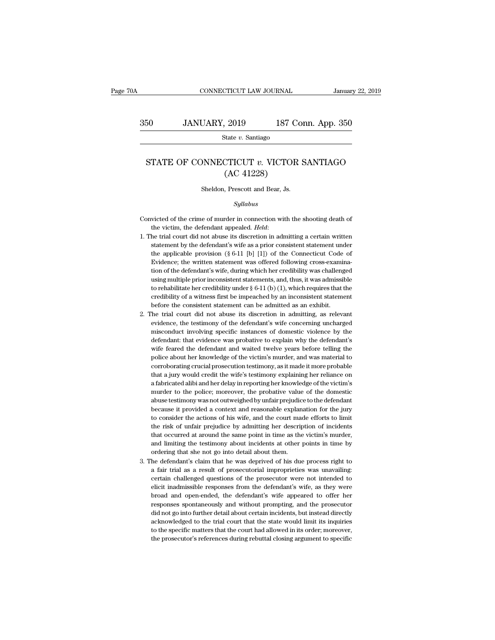State *v.* Santiago

### SO JANUARY, 2019 187 Conn. App. 350<br>STATE OF CONNECTICUT *v*. VICTOR SANTIAGO (AC 41228)  $\begin{array}{ll} \text{2019} & \text{187 C} \\ \text{State $v$. Santiago} \end{array}$ <br>
CTICUT  $v$ . VICTOR<br>
(AC 41228)<br>
, Prescott and Bear, Js. STATE OF CONNECTICUT  $v$ . VICTOR SANTIAGO<br>(AC 41228)<br>Sheldon, Prescott and Bear, Js.

### *Syllabus*

- (AC 41228)<br>
Sheldon, Prescott and Bear, Js.<br>
Syllabus<br>
Convicted of the crime of murder in connection with the shooting death of<br>
the victim, the defendant appealed. *Held*:
- the defendant appealed. *Held*:<br>
1. The trial court did not abuse its discretion in admitting a certain written<br>
1. The trial court did not abuse its discretion in admitting a certain written<br>
1. Statement by the defendant  $Syllabus$ <br>victed of the crime of murder in connection with the shooting death of<br>the victim, the defendant appealed. *Held*:<br>he trial court did not abuse its discretion in admitting a certain written<br>statement by the defendan syalous<br>ticted of the crime of murder in connection with the shooting death of<br>the victim, the defendant appealed. *Held*:<br>he trial court did not abuse its discretion in admitting a certain written<br>statement by the defenda victed of the crime of murder in connection with the shooting death of<br>the victim, the defendant appealed. *Held*:<br>he trial court did not abuse its discretion in admitting a certain written<br>statement by the defendant's wi the victim, the defendant appealed. *Held*:<br>he trial court did not abuse its discretion in admitting a certain written<br>statement by the defendant's wife as a prior consistent statement under<br>the applicable provision (§ 6he trial court did not abuse its discretion in admitting a certain written statement by the defendant's wife as a prior consistent statement under the applicable provision (§ 6-11 [b] [1]) of the Connecticut Code of Evide statement by the defendant's wife as a prior consistent statement under<br>the applicable provision (§ 6-11 [b] [1]) of the Connecticut Code of<br>Evidence; the written statement was offered following cross-examina-<br>tion of the statement by the defendant's wife as a prior consistent statement under<br>the applicable provision (§ 6-11 [b] [1]) of the Connecticut Code of<br>Evidence; the written statement was offered following cross-examina-<br>tion of the Evidence; the written statement was offered following cross-examination of the defendant's wife, during which her credibility was challenged using multiple prior inconsistent statements, and, thus, it was admissible to re tion of the defendant's wife, during which her credibility was challenged<br>using multiple prior inconsistent statements, and, thus, it was admissible<br>to rehabilitate her credibility under  $\S$  6-11 (b) (1), which requires t using multiple prior inconsistent statements, and, thus, it was admissible<br>to rehabilitate her credibility under  $\S$  6-11 (b) (1), which requires that the<br>credibility of a witness first be impeached by an inconsistent sta
- to rehabilitate her credibility under  $\S$  6-11 (b) (1), which requires that the credibility of a witness first be impeached by an inconsistent statement before the consistent statement can be admitted as an exhibit. The t credibility of a witness first be impeached by an inconsistent statement<br>before the consistent statement can be admitted as an exhibit.<br>The trial court did not abuse its discretion in admitting, as relevant<br>evidence, the t before the consistent statement can be admitted as an exhibit.<br>The trial court did not abuse its discretion in admitting, as relevant<br>evidence, the testimony of the defendant's wife concerning uncharged<br>misconduct involvin The trial court did not abuse its discretion in admitting, as relevant evidence, the testimony of the defendant's wife concerning uncharged misconduct involving specific instances of domestic violence by the defendant: tha evidence, the testimony of the defendant's wife concerning uncharged misconduct involving specific instances of domestic violence by the defendant: that evidence was probative to explain why the defendant's wife feared the misconduct involving specific instances of domestic violence by the defendant: that evidence was probative to explain why the defendant's wife feared the defendant and waited twelve years before telling the police about he defendant: that evidence was probative to explain why the defendant's wife feared the defendant and waited twelve years before telling the police about her knowledge of the victim's murder, and was material to corroboratin wife feared the defendant and waited twelve years before telling the police about her knowledge of the victim's murder, and was material to corroborating crucial prosecution testimony, as it made it more probable that a ju police about her knowledge of the victim's murder, and was material to corroborating crucial prosecution testimony, as it made it more probable that a jury would credit the wife's testimony explaining her reliance on a fab corroborating crucial prosecution testimony, as it made it more probable<br>that a jury would credit the wife's testimony explaining her reliance on<br>a fabricated alibi and her delay in reporting her knowledge of the victim's<br> that a jury would credit the wife's testimony explaining her reliance on a fabricated alibi and her delay in reporting her knowledge of the victim's murder to the police; moreover, the probative value of the domestic abuse a fabricated alibi and her delay in reporting her knowledge of the victim's<br>murder to the police; moreover, the probative value of the domestic<br>abuse testimony was not outweighed by unfair prejudice to the defendant<br>becaus murder to the police; moreover, the probative value of the domestic abuse testimony was not outweighed by unfair prejudice to the defendant because it provided a context and reasonable explanation for the jury to consider abuse testimony was not outweighed by unfair prejudice to the defendant<br>because it provided a context and reasonable explanation for the jury<br>to consider the actions of his wife, and the court made efforts to limit<br>the ris because it provided a context and reasonable explant<br>to consider the actions of his wife, and the court ma<br>the risk of unfair prejudice by admitting her descript<br>that occurred at around the same point in time as the<br>and li to consider the actions of his wife, and the court made efforts to limit<br>the risk of unfair prejudice by admitting her description of incidents<br>that occurred at around the same point in time as the victim's murder,<br>and lim to consider the actions of his wife, and the court made efforts to limit<br>the risk of unfair prejudice by admitting her description of incidents<br>that occurred at around the same point in time as the victim's murder,<br>and lim
- that occurred at around the same point in time as the victim's murder, and limiting the testimony about incidents at other points in time by ordering that she not go into detail about them.<br>he defendant's claim that he was and limiting the testimony about incidents at other points in time by ordering that she not go into detail about them.<br>he defendant's claim that he was deprived of his due process right to a fair trial as a result of prose ordering that she not go into detail about them.<br>he defendant's claim that he was deprived of his due process right to<br>a fair trial as a result of prosecutorial improprieties was unavailing:<br>certain challenged questions of he defendant's claim that he was deprived of his due process right to a fair trial as a result of prosecutorial improprieties was unavailing:<br>certain challenged questions of the prosecutor were not intended to<br>elicit inadm a fair trial as a result of prosecutorial improprieties was unavailing:<br>certain challenged questions of the prosecutor were not intended to<br>elicit inadmissible responses from the defendant's wife, as they were<br>broad and op certain challenged questions of the prosecutor were not intended to elicit inadmissible responses from the defendant's wife, as they were broad and open-ended, the defendant's wife appeared to offer her responses spontaneo elicit inadmissible responses from the defendant's wife, as they were<br>broad and open-ended, the defendant's wife appeared to offer her<br>responses spontaneously and without prompting, and the prosecutor<br>did not go into furth broad and open-ended, the defendant's wife appeared to offer her responses spontaneously and without prompting, and the prosecutor did not go into further detail about certain incidents, but instead directly acknowledged t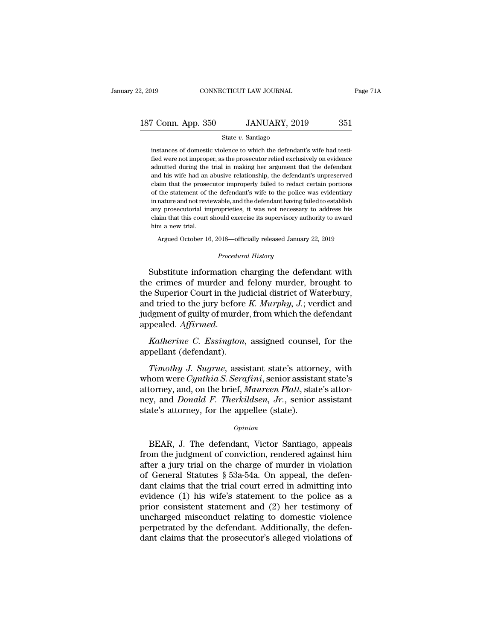### State *v.* Santiago

187 Conn. App. 350 JANUARY, 2019 351<br>
State v. Santiago<br>
instances of domestic violence to which the defendant's wife had testi-<br>
fied were not improper, as the prosecutor relied exclusively on evidence<br>
admitted during t Fried W. Santiago<br>  $\frac{\text{State } v. \text{ Santiago}}{\text{instances of domestic violence to which the defendant's wife had test-  
fied were not improper, as the processor relied exclusively on evidence  
admitted during the trial in making her argument that the defendant$ From Marting 2019 and Marting 2019 and State v. Santiago<br>
instances of domestic violence to which the defendant's wife had testi-<br>
fied were not improper, as the prosecutor relied exclusively on evidence<br>
admitted during State v. Santiago<br>
and the defendant's wife had testi-<br>
fied were not improper, as the prosecutor relied exclusively on evidence<br>
admitted during the trial in making her argument that the defendant<br>
and his wife had an abu State  $v$ . Santiago<br>instances of domestic violence to which the defendant's wife had testi-<br>fied were not improper, as the prosecutor relied exclusively on evidence<br>admitted during the trial in making her argument that th instances of domestic violence to which the defendant's wife had testi-<br>fied were not improper, as the prosecutor relied exclusively on evidence<br>admitted during the trial in making her argument that the defendant<br>and his w fied were not improper, as the prosecutor relied exclusively on evidence admitted during the trial in making her argument that the defendant and his wife had an abusive relationship, the defendant's unpreserved claim that admitted during the trial in making her argument that the defendant<br>admitted during the trial in making her argument that the defendant<br>and his wife had an abusive relationship, the defendant's unpreserved<br>claim that the p and his wife had an abusive relationship, the defendant's unpreserved claim that the prosecutor improperly failed to redact certain portions of the statement of the defendant's wife to the police was evidentiary in nature claim that the prosecutor improperly failed to redact certain portions<br>of the statement of the defendant's wife to the police was evidentiary<br>in nature and not reviewable, and the defendant having failed to establish<br>any the statement of the defendant's wife to the police was evidentiary<br>nature and not reviewable, and the defendant having failed to establish<br>y prosecutorial improprieties, it was not necessary to address his<br>im that this co claim that this court should exercise its supervisory authority to award<br>him a new trial.<br>*Procedural History*<br>*Procedural History*<br>*Procedural History*<br>*Procedural History* any prosecutorial improprieties, it was not necessary to address his<br>claim that this court should exercise its supervisory authority to award<br>him a new trial.<br>Argued October 16, 2018—officially released January 22, 2019<br>*P* 

claim that this court should exercise its supervisory authority to award<br>him a new trial.<br>Argued October 16, 2018—officially released January 22, 2019<br>*Procedural History*<br>Substitute information charging the defendant with Argued October 16, 2018—officially released January 22, 2019<br>
Procedural History<br>
Substitute information charging the defendant with<br>
the crimes of murder and felony murder, brought to<br>
the Superior Court in the judicial d Argued October 16, 2018—officially released January 22, 2019<br> *Procedural History*<br>
Substitute information charging the defendant with<br>
the crimes of murder and felony murder, brought to<br>
the Superior Court in the judicial *Procedural History*<br>Substitute information charging the defendant with<br>the crimes of murder and felony murder, brought to<br>the Superior Court in the judicial district of Waterbury,<br>and tried to the jury before *K. Murphy*, abstrate mormation enarging are determinated with<br>the crimes of murder and felony murder, brought to<br>the Superior Court in the judicial district of Waterbury,<br>and tried to the jury before *K. Murphy*, *J*.; verdict and<br>jud the Superior Court in the jump<br>the Superior Court in the jump<br>and tried to the jury before<br>judgment of guilty of murde.<br>appealed. Affirmed.<br>Katherine C. Essington,<br>appellant (defendant).<br>Timothy J. Sugrue, assis *The die is a timothy of murder, from which the defendant*<br>*Timothy of murder, from which the defendant*<br>*Timothy J. Sugrue, assistant state's attorney, with*<br>*Timothy J. Sugrue, assistant state's attorney, with*<br>*Timothy* 

judgment of guilty of murder, from which the defendant<br>appealed. *Affirmed.*<br>*Katherine C. Essington*, assigned counsel, for the<br>appellant (defendant).<br>*Timothy J. Sugrue*, assistant state's attorney, with<br>whom were *Cynth* appealed. *Affirmed.*<br> *Katherine C. Essington*, assigned counsel, for the appellant (defendant).<br> *Timothy J. Sugrue*, assistant state's attorney, with whom were *Cynthia S. Serafini*, senior assistant state's attor-<br>
att Katherine C. Essington, assigned counsel, for the<br>appellant (defendant).<br>*Timothy J. Sugrue*, assistant state's attorney, with<br>whom were *Cynthia S. Serafini*, senior assistant state's<br>attorney, and, on the brief, *Maureen* France of e. Essington, assigned coalised<br>appellant (defendant).<br>Timothy J. Sugrue, assistant state's attorney<br>whom were Cynthia S. Serafini, senior assista<br>attorney, and, on the brief, Maureen Platt, stat<br>ney, and Donald nom were *Cynthia S. Serafini*, senior assistant state's<br>torney, and, on the brief, *Maureen Platt*, state's attor-<br>y, and *Donald F. Therkildsen*, *Jr.*, senior assistant<br>tate's attorney, for the appellee (state).<br> $opinion$ <br>BE

### *Opinion*

attorney, and, on the brief, *Maureen Platt*, state's attor-<br>ney, and *Donald F. Therkildsen*, *Jr.*, senior assistant<br>state's attorney, for the appellee (state).<br> $o_{pinion}$ <br>BEAR, J. The defendant, Victor Santiago, appeals<br>f ney, and *Donald F. Therkildsen*, Jr., senior assistant<br>state's attorney, for the appellee (state).<br> $opinion$ <br>BEAR, J. The defendant, Victor Santiago, appeals<br>from the judgment of conviction, rendered against him<br>after a jury t state's attorney, for the appellee (state).<br>
opinion<br>
BEAR, J. The defendant, Victor Santiago, appeals<br>
from the judgment of conviction, rendered against him<br>
after a jury trial on the charge of murder in violation<br>
of Gen *Opinion*<br>BEAR, J. The defendant, Victor Santiago, appeals<br>from the judgment of conviction, rendered against him<br>after a jury trial on the charge of murder in violation<br>of General Statutes § 53a-54a. On appeal, the defen-BEAR, J. The defendant, Victor Santiago, appeals<br>from the judgment of conviction, rendered against him<br>after a jury trial on the charge of murder in violation<br>of General Statutes § 53a-54a. On appeal, the defen-<br>dant clai BEAR, J. The defendant, Victor Santiago, appeals<br>from the judgment of conviction, rendered against him<br>after a jury trial on the charge of murder in violation<br>of General Statutes § 53a-54a. On appeal, the defen-<br>dant clai from the judgment of conviction, rendered against him<br>after a jury trial on the charge of murder in violation<br>of General Statutes  $\S$  53a-54a. On appeal, the defen-<br>dant claims that the trial court erred in admitting into after a jury trial on the charge of murder in violation<br>of General Statutes  $\S$  53a-54a. On appeal, the defen-<br>dant claims that the trial court erred in admitting into<br>evidence (1) his wife's statement to the police as a<br> of General Statutes  $\S$  53a-54a. On appeal, the defendant claims that the trial court erred in admitting into evidence (1) his wife's statement to the police as a prior consistent statement and (2) her testimony of unchar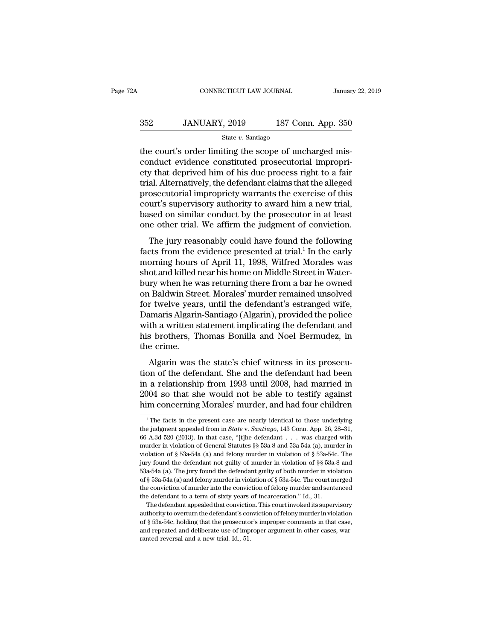# CONNECTICUT LAW JOURNAL January 22, 2019<br>352 JANUARY, 2019 187 Conn. App. 350<br>State v. Santiago

### State *v.* Santiago

CONNECTICUT LAW JOURNAL<br>
SERIES TRIMINARY, 2019<br>
State v. Santiago<br>
The court's order limiting the scope of uncharged mis-<br>
Conduct evidence constituted prosecutorial improprients<br>
that doprived bin of bis-due process righ  $352$  JANUARY,  $2019$  187 Conn. App. 350<br>  $\frac{350}{2}$  state v. Santiago<br>
the court's order limiting the scope of uncharged mis-<br>
conduct evidence constituted prosecutorial impropri-<br>
ety that deprived him of his due proce 352 JANUARY, 2019 187 Conn. App. 350<br>  $\frac{\text{State } v. \text{ Santiago}}{\text{the court's order limiting the scope of uncharged mis-  
conduct evidence constituted prosecutorial improvingity that deprived him of his due process right to a fair trial. Alternatively, the defendant claims that the alleged  
prosecutorial improvingity warrates the exercise of this$  $352$  JANUARY, 2019 187 Conn. App. 350<br>  $\frac{\text{State } v. \text{ Santiago}}{\text{the court's order limiting the scope of uncharged mis-  
conduct evidence constituted prosecutorial improper-  
ety that deprived him of his due process right to a fair  
trial. Alternatively, the defendant claims that the alleged  
prosecutorial improperity warrants the exercise of this  
court's suporvisory authority to award him a now trial$ State v. Santiago<br>
State v. Santiago<br>
the court's order limiting the scope of uncharged mis-<br>
conduct evidence constituted prosecutorial impropri-<br>
ety that deprived him of his due process right to a fair<br>
trial. Alternat state v. Santiago<br>the court's order limiting the scope of uncharged mis-<br>conduct evidence constituted prosecutorial impropri-<br>ety that deprived him of his due process right to a fair<br>trial. Alternatively, the defendant cl the court's order limiting the scope of uncharged mis-<br>conduct evidence constituted prosecutorial impropri-<br>ety that deprived him of his due process right to a fair<br>trial. Alternatively, the defendant claims that the alleg conduct evidence constituted prosecutorial impropri-<br>ety that deprived him of his due process right to a fair<br>trial. Alternatively, the defendant claims that the alleged<br>prosecutorial impropriety warrants the exercise of t Final Alternatively, the defendant claims that the alleged<br>osecutorial impropriety warrants the exercise of this<br>urt's supervisory authority to award him a new trial,<br>sed on similar conduct by the prosecutor in at least<br>n From the exercise of this<br>court's supervisory authority to award him a new trial,<br>based on similar conduct by the prosecutor in at least<br>one other trial. We affirm the judgment of conviction.<br>The jury reasonably could have

prosecutorial impropricty warrants the exercise of this<br>court's supervisory authority to award him a new trial,<br>based on similar conduct by the prosecutor in at least<br>one other trial. We affirm the judgment of conviction.<br> based on similar conduct by the prosecutor in at least<br>based on similar conduct by the prosecutor in at least<br>one other trial. We affirm the judgment of conviction.<br>The jury reasonably could have found the following<br>facts bused on similar conduct by the prosecutor in at reaso<br>one other trial. We affirm the judgment of conviction.<br>The jury reasonably could have found the following<br>facts from the evidence presented at trial.<sup>1</sup> In the early<br>m The jury reasonably could have found the following<br>facts from the evidence presented at trial.<sup>1</sup> In the early<br>morning hours of April 11, 1998, Wilfred Morales was<br>shot and killed near his home on Middle Street in Water-<br>b The jury reasonably could have found the following<br>facts from the evidence presented at trial.<sup>1</sup> In the early<br>morning hours of April 11, 1998, Wilfred Morales was<br>shot and killed near his home on Middle Street in Water-<br>b facts from the evidence presented at trial.<sup>1</sup> In the early<br>morning hours of April 11, 1998, Wilfred Morales was<br>shot and killed near his home on Middle Street in Water-<br>bury when he was returning there from a bar he owned morning hours of April 11, 1998, Wilfred Morales was<br>shot and killed near his home on Middle Street in Water-<br>bury when he was returning there from a bar he owned<br>on Baldwin Street. Morales' murder remained unsolved<br>for tw shot and killed near his home on Middle Street in Water-<br>bury when he was returning there from a bar he owned<br>on Baldwin Street. Morales' murder remained unsolved<br>for twelve years, until the defendant's estranged wife,<br>Dam bury when he w<br>on Baldwin Stre<br>for twelve year<br>Damaris Algarin<br>with a written s<br>his brothers, T<br>the crime.<br>Algarin was t r twelve years, until the defendant's estranged wife,<br>the state with the statement implicating the state police<br>th a written statement implicating the defendant and<br>s brothers, Thomas Bonilla and Noel Bermudez, in<br>e crime. tor twerve years, until the defendant's estranged whe,<br>Damaris Algarin-Santiago (Algarin), provided the police<br>with a written statement implicating the defendant and<br>his brothers, Thomas Bonilla and Noel Bermudez, in<br>the c

Edmarks Argam Cantago (Argam), provided the police<br>with a written statement implicating the defendant and<br>his brothers, Thomas Bonilla and Noel Bermudez, in<br>the crime.<br>Algarin was the state's chief witness in its prosecu-<br> What a whitech statement implicating are detendant and<br>his brothers, Thomas Bonilla and Noel Bermudez, in<br>the crime.<br>Algarin was the state's chief witness in its prosecu-<br>tion of the defendant. She and the defendant had be his broaders, Thomas Bohma and Noer Berndacez, in<br>the crime.<br>Algarin was the state's chief witness in its prosecu-<br>tion of the defendant. She and the defendant had been<br>in a relationship from 1993 until 2008, had married i on of the defendant. She and the defendant had been<br>
1 a relationship from 1993 until 2008, had married in<br>
1004 so that she would not be able to testify against<br>
im concerning Morales' murder, and had four children<br>
<sup>1</sup>T in a relationship from 1993 until 2008, had married in 2004 so that she would not be able to testify against him concerning Morales' murder, and had four children <sup>1</sup> The facts in the present case are nearly identical to t

<sup>2004</sup> so that she would not be able to testify against<br>him concerning Morales' murder, and had four children<br> $\frac{1}{1}$ The facts in the present case are nearly identical to those underlying<br>the judgment appealed from in *St* murder in violation of General Statutes §§ 53a-8 and 53a-54a (a), murder in violation of § 53a-54a (a) and felomy murder in violation of § 53a-54a (a), murder in violation of § 53a-54a (a) and felomy murder in violation o The facts in the present case are nearly identical to those underlying<br>the judgment appealed from in *State* v. *Santiago*, 143 Conn. App. 26, 28–31,<br>66 A.3d 520 (2013). In that case, "[t]he defendant . . . was charged wi <sup>1</sup> The facts in the present case are nearly identical to those underlying the judgment appealed from in *State* v. *Santiago*, 143 Conn. App. 26, 28–31, 66 A.3d 520 (2013). In that case, "[t]he defendant . . . was charge the judgment appealed from in  $State$  v. Santiago, 143 Conn. App. 26, 28–31, 66 A.3d 520 (2013). In that case, "[t]he defendant . . . was charged with murder in violation of General Statutes §§ 53a-8 and 53a-54a (a), murder i 66 A.3d 520 (2013). In that case, "[t]he defendant . . . was charged with murder in violation of General Statutes  $\S$  53a-54a (a), murder in violation of  $\S$  53a-54a (a) and felony murder in violation of  $\S$  53a-54c. The murder in violation of General Statutes §§ 53a-8 and 53a-54a (a), murder in violation of § 53a-54a (a) and felony murder in violation of § 53a-54c. The jury found the defendant not guilty of murder in violation of §§ 53amurder in violation of General Statutes  $\S$  53a-8 and 53a-54a (a), murder in violation of  $\S$  53a-54a (a) and felony murder in violation of  $\S$  53a-54c. The jury found the defendant not guilty of murder in violation of  $\S$ Example 1. The defendant appealed that conviction of state of the defendant appear and a-54a (a). The jury found the defendant guilty of both murder in violation  $\S$  53a-54a (a) and felony murder in violation of  $\S$  53a-5 53a-54a (a). The jury found the defendant guilty of both murder in violation of § 53a-54a (a) and felony murder in violation of § 53a-54c. The court merged the conviction of murder into the conviction of felony murder and the conviction of murder into the conviction of felony murder and sentenced the defendant to a term of sixty years of incarceration." Id., 31.

of § 53a-54a (a) and felony murder in violation of § 53a-54c. The court merged<br>the conviction of murder into the conviction of felony murder and sentenced<br>the defendant to a term of sixty years of incarceration." Id., 31.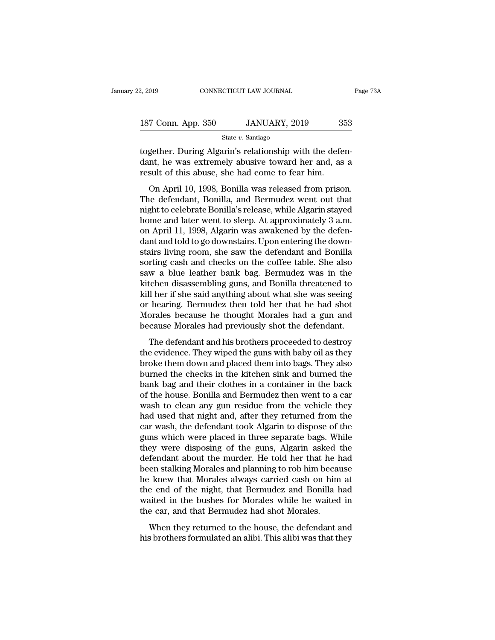| 2, 2019            | CONNECTICUT LAW JOURNAL | Page 73A |  |
|--------------------|-------------------------|----------|--|
|                    |                         |          |  |
| 187 Conn. App. 350 | JANUARY, 2019           | 353      |  |
|                    | State $v$ . Santiago    |          |  |

 $\frac{2,2019}{2,2019}$  CONNECTICUT LAW JOURNAL<br>187 Conn. App. 350 JANUARY, 2019 353<br>5tate v. Santiago<br>100 together. During Algarin's relationship with the defen-<br>100 dant, he was extremely abusive toward her and, as a<br>100 re 187 Conn. App. 350 JANUARY, 2019 353<br>State v. Santiago<br>together. During Algarin's relationship with the defendant, he was extremely abusive toward her and, as a<br>result of this abuse, she had come to fear him. 187 Conn. App. 350 JANUARY, 2019 38<br>
State v. Santiago<br>
together. During Algarin's relationship with the defe<br>
dant, he was extremely abusive toward her and, as<br>
result of this abuse, she had come to fear him.<br>
On April 1 V Conn. App. 350 JANUARY, 2019 353<br>
State v. Santiago<br>
gether. During Algarin's relationship with the defen-<br>
Int, he was extremely abusive toward her and, as a<br>
sult of this abuse, she had come to fear him.<br>
On April 10,

State v. Santiago<br>
state v. Santiago<br>
together. During Algarin's relationship with the defendant, he was extremely abusive toward her and, as a<br>
result of this abuse, she had come to fear him.<br>
On April 10, 1998, Bonilla together. During Algarin's relationship with the defendant, he was extremely abusive toward her and, as a result of this abuse, she had come to fear him.<br>On April 10, 1998, Bonilla was released from prison.<br>The defendant, dant, he was extremely abusive toward her and, as a<br>result of this abuse, she had come to fear him.<br>On April 10, 1998, Bonilla was released from prison.<br>The defendant, Bonilla, and Bermudez went out that<br>night to celebrate on April 10, 1998, Bonilla was released from prison.<br>The defendant, Bonilla, and Bermudez went out that<br>night to celebrate Bonilla's release, while Algarin stayed<br>home and later went to sleep. At approximately 3 a.m.<br>on Ap dealtries and to the about to deal time.<br>On April 10, 1998, Bonilla was released from prison.<br>The defendant, Bonilla, and Bermudez went out that<br>night to celebrate Bonilla's release, while Algarin stayed<br>home and later wen On April 10, 1998, Bonilla was released from prison.<br>The defendant, Bonilla, and Bermudez went out that<br>night to celebrate Bonilla's release, while Algarin stayed<br>home and later went to sleep. At approximately 3 a.m.<br>on Ap The defendant, Bonilla, and Bermudez went out that<br>night to celebrate Bonilla's release, while Algarin stayed<br>home and later went to sleep. At approximately 3 a.m.<br>on April 11, 1998, Algarin was awakened by the defen-<br>dant night to celebrate Bonilla's release, while Algarin stayed<br>home and later went to sleep. At approximately 3 a.m.<br>on April 11, 1998, Algarin was awakened by the defen-<br>dant and told to go downstairs. Upon entering the downhome and later went to sleep. At approximately 3 a.m.<br>on April 11, 1998, Algarin was awakened by the defen-<br>dant and told to go downstairs. Upon entering the down-<br>stairs living room, she saw the defendant and Bonilla<br>sort on April 11, 1998, Algarin was awakened by the defendant and told to go downstairs. Upon entering the downstairs living room, she saw the defendant and Bonilla sorting cash and checks on the coffee table. She also saw a bl dant and told to go downstairs. Upon entering the downstairs living room, she saw the defendant and Bonilla<br>sorting cash and checks on the coffee table. She also<br>saw a blue leather bank bag. Bermudez was in the<br>kitchen dis stairs living room, she saw the defendant and Bonilla<br>sorting cash and checks on the coffee table. She also<br>saw a blue leather bank bag. Bermudez was in the<br>kitchen disassembling guns, and Bonilla threatened to<br>kill her if sorting cash and checks on the coffee table. She also<br>saw a blue leather bank bag. Bermudez was in the<br>kitchen disassembling guns, and Bonilla threatened to<br>kill her if she said anything about what she was seeing<br>or hearin The defendant and his brothers proceeded to destroy<br>a control of the said anything about what she was seeing<br>hearing. Bermudez then told her that he had shot<br>orales because he thought Morales had a gun and<br>cause Morales ha Recher disassembling gails, and Borlina arealiented to<br>kill her if she said anything about what she was seeing<br>or hearing. Bermudez then told her that he had shot<br>Morales because he thought Morales had a gun and<br>because Mo

be the main term of the state any antigenous what she was seen got the meaning. Bermudez then told her that he had shot Morales because he thought Morales had a gun and because Morales had previously shot the defendant.<br>Th burned the checks in the kitchen sink and because Morales because he thought Morales had a gun and because Morales had previously shot the defendant.<br>The defendant and his brothers proceeded to destroy the evidence. They w because Morales because in a container morales had a gair and<br>because Morales had previously shot the defendant.<br>The defendant and his brothers proceeded to destroy<br>the evidence. They wiped the guns with baby oil as they<br>b The defendant and his brothers proceeded to destroy<br>the evidence. They wiped the guns with baby oil as they<br>broke them down and placed them into bags. They also<br>burned the checks in the kitchen sink and burned the<br>bank bag The defendant and his brothers proceeded to destroy<br>the evidence. They wiped the guns with baby oil as they<br>broke them down and placed them into bags. They also<br>burned the checks in the kitchen sink and burned the<br>bank bag the evidence. They wiped the guns with baby oil as they<br>broke them down and placed them into bags. They also<br>burned the checks in the kitchen sink and burned the<br>bank bag and their clothes in a container in the back<br>of the broke them down and placed them into bags. They also<br>burned the checks in the kitchen sink and burned the<br>bank bag and their clothes in a container in the back<br>of the house. Bonilla and Bermudez then went to a car<br>wash to burned the checks in the kitchen sink and burned the<br>bank bag and their clothes in a container in the back<br>of the house. Bonilla and Bermudez then went to a car<br>wash to clean any gun residue from the vehicle they<br>had used bank bag and their clothes in a container in the back<br>of the house. Bonilla and Bermudez then went to a car<br>wash to clean any gun residue from the vehicle they<br>had used that night and, after they returned from the<br>car wash of the house. Bonilla and Bermudez then went to a car<br>wash to clean any gun residue from the vehicle they<br>had used that night and, after they returned from the<br>car wash, the defendant took Algarin to dispose of the<br>guns wh wash to clean any gun residue from the vehicle they<br>had used that night and, after they returned from the<br>car wash, the defendant took Algarin to dispose of the<br>guns which were placed in three separate bags. While<br>they wer had used that night and, after they returned from the<br>car wash, the defendant took Algarin to dispose of the<br>guns which were placed in three separate bags. While<br>they were disposing of the guns, Algarin asked the<br>defendant car wash, the defendant took Algarin to dispose of the<br>guns which were placed in three separate bags. While<br>they were disposing of the guns, Algarin asked the<br>defendant about the murder. He told her that he had<br>been stalki guns which were placed in three separate bags. While<br>they were disposing of the guns, Algarin asked the<br>defendant about the murder. He told her that he had<br>been stalking Morales and planning to rob him because<br>he knew that they were disposing of the guns, Algarin asked defendant about the murder. He told her that he h<br>been stalking Morales and planning to rob him becau<br>he knew that Morales always carried cash on him<br>the end of the night, tha Extra and about the mattact. The boat her that he had<br>en stalking Morales and planning to rob him because<br>extra the might, that Bermudez and Bonilla had<br>aited in the bushes for Morales while he waited in<br>e car, and that Be been standing morales and planning to 105 him because<br>he knew that Morales always carried cash on him at<br>the end of the night, that Bermudez and Bonilla had<br>waited in the bushes for Morales while he waited in<br>the car, and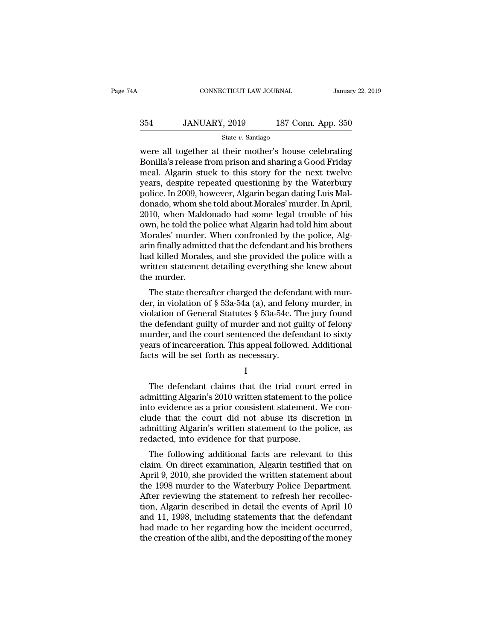# CONNECTICUT LAW JOURNAL January 22, 2019<br>354 JANUARY, 2019 187 Conn. App. 350<br>3tate v. Santiago

### State *v.* Santiago

CONNECTICUT LAW JOURNAL January 22, 2019<br>
354 JANUARY, 2019 187 Conn. App. 350<br>
364 JANUARY, 2019 187 Conn. App. 350<br>
364 State v. Santiago<br>
364 State v. Santiago<br>
364 State v. Santiago<br>
360 State v. Santiago<br>
360 State v.  $354$  JANUARY, 2019 187 Conn. App. 350<br>  $354$  State v. Santiago<br>
Were all together at their mother's house celebrating<br>
Bonilla's release from prison and sharing a Good Friday<br>
meal. Algarin stuck to this story for the ne 354 JANUARY, 2019 187 Conn. App. 350<br>
State v. Santiago<br>
were all together at their mother's house celebrating<br>
Bonilla's release from prison and sharing a Good Friday<br>
meal. Algarin stuck to this story for the next twelv 354 JANUARY, 2019 187 Conn. App. 350<br>  $\frac{\text{State } v. \text{ Santiago}}{\text{were all together at their mother's house celebrated}}$ <br>
Evere all together at their mother's house celebrating<br>
Bonilla's release from prison and sharing a Good Friday<br>
meal. Algarin stuck to this story for t State v. Santiago<br>
State v. Santiago<br>
Were all together at their mother's house celebrating<br>
Bonilla's release from prison and sharing a Good Friday<br>
meal. Algarin stuck to this story for the next twelve<br>
years, despite r state v. Santiago<br>
were all together at their mother's house celebrating<br>
Bonilla's release from prison and sharing a Good Friday<br>
meal. Algarin stuck to this story for the next twelve<br>
years, despite repeated questioning were all together at their mother's house celebrating<br>Bonilla's release from prison and sharing a Good Friday<br>meal. Algarin stuck to this story for the next twelve<br>years, despite repeated questioning by the Waterbury<br>polic Bonilla's release from prison and sharing a Good Friday<br>meal. Algarin stuck to this story for the next twelve<br>years, despite repeated questioning by the Waterbury<br>police. In 2009, however, Algarin began dating Luis Mal-<br>do meal. Algarin stuck to this story for the next twelve<br>years, despite repeated questioning by the Waterbury<br>police. In 2009, however, Algarin began dating Luis Mal-<br>donado, whom she told about Morales' murder. In April,<br>201 years, despite repeated questioning by the Waterbury<br>police. In 2009, however, Algarin began dating Luis Mal-<br>donado, whom she told about Morales' murder. In April,<br>2010, when Maldonado had some legal trouble of his<br>own, h police. In 2009, however, Algarin began dating Luis Maldonado, whom she told about Morales' murder. In April, 2010, when Maldonado had some legal trouble of his own, he told the police what Algarin had told him about Moral donado, whom she told about Morales' murder. In April, 2010, when Maldonado had some legal trouble of his own, he told the police what Algarin had told him about Morales' murder. When confronted by the police, Algarin fina 2010, when Mald<br>own, he told the µ<br>Morales' murder.<br>arin finally admitt<br>had killed Morale<br>written statemen<br>the murder.<br>The state there For the state thereafter charged the defendant with mur-<br>in finally admitted that the defendant and his brothers<br>d killed Morales, and she provided the police with a<br>itten statement detailing everything she knew about<br>e m morales indicer. When conformed by the police, Algarin finally admitted that the defendant and his brothers<br>had killed Morales, and she provided the police with a<br>written statement detailing everything she knew about<br>the

and many additived that the defendant and his brothers<br>had killed Morales, and she provided the police with a<br>written statement detailing everything she knew about<br>the murder.<br>The state thereafter charged the defendant wit The defendant detailing everything she knew about<br>the murder.<br>The state thereafter charged the defendant with mur-<br>der, in violation of  $\S$  53a-54a (a), and felony murder, in<br>violation of General Statutes  $\S$  53a-54c. The whiten statement detaining everything she knew about<br>the murder.<br>The state thereafter charged the defendant with mur-<br>der, in violation of  $\S$  53a-54a (a), and felony murder, in<br>violation of General Statutes  $\S$  53a-54c. The state thereafter charged the defendant with murder, in violation of  $\S$  53a-54a (a), and felony murder, in violation of General Statutes  $\S$  53a-54c. The jury found the defendant guilty of murder and not guilty of fel The state thereafter charged the defend<br>der, in violation of  $\S$  53a-54a (a), and felo<br>violation of General Statutes  $\S$  53a-54c. T<br>the defendant guilty of murder and not g<br>murder, and the court sentenced the defe<br>years o e defendant guilty of murder and not guilty of felony<br>urder, and the court sentenced the defendant to sixty<br>ars of incarceration. This appeal followed. Additional<br>cts will be set forth as necessary.<br>I<br>The defendant claims

I and the set of  $\mathbf{I}$ 

murder, and the court sentenced the defendant to sixty<br>years of incarceration. This appeal followed. Additional<br>facts will be set forth as necessary.<br>I<br>The defendant claims that the trial court erred in<br>admitting Algarin's years of incarceration. This appeal followed. Additional<br>facts will be set forth as necessary.<br>I<br>The defendant claims that the trial court erred in<br>admitting Algarin's 2010 written statement to the police<br>clude that the co facts will be set forth as necessary.<br>
I<br>
The defendant claims that the trial court erred in<br>
admitting Algarin's 2010 written statement to the police<br>
into evidence as a prior consistent statement. We con-<br>
clude that the I<br>
The defendant claims that the trial court erred in<br>
admitting Algarin's 2010 written statement to the police<br>
into evidence as a prior consistent statement. We con-<br>
clude that the court did not abuse its discretion in<br> The defendant claims that the trial court<br>admitting Algarin's 2010 written statement to the<br>into evidence as a prior consistent statement.<br>clude that the court did not abuse its discr<br>admitting Algarin's written statement The defendant claims that the trial court effect in<br>mitting Algarin's 2010 written statement to the police<br>to evidence as a prior consistent statement. We con-<br>ide that the court did not abuse its discretion in<br>mitting Alg admining Algarin's 2010 whiten statement to the police<br>into evidence as a prior consistent statement. We con-<br>clude that the court did not abuse its discretion in<br>admitting Algarin's written statement to the police, as<br>red

mio evidence as a phot consistent statement. We conclude that the court did not abuse its discretion in admitting Algarin's written statement to the police, as redacted, into evidence for that purpose.<br>The following additi radiation and intervent to the police, as<br>redacted, into evidence for that purpose.<br>The following additional facts are relevant to this<br>claim. On direct examination, Algarin testified that on<br>April 9, 2010, she provided th admining Algarin's written statement to the poince, as<br>redacted, into evidence for that purpose.<br>The following additional facts are relevant to this<br>claim. On direct examination, Algarin testified that on<br>April 9, 2010, sh The following additional facts are relevant to this<br>claim. On direct examination, Algarin testified that on<br>April 9, 2010, she provided the written statement about<br>the 1998 murder to the Waterbury Police Department.<br>After The following additional facts are relevant to this<br>claim. On direct examination, Algarin testified that on<br>April 9, 2010, she provided the written statement about<br>the 1998 murder to the Waterbury Police Department.<br>After claim. On direct examination, Algarin testified that on<br>April 9, 2010, she provided the written statement about<br>the 1998 murder to the Waterbury Police Department.<br>After reviewing the statement to refresh her recollec-<br>tio April 9, 2010, she provided the written statement about<br>the 1998 murder to the Waterbury Police Department.<br>After reviewing the statement to refresh her recollec-<br>tion, Algarin described in detail the events of April 10<br>an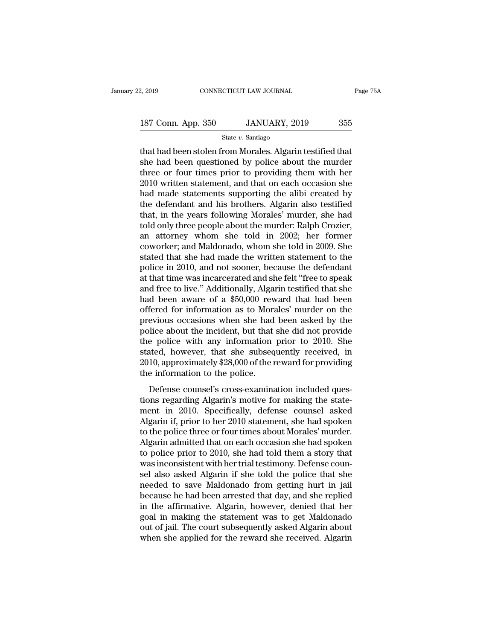Example 2, 2019 CONNECTICUT LAW JOURNAL Page 75.<br>
187 Conn. App. 350 JANUARY, 2019 355<br>
State v. Santiago<br>
that had been stolen from Morales. Algarin testified that<br>
she had been questioned by police about the murder<br>
thr 187 Conn. App. 350 JANUARY, 2019 355<br>State v. Santiago<br>that had been stolen from Morales. Algarin testified that<br>she had been questioned by police about the murder<br>three or four times prior to providing them with her<br>2010 187 Conn. App. 350 JANUARY, 2019 355<br>
State v. Santiago<br>
that had been stolen from Morales. Algarin testified that<br>
she had been questioned by police about the murder<br>
three or four times prior to providing them with her<br> 187 Conn. App. 350 JANUARY, 2019 355<br>  $\frac{\text{State } v. \text{ Santiago}}{\text{that had been stolen from Morales. } \text{Algorithm testified that}}$ <br>
she had been questioned by police about the murder<br>
three or four times prior to providing them with her<br>
2010 written statement, and that on ea State v. Santiago<br>
State v. Santiago<br>
that had been stolen from Morales. Algarin testified that<br>
she had been questioned by police about the murder<br>
three or four times prior to providing them with her<br>
2010 written state state v. santiago<br>that had been stolen from Morales. Algarin testified that<br>she had been questioned by police about the murder<br>three or four times prior to providing them with her<br>2010 written statement, and that on each that had been stolen from Morales. Algarin testified that<br>she had been questioned by police about the murder<br>three or four times prior to providing them with her<br>2010 written statement, and that on each occasion she<br>had ma she had been questioned by police about the murder<br>three or four times prior to providing them with her<br>2010 written statement, and that on each occasion she<br>had made statements supporting the alibi created by<br>the defendan three or four times prior to providing them with her 2010 written statement, and that on each occasion she had made statements supporting the alibi created by the defendant and his brothers. Algarin also testified that, in 2010 written statement, and that on each occasion she<br>had made statements supporting the alibi created by<br>the defendant and his brothers. Algarin also testified<br>that, in the years following Morales' murder; Ralph Crozier,<br> had made statements supporting the alibi created by<br>the defendant and his brothers. Algarin also testified<br>that, in the years following Morales' murder, she had<br>told only three people about the murder: Ralph Crozier,<br>an at the defendant and his brothers. Algarin also testified<br>that, in the years following Morales' murder, she had<br>told only three people about the murder: Ralph Crozier,<br>an attorney whom she told in 2002; her former<br>coworker; a that, in the years following Morales' murder, she had<br>told only three people about the murder: Ralph Crozier,<br>an attorney whom she told in 2002; her former<br>coworker; and Maldonado, whom she told in 2009. She<br>stated that sh told only three people about the murder: Ralph Crozier,<br>an attorney whom she told in 2002; her former<br>coworker; and Maldonado, whom she told in 2009. She<br>stated that she had made the written statement to the<br>police in 2010 an attorney whom she told in 2002; her former<br>coworker; and Maldonado, whom she told in 2009. She<br>stated that she had made the written statement to the<br>police in 2010, and not sooner, because the defendant<br>at that time was coworker; and Maldonado, whom she told in 2009. She<br>stated that she had made the written statement to the<br>police in 2010, and not sooner, because the defendant<br>at that time was incarcerated and she felt "free to speak<br>and stated that she had made the written statement to the<br>police in 2010, and not sooner, because the defendant<br>at that time was incarcerated and she felt "free to speak<br>and free to live." Additionally, Algarin testified that police in 2010, and not sooner, because the defendant<br>at that time was incarcerated and she felt "free to speak<br>and free to live." Additionally, Algarin testified that she<br>had been aware of a \$50,000 reward that had been<br>o at that time was incarcerated and she felt "free to speak<br>and free to live." Additionally, Algarin testified that she<br>had been aware of a \$50,000 reward that had been<br>offered for information as to Morales' murder on the<br>pr and free to live." Additionally, Algarin testified that she<br>had been aware of a \$50,000 reward that had been<br>offered for information as to Morales' murder on the<br>previous occasions when she had been asked by the<br>police abo had been aware of a \$50,000 reward that had been<br>offered for information as to Morales' murder on the<br>previous occasions when she had been asked by the<br>police about the incident, but that she did not provide<br>the police wit offered for information as to Mora<br>previous occasions when she had<br>police about the incident, but that<br>the police with any information<br>stated, however, that she subseq<br>2010, approximately \$28,000 of the r<br>the information t From occursom when the had been used by the<br>lice about the incident, but that she did not provide<br>e police with any information prior to 2010. She<br>ated, however, that she subsequently received, in<br>10, approximately \$28,000 ponce assaid are increasily, but and side and not provide<br>the police with any information prior to 2010. She<br>stated, however, that she subsequently received, in<br>2010, approximately \$28,000 of the reward for providing<br>the i

are police with any information prior to 2516. She<br>stated, however, that she subsequently received, in<br>2010, approximately \$28,000 of the reward for providing<br>the information to the police.<br>Defense counsel's cross-examinat Exacted, However, and She Sabsequently feeding. In<br>2010, approximately \$28,000 of the reward for providing<br>the information to the police.<br>Defense counsel's cross-examination included ques-<br>tions regarding Algarin's motive Lette, approximately 420,000 of the reward for providing<br>the information to the police.<br>Defense counsel's cross-examination included ques-<br>tions regarding Algarin's motive for making the state-<br>ment in 2010. Specifically, Let mormation to the polect.<br>
Defense counsel's cross-examination included questions regarding Algarin's motive for making the statement in 2010. Specifically, defense counsel asked<br>
Algarin if, prior to her 2010 statement Defense counsel's cross-examination included ques-<br>tions regarding Algarin's motive for making the state-<br>ment in 2010. Specifically, defense counsel asked<br>Algarin if, prior to her 2010 statement, she had spoken<br>to the pol tions regarding Algarin's motive for making the statement in 2010. Specifically, defense counsel asked Algarin if, prior to her 2010 statement, she had spoken to the police three or four times about Morales' murder. Algari ment in 2010. Specifically, defense counsel asked<br>Algarin if, prior to her 2010 statement, she had spoken<br>to the police three or four times about Morales' murder.<br>Algarin admitted that on each occasion she had spoken<br>to po Algarin if, prior to her 2010 statement, she had spoken<br>to the police three or four times about Morales' murder.<br>Algarin admitted that on each occasion she had spoken<br>to police prior to 2010, she had told them a story that to the police three or four times about Morales' murder.<br>Algarin admitted that on each occasion she had spoken<br>to police prior to 2010, she had told them a story that<br>was inconsistent with her trial testimony. Defense coun Algarin admitted that on each occasion she had spoken<br>to police prior to 2010, she had told them a story that<br>was inconsistent with her trial testimony. Defense coun-<br>sel also asked Algarin if she told the police that she<br> to police prior to 2010, she had told them a story that<br>was inconsistent with her trial testimony. Defense coun-<br>sel also asked Algarin if she told the police that she<br>needed to save Maldonado from getting hurt in jail<br>bec was inconsistent with her trial testimony. Defense counsel also asked Algarin if she told the police that she<br>needed to save Maldonado from getting hurt in jail<br>because he had been arrested that day, and she replied<br>in the sel also asked Algarin if she told the police that she<br>needed to save Maldonado from getting hurt in jail<br>because he had been arrested that day, and she replied<br>in the affirmative. Algarin, however, denied that her<br>goal in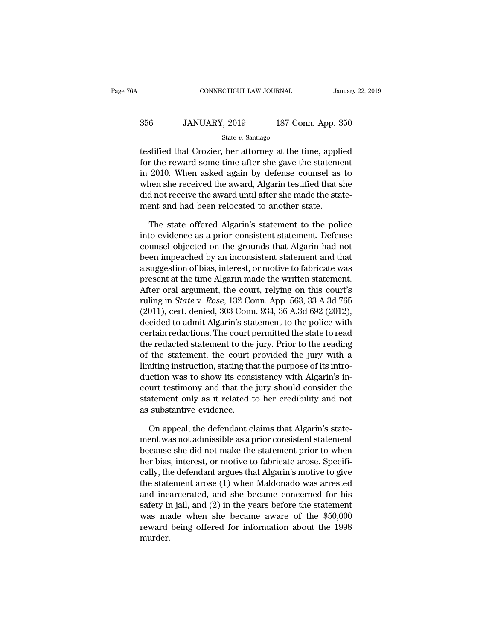### CONNECTICUT LAW JOURNAL January 22, 2019<br>356 JANUARY, 2019 187 Conn. App. 350<br>State v. Santiago State *v.* Santiago

CONNECTICUT LAW JOURNAL January 22, 2019<br>356 JANUARY, 2019 187 Conn. App. 350<br>5tate v. Santiago<br>4testified that Crozier, her attorney at the time, applied<br>for the reward some time after she gave the statement<br>in 2010. When For the reward some time after she gave the state restricted that Crozier, her attorney at the time, applied<br>for the reward some time after she gave the statement<br>in 2010. When asked again by defense counsel as to<br>when sh 356 JANUARY, 2019 187 Conn. App. 350<br>  $\frac{\text{State } v. \text{ Santiago}}{\text{testified that Crozier, her attorney at the time, applied}}$ <br>
for the reward some time after she gave the statement<br>
in 2010. When asked again by defense counsel as to<br>
when she received the award, Algarin te  $356$  JANUARY, 2019 187 Conn. App. 350<br>  $356$  State v. Santiago<br>
testified that Crozier, her attorney at the time, applied<br>
for the reward some time after she gave the statement<br>
in 2010. When asked again by defense couns State  $v$ . Santiago<br>testified that Crozier, her attorney at the time, applied<br>for the reward some time after she gave the statement<br>in 2010. When asked again by defense counsel as to<br>when she received the award, Algarin t  $\frac{3}{2}$  is also state. Saltage testified that Crozier, her attorney at the time, applifor the reward some time after she gave the statemed in 2010. When asked again by defense counsel as when she received the award, Alg r the reward some time after she gave the statement<br>2010. When asked again by defense counsel as to<br>nen she received the award, Algarin testified that she<br>d not receive the award until after she made the state-<br>ent and had in 2010. When asked again by defense counsel as to<br>when she received the award, Algarin testified that she<br>did not receive the award until after she made the state-<br>ment and had been relocated to another state.<br>The state o

when she received the award, Algarin testified that she<br>did not receive the award until after she made the state-<br>ment and had been relocated to another state.<br>The state offered Algarin's statement to the police<br>into evide did not receive the award until after she made the statement and had been relocated to another state.<br>The state offered Algarin's statement to the police<br>into evidence as a prior consistent statement. Defense<br>counsel objec ment and had been relocated to another state.<br>
The state offered Algarin's statement to the police<br>
into evidence as a prior consistent statement. Defense<br>
counsel objected on the grounds that Algarin had not<br>
been impeach The state offered Algarin's statement to the police<br>into evidence as a prior consistent statement. Defense<br>counsel objected on the grounds that Algarin had not<br>been impeached by an inconsistent statement and that<br>a suggest The state offered Algarin's statement to the police<br>into evidence as a prior consistent statement. Defense<br>counsel objected on the grounds that Algarin had not<br>been impeached by an inconsistent statement and that<br>a sugges into evidence as a prior consistent statement. Defense<br>counsel objected on the grounds that Algarin had not<br>been impeached by an inconsistent statement and that<br>a suggestion of bias, interest, or motive to fabricate was<br>pr counsel objected on the grounds that Algarin had not<br>been impeached by an inconsistent statement and that<br>a suggestion of bias, interest, or motive to fabricate was<br>present at the time Algarin made the written statement.<br>A been impeached by an inconsistent statement and that<br>a suggestion of bias, interest, or motive to fabricate was<br>present at the time Algarin made the written statement.<br>After oral argument, the court, relying on this court' a suggestion of bias, interest, or motive to fabricate was<br>present at the time Algarin made the written statement.<br>After oral argument, the court, relying on this court's<br>ruling in *State* v. *Rose*, 132 Conn. App. 563, 33 present at the time Algarin made the written statement.<br>After oral argument, the court, relying on this court's<br>ruling in *State* v. *Rose*, 132 Conn. App. 563, 33 A.3d 765<br>(2011), cert. denied, 303 Conn. 934, 36 A.3d 692 After oral argument, the court, relying on this court's<br>ruling in *State* v. *Rose*, 132 Conn. App. 563, 33 A.3d 765<br>(2011), cert. denied, 303 Conn. 934, 36 A.3d 692 (2012),<br>decided to admit Algarin's statement to the pol ruling in *State* v. *Rose*, 132 Conn. App. 563, 33 A.3d 765<br>(2011), cert. denied, 303 Conn. 934, 36 A.3d 692 (2012),<br>decided to admit Algarin's statement to the police with<br>certain redactions. The court permitted the stat (2011), cert. denied, 303 Conn. 934, 36 A.3d 692 (2012), decided to admit Algarin's statement to the police with certain redactions. The court permitted the state to read the redacted statement to the jury. Prior to the r decided to admit Algarin's statement to the police with<br>certain redactions. The court permitted the state to read<br>the redacted statement to the jury. Prior to the reading<br>of the statement, the court provided the jury with certain redactions. The court permitted the state to read<br>the redacted statement to the jury. Prior to the reading<br>of the statement, the court provided the jury with a<br>limiting instruction, stating that the purpose of its the redacted statement to the<br>of the statement, the court p<br>limiting instruction, stating tha<br>duction was to show its cons<br>court testimony and that the<br>statement only as it related t<br>as substantive evidence.<br>On appeal, the mitting instruction, stating that the purpose of its intro-<br>action was to show its consistency with Algarin's in-<br>urt testimony and that the jury should consider the<br>atement only as it related to her credibility and not<br>su duction was to show its consistency with Algarin's incourt testimony and that the jury should consider the statement only as it related to her credibility and not as substantive evidence.<br>On appeal, the defendant claims th

court testimony and that the jury should consider the<br>statement only as it related to her credibility and not<br>as substantive evidence.<br>On appeal, the defendant claims that Algarin's state-<br>ment was not admissible as a prio statement only as it related to her credibility and not<br>as substantive evidence.<br>On appeal, the defendant claims that Algarin's state-<br>ment was not admissible as a prior consistent statement<br>because she did not make the st as substantive evidence.<br>
On appeal, the defendant claims that Algarin's statement<br>
was not admissible as a prior consistent statement<br>
because she did not make the statement prior to when<br>
her bias, interest, or motive to On appeal, the defendant claims that Algarin's statement was not admissible as a prior consistent statement<br>because she did not make the statement prior to when<br>her bias, interest, or motive to fabricate arose. Specifi-<br>c On appeal, the detendant claims that Algarin's statement was not admissible as a prior consistent statement<br>because she did not make the statement prior to when<br>her bias, interest, or motive to fabricate arose. Specifi-<br>c ment was not admissible as a prior consistent statement<br>because she did not make the statement prior to when<br>her bias, interest, or motive to fabricate arose. Specifi-<br>cally, the defendant argues that Algarin's motive to g because she did not make the statement prior to when<br>her bias, interest, or motive to fabricate arose. Specifi-<br>cally, the defendant argues that Algarin's motive to give<br>the statement arose (1) when Maldonado was arrested<br> her bias, interest, or motive to fabricate arose. Specifically, the defendant argues that Algarin's motive to give the statement arose (1) when Maldonado was arrested and incarcerated, and she became concerned for his safe murder.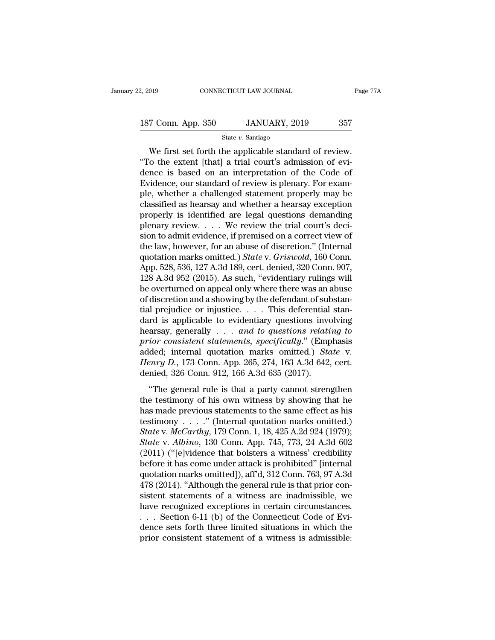$\begin{array}{ccc}\n 019 & \text{CONRECTICUT LAW JOURNAL} & \text{Page 7}\n \end{array}$ <br>  $\begin{array}{ccc}\n 7 \text{ Conn. App. 350} & \text{JANUARY, 2019} & \text{357}\n \end{array}$ <br>
We first set forth the applicable standard of review.<br>
To the extent [that] a trial court's admission of evi-<br>
and is bas <sup>187</sup> Conn. App. 350 JANUARY, 2019 357<br>
<sup>State v</sup>. Santiago<br>
We first set forth the applicable standard of review.<br>
"To the extent [that] a trial court's admission of evi-<br>
dence is based on an interpretation of the Code 187 Conn. App. 350 JANUARY, 2019 357<br>
State v. Santiago<br>
We first set forth the applicable standard of review.<br>
"To the extent [that] a trial court's admission of evidence is based on an interpretation of the Code of<br>
Evi 187 Conn. App. 350 JANUARY, 2019 357<br>
State v. Santiago<br>
We first set forth the applicable standard of review.<br>
"To the extent [that] a trial court's admission of evidence is based on an interpretation of the Code of<br>
Evi State v. Santiago<br>
We first set forth the applicable standard of review.<br>
"To the extent [that] a trial court's admission of evi-<br>
dence is based on an interpretation of the Code of<br>
Evidence, our standard of review is pl State v. Santiago<br>
We first set forth the applicable standard of review.<br>
"To the extent [that] a trial court's admission of evi-<br>
dence is based on an interpretation of the Code of<br>
Evidence, our standard of review is pl We first set forth the applicable standard of review.<br>
"To the extent [that] a trial court's admission of evi-<br>
dence is based on an interpretation of the Code of<br>
Evidence, our standard of review is plenary. For exam-<br>
p "To the extent [that] a trial court's admission of evidence is based on an interpretation of the Code of Evidence, our standard of review is plenary. For example, whether a challenged statement properly may be classified a dence is based on an interpretation of the Code of<br>Evidence, our standard of review is plenary. For exam-<br>ple, whether a challenged statement properly may be<br>classified as hearsay and whether a hearsay exception<br>properly i Evidence, our standard of review is plenary. For example, whether a challenged statement properly may be classified as hearsay and whether a hearsay exception properly is identified are legal questions demanding plenary r ple, whether a challenged statement properly may be classified as hearsay and whether a hearsay exception properly is identified are legal questions demanding plenary review. . . . We review the trial court's decision to a classified as hearsay and whether a hearsay exception<br>properly is identified are legal questions demanding<br>plenary review.... We review the trial court's deci-<br>sion to admit evidence, if premised on a correct view of<br>the properly is identified are legal questions demanding<br>plenary review. . . . We review the trial court's deci-<br>sion to admit evidence, if premised on a correct view of<br>the law, however, for an abuse of discretion." (Interna plenary review. . . . We review the trial court's decision to admit evidence, if premised on a correct view of<br>the law, however, for an abuse of discretion." (Internal<br>quotation marks omitted.) *State* v. *Griswold*, 160 sion to admit evidence, if premised on a correct view of<br>the law, however, for an abuse of discretion." (Internal<br>quotation marks omitted.) *State* v. *Griswold*, 160 Conn.<br>App. 528, 536, 127 A.3d 189, cert. denied, 320 Co the law, however, for an abuse of discretion." (Internal quotation marks omitted.) *State* v. *Griswold*, 160 Conn. App. 528, 536, 127 A.3d 189, cert. denied, 320 Conn. 907, 128 A.3d 952 (2015). As such, "evidentiary ruli quotation marks omitted.) State v. Griswold, 160 Conn.<br>App. 528, 536, 127 A.3d 189, cert. denied, 320 Conn. 907,<br>128 A.3d 952 (2015). As such, "evidentiary rulings will<br>be overturned on appeal only where there was an abus App. 528, 536, 127 A.3d 189, cert. denied, 320 Conn. 907, 128 A.3d 952 (2015). As such, "evidentiary rulings will<br>be overturned on appeal only where there was an abuse<br>of discretion and a showing by the defendant of substa 128 A.3d 952 (2015). As such, "evidentiary rulings will<br>be overturned on appeal only where there was an abuse<br>of discretion and a showing by the defendant of substan-<br>tial prejudice or injustice.... This deferential stan-<br> be overturned on appeal only where there was an abuse<br>of discretion and a showing by the defendant of substan-<br>tial prejudice or injustice.... This deferential stan-<br>dard is applicable to evidentiary questions involving<br>he of discretion and a showing by the defendant of substantial prejudice or injustice. . . . This deferential standard is applicable to evidentiary questions involving hearsay, generally . . . *and to questions relating to pr* tial prejudice or injustice. . . . This deferential<br>dard is applicable to evidentiary questions invo<br>hearsay, generally . . . *and to questions relati*<br>prior consistent statements, specifically." (Emp<br>added; internal quot ara is approasing is criterially questions involving<br>arsay, generally . . . and to questions relating to<br>tior consistent statements, specifically." (Emphasis<br>ded; internal quotation marks omitted.) State v.<br> $_{enry}$  D., 173 prior consistent statements, specifically." (Emphasis added; internal quotation marks omitted.) *State* v.<br>*Henry D.*, 173 Conn. App. 265, 274, 163 A.3d 642, cert.<br>denied, 326 Conn. 912, 166 A.3d 635 (2017).<br>"The general

added; internal quotation marks omitted.) *State* v.<br>Henry D., 173 Conn. App. 265, 274, 163 A.3d 642, cert.<br>denied, 326 Conn. 912, 166 A.3d 635 (2017).<br>"The general rule is that a party cannot strengthen<br>the testimony of Henry D., 173 Conn. App. 265, 274, 163 A.3d 642, cert.<br>denied, 326 Conn. 912, 166 A.3d 635 (2017).<br>"The general rule is that a party cannot strengthen<br>the testimony of his own witness by showing that he<br>has made previous *State* v. *McCarthy*, 179 Conn. 1, 18, 425 A.2d 924 (1979); *State v. Albino, 130 Conn. App. 745, 773, 24 A.3d 602*<br> *State v. Albino, 130 Conn. 1, 18, 425 A.2d 924 (1979);*<br> *State v. McCarthy, 179 Conn. 1, 18, 425 A.2d 924 (1979);*<br> *State v. Albino, 130 Conn. App. 745, 773, 24 A* "The general rule is that a party cannot strengthen<br>the testimony of his own witness by showing that he<br>has made previous statements to the same effect as his<br>testimony . . . . ." (Internal quotation marks omitted.)<br>State the testimony of his own witness by showing that he<br>has made previous statements to the same effect as his<br>testimony . . . ." (Internal quotation marks omitted.)<br>State v. McCarthy, 179 Conn. 1, 18, 425 A.2d 924 (1979);<br>St has made previous statements to the same effect as his<br>testimony . . . ." (Internal quotation marks omitted.)<br>State v.  $McCarthy$ , 179 Conn. 1, 18, 425 A.2d 924 (1979);<br>State v. Albino, 130 Conn. App. 745, 773, 24 A.3d 602<br>(20 testimony  $\ldots$ ." (Internal quotation marks omitted.)<br> *State* v. *McCarthy*, 179 Conn. 1, 18, 425 A.2d 924 (1979);<br> *State* v. *Albino*, 130 Conn. App. 745, 773, 24 A.3d 602<br>
(2011) ("[e]vidence that bolsters a witness' State v. McCarthy, 179 Conn. 1, 18, 425 A.2d 924 (1979);<br>State v. Albino, 130 Conn. App. 745, 773, 24 A.3d 602<br>(2011) ("[e]vidence that bolsters a witness' credibility<br>before it has come under attack is prohibited" [inter State v. Albino, 130 Conn. App. 745, 773, 24 A.3d 602 (2011) ("[e]vidence that bolsters a witness' credibility before it has come under attack is prohibited" [internal quotation marks omitted]), aff'd, 312 Conn. 763, 97 A (2011) ("[e]vidence that bolsters a witness' credibility<br>before it has come under attack is prohibited" [internal<br>quotation marks omitted]), aff'd, 312 Conn. 763, 97 A.3d<br>478 (2014). "Although the general rule is that pri before it has come under attack is prohibited" [internal quotation marks omitted]), aff'd, 312 Conn. 763, 97 A.3d 478 (2014). "Although the general rule is that prior consistent statements of a witness are inadmissible, we quotation marks omitted]), aff'd, 312 Conn. 763, 97 A.3d 478 (2014). "Although the general rule is that prior consistent statements of a witness are inadmissible, we have recognized exceptions in certain circumstances.<br>..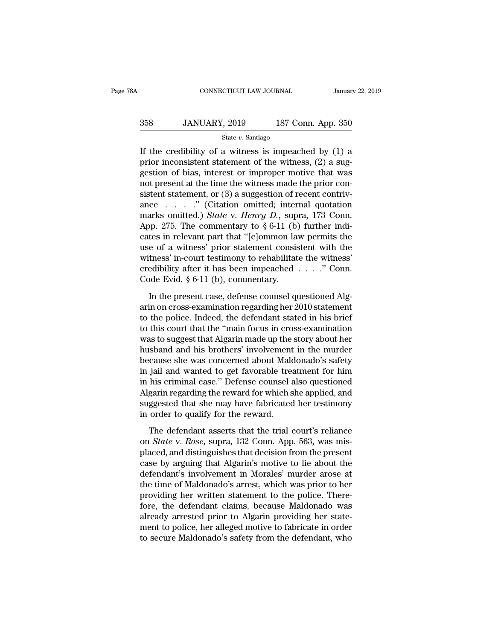| 8Α  | CONNECTICUT LAW JOURNAL |                    | January 22, 2019 |
|-----|-------------------------|--------------------|------------------|
| 358 | JANUARY, 2019           | 187 Conn. App. 350 |                  |
|     | State $v$ . Santiago    |                    |                  |

CONNECTICUT LAW JOURNAL January 22, 2019<br>
358 JANUARY, 2019 187 Conn. App. 350<br>
50 State v. Santiago<br>
If the credibility of a witness is impeached by (1) a<br>
prior inconsistent statement of the witness, (2) a sug-<br>
section 358 JANUARY, 2019 187 Conn. App. 350<br>  $\frac{\text{State } v. \text{ Santiago}}{\text{If the credibility of a witness is impecched by (1) a}}$ <br>
prior inconsistent statement of the witness, (2) a sug-<br>
gestion of bias, interest or improper motive that was 358 JANUARY, 2019 187 Conn. App. 350<br>
state v. Santiago<br>
If the credibility of a witness is impeached by (1) a<br>
prior inconsistent statement of the witness, (2) a sug-<br>
gestion of bias, interest or improper motive that wa 358 JANUARY, 2019 187 Conn. App. 350<br>
state *v*. Santiago<br>
If the credibility of a witness is impeached by (1) a<br>
prior inconsistent statement of the witness, (2) a sug-<br>
gestion of bias, interest or improper motive that State v. Santiago<br>
If the credibility of a witness is impeached by (1) a<br>
prior inconsistent statement of the witness, (2) a sug-<br>
gestion of bias, interest or improper motive that was<br>
not present at the time the witness state  $v$ . santago<br>
If the credibility of a witness is impeached by (1) a<br>
prior inconsistent statement of the witness, (2) a sug-<br>
gestion of bias, interest or improper motive that was<br>
not present at the time the witnes If the credibility of a witness is impeached by (1) a<br>prior inconsistent statement of the witness, (2) a sug-<br>gestion of bias, interest or improper motive that was<br>not present at the time the witness made the prior con-<br>s prior inconsistent statement of the witness, (2) a suggestion of bias, interest or improper motive that was<br>not present at the time the witness made the prior con-<br>sistent statement, or (3) a suggestion of recent contrivgestion of bias, interest or improper motive that was<br>not present at the time the witness made the prior con-<br>sistent statement, or (3) a suggestion of recent contriv-<br>ance . . . . . " (Citation omitted; internal quotatio not present at the time the witness made the prior consistent statement, or (3) a suggestion of recent contrivance . . . . . " (Citation omitted; internal quotation marks omitted.) *State v. Henry D.*, supra, 173 Conn. Ap sistent statement, or (3) a suggestion of recent contriv-<br>ance . . . . ." (Citation omitted; internal quotation<br>marks omitted.) *State* v. *Henry D.*, supra, 173 Conn.<br>App. 275. The commentary to § 6-11 (b) further indi-<br> ance . . . . ." (Citation omitted; internal quotation marks omitted.) *State* v. *Henry D.*, supra, 173 Conn. App. 275. The commentary to  $\S 6-11$  (b) further indicates in relevant part that "[c]ommon law permits the use marks omitted.) *State* v. *Henry* D., sup<br>App. 275. The commentary to  $\S 6-11$  (b)<br>cates in relevant part that "[c]ommon la<br>use of a witness' prior statement consis<br>witness' in-court testimony to rehabilitat<br>credibility tes in relevant part that "[c]ommon law permits the<br>e of a witness' prior statement consistent with the<br>tness' in-court testimony to rehabilitate the witness'<br>edibility after it has been impeached  $\dots$ ." Conn.<br>Jode Evid. use of a witness' prior statement consistent with the<br>witness' in-court testimony to rehabilitate the witness'<br>credibility after it has been impeached  $\ldots$ ." Conn.<br>Code Evid. § 6-11 (b), commentary.<br>In the present case,

witness' in-court testimony to rehabilitate the witness'<br>credibility after it has been impeached  $\ldots$ ." Conn.<br>Code Evid. § 6-11 (b), commentary.<br>In the present case, defense counsel questioned Alg-<br>arin on cross-examinat credibility after it has been impeached . . . ." Conn.<br>Code Evid. § 6-11 (b), commentary.<br>In the present case, defense counsel questioned Alg-<br>arin on cross-examination regarding her 2010 statement<br>to the police. Indeed, t Code Evid.  $\S 6-11$  (b), commentary.<br>In the present case, defense counsel questioned Algarin on cross-examination regarding her 2010 statement<br>to the police. Indeed, the defendant stated in his brief<br>to this court that th In the present case, defense counsel questioned Algarin on cross-examination regarding her 2010 statement<br>to the police. Indeed, the defendant stated in his brief<br>to this court that the "main focus in cross-examination<br>was In the present case, defense counsel questioned Algarin on cross-examination regarding her 2010 statement<br>to the police. Indeed, the defendant stated in his brief<br>to this court that the "main focus in cross-examination<br>was arin on cross-examination regarding her 2010 statement<br>to the police. Indeed, the defendant stated in his brief<br>to this court that the "main focus in cross-examination<br>was to suggest that Algarin made up the story about he to the police. Indeed, the defendant stated in his brief<br>to this court that the "main focus in cross-examination<br>was to suggest that Algarin made up the story about her<br>husband and his brothers' involvement in the murder<br>b to this court that the "main focus in cross-examination<br>was to suggest that Algarin made up the story about her<br>husband and his brothers' involvement in the murder<br>because she was concerned about Maldonado's safety<br>in jail was to suggest that Algarin made up the story about her<br>husband and his brothers' involvement in the murder<br>because she was concerned about Maldonado's safety<br>in jail and wanted to get favorable treatment for him<br>in his cr husband and his brothers' involvement<br>because she was concerned about Male<br>in jail and wanted to get favorable tree<br>in his criminal case." Defense counsel a<br>Algarin regarding the reward for which s<br>suggested that she may h jail and wanted to get favorable treatment for him<br>his criminal case." Defense counsel also questioned<br>garin regarding the reward for which she applied, and<br>ggested that she may have fabricated her testimony<br>order to quali in his criminal case." Defense counsel also questioned<br>Algarin regarding the reward for which she applied, and<br>suggested that she may have fabricated her testimony<br>in order to qualify for the reward.<br>The defendant asserts

Algarin regarding the reward for which she applied, and<br>suggested that she may have fabricated her testimony<br>in order to qualify for the reward.<br>The defendant asserts that the trial court's reliance<br>on *State* v. *Rose*, s suggested that she may have fabricated her testimony<br>in order to qualify for the reward.<br>The defendant asserts that the trial court's reliance<br>on *State* v. *Rose*, supra, 132 Conn. App. 563, was mis-<br>placed, and distingu in order to qualify for the reward.<br>The defendant asserts that the trial court's reliance<br>on *State* v. *Rose*, supra, 132 Conn. App. 563, was mis-<br>placed, and distinguishes that decision from the present<br>case by arguing t The defendant asserts that the trial court's reliance<br>on *State* v. *Rose*, supra, 132 Conn. App. 563, was mis-<br>placed, and distinguishes that decision from the present<br>case by arguing that Algarin's motive to lie about th The defendant asserts that the trial court's reliance<br>on *State* v. *Rose*, supra, 132 Conn. App. 563, was mis-<br>placed, and distinguishes that decision from the present<br>case by arguing that Algarin's motive to lie about th on *State* v. *Rose*, supra, 132 Conn. App. 563, was mis-<br>placed, and distinguishes that decision from the present<br>case by arguing that Algarin's motive to lie about the<br>defendant's involvement in Morales' murder arose at<br> placed, and distinguishes that decision from the present case by arguing that Algarin's motive to lie about the defendant's involvement in Morales' murder arose at the time of Maldonado's arrest, which was prior to her pro case by arguing that Algarin's motive to lie about the<br>defendant's involvement in Morales' murder arose at<br>the time of Maldonado's arrest, which was prior to her<br>providing her written statement to the police. There-<br>fore, defendant's involvement in Morales' murder arose at<br>the time of Maldonado's arrest, which was prior to her<br>providing her written statement to the police. There-<br>fore, the defendant claims, because Maldonado was<br>already arr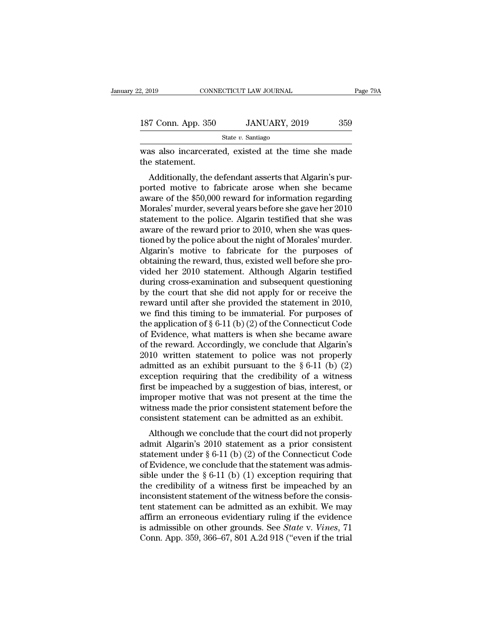| 2, 2019            | CONNECTICUT LAW JOURNAL | Page 79A |  |
|--------------------|-------------------------|----------|--|
|                    |                         |          |  |
| 187 Conn. App. 350 | JANUARY, 2019           | 359      |  |
|                    | State $v$ . Santiago    |          |  |

2, 2019 CONNECTICUT LAW JOURNAL Page 79A<br>
187 Conn. App. 350 JANUARY, 2019 359<br>
State v. Santiago<br>
was also incarcerated, existed at the time she made<br>
the statement. 187 Conn. App. 350<br>was also incarcera<br>the statement.<br>Additionally, the

 $\frac{7 \text{ Conn. App. } 350}{\text{State } v. \text{ Santiago}}$ <br>
as also incarcerated, existed at the time she made<br>
e statement.<br>
Additionally, the defendant asserts that Algarin's pur-<br>
arted motive to fabricate arose when she became<br>
ware of the \$50, 187 Conn. App. 350 JANUARY, 2019 359<br>
State v. Santiago<br>
was also incarcerated, existed at the time she made<br>
the statement.<br>
Additionally, the defendant asserts that Algarin's pur-<br>
ported motive to fabricate arose when State v. Santiago<br>
was also incarcerated, existed at the time she made<br>
the statement.<br>
Additionally, the defendant asserts that Algarin's pur-<br>
ported motive to fabricate arose when she became<br>
aware of the \$50,000 rewar was also incarcerated, existed at the time she made<br>the statement.<br>Additionally, the defendant asserts that Algarin's pur-<br>ported motive to fabricate arose when she became<br>aware of the \$50,000 reward for information regard was also incarcerated, existed at the time she hiade<br>the statement.<br>Additionally, the defendant asserts that Algarin's pur-<br>ported motive to fabricate arose when she became<br>aware of the \$50,000 reward for information regar Additionally, the defendant asserts that Algarin's purported motive to fabricate arose when she became<br>aware of the \$50,000 reward for information regarding<br>Morales' murder, several years before she gave her 2010<br>statement Additionally, the defendant asserts that Algarin's pur-<br>ported motive to fabricate arose when she became<br>aware of the \$50,000 reward for information regarding<br>Morales' murder, several years before she gave her 2010<br>stateme ported motive to fabricate arose when she became<br>aware of the \$50,000 reward for information regarding<br>Morales' murder, several years before she gave her 2010<br>statement to the police. Algarin testified that she was<br>aware o aware of the \$50,000 reward for information regarding<br>Morales' murder, several years before she gave her 2010<br>statement to the police. Algarin testified that she was<br>aware of the reward prior to 2010, when she was ques-<br>ti Morales' murder, several years before she gave her 2010<br>statement to the police. Algarin testified that she was<br>aware of the reward prior to 2010, when she was ques-<br>tioned by the police about the night of Morales' murder. statement to the police. Algarin testified that she was<br>aware of the reward prior to 2010, when she was ques-<br>tioned by the police about the night of Morales' murder.<br>Algarin's motive to fabricate for the purposes of<br>obtai aware of the reward prior to 2010, when she was questioned by the police about the night of Morales' murder.<br>Algarin's motive to fabricate for the purposes of obtaining the reward, thus, existed well before she provided he tioned by the police about the night of Morales' murder.<br>Algarin's motive to fabricate for the purposes of obtaining the reward, thus, existed well before she provided her 2010 statement. Although Algarin testified during Algarin's motive to fabricate for the purposes of obtaining the reward, thus, existed well before she provided her 2010 statement. Although Algarin testified during cross-examination and subsequent questioning by the cour obtaining the reward, thus, existed well before she provided her 2010 statement. Although Algarin testified<br>during cross-examination and subsequent questioning<br>by the court that she did not apply for or receive the<br>reward vided her 2010 statement. Although Algarin testified<br>during cross-examination and subsequent questioning<br>by the court that she did not apply for or receive the<br>reward until after she provided the statement in 2010,<br>we fin during cross-examination and subsequent questioning<br>by the court that she did not apply for or receive the<br>reward until after she provided the statement in 2010,<br>we find this timing to be immaterial. For purposes of<br>the a by the court that she did not apply for or receive the<br>reward until after she provided the statement in 2010,<br>we find this timing to be immaterial. For purposes of<br>the application of § 6-11 (b) (2) of the Connecticut Code reward until after she provided the statement in 2010,<br>we find this timing to be immaterial. For purposes of<br>the application of § 6-11 (b) (2) of the Connecticut Code<br>of Evidence, what matters is when she became aware<br>of we find this timing to be immaterial. For purposes of<br>the application of  $\S 6-11 (b) (2)$  of the Connecticut Code<br>of Evidence, what matters is when she became aware<br>of the reward. Accordingly, we conclude that Algarin's<br>201 the application of § 6-11 (b) (2) of the Connecticut Code<br>of Evidence, what matters is when she became aware<br>of the reward. Accordingly, we conclude that Algarin's<br>2010 written statement to police was not properly<br>admitte of Evidence, what matters is when she became aware<br>of the reward. Accordingly, we conclude that Algarin's<br>2010 written statement to police was not properly<br>admitted as an exhibit pursuant to the  $\S 6-11$  (b) (2)<br>exception of the reward. Accordingly, we conclude that Algarin's 2010 written statement to police was not properly admitted as an exhibit pursuant to the  $\S 6-11$  (b) (2) exception requiring that the credibility of a witness first 2010 written statement to police was not properly admitted as an exhibit pursuant to the  $\S 6-11$  (b) (2) exception requiring that the credibility of a witness first be impeached by a suggestion of bias, interest, or impr ranticed as an exhibit pursuant to the  $\S$  0-11 (b) ( $\Sigma$ )<br>ception requiring that the credibility of a witness<br>st be impeached by a suggestion of bias, interest, or<br>proper motive that was not present at the time the<br>tenss Exception requiring that the credibility of a whitess<br>first be impeached by a suggestion of bias, interest, or<br>improper motive that was not present at the time the<br>witness made the prior consistent statement before the<br>co

first be impeached by a suggestion of bias, interest, of<br>improper motive that was not present at the time the<br>witness made the prior consistent statement before the<br>consistent statement can be admitted as an exhibit.<br>Alth miproper motive that was not present at the thine the<br>witness made the prior consistent statement before the<br>consistent statement can be admitted as an exhibit.<br>Although we conclude that the court did not properly<br>admit A whiless inade the prior consistent statement before the<br>consistent statement can be admitted as an exhibit.<br>Although we conclude that the court did not properly<br>admit Algarin's 2010 statement as a prior consistent<br>stateme Although we conclude that the court did not properly<br>admit Algarin's 2010 statement as a prior consistent<br>statement under § 6-11 (b) (2) of the Connecticut Code<br>of Evidence, we conclude that the statement was admis-<br>sible Although we conclude that the court did not properly<br>admit Algarin's 2010 statement as a prior consistent<br>statement under  $\S 6-11$  (b) (2) of the Connecticut Code<br>of Evidence, we conclude that the statement was admis-<br>sib admit Algarin's 2010 statement as a prior consistent<br>statement under § 6-11 (b) (2) of the Connecticut Code<br>of Evidence, we conclude that the statement was admis-<br>sible under the § 6-11 (b) (1) exception requiring that<br>th statement under § 6-11 (b) (2) of the Connecticut Code<br>of Evidence, we conclude that the statement was admis-<br>sible under the § 6-11 (b) (1) exception requiring that<br>the credibility of a witness first be impeached by an<br>i of Evidence, we conclude that the statement was admis-<br>sible under the § 6-11 (b) (1) exception requiring that<br>the credibility of a witness first be impeached by an<br>inconsistent statement of the witness before the consis-<br> sible under the  $\S 6-11$  (b) (1) exception requiring that<br>the credibility of a witness first be impeached by an<br>inconsistent statement of the witness before the consis-<br>tent statement can be admitted as an exhibit. We may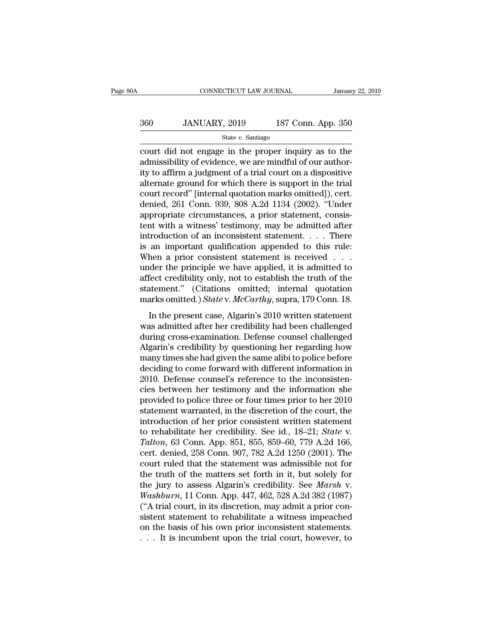# CONNECTICUT LAW JOURNAL January 22, 2019<br>360 JANUARY, 2019 187 Conn. App. 350<br>State v. Santiago

### State *v.* Santiago

CONNECTICUT LAW JOURNAL January 22, 2019<br>
360 JANUARY, 2019 187 Conn. App. 350<br>
5tate v. Santiago<br>
60 Court did not engage in the proper inquiry as to the<br>
admissibility of evidence, we are mindful of our author- $\frac{360}{\text{State } v. \text{ Santiago}}$ <br>State v. Santiago<br>court did not engage in the proper inquiry as to the<br>admissibility of evidence, we are mindful of our author-<br>ity to affirm a judgment of a trial court on a dispositive<br>alternate g 360 JANUARY, 2019 187 Conn. App. 350<br>  $\frac{\text{State } v. \text{ Santiago}}{\text{court did not engage in the proper inquiry as to the  
admissibility of evidence, we are mindful of our authority to affirm a judgment of a trial court on a dissiposity  
alternate ground for which there is support in the trial  
court record" [internal question marks omitted]) cart$ 360 JANUARY, 2019 187 Conn. App. 350<br>  $\frac{\text{State } v. \text{ Santiago}}{\text{count did not engage in the proper inquiry as to the  
admissibility of evidence, we are mindful of our author-  
ity to affirm a judgment of a trial court on a dissipositive  
alternate ground for which there is support in the trial  
court record" [internal quotation marks omitted]), cert.  
donied 261 Comp. 939, 908, A. 2d. 1134 (2002). "Under$ State v. Santiago<br>
court did not engage in the proper inquiry as to the<br>
admissibility of evidence, we are mindful of our author-<br>
ity to affirm a judgment of a trial court on a dispositive<br>
alternate ground for which the state v. santiago<br>
court did not engage in the proper inquiry as to the<br>
admissibility of evidence, we are mindful of our author-<br>
ity to affirm a judgment of a trial court on a dispositive<br>
alternate ground for which the court did not engage in the proper inquiry as to the admissibility of evidence, we are mindful of our authority to affirm a judgment of a trial court on a dispositive alternate ground for which there is support in the tri admissibility of evidence, we are mindful of our authority to affirm a judgment of a trial court on a dispositive alternate ground for which there is support in the trial court record" [internal quotation marks omitted]), ity to affirm a judgment of a trial court on a dispositive<br>alternate ground for which there is support in the trial<br>court record" [internal quotation marks omitted]), cert.<br>denied, 261 Conn. 939, 808 A.2d 1134 (2002). "Und alternate ground for which there is support in the trial<br>court record" [internal quotation marks omitted]), cert.<br>denied, 261 Conn. 939, 808 A.2d 1134 (2002). "Under<br>appropriate circumstances, a prior statement, consis-<br>te court record" [internal quotation marks omitted]), cert.<br>denied, 261 Conn. 939, 808 A.2d 1134 (2002). "Under<br>appropriate circumstances, a prior statement, consis-<br>tent with a witness' testimony, may be admitted after<br>intro denied, 261 Conn. 939, 808 A.2d 1134 (2002). "Under<br>appropriate circumstances, a prior statement, consistent with a witness' testimony, may be admitted after<br>introduction of an inconsistent statement. . . . There<br>is an imp appropriate circumstances, a prior statement, consistent with a witness' testimony, may be admitted after introduction of an inconsistent statement. . . . There is an important qualification appended to this rule:<br>When a tent with a witness' testimony, may be admitted after introduction of an inconsistent statement. . . . There is an important qualification appended to this rule:<br>When a prior consistent statement is received . . . under t introduction of an inconsistent statement. . . . . There<br>is an important qualification appended to this rule:<br>When a prior consistent statement is received . . .<br>under the principle we have applied, it is admitted to<br>affec Let may consistent statement is received  $\ldots$ <br>hen a prior consistent statement is received  $\ldots$ <br>der the principle we have applied, it is admitted to<br>fect credibility only, not to establish the truth of the<br>atement." (Ci when a prior consistent statement is received  $\cdot \cdot \cdot$ <br>under the principle we have applied, it is admitted to<br>affect credibility only, not to establish the truth of the<br>statement." (Citations omitted; internal quotation<br>m

ander are principle we have applied, it is adminised to<br>affect credibility only, not to establish the truth of the<br>statement." (Citations omitted; internal quotation<br>marks omitted.) State v. McCarthy, supra, 179 Conn. 18. External marks omitted.) State v. McCarthy, supra, 179 Conn. 18.<br>
In the present case, Algarin's 2010 written statement<br>
was admitted after her credibility had been challenged<br>
during cross-examination. Defense counsel cha marks omitted.) *State* v. *McCarthy*, supra, 179 Conn. 18.<br>In the present case, Algarin's 2010 written statement<br>was admitted after her credibility had been challenged<br>during cross-examination. Defense counsel challenged<br> In the present case, Algarin's 2010 written statement<br>was admitted after her credibility had been challenged<br>during cross-examination. Defense counsel challenged<br>Algarin's credibility by questioning her regarding how<br>many In the present case, Algarin's 2010 written statement<br>was admitted after her credibility had been challenged<br>during cross-examination. Defense counsel challenged<br>Algarin's credibility by questioning her regarding how<br>many was admitted after her credibility had been challenged<br>during cross-examination. Defense counsel challenged<br>Algarin's credibility by questioning her regarding how<br>many times she had given the same alibi to police before<br>de during cross-examination. Defense counsel challenged<br>Algarin's credibility by questioning her regarding how<br>many times she had given the same alibi to police before<br>deciding to come forward with different information in<br>20 Algarin's credibility by questioning her regarding how<br>many times she had given the same alibi to police before<br>deciding to come forward with different information in<br>2010. Defense counsel's reference to the inconsisten-<br> many times she had given the same alibi to police before<br>deciding to come forward with different information in<br>2010. Defense counsel's reference to the inconsisten-<br>cies between her testimony and the information she<br>prov deciding to come forward with different information in 2010. Defense counsel's reference to the inconsistencies between her testimony and the information she provided to police three or four times prior to her 2010 stateme 2010. Defense counsel's reference to the inconsistencies between her testimony and the information she<br>provided to police three or four times prior to her 2010<br>statement warranted, in the discretion of the court, the<br>intro cies between her testimony and the information she<br>provided to police three or four times prior to her 2010<br>statement warranted, in the discretion of the court, the<br>introduction of her prior consistent written statement<br>to provided to police three or four times prior to her 2010<br>statement warranted, in the discretion of the court, the<br>introduction of her prior consistent written statement<br>to rehabilitate her credibility. See id., 18–21; *Sta* statement warranted, in the discretion of the court, the<br>introduction of her prior consistent written statement<br>to rehabilitate her credibility. See id., 18–21; *State v.*<br>Talton, 63 Conn. App. 851, 855, 859–60, 779 A.2d introduction of her prior consistent written statement<br>to rehabilitate her credibility. See id., 18–21; *State* v.<br>Talton, 63 Conn. App. 851, 855, 859–60, 779 A.2d 166,<br>cert. denied, 258 Conn. 907, 782 A.2d 1250 (2001). Th to rehabilitate her credibility. See id., 18–21; *State v.*<br> *Talton*, 63 Conn. App. 851, 855, 859–60, 779 A.2d 166,<br>
cert. denied, 258 Conn. 907, 782 A.2d 1250 (2001). The<br>
court ruled that the statement was admissible no Talton, 63 Conn. App. 851, 855, 859–60, 779 A.2d 166, cert. denied, 258 Conn. 907, 782 A.2d 1250 (2001). The court ruled that the statement was admissible not for the truth of the matters set forth in it, but solely for t cert. denied, 258 Conn. 907, 782 A.2d 1250 (2001). The<br>court ruled that the statement was admissible not for<br>the truth of the matters set forth in it, but solely for<br>the jury to assess Algarin's credibility. See *Marsh* v court ruled that the statement was admissible not for<br>the truth of the matters set forth in it, but solely for<br>the jury to assess Algarin's credibility. See *Marsh* v.<br>Washburn, 11 Conn. App. 447, 462, 528 A.2d 382 (1987) the truth of the matters set forth in it, but solely for<br>the jury to assess Algarin's credibility. See *Marsh v*.<br>Washburn, 11 Conn. App. 447, 462, 528 A.2d 382 (1987)<br>("A trial court, in its discretion, may admit a prior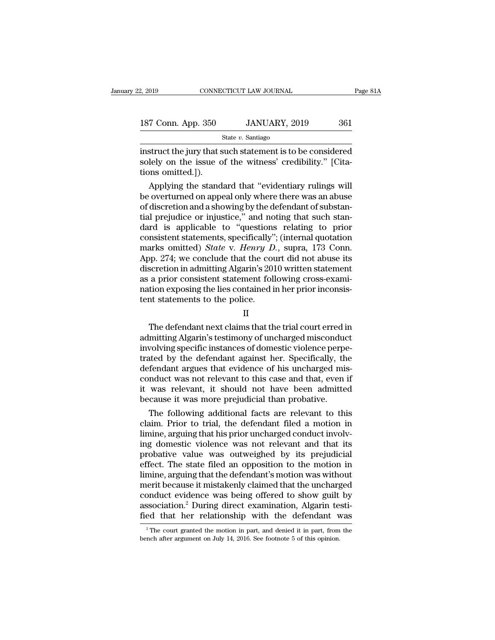| 2, 2019            | CONNECTICUT LAW JOURNAL | Page 81A |  |
|--------------------|-------------------------|----------|--|
|                    |                         |          |  |
| 187 Conn. App. 350 | JANUARY, 2019           | 361      |  |
|                    | State $v$ . Santiago    |          |  |

2, 2019 CONNECTICUT LAW JOURNAL Page 81A<br>
187 Conn. App. 350 JANUARY, 2019 361<br>
State v. Santiago<br>
instruct the jury that such statement is to be considered<br>
solely on the issue of the witness' credibility." [Cita-187 Conn. App. 350 JANUARY, 2019 361<br>State v. Santiago<br>instruct the jury that such statement is to be considered<br>solely on the issue of the witness' credibility." [Cita-<br>tions omitted.]). 187 Conn. App. 350<br>
instruct the jury that s<br>
solely on the issue of<br>
tions omitted.]).<br>
Applying the stand  $\frac{7 \text{ Conn. App. } 350}{\text{State } v. \text{ Santiago}}$ <br>  $\frac{5 \text{itate } v. \text{ Santiago}}{\text{State } v. \text{ Santage}}$ <br>  $\frac{1}{2}$ <br>  $\frac{1}{2}$ <br>  $\frac{1}{2}$ <br>  $\frac{1}{2}$ <br>  $\frac{1}{2}$ <br>  $\frac{1}{2}$ <br>  $\frac{1}{2}$ <br>  $\frac{1}{2}$ <br>  $\frac{1}{2}$ <br>  $\frac{1}{2}$ <br>  $\frac{1}{2}$ <br>  $\frac{1}{2}$ <br>  $\frac{1}{2}$ <br>  $\frac{1}{2}$ <br>

State  $v$ . Santiago<br>
instruct the jury that such statement is to be considered<br>
solely on the issue of the witness' credibility." [Cita-<br>
tions omitted.]).<br>
Applying the standard that "evidentiary rulings will<br>
be overtur Instruct the jury that such statement is to be considered<br>solely on the issue of the witness' credibility." [Cita-<br>tions omitted.]).<br>Applying the standard that "evidentiary rulings will<br>be overturned on appeal only where t instruct the jury that such statement is to be considered<br>solely on the issue of the witness' credibility." [Cita-<br>tions omitted.]).<br>Applying the standard that "evidentiary rulings will<br>be overturned on appeal only where t solely on the issue of the witness' credibility." [Citations omitted.]).<br>
Applying the standard that "evidentiary rulings will<br>
be overturned on appeal only where there was an abuse<br>
of discretion and a showing by the def tions omitted.]).<br>Applying the standard that "evidentiary rulings will<br>be overturned on appeal only where there was an abuse<br>of discretion and a showing by the defendant of substan-<br>tial prejudice or injustice," and notin Applying the standard that "evidentiary rulings will<br>be overturned on appeal only where there was an abuse<br>of discretion and a showing by the defendant of substan-<br>tial prejudice or injustice," and noting that such stan-<br>d be overturned on appeal only where there was an abuse<br>of discretion and a showing by the defendant of substan-<br>tial prejudice or injustice," and noting that such stan-<br>dard is applicable to "questions relating to prior<br>con of discretion and a showing by the defendant of substantial prejudice or injustice," and noting that such standard is applicable to "questions relating to prior consistent statements, specifically"; (internal quotation mar tial prejudice or injustice," and noting that such standard is applicable to "questions relating to prior consistent statements, specifically"; (internal quotation marks omitted) *State v. Henry D.*, supra, 173 Conn. App. dard is applicable to "questions relating to prior consistent statements, specifically"; (internal quotation marks omitted) *State v. Henry D.*, supra, 173 Conn. App. 274; we conclude that the court did not abuse its disc consistent statements, specifically"<br>marks omitted) *State* v. *Henry D*<br>App. 274; we conclude that the coudiscretion in admitting Algarin's 201<br>as a prior consistent statement foll<br>nation exposing the lies contained i<br>ten Fr. 211, we conclude that the court did not abuse no<br>scretion in admitting Algarin's 2010 written statement<br>a prior consistent statement following cross-exami-<br>tion exposing the lies contained in her prior inconsis-<br>at sta

II

as a prior consistent statement following cross-examination exposing the lies contained in her prior inconsistent statements to the police.<br>
II<br>
The defendant next claims that the trial court erred in<br>
admitting Algarin's in a prior consistent statement following cross examination exposing the lies contained in her prior inconsistent statements to the police.<br>
II<br>
The defendant next claims that the trial court erred in<br>
admitting Algarin's The defendant next claims that the prior means<br>
II<br>
The defendant next claims that the trial court erred in<br>
admitting Algarin's testimony of uncharged misconduct<br>
involving specific instances of domestic violence perpe-<br> II<br>II<br>The defendant next claims that the trial court erred in<br>admitting Algarin's testimony of uncharged misconduct<br>involving specific instances of domestic violence perpe-<br>trated by the defendant against her. Specifically II<br>The defendant next claims that the trial court erred in<br>admitting Algarin's testimony of uncharged misconduct<br>involving specific instances of domestic violence perpe-<br>trated by the defendant against her. Specifically, t The defendant next claims that the trial court erred in<br>admitting Algarin's testimony of uncharged misconduct<br>involving specific instances of domestic violence perpe-<br>trated by the defendant against her. Specifically, the<br> admitting Algarin's testimony of uncharged misconduce involving specific instances of domestic violence perpetrated by the defendant against her. Specifically, the defendant argues that evidence of his uncharged misconduct volving specific instances of domestic violence perpe-<br>tied by the defendant against her. Specifically, the<br>fendant argues that evidence of his uncharged mis-<br>mduct was not relevant to this case and that, even if<br>was relev trated by the defendant against her. Specifically, the<br>defendant argues that evidence of his uncharged mis-<br>conduct was not relevant to this case and that, even if<br>it was relevant, it should not have been admitted<br>because

defendant argues that evidence of his uncharged mis-<br>conduct was not relevant to this case and that, even if<br>it was relevant, it should not have been admitted<br>because it was more prejudicial than probative.<br>The following a conduct was not relevant to this case and that, even if<br>it was relevant, it should not have been admitted<br>because it was more prejudicial than probative.<br>The following additional facts are relevant to this<br>claim. Prior to it was relevant, it should not have been admitted<br>because it was more prejudicial than probative.<br>The following additional facts are relevant to this<br>claim. Prior to trial, the defendant filed a motion in<br>limine, arguing t because it was more prejudicial than probative.<br>
The following additional facts are relevant to this<br>
claim. Prior to trial, the defendant filed a motion in<br>
limine, arguing that his prior uncharged conduct involv-<br>
ing do The following additional facts are relevant to this<br>claim. Prior to trial, the defendant filed a motion in<br>limine, arguing that his prior uncharged conduct involv-<br>ing domestic violence was not relevant and that its<br>probat claim. Prior to trial, the defendant filed a motion in<br>limine, arguing that his prior uncharged conduct involv-<br>ing domestic violence was not relevant and that its<br>probative value was outweighed by its prejudicial<br>effect. limine, arguing that his prior uncharged conduct involving domestic violence was not relevant and that its probative value was outweighed by its prejudicial effect. The state filed an opposition to the motion in limine, ar ing domestic violence was not relevant and that its<br>probative value was outweighed by its prejudicial<br>effect. The state filed an opposition to the motion in<br>limine, arguing that the defendant's motion was without<br>merit bec probative value was outweighed by its prejudicial effect. The state filed an opposition to the motion in limine, arguing that the defendant's motion was without merit because it mistakenly claimed that the uncharged condu erit because it mistakenly claimed that the uncharged<br>onduct evidence was being offered to show guilt by<br>ssociation.<sup>2</sup> During direct examination, Algarin testi-<br>ed that her relationship with the defendant was<br><sup>2</sup>The court conduct evidence was being offered to show guilt association.<sup>2</sup> During direct examination, Algarin te fied that her relationship with the defendant v <sup>2</sup> The court granted the motion in part, and denied it in part, from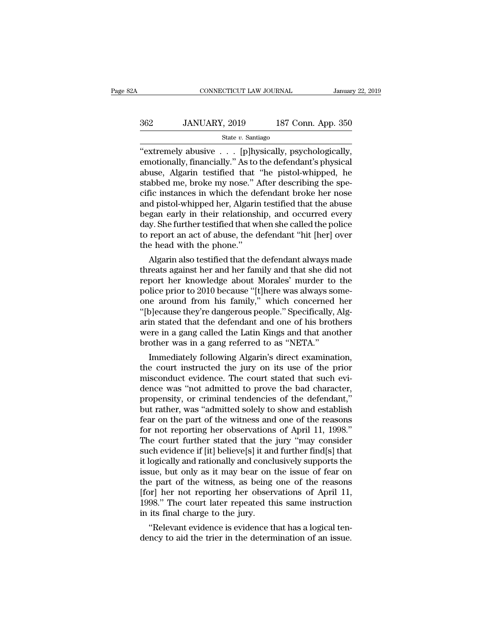# CONNECTICUT LAW JOURNAL January 22, 2019<br>362 JANUARY, 2019 187 Conn. App. 350<br>State v. Santiago

### State *v.* Santiago

CONNECTICUT LAW JOURNAL January 22, 2<br>
362 JANUARY, 2019 187 Conn. App. 350<br>
362 State v. Santiago<br>
"extremely abusive . . . [p]hysically, psychologically,<br>
emotionally, financially." As to the defendant's physical<br>
abuse 362 JANUARY, 2019 187 Conn. App. 350<br>
State v. Santiago<br>
"extremely abusive . . . [p]hysically, psychologically,<br>
emotionally, financially." As to the defendant's physical<br>
abuse, Algarin testified that "he pistol-whipped, 362 JANUARY, 2019 187 Conn. App. 350<br>  $\frac{\text{State } v. \text{ Santiago}}{\text{"extremely abuseive}}$ ... [p]hysically, psychologically,<br>
emotionally, financially." As to the defendant's physical<br>
abuse, Algarin testified that "he pistol-whipped, he<br>
stabbed m  $\begin{tabular}{ll} \multicolumn{1}{l}{{\bf 362}} & JANUARY, 2019 & 187 Conn. App. 350 \\ & \multicolumn{1}{l}{\bf 364} & & \multicolumn{1}{l}{\bf 365} \\ \multicolumn{1}{l}{\bf 487 Corn. App. 350} \\ \multicolumn{1}{l}{\bf 488}\end{tabular} \begin{tabular}{ll} {\bf 369}\end{tabular} \begin{tabular}{l} {\bf 369}\end{tabular} \begin{tabular}{l} {\bf 369}\end{tabular} \end{tabular} \begin{tabular}{l} {\bf 369}\end{tabular} \end$ State v. Santiago<br>
State v. Santiago<br>
"extremely abusive . . . [p]hysically, psychologically,<br>
emotionally, financially." As to the defendant's physical<br>
abuse, Algarin testified that "he pistol-whipped, he<br>
stabbed me, b state v. Santiago<br>
"extremely abusive  $\ldots$  [p]hysically, psychologically,<br>
emotionally, financially." As to the defendant's physical<br>
abuse, Algarin testified that "he pistol-whipped, he<br>
stabbed me, broke my nose." Afte "extremely abusive . . . [p]hysically, psychologically,<br>emotionally, financially." As to the defendant's physical<br>abuse, Algarin testified that "he pistol-whipped, he<br>stabbed me, broke my nose." After describing the spe-<br>c emotionally, financially." As to the defendant's physical<br>abuse, Algarin testified that "he pistol-whipped, he<br>stabbed me, broke my nose." After describing the spe-<br>cific instances in which the defendant broke her nose<br>and abuse, Algarin testified that "he pistol-whipped, he stabbed me, broke my nose." After describing the specific instances in which the defendant broke her nose and pistol-whipped her, Algarin testified that the abuse began stabbed me, broke my nose." After describing the specific instances in which the defendant broke her nose<br>and pistol-whipped her, Algarin testified that the abuse<br>began early in their relationship, and occurred every<br>day. Ic instances in which the defendant broke her nose<br>d pistol-whipped her, Algarin testified that the abuse<br>gan early in their relationship, and occurred every<br>y. She further testified that when she called the police<br>report and pistoi-whipped ner, Aigarin testined that the abuse<br>began early in their relationship, and occurred every<br>day. She further testified that when she called the police<br>to report an act of abuse, the defendant "hit [her] o

began early in their relationship, and occurred every<br>day. She further testified that when she called the police<br>to report an act of abuse, the defendant "hit [her] over<br>the head with the phone."<br>Algarin also testified tha day. She further testined that when she called the police<br>to report an act of abuse, the defendant "hit [her] over<br>the head with the phone."<br>Algarin also testified that the defendant always made<br>threats against her and her to report an act or abuse, the defendant "nit [ner] over<br>the head with the phone."<br>Algarin also testified that the defendant always made<br>threats against her and her family and that she did not<br>report her knowledge about Mo the nead with the phone.<br>'Algarin also testified that the defendant always made<br>threats against her and her family and that she did not<br>report her knowledge about Morales' murder to the<br>police prior to 2010 because "[t]her Algarin also testified that the defendant always made<br>threats against her and her family and that she did not<br>report her knowledge about Morales' murder to the<br>police prior to 2010 because "[t]here was always some-<br>one ar threats against her and her family and that she did not<br>report her knowledge about Morales' murder to the<br>police prior to 2010 because "[t]here was always some-<br>one around from his family," which concerned her<br>"[b]ecause t report her knowledge about Morales' murder to<br>police prior to 2010 because "[t]here was always so<br>one around from his family," which concerned<br>"[b]ecause they're dangerous people." Specifically,<br>arin stated that the defend Ince prior to 2010 because "[t]nere was always some-<br>i.e. around from his family," which concerned her<br>p]ecause they're dangerous people." Specifically, Alg-<br>in stated that the defendant and one of his brothers<br>pere in a g one around from his family, which concerned her<br>"[b]ecause they're dangerous people." Specifically, Algarin stated that the defendant and one of his brothers<br>were in a gang called the Latin Kings and that another<br>brother w

"[b]ecause they're dangerous people." Specifically, Algarin stated that the defendant and one of his brothers<br>were in a gang called the Latin Kings and that another<br>brother was in a gang referred to as "NETA."<br>Immediately arm stated that the defendant and one of his brothers<br>were in a gang called the Latin Kings and that another<br>brother was in a gang referred to as "NETA."<br>Immediately following Algarin's direct examination,<br>the court instru were in a gang called the Latin Kings and that another<br>brother was in a gang referred to as "NETA."<br>Immediately following Algarin's direct examination,<br>the court instructed the jury on its use of the prior<br>misconduct evide brother was in a gang referred to as NETA.<br>
Immediately following Algarin's direct examination,<br>
the court instructed the jury on its use of the prior<br>
misconduct evidence. The court stated that such evi-<br>
dence was "not a Immediately following Algarin's direct examination,<br>the court instructed the jury on its use of the prior<br>misconduct evidence. The court stated that such evi-<br>dence was "not admitted to prove the bad character,<br>propensity, the court instructed the jury on its use of the prior<br>misconduct evidence. The court stated that such evi-<br>dence was "not admitted to prove the bad character,<br>propensity, or criminal tendencies of the defendant,"<br>but rathe misconduct evidence. The court stated that such evidence was "not admitted to prove the bad character, propensity, or criminal tendencies of the defendant,"<br>but rather, was "admitted solely to show and establish<br>fear on th dence was "not admitted to prove the bad character,<br>propensity, or criminal tendencies of the defendant,"<br>but rather, was "admitted solely to show and establish<br>fear on the part of the witness and one of the reasons<br>for no propensity, or criminal tendencies of the defendant,"<br>but rather, was "admitted solely to show and establish<br>fear on the part of the witness and one of the reasons<br>for not reporting her observations of April 11, 1998."<br>The but rather, was "admitted solely to show and establish<br>fear on the part of the witness and one of the reasons<br>for not reporting her observations of April 11, 1998."<br>The court further stated that the jury "may consider<br>such fear on the part of the witness and one of the reasons<br>for not reporting her observations of April 11, 1998."<br>The court further stated that the jury "may consider<br>such evidence if [it] believe[s] it and further find[s] tha for not reporting her observations of April 11, 1998."<br>The court further stated that the jury "may consider<br>such evidence if [it] believe[s] it and further find[s] that<br>it logically and rationally and conclusively supports The court further stated that the jury "may consider<br>such evidence if [it] believe[s] it and further find[s] that<br>it logically and rationally and conclusively supports the<br>issue, but only as it may bear on the issue of fea such evidence if [it] believe[s] it and<br>it logically and rationally and concl<br>issue, but only as it may bear on the<br>part of the witness, as being<br>[for] her not reporting her observed<br>1998." The court later repeated the<br>in logically and rationally and conclusively supports the<br>sue, but only as it may bear on the issue of fear on<br>e part of the witness, as being one of the reasons<br>r] her not reporting her observations of April 11,<br>98." The cou issue, but only as it may bear on the issue of rear on<br>the part of the witness, as being one of the reasons<br>[for] her not reporting her observations of April 11,<br>1998." The court later repeated this same instruction<br>in its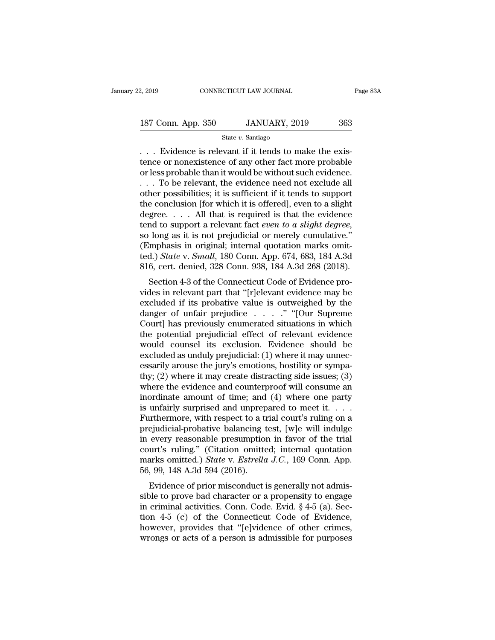2, 2019 CONNECTICUT LAW JOURNAL<br>
187 Conn. App. 350 JANUARY, 2019 363<br>  $\frac{\text{State } v. \text{ Santiago}}{\text{State } v. \text{ Santiago}}$ <br>
... Evidence is relevant if it tends to make the existence or nonexistence of any other fact more probable<br>
or loss prob 187 Conn. App. 350 JANUARY, 2019 363<br>
State v. Santiago<br>
... Evidence is relevant if it tends to make the existence or nonexistence of any other fact more probable<br>
or less probable than it would be without such evidence.<br> 187 Conn. App. 350 JANUARY, 2019 363<br>
State v. Santiago<br>
... Evidence is relevant if it tends to make the existence or nonexistence of any other fact more probable<br>
or less probable than it would be without such evidence. 187 Conn. App. 350 JANUARY, 2019 363<br>
State v. Santiago<br>
... Evidence is relevant if it tends to make the exis-<br>
tence or nonexistence of any other fact more probable<br>
or less probable than it would be without such eviden State v. Santiago<br>
State v. Santiago<br>  $\therefore$  Dividence is relevant if it tends to make the exis-<br>
tence or nonexistence of any other fact more probable<br>
or less probable than it would be without such evidence.<br>  $\therefore$  To be State *v*. Santiago<br>
. . . Evidence is relevant if it tends to make the exis-<br>
tence or nonexistence of any other fact more probable<br>
or less probable than it would be without such evidence.<br>
. . . To be relevant, the evi . . . Evidence is relevant if it tends to make the existence or nonexistence of any other fact more probable or less probable than it would be without such evidence.<br>. . . To be relevant, the evidence need not exclude all tence or nonexistence of any other fact more probable<br>or less probable than it would be without such evidence.<br>... To be relevant, the evidence need not exclude all<br>other possibilities; it is sufficient if it tends to sup ... To be relevant, the evidence need not exclude all other possibilities; it is sufficient if it tends to support the conclusion [for which it is offered], even to a slight degree.... All that is required is that the evi other possibilities; it is sufficient if it tends to support<br>the conclusion [for which it is offered], even to a slight<br>degree. . . . All that is required is that the evidence<br>tend to support a relevant fact *even to a sli* the conclusion [for which it is offered], even to a slight<br>degree. . . . . All that is required is that the evidence<br>tend to support a relevant fact *even to a slight degree*,<br>so long as it is not prejudicial or merely cu gree.  $\ldots$  An that is required is that the evidence and to support a relevant fact *even to a slight degree*, long as it is not prejudicial or merely cumulative." mphasis in original; internal quotation marks omital.) *S* video to a support a relevant ract even to a stight degree,<br>so long as it is not prejudicial or merely cumulative."<br>(Emphasis in original; internal quotation marks omit-<br>ted.) *State* v. *Small*, 180 Conn. App. 674, 683,

so long as it is not prejudicial or interty cumulative.<br>
(Emphasis in original; internal quotation marks omit-<br>
ted.) *State* v. *Small*, 180 Conn. App. 674, 683, 184 A.3d<br>
816, cert. denied, 328 Conn. 938, 184 A.3d 268 ( (Emphasis in original, internal quotation marks onlited.) State v. Small, 180 Conn. App. 674, 683, 184 A.3d<br>816, cert. denied, 328 Conn. 938, 184 A.3d 268 (2018).<br>Section 4-3 of the Connecticut Code of Evidence pro-<br>vides Court and Similary 1993, 189 A.3d S16, cert. denied, 328 Conn. 938, 184 A.3d 268 (2018).<br>
Section 4-3 of the Connecticut Code of Evidence provides in relevant part that "[r]elevant evidence may be excluded if its probativ Stot, cert. defined, 328 Collit. 938, 184 A.5d 208 (2018).<br>
Section 4-3 of the Connecticut Code of Evidence pro-<br>
vides in relevant part that "[r]elevant evidence may be<br>
excluded if its probative value is outweighed by t Section 4-3 of the Connecticut Code of Evidence provides in relevant part that "[r]elevant evidence may be excluded if its probative value is outweighed by the danger of unfair prejudice  $\ldots$  ..." "[Our Supreme Court] ha vides in relevant part that "[r]elevant evidence may be excluded if its probative value is outweighed by the danger of unfair prejudice  $\ldots$  ..." "[Our Supreme Court] has previously enumerated situations in which the pot excluded if its probative value is outweighed by the danger of unfair prejudice  $\ldots$  ... ." "[Our Supreme Court] has previously enumerated situations in which the potential prejudicial effect of relevant evidence would c danger of unfair prejudice  $\ldots$  . . . ." "[Our Supreme Court] has previously enumerated situations in which the potential prejudicial effect of relevant evidence would counsel its exclusion. Evidence should be excluded a Court] has previously enumerated situations in which<br>the potential prejudicial effect of relevant evidence<br>would counsel its exclusion. Evidence should be<br>excluded as unduly prejudicial: (1) where it may unnec-<br>essarily ar the potential prejudicial effect of relevant evidence<br>would counsel its exclusion. Evidence should be<br>excluded as unduly prejudicial: (1) where it may unnec-<br>essarily arouse the jury's emotions, hostility or sympa-<br>thy; ( would counsel its exclusion. Evidence should be<br>excluded as unduly prejudicial: (1) where it may unnec-<br>essarily arouse the jury's emotions, hostility or sympa-<br>thy; (2) where it may create distracting side issues; (3)<br>wh excluded as unduly prejudicial: (1) where it may unnecessarily arouse the jury's emotions, hostility or sympa-<br>thy; (2) where it may create distracting side issues; (3)<br>where the evidence and counterproof will consume an<br> essarily arouse the jury's emotions, hostility or sympa-<br>thy; (2) where it may create distracting side issues; (3)<br>where the evidence and counterproof will consume an<br>inordinate amount of time; and (4) where one party<br>is thy; (2) where it may create distracting side issues; (3)<br>where the evidence and counterproof will consume an<br>inordinate amount of time; and (4) where one party<br>is unfairly surprised and unprepared to meet it. . . .<br>Furth where the evidence and counterproof will consume an<br>inordinate amount of time; and (4) where one party<br>is unfairly surprised and unprepared to meet it. . . .<br>Furthermore, with respect to a trial court's ruling on a<br>prejud inordinate amount of time; and (4) where one party<br>is unfairly surprised and unprepared to meet it. . . .<br>Furthermore, with respect to a trial court's ruling on a<br>prejudicial-probative balancing test, [w]e will indulge<br>in is unfairly surprised and unprep<br>Furthermore, with respect to a tr<br>prejudicial-probative balancing t<br>in every reasonable presumption<br>court's ruling." (Citation omitte<br>marks omitted.) *State* v. *Estrella*<br>56, 99, 148 A.3d ejudicial-probative balancing test, [w]e will indulge<br>every reasonable presumption in favor of the trial<br>urt's ruling." (Citation omitted; internal quotation<br>arks omitted.) *State* v. *Estrella J.C.*, 169 Conn. App.<br>99, 1 prejudicial-probative balancing test, [w]e will mudige<br>in every reasonable presumption in favor of the trial<br>court's ruling." (Citation omitted; internal quotation<br>marks omitted.) *State* v. *Estrella J.C.*, 169 Conn. App

in every reasonable presumption in favor of the that<br>court's ruling." (Citation omitted; internal quotation<br>marks omitted.) *State* v. *Estrella J.C.*, 169 Conn. App.<br>56, 99, 148 A.3d 594 (2016).<br>Evidence of prior miscondu tourt's rumg. (Chatton onlitted, internal quotation<br>marks omitted.) *State* v. *Estrella J.C.*, 169 Conn. App.<br>56, 99, 148 A.3d 594 (2016).<br>Evidence of prior misconduct is generally not admis-<br>sible to prove bad character harks onlined:) state v. Estretta J.C., 109 Collit. App.<br>56, 99, 148 A.3d 594 (2016).<br>Evidence of prior misconduct is generally not admis-<br>sible to prove bad character or a propensity to engage<br>in criminal activities. Con Boo,  $39, 140$  A.5d  $394$  (2010).<br>Evidence of prior misconduct is generally not admissible to prove bad character or a propensity to engage<br>in criminal activities. Conn. Code. Evid. § 4-5 (a). Sec-<br>tion 4-5 (c) of the Con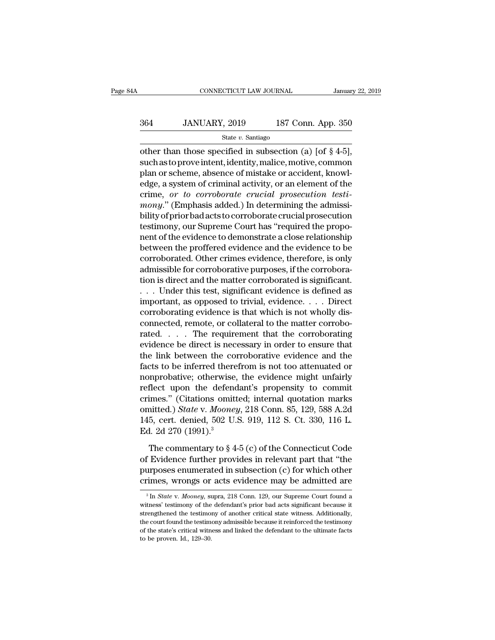# CONNECTICUT LAW JOURNAL January 22, 2019<br>364 JANUARY, 2019 187 Conn. App. 350<br>364 JANUARY, 2019 187 Conn. App. 350

State *v.* Santiago

CONNECTICUT LAW JOURNAL January 22, 2<br>
364 JANUARY, 2019 187 Conn. App. 350<br>
5tate v. Santiago<br>
5tate v. Santiago<br>
5tate v. Santiago<br>
5tate v. Santiago<br>
5tate v. Santiago<br>
5tate v. Santiago<br>
5tate, motive, common and an ar  $364$  JANUARY, 2019 187 Conn. App. 350<br>  $$ \text{State } v$.$  Santiago<br>
other than those specified in subsection (a) [of  $\S 4-5$ ],<br>
such as to prove intent, identity, malice, motive, common<br>
plan or scheme, absence of mistake or acc 364 JANUARY, 2019 187 Conn. App. 350<br>
State v. Santiago<br>
other than those specified in subsection (a) [of § 4-5],<br>
such as to prove intent, identity, malice, motive, common<br>
plan or scheme, absence of mistake or accident, 364 JANUARY, 2019 187 Conn. App. 350<br>  $\frac{\text{State } v. \text{ Santiago}}{\text{other than those specified in subsection (a) [of § 4-5]}$ ,<br>
such as to prove intent, identity, malice, motive, common<br>
plan or scheme, absence of mistake or accident, knowl-<br>
edge, a system of criminal ac State *v*. Santiago<br>
other than those specified in subsection (a) [of § 4-5],<br>
such as to prove intent, identity, malice, motive, common<br>
plan or scheme, absence of mistake or accident, knowl-<br>
edge, a system of criminal a **Salte** *v*. Santago<br>
other than those specified in subsection (a) [of § 4-5],<br>
such as to prove intent, identity, malice, motive, common<br>
plan or scheme, absence of mistake or accident, knowl-<br>
edge, a system of criminal other than those specified in subsection (a) [of  $\S$  4-5],<br>such as to prove intent, identity, malice, motive, common<br>plan or scheme, absence of mistake or accident, knowl-<br>edge, a system of criminal activity, or an elemen such as to prove intent, identity, malice, motive, common<br>plan or scheme, absence of mistake or accident, knowl-<br>edge, a system of criminal activity, or an element of the<br>crime, *or to corroborate crucial prosecution testi* plan or scheme, absence of mistake or accident, knowledge, a system of criminal activity, or an element of the crime, *or to corroborate crucial prosecution testi-mony.*" (Emphasis added.) In determining the admissibility edge, a system of criminal activity, or an element of the<br>crime, or to corroborate crucial prosecution testi-<br>mony." (Emphasis added.) In determining the admissi-<br>bility of prior bad acts to corroborate crucial prosecution crime, *or to corroborate crucial prosecution testi-*<br>mony." (Emphasis added.) In determining the admissi-<br>bility of prior bad acts to corroborate crucial prosecution<br>testimony, our Supreme Court has "required the propo-<br>n mony." (Emphasis added.) In determining the admissibility of prior bad acts to corroborate crucial prosecution<br>testimony, our Supreme Court has "required the propo-<br>nent of the evidence to demonstrate a close relationship<br> bility of prior bad acts to corroborate crucial prosecution<br>testimony, our Supreme Court has "required the propo-<br>nent of the evidence to demonstrate a close relationship<br>between the proffered evidence and the evidence to testimony, our Supreme Court has "required the proponent of the evidence to demonstrate a close relationship<br>between the proffered evidence and the evidence to be<br>corroborated. Other crimes evidence, therefore, is only<br>adm nent of the evidence to demonstrate a close relationship<br>between the proffered evidence and the evidence to be<br>corroborated. Other crimes evidence, therefore, is only<br>admissible for corroborative purposes, if the corrobora between the proffered evidence and the evidence to be corroborated. Other crimes evidence, therefore, is only admissible for corroborative purposes, if the corroboration is direct and the matter corroborated is significant corroborated. Other crimes evidence, therefore, is only admissible for corroborative purposes, if the corroboration is direct and the matter corroborated is significant.<br>
. . . . Under this test, significant evidence is de admissible for corroborative purposes, if the corroboration is direct and the matter corroborated is significant.<br>
. . . Under this test, significant evidence is defined as<br>
important, as opposed to trivial, evidence. . . tion is direct and the matter corroborated is significant.<br>  $\dots$  Under this test, significant evidence is defined as<br>
important, as opposed to trivial, evidence.  $\dots$  Direct<br>
corroborating evidence is that which is not wh ... Under this test, significant evidence is defined as<br>important, as opposed to trivial, evidence.... Direct<br>corroborating evidence is that which is not wholly dis-<br>connected, remote, or collateral to the matter corroboimportant, as opposed to trivial, evidence.... Direct<br>corroborating evidence is that which is not wholly dis-<br>connected, remote, or collateral to the matter corrobo-<br>rated.... The requirement that the corroborating<br>eviden corroborating evidence is that which is not wholly dis-<br>connected, remote, or collateral to the matter corrobo-<br>rated. . . . The requirement that the corroborating<br>evidence be direct is necessary in order to ensure that<br>th connected, remote, or collateral to the matter corroborated.<br>  $\dots$  The requirement that the corroborating<br>
evidence be direct is necessary in order to ensure that<br>
the link between the corroborative evidence and the<br>
fact rated.... The requirement that the corroborating<br>evidence be direct is necessary in order to ensure that<br>the link between the corroborative evidence and the<br>facts to be inferred therefrom is not too attenuated or<br>nonproba evidence be direct is necessary in order to ensure that<br>the link between the corroborative evidence and the<br>facts to be inferred therefrom is not too attenuated or<br>nonprobative; otherwise, the evidence might unfairly<br>refle the link between the corroborative evidence and the<br>facts to be inferred therefrom is not too attenuated or<br>nonprobative; otherwise, the evidence might unfairly<br>reflect upon the defendant's propensity to commit<br>crimes." (C facts to be inferred there<br>nonprobative; otherwise,<br>reflect upon the defenc<br>crimes." (Citations omitt<br>omitted.) *State* v. Mooney<br>145, cert. denied, 502 U.<br>Ed. 2d 270 (1991).<sup>3</sup><br>The commentary to § 4 flect upon the defendant's propensity to commit<br>imes." (Citations omitted; internal quotation marks<br>aitted.) *State* v. *Mooney*, 218 Conn. 85, 129, 588 A.2d<br>5, cert. denied, 502 U.S. 919, 112 S. Ct. 330, 116 L.<br>1. 2d 270 crimes." (Citations omitted; internal quotation marks<br>omitted.) *State* v. *Mooney*, 218 Conn. 85, 129, 588 A.2d<br>145, cert. denied, 502 U.S. 919, 112 S. Ct. 330, 116 L.<br>Ed. 2d 270 (1991).<sup>3</sup><br>The commentary to § 4-5 (c) of

omitted.) *State v. Mooney*, 218 Conn. 85, 129, 588 A.2d<br>145, cert. denied, 502 U.S. 919, 112 S. Ct. 330, 116 L.<br>Ed. 2d 270 (1991).<sup>3</sup><br>The commentary to § 4-5 (c) of the Connecticut Code<br>of Evidence further provides in re 145, cert. denied, 502 U.S. 919, 112 S. Ct. 330, 116 L.<br>Ed. 2d 270 (1991).<sup>3</sup><br>The commentary to § 4-5 (c) of the Connecticut Code<br>of Evidence further provides in relevant part that "the<br>purposes enumerated in subsection ( The commentary to  $\S$  4-5 (c) of the Connecticut Code<br>of Evidence further provides in relevant part that "the<br>purposes enumerated in subsection (c) for which other<br>crimes, wrongs or acts evidence may be admitted are<br> $\frac{1$ of Evidence further provides in relevant part that "the<br>purposes enumerated in subsection (c) for which other<br>crimes, wrongs or acts evidence may be admitted are<br> $\frac{3}{10}$  In *State* v. *Mooney*, supra, 218 Conn. 129, ou

purposes enumerated in subsection (c) for which other crimes, wrongs or acts evidence may be admitted are  $\frac{3}{\ln 8}$  facte v. Mooney, supra, 218 Conn. 129, our Supreme Court found a witness' testimony of the defendant's The court found the court found as  $\frac{1}{3}$  In *State v. Mooney*, supra, 218 Conn. 129, our Supreme Court found a witness' testimony of the defendant's prior bad acts significant because it strengthened the testimony of <sup>3</sup> In *State* v. *Mooney*, supra, 218 Conn. 129, our Supreme Court found a witness' testimony of the defendant's prior bad acts significant because it strengthened the testimony of another critical state witness. Additio <sup>3</sup> In *State v. Mooney*, sum it is strengthened the testimor of the strengthened the testimor of the state's critical with to be proven. Id., 129–30.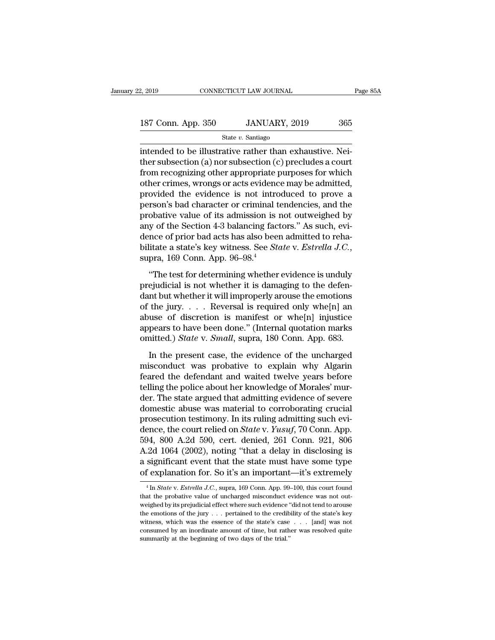2, 2019 CONNECTICUT LAW JOURNAL Page 85A<br>187 Conn. App. 350 JANUARY, 2019 365<br>State v. Santiago

State *v.* Santiago

 $\frac{187 \text{ Conn. App. } 350}{250}$  JANUARY, 2019  $\frac{365}{250}$ <br>State v. Santiago<br>intended to be illustrative rather than exhaustive. Nei-<br>ther subsection (a) nor subsection (c) precludes a court<br>from recognizing other engroepiste 187 Conn. App. 350 JANUARY, 2019 365<br>
State v. Santiago<br>
intended to be illustrative rather than exhaustive. Neither subsection (a) nor subsection (c) precludes a court<br>
from recognizing other appropriate purposes for whi 187 Conn. App. 350 JANUARY, 2019 365<br>
state v. Santiago<br>
intended to be illustrative rather than exhaustive. Nei-<br>
ther subsection (a) nor subsection (c) precludes a court<br>
from recognizing other appropriate purposes for 187 Conn. App. 350 JANUARY, 2019 365<br>
State v. Santiago<br>
intended to be illustrative rather than exhaustive. Neither subsection (a) nor subsection (c) precludes a court<br>
from recognizing other appropriate purposes for whi State v. Santiago<br>
State v. Santiago<br>
intended to be illustrative rather than exhaustive. Nei-<br>
ther subsection (a) nor subsection (c) precludes a court<br>
from recognizing other appropriate purposes for which<br>
other crimes state v. santago<br>intended to be illustrative rather than exhaustive. Nei-<br>ther subsection (a) nor subsection (c) precludes a court<br>from recognizing other appropriate purposes for which<br>other crimes, wrongs or acts evidenc intended to be illustrative rather than exhaustive. Neither subsection (a) nor subsection (c) precludes a court<br>from recognizing other appropriate purposes for which<br>other crimes, wrongs or acts evidence may be admitted,<br>p ther subsection (a) nor subsection (c) precludes a court<br>from recognizing other appropriate purposes for which<br>other crimes, wrongs or acts evidence may be admitted,<br>provided the evidence is not introduced to prove a<br>pers from recognizing other appropriate purposes for which<br>other crimes, wrongs or acts evidence may be admitted,<br>provided the evidence is not introduced to prove a<br>person's bad character or criminal tendencies, and the<br>probat other crimes, wrongs or acts evidence may be admitted,<br>provided the evidence is not introduced to prove a<br>person's bad character or criminal tendencies, and the<br>probative value of its admission is not outweighed by<br>any of bolative value of its admission is not outweighed by y of the Section 4-3 balancing factors." As such, evi-<br>nce of prior bad acts has also been admitted to reha-<br>litate a state's key witness. See *State* v. *Estrella J.C.* any of the Section 4-3 balancing factors." As such, evidence of prior bad acts has also been admitted to rehabilitate a state's key witness. See *State* v. *Estrella J.C.*, supra, 169 Conn. App. 96–98.<sup>4</sup><br>
"The test for d

dence of prior bad acts has also been admitted to rehabilitate a state's key witness. See *State* v. *Estrella J.C.*,<br>supra, 169 Conn. App. 96–98.<sup>4</sup><br>"The test for determining whether evidence is unduly<br>prejudicial is not bilitate a state's key witness. See *State* v. *Estrella J.C.*,<br>supra, 169 Conn. App. 96–98.<sup>4</sup><br>"The test for determining whether evidence is unduly<br>prejudicial is not whether it is damaging to the defen-<br>dant but whether supra, 169 Conn. App. 96–98.<sup>4</sup><br>
"The test for determining whether evidence is unduly<br>
prejudicial is not whether it is damaging to the defen-<br>
dant but whether it will improperly arouse the emotions<br>
of the jury.... Reve "The test for determining whether evidence is unduly<br>prejudicial is not whether it is damaging to the defen-<br>dant but whether it will improperly arouse the emotions<br>of the jury.... Reversal is required only whe $[n]$  an<br>abu "The test for determining whether evidence is unduly prejudicial is not whether it is damaging to the defendant but whether it will improperly arouse the emotions of the jury. . . . Reversal is required only whe[n] an abu In the present case, the evidence of the uncharged when the jury.... Reversal is required only whe[n] an use of discretion is manifest or whe[n] injustice pears to have been done." (Internal quotation marks initted.) *Sta* of the jury. . . . Reversal is required only whe[n] an abuse of discretion is manifest or whe[n] injustice appears to have been done." (Internal quotation marks omitted.) *State* v. *Small*, supra, 180 Conn. App. 683. In

Feared the defendant and waited twelve years before the present case, the evidence of the uncharged misconduct was probative to explain why Algarin feared the defendant and waited twelve years before telling the police abo the police above." (Internal quotation marks<br>appears to have been done." (Internal quotation marks<br>omitted.) *State* v. *Small*, supra, 180 Conn. App. 683.<br>In the present case, the evidence of the uncharged<br>misconduct was der. The state argued that admitting procedure and the present case, the evidence of the uncharged misconduct was probative to explain why Algarin feared the defendant and waited twelve years before telling the police abou In the present case, the evidence of the uncharged<br>misconduct was probative to explain why Algarin<br>feared the defendant and waited twelve years before<br>telling the police about her knowledge of Morales' mur-<br>der. The state In the present case, the evidence of the uncharged<br>misconduct was probative to explain why Algarin<br>feared the defendant and waited twelve years before<br>telling the police about her knowledge of Morales' mur-<br>der. The state misconduct was probative to explain why Algarin<br>feared the defendant and waited twelve years before<br>telling the police about her knowledge of Morales' mur-<br>der. The state argued that admitting evidence of severe<br>domestic a feared the defendant and waited twelve years before<br>telling the police about her knowledge of Morales' mur-<br>der. The state argued that admitting evidence of severe<br>domestic abuse was material to corroborating crucial<br>prose telling the police about her knowledge of Morales' murder. The state argued that admitting evidence of severe domestic abuse was material to corroborating crucial prosecution testimony. In its ruling admitting such eviden der. The state argued that admitting evidence of severe<br>domestic abuse was material to corroborating crucial<br>prosecution testimony. In its ruling admitting such evi-<br>dence, the court relied on *State* v. *Yusuf*, 70 Conn. domestic abuse was material to corroborating crucial<br>prosecution testimony. In its ruling admitting such evi-<br>dence, the court relied on *State* v. *Yusuf*, 70 Conn. App.<br>594, 800 A.2d 590, cert. denied, 261 Conn. 921, 806 594, 800 A.2d 590, cert. denied, 261 Conn. 921, 806<br>A.2d 1064 (2002), noting "that a delay in disclosing is<br>a significant event that the state must have some type<br>of explanation for. So it's an important—it's extremely<br><sup>4</sup> A.2d 1064 (2002), noting "that a delay in disclosing is<br>a significant event that the state must have some type<br>of explanation for. So it's an important—it's extremely<br> $\frac{4}{\text{ln State v.} Estrella J.C., \text{ supra, 169 Conn. App. 99–100, this court found}$ <br>that the

a significant event that the state must have some type<br>of explanation for. So it's an important—it's extremely<br> $^{4}$ In *State v. Estrella J.C.*, supra, 169 Conn. App. 99–100, this court found<br>that the probative value of u of explanation for. So it's an important—it's extremely<br>  $\frac{4 \text{In State v. Estrella J.C.}}{4 \text{In State v. Estrella J.C.}}$  supra, 169 Conn. App. 99–100, this court found<br>
that the probative value of uncharged misconduct evidence was not out-<br>
weighed b We explain<br>tation for solid start important—it s extremely<br> $^{4}$  In *State* v. *Estrella J.C.*, supra, 169 Conn. App. 99–100, this court found<br>that the probative value of uncharged misconduct evidence was not out-<br>weighed <sup>4</sup> In *State* v. *Estrella J.C.*, supra, 169 Conn. App. 99–100, this court found that the probative value of uncharged misconduct evidence was not outweighed by its prejudicial effect where such evidence "did not tend to that the probative value of uncharged misconduct evidence was not out-<br>weighed by its prejudicial effect where such evidence "did not tend to arouse<br>the emotions of the jury  $\ldots$  pertained to the credibility of the state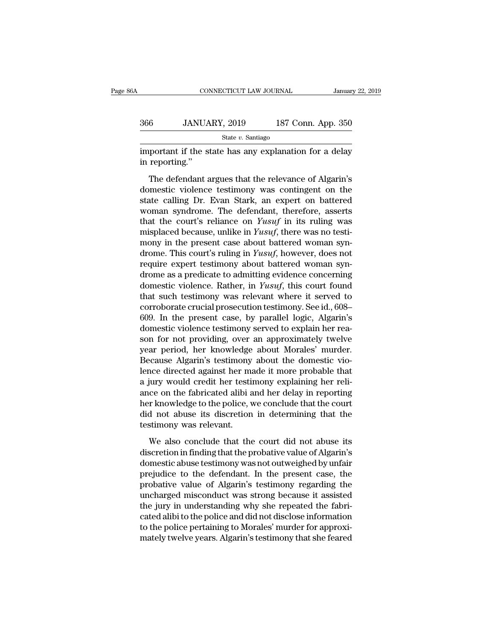| зĀ  | CONNECTICUT LAW JOURNAL                                                  |                    | January 22, 2019 |
|-----|--------------------------------------------------------------------------|--------------------|------------------|
| 366 | JANUARY, 2019                                                            | 187 Conn. App. 350 |                  |
|     | State $v$ . Santiago                                                     |                    |                  |
|     | important if the state has any explanation for a delay<br>in reporting." |                    |                  |

 $\frac{6}{\text{State } v. \text{ Santiago}}$ <br>  $\frac{\text{State } v. \text{ Santiago}}{\text{reporting."}}$ <br>
The defendant argues that the relevance of Algarin's<br>
The defendant argues that the relevance of Algarin's<br>
mestic violence testimony was contingent on the  $\frac{\text{State } v. \text{ Santiago}}{\text{Sate } v. \text{ Santiago}}$ <br>
important if the state has any explanation for a delay<br>
in reporting."<br>
The defendant argues that the relevance of Algarin's<br>
domestic violence testimony was contingent on the<br>
state callin State v. Santiago<br>
important if the state has any explanation for a delay<br>
in reporting."<br>
The defendant argues that the relevance of Algarin's<br>
domestic violence testimony was contingent on the<br>
state calling Dr. Evan St important if the state has any explanation for a delay<br>in reporting."<br>The defendant argues that the relevance of Algarin's<br>domestic violence testimony was contingent on the<br>state calling Dr. Evan Stark, an expert on batter in reporting."<br>
The defendant argues that the relevance of Algarin's<br>
domestic violence testimony was contingent on the<br>
state calling Dr. Evan Stark, an expert on battered<br>
woman syndrome. The defendant, therefore, assert The defendant argues that the relevance of Algarin's<br>domestic violence testimony was contingent on the<br>state calling Dr. Evan Stark, an expert on battered<br>woman syndrome. The defendant, therefore, asserts<br>that the court's The defendant argues that the relevance of Algarin's<br>domestic violence testimony was contingent on the<br>state calling Dr. Evan Stark, an expert on battered<br>woman syndrome. The defendant, therefore, asserts<br>that the court's domestic violence testimony was contingent on the<br>state calling Dr. Evan Stark, an expert on battered<br>woman syndrome. The defendant, therefore, asserts<br>that the court's reliance on *Yusuf*, in its ruling was<br>misplaced beca state calling Dr. Evan Stark, an expert on battered<br>woman syndrome. The defendant, therefore, asserts<br>that the court's reliance on *Yusuf* in its ruling was<br>misplaced because, unlike in *Yusuf*, there was no testi-<br>mony i woman syndrome. The defendant, therefore, asserts<br>that the court's reliance on *Yusuf* in its ruling was<br>misplaced because, unlike in *Yusuf*, there was no testi-<br>mony in the present case about battered woman syn-<br>drome. that the court's reliance on *Yusuf* in its ruling was<br>misplaced because, unlike in *Yusuf*, there was no testi-<br>mony in the present case about battered woman syn-<br>drome. This court's ruling in *Yusuf*, however, does not<br>r misplaced because, unlike in *Yusuf*, there was no testi-<br>mony in the present case about battered woman syn-<br>drome. This court's ruling in *Yusuf*, however, does not<br>require expert testimony about battered woman syn-<br>drom mony in the present case about battered woman syn-<br>drome. This court's ruling in *Yusuf*, however, does not<br>require expert testimony about battered woman syn-<br>drome as a predicate to admitting evidence concerning<br>domestic drome. This court's ruling in *Yusuf*, however, does not<br>require expert testimony about battered woman syn-<br>drome as a predicate to admitting evidence concerning<br>domestic violence. Rather, in *Yusuf*, this court found<br>that require expert testimony about battered woman syn-<br>drome as a predicate to admitting evidence concerning<br>domestic violence. Rather, in *Yusuf*, this court found<br>that such testimony was relevant where it served to<br>corrobora drome as a predicate to admitting evidence concerning<br>domestic violence. Rather, in *Yusuf*, this court found<br>that such testimony was relevant where it served to<br>corroborate crucial prosecution testimony. See id., 608–<br>609 domestic violence. Rather, in *Yusuf*, this court found<br>that such testimony was relevant where it served to<br>corroborate crucial prosecution testimony. See id., 608–<br>609. In the present case, by parallel logic, Algarin's<br>do that such testimony was relevant where it served to<br>corroborate crucial prosecution testimony. See id., 608–<br>609. In the present case, by parallel logic, Algarin's<br>domestic violence testimony served to explain her rea-<br>son corroborate crucial prosecution testimony. See id., 608–609. In the present case, by parallel logic, Algarin's domestic violence testimony served to explain her reason for not providing, over an approximately twelve year p 609. In the present case, by parallel logic, Algarin's<br>domestic violence testimony served to explain her rea-<br>son for not providing, over an approximately twelve<br>year period, her knowledge about Morales' murder.<br>Because Al domestic violence testimony served to explain her reason for not providing, over an approximately twelve<br>year period, her knowledge about Morales' murder.<br>Because Algarin's testimony about the domestic vio-<br>lence directed son for not providing, over an approximately twelve<br>year period, her knowledge about Morales' murder.<br>Because Algarin's testimony about the domestic vio-<br>lence directed against her made it more probable that<br>a jury would c year period, her knowledge about Morales' murder.<br>Because Algarin's testimony about the domestic vio-<br>lence directed against her made it more probable that<br>a jury would credit her testimony explaining her reli-<br>ance on the Because Algarin's testimony<br>lence directed against her ma<br>a jury would credit her testi<br>ance on the fabricated alibi a<br>her knowledge to the police, v<br>did not abuse its discretion<br>testimony was relevant.<br>We also conclude th in y would credit her testimony explaining her reliction of the fabricated alibi and her delay in reporting<br>or knowledge to the police, we conclude that the court<br>d not abuse its discretion in determining that the<br>stimony ance on the fabricated alibi and her delay in reporting<br>her knowledge to the police, we conclude that the court<br>did not abuse its discretion in determining that the<br>testimony was relevant.<br>We also conclude that the court d

ther knowledge to the police, we conclude that the court<br>did not abuse its discretion in determining that the<br>testimony was relevant.<br>We also conclude that the court did not abuse its<br>discretion in finding that the probati did not abuse its discretion in determining that the<br>testimony was relevant.<br>We also conclude that the court did not abuse its<br>discretion in finding that the probative value of Algarin's<br>domestic abuse testimony was not ou testimony was relevant.<br>
We also conclude that the court did not abuse its<br>
discretion in finding that the probative value of Algarin's<br>
domestic abuse testimony was not outweighed by unfair<br>
prejudice to the defendant. In We also conclude that the court did not abuse its<br>discretion in finding that the probative value of Algarin's<br>domestic abuse testimony was not outweighed by unfair<br>prejudice to the defendant. In the present case, the<br>proba We also conclude that the court did not abuse its<br>discretion in finding that the probative value of Algarin's<br>domestic abuse testimony was not outweighed by unfair<br>prejudice to the defendant. In the present case, the<br>proba discretion in finding that the probative value of Algarin's<br>domestic abuse testimony was not outweighed by unfair<br>prejudice to the defendant. In the present case, the<br>probative value of Algarin's testimony regarding the<br>un domestic abuse testimony was not outweighed by unfair<br>prejudice to the defendant. In the present case, the<br>probative value of Algarin's testimony regarding the<br>uncharged misconduct was strong because it assisted<br>the jury i prejudice to the defendant. In the present case, the probative value of Algarin's testimony regarding the uncharged misconduct was strong because it assisted the jury in understanding why she repeated the fabricated alibi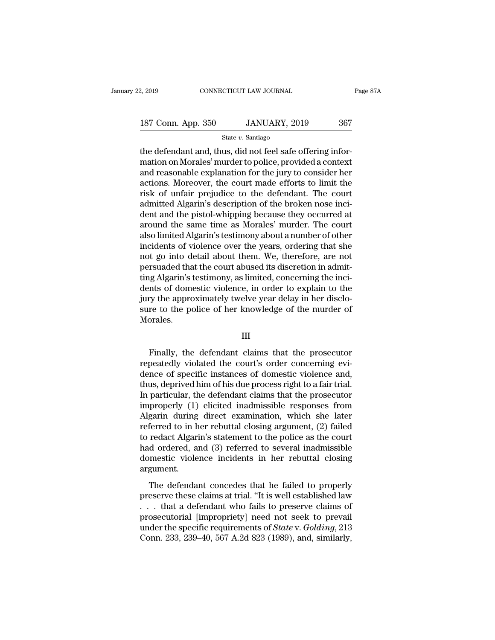| 2, 2019            | CONNECTICUT LAW JOURNAL | Page 87A |  |
|--------------------|-------------------------|----------|--|
|                    |                         |          |  |
| 187 Conn. App. 350 | JANUARY, 2019           | 367      |  |
|                    | State $v$ . Santiago    |          |  |

on CONNECTICUT LAW JOURNAL<br>
187 Conn. App. 350 JANUARY, 2019 367<br>
5tate v. Santiago<br>
the defendant and, thus, did not feel safe offering infor-<br>
mation on Morales' murder to police, provided a context<br>
and reasonable evale 187 Conn. App. 350 JANUARY, 2019 367<br>State v. Santiago<br>the defendant and, thus, did not feel safe offering infor-<br>mation on Morales' murder to police, provided a context<br>and reasonable explanation for the jury to consider 187 Conn. App. 350 JANUARY, 2019 367<br>
State v. Santiago<br>
the defendant and, thus, did not feel safe offering infor-<br>
mation on Morales' murder to police, provided a context<br>
and reasonable explanation for the jury to cons 187 Conn. App. 350 JANUARY, 2019 367<br>
State v. Santiago<br>
the defendant and, thus, did not feel safe offering infor-<br>
mation on Morales' murder to police, provided a context<br>
and reasonable explanation for the jury to cons State v. Santiago<br>
State v. Santiago<br>
the defendant and, thus, did not feel safe offering infor-<br>
mation on Morales' murder to police, provided a context<br>
and reasonable explanation for the jury to consider her<br>
actions. state  $v$ . Santiago<br>the defendant and, thus, did not feel safe offering infor-<br>mation on Morales' murder to police, provided a context<br>and reasonable explanation for the jury to consider her<br>actions. Moreover, the court m the defendant and, thus, did not feel safe offering information on Morales' murder to police, provided a context<br>and reasonable explanation for the jury to consider her<br>actions. Moreover, the court made efforts to limit th mation on Morales' murder to police, provided a context<br>and reasonable explanation for the jury to consider her<br>actions. Moreover, the court made efforts to limit the<br>risk of unfair prejudice to the defendant. The court<br>ad and reasonable explanation for the jury to consider her<br>actions. Moreover, the court made efforts to limit the<br>risk of unfair prejudice to the defendant. The court<br>admitted Algarin's description of the broken nose inci-<br>de actions. Moreover, the court made efforts to limit the<br>risk of unfair prejudice to the defendant. The court<br>admitted Algarin's description of the broken nose inci-<br>dent and the pistol-whipping because they occurred at<br>arou risk of unfair prejudice to the defendant. The court<br>admitted Algarin's description of the broken nose inci-<br>dent and the pistol-whipping because they occurred at<br>around the same time as Morales' murder. The court<br>also lim admitted Algarin's description of the broken nose incident and the pistol-whipping because they occurred at around the same time as Morales' murder. The court also limited Algarin's testimony about a number of other incide dent and the pistol-whipping because they occurred at around the same time as Morales' murder. The court also limited Algarin's testimony about a number of other incidents of violence over the years, ordering that she not around the same time as Morales' murder. The court<br>also limited Algarin's testimony about a number of other<br>incidents of violence over the years, ordering that she<br>not go into detail about them. We, therefore, are not<br>pers also limited Algarin's testimony about a number of other incidents of violence over the years, ordering that she<br>not go into detail about them. We, therefore, are not<br>persuaded that the court abused its discretion in admit incidents of violence over the years, ordering that she<br>not go into detail about them. We, therefore, are not<br>persuaded that the court abused its discretion in admit-<br>ting Algarin's testimony, as limited, concerning the in Morales. Ints of domestic violence, in order to explain to the<br>ry the approximately twelve year delay in her disclo-<br>re to the police of her knowledge of the murder of<br>orales.<br>III<br>Finally, the defendant claims that the prosecutor<br>p

### III

Finally the approximately twelve year delay in her disclosure to the police of her knowledge of the murder of<br>Morales.<br>III<br>Finally, the defendant claims that the prosecutor<br>repeatedly violated the court's order concerning sure to the police of her knowledge of the murder of<br>Morales.<br>III<br>Finally, the defendant claims that the prosecutor<br>repeatedly violated the court's order concerning evi-<br>dence of specific instances of domestic violence and Morales.<br>
III<br>
Finally, the defendant claims that the prosecutor<br>
repeatedly violated the court's order concerning evi-<br>
dence of specific instances of domestic violence and,<br>
thus, deprived him of his due process right to III<br>Finally, the defendant claims that the prosecutor<br>repeatedly violated the court's order concerning evi-<br>dence of specific instances of domestic violence and,<br>thus, deprived him of his due process right to a fair trial. Finally, the defendant claims that the prosecutor<br>repeatedly violated the court's order concerning evi-<br>dence of specific instances of domestic violence and,<br>thus, deprived him of his due process right to a fair trial.<br>In Finally, the defendant claims that the prosecutor<br>repeatedly violated the court's order concerning evi-<br>dence of specific instances of domestic violence and,<br>thus, deprived him of his due process right to a fair trial.<br>In repeatedly violated the court's order concerning evi-<br>dence of specific instances of domestic violence and,<br>thus, deprived him of his due process right to a fair trial.<br>In particular, the defendant claims that the prosecut dence of specific instances of domestic violence and,<br>thus, deprived him of his due process right to a fair trial.<br>In particular, the defendant claims that the prosecutor<br>improperly (1) elicited inadmissible responses from thus, deprived him of his due process right to a fair trial.<br>In particular, the defendant claims that the prosecutor<br>improperly (1) elicited inadmissible responses from<br>Algarin during direct examination, which she later<br>re In particular, the defendant claims that the prosecutor<br>improperly (1) elicited inadmissible responses from<br>Algarin during direct examination, which she later<br>referred to in her rebuttal closing argument, (2) failed<br>to red argument. Ferred to in her rebuttal closing argument, (2) failed<br>redact Algarin's statement to the police as the court<br>d ordered, and (3) referred to several inadmissible<br>mestic violence incidents in her rebuttal closing<br>gument.<br>The preserved to in her restatant electric comparisons argument, ( $\Box$ ) ranced to redact Algarin's statement to the police as the court had ordered, and (3) referred to several inadmissible domestic violence incidents in her

that a defendant of the price as are court<br>had ordered, and (3) referred to several inadmissible<br>domestic violence incidents in her rebuttal closing<br>argument.<br>The defendant concedes that he failed to properly<br>preserve the maa ordered, and (*b)* referred to be verdal mathrassiste<br>domestic violence incidents in her rebuttal closing<br>argument.<br>The defendant concedes that he failed to properly<br>preserve these claims at trial. "It is well establi argument.<br>The defendant concedes that he failed to properly<br>preserve these claims at trial. "It is well established law<br>... that a defendant who fails to preserve claims of<br>prosecutorial [impropriety] need not seek to prev The defendant concedes that he failed to properly<br>preserve these claims at trial. "It is well established law<br> $\dots$  that a defendant who fails to preserve claims of<br>prosecutorial [impropriety] need not seek to prevail<br>unde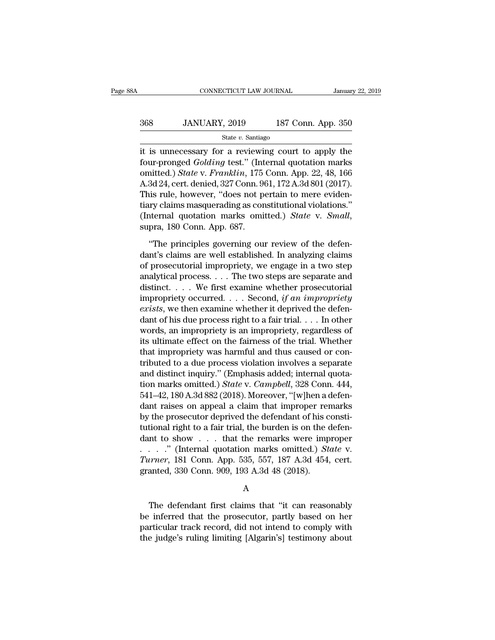# EXECUTE CONNECTICUT LAW JOURNAL January 22, 2019<br>368 JANUARY, 2019 187 Conn. App. 350<br>50 State v. Santiago

### State *v.* Santiago

CONNECTICUT LAW JOURNAL January 22, 2019<br>
368 JANUARY, 2019 187 Conn. App. 350<br>
<sup>368</sup> State v. Santiago<br>
it is unnecessary for a reviewing court to apply the<br>
four-pronged *Golding* test." (Internal quotation marks<br>
courte Four-pronged *Golding* test." (Internal quotation marks omitted.) *State v. Franklin*, 175 Conn. App. 22, 48, 166<br>A 2d 24 cort dominal  $227$  Conn 061–172 A 2d 801 (2017) **S68** JANUARY, 2019 187 Conn. App. 350<br>
State v. Santiago<br>
it is unnecessary for a reviewing court to apply the<br>
four-pronged *Golding* test." (Internal quotation marks<br>
omitted.) *State* v. *Franklin*, 175 Conn. App. 22,  $\frac{\text{368}}{\text{State } v. \text{ Santiago}}$ <br>  $\frac{\text{State } v. \text{ Santiago}}{\text{11}}$ <br>
it is unnecessary for a reviewing court to apply the<br>
four-pronged *Golding* test." (Internal quotation marks<br>
omitted.) *State v. Franklin*, 175 Conn. App. 22, 48, 166<br>
A. State v. Santiago<br>
it is unnecessary for a reviewing court to apply the<br>
four-pronged *Golding* test." (Internal quotation marks<br>
omitted.) State v. Franklin, 175 Conn. App. 22, 48, 166<br>
A.3d 24, cert. denied, 327 Conn. 9 state *i*. saltiago<br>it is unnecessary for a reviewing court to apply the<br>four-pronged *Golding* test." (Internal quotation marks<br>omitted.) *State* v. *Franklin*, 175 Conn. App. 22, 48, 166<br>A.3d 24, cert. denied, 327 Conn. it is unnecessary for a reviewing court to apply the<br>four-pronged *Golding* test." (Internal quotation marks<br>omitted.) *State* v. *Franklin*, 175 Conn. App. 22, 48, 166<br>A.3d 24, cert. denied, 327 Conn. 961, 172 A.3d 801 (2 3d 24, cert. denied, 327 Conn. 961, 172 A.3d 801 (2017).<br>
is rule, however, "does not pertain to mere eviden-<br>
rule, however, "does not pertain to mere eviden-<br>
rule principles governing our review of the defen-<br>
rule prin This rule, however, "does not pertain to mere evidentiary claims masquerading as constitutional violations."<br>
(Internal quotation marks omitted.) *State* v. *Small*, supra, 180 Conn. App. 687.<br>
"The principles governing o

tiary claims masquerading as constitutional violations."<br>
(Internal quotation marks omitted.) *State* v. *Small*,<br>
supra, 180 Conn. App. 687.<br>
"The principles governing our review of the defen-<br>
dant's claims are well esta (Internal quotation marks omitted.) *State* v. *Small*,<br>supra, 180 Conn. App. 687.<br>"The principles governing our review of the defen-<br>dant's claims are well established. In analyzing claims<br>of prosecutorial impropriety, w supra, 180 Conn. App. 687.<br>
"The principles governing our review of the defendant's claims are well established. In analyzing claims<br>
of prosecutorial impropriety, we engage in a two step<br>
analytical process.... The two s "The principles governing our review of the defen-<br>dant's claims are well established. In analyzing claims<br>of prosecutorial impropriety, we engage in a two step<br>analytical process. . . . The two steps are separate and<br>dis "The principles governing our review of the defendant's claims are well established. In analyzing claims of prosecutorial impropriety, we engage in a two step analytical process. . . . The two steps are separate and disti dant's claims are well established. In analyzing claims<br>of prosecutorial impropriety, we engage in a two step<br>analytical process. . . . The two steps are separate and<br>distinct. . . . We first examine whether prosecutorial of prosecutorial impropriety, we engage in a two step<br>analytical process. . . . The two steps are separate and<br>distinct. . . . We first examine whether prosecutorial<br>impropriety occurred. . . . Second, if an impropriety<br>e analytical process. . . . The two steps are separate and<br>distinct. . . . We first examine whether prosecutorial<br>impropriety occurred. . . . Second, if an impropriety<br>exists, we then examine whether it deprived the defen-<br> distinct.... We first examine whether prosecutorial<br>impropriety occurred....Second, if an impropriety<br>exists, we then examine whether it deprived the defen-<br>dant of his due process right to a fair trial.... In other<br>words impropriety occurred.... Second, if an impropriety<br>exists, we then examine whether it deprived the defen-<br>dant of his due process right to a fair trial.... In other<br>words, an impropriety is an impropriety, regardless of<br>i exists, we then examine whether it deprived the defendant of his due process right to a fair trial. . . . In other words, an impropriety is an impropriety, regardless of its ultimate effect on the fairness of the trial. W dant of his due process right to a fair trial. . . . In other<br>words, an impropriety is an impropriety, regardless of<br>its ultimate effect on the fairness of the trial. Whether<br>that impropriety was harmful and thus caused or words, an impropriety is an impropriety, regardless of<br>its ultimate effect on the fairness of the trial. Whether<br>that impropriety was harmful and thus caused or con-<br>tributed to a due process violation involves a separate<br> its ultimate effect on the fairness of the trial. Whether<br>that impropriety was harmful and thus caused or con-<br>tributed to a due process violation involves a separate<br>and distinct inquiry." (Emphasis added; internal quota that impropriety was harmful and thus caused or contributed to a due process violation involves a separate<br>and distinct inquiry." (Emphasis added; internal quota-<br>tion marks omitted.) *State* v. *Campbell*, 328 Conn. 444,<br> tributed to a due process violation involves a separate<br>and distinct inquiry." (Emphasis added; internal quota-<br>tion marks omitted.) *State* v. *Campbell*, 328 Conn. 444,<br>541–42, 180 A.3d 882 (2018). Moreover, "[w]hen a d and distinct inquiry." (Emphasis added; internal quotation marks omitted.) *State* v. *Campbell*, 328 Conn. 444, 541–42, 180 A.3d 882 (2018). Moreover, "[w]hen a defendant raises on appeal a claim that improper remarks by tion marks omitted.) *State* v. *Campbell*, 328 Conn. 444, 541–42, 180 A.3d 882 (2018). Moreover, "[w]hen a defendant raises on appeal a claim that improper remarks by the prosecutor deprived the defendant of his constitut 541–42, 180 A.3d 882 (2018). Moreover, "[w]hen a defendant raises on appeal a claim that improper remarks<br>by the prosecutor deprived the defendant of his constitutional right to a fair trial, the burden is on the defendan dant raises on appeal a claim that improper remarks<br>by the prosecutor deprived the defendant of his consti-<br>tutional right to a fair trial, the burden is on the defen-<br>dant to show . . . that the remarks were improper<br> $\ld$ The defendant first claims that "it can reasonably<br>
The defendant first claims that "it can reasonably<br>
inferred that the prosecutor, partly based on her<br>
rigular real reasonably<br>
inferred that the prosecutor, partly base

### A

Furner, 181 Conn. App. 535, 557, 187 A.3d 454, cert.<br>granted, 330 Conn. 909, 193 A.3d 48 (2018).<br>A<br>The defendant first claims that "it can reasonably<br>be inferred that the prosecutor, partly based on her<br>particular track r Furner, 151 Colul. App. 555, 557, 157 A.5d 454, cert.<br>granted, 330 Conn. 909, 193 A.3d 48 (2018).<br>A<br>The defendant first claims that "it can reasonably<br>be inferred that the prosecutor, partly based on her<br>particular track granted, 550 Confl. 909, 195 A.5d 46 (2016).<br>
A<br>
The defendant first claims that "it can reasonably<br>
be inferred that the prosecutor, partly based on her<br>
particular track record, did not intend to comply with<br>
the judge's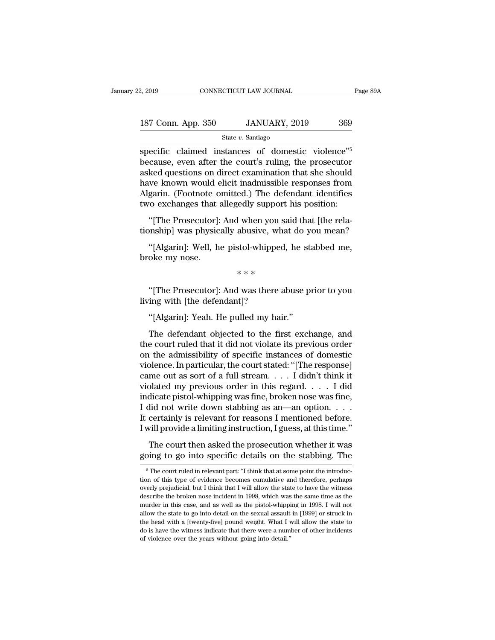# 2, 2019 CONNECTICUT LAW JOURNAL Page 89A<br>187 Conn. App. 350 JANUARY, 2019 369<br>State v. Santiago

State *v.* Santiago

 $\frac{2,2019}{2,2019}$  connectricut LAW JOURNAL Page 89<br>  $\frac{187 \text{ Conn. App. } 350}{\text{State } v. \text{ Santiago}}$ <br>  $\frac{189}{\text{Specific. claimed} \text{ instances of domestic violence}^{v5}}$ <br>  $\frac{189}{\text{because, even after the court's ruling, the processor}}$ 187 Conn. App. 350 JANUARY, 2019 369<br>State v. Santiago<br>Specific claimed instances of domestic violence<sup>15</sup><br>because, even after the court's ruling, the prosecutor<br>asked questions on direct examination that she should<br>have k 187 Conn. App. 350 JANUARY, 2019 369<br>
State v. Santiago<br>
Specific claimed instances of domestic violence<sup>75</sup><br>
because, even after the court's ruling, the prosecutor<br>
asked questions on direct examination that she should<br> 187 Conn. App. 350 JANUARY, 2019 369<br>
State v. Santiago<br>
Specific claimed instances of domestic violence<sup>75</sup><br>
because, even after the court's ruling, the prosecutor<br>
asked questions on direct examination that she should<br> State v. Santiago<br>
State v. Santiago<br>
Specific claimed instances of domestic violence<sup>75</sup><br>
because, even after the court's ruling, the prosecutor<br>
asked questions on direct examination that she should<br>
have known would el state v. santago<br>specific claimed instances of domestic violence"<sup>5</sup><br>because, even after the court's ruling, the prosecutor<br>asked questions on direct examination that she should<br>have known would elicit inadmissible respon cause, even after the court's ruling, the prosecutor<br>ked questions on direct examination that she should<br>we known would elicit inadmissible responses from<br>garin. (Footnote omitted.) The defendant identifies<br>to exchanges th secaase, even after are coards raing, are prosecator<br>asked questions on direct examination that she should<br>have known would elicit inadmissible responses from<br>Algarin. (Footnote omitted.) The defendant identifies<br>two excha we known would elicit inadmissible responses from<br>garin. (Footnote omitted.) The defendant identifies<br>o exchanges that allegedly support his position:<br>"[The Prosecutor]: And when you said that [the rela-<br>phispiped, which w

Algarin. (Footnote of<br>two exchanges that :<br>"[The Prosecutor]:<br>tionship] was physic<br>"[Algarin]: Well, h<br>broke my nose.  $\frac{1}{2}$  when you satisfy what stol-whipped,<br> $\frac{1}{2}$  \* \* \* \* \*  $\frac{1}{2}$  was there ab

The Prosecutor]: And was there abuse prior to you mean?<br>
"[Algarin]: Well, he pistol-whipped, he stabbed me,<br>
oke my nose.<br>
\*\*\*<br>
"[The Prosecutor]: And was there abuse prior to you ing with [the defendant]? "[Algarin]: Well, he pistol-whipped<br>broke my nose.<br>"\*\*\*<br>"[The Prosecutor]: And was there a<br>living with [the defendant]?<br>"[Algarin]: Yeah. He pulled my hai

oke my nose.<br>
\*\*\*<br>
"[The Prosecutor]: And was there abuse p<br>
ing with [the defendant]?<br>
"[Algarin]: Yeah. He pulled my hair."<br>
The defendant objected to the first excl

\* \* \*<br>
"[The Prosecutor]: And was there abuse prior to you<br>
ing with [the defendant]?<br>
"[Algarin]: Yeah. He pulled my hair."<br>
The defendant objected to the first exchange, and<br>
e court ruled that it did not violate its pre "[The Prosecutor]: And was there abuse prior to you<br>living with [the defendant]?<br>"[Algarin]: Yeah. He pulled my hair."<br>The defendant objected to the first exchange, and<br>the court ruled that it did not violate its previous "[The Prosecutor]: And was there abuse prior to you<br>living with [the defendant]?<br>"[Algarin]: Yeah. He pulled my hair."<br>The defendant objected to the first exchange, and<br>the court ruled that it did not violate its previous living with [the defendant]?<br>
"[Algarin]: Yeah. He pulled my hair."<br>
The defendant objected to the first exchange, and<br>
the court ruled that it did not violate its previous order<br>
on the admissibility of specific instances "[Algarin]: Yeah. He pulled my hair."<br>The defendant objected to the first exchange, and<br>the court ruled that it did not violate its previous order<br>on the admissibility of specific instances of domestic<br>violence. In partic The defendant objected to the first exchange, and<br>the court ruled that it did not violate its previous order<br>on the admissibility of specific instances of domestic<br>violence. In particular, the court stated: "[The response The defendant objected to the first exchange, and<br>the court ruled that it did not violate its previous order<br>on the admissibility of specific instances of domestic<br>violence. In particular, the court stated: "[The response the court ruled that it did not violate its previous order<br>on the admissibility of specific instances of domestic<br>violence. In particular, the court stated: "[The response]<br>came out as sort of a full stream. . . . I didn't on the admissibility of specific instances of domestic<br>violence. In particular, the court stated: "[The response]<br>came out as sort of a full stream. . . . I didn't think it<br>violated my previous order in this regard. . . . violence. In particular, the court stated: "[The response]<br>came out as sort of a full stream. . . . I didn't think it<br>violated my previous order in this regard. . . . I did<br>indicate pistol-whipping was fine, broken nose w The court short of a ran satelah.  $\ldots$  and a single plated my previous order in this regard.  $\ldots$  I did dicate pistol-whipping was fine, broken nose was fine, lid not write down stabbing as an—an option.  $\ldots$  certainly indicate his previous order in ans regard:  $\ldots$  in the simulation indicate pistol-whipping was fine, broken nose was fine, I did not write down stabbing as an—an option.  $\ldots$  It certainly is relevant for reasons I menti

will provide a limiting instruction, I guess, at this time."<br>The court then asked the prosecution whether it was<br>bing to go into specific details on the stabbing. The<br> $\frac{5}{10}$  The court ruled in relevant part: "I think

The court then asked the prosecution whether it was<br>going to go into specific details on the stabbing. The<br> $\frac{1}{10}$  The court ruled in relevant part: "I think that at some point the introduction of this type of evidence The court then asked the prosecution whether it was<br>going to go into specific details on the stabbing. The<br> $\frac{1}{10}$   $\frac{1}{10}$   $\frac{1}{10}$   $\frac{1}{10}$   $\frac{1}{10}$  relevant part: "I think that at some point the introduction going to go into specific details on the stabbing. The  $\frac{1}{100}$  in the stabbing of this type of evidence becomes cumulative and therefore, perhaps overly prejudicial, but I think that I will allow the state to have the The state of this state, and as well as the state in 1998) or struck in the state of this type of evidence becomes cumulative and therefore, perhaps overly prejudicial, but I think that I will allow the state to have the <sup>5</sup> The court ruled in relevant part: "I think that at some point the introduction of this type of evidence becomes cumulative and therefore, perhaps overly prejudicial, but I think that I will allow the state to have the the head with a [twenty-five] booms cumulative and therefore, perhaps<br>overly prejudicial, but I think that I will allow the state to have the witness<br>describe the broken nose incident in 1998, which was the same time as th do is have the witness describe the broken host with the witness describe the broken nose incident in 1998, which was the same time as the murder in this case, and as well as the pistol-whipping in 1998. I will not allow t of violence the broken nose incident in 1998, which was describe the broken nose incident in 1998, which was murder in this case, and as well as the pistol-whippi allow the state to go into detail on the sexual assault th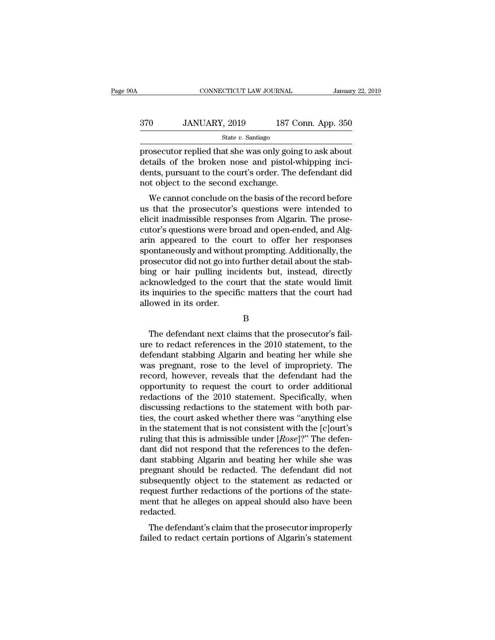### CONNECTICUT LAW JOURNAL January 22, 2019<br>370 JANUARY, 2019 187 Conn. App. 350<br>State v. Santiago State *v.* Santiago

FRIENT CONNECTICUT LAW JOURNAL January 22, 2019<br>
370 JANUARY, 2019 187 Conn. App. 350<br>
5 State v. Santiago<br>
prosecutor replied that she was only going to ask about<br>
details of the broken nose and pistol-whipping incidents 370 JANUARY, 2019 187 Conn. App. 350<br>
State v. Santiago<br>
prosecutor replied that she was only going to ask about<br>
details of the broken nose and pistol-whipping inci-<br>
dents, pursuant to the court's order. The defendant di  $\begin{array}{c} \text{370} \text{JANUARY, } 2019 \text{I87 Conn. App. 350} \\ \text{State } v. \text{ Santiago} \\ \text{prosecutor replied that she was only going to ask about details of the broken nose and pistol-whipping incidents, pursuit to the court's order. The defendant did not object to the second exchange.} \end{array}$  $\begin{array}{ll} \hline \text{370} & \text{JANUARY, 2019} & \text{187 C} \\ \hline \\ \text{State $v$. Santiago} \\ \hline \text{prosecutor replied that she was only go in details of the broken nose and pistol-vdents, pursuit to the court's order. The not object to the second exchange. \\ \hline \text{We cannot conclude on the basis of the} \\ \hline \end{array}$ State  $v$ . Santiago<br>
secutor replied that she was only going to ask about<br>
tails of the broken nose and pistol-whipping inci-<br>
nts, pursuant to the court's order. The defendant did<br>
to bject to the second exchange.<br>
We ca prosecutor replied that she was only going to ask about<br>details of the broken nose and pistol-whipping inci-<br>dents, pursuant to the court's order. The defendant did<br>not object to the second exchange.<br>We cannot conclude on

prosectuor replied that site was only going to ask about<br>details of the broken nose and pistol-whipping inci-<br>dents, pursuant to the court's order. The defendant did<br>not object to the second exchange.<br>We cannot conclude on details of the broken hose and pistor-whipping increases.<br>
dents, pursuant to the court's order. The defendant did<br>
not object to the second exchange.<br>
We cannot conclude on the basis of the record before<br>
us that the pros dents, pursuant to the court is order. The detendant dual<br>not object to the second exchange.<br>We cannot conclude on the basis of the record before<br>us that the prosecutor's questions were intended to<br>elicit inadmissible resp sport to the second exchange.<br>We cannot conclude on the basis of the record before<br>us that the prosecutor's questions were intended to<br>elicit inadmissible responses from Algarin. The prose-<br>cutor's questions were broad and We cannot conclude on the basis of the record before<br>us that the prosecutor's questions were intended to<br>elicit inadmissible responses from Algarin. The prose-<br>cutor's questions were broad and open-ended, and Alg-<br>arin app us that the prosecutor's questions were intended to<br>elicit inadmissible responses from Algarin. The prose-<br>cutor's questions were broad and open-ended, and Alg-<br>arin appeared to the court to offer her responses<br>spontaneous elicit inadmissible responses from Algarin. The prose-<br>cutor's questions were broad and open-ended, and Alg-<br>arin appeared to the court to offer her responses<br>spontaneously and without prompting. Additionally, the<br>prosecut cutor's questions were broad and open-ended, and Algarin appeared to the court to offer her responses spontaneously and without prompting. Additionally, the prosecutor did not go into further detail about the stabbing or h arin appeared to the comportaneously and withous<br>prosecutor did not go into<br>bing or hair pulling incondex<br>acknowledged to the coutis inquiries to the specifical<br>lowed in its order. Implementary or hair pulling incidents but, instead, directly<br>
inquiries to the court that the state would limit<br>
inquiries to the specific matters that the court had<br>
owed in its order.<br>
B<br>
The defendant next claims that

B

acknowledged to the court that the state would limit<br>its inquiries to the specific matters that the court had<br>allowed in its order.<br>B<br>The defendant next claims that the prosecutor's fail-<br>ure to redact references in the 20 its inquiries to the specific matters that the court had<br>allowed in its order.<br>B<br>The defendant next claims that the prosecutor's fail-<br>ure to redact references in the 2010 statement, to the<br>defendant stabbing Algarin and b B<br>B<br>The defendant next claims that the prosecutor's fail-<br>ure to redact references in the 2010 statement, to the<br>defendant stabbing Algarin and beating her while she<br>was pregnant, rose to the level of impropriety. The<br>reco B<br>
The defendant next claims that the prosecutor's fail-<br>
ure to redact references in the 2010 statement, to the<br>
defendant stabbing Algarin and beating her while she<br>
was pregnant, rose to the level of impropriety. The<br>
r D<br>The defendant next claims that the prosecutor's fail-<br>ure to redact references in the 2010 statement, to the<br>defendant stabbing Algarin and beating her while she<br>was pregnant, rose to the level of impropriety. The<br>record The defendant next claims that the prosecutor's fail-<br>ure to redact references in the 2010 statement, to the<br>defendant stabbing Algarin and beating her while she<br>was pregnant, rose to the level of impropriety. The<br>record, ure to redact references in the 2010 statement, to the defendant stabbing Algarin and beating her while she was pregnant, rose to the level of impropriety. The record, however, reveals that the defendant had the opportunit defendant stabbing Algarin and beating her while she<br>was pregnant, rose to the level of impropriety. The<br>record, however, reveals that the defendant had the<br>opportunity to request the court to order additional<br>redactions o was pregnant, rose to the level of impropriety. The<br>record, however, reveals that the defendant had the<br>opportunity to request the court to order additional<br>redactions of the 2010 statement. Specifically, when<br>discussing record, however, reveals that the defendant had the<br>opportunity to request the court to order additional<br>redactions of the 2010 statement. Specifically, when<br>discussing redactions to the statement with both par-<br>ties, the opportunity to request the court to order additional<br>redactions of the 2010 statement. Specifically, when<br>discussing redactions to the statement with both par-<br>ties, the court asked whether there was "anything else<br>in the redactions of the 2010 statement. Specifically, when<br>discussing redactions to the statement with both par-<br>ties, the court asked whether there was "anything else<br>in the statement that is not consistent with the [c]ourt's<br> discussing redactions to the statement with both parties, the court asked whether there was "anything else<br>in the statement that is not consistent with the [c]ourt's<br>ruling that this is admissible under [*Rose*]?" The defe ties, the court asked whether there was "anything else<br>in the statement that is not consistent with the [c]ourt's<br>ruling that this is admissible under [*Rose*]?" The defen-<br>dant did not respond that the references to the d in the statement that is not consistent with the [c]ourt's<br>ruling that this is admissible under  $[Rose]$ ?" The defen-<br>dant did not respond that the references to the defen-<br>dant stabbing Algarin and beating her while she wa ruling that this is admissible under  $[Rose]$ ?" The defen-<br>dant did not respond that the references to the defen-<br>dant stabbing Algarin and beating her while she was<br>pregnant should be redacted. The defendant did not<br>subsequ redacted. In stabbilig Algarin and beating her while site was<br>egnant should be redacted. The defendant did not<br>bsequently object to the statement as redacted or<br>quest further redactions of the portions of the state-<br>ent that he alle pregnant should be redacted. The defendant did not<br>subsequently object to the statement as redacted or<br>request further redactions of the protions of the state-<br>ment that he alleges on appeal should also have been<br>redacted.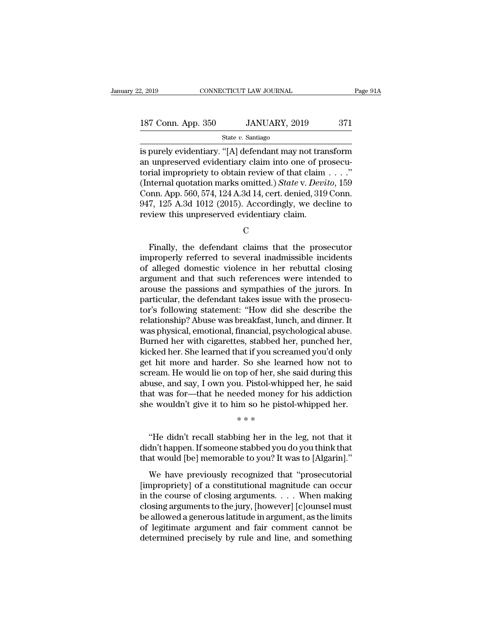| 2, 2019            | CONNECTICUT LAW JOURNAL | Page 91A |  |
|--------------------|-------------------------|----------|--|
|                    |                         |          |  |
| 187 Conn. App. 350 | JANUARY, 2019           | 371      |  |
|                    | State $v$ . Santiago    |          |  |

<sup>2, 2019</sup> CONNECTICUT LAW JOURNAL Page 91A<br>
187 Conn. App. 350 JANUARY, 2019 371<br>
<sup>State v. Santiago<br>
is purely evidentiary. "[A] defendant may not transform<br>
an unpreserved evidentiary claim into one of prosecu-<br>
torial i</sup> 187 Conn. App. 350 JANUARY, 2019 371<br>
State v. Santiago<br>
is purely evidentiary. "[A] defendant may not transform<br>
an unpreserved evidentiary claim into one of prosecu-<br>
torial impropriety to obtain review of that claim . . 187 Conn. App. 350 JANUARY, 2019 371<br>
State v. Santiago<br>
is purely evidentiary. "[A] defendant may not transform<br>
an unpreserved evidentiary claim into one of prosecu-<br>
torial impropriety to obtain review of that claim . (IST Conn. App. 350 JANUARY, 2019 371<br>
State v. Santiago<br>
is purely evidentiary. "[A] defendant may not transform<br>
an unpreserved evidentiary claim into one of prosecu-<br>
torial impropriety to obtain review of that claim . State v. Santiago<br>
State v. Santiago<br>
is purely evidentiary. "[A] defendant may not transform<br>
an unpreserved evidentiary claim into one of prosecu-<br>
torial impropriety to obtain review of that claim . . . ."<br>
(Internal q State v. Santiago<br>
is purely evidentiary. "[A] defendant may not transform<br>
an unpreserved evidentiary claim into one of prosecu-<br>
torial impropriety to obtain review of that claim . . . ."<br>
(Internal quotation marks omitt is purely evidentiary. "[A] defendant may not tran an unpreserved evidentiary claim into one of pr<br>torial impropriety to obtain review of that claim<br>(Internal quotation marks omitted.) *State* v. *Devi*<br>Conn. App. 560, 574 The definition marks omitted.) *State v. Devito*, 159<br>
19 Dnn. App. 560, 574, 124 A.3d 14, cert. denied, 319 Conn.<br>
17, 125 A.3d 1012 (2015). Accordingly, we decline to<br>
17, 125 A.3d 1012 (2015). Accordingly, we decline to

C<sub>c</sub>

Conn. App. 560, 574, 124 A.3d 14, cert. denied, 319 Conn.<br>947, 125 A.3d 1012 (2015). Accordingly, we decline to<br>review this unpreserved evidentiary claim.<br>C<br>Finally, the defendant claims that the prosecutor<br>improperly refe 947, 125 A.3d 1012 (2015). Accordingly, we decline to<br>review this unpreserved evidentiary claim.<br>C<br>Finally, the defendant claims that the prosecutor<br>improperly referred to several inadmissible incidents<br>of alleged domestic review this unpreserved evidentiary claim.<br>
C<br>
Finally, the defendant claims that the prosecutor<br>
improperly referred to several inadmissible incidents<br>
of alleged domestic violence in her rebuttal closing<br>
argument and th C<br>
Finally, the defendant claims that the prosecutor<br>
improperly referred to several inadmissible incidents<br>
of alleged domestic violence in her rebuttal closing<br>
argument and that such references were intended to<br>
arouse Finally, the defendant claims that the prosecutor<br>improperly referred to several inadmissible incidents<br>of alleged domestic violence in her rebuttal closing<br>argument and that such references were intended to<br>arouse the pas Finally, the defendant claims that the prosecutor<br>
improperly referred to several inadmissible incidents<br>
of alleged domestic violence in her rebuttal closing<br>
argument and that such references were intended to<br>
arouse the improperly referred to several inadmissible incidents<br>of alleged domestic violence in her rebuttal closing<br>argument and that such references were intended to<br>arouse the passions and sympathies of the jurors. In<br>particular, of alleged domestic violence in her rebuttal closing<br>argument and that such references were intended to<br>arouse the passions and sympathies of the jurors. In<br>particular, the defendant takes issue with the prosecu-<br>tor's fol argument and that such references were intended to<br>arouse the passions and sympathies of the jurors. In<br>particular, the defendant takes issue with the prosecu-<br>tor's following statement: "How did she describe the<br>relations arouse the passions and sympathies of the jurors. In<br>particular, the defendant takes issue with the prosecu-<br>tor's following statement: "How did she describe the<br>relationship? Abuse was breakfast, lunch, and dinner. It<br>was particular, the defendant takes issue with the prosecutor's following statement: "How did she describe the relationship? Abuse was breakfast, lunch, and dinner. It was physical, emotional, financial, psychological abuse. B tor's following statement: "How did she describe the relationship? Abuse was breakfast, lunch, and dinner. It was physical, emotional, financial, psychological abuse. Burned her with cigarettes, stabbed her, punched her, k relationship? Abuse was breakfast, lunch, and dinner. It<br>was physical, emotional, financial, psychological abuse.<br>Burned her with cigarettes, stabbed her, punched her,<br>kicked her. She learned that if you screamed you'd onl was physical, emotional, financial, psychological abuse.<br>Burned her with cigarettes, stabbed her, punched her,<br>kicked her. She learned that if you screamed you'd only<br>get hit more and harder. So she learned how not to<br>scre Burned her with cigarettes, stabbed her, punched her, kicked her. She learned that if you screamed you'd only get hit more and harder. So she learned how not to scream. He would lie on top of her, she said during this abus kicked her. She learned that if you screamed you'd only<br>get hit more and harder. So she learned how not to<br>scream. He would lie on top of her, she said during this<br>abuse, and say, I own you. Pistol-whipped her, he said<br>th ream. He would lie on top of her, she said during this<br>
use, and say, I own you. Pistol-whipped her, he said<br>
at was for—that he needed money for his addiction<br>
e wouldn't give it to him so he pistol-whipped her.<br>  $**$ <br>
"H

abuse, and say, I own you. Pistol-whipped her, he said<br>that was for—that he needed money for his addiction<br>she wouldn't give it to him so he pistol-whipped her.<br>\*\*\*<br>"He didn't recall stabbing her in the leg, not that it<br>di that was for—that he needed money for his addiction<br>she wouldn't give it to him so he pistol-whipped her.<br> $***$ <br>"He didn't recall stabbing her in the leg, not that it<br>didn't happen. If someone stabbed you do you think that<br>  $**$ <br>
"He didn't recall stabbing her in the leg, not that it<br>
dn't happen. If someone stabbed you do you think that<br>
at would [be] memorable to you? It was to [Algarin]."<br>
We have previously recognized that "prosecutorial<br>

 $****$ <br>
"He didn't recall stabbing her in the leg, not that it<br>
didn't happen. If someone stabbed you do you think that<br>
that would [be] memorable to you? It was to [Algarin]."<br>
We have previously recognized that "prosecuto "He didn't recall stabbing her in the leg, not that it<br>didn't happen. If someone stabbed you do you think that<br>that would [be] memorable to you? It was to [Algarin]."<br>We have previously recognized that "prosecutorial<br>[impr re didn't recear seasong fier in the feg, not that not<br>didn't happen. If someone stabbed you do you think that<br>that would [be] memorable to you? It was to [Algarin]."<br>We have previously recognized that "prosecutorial<br>[impr that would [be] memorable to you? It was to [Algarin]."<br>We have previously recognized that "prosecutorial<br>[impropriety] of a constitutional magnitude can occur<br>in the course of closing arguments.... When making<br>closing arg We have previously recognized that "prosecutorial [impropriety] of a constitutional magnitude can occur<br>in the course of closing arguments.... When making<br>closing arguments to the jury, [however] [c]ounsel must<br>be allowed We have previously recognized that "prosecutorial [impropriety] of a constitutional magnitude can occur<br>in the course of closing arguments.... When making<br>closing arguments to the jury, [however] [c]ounsel must<br>be allowed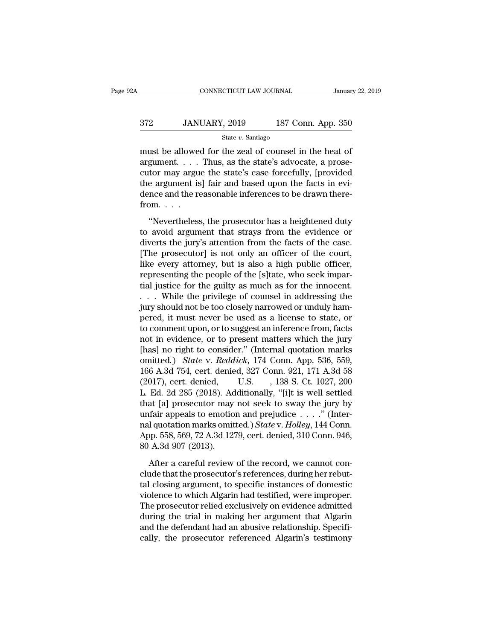### CONNECTICUT LAW JOURNAL January 22, 2019<br>372 JANUARY, 2019 187 Conn. App. 350<br>State v. Santiago State *v.* Santiago

CONNECTICUT LAW JOURNAL January 22, 2019<br>
372 JANUARY, 2019 187 Conn. App. 350<br>
5tate v. Santiago<br>
must be allowed for the zeal of counsel in the heat of<br>
argument.... Thus, as the state's advocate, a prose-372 JANUARY, 2019 187 Conn. App. 350<br>  $\frac{\text{State } v. \text{ Santiago}}{\text{must be allowed for the zcal of (1)} \cdot \text{Thus, as the state's advocate, a prospect-  
cutor may argue the state's case forcefully, [provided the argument is] fair and based upon the facts in only$ 372 JANUARY, 2019 187 Conn. App. 350<br>  $\frac{\text{State } v. \text{ Santiago}}{\text{must be allowed for the real of, a program}}$ <br>
must be allowed for the zeal of counsel in the heat of<br>
argument.... Thus, as the state's advocate, a prose-<br>
cutor may argue the state's case forceful 372 JANUARY, 2019 187 Conn. App. 350<br>  $\frac{\text{State } v. \text{ Santiago}}{\text{must be allowed for the zcal of (1)} \cdot \text{a)}}$ <br>
must be allowed for the zeal of counsel in the heat of<br>
argument. . . . Thus, as the state's advocate, a prose-<br>
cutor may argue the state's ca State *v*. Santiago<br>
must be allowed for the zeal of counsel in the heat of<br>
argument.... Thus, as the state's advocate, a prose-<br>
cutor may argue the state's case forcefully, [provided<br>
the argument is] fair and based up must be allowed<br>argument....<br>cutor may argu<br>the argument is<br>dence and the refrom....<br>"Nevertheless" Example 20 and the protocol for the beam of the state's advocate, a prose-<br>tor may argue the state's case forcefully, [provided<br>e argument is] fair and based upon the facts in evi-<br>none and the reasonable inferences to be to a procedure that strays is the state of the evidence during argument is a fair and based upon the facts in evidence and the reasonable inferences to be drawn therefrom.  $\dots$ <br>
"Nevertheless, the prosecutor has a heighte

the argument is] fair and based upon the facts in evidence and the reasonable inferences to be drawn therefrom.<br>  $\ldots$ <br>
"Nevertheless, the prosecutor has a heightened duty<br>
to avoid argument that strays from the evidence  $T$  and  $T$  and  $T$  and  $T$  and  $T$  and  $T$  and  $T$  and  $T$  and  $T$  and  $T$  and  $T$  and  $T$  and  $T$  are continued the continued of the court, the jury's attention from the facts of the case.<br>
[The prosecutor] is not only from. . . .<br>"Nevertheless, the prosecutor has a heightened duty<br>to avoid argument that strays from the evidence or<br>diverts the jury's attention from the facts of the case.<br>[The prosecutor] is not only an officer of the cou from. . . .<br>"Nevertheless, the prosecutor has a heightened duty<br>to avoid argument that strays from the evidence or<br>diverts the jury's attention from the facts of the case.<br>[The prosecutor] is not only an officer of the co "Nevertheless, the prosecutor has a heightened duty<br>to avoid argument that strays from the evidence or<br>diverts the jury's attention from the facts of the case.<br>[The prosecutor] is not only an officer of the court,<br>like ev to avoid argument that strays from the evidence or<br>diverts the jury's attention from the facts of the case.<br>[The prosecutor] is not only an officer of the court,<br>like every attorney, but is also a high public officer,<br>repr diverts the jury's attention from the facts of the case.<br>[The prosecutor] is not only an officer of the court,<br>like every attorney, but is also a high public officer,<br>representing the people of the [s]tate, who seek impar-[The prosecutor] is not only an officer of the court,<br>like every attorney, but is also a high public officer,<br>representing the people of the [s]tate, who seek impar-<br>tial justice for the guilty as much as for the innocent like every attorney, but is also a high public officer,<br>representing the people of the [s]tate, who seek impar-<br>tial justice for the guilty as much as for the innocent.<br>. . . . While the privilege of counsel in addressing representing the people of the [s]tate, who seek impartial justice for the guilty as much as for the innocent.<br>
. . . While the privilege of counsel in addressing the<br>
jury should not be too closely narrowed or unduly ham tial justice for the guilty as much as for the innocent.<br>  $\ldots$  While the privilege of counsel in addressing the<br>
jury should not be too closely narrowed or unduly ham-<br>
pered, it must never be used as a license to state, omitted a privilege of counsel in addressing the<br>jury should not be too closely narrowed or unduly ham-<br>pered, it must never be used as a license to state, or<br>to comment upon, or to suggest an inference from, facts<br>not in jury should not be too closely narrowed or unduly ham-<br>pered, it must never be used as a license to state, or<br>to comment upon, or to suggest an inference from, facts<br>not in evidence, or to present matters which the jury<br>[h pered, it must never be used as a license to state, or<br>to comment upon, or to suggest an inference from, facts<br>not in evidence, or to present matters which the jury<br>[has] no right to consider." (Internal quotation marks<br>om to comment upon, or to suggest an inference from, facts<br>not in evidence, or to present matters which the jury<br>[has] no right to consider." (Internal quotation marks<br>omitted.) State v. Reddick, 174 Conn. App. 536, 559,<br>166 not in evidence, or to present matters which the jury<br>
[has] no right to consider." (Internal quotation marks<br>
omitted.) State v. Reddick, 174 Conn. App. 536, 559,<br>
166 A.3d 754, cert. denied, 327 Conn. 921, 171 A.3d 58<br> [has] no right to consider." (Internal quotation marks<br>
omitted.) *State* v. *Reddick*, 174 Conn. App. 536, 559,<br>
166 A.3d 754, cert. denied, 327 Conn. 921, 171 A.3d 58<br>
(2017), cert. denied, U.S. , 138 S. Ct. 1027, 200<br> omitted.) *State* v. *Reddick*, 174 Conn. App. 536, 559, 166 A.3d 754, cert. denied, 327 Conn. 921, 171 A.3d 58 (2017), cert. denied, U.S. , 138 S. Ct. 1027, 200 L. Ed. 2d 285 (2018). Additionally, "[i]t is well settled th 166 A.3d 754, cert. denied, 327 Conn. 921, 171 A.3d 58 (2017), cert. denied, U.S. , 138 S. Ct. 1027, 200 L. Ed. 2d 285 (2018). Additionally, "[i]t is well settled that [a] prosecutor may not seek to sway the jury by unfair (2017), cert. denied,<br>
L. Ed. 2d 285 (2018). Ac<br>
that [a] prosecutor may<br>
unfair appeals to emotio<br>
nal quotation marks omit<br>
App. 558, 569, 72 A.3d 12'<br>
80 A.3d 907 (2013).<br>
After a careful review at [a] prosecutor may not seek to sway the jury by<br>fair appeals to emotion and prejudice  $\dots$ ." (Inter-<br>l quotation marks omitted.) State v. Holley, 144 Conn.<br>pp. 558, 569, 72 A.3d 1279, cert. denied, 310 Conn. 946,<br>A.3d unfair appeals to emotion and prejudice  $\ldots$ ." (Internal quotation marks omitted.) State v. Holley, 144 Conn.<br>App. 558, 569, 72 A.3d 1279, cert. denied, 310 Conn. 946, 80 A.3d 907 (2013).<br>After a careful review of the re

nal quotation marks omitted.) *State* v. *Holley*, 144 Conn.<br>App. 558, 569, 72 A.3d 1279, cert. denied, 310 Conn. 946,<br>80 A.3d 907 (2013).<br>After a careful review of the record, we cannot con-<br>clude that the prosecutor's re App. 558, 569, 72 A.3d 1279, cert. denied, 310 Conn. 946,<br>80 A.3d 907 (2013).<br>After a careful review of the record, we cannot con-<br>clude that the prosecutor's references, during her rebut-<br>tal closing argument, to specific 80 A.3d 907 (2013).<br>
After a careful review of the record, we cannot conclude that the prosecutor's references, during her rebut-<br>
tal closing argument, to specific instances of domestic<br>
violence to which Algarin had test After a careful review of the record, we cannot conclude that the prosecutor's references, during her rebuttal closing argument, to specific instances of domestic violence to which Algarin had testified, were improper. The After a careful review of the record, we cannot conclude that the prosecutor's references, during her rebuttal closing argument, to specific instances of domestic violence to which Algarin had testified, were improper. The clude that the prosecutor's references, during her rebuttal closing argument, to specific instances of domestic<br>violence to which Algarin had testified, were improper.<br>The prosecutor relied exclusively on evidence admitted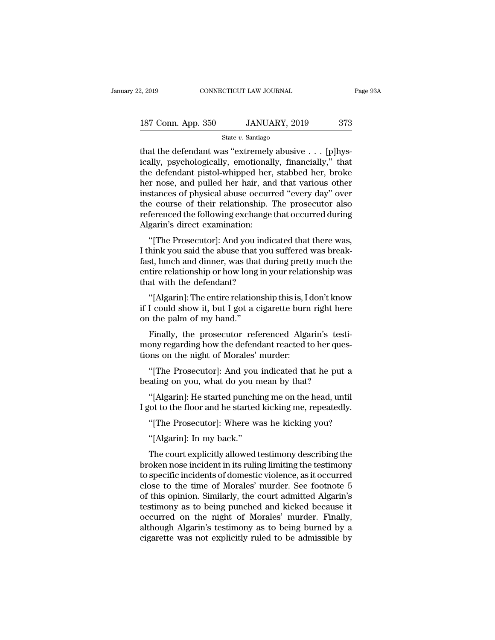| 2, 2019            | CONNECTICUT LAW JOURNAL |     | Page 93A |
|--------------------|-------------------------|-----|----------|
| 187 Conn. App. 350 | JANUARY, 2019           | 373 |          |
|                    | State $v$ . Santiago    |     |          |

January 22, 2019 CONNECTICUT LAW JOURNAL<br>
187 Conn. App. 350 JANUARY, 2019 373<br>
5tate v. Santiago<br>
that the defendant was "extremely abusive . . . [p]hys-<br>
ically, psychologically, emotionally, financially," that<br>
the defe 187 Conn. App. 350 JANUARY, 2019 373<br>
State v. Santiago<br>
that the defendant was "extremely abusive . . . [p]hysically, psychologically, emotionally, financially," that<br>
the defendant pistol-whipped her, stabbed her, broke<br> 187 Conn. App. 350 JANUARY, 2019 373<br>
State v. Santiago<br>
that the defendant was "extremely abusive . . . [p]hysically, psychologically, emotionally, financially," that<br>
the defendant pistol-whipped her, stabbed her, broke 187 Conn. App. 350 JANUARY, 2019 373<br>
State v. Santiago<br>
that the defendant was "extremely abusive . . . [p]hysically, psychologically, emotionally, financially," that<br>
the defendant pistol-whipped her, stabbed her, broke State v. Santiago<br>
State v. Santiago<br>
that the defendant was "extremely abusive . . . [p]hys-<br>
ically, psychologically, emotionally, financially," that<br>
the defendant pistol-whipped her, stabbed her, broke<br>
her nose, and p state v. santiago<br>that the defendant was "extremely abusive  $\dots$  [p]hysically, psychologically, emotionally, financially," that<br>the defendant pistol-whipped her, stabbed her, broke<br>her nose, and pulled her hair, and that that the defendant was "extremely abusive . . . [p]hysically, psychologically, emotionally, financially," that<br>the defendant pistol-whipped her, stabbed her, broke<br>her nose, and pulled her hair, and that various other<br>inst ically, psychologically, emotional<br>the defendant pistol-whipped her,<br>her nose, and pulled her hair, an<br>instances of physical abuse occurr<br>the course of their relationship.<br>referenced the following exchange<br>Algarin's direct r nose, and pulled her hair, and that various other<br>trances of physical abuse occurred "every day" over<br>e course of their relationship. The prosecutor also<br>ferenced the following exchange that occurred during<br>garin's direc Instances of physical abuse occurred "every day" over<br>instances of physical abuse occurred "every day" over<br>the course of their relationship. The prosecutor also<br>referenced the following exchange that occurred during<br>Algar

mstances of physical abuse occurred every day over<br>the course of their relationship. The prosecutor also<br>referenced the following exchange that occurred during<br>Algarin's direct examination:<br>"[The Prosecutor]: And you indic referenced the following exchange that occurred during<br>Algarin's direct examination:<br>"[The Prosecutor]: And you indicated that there was,<br>I think you said the abuse that you suffered was break-<br>fast, lunch and dinner, was Ferenced the following exchange<br>Algarin's direct examination:<br>"[The Prosecutor]: And you indi<br>I think you said the abuse that you<br>fast, lunch and dinner, was that du<br>entire relationship or how long in y<br>that with the defen "[The Prosecutor]: And you indicated that there was,<br>hink you said the abuse that you suffered was break-<br>st, lunch and dinner, was that during pretty much the<br>tire relationship or how long in your relationship was<br>at with I think you said the abuse that you suffered was break-<br>fast, lunch and dinner, was that during pretty much the<br>entire relationship or how long in your relationship was<br>that with the defendant?<br>"[Algarin]: The entire relat runk you said the abuse that<br>fast, lunch and dinner, was that<br>entire relationship or how long<br>that with the defendant?<br>"[Algarin]: The entire relation<br>if I could show it, but I got a c<br>on the palm of my hand."<br>Finally, the

tire relationship or how long in your relationship was<br>at with the defendant?<br>"[Algarin]: The entire relationship this is, I don't know<br>I could show it, but I got a cigarette burn right here<br>the palm of my hand."<br>Finally,

that with the defendant?<br>
"[Algarin]: The entire relationship this is, I don't know<br>
if I could show it, but I got a cigarette burn right here<br>
on the palm of my hand."<br>
Finally, the prosecutor referenced Algarin's testi-<br> "[Algarin]: The entire relationship this is, I<br>if I could show it, but I got a cigarette burn<br>on the palm of my hand."<br>Finally, the prosecutor referenced Alga<br>mony regarding how the defendant reacted t<br>tions on the night o I could show it, but I got a cigarette burn right here<br>
the palm of my hand."<br>
Finally, the prosecutor referenced Algarin's testi-<br>
ony regarding how the defendant reacted to her ques-<br>
ons on the night of Morales' murder: on the palm of my hand."<br>Finally, the prosecutor referenced Algarin's test<br>mony regarding how the defendant reacted to her que:<br>tions on the night of Morales' murder:<br>"[The Prosecutor]: And you indicated that he put<br>beatin Finally, the prosecutor referenced Algarin's testi-<br>ony regarding how the defendant reacted to her ques-<br>ons on the night of Morales' murder:<br>"[The Prosecutor]: And you indicated that he put a<br>ating on you, what do you mea mony regarding how the defendant reacted to her questions on the night of Morales' murder:<br>
"[The Prosecutor]: And you indicated that he put a<br>
beating on you, what do you mean by that?<br>
"[Algarin]: He started punching me

"[The Prosecutor]: And you indicated that he put a<br>"[The Prosecutor]: And you indicated that he put a<br>ating on you, what do you mean by that?<br>"[Algarin]: He started punching me on the head, until<br>tot to the floor and he st The Trosection]. And you<br>ating on you, what do you n<br>"[Algarin]: He started punchi<br>tot to the floor and he started<br>"[The Prosecutor]: Where w:<br>"[Algarin]: In my back."<br>The court explicitly allowed t

"[Algarin]: He started punching me on the head, until<br>"(ot to the floor and he started kicking me, repeatedly.<br>"[The Prosecutor]: Where was he kicking you?<br>"[Algarin]: In my back."<br>The court explicitly allowed testimony de [Algarin]. He stated punctung the on the head, until<br>I got to the floor and he started kicking me, repeatedly.<br>"[The Prosecutor]: Where was he kicking you?<br>"[Algarin]: In my back."<br>The court explicitly allowed testimony de The Prosecutor]: Where was he kicking you?<br>
"[The Prosecutor]: Where was he kicking you?<br>
"[Algarin]: In my back."<br>
The court explicitly allowed testimony describing the<br>
broken nose incidents of domestic violence, as it o "[The Prosecutor]: Where was he kicking you?<br>"[Algarin]: In my back."<br>The court explicitly allowed testimony describing the<br>broken nose incident in its ruling limiting the testimony<br>to specific incidents of domestic violen "[Algarin]: In my back."<br>The court explicitly allowed testimony describing the<br>broken nose incident in its ruling limiting the testimony<br>to specific incidents of domestic violence, as it occurred<br>close to the time of Moral The court explicitly allowed testimony describing the<br>broken nose incident in its ruling limiting the testimony<br>to specific incidents of domestic violence, as it occurred<br>close to the time of Morales' murder. See footnote The court explicitly allowed testimony describing the<br>broken nose incident in its ruling limiting the testimony<br>to specific incidents of domestic violence, as it occurred<br>close to the time of Morales' murder. See footnote broken nose incident in its ruling limiting the testimony<br>to specific incidents of domestic violence, as it occurred<br>close to the time of Morales' murder. See footnote 5<br>of this opinion. Similarly, the court admitted Algar to specific incidents of domestic violence, as it occurred<br>close to the time of Morales' murder. See footnote 5<br>of this opinion. Similarly, the court admitted Algarin's<br>testimony as to being punched and kicked because it<br>o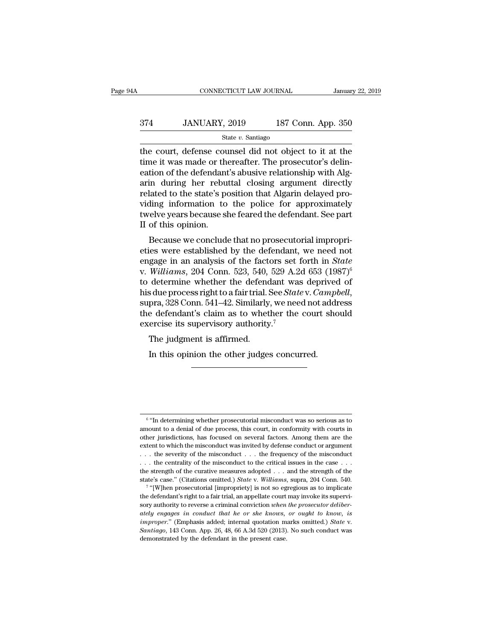# CONNECTICUT LAW JOURNAL January 22, 2019<br>374 JANUARY, 2019 187 Conn. App. 350<br>State v. Santiago

State *v.* Santiago

 $\begin{array}{r} \text{COMPECTICUT LAW JOURNAL} \text{ January 22, 2019} \\ \text{374} \text{JANUARY, 2019} \text{187 Conn. App. 350} \\ \text{State } v. \text{ Santiago} \\ \text{the court, defense counds did not object to it at the time it was made or thereafter. The processor's delin-  
action of the deformation's abusivo relationship with Alg.} \end{array}$  $374$  JANUARY, 2019 187 Conn. App. 350<br>  $\frac{\text{State } v. \text{ Santiago}}{\text{the court, defense counds did not object to it at the time it was made or thereafter. The processor's delineation of the defendant's abuse relationship with Algorithm 2.18.21.22.23.24.25.25.26.26.27.27.29.29.20.21.20.21.20.22.24.23.24.24.25.24.25.26.26.27.27.29.29.29.20.21.20.22.24.24.25.24.25.$ 374 JANUARY, 2019 187 Conn. App. 350<br>  $\frac{\text{State } v. \text{ Santiago}}{\text{the court, defense counds did not object to it at the time it was made or thereafter. The processor's delin-  
eation of the defendant's abusive relationship with Alg-  
arin during her rebuttal closing argument directly related to the state's position that Algorithm delayed pro-$ 374 JANUARY, 2019 187 Conn. App. 350<br>  $\frac{\text{State } v. \text{ Santiago}}{\text{the court, defensecounds did not object to it at the time it was made or thereafter. The processor's delin-  
eation of the defendant's abusive relationship with Alg-  
arin during her rebuttal closing argument directly related to the state's position that Algarin delayed pro-  
viding information to the police for approximately$ State v. Santiago<br>State v. Santiago<br>the court, defense counsel did not object to it at the<br>time it was made or thereafter. The prosecutor's delin-<br>eation of the defendant's abusive relationship with Alg-<br>arin during her r state v. santiago<br>the court, defense counsel did not object to it at the<br>time it was made or thereafter. The prosecutor's delin-<br>eation of the defendant's abusive relationship with Alg-<br>arin during her rebuttal closing ar the court, defense counsel did not object to it at the<br>time it was made or thereafter. The prosecutor's delin-<br>eation of the defendant's abusive relationship with Alg-<br>arin during her rebuttal closing argument directly<br>rel time it was made or the<br>eation of the defendant<br>arin during her rebur<br>related to the state's po<br>viding information to<br>twelve years because sl<br>II of this opinion.<br>Because we conclude Fig. 1 and the detendant Subside relationship will Aign<br>in during her rebuttal closing argument directly<br>lated to the state's position that Algarin delayed pro-<br>ling information to the police for approximately<br>elve years b related to the state's position that Algarin delayed providing information to the police for approximately<br>twelve years because she feared the defendant. See part<br>II of this opinion.<br>Because we conclude that no prosecutor

related to the state's position that Algarin delayed pro-<br>viding information to the police for approximately<br>twelve years because she feared the defendant. See part<br>II of this opinion.<br>Because we conclude that no prosecuto viding information to the poince for approximately<br>twelve years because she feared the defendant. See part<br>II of this opinion.<br>Because we conclude that no prosecutorial impropri-<br>eties were established by the defendant, we If of this opinion.<br>
Because we conclude that no prosecutorial improprieties were established by the defendant, we need not<br>
engage in an analysis of the factors set forth in *State*<br>
v. *Williams*, 204 Conn. 523, 540, 52 his due process right to a fair trial. See *State* v. *Campbell*, we need not engage in an analysis of the factors set forth in *State* v. *Williams*, 204 Conn. 523, 540, 529 A.2d 653 (1987)<sup>6</sup> to determine whether the def eties were established by the defendant, we need not<br>engage in an analysis of the factors set forth in *State*<br>v. Williams, 204 Conn. 523, 540, 529 A.2d 653 (1987)<sup>6</sup><br>to determine whether the defendant was deprived of<br>his engage in an analysis of the factors set<br>v. Williams, 204 Conn. 523, 540, 529 A.2<br>to determine whether the defendant waa<br>his due process right to a fair trial. See *Stat*<br>supra, 328 Conn. 541–42. Similarly, we nee<br>the defe with the second to Count 1923, 540,<br>determine whether the defends<br>alue process right to a fair trial. 1<br>pra, 328 Conn. 541–42. Similarly<br>e defendant's claim as to whet<br>ercise its supervisory authority<br>The judgment is affir In this opinion to a fair trial. See *State* v. *Camp*<br>pra, 328 Conn. 541–42. Similarly, we need not addine defendant's claim as to whether the court share<br>crise its supervisory authority.<sup>7</sup><br>The judgment is affirmed.<br>In t

 $6$  "In determining whether prosecutorial misconduct was so serious as to ''In determining whether prosecutorial misconduct was so serious as to  $\frac{1}{2}$   $\frac{1}{2}$   $\frac{1}{2}$  and the proposecutorial misconduct was so serious as to amount to a denial of due process, this court, in conformity with courts in other jurisdictions, has focused on several factors. Among  $\frac{6}{10}$  "In determining whether prosecutorial misconduct was so serious as to amount to a denial of due process, this court, in conformity with courts in other jurisdictions, has focused on several factors. Among them <sup>6</sup> "In determining whether prosecutorial misconduct was so serious as to amount to a denial of due process, this court, in conformity with courts in other jurisdictions, has focused on several factors. Among them are the <sup>6</sup> "In determining whether prosecutorial misconduct was so serious as to amount to a denial of due process, this court, in conformity with courts in other jurisdictions, has focused on several factors. Among them are the <sup>6</sup> "In determining whether prosecutorial misconduct was so serious as to amount to a denial of due process, this court, in conformity with courts in other jurisdictions, has focused on several factors. Among them are the amount to a denial of due process, this court, in conformity with courts in other jurisdictions, has focused on several factors. Among them are the extent to which the misconduct was invited by defense conduct or argument other jurisdictions, has focused on several factors. Among them are the extent to which the misconduct was invited by defense conduct or argument . . . the severity of the misconduct . . . the frequency of the misconduct . Figure 1.1 the misconduct was invited by defense conduct or argument . the severity of the misconduct . . . the frequency of the misconduct to the critical issues in the case . . . strength of the curative measures adopte the defendant's right to a fair trial, an appellate court may invoke its supervisory and the series right of the misconduct to the critical issues in the case  $\ldots$  the state's case." (Citations omitted.) *State v. Willia* 

sort are contraining to the misconduct to the critical issues in the case  $\ldots$  the centrality of the misconduct to the critical issues in the case.  $\ldots$  the state's case." (Citations omitted.) *State v. Williams*, supra the strength of the curative measures adopted . . . and the strength of the state's case." (Citations omitted.) *State* v. *Williams*, supra, 204 Conn. 540. <sup>7</sup> "[W]hen prosecutorial [impropriety] is not so egregious as t artiveral marks of Citations omitted.) *State* v. *Williams*, supra, 204 Conn. 540.<br><sup>7</sup> "[W]hen prosecutorial [impropriety] is not so egregious as to implicate<br>the defendant's right to a fair trial, an appellate court may the defendant's right to a fair trial, an appellate court may invoke its supervisory authority to reverse a criminal conviction *when the prosecutor deliberately engages in conduct that he or she knows, or ought to know,*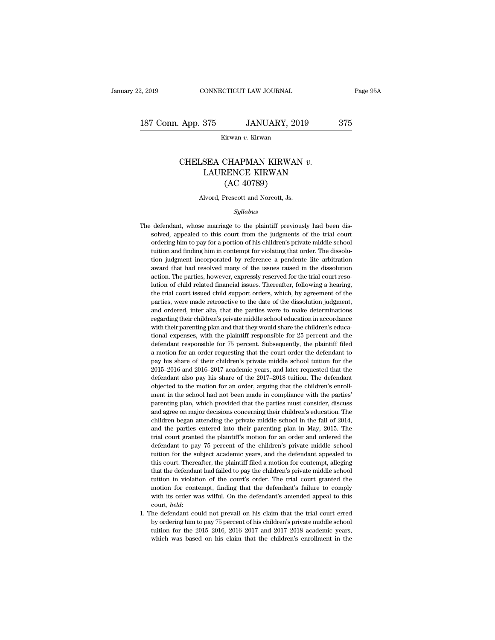Kirwan *v.* Kirwan

### App. 375 JANUARY, 2019 375<br>Kirwan *v.* Kirwan<br>CHELSEA CHAPMAN KIRWAN *v.*<br>LAURENCE KIRWAN (AC 40780)  $\begin{tabular}{c} \bf 375 & JANUARY, 2019 & 37 \\ \hline \hline \text{Kirwan } v. \text{Kirwan} \\ \bf SEA CHAPMAN KIRWAN \; v. \\ \bf LAURENCE KIRWAN \\ \bf (AC 40789) \end{tabular}$ JANUARY, 20<br>
Tirwan v. Kirwan<br>
CHAPMAN KIRWAN<br>
RENCE KIRWAN<br>
(AC 40789)<br>
Prescott and Norcott, Js. CHELSEA CHAPMAN KIRWAN v.<br>LAURENCE KIRWAN<br>(AC 40789)<br>Alvord, Prescott and Norcott, Js.

### *Syllabus*

- $(AC 40789)$ <br>Alvord, Prescott and Norcott, Js.<br> $Syllabus$ <br>The defendant, whose marriage to the plaintiff previously had been dis-<br>solved, appealed to this court from the judgments of the trial court Alvord, Prescott and Norcott, Js.<br>Syllabus<br>defendant, whose marriage to the plaintiff previously had been dis-<br>solved, appealed to this court from the judgments of the trial court<br>ordering him to pay for a portion of his c Alvord, Prescott and Norcott, Js.<br>
Syllabus<br>
defendant, whose marriage to the plaintiff previously had been dis-<br>
solved, appealed to this court from the judgments of the trial court<br>
ordering him to pay for a portion of h Syllabus<br>defendant, whose marriage to the plaintiff previously had been dis-<br>solved, appealed to this court from the judgments of the trial court<br>ordering him to pay for a portion of his children's private middle school<br>tu Syttabus<br>defendant, whose marriage to the plaintiff previously had been dis-<br>solved, appealed to this court from the judgments of the trial court<br>ordering him to pay for a portion of his children's private middle school<br>tu defendant, whose marriage to the plaintiff previously had been dissolved, appealed to this court from the judgments of the trial court ordering him to pay for a portion of his children's private middle school tuition and f solved, appealed to this court from the judgments of the trial court ordering him to pay for a portion of his children's private middle school tuition and finding him in contempt for violating that order. The dissolution j but a financial relation of this children's private middle school ordering him to pay for a portion of his children's private middle school tuition and finding him in contempt for violating that order. The dissolution judg tration and finding him in contempt for violating that order. The dissolution and finding him in contempt for violating that order. The dissolution award that had resolved many of the issues raised in the dissolution actio is the matter of the dissolution judgment incorporated by reference a pendente lite arbitration award that had resolved many of the issues raised in the dissolution action. The parties, however, expressly reserved for the and ordered, inter alia, that the parties were to make determination. The parties, however, expressly reserved for the trial court resolution of child related financial issues. Thereafter, following a hearing, the trial co action. The parties, however, expressly reserved for the trial court resolution of child related financial issues. Thereafter, following a hearing, the trial court issued child support orders, which, by agreement of the pa parties, were made retroactive to the date of the dissolution judgment, and ordered, inter alia, that the parties were to make determinations regarding their children's private middle school education in accordance with th the trial court issued child support orders, which, by agreement of the parties, were made retroactive to the date of the dissolution judgment, and ordered, inter alia, that the parties were to make determinations regardin parties, were made retroactive to the date of the dissolution judgment, and ordered, inter alia, that the parties were to make determinations regarding their children's private middle school education in accordance with th and ordered, inter alia, that the parties were to make determinations regarding their children's private middle school education in accordance with their parenting plan and that they would share the children's educational regarding their children's private middle school education in accordance<br>with their parenting plan and that they would share the children's educa-<br>tional expenses, with the plaintiff responsible for 25 percent and the<br>defe <sup>2</sup> example in their parenting plan and that they would share the children's educational expenses, with the plaintiff responsible for 25 percent and the defendant responsible for 75 percent. Subsequently, the plaintiff fil man expenses, with the plaintiff responsible for 25 percent and the defendant responsible for 75 percent. Subsequently, the plaintiff filed a motion for an order requesting that the court order the defendant to pay his sh defendant responsible for 75 percent. Subsequently, the plaintiff filed a motion for an order requesting that the court order the defendant to pay his share of their children's private middle school tution for the 2015–201 a motion for an order requesting that the court order the defendant to pay his share of their children's private middle school tuition for the 2015–2016 and 2016–2017 academic years, and later requested that the defendant a pay his share of their children's private middle school tuition for the 2015–2016 and 2016–2017 academic years, and later requested that the defendant also pay his share of the 2017–2018 tuition. The defendant objected t  $2015-2016$  and  $2016-2017$  academic years, and later requested that the defendant also pay his share of the  $2017-2018$  tution. The defendant objected to the motion for an order, arguing that the children's enroll-<br>ment defendant also pay his share of the 2017–2018 tution. The defendant objected to the motion for an order, arguing that the children's enrollment in the school had not been made in compliance with the parties' parenting plan objected to the motion for an order, arguing that the children's enroll-<br>ment in the school had not been made in compliance with the parties'<br>parenting plan, which provided that the parties must consider, discuss<br>and agree ment in the school had not been made in compliance with the parties'<br>parenting plan, which provided that the parties must consider, discuss<br>and agree on major decisions concerning their children's education. The<br>children b mearting plan, which provided that the parties must consider, discuss<br>and agree on major decisions concerning their children's education. The<br>children began attending the private middle school in the fall of 2014,<br>and the paramage on major decisions concerning their children's education. The children began attending the private middle school in the fall of 2014, and the parties entered into their parenting plan in May, 2015. The trial court children began attending the private middle school in the fall of 2014, and the parties entered into their parenting plan in May, 2015. The trial court granted the plaintiff's motion for an order and ordered the defendant and the parties entered into their parenting plan in May, 2015. The trial court granted the plaintiff's motion for an order and ordered the defendant to pay 75 percent of the children's private middle school tuition for th trial court granted the plaintiff's motion for an order and ordered the defendant to pay 75 percent of the children's private middle school tuition for the subject academic years, and the defendant appealed to this court. defendant to pay 75 percent of the children's private middle school<br>defendant to pay 75 percent of the children's private middle school<br>tuition for the subject academic years, and the defendant appealed to<br>this court. Ther with in for the subject academic years, and the defendant appealed to this court. Thereafter, the plaintiff filed a motion for contempt, alleging that the defendant had failed to pay the children's private middle school tu that the defendant had failed to pay the children's private middle school<br>tution in violation of the court's order. The trial court granted the<br>motion for contempt, finding that the defendant's failure to comply<br>with its o that the defendant had failed to pay the children's private middle school<br>tuition in violation of the court's order. The trial court granted the<br>motion for contempt, finding that the defendant's failure to comply<br>with its motion for contempt, finding that the defendant's failure to comply with its order was wilful. On the defendant's amended appeal to this
-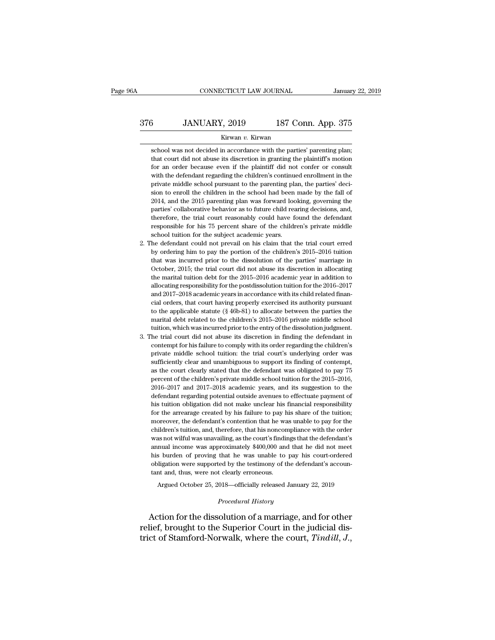# EXECUTE CONNECTICUT LAW JOURNAL January 22, 2019<br>376 JANUARY, 2019 187 Conn. App. 375<br>Kirwan v. Kirwan

### Kirwan *v.* Kirwan

3<br>
SANUARY, 2019 187 Conn. App. 375<br>
Kirwan v. Kirwan<br>
School was not decided in accordance with the parties' parenting plan;<br>
that court did not abuse its discretion in granting the plaintiff's motion  $3$  JANUARY, 2019 187 Conn. App. 375<br>
Kirwan v. Kirwan<br>
school was not decided in accordance with the parties' parenting plan;<br>
that court did not abuse its discretion in granting the plaintiff's motion<br>
for an order beca  $3$  JANUARY, 2019 187 Conn. App. 375<br>Kirwan v. Kirwan<br>school was not decided in accordance with the parties' parenting plan;<br>that court did not abuse its discretion in granting the plaintiff's motion<br>for an order because Kirwan v. Kirwan<br>School was not decided in accordance with the parties' parenting plan;<br>that court did not abuse its discretion in granting the plaintiff's motion<br>for an order because even if the plaintiff did not confer o school was not decided in accordance with the parties' parenting plan;<br>that court did not abuse its discretion in granting the plaintiff's motion<br>for an order because even if the plaintiff did not confer or consult<br>with th school was not decided in accordance with the parties' parenting plan;<br>that court did not abuse its discretion in granting the plaintiff's motion<br>for an order because even if the plaintiff did not confer or consult<br>with th but that court did not abuse its discretion in granting the plaintiff's motion for an order because even if the plaintiff did not confer or consult with the defendant regarding the children's continued enrollment in the pr for an order because even if the plaintiff did not confer or consult with the defendant regarding the children's continued enrollment in the private middle school pursuant to the parenting plan, the parties' decision to en with the defendant regarding the children's continued enrollment in the private middle school pursuant to the parenting plan, the parties' decision to enroll the children in the school had been made by the fall of 2014, an mivate middle school pursuant to the parenting plan, the parties' decision to enroll the children in the school had been made by the fall of 2014, and the 2015 parenting plan was forward looking, governing the parties' col sion to enroll the children in the school had been made by the fall of 2014, and the 2015 parenting plan was forward looking, governing the parties' collaborative behavior as to future child rearing decisions, and, therefo 2014, and the 2015 parenting plan was forward looking, governing the parties' collaborative behavior as to future child rearing decisions, and, therefore, the trial court reasonably could have found the defendant responsib parties' collaborative behavior as to future child rearing decisions, and, therefore, the trial court reasonably could have found the defendant responsible for his 75 percent share of the children's private middle school t

- therefore, the trial court reasonably could have found the defendant<br>responsible for his 75 percent share of the children's private middle<br>school tuition for the subject academic years.<br>he defendant could not prevail on hi responsible for his 75 percent share of the children's private middle school tuition for the subject academic years.<br>he defendant could not prevail on his claim that the trial court erred by ordering him to pay the portion school tuition for the subject academic years.<br>The defendant could not prevail on his claim that the trial court erred<br>by ordering him to pay the portion of the children's 2015–2016 tuition<br>that was incurred prior to the d he defendant could not prevail on his claim that the trial court erred<br>by ordering him to pay the portion of the children's 2015–2016 tuition<br>that was incurred prior to the dissolution of the parties' marriage in<br>October, by ordering him to pay the portion of the children's 2015–2016 tuttion<br>that was incurred prior to the dissolution of the parties' marriage in<br>October, 2015; the trial court did not abuse its discretion in allocating<br>the ma by a course it was incurred prior to the dissolution of the parties' marriage in October, 2015; the trial court did not abuse its discretion in allocating the marital tuition debt for the 2015–2016 academic year in additi of the applicable statute (§ 46b-81) to allocate between the particle marrial tuition debt for the 2015–2016 academic year in addition to allocating responsibility for the postdissolution tuition for the 2016–2017 and 2017 the marital tuition debt for the 2015–2016 academic year in addition to allocating responsibility for the postdissolution tuition for the 2016–2017 and 2017–2018 academic years in accordance with its child related financia allocating responsibility for the postdissolution tution for the 2016–2017<br>and 2017–2018 academic years in accordance with its child related finan-<br>cial orders, that court having properly exercised its authority pursuant<br>t and 2017–2018 academic years in accordance with its child related financial orders, that court having properly exercised its authority pursuant to the applicable statute (§ 46b-81) to allocate between the parties the mari cial orders, that court having properly exercised its authority pursuant<br>to the applicable statute ( $\S$  46b-81) to allocate between the parties the<br>marital debt related to the children's 2015–2016 private middle school<br>tu
- to the applicable statute (§ 46b-81) to allocate between the parties the marital debt related to the children's 2015–2016 private middle school tuition, which was incurred prior to the entry of the dissolution judgment. <br> marital debt related to the children's 2015–2016 private middle school<br>tuition, which was incurred prior to the entry of the dissolution judgment.<br>3. The trial court did not abuse its discretion in finding the defendant i tution, which was incurred prior to the entry of the dissolution judgment.<br>he trial court did not abuse its discretion in finding the defendant in<br>contempt for his failure to comply with its order regarding the children's<br> he trial court did not abuse its discretion in finding the defendant in contempt for his failure to comply with its order regarding the children's private middle school tuition: the trial court's underlying order was suffi contempt for his failure to comply with its order regarding the children's private middle school tuition: the trial court's underlying order was sufficiently clear and unambiguous to support its finding of contempt, as the private middle school tution: the trial court's underlying order was sufficiently clear and unambiguous to support its finding of contempt, as the court clearly stated that the defendant was obligated to pay 75 percent of Functionally clear and unambiguous to support its finding of contempt, as the court clearly stated that the defendant was obligated to pay 75 percent of the children's private middle school tuition for the 2015–2016, 2016 sum the court clearly stated that the defendant was obligated to pay 75 percent of the children's private middle school tuition for the 2015–2016, 2016–2017 and 2017–2018 academic years, and its suggestion to the defendan percent of the children's private middle school tuition for the 2015–2016, 2016–2017 and 2017–2018 academic years, and its suggestion to the defendant regarding potential outside avenues to effectuate payment of his tuitio 2016–2017 and 2017–2018 academic years, and its suggestion to the defendant regarding potential outside avenues to effectuate payment of his tuition obligation did not make unclear his financial responsibility for the arre defendant regarding potential outside avenues to effectuate payment of<br>his tuition obligation did not make unclear his financial responsibility<br>for the arrearage created by his failure to pay his share of the tuition;<br>more and income was particular to the was unable to pay his tuition obligation did not make unclear his financial responsibility for the arrearage created by his failure to pay his share of the tuition; moreover, the defendant' for the arrearage created by his failure to pay his share of the tuition; moreover, the defendant's contention that he was unable to pay for the children's tuition, and, therefore, that his noncompliance with the order wa for the arrearage created by his failure to pay his share of the tuition; moreover, the defendant's contention that he was unable to pay for the children's tuition, and, therefore, that his noncompliance with the order wa children's tuition, and, therefore, that his noncompliance with the order are as not wilful was unavailing, as the court's findings that the defendant's<br>nual income was approximately \$400,000 and that he did not meet<br>s burden of proving that he was unable to pay his court-ordered<br>digation were s his burden of proving that he was unable to pay his court-ordered<br>obligation were supported by the testimony of the defendant's accountant and, thus, were not clearly erroneous.<br>Argued October 25, 2018—officially released

Argued October 25, 2018—officially released January 22, 2019<br>*Procedural History*<br>Action for the dissolution of a marriage, and for other % obligation were supported by the testimony of the defendant's accountant and, thus, were not clearly erroneous.<br>Argued October 25, 2018—officially released January 22, 2019<br>*Procedural History*<br>Action for the dissolution tant and, thus, were not clearly erroneous.<br>
Argued October 25, 2018—officially released January 22, 2019<br> *Procedural History*<br> **Action for the dissolution of a marriage, and for other relief, brought to the Superior Cour**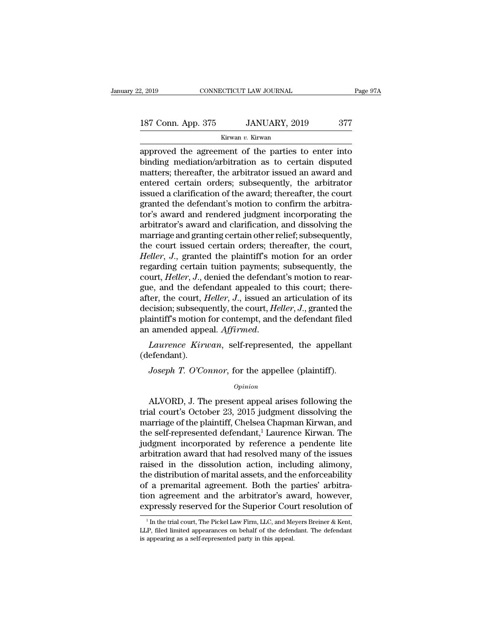# 2, 2019 CONNECTICUT LAW JOURNAL Page 97A<br>187 Conn. App. 375 JANUARY, 2019 377<br>Kirwan v. Kirwan

Kirwan *v.* Kirwan

2, 2019 CONNECTICUT LAW JOURNAL Page 97A<br>
187 Conn. App. 375 JANUARY, 2019 377<br>
Kirwan v. Kirwan<br>
approved the agreement of the parties to enter into<br>
binding mediation/arbitration as to certain disputed<br>
metter: thereafte 187 Conn. App. 375 JANUARY, 2019 377<br>
Kirwan v. Kirwan<br>
approved the agreement of the parties to enter into<br>
binding mediation/arbitration as to certain disputed<br>
matters; thereafter, the arbitrator issued an award and<br>
on 187 Conn. App. 375 JANUARY, 2019 377<br>
Kirwan v. Kirwan<br>
approved the agreement of the parties to enter into<br>
binding mediation/arbitration as to certain disputed<br>
matters; thereafter, the arbitrator issued an award and<br>
e 187 Conn. App. 375 JANUARY, 2019 377<br>
Kirwan v. Kirwan<br>
approved the agreement of the parties to enter into<br>
binding mediation/arbitration as to certain disputed<br>
matters; thereafter, the arbitrator issued an award and<br>
e EXECUTE A CONSECTED STREET, 2010<br>
Kirwan v. Kirwan<br>
approved the agreement of the parties to enter into<br>
binding mediation/arbitration as to certain disputed<br>
matters; thereafter, the arbitrator issued an award and<br>
enter kurwan v. Kurwan<br>approved the agreement of the parties to enter into<br>binding mediation/arbitration as to certain disputed<br>matters; thereafter, the arbitrator issued an award and<br>entered certain orders; subsequently, the ar approved the agreement of the parties to enter into<br>binding mediation/arbitration as to certain disputed<br>matters; thereafter, the arbitrator issued an award and<br>entered certain orders; subsequently, the arbitrator<br>issued a binding mediation/arbitration as to certain disputed<br>matters; thereafter, the arbitrator issued an award and<br>entered certain orders; subsequently, the arbitrator<br>issued a clarification of the award; thereafter, the court<br>g matters; thereafter, the arbitrator issued an award and<br>entered certain orders; subsequently, the arbitrator<br>issued a clarification of the award; thereafter, the court<br>granted the defendant's motion to confirm the arbitraentered certain orders; subsequently, the arbitrator issued a clarification of the award; thereafter, the court granted the defendant's motion to confirm the arbitrator's award and rendered judgment incorporating the arbit issued a clarification of the award; thereafter, the court<br>granted the defendant's motion to confirm the arbitra-<br>tor's award and rendered judgment incorporating the<br>arbitrator's award and clarification, and dissolving the granted the defendant's motion to confirm the arbitrator's award and rendered judgment incorporating the arbitrator's award and clarification, and dissolving the marriage and granting certain other relief; subsequently, th tor's award and rendered judgment incorporating the<br>arbitrator's award and clarification, and dissolving the<br>marriage and granting certain other relief; subsequently,<br>the court issued certain orders; thereafter, the court, arbitrator's award and clarification, and dissolving the<br>marriage and granting certain other relief; subsequently,<br>the court issued certain orders; thereafter, the court,<br>*Heller*, *J*., granted the plaintiff's motion for marriage and granting certain other relief; subsequently,<br>the court issued certain orders; thereafter, the court,<br>*Heller*, *J*., granted the plaintiff's motion for an order<br>regarding certain tuition payments; subsequently the court issued certain orders; thereafter, the court,<br>*Heller*, *J*., granted the plaintiff's motion for an order<br>regarding certain tuition payments; subsequently, the<br>court, *Heller*, *J*., denied the defendant's motion Heller, J., granted the plaintiff's motion for an order regarding certain tuition payments; subsequently, the court, *Heller*, J., denied the defendant's motion to reargue, and the defendant appealed to this court; thereaf regarding certain tuition payments; subsequently, the court, *Heller*, *J*., denied the defendant's motion to reargue, and the defendant appealed to this court; thereafter, the court, *Heller*, *J*., issued an articulation *Joseph T. O'Connor,* for the appellee (plaintiff).<br> *Joseph T. O'Connor,* for the appellee (plaintiff).<br> *Joseph T. O'Connor,* for the appellee (plaintiff).<br> *Joseph T. O'Connor,* for the appellee (plaintiff).<br> *Opinion* 

(defendant).

### *Opinion*

Laurence Kirwan, self-represented, the appellant<br>efendant).<br>Joseph T. O'Connor, for the appellee (plaintiff).<br>Opinion<br>ALVORD, J. The present appeal arises following the<br>al court's October 23, 2015 judgment dissolving the<br>p Laurence Krrwan, sen-represented, the appenant<br>
(defendant).<br>
Joseph T. O'Connor, for the appellee (plaintiff).<br>  $\frac{opinion}{D}$ <br>
ALVORD, J. The present appeal arises following the<br>
trial court's October 23, 2015 judgment diss (detendant).<br>
Joseph T. O'Connor, for the appellee (plaintiff).<br>  $\phi_{pinion}$ <br>
ALVORD, J. The present appeal arises following the<br>
trial court's October 23, 2015 judgment dissolving the<br>
marriage of the plaintiff, Chelsea Cha Joseph T. O'Connor, for the appellee (plaintiff).<br>  $\omega_{pinion}$ <br>
ALVORD, J. The present appeal arises following the<br>
trial court's October 23, 2015 judgment dissolving the<br>
marriage of the plaintiff, Chelsea Chapman Kirwan, a opinion<br>
MLVORD, J. The present appeal arises following the<br>
trial court's October 23, 2015 judgment dissolving the<br>
marriage of the plaintiff, Chelsea Chapman Kirwan, and<br>
the self-represented defendant,<sup>1</sup> Laurence Kirwa s all all all and the present appeal arises following the trial court's October 23, 2015 judgment dissolving the marriage of the plaintiff, Chelsea Chapman Kirwan, and the self-represented defendant,<sup>1</sup> Laurence Kirwan. Th ALVORD, J. The present appeal arises following the<br>trial court's October 23, 2015 judgment dissolving the<br>marriage of the plaintiff, Chelsea Chapman Kirwan, and<br>the self-represented defendant,<sup>1</sup> Laurence Kirwan. The<br>judg trial court's October 23, 2015 judgment dissolving the<br>marriage of the plaintiff, Chelsea Chapman Kirwan, and<br>the self-represented defendant,<sup>1</sup> Laurence Kirwan. The<br>judgment incorporated by reference a pendente lite<br>arbit marriage of the plaintiff, Chelsea Chapman Kirwan, and<br>the self-represented defendant,<sup>1</sup> Laurence Kirwan. The<br>judgment incorporated by reference a pendente lite<br>arbitration award that had resolved many of the issues<br>raise the self-represented defendant,<sup>1</sup> Laurence Kirwan. The<br>judgment incorporated by reference a pendente lite<br>arbitration award that had resolved many of the issues<br>raised in the dissolution action, including alimony,<br>the dis judgment incorporated by reference a pendente lite<br>arbitration award that had resolved many of the issues<br>raised in the dissolution action, including alimony,<br>the distribution of marital assets, and the enforceability<br>of a 1 In the distribution of marital assets, and the enforceability<br>
1 a premarital agreement. Both the parties' arbitrator<br>
1 and the arbitrator's award, however,<br>
1 In the trial court, The Pickel Law Firm, LLC, and Meyers B of a premarital agreement. Both the parties' arbitration agreement and the arbitrator's award, however, expressly reserved for the Superior Court resolution of  $\frac{1}{1}$  In the trial court, The Pickel Law Firm, LLC, and M

tion agreement and the arbitrator's awexpressly reserved for the Superior Counting the self-represented party, LLC, and Me LLP, filed limited appearances on behalf of the defendies appearing as a self-represented party in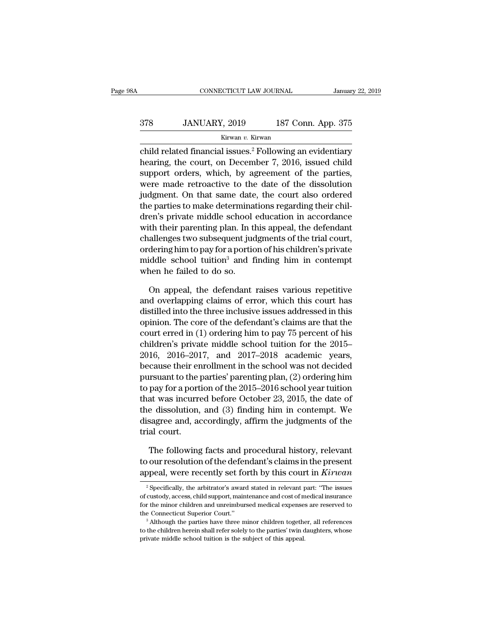### EXECUTE CONNECTICUT LAW JOURNAL January 22, 2019<br>378 JANUARY, 2019 187 Conn. App. 375<br>Kirwan v. Kirwan Kirwan *v.* Kirwan

CONNECTICUT LAW JOURNAL January 22, 2019<br>
378 JANUARY, 2019 187 Conn. App. 375<br>
Kirwan v. Kirwan<br>
child related financial issues.<sup>2</sup> Following an evidentiary<br>
hearing, the court, on December 7, 2016, issued child 378 JANUARY, 2019 187 Conn. App. 375<br>
Kirwan v. Kirwan<br>
child related financial issues.<sup>2</sup> Following an evidentiary<br>
hearing, the court, on December 7, 2016, issued child<br>
support orders, which, by agreement of the parties  $378$  JANUARY, 2019 187 Conn. App. 375<br>  $\frac{187 \text{ C} \text{om}}{187 \text{ C} \text{om}}$ <br>
child related financial issues.<sup>2</sup> Following an evidentiary<br>
hearing, the court, on December 7, 2016, issued child<br>
support orders, which, by agree 378 JANUARY, 2019 187 Conn. App. 375<br>
Kirwan v. Kirwan<br>
child related financial issues.<sup>2</sup> Following an evidentiary<br>
hearing, the court, on December 7, 2016, issued child<br>
support orders, which, by agreement of the partie  $\frac{Kirwan v. Kirwan}{\text{th}x}$ <br>
child related financial issues.<sup>2</sup> Following an evidentiary<br>
hearing, the court, on December 7, 2016, issued child<br>
support orders, which, by agreement of the parties,<br>
were made retroactive to the d ratival child related financial issues.<sup>2</sup> Following an evidentiary hearing, the court, on December 7, 2016, issued child support orders, which, by agreement of the parties, were made retroactive to the date of the dissolu child related financial issues.<sup>2</sup> Following an evidentiary<br>hearing, the court, on December 7, 2016, issued child<br>support orders, which, by agreement of the parties,<br>were made retroactive to the date of the dissolution<br>jud hearing, the court, on December 7, 2016, issued child<br>support orders, which, by agreement of the parties,<br>were made retroactive to the date of the dissolution<br>judgment. On that same date, the court also ordered<br>the parties support orders, which, by agreement of the parties,<br>were made retroactive to the date of the dissolution<br>judgment. On that same date, the court also ordered<br>the parties to make determinations regarding their chil-<br>dren's p were made retroactive to the date of the dissolution<br>judgment. On that same date, the court also ordered<br>the parties to make determinations regarding their chil-<br>dren's private middle school education in accordance<br>with th judgment. On that same date, the court also ordered<br>the parties to make determinations regarding their chil-<br>dren's private middle school education in accordance<br>with their parenting plan. In this appeal, the defendant<br>cha the parties to make determina<br>dren's private middle school<br>with their parenting plan. In tl<br>challenges two subsequent juc<br>ordering him to pay for a portic<br>middle school tuition<sup>3</sup> and f<br>when he failed to do so.<br>On appeal, th their parenting plan. In this appeal, the defendant<br>allenges two subsequent judgments of the trial court,<br>dering him to pay for a portion of his children's private<br>iddle school tuition<sup>3</sup> and finding him in contempt<br>nen challenges two subsequent judgments of the trial court,<br>ordering him to pay for a portion of his children's private<br>middle school tuition<sup>3</sup> and finding him in contempt<br>when he failed to do so.<br>On appeal, the defendant rai

ordering him to pay for a portion of his children's private<br>middle school tuition<sup>3</sup> and finding him in contempt<br>when he failed to do so.<br>On appeal, the defendant raises various repetitive<br>and overlapping claims of error, middle school tuition<sup>3</sup> and finding him in contempt<br>when he failed to do so.<br>On appeal, the defendant raises various repetitive<br>and overlapping claims of error, which this court has<br>distilled into the three inclusive iss when he failed to do so.<br>
On appeal, the defendant raises various repetitive<br>
and overlapping claims of error, which this court has<br>
distilled into the three inclusive issues addressed in this<br>
opinion. The core of the de On appeal, the defendant raises various repetitive<br>and overlapping claims of error, which this court has<br>distilled into the three inclusive issues addressed in this<br>opinion. The core of the defendant's claims are that the<br> On appeal, the defendant raises various repetitive<br>and overlapping claims of error, which this court has<br>distilled into the three inclusive issues addressed in this<br>opinion. The core of the defendant's claims are that the and overlapping claims of error, which this court has<br>distilled into the three inclusive issues addressed in this<br>opinion. The core of the defendant's claims are that the<br>court erred in (1) ordering him to pay 75 percent o distilled into the three inclusive issues addressed in this<br>opinion. The core of the defendant's claims are that the<br>court erred in (1) ordering him to pay 75 percent of his<br>children's private middle school tuition for the opmion. The core of the defendant's claims are that the<br>court erred in (1) ordering him to pay 75 percent of his<br>children's private middle school tuition for the 2015–<br>2016, 2016–2017, and 2017–2018 academic years,<br>because court erred in (1) ordering him to pay 75 percent of his<br>children's private middle school tuition for the 2015–<br>2016, 2016–2017, and 2017–2018 academic years,<br>because their enrollment in the school was not decided<br>pursuan children's private middle school tuition for the 2015–2016, 2016–2017, and 2017–2018 academic years,<br>because their enrollment in the school was not decided<br>pursuant to the parties' parenting plan, (2) ordering him<br>to pay f 2016, 2016–2017, and 2017–2018 academic years,<br>because their enrollment in the school was not decided<br>pursuant to the parties' parenting plan, (2) ordering him<br>to pay for a portion of the 2015–2016 school year tuition<br>tha because their er<br>pursuant to the <sub>]</sub><br>to pay for a port<br>that was incurre<br>the dissolution,<br>disagree and, ac<br>trial court.<br>The following pay for a portion of the 2015–2016 school year tuition<br>at was incurred before October 23, 2015, the date of<br>e dissolution, and (3) finding him in contempt. We<br>sagree and, accordingly, affirm the judgments of the<br>al court.<br> that was incurred before October 23, 2015, the date of<br>the dissolution, and (3) finding him in contempt. We<br>disagree and, accordingly, affirm the judgments of the<br>trial court.<br>The following facts and procedural history, re the dissolution, and (3) finding him in contempt. We<br>disagree and, accordingly, affirm the judgments of the<br>trial court.<br>The following facts and procedural history, relevant<br>to our resolution of the defendant's claims in t

The following facts and procedural history, relevant our resolution of the defendant's claims in the present opeal, were recently set forth by this court in  $Kirwan$ <sup>2</sup> Specifically, the arbitrator's award stated in relevant The following facts and procedural history, relevant<br>to our resolution of the defendant's claims in the present<br>appeal, were recently set forth by this court in  $Kirwan$ <br> $\frac{2}{3}$  Specifically, the arbitrator's award stated i

to our resolution of the defendant's claims in the present<br>appeal, were recently set forth by this court in  $Kirwan$ <br> $\frac{1}{2}$  Specifically, the arbitrator's award stated in relevant part: "The issues<br>of custody, access, chil appeal, were recently set forth by this court in  $Kirwan$ <br><sup>2</sup> Specifically, the arbitrator's award stated in relevant part: "The issues of custody, access, child support, maintenance and cost of medical insurance<br>for the mino  $^2$  Specifically, the arbitrator's award stated in relevant part: "The issues of custody, access, child support, maintenance and cost of medical insurance for the minor children and unreimbursed medical expenses are rese of custody, access, child support, maintenance and cost of medical insurance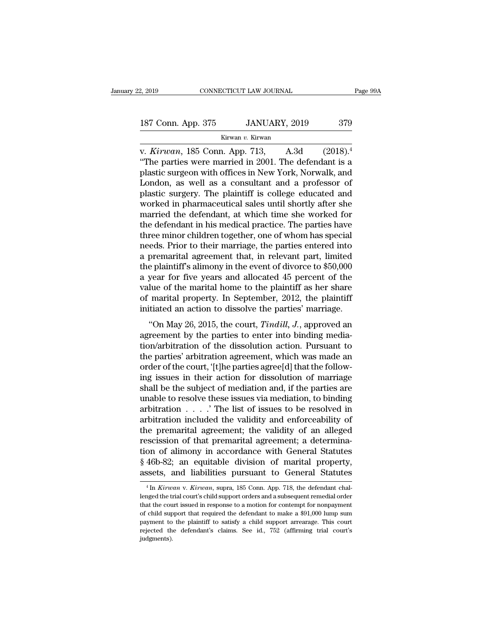| 2, 2019            | CONNECTICUT LAW JOURNAL | Page 99A |
|--------------------|-------------------------|----------|
| 187 Conn. App. 375 | JANUARY, 2019           | 379      |
|                    | Kirwan v. Kirwan        |          |

v. 2, 2019 CONNECTICUT LAW JOURNAL Page 99<br>
187 Conn. App. 375 JANUARY, 2019 379<br>
Kirwan v. Kirwan<br>
v. *Kirwan*, 185 Conn. App. 713, A.3d (2018).<sup>4</sup><br>
"The parties were married in 2001. The defendant is a plastic surgeon wi 187 Conn. App. 375 JANUARY, 2019 379<br>
Kirwan v. Kirwan<br>
V. Kirwan, 185 Conn. App. 713, A.3d (2018).<sup>4</sup><br>
"The parties were married in 2001. The defendant is a<br>
plastic surgeon with offices in New York, Norwalk, and<br>
I ondon 187 Conn. App. 375 JANUARY, 2019 379<br>
Kirwan v. Kirwan<br>
v. Kirwan, 185 Conn. App. 713, A.3d  $(2018)^4$ <br>
"The parties were married in 2001. The defendant is a plastic surgeon with offices in New York, Norwalk, and London, a 187 Conn. App. 375 JANUARY, 2019 379<br>
Kirwan v. Kirwan<br>
v. Kirwan, 185 Conn. App. 713, A.3d  $(2018)^4$ <br>
"The parties were married in 2001. The defendant is a<br>
plastic surgeon with offices in New York, Norwalk, and<br>
London, EV COMM PLPP COC CONDUCTED, 2012 CONDED CONDITIONS (SURVEY).<br>
W. Kirwan, 185 Conn. App. 713, A.3d (2018).<sup>4</sup><br>
"The parties were married in 2001. The defendant is a<br>
plastic surgeon with offices in New York, Norwalk, and<br> Extremant v. Kirwan<br>
w. Kirwan, 185 Conn. App. 713, A.3d (2018).<sup>4</sup><br>
"The parties were married in 2001. The defendant is a<br>
plastic surgeon with offices in New York, Norwalk, and<br>
London, as well as a consultant and a pro v. *Kirwan*, 185 Conn. App. 713, A.3d (2018).<sup>4</sup><br>
"The parties were married in 2001. The defendant is a plastic surgeon with offices in New York, Norwalk, and London, as well as a consultant and a professor of plastic sur "The parties were married in 2001. The defendant is a plastic surgeon with offices in New York, Norwalk, and London, as well as a consultant and a professor of plastic surgery. The plaintiff is college educated and worked plastic surgeon with offices in New York, Norwalk, and<br>London, as well as a consultant and a professor of<br>plastic surgery. The plaintiff is college educated and<br>worked in pharmaceutical sales until shortly after she<br>marrie London, as well as a consultant and a professor of<br>plastic surgery. The plaintiff is college educated and<br>worked in pharmaceutical sales until shortly after she<br>married the defendant, at which time she worked for<br>the defe plastic surgery. The plaintiff is college educated and<br>worked in pharmaceutical sales until shortly after she<br>married the defendant, at which time she worked for<br>the defendant in his medical practice. The parties have<br>thre worked in pharmaceutical sales until shortly after she<br>married the defendant, at which time she worked for<br>the defendant in his medical practice. The parties have<br>three minor children together, one of whom has special<br>need married the defendant, at which time she worked for<br>the defendant in his medical practice. The parties have<br>three minor children together, one of whom has special<br>needs. Prior to their marriage, the parties entered into<br>a the defendant in his medical practice. The parties have<br>three minor children together, one of whom has special<br>needs. Prior to their marriage, the parties entered into<br>a premarital agreement that, in relevant part, limited three minor children together, one of whom has special<br>needs. Prior to their marriage, the parties entered into<br>a premarital agreement that, in relevant part, limited<br>the plaintiff's alimony in the event of divorce to \$50, needs. Prior to their marriage, the parties entered into<br>a premarital agreement that, in relevant part, limited<br>the plaintiff's alimony in the event of divorce to \$50,000<br>a year for five years and allocated 45 percent of t e plaintiff's alimony in the event of divorce to \$50,000<br>year for five years and allocated 45 percent of the<br>lue of the marital home to the plaintiff as her share<br>marital property. In September, 2012, the plaintiff<br>titated are plantin's almostly in the event of divorce to  $\psi_{00}$ ,  $\psi_{00}$  a year for five years and allocated 45 percent of the value of the marital home to the plaintiff as her share of marital property. In September, 2012, t

the value of the marital home to the plaintiff as her share<br>of marital property. In September, 2012, the plaintiff<br>initiated an action to dissolve the parties' marriage.<br>"On May 26, 2015, the court, *Tindill*, *J*., appro value of the marital nome to the plantifit as her share<br>of marital property. In September, 2012, the plaintiff<br>initiated an action to dissolve the parties' marriage.<br>"On May 26, 2015, the court, *Tindill*, *J*., approved initiated an action to dissolve the parties' marriage.<br>
"On May 26, 2015, the court, *Tindill*, *J*., approved an agreement by the parties to enter into binding mediation/arbitration of the dissolution action. Pursuant to "On May 26, 2015, the court, *Tindill*, *J*., approved an agreement by the parties to enter into binding mediation/arbitration of the dissolution action. Pursuant to the parties' arbitration agreement, which was made an o "On May 26, 2015, the court, *Tindill*, *J*., approved an agreement by the parties to enter into binding mediation/arbitration of the dissolution action. Pursuant to the parties' arbitration agreement, which was made an o agreement by the parties to enter into binding mediation/arbitration of the dissolution action. Pursuant to the parties' arbitration agreement, which was made an order of the court, '[t]he parties agree[d] that the followi tion/arbitration of the dissolution action. Pursuant to<br>the parties' arbitration agreement, which was made an<br>order of the court, '[t]he parties agree[d] that the follow-<br>ing issues in their action for dissolution of marr the parties' arbitration agreement, which was made an order of the court, '[t]he parties agree[d] that the following issues in their action for dissolution of marriage shall be the subject of mediation and, if the parties order of the court, '[t]he parties agree[d] that the following issues in their action for dissolution of marriage shall be the subject of mediation and, if the parties are unable to resolve these issues via mediation, to ing issues in their action for dissolution of marriage<br>shall be the subject of mediation and, if the parties are<br>unable to resolve these issues via mediation, to binding<br>arbitration  $\dots$ . The list of issues to be resolved shall be the subject of mediation and, if the parties are<br>unable to resolve these issues via mediation, to binding<br>arbitration  $\ldots$ ... The list of issues to be resolved in<br>arbitration included the validity and enforceabi unable to resolve these issues via mediation, to binding<br>arbitration  $\ldots$ . The list of issues to be resolved in<br>arbitration included the validity and enforceability of<br>the premarital agreement; the validity of an alleged arbitration . . . . . The list of issues to be resolved in arbitration included the validity and enforceability of the premarital agreement; the validity of an alleged rescission of that premarital agreement; a determinat scission of that premarital agreement; a determination of alimony in accordance with General Statutes 46b-82; an equitable division of marital property, ssets, and liabilities pursuant to General Statutes  $\frac{4 \text{ln} \text{ Kirwan}}$ tion of alimony in accordance with General Statutes  $\S$  46b-82; an equitable division of marital property, assets, and liabilities pursuant to General Statutes  $\frac{4 \text{ In } Kirwan \text{ v. } Kirwan, \text{ supra, 185 Conn. App. 718, the defendant challenge of the trial court's child support orders and a subsequent remedial order that the court issued in$ 

 $§$  46b-82; an equitable division of marital property, assets, and liabilities pursuant to General Statutes  $^{4}$ In *Kirwan* v. *Kirwan*, supra, 185 Conn. App. 718, the defendant challenged the trial court's child support assets, and liabilities pursuant to General Statutes<br>  $^{4}$ In *Kirwan* v. *Kirwan*, supra, 185 Conn. App. 718, the defendant chal-<br>
lenged the trial court's child support orders and a subsequent remedial order<br>
that the c **Example 15 Altimary 1989**<br> **Example 16 Altimary 1989**<br> **Example 16 Altimary 1989**<br> **Example 16 Altimary 1989**<br> **Example 16 Altimary 1999**<br> **Example 16 Altimary 1999**<br> **Example 16 Altimary 1999**<br> **Example 16 Altimary 1999** <sup>4</sup> In *Kirwan* v. *Kirwan*, supra, 185 Conn. App. 718, the defendant challenged the trial court's child support orders and a subsequent remedial order that the court issued in response to a motion for contempt for nonpay judgments).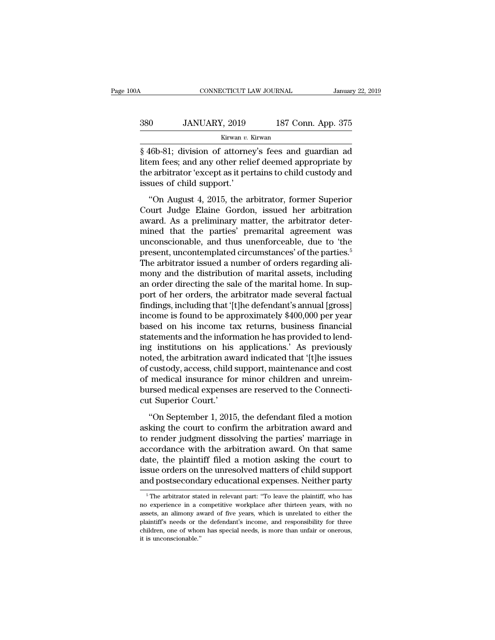### CONNECTICUT LAW JOURNAL January 22, 2019<br>380 JANUARY, 2019 187 Conn. App. 375<br>Kirwan v. Kirwan Kirwan *v.* Kirwan

CONNECTICUT LAW JOURNAL January 22, 2019<br>
380 JANUARY, 2019 187 Conn. App. 375<br>
Kirwan v. Kirwan<br>
§ 46b-81; division of attorney's fees and guardian ad<br>
litem fees; and any other relief deemed appropriate by<br>
the arbitrato 187 Conn. App. 375<br>
187 Conn. App. 375<br>
187 Conn. App. 375<br>
187 Conn. App. 375<br>
187 Conn. App. 375<br>
187 Conn. App. 375<br>
188 46b-81; division of attorney's fees and guardian ad<br>
198 11: The relief deemed appropriate by<br>
198  $\begin{array}{cc}\n 380 & \text{JANUARY, } 2019 & \text{187 Conn. App. 375} \\
 \hline\n \text{Kirwan } v. \text{ Kirwan} \\
 \hline\n \text{\$ 46b-81; division of \text{ attorney's fees and guardian ad} \text{litem fees; and any other relief deemed appropriate by \text{the arbitrary 'except as it pertains to child custody and} \text{issues of child support.'}\n\end{array}$ 380 JANUARY, 2019<br>
Kirwan v.<br>
§ 46b-81; division of attorne<br>
litem fees; and any other reli<br>
the arbitrator 'except as it perissues of child support.'<br>
"On August 4, 2015, the a  $\frac{Kirwan}{2}$ . Kirwan<br>  $\frac{1}{6}$  Kirwan<br>  $\frac{1}{6}$  Algorithment (in any other relief deemed appropriate by<br>  $\frac{1}{6}$  arbitrator 'except as it pertains to child custody and<br>  $\frac{1}{6}$  are arbitrator. Former Superior<br>  $\frac{1}{$  $\frac{1}{8}$  46b-81; division of attorney's fees and guardian ad<br>litem fees; and any other relief deemed appropriate by<br>the arbitrator 'except as it pertains to child custody and<br>issues of child support.'<br>"On August 4, 2015,

a provided in the arbitrator of all and the set and galaxies by the arbitrator 'except as it pertains to child custody and issues of child support.'<br>
"On August 4, 2015, the arbitrator, former Superior Court Judge Elaine mined that the arbitrator 'except as it pertains to child custody and<br>issues of child support.'<br>"On August 4, 2015, the arbitrator, former Superior<br>Court Judge Elaine Gordon, issued her arbitration<br>award. As a preliminary issues of child support.'<br>
"On August 4, 2015, the arbitrator, former Superior<br>
Court Judge Elaine Gordon, issued her arbitration<br>
award. As a preliminary matter, the arbitrator deter-<br>
mined that the parties' premarital a "On August 4, 2015, the arbitrator, former Superior<br>Court Judge Elaine Gordon, issued her arbitration<br>award. As a preliminary matter, the arbitrator deter-<br>mined that the parties' premarital agreement was<br>unconscionable, "On August 4, 2015, the arbitrator, former Superior Court Judge Elaine Gordon, issued her arbitration award. As a preliminary matter, the arbitrator determined that the parties' premarital agreement was unconscionable, an Court Judge Elaine Gordon, issued her arbitration<br>award. As a preliminary matter, the arbitrator deter-<br>mined that the parties' premarital agreement was<br>unconscionable, and thus unenforceable, due to 'the<br>present, uncontem award. As a preliminary matter, the arbitrator determined that the parties' premarital agreement was unconscionable, and thus unenforceable, due to 'the present, uncontemplated circumstances' of the parties.<sup>5</sup> The arbitra mined that the parties' premarital agreement was<br>unconscionable, and thus unenforceable, due to 'the<br>present, uncontemplated circumstances' of the parties.<sup>5</sup><br>The arbitrator issued a number of orders regarding ali-<br>mony an unconscionable, and thus unenforceable, due to 'the<br>present, uncontemplated circumstances' of the parties.<sup>5</sup><br>The arbitrator issued a number of orders regarding ali-<br>mony and the distribution of marital assets, including<br>a present, uncontemplated circumstances' of the parties.<sup>5</sup><br>The arbitrator issued a number of orders regarding ali-<br>mony and the distribution of marital assets, including<br>an order directing the sale of the marital home. In s The arbitrator issued a number of orders regarding ali-<br>mony and the distribution of marital assets, including<br>an order directing the sale of the marital home. In sup-<br>port of her orders, the arbitrator made several factua mony and the distribution of marital assets, including<br>an order directing the sale of the marital home. In sup-<br>port of her orders, the arbitrator made several factual<br>findings, including that '[t]he defendant's annual [gr an order directing the sale of the marital home. In support of her orders, the arbitrator made several factual<br>findings, including that '[t]he defendant's annual [gross]<br>income is found to be approximately \$400,000 per yea port of her orders, the arbitrator made several factual<br>findings, including that '[t]he defendant's annual [gross]<br>income is found to be approximately \$400,000 per year<br>based on his income tax returns, business financial<br>s findings, including that '[t]he defendant's annual [gross]<br>income is found to be approximately \$400,000 per year<br>based on his income tax returns, business financial<br>statements and the information he has provided to lend-<br>i income is found to be approximately \$400,000 per year<br>based on his income tax returns, business financial<br>statements and the information he has provided to lend-<br>ing institutions on his applications.' As previously<br>noted, based on his income tax returns, business financial<br>statements and the information he has provided to lend-<br>ing institutions on his applications.' As previously<br>noted, the arbitration award indicated that '[t]he issues<br>of statements and the inform<br>
ing institutions on his<br>
noted, the arbitration aw<br>
of custody, access, child<br>
of medical insurance fo<br>
bursed medical expenses<br>
cut Superior Court.'<br>
"On September 1, 2015 The defendance of the defendance of the september 1, 2015, the defendant filed a motion<br>
separate a more controller and cost medical insurance for minor children and unreim-<br>
reset medical expenses are reserved to the Conn recea, are arbitration award indicated that [e]re asked<br>of custody, access, child support, maintenance and cost<br>of medical insurance for minor children and unreim-<br>bursed medical expenses are reserved to the Connecti-<br>cut

of medical insurance for minor children and unreim-<br>bursed medical expenses are reserved to the Connecti-<br>cut Superior Court.'<br>"On September 1, 2015, the defendant filed a motion<br>asking the court to confirm the arbitration bursed medical expenses are reserved to the Connecticut Superior Court.'<br>
"On September 1, 2015, the defendant filed a motion<br>
asking the court to confirm the arbitration award and<br>
to render judgment dissolving the partie Example included and to the control of the control<br>cut Superior Court.'<br>"On September 1, 2015, the defendant filed a motion<br>asking the court to confirm the arbitration award and<br>to render judgment dissolving the parties' m "On September 1, 2015, the defendant filed a motion<br>asking the court to confirm the arbitration award and<br>to render judgment dissolving the parties' marriage in<br>accordance with the arbitration award. On that same<br>date, the "On September 1, 2015, the defendant filed a motion<br>asking the court to confirm the arbitration award and<br>to render judgment dissolving the parties' marriage in<br>accordance with the arbitration award. On that same<br>date, th coordance with the arbitration award. On that same<br>ate, the plaintiff filed a motion asking the court to<br>sue orders on the unresolved matters of child support<br>ind postsecondary educational expenses. Neither party<br><sup>5</sup>The ar date, the plaintiff filed a motion asking the court to<br>issue orders on the unresolved matters of child support<br>and postsecondary educational expenses. Neither party<br><sup>5</sup>The arbitrator stated in relevant part: "To leave the

issue orders on the unresolved matters of child support<br>and postsecondary educational expenses. Neither party<br><sup>5</sup>The arbitrator stated in relevant part: "To leave the plaintiff, who has<br>no experience in a competitive workp and postsecondary educational expenses. Neither party<br>  $\overline{\phantom{a}}$   $\overline{\phantom{a}}$  The arbitrator stated in relevant part: "To leave the plaintiff, who has<br>
no experience in a competitive workplace after thirteen years, with <sup>5</sup>The arbitrator stated in relevant part: "To leave the plaintiff, who has no experience in a competitive workplace after thirteen years, with no assets, an alimony award of five years, which is unrelated to either the pl  $\overline{\phantom{a}}$  is The arbitrator state in a conservation assets, an alimony availability is needs or the children, one of whore it is unconscionable."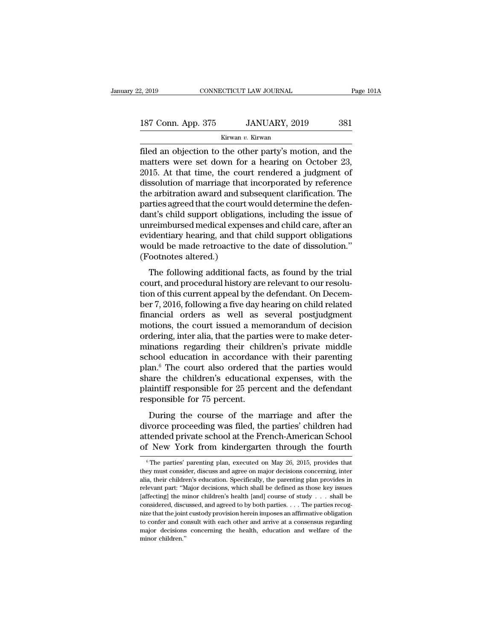| 2, 2019            | CONNECTICUT LAW JOURNAL | Page 101A |
|--------------------|-------------------------|-----------|
| 187 Conn. App. 375 | JANUARY, 2019           | 381       |
|                    | Kirwan v. Kirwan        |           |

Filed an objection to the other party's motion, and the matters were set down for a hearing on October 23,<br>  $\frac{187 \text{ Conn. App. } 375}{2015}$  At that time the court rendered a judgment of  $\frac{23}{2015}$ 187 Conn. App. 375 JANUARY, 2019 381<br>
Kirwan v. Kirwan<br>
filed an objection to the other party's motion, and the<br>
matters were set down for a hearing on October 23,<br>
2015. At that time, the court rendered a judgment of<br>
dis 187 Conn. App. 375 JANUARY, 2019 381<br>
Kirwan v. Kirwan<br>
Filed an objection to the other party's motion, and the<br>
matters were set down for a hearing on October 23,<br>
2015. At that time, the court rendered a judgment of<br>
di 187 Conn. App. 375 JANUARY, 2019 381<br>
Kirwan v. Kirwan<br>
filed an objection to the other party's motion, and the<br>
matters were set down for a hearing on October 23,<br>
2015. At that time, the court rendered a judgment of<br>
di Expression and the sum of the collision and the<br>filed an objection to the other party's motion, and the<br>matters were set down for a hearing on October 23,<br>2015. At that time, the court rendered a judgment of<br>dissolution o kurwan v. Kurwan<br>filed an objection to the other party's motion, and the<br>matters were set down for a hearing on October 23,<br>2015. At that time, the court rendered a judgment of<br>dissolution of marriage that incorporated by filed an objection to the other party's motion, and the<br>matters were set down for a hearing on October 23,<br>2015. At that time, the court rendered a judgment of<br>dissolution of marriage that incorporated by reference<br>the arb matters were set down for a hearing on October 23,<br>2015. At that time, the court rendered a judgment of<br>dissolution of marriage that incorporated by reference<br>the arbitration award and subsequent clarification. The<br>parties 2015. At that time, the court rendered a judgment of<br>dissolution of marriage that incorporated by reference<br>the arbitration award and subsequent clarification. The<br>parties agreed that the court would determine the defen-<br>d dissolution of marriage that incorporated by reference<br>the arbitration award and subsequent clarification. The<br>parties agreed that the court would determine the defen-<br>dant's child support obligations, including the issue the arbitration award and suparties agreed that the court v<br>dant's child support obligati<br>unreimbursed medical exper<br>evidentiary hearing, and tha<br>would be made retroactive t<br>(Footnotes altered.)<br>The following additional 1 racs agreed and the court would determine the deterministic and the set of the main of the size of preimbursed medical expenses and child care, after an identiary hearing, and that child support obligations build be made r data 5 chia support obigations, including are issue of<br>unreimbursed medical expenses and child care, after an<br>evidentiary hearing, and that child support obligations<br>would be made retroactive to the date of dissolution."<br>(

the evidentiary hearing, and that child support obligations<br>would be made retroactive to the date of dissolution."<br>(Footnotes altered.)<br>The following additional facts, as found by the trial<br>court, and procedural history ar be made retroactive to the date of dissolution."<br>
(Footnotes altered.)<br>
The following additional facts, as found by the trial<br>
court, and procedural history are relevant to our resolu-<br>
tion of this current appeal by the d (Footnotes altered.)<br>
The following additional facts, as found by the trial<br>
court, and procedural history are relevant to our resolu-<br>
tion of this current appeal by the defendant. On Decem-<br>
ber 7, 2016, following a five The following additional facts, as found by the trial<br>court, and procedural history are relevant to our resolu-<br>tion of this current appeal by the defendant. On Decem-<br>ber 7, 2016, following a five day hearing on child rel The following additional facts, as found by the trial<br>court, and procedural history are relevant to our resolu-<br>tion of this current appeal by the defendant. On Decem-<br>ber 7, 2016, following a five day hearing on child rel court, and procedural history are relevant to our resolution of this current appeal by the defendant. On December 7, 2016, following a five day hearing on child related financial orders as well as several postjudgment moti tion of this current appeal by the defendant. On December 7, 2016, following a five day hearing on child related financial orders as well as several postjudgment motions, the court issued a memorandum of decision ordering, ber 7, 2016, following a five day hearing on child related<br>financial orders as well as several postjudgment<br>motions, the court issued a memorandum of decision<br>ordering, inter alia, that the parties were to make deter-<br>mina financial orders as well as several postjudgment<br>motions, the court issued a memorandum of decision<br>ordering, inter alia, that the parties were to make deter-<br>minations regarding their children's private middle<br>school edu motions, the court issued a memorandum of decision<br>ordering, inter alia, that the parties were to make deter-<br>minations regarding their children's private middle<br>school education in accordance with their parenting<br>plan.<sup>6</sup> ordering, inter alia, that the parti<br>minations regarding their chile<br>school education in accordance<br>plan.<sup>6</sup> The court also ordered t<br>share the children's educationa<br>plaintiff responsible for 25 perc<br>responsible for 75 per mations regarding their children's private matter.<br>
hool education in accordance with their parenting<br>
an.<sup>6</sup> The court also ordered that the parties would<br>
are the children's educational expenses, with the<br>
similiff respo behivor cluster in accordance with then parenting<br>plan.<sup>6</sup> The court also ordered that the parties would<br>share the children's educational expenses, with the<br>plaintiff responsible for 25 percent and the defendant<br>responsibl

plan. The coard also ordered and the parties would<br>share the children's educational expenses, with the<br>plaintiff responsible for 25 percent.<br>During the course of the marriage and after the<br>divorce proceeding was filed, the share the emitaten's educational expenses, what the<br>plaintiff responsible for 25 percent and the defendant<br>responsible for 75 percent.<br>During the course of the marriage and after the<br>divorce proceeding was filed, the parti During the course of the marriage and after the divorce proceeding was filed, the parties' children had attended private school at the French-American School of New York from kindergarten through the fourth  $\frac{1}{\text{The parties'}}$ divorce proceeding was filed, the parties' children had<br>attended private school at the French-American School<br>of New York from kindergarten through the fourth<br><sup>6</sup>The parties' parenting plan, executed on May 26, 2015, provi

attended private school at the French-American School<br>of New York from kindergarten through the fourth<br><sup>6</sup>The parties' parenting plan, executed on May 26, 2015, provides that<br>they must consider, discuss and agree on major of New York from kindergarten through the fourth<br>  $\degree$ The parties' parenting plan, executed on May 26, 2015, provides that<br>
they must consider, discuss and agree on major decisions concerning, inter<br>
alia, their children' The parties' parenting plan, executed on May 26, 2015, provides that they must consider, discuss and agree on major decisions concerning, inter alia, their children's education. Specifically, the parenting plan provides i <sup>6</sup> The parties' parenting plan, executed on May 26, 2015, provides that they must consider, discuss and agree on major decisions concerning, inter alia, their children's education. Specifically, the parenting plan provid they must consider, discuss and agree on major decisions concerning, inter alia, their children's education. Specifically, the parenting plan provides in relevant part: "Major decisions, which shall be defined as those key and content that the periodic specifically, the parenting plan provides in relevant part: "Major decisions, which shall be defined as those key issues [affecting] the minor children's health [and] course of study  $\ldots$  sh may are levant part: "Major decisions, which shall be defined as those key issues [affecting] the minor children's health [and] course of study  $\ldots$  shall be considered, discussed, and agreed to by both parties.  $\ldots$  Th relevant part: "Major decisions, which shall be defined as those key issues [affecting] the minor children's health [and] course of study . . . shall be considered, discussed, and agreed to by both parties. . . . The part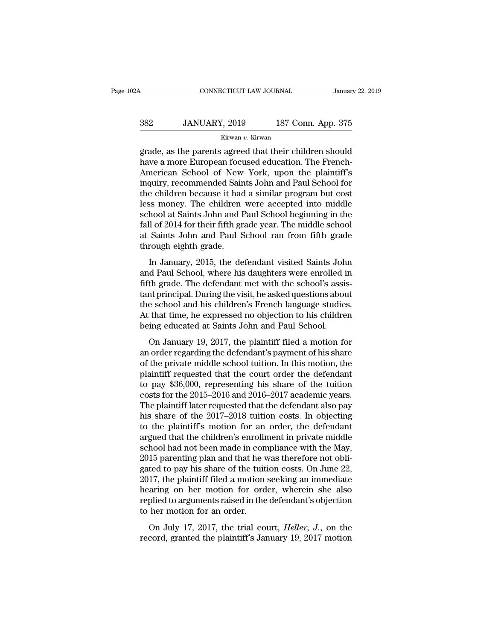### CONNECTICUT LAW JOURNAL January 22, 2019<br>382 JANUARY, 2019 187 Conn. App. 375<br>Kirwan v. Kirwan Kirwan *v.* Kirwan

CONNECTICUT LAW JOURNAL January 22, 2019<br>
382 JANUARY, 2019 187 Conn. App. 375<br>
Kirwan v. Kirwan<br>
grade, as the parents agreed that their children should<br>
have a more European focused education. The French-American School  $\frac{\text{Kirwan } v. \text{ Kirwan}}{\text{grade, as the parents agreed that their children should have a more European focused education. The French-American School of New York, upon the plaintiff's inquiry, recommended Saints John and Paul School for$  $\frac{382}{2000}$  JANUARY, 2019 187 Conn. App. 375<br>  $\frac{187}{2000}$  Kirwan v. Kirwan<br>
grade, as the parents agreed that their children should<br>
have a more European focused education. The French-<br>
American School of New York,  $382$  JANUARY, 2019 187 Conn. App. 375<br>  $\frac{1}{x}$  Kirwan v. Kirwan<br>
grade, as the parents agreed that their children should<br>
have a more European focused education. The French-<br>
American School of New York, upon the plain  $\frac{Kirwan}{2}$   $\frac{1}{2}$   $\frac{1}{2}$   $\frac{1}{2}$   $\frac{1}{2}$   $\frac{1}{2}$   $\frac{1}{2}$   $\frac{1}{2}$   $\frac{1}{2}$   $\frac{1}{2}$   $\frac{1}{2}$   $\frac{1}{2}$   $\frac{1}{2}$   $\frac{1}{2}$  and a similar control. The French-American School of New York, upon the plainti Kirwan v. Kirwan<br>grade, as the parents agreed that their children should<br>have a more European focused education. The French-<br>American School of New York, upon the plaintiff's<br>inquiry, recommended Saints John and Paul Schoo grade, as the parents agreed that their children should<br>have a more European focused education. The French-<br>American School of New York, upon the plaintiff's<br>inquiry, recommended Saints John and Paul School for<br>the childre have a more European focused education. The French-<br>American School of New York, upon the plaintiff's<br>inquiry, recommended Saints John and Paul School for<br>the children because it had a similar program but cost<br>less money. American School of New York, upon the plaintiff's<br>inquiry, recommended Saints John and Paul School for<br>the children because it had a similar program but cost<br>less money. The children were accepted into middle<br>school at Sai inquiry, recommended Sair<br>the children because it had<br>less money. The children<br>school at Saints John and I<br>fall of 2014 for their fifth gr<br>at Saints John and Paul S<br>through eighth grade.<br>In January, 2015, the de In January, 2015, the defendant visited Saints John<br>definition of a Saints John and Paul School beginning in the<br>ll of 2014 for their fifth grade year. The middle school<br>Saints John and Paul School ran from fifth grade<br>rou ress money. The children were accepted into made<br>school at Saints John and Paul School beginning in the<br>fall of 2014 for their fifth grade year. The middle school<br>at Saints John and Paul School ran from fifth grade<br>through

fall of 2014 for their fifth grade year. The middle school<br>at Saints John and Paul School ran from fifth grade<br>through eighth grade.<br>In January, 2015, the defendant visited Saints John<br>and Paul School, where his daughters and Saints John and Paul School ran from fifth grade<br>at Saints John and Paul School ran from fifth grade<br>through eighth grade.<br>In January, 2015, the defendant visited Saints John<br>and Paul School, where his daughters were e through eighth grade.<br>
In January, 2015, the defendant visited Saints John<br>
and Paul School, where his daughters were enrolled in<br>
fifth grade. The defendant met with the school's assis-<br>
tant principal. During the visit, In January, 2015, the defendant visited Saints John<br>and Paul School, where his daughters were enrolled in<br>fifth grade. The defendant met with the school's assis-<br>tant principal. During the visit, he asked questions about<br>t In January, 2015, the defendant visited Saints Joh<br>and Paul School, where his daughters were enrolled i<br>fifth grade. The defendant met with the school's assis<br>tant principal. During the visit, he asked questions abou<br>the s In France, where the diagnosis were entered in<br>th grade. The defendant met with the school's assis-<br>nt principal. During the visit, he asked questions about<br>e school and his children's French language studies.<br>that time, h rant principal. During the visit, he asked questions about<br>the school and his children's French language studies.<br>At that time, he expressed no objection to his children<br>being educated at Saints John and Paul School.<br>On Ja

data principal. Dartig are visit, it asked questions about<br>the school and his children's French language studies.<br>At that time, he expressed no objection to his children<br>being educated at Saints John and Paul School.<br>On Ja At that time, he expressed no objection to his children<br>being educated at Saints John and Paul School.<br>On January 19, 2017, the plaintiff filed a motion for<br>an order regarding the defendant's payment of his share<br>of the p to that the, he expressed ho objection to this children<br>being educated at Saints John and Paul School.<br>On January 19, 2017, the plaintiff filed a motion for<br>an order regarding the defendant's payment of his share<br>of the pr only calculated at stanks solid and 1 at 1 can series.<br>
On January 19, 2017, the plaintiff filed a motion for<br>
an order regarding the defendant's payment of his share<br>
of the private middle school tuition. In this motion, On January 19, 2017, the plaintiff filed a motion for<br>an order regarding the defendant's payment of his share<br>of the private middle school tuition. In this motion, the<br>plaintiff requested that the court order the defendan an order regarding the defendant's payment of his share<br>of the private middle school tuition. In this motion, the<br>plaintiff requested that the court order the defendant<br>to pay \$36,000, representing his share of the tuition of the private middle school tuition. In this motion, the plaintiff requested that the court order the defendant<br>to pay \$36,000, representing his share of the tuition<br>costs for the 2015–2016 and 2016–2017 academic years.<br>T plaintiff requested that the court order the defendant<br>to pay \$36,000, representing his share of the tuition<br>costs for the 2015–2016 and 2016–2017 academic years.<br>The plaintiff later requested that the defendant also pay<br>h to pay \$36,000, representing his share of the tuition<br>costs for the 2015–2016 and 2016–2017 academic years.<br>The plaintiff later requested that the defendant also pay<br>his share of the 2017–2018 tuition costs. In objecting<br>t costs for the 2015–2016 and 2016–2017 academic years.<br>The plaintiff later requested that the defendant also pay<br>his share of the 2017–2018 tuition costs. In objecting<br>to the plaintiff's motion for an order, the defendant<br>a The plaintiff later requested that the defendant also pay<br>his share of the 2017–2018 tuition costs. In objecting<br>to the plaintiff's motion for an order, the defendant<br>argued that the children's enrollment in private middle his share of the 2017–2018 tuition costs. In objecting<br>to the plaintiff's motion for an order, the defendant<br>argued that the children's enrollment in private middle<br>school had not been made in compliance with the May,<br>2015 to the plaintiff's motion for an order, the defendant<br>argued that the children's enrollment in private middle<br>school had not been made in compliance with the May,<br>2015 parenting plan and that he was therefore not obli-<br>gat argued that the children's enrollment in private middle<br>school had not been made in compliance with the May,<br>2015 parenting plan and that he was therefore not obli-<br>gated to pay his share of the tuition costs. On June 22,<br> school had not been made in con<br>2015 parenting plan and that he v<br>gated to pay his share of the tuit<br>2017, the plaintiff filed a motion<br>hearing on her motion for ord<br>replied to arguments raised in the<br>to her motion for an If partiting plant and that it was therefore not obnited to pay his share of the tuition costs. On June 22, 17, the plaintiff filed a motion seeking an immediate aring on her motion for order, wherein she also plied to arg gased to pay this share of the tantom costs. On state 22, 2017, the plaintiff filed a motion seeking an immediate hearing on her motion for order, wherein she also replied to arguments raised in the defendant's objection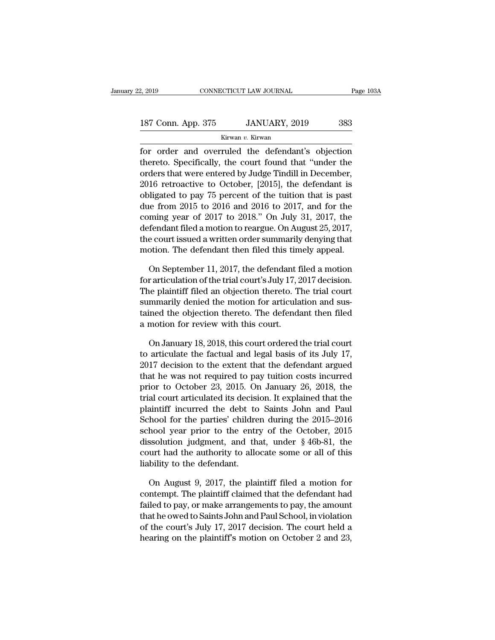# 2, 2019 CONNECTICUT LAW JOURNAL Page 103A<br>187 Conn. App. 375 JANUARY, 2019 383<br>Kirwan v. Kirwan

Kirwan *v.* Kirwan

Fage 103A<br>
187 Conn. App. 375 JANUARY, 2019 383<br>
Kirwan v. Kirwan<br>
for order and overruled the defendant's objection<br>
thereto. Specifically, the court found that "under the 187 Conn. App. 375 JANUARY, 2019 383<br>
Kirwan v. Kirwan<br>
for order and overruled the defendant's objection<br>
thereto. Specifically, the court found that "under the<br>
orders that were entered by Judge Tindill in December,<br>
201 187 Conn. App. 375 JANUARY, 2019 383<br>
Kirwan v. Kirwan<br>
for order and overruled the defendant's objection<br>
thereto. Specifically, the court found that "under the<br>
orders that were entered by Judge Tindill in December,<br>
201 187 Conn. App. 375 JANUARY, 2019 383<br>
Kirwan v. Kirwan<br>
for order and overruled the defendant's objection<br>
thereto. Specifically, the court found that "under the<br>
orders that were entered by Judge Tindill in December,<br>
20 External State of the defendant's objection<br>for order and overruled the defendant's objection<br>thereto. Specifically, the court found that "under the<br>orders that were entered by Judge Tindill in December,<br>2016 retroactive during the defendant's objection<br>thereto. Specifically, the court found that "under the<br>orders that were entered by Judge Tindill in December,<br>2016 retroactive to October, [2015], the defendant is<br>obligated to pay 75 perc for order and overruled the defendant's objection<br>thereto. Specifically, the court found that "under the<br>orders that were entered by Judge Tindill in December,<br>2016 retroactive to October, [2015], the defendant is<br>obligate thereto. Specifically, the court found that "under the<br>orders that were entered by Judge Tindill in December,<br>2016 retroactive to October, [2015], the defendant is<br>obligated to pay 75 percent of the tuition that is past<br>du orders that were entered by Judge Tindill in December,<br>2016 retroactive to October, [2015], the defendant is<br>obligated to pay 75 percent of the tuition that is past<br>due from 2015 to 2016 and 2016 to 2017, and for the<br>comin 2016 retroactive to October, [2015], the defendant is<br>obligated to pay 75 percent of the tuition that is past<br>due from 2015 to 2016 and 2016 to 2017, and for the<br>coming year of 2017 to 2018." On July 31, 2017, the<br>defendan ie from 2015 to 2016 and 2016 to 2017, and for the<br>ming year of 2017 to 2018." On July 31, 2017, the<br>fendant filed a motion to reargue. On August 25, 2017,<br>e court issued a written order summarily denying that<br>otion. The d coming year of 2017 to 2018." On July 31, 2017, the<br>defendant filed a motion to reargue. On August 25, 2017,<br>the court issued a written order summarily denying that<br>motion. The defendant then filed this timely appeal.<br>On S

defendant filed a motion to reargue. On August 25, 2017,<br>the court issued a written order summarily denying that<br>motion. The defendant then filed this timely appeal.<br>On September 11, 2017, the defendant filed a motion<br>for the court issued a written order summarily denying that<br>motion. The defendant then filed this timely appeal.<br>On September 11, 2017, the defendant filed a motion<br>for articulation of the trial court's July 17, 2017 decision. motion. The defendant then filed this timely appeal.<br>
On September 11, 2017, the defendant filed a motion<br>
for articulation of the trial court's July 17, 2017 decision.<br>
The plaintiff filed an objection thereto. The trial On September 11, 2017, the defendant f<br>for articulation of the trial court's July 17, 2<br>The plaintiff filed an objection thereto. T<br>summarily denied the motion for articula<br>tained the objection thereto. The defenda<br>a motio r articulation of the trial court's July 17, 2017 decision.<br>
he plaintiff filed an objection thereto. The trial court<br>
mmarily denied the motion for articulation and sus-<br>
imed the objection thereto. The defendant then fil The plaintiff filed an objection thereto. The trial court<br>summarily denied the motion for articulation and sus-<br>tained the objection thereto. The defendant then filed<br>a motion for review with this court.<br>On January 18, 201

summarily denied the motion for articulation and sus-<br>tained the objection thereto. The defendant then filed<br>a motion for review with this court.<br>On January 18, 2018, this court ordered the trial court<br>to articulate the f tained the objection thereto. The defendant then filed<br>a motion for review with this court.<br>On January 18, 2018, this court ordered the trial court<br>to articulate the factual and legal basis of its July 17,<br>2017 decision to a motion for review with this court.<br>
On January 18, 2018, this court ordered the trial court<br>
to articulate the factual and legal basis of its July 17,<br>
2017 decision to the extent that the defendant argued<br>
that he was n On January 18, 2018, this court ordered the trial court<br>to articulate the factual and legal basis of its July 17,<br>2017 decision to the extent that the defendant argued<br>that he was not required to pay tuition costs incurred On January 18, 2018, this court ordered the trial court<br>to articulate the factual and legal basis of its July 17,<br>2017 decision to the extent that the defendant argued<br>that he was not required to pay tuition costs incurre to articulate the factual and legal basis of its July 17,<br>2017 decision to the extent that the defendant argued<br>that he was not required to pay tuition costs incurred<br>prior to October 23, 2015. On January 26, 2018, the<br>tr 2017 decision to the extent that the detendant argued<br>that he was not required to pay tuition costs incurred<br>prior to October 23, 2015. On January 26, 2018, the<br>trial court articulated its decision. It explained that the<br> that he was not required to pay tuition costs incurred<br>prior to October 23, 2015. On January 26, 2018, the<br>trial court articulated its decision. It explained that the<br>plaintiff incurred the debt to Saints John and Paul<br>Sc prior to October 23, 2015. On January 26, 2018, the<br>trial court articulated its decision. It explained that the<br>plaintiff incurred the debt to Saints John and Paul<br>School for the parties' children during the 2015–2016<br>scho trial court articulated its decisi<br>plaintiff incurred the debt to<br>School for the parties' childre<br>school year prior to the entr<br>dissolution judgment, and th<br>court had the authority to allo<br>liability to the defendant.<br>On Au hool for the parties' children during the 2015–2016<br>hool year prior to the entry of the October, 2015<br>ssolution judgment, and that, under § 46b-81, the<br>urt had the authority to allocate some or all of this<br>bility to the d school year prior to the entry of the October, 2015<br>dissolution judgment, and that, under  $\S$  46b-81, the<br>court had the authority to allocate some or all of this<br>liability to the defendant.<br>On August 9, 2017, the plaintif

dissolution judgment, and that, under  $\S$  46b-81, the<br>court had the authority to allocate some or all of this<br>liability to the defendant.<br>On August 9, 2017, the plaintiff filed a motion for<br>contempt. The plaintiff claimed court had the authority to allocate some or all of this<br>liability to the defendant.<br>On August 9, 2017, the plaintiff filed a motion for<br>contempt. The plaintiff claimed that the defendant had<br>failed to pay, or make arrangem liability to the defendant.<br>
On August 9, 2017, the plaintiff filed a motion for<br>
contempt. The plaintiff claimed that the defendant had<br>
failed to pay, or make arrangements to pay, the amount<br>
that he owed to Saints John On August 9, 2017, the plaintiff filed a motion for<br>contempt. The plaintiff claimed that the defendant had<br>failed to pay, or make arrangements to pay, the amount<br>that he owed to Saints John and Paul School, in violation<br>of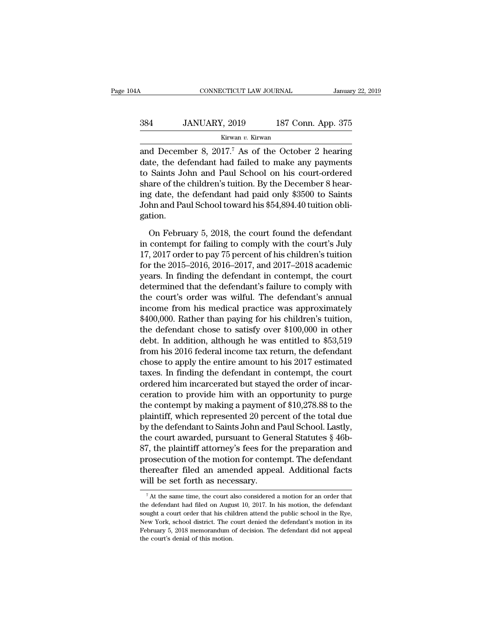### CONNECTICUT LAW JOURNAL January 22, 2019<br>384 JANUARY, 2019 187 Conn. App. 375<br>Kirwan v. Kirwan Kirwan *v.* Kirwan

CONNECTICUT LAW JOURNAL January 22, 2019<br>
384 JANUARY, 2019 187 Conn. App. 375<br>
Kirwan v. Kirwan<br>
and December 8, 2017.<sup>7</sup> As of the October 2 hearing<br>
date, the defendant had failed to make any payments<br>
to Saints John an 384 JANUARY, 2019 187 Conn. App. 375<br>
Kirwan v. Kirwan<br>
and December 8, 2017.<sup>7</sup> As of the October 2 hearing<br>
date, the defendant had failed to make any payments<br>
to Saints John and Paul School on his court-ordered<br>
share 384 JANUARY, 2019 187 Conn. App. 375<br>
Kirwan v. Kirwan<br>
and December 8, 2017.<sup>7</sup> As of the October 2 hearing<br>
date, the defendant had failed to make any payments<br>
to Saints John and Paul School on his court-ordered<br>
share  $384$  JANUARY, 2019 187 Conn. App. 375<br>  $375$ <br>  $375$ <br>  $375$ <br>  $375$ <br>
and December 8, 2017.<sup>7</sup> As of the October 2 hearing<br>
date, the defendant had failed to make any payments<br>
to Saints John and Paul School on his court-or  $\frac{Kirwan}{2}$   $\frac{Kirwan}{2}$   $\frac{1}{2}$   $\frac{1}{2}$  and December 8, 2017.<sup>7</sup> As of the October 2 hearing date, the defendant had failed to make any payments to Saints John and Paul School on his court-ordered share of the childre KIWART *V*. KITWART AND and December 8, 2017.<sup>7</sup> As of the October 2 hearing date, the defendant had failed to make any payments to Saints John and Paul School on his court-ordered share of the children's tuition. By the D gation. Saints John and Paul School on his court-ordered<br>are of the children's tuition. By the December 8 hear-<br>g date, the defendant had paid only \$3500 to Saints<br>hn and Paul School toward his \$54,894.40 tuition obli-<br>tion.<br>On F share of the children's tuition. By the December 8 hearing date, the defendant had paid only \$3500 to Saints<br>John and Paul School toward his \$54,894.40 tuition obligation.<br>On February 5, 2018, the court found the defendant

ing date, the defendant had paid only \$3500 to Saints<br>John and Paul School toward his \$54,894.40 tuition obligation.<br>On February 5, 2018, the court found the defendant<br>in contempt for failing to comply with the court's Jul John and Paul School toward his \$54,894.40 tuition obligation.<br>
On February 5, 2018, the court found the defendant<br>
in contempt for failing to comply with the court's July<br>
17, 2017 order to pay 75 percent of his children' gation.<br>
On February 5, 2018, the court found the defendant<br>
in contempt for failing to comply with the court's July<br>
17, 2017 order to pay 75 percent of his children's tuition<br>
for the 2015–2016, 2016–2017, and 2017–2018 On February 5, 2018, the court found the defendant<br>
in contempt for failing to comply with the court's July<br>
17, 2017 order to pay 75 percent of his children's tuition<br>
for the 2015–2016, 2016–2017, and 2017–2018 academic On February 5, 2018, the court found the defendant<br>in contempt for failing to comply with the court's July<br>17, 2017 order to pay 75 percent of his children's tuition<br>for the 2015–2016, 2016–2017, and 2017–2018 academic<br>ye in contempt for failing to comply with the court's July<br>17, 2017 order to pay 75 percent of his children's tuition<br>for the 2015–2016, 2016–2017, and 2017–2018 academic<br>years. In finding the defendant in contempt, the cour 17, 2017 order to pay 75 percent of his children's tuition<br>for the 2015–2016, 2016–2017, and 2017–2018 academic<br>years. In finding the defendant in contempt, the court<br>determined that the defendant's failure to comply with for the 2015–2016, 2016–2017, and 2017–2018 academic<br>years. In finding the defendant in contempt, the court<br>determined that the defendant's failure to comply with<br>the court's order was wilful. The defendant's annual<br>incom years. In finding the defendant in contempt, the court<br>determined that the defendant's failure to comply with<br>the court's order was wilful. The defendant's annual<br>income from his medical practice was approximately<br>\$400,000 determined that the defendant's failure to comply with<br>the court's order was wilful. The defendant's annual<br>income from his medical practice was approximately<br>\$400,000. Rather than paying for his children's tuition,<br>the de the court's order was wilful. The defendant's annual<br>income from his medical practice was approximately<br>\$400,000. Rather than paying for his children's tuition,<br>the defendant chose to satisfy over \$100,000 in other<br>debt. I income from his medical practice was approximately  $$400,000$ . Rather than paying for his children's tuition, the defendant chose to satisfy over  $$100,000$  in other debt. In addition, although he was entitled to  $$53,519$ \$400,000. Rather than paying for his children's tuition,<br>the defendant chose to satisfy over \$100,000 in other<br>debt. In addition, although he was entitled to \$53,519<br>from his 2016 federal income tax return, the defendant<br> the defendant chose to satisfy over \$100,000 in other<br>debt. In addition, although he was entitled to \$53,519<br>from his 2016 federal income tax return, the defendant<br>chose to apply the entire amount to his 2017 estimated<br>tax debt. In addition, although he was entitled to \$53,519<br>from his 2016 federal income tax return, the defendant<br>chose to apply the entire amount to his 2017 estimated<br>taxes. In finding the defendant in contempt, the court<br>or from his 2016 federal income tax return, the defendant<br>chose to apply the entire amount to his 2017 estimated<br>taxes. In finding the defendant in contempt, the court<br>ordered him incarcerated but stayed the order of incar-<br>c chose to apply the entire amount to his 2017 estimated<br>taxes. In finding the defendant in contempt, the court<br>ordered him incarcerated but stayed the order of incar-<br>ceration to provide him with an opportunity to purge<br>the taxes. In finding the defendant in contempt, the court<br>ordered him incarcerated but stayed the order of incar-<br>ceration to provide him with an opportunity to purge<br>the contempt by making a payment of \$10,278.88 to the<br>plai ordered him incarcerated but stayed the order of incarceration to provide him with an opportunity to purge<br>the contempt by making a payment of \$10,278.88 to the<br>plaintiff, which represented 20 percent of the total due<br>by t ceration to provide him with an opportunity to purge<br>the contempt by making a payment of \$10,278.88 to the<br>plaintiff, which represented 20 percent of the total due<br>by the defendant to Saints John and Paul School. Lastly,<br>t the contempt by making a payment of \$10,278.88 to the<br>plaintiff, which represented 20 percent of the total due<br>by the defendant to Saints John and Paul School. Lastly,<br>the court awarded, pursuant to General Statutes § 46bplaintiff, which represented 20 perc<br>by the defendant to Saints John and<br>the court awarded, pursuant to Gen<br>87, the plaintiff attorney's fees for t<br>prosecution of the motion for conte:<br>thereafter filed an amended appea<br>wil 87, the plaintiff attorney's fees for the preparation and<br>prosecution of the motion for contempt. The defendant<br>thereafter filed an amended appeal. Additional facts<br>will be set forth as necessary.<br> $\frac{1}{100}$ <br> $\frac{1}{100}$ <br> prosecution of the motion for contempt. The defendant<br>thereafter filed an amended appeal. Additional facts<br>will be set forth as necessary.<br> $\frac{7}{4}$  At the same time, the court also considered a motion for an order that<br>t

thereafter filed an amended appeal. Additional facts<br>will be set forth as necessary.<br> $\frac{1}{4}$  the same time, the court also considered a motion for an order that<br>the defendant had filed on August 10, 2017. In his motion, Will be set forth as necessary.<br>
<sup>7</sup> At the same time, the court also considered a motion for an order that<br>
the defendant had filed on August 10, 2017. In his motion, the defendant<br>
sought a court order that his children Fact to find as incress to a motion for an order that<br>  $\frac{1}{2}$  at the same time, the court also considered a motion for an order that<br>
the defendant had filed on August 10, 2017. In his motion, the defendant<br>
sought a c <sup>7</sup> At the same time, the court a<br>the defendant had filed on Augus<br>sought a court order that his chil<br>New York, school district. The c<br>February 5, 2018 memorandum of<br>the court's denial of this motion.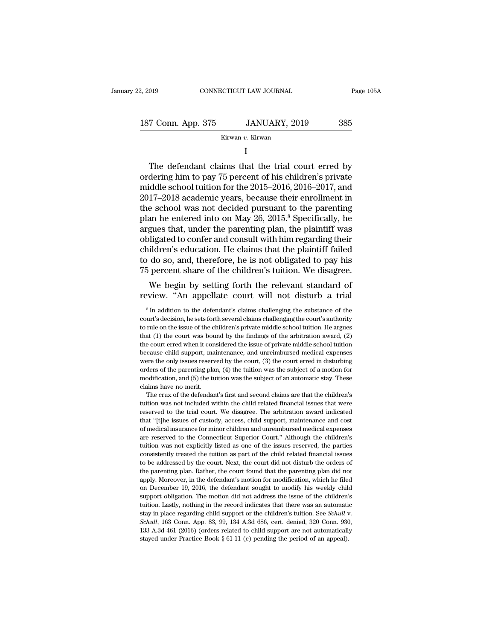| 2, 2019            | CONNECTICUT LAW JOURNAL | Page 105A |
|--------------------|-------------------------|-----------|
| 187 Conn. App. 375 | JANUARY, 2019           | 385       |
|                    | Kirwan v. Kirwan        |           |

### Kirwan *v.* Kirwan

I and the set of  $\mathbf I$ 

T Conn. App. 375 JANUARY, 2019 385<br>
Kirwan v. Kirwan<br>
I<br>
The defendant claims that the trial court erred by<br>
dering him to pay 75 percent of his children's private<br>
ddlo school tuition for the 2015–2016–2016–2017, and 187 Conn. App. 375 JANUARY, 2019 385<br>
Kirwan v. Kirwan<br>
I<br>
The defendant claims that the trial court erred by<br>
ordering him to pay 75 percent of his children's private<br>
middle school tuition for the 2015–2016, 2016–2017, 187 Conn. App. 375 JANUARY, 2019 385<br>
Kirwan v. Kirwan<br>
I<br>
The defendant claims that the trial court erred by<br>
ordering him to pay 75 percent of his children's private<br>
middle school tuition for the 2015–2016, 2016–2017,  $\frac{1}{20}$ <br>  $\frac{1}{20}$ <br>
The defendant claims that the trial court erred by<br>
ordering him to pay 75 percent of his children's private<br>
middle school tuition for the 2015–2016, 2016–2017, and<br>
2017–2018 academic years, beca I<br>
The defendant claims that the trial court erred by<br>
ordering him to pay 75 percent of his children's private<br>
middle school tuition for the 2015–2016, 2016–2017, and<br>
2017–2018 academic years, because their enrollment i The defendant claims that the trial court erred by<br>ordering him to pay 75 percent of his children's private<br>middle school tuition for the 2015–2016, 2016–2017, and<br>2017–2018 academic years, because their enrollment in<br>the The defendant claims that the trial court erred by<br>ordering him to pay 75 percent of his children's private<br>middle school tuition for the 2015–2016, 2016–2017, and<br>2017–2018 academic years, because their enrollment in<br>the ordering him to pay 75 percent of his children's private<br>middle school tuition for the 2015–2016, 2016–2017, and<br>2017–2018 academic years, because their enrollment in<br>the school was not decided pursuant to the parenting<br>pl middle school tuition for the 2015–2016, 2016–2017, and<br>2017–2018 academic years, because their enrollment in<br>the school was not decided pursuant to the parenting<br>plan he entered into on May 26, 2015.<sup>8</sup> Specifically, he<br>a 2017–2018 academic years, because their enrollment in<br>the school was not decided pursuant to the parenting<br>plan he entered into on May 26, 2015.<sup>8</sup> Specifically, he<br>argues that, under the parenting plan, the plaintiff was<br> the school was not decided pursuant to the parenting<br>plan he entered into on May 26, 2015.<sup>8</sup> Specifically, he<br>argues that, under the parenting plan, the plaintiff was<br>obligated to confer and consult with him regarding the an he entered mto on may 26, 2015.' Specifically, he<br>gues that, under the parenting plan, the plaintiff was<br>ligated to confer and consult with him regarding their<br>ildren's education. He claims that the plaintiff failed<br>do argues that, under the parenting pian, the plaintiff was<br>obligated to confer and consult with him regarding their<br>children's education. He claims that the plaintiff failed<br>to do so, and, therefore, he is not obligated to p

 $\overline{5}$  percent share of the children's tuition. We disagree.<br>We begin by setting forth the relevant standard of<br>view. "An appellate court will not disturb a trial<br> $\overline{5}$  In addition to the defendant's claims challengi The percent share of the children's tuttion. We disagree.<br>We begin by setting forth the relevant standard of<br>review. "An appellate court will not disturb a trial<br> $\frac{1}{100}$  in addition to the defendant's claims challengi We begin by setting forth the relevant standard of review. "An appellate court will not disturb a trial  $\frac{1}{10}$  in addition to the defendant's claims challenging the substance of the court's decision, he sets forth sev that (1) the court will not disturb a trial<br>s<sup>8</sup> In addition to the defendant's claims challenging the substance of the<br>court's decision, he sets forth several claims challenging the court's authority<br>to rule on the issue Teview. All appendie Court will flot disturb a trial<br> $\frac{1}{8}$  in addition to the defendant's claims challenging the substance of the<br>court's decision, he sets forth several claims challenging the court's authority<br>to rul <sup>8</sup> In addition to the defendant's claims challenging the substance of the court's decision, he sets forth several claims challenging the court's authority to rule on the issue of the children's private middle school tuit court's decision, he sets forth several claims challenging the court's authority to rule on the issue of the children's private middle school tuition. He argues that (1) the court was bound by the findings of the arbitrati to rule on the issue of the children's private middle school tuition. He argues that (1) the court was bound by the findings of the arbitration award, (2) the court erred when it considered the issue of private middle sch that (1) the court was bound by the findings of the arbitration award, (2) the court erred when it considered the issue of private middle school tuition because child support, maintenance, and unreimbursed medical expense the court erred when it conserved<br>the court erred when it conserved because child support, may<br>were the only issues reserved orders of the parenting plane<br>modification, and (5) the tu<br>claims have no merit.<br>The crux of the cause child support, maintenance, and unreimbursed medical expenses<br>ere the only issues reserved by the court, (3) the court erred in disturbing<br>ders of the parenting plan, (4) the tuition was the subject of a motion for<br>o were the only issues reserved by the court, (3) the court erred in disturbing orders of the parenting plan, (4) the tuition was the subject of a motion for modification, and (5) the tuition was the subject of an automatic

reserved to the parenting plan, (4) the tuition was the subject of a motion for modification, and (5) the tuition was the subject of an automatic stay. These claims have no merit.<br>The crux of the defendant's first and sec modification, and (5) the tuttion was the subject of an automatic stay. These claims have no merit.<br>The crux of the defendant's first and second claims are that the children's tuttion was not included within the child rel claims have no merit.<br>
The crux of the defendant's first and second claims are that the children's<br>
tuition was not included within the child related financial issues that were<br>
reserved to the trial court. We disagree. Th The crux of the defendant's first and second claims are that the children's tuition was not included within the child related financial issues that were reserved to the trial court. We disagree. The arbitration award indic tuition was not included within the child related financial issues that were<br>reserved to the trial court. We disagree. The arbitration award indicated<br>that "[t]he issues of custody, access, child support, maintenance and c reserved to the trial court. We disagree. The arbitration award indicated that "[t]he issues of custody, access, child support, maintenance and cost of medical insurance for minor children and unreimbursed medical expenses that "[t]he issues of custody, access, child support, maintenance and cost that "[t]he issues of custody, access, child support, maintenance and cost of medical insurance for minor children and unreimbursed medical expense and entired insurance for minor children and unreimbursed medical expenses<br>are reserved to the Connecticut Superior Court." Although the children's<br>tution was not explicitly listed as one of the issues reserved, the partie are reserved to the Connecticut Superior Court." Although the children's tuition was not explicitly listed as one of the issues reserved, the parties consistently treated the tuition as part of the child related financial tuition was not explicitly listed as one of the issues reserved, the parties consistently treated the tuition as part of the child related financial issues to be addressed by the court. Next, the court did not disturb the consistently treated the tuition as part of the child related financial issues<br>consistently treated the tuition as part of the child related financial issues<br>to be addressed by the court. Next, the court did not disturb th to be addressed by the court. Next, the court did not disturb the orders of the parenting plan. Rather, the court found that the parenting plan did not apply. Moreover, in the defendant's motion for modification, which he the parenting plan. Rather, the court found that the parenting plan did not apply. Moreover, in the defendant's motion for modification, which he filed on December 19, 2016, the defendant sought to modify his weekly child 133 A.3d 461 (2016) (orders related to child support are not automatic support obligation. The motion did not address the issue of the children's tuition. Lastly, nothing in the record indicates that there was an automati on December 19, 2016, the defendant sought to modify his weekly child support obligation. The motion did not address the issue of the children's tuition. Lastly, nothing in the record indicates that there was an automatic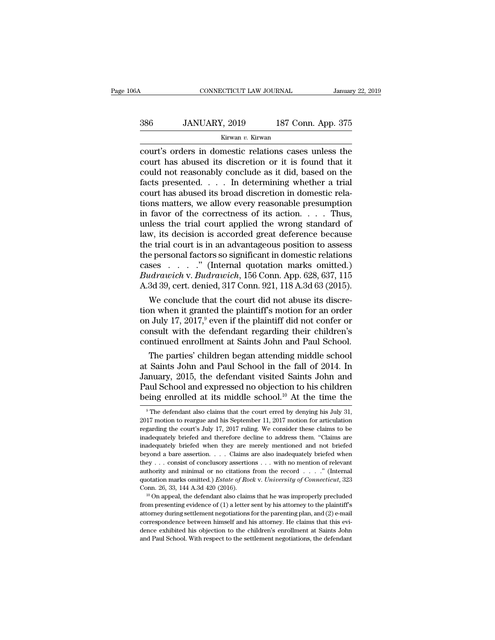# CONNECTICUT LAW JOURNAL January 22, 2019<br>386 JANUARY, 2019 187 Conn. App. 375<br>Kirwan v. Kirwan

### Kirwan *v.* Kirwan

CONNECTICUT LAW JOURNAL January 22, 2019<br>
386 JANUARY, 2019 187 Conn. App. 375<br>
Kirwan v. Kirwan<br>
Court's orders in domestic relations cases unless the<br>
court has abused its discretion or it is found that it<br>
could not rea 386 JANUARY, 2019 187 Conn. App. 375<br>
Kirwan v. Kirwan<br>
court's orders in domestic relations cases unless the<br>
court has abused its discretion or it is found that it<br>
could not reasonably conclude as it did, based on the<br> 386 JANUARY, 2019 187 Conn. App. 375<br>
Kirwan v. Kirwan<br>
court's orders in domestic relations cases unless the<br>
court has abused its discretion or it is found that it<br>
could not reasonably conclude as it did, based on the<br>  $\frac{386}{187 \text{ C} \text{om}}$ .  $\frac{4 \text{pp. } 375}{187 \text{ C} \text{om}}$ <br>  $\frac{6 \text{N} \times 100 \text{ N}}{187 \text{ C} \text{om}}$ <br>  $\frac{187 \text{ C} \text{om}}{187 \text{ C} \text{om}}$ <br>  $\frac{187 \text{ C} \text{om}}{187 \text{ C} \text{om}}$ <br>  $\frac{187 \text{ C} \text{om}}{187 \text{ C} \text{om}}$ <br>  $\frac{187 \text{ C} \text{om}}{187 \text{ C$ EXECUTE IST COMMATE THE STAR COUNTERNATION (STATE) EVALUATE COUNTERNATION COUNT: SURVEY COUNTERNATION COUNTERN AND COUNTERN AND COUNTERN AND COUNTERN AND COUNTERN AND COUNTERN AND COUNTERN AND COUNTERN AND COUNTERN AND CO Extreme values are sensitive in domestic relations cases unless the<br>court has abused its discretion or it is found that it<br>could not reasonably conclude as it did, based on the<br>facts presented. . . . In determining whethe court's orders in domestic relations cases unless the<br>court has abused its discretion or it is found that it<br>could not reasonably conclude as it did, based on the<br>facts presented. . . . In determining whether a trial<br>cour court has abused its discretion or it is found that it<br>could not reasonably conclude as it did, based on the<br>facts presented. . . . . In determining whether a trial<br>court has abused its broad discretion in domestic rela-<br> could not reasonably conclude as it did, based on the<br>facts presented. . . . . In determining whether a trial<br>court has abused its broad discretion in domestic rela-<br>tions matters, we allow every reasonable presumption<br>in facts presented. . . . . In determining whether a trial court has abused its broad discretion in domestic rela-<br>tions matters, we allow every reasonable presumption<br>in favor of the correctness of its action. . . . Thus,<br>u court has abused its broad discretion in domestic rela-<br>tions matters, we allow every reasonable presumption<br>in favor of the correctness of its action. . . . Thus,<br>unless the trial court applied the wrong standard of<br>law, tions matters, we allow every reasonable presumption<br>in favor of the correctness of its action. . . . Thus,<br>unless the trial court applied the wrong standard of<br>law, its decision is accorded great deference because<br>the tr in favor of the correctness of its action. . . . . Thus,<br>unless the trial court applied the wrong standard of<br>law, its decision is accorded great deference because<br>the trial court is in an advantageous position to assess<br>t unless the trial court applied the wrong standard of<br>law, its decision is accorded great deference because<br>the trial court is in an advantageous position to assess<br>the personal factors so significant in domestic relations<br> w, its decision is accorded great deterence because<br>e trial court is in an advantageous position to assess<br>e personal factors so significant in domestic relations<br>ses  $\ldots$  ." (Internal quotation marks omitted.)<br> $udrawich$  v. the trial court is in an advantageous position to assess<br>the personal factors so significant in domestic relations<br>cases  $\ldots$   $\ldots$  " (Internal quotation marks omitted.)<br> $Budrawich$  v.  $Budrawich$ , 156 Conn. App. 628, 637, 115<br>A.3

the personal factors so significant in domestic relations<br>
cases  $\ldots$   $\ldots$  " (Internal quotation marks omitted.)<br> *Budrawich* v. *Budrawich*, 156 Conn. App. 628, 637, 115<br>
A.3d 39, cert. denied, 317 Conn. 921, 118 A.3d cases  $\ldots$   $\ldots$  (Internal quotation marks omitted.)<br>Budrawich v. Budrawich, 156 Conn. App. 628, 637, 115<br>A.3d 39, cert. denied, 317 Conn. 921, 118 A.3d 63 (2015).<br>We conclude that the court did not abuse its discre-<br>tio Budrawich v. Budrawich, 156 Conn. App. 628, 637, 115<br>A.3d 39, cert. denied, 317 Conn. 921, 118 A.3d 63 (2015).<br>We conclude that the court did not abuse its discre-<br>tion when it granted the plaintiff's motion for an order<br> We conclude that the court did not abuse its discre-<br>on when it granted the plaintiff's motion for an order<br>July 17, 2017,<sup>9</sup> even if the plaintiff did not confer or<br>msult with the defendant regarding their children's<br>nti we conclude that the court did not abuse its discretion when it granted the plaintiff's motion for an order<br>on July 17, 2017,<sup>9</sup> even if the plaintiff did not confer or<br>consult with the defendant regarding their children's

tion when it granted the plaintiff smotion for an order<br>on July 17, 2017,<sup>9</sup> even if the plaintiff did not confer or<br>consult with the defendant regarding their children's<br>continued enrollment at Saints John and Paul Schoo on July 17, 2017," even if the plaintiff did not confer or<br>consult with the defendant regarding their children's<br>continued enrollment at Saints John and Paul School.<br>The parties' children began attending middle school<br>at S consult with the detendant regarding their children's continued enrollment at Saints John and Paul School.<br>The parties' children began attending middle school at Saints John and Paul School in the fall of 2014. In January Estimate John and Paul School in the fall of 2014. In any, 2015, the defendant visited Saints John and aul School and expressed no objection to his children eing enrolled at its middle school.<sup>10</sup> At the time the  $^9$ The January, 2015, the defendant visited Saints John and<br>Paul School and expressed no objection to his children<br>being enrolled at its middle school.<sup>10</sup> At the time the<br><sup>9</sup>The defendant also claims that the court erred by den

Paul School and expressed no objection to his children<br>being enrolled at its middle school.<sup>10</sup> At the time the<br> $\degree$ The defendant also claims that the court erred by denying his July 31,<br>2017 motion to reargue and his Sep being enrolled at its middle school.<sup>10</sup> At the time the<br>
<sup>9</sup>The defendant also claims that the court erred by denying his July 31,<br>
2017 motion to reargue and his September 11, 2017 motion for articulation<br>
regarding the included a controlled when the court erred by denying his July 31, apple defendant also claims that the court erred by denying his July 31, 2017 motion to reargue and his September 11, 2017 motion for articulation regardin <sup>9</sup> The defendant also claims that the court erred by denying his July 31, 2017 motion to reargue and his September 11, 2017 motion for articulation regarding the court's July 17, 2017 ruling. We consider these claims to 2017 motion to reargue and his September 11, 2017 motion for articulation regarding the court's July 17, 2017 ruling. We consider these claims to be inadequately briefed and therefore decline to address them. "Claims are Fegarding the court's July 17, 2017 ruling. We consider these claims to be inadequately briefed and therefore decline to address them. "Claims are inadequately briefed when they are merely mentioned and not briefed beyond regarding the briefed and therefore decline to address them. "Claims are inadequately briefed when they are merely mentioned and not briefed beyond a bare assertion. . . . Claims are also inadequately briefed when they . . inadequately briefed when they are merely mentioned and not briefed beyond a bare assertion. . . . Claims are also inadequately briefed when they . . . consist of conclusory assertions . . . with no mention of relevant au they . . . consist of conclusory assertions . . . with no mention of relevant authority and minimal or no citations from the record . . . . ." (Internal quotation marks omitted.) *Estate of Rock v. University of Connectic* 

authority and minimal or no citations from the record . . . . ." (Internal quotation marks omitted.) *Estate of Rock v. University of Connecticut*, 323 Conn. 26, 33, 144 A.3d 420 (2016).<br><sup>10</sup> On appeal, the defendant also quotation marks omitted.) *Estate of Rock v. University of Connecticut*, 323 Conn. 26, 33, 144 A.3d 420 (2016).<br><sup>10</sup> On appeal, the defendant also claims that he was improperly precluded from presenting evidence of (1) a Conn. 26, 33, 144 A.3d 420 (2016).<br><sup>10</sup> On appeal, the defendant also claims that he was improperly precluded from presenting evidence of (1) a letter sent by his attorney to the plaintiff's attorney during settlement neg  $10$  On appeal, the defendant also claims that he was improperly precluded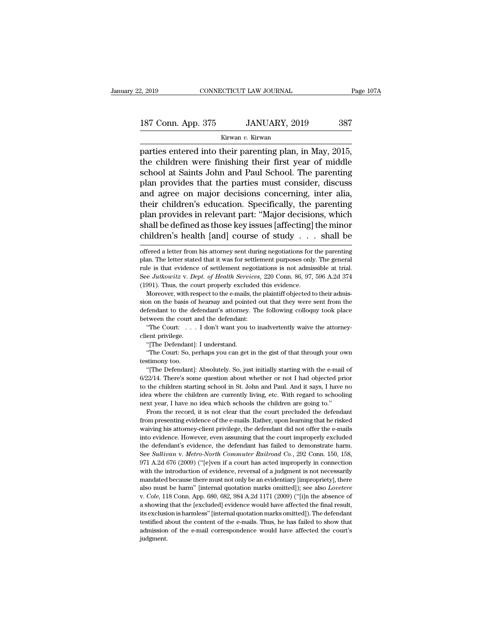# 2, 2019 CONNECTICUT LAW JOURNAL Page 107A<br>187 Conn. App. 375 JANUARY, 2019 387<br>Kirwan v. Kirwan

Kirwan *v.* Kirwan

Page 10<br>
2, 2019 CONNECTICUT LAW JOURNAL Page 10<br>
187 Conn. App. 375 JANUARY, 2019 387<br>
Kirwan v. Kirwan<br>
parties entered into their parenting plan, in May, 2015,<br>
the children were finishing their first year of middle<br>
sc 187 Conn. App. 375 JANUARY, 2019 387<br>
Kirwan v. Kirwan<br>
parties entered into their parenting plan, in May, 2015,<br>
the children were finishing their first year of middle<br>
school at Saints John and Paul School. The parenting 187 Conn. App. 375 JANUARY, 2019 387<br>
Kirwan v. Kirwan<br>
parties entered into their parenting plan, in May, 2015,<br>
the children were finishing their first year of middle<br>
school at Saints John and Paul School. The parentin 187 Conn. App. 375 JANUARY, 2019 387<br>
Kirwan v. Kirwan<br>
parties entered into their parenting plan, in May, 2015,<br>
the children were finishing their first year of middle<br>
school at Saints John and Paul School. The parentin Kirwan v. Kirwan<br>
parties entered into their parenting plan, in May, 2015,<br>
the children were finishing their first year of middle<br>
school at Saints John and Paul School. The parenting<br>
plan provides that the parties must Kurwan v. Kurwan<br>parties entered into their parenting plan, in May, 2015,<br>the children were finishing their first year of middle<br>school at Saints John and Paul School. The parenting<br>plan provides that the parties must cons parties entered into their parenting plan, in May, 2015,<br>the children were finishing their first year of middle<br>school at Saints John and Paul School. The parenting<br>plan provides that the parties must consider, discuss<br>and the children were finishing their first year of middle<br>school at Saints John and Paul School. The parenting<br>plan provides that the parties must consider, discuss<br>and agree on major decisions concerning, inter alia,<br>their c school at Saints John and Paul School. The parenting<br>plan provides that the parties must consider, discuss<br>and agree on major decisions concerning, inter alia,<br>their children's education. Specifically, the parenting<br>plan p their children's education. Specifically, the parenting<br>plan provides in relevant part: "Major decisions, which<br>shall be defined as those key issues [affecting] the minor<br>children's health [and] course of study  $\dots$  shall plan. provides in relevant part: "Major decisions, which shall be defined as those key issues [affecting] the minor children's health [and] course of study  $\ldots$  shall be offered a letter from his attorney sent during neg

Figure 1. The defendant of the defendant to the defendant's attorney. The following  $\mu$  attorney. Thus, the court properly excluded this evidence.<br>
Moreover, with respect to the e-mails, the plaintiff objected to their a See *Jutkowitz* v. *Dept. of Health Services*, (1991). Thus, the court properly excluded Moreover, with respect to the e-mails, the sion on the basis of hearsay and pointed of defendant to the defendant's attorney. The be 991). Thus, the court properly excluded this evidence.<br>
Moreover, with respect to the e-mails, the plaintiff objected to their admis-<br>
m on the basis of hearsay and pointed out that they were sent from the<br>
fendant to the sion on the basis of hearsay and pointed out that they were sent from the defendant to the defendant's attorney. The following colloquy took place between the court and the defendant:<br>
"The Court:  $\ldots$  I don't want you t The Definite plass of hearsay and point<br>fendant to the defendant's attorney.<br>tween the court and the defendant:<br>"The Court:... I don't want you t<br>ent privilege.<br>"[The Defendant]: I understand.<br>"The Court: So, perhaps you c Ferdant to the defendant's attorney. The following colloquy took place<br>tween the court and the defendant:<br>"The Court:  $\ldots$  I don't want you to inadvertently waive the attorney-<br>ent privilege.<br>"[The Defendant]: I understa

detween the court:<br>
"The Court:<br>
"The Court:<br>
"The Defendant]<br>
"The Court: So, p<br>
testimony too.<br>
"[The Defendant]

"The Court:  $\dots$  I don't want you to inadvertently waive the attorney-<br>ent privilege.<br>"[The Defendant]: I understand.<br>"The Court: So, perhaps you can get in the gist of that through your own<br>stimony too.<br>"[The Defendant]: First Controlling Controllers (The Defendant): I understand.<br>
"The Court: So, perhaps you can get in the gist of that through your own<br>
testimony too.<br>
"[The Defendant]: Absolutely. So, just initially starting with the e-m "The Defendant]: I understand.<br>"The Court: So, perhaps you can get in the gist of that through your own<br>testimony too.<br>"[The Defendant]: Absolutely. So, just initially starting with the e-mail of<br>6/22/14. There's some ques "The Court: So, perhaps you can get in the gist of that through your own<br>testimony too. "[The Defendant]: Absolutely. So, just initially starting with the e-mail of<br>6/22/14. There's some question about whether or not I had testimony too.<br>
"[The Defendant]: Absolutely. So, just initially starting with the e-mail<br>
6/22/14. There's some question about whether or not I had objected pr<br>
to the children starting school in St. John and Paul. And it "The Defendant]: Absolutely. So, just initially starting with the e-mail of "[7] and the record, it is not clear that the rot of I had objected prior the children starting school in St. John and Paul. And it says, I have  $6/22/14$ . There's some question about whether or not I had objected prior to the children starting school in St. John and Paul. And it says, I have no idea where the children are currently living, etc. With regard to sch

waiving his attorney-client privilege, the defendant did not offer the e-mails and the children are currently living, etc. With regard to schooling next year, I have no idea which schools the children are going to."<br>From t idea where the children are currently living, etc. With regard to schooling<br>next year, I have no idea which schools the children are going to."<br>From the record, it is not clear that the court precluded the defendant<br>from p next year, I have no idea which schools the children are going to."<br>From the record, it is not clear that the court precluded the defendant<br>from presenting evidence of the e-mails. Rather, upon learning that he risked<br>waiv From the record, it is not clear that the court precluded the defendant<br>from presenting evidence of the e-mails. Rather, upon learning that he risked<br>waiving his attorney-client privilege, the defendant did not offer the e From presenting evidence of the e-mails. Rather, upon learning that he risked waiving his attorney-client privilege, the defendant did not offer the e-mails into evidence. However, even assuming that the court improperly e waiving his attorney-client privilege, the defendant did not offer the e-mails into evidence. However, even assuming that the court improperly excluded the defendant's evidence, the defendant has failed to demonstrate har into evidence. However, even assuming that the court improperly excluded the defendant's evidence, the defendant has failed to demonstrate harm.<br>See *Sullivan* v. *Metro-North Commuter Railroad Co.*, 292 Conn. 150, 158, 9 the defendant's evidence, the defendant has failed to demonstrate harm.<br>See *Sullivan v. Metro-North Commuter Railroad Co.*, 292 Conn. 150, 158,<br>971 A.2d 676 (2009) ("[e]ven if a court has acted improperly in connection<br>wi 971 A.2d 676 (2009) ("[e]ven if a court has acted improperly in connection with the introduction of evidence, reversal of a judgment is not necessarily mandated because there must not only be an evidentiary [impropriety], with the introduction of evidence, reversal of a judgment is not necessarily mandated because there must not only be an evidentiary [impropriety], there also must be harm" [internal quotation marks omitted]); see also *Lo* mandated because there must not only be an evidentiary [impropriety], there also must be harm" [internal quotation marks omitted]); see also Lovetere judgment.

shall be defined as those key issues [affecting] the minor children's health [and] course of study . . . shall be offered a letter from his attorney sent during negotiations for the parenting plan. The letter stated that See *Julidren's* health [and] course of study . . . shall be<br>offered a letter from his attorney sent during negotiations for the parenting<br>plan. The letter stated that it was for settlement purposes only. The general<br>rule Thum the Stream and Team and Team and Stream of Stream of the offered a letter from his attorney sent during negotiations for relation. The letter stated that it was for settlement purposes only rule is that evidence of se % offered a letter from his attorney sent during negotiations for the parenting plan. The letter stated that it was for settlement purposes only. The general rule is that evidence of settlement negotiations is not admissi plan. The letter stated that it was for settlement purposes only. The general<br>rule is that evidence of settlement negotiations is not admissible at trial.<br>See Jutkowitz v. Dept. of Health Services, 220 Conn. 86, 97, 596 A.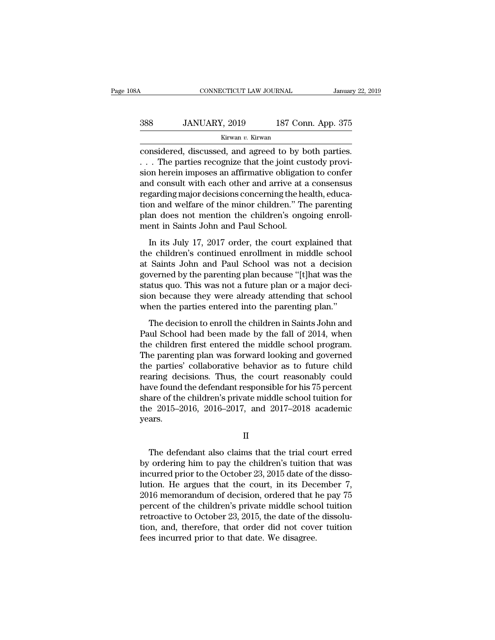| 08A | CONNECTICUT LAW JOURNAL |                    | January 22, 2019 |
|-----|-------------------------|--------------------|------------------|
| 388 | JANUARY, 2019           | 187 Conn. App. 375 |                  |
|     | Kirwan v. Kirwan        |                    |                  |

CONNECTICUT LAW JOURNAL January 22, 2<br>
388 JANUARY, 2019 187 Conn. App. 375<br>
Kirwan v. Kirwan<br>
Considered, discussed, and agreed to by both parties.<br>
... The parties recognize that the joint custody provi-388 JANUARY, 2019 187 Conn. App. 375<br>
Kirwan v. Kirwan<br>
considered, discussed, and agreed to by both parties.<br>
... The parties recognize that the joint custody provi-<br>
sion herein imposes an affirmative obligation to confe  $\begin{array}{c} \text{388} & \text{JANUARY, 2019} \qquad \text{187 Conn. App. 375} \\ \text{Kirwan } v. \text{ Kirwan} \\ \text{considered, discussed, and agreed to by both parties.} \\ \therefore & \text{The parties recognize that the joint custody provision herein imposes an affirmative obligation to confer and consult with each other and arrive at a consensus regarding major decisions concerning the health.} \end{array}$ 388 JANUARY, 2019 187 Conn. App. 375<br>  $\overline{\phantom{a}}$  Kirwan v. Kirwan<br>
considered, discussed, and agreed to by both parties.<br>  $\overline{\phantom{a}}$ . The parties recognize that the joint custody provision herein imposes an affirmative  $\frac{Kirwan}{2}$   $\frac{Kirwan}{2}$   $\frac{Kirwan}{2}$   $\frac{m}{2}$   $\frac{m}{2}$   $\frac{m}{2}$   $\frac{m}{2}$   $\frac{m}{2}$   $\frac{m}{2}$   $\frac{m}{2}$   $\frac{m}{2}$   $\frac{m}{2}$   $\frac{m}{2}$   $\frac{m}{2}$   $\frac{m}{2}$   $\frac{m}{2}$   $\frac{m}{2}$   $\frac{m}{2}$   $\frac{m}{2}$   $\frac{m}{2}$   $\frac{m}{2}$   $\frac{m$ KIFWAR *V*. KIFWAR<br>
considered, discussed, and agreed to by both parties.<br>
... The parties recognize that the joint custody provision<br>
herein imposes an affirmative obligation to confer<br>
and consult with each other and arr considered, discussed, and agreed to by both parties.<br>
... The parties recognize that the joint custody provision herein imposes an affirmative obligation to confer<br>
and consult with each other and arrive at a consensus<br>
r ... The parties recognize that the joint cussion herein imposes an affirmative obligational consult with each other and arrive at a regarding major decisions concerning the he tion and welfare of the minor children." The p In its July 17, 2017 order, the court explained that<br>a consenting major decisions concerning the health, educa-<br>on and welfare of the minor children." The parenting<br>an does not mention the children's ongoing enroll-<br>ent in the contains what called the children." The parenting<br>regarding major decisions concerning the health, educa-<br>tion and welfare of the minor children's ongoing enroll-<br>ment in Saints John and Paul School.<br>In its July 17, 20

Figure and welfare of the minor children." The parenting<br>plan does not mention the children's ongoing enroll-<br>ment in Saints John and Paul School.<br>In its July 17, 2017 order, the court explained that<br>the children's continu golarity and worked by the hildren's ongoing enroll-<br>plan does not mention the children's ongoing enroll-<br>ment in Saints John and Paul School.<br>In its July 17, 2017 order, the court explained that<br>the children's continued e Final and a function and Paul School.<br>In its July 17, 2017 order, the court explained that<br>the children's continued enrollment in middle school<br>at Saints John and Paul School was not a decision<br>governed by the parenting pl In its July 17, 2017 order, the court explained that<br>the children's continued enrollment in middle school<br>at Saints John and Paul School was not a decision<br>governed by the parenting plan because "[t]hat was the<br>status quo. In its July 17, 2017 order, the court explained that<br>the children's continued enrollment in middle school<br>at Saints John and Paul School was not a decision<br>governed by the parenting plan because "[t]hat was the<br>status quo. Saints John and Paul School was not a decision<br>Saints John and Paul School was not a decision<br>werned by the parenting plan because "[t]hat was the<br>atus quo. This was not a future plan or a major deci-<br>on because they were at same solution and below that is ensured that was the<br>governed by the parenting plan because "[t]hat was the<br>status quo. This was not a future plan or a major deci-<br>sion because they were already attending that school<br>wh

solution by the paraming plan booking the middle school<br>status quo. This was not a future plan or a major deci-<br>sion because they were already attending that school<br>when the parties entered into the parenting plan."<br>The de Franchieve a ready attending that school<br>sion because they were already attending that school<br>when the parties entered into the parenting plan."<br>The decision to enroll the children in Saints John and<br>Paul School had been m The parties entered into the parenting lamentary<br>The decision to enroll the children in Saints John and<br>Paul School had been made by the fall of 2014, when<br>the children first entered the middle school program.<br>The parentin The decision to enroll the children in Saints John and<br>Paul School had been made by the fall of 2014, when<br>the children first entered the middle school program.<br>The parenting plan was forward looking and governed<br>the parti The decision to enroll the children in Saints John and<br>Paul School had been made by the fall of 2014, when<br>the children first entered the middle school program.<br>The parenting plan was forward looking and governed<br>the parti Paul School had been made by the fall of 2014, when<br>the children first entered the middle school program.<br>The parenting plan was forward looking and governed<br>the parties' collaborative behavior as to future child<br>rearing d the children first entered the middle school program.<br>The parenting plan was forward looking and governed<br>the parties' collaborative behavior as to future child<br>rearing decisions. Thus, the court reasonably could<br>have foun years. we found the defendant responsible for his 75 percent<br>are of the children's private middle school tuition for<br>e 2015–2016, 2016–2017, and 2017–2018 academic<br>ars.<br>II<br>The defendant also claims that the trial court erred<br>orde

II

share of the children's private middle school tuition for<br>the 2015–2016, 2016–2017, and 2017–2018 academic<br>years.<br>II<br>The defendant also claims that the trial court erred<br>by ordering him to pay the children's tuition that w the 2015–2016, 2016–2017, and 2017–2018 academic<br>years.<br>II<br>The defendant also claims that the trial court erred<br>by ordering him to pay the children's tuition that was<br>incurred prior to the October 23, 2015 date of the diss II<br>II<br>The defendant also claims that the trial court erred<br>by ordering him to pay the children's tuition that was<br>incurred prior to the October 23, 2015 date of the disso-<br>lution. He argues that the court, in its December <sup>21</sup> II<br>The defendant also claims that the trial court erred<br>by ordering him to pay the children's tuition that was<br>incurred prior to the October 23, 2015 date of the disso-<br>lution. He argues that the court, in its Decemb The defendant also claims that the trial court erred<br>by ordering him to pay the children's tuition that was<br>incurred prior to the October 23, 2015 date of the disso-<br>lution. He argues that the court, in its December 7,<br>201 The defendant also claims that the trial court erred<br>by ordering him to pay the children's tuition that was<br>incurred prior to the October 23, 2015 date of the disso-<br>lution. He argues that the court, in its December 7,<br>201 by ordering him to pay the children's tuition that was<br>incurred prior to the October 23, 2015 date of the disso-<br>lution. He argues that the court, in its December 7,<br>2016 memorandum of decision, ordered that he pay 75<br>perc incurred prior to the October 23, 2015 date of t<br>lution. He argues that the court, in its Dec<br>2016 memorandum of decision, ordered that l<br>percent of the children's private middle schoe<br>retroactive to October 23, 2015, the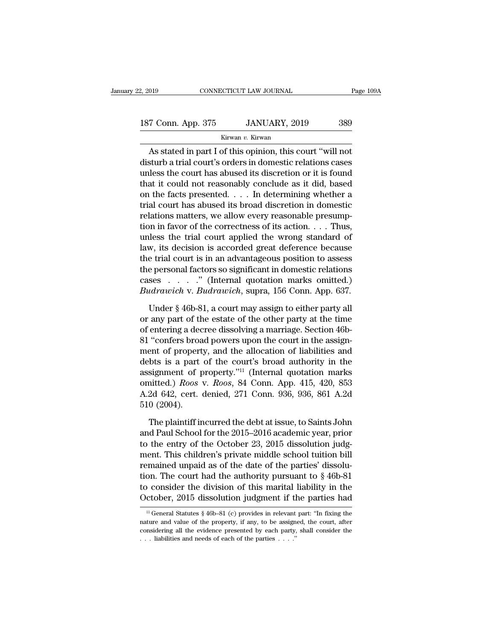| 2, 2019            | CONNECTICUT LAW JOURNAL | Page 109A |
|--------------------|-------------------------|-----------|
| 187 Conn. App. 375 | JANUARY, 2019           | 389       |
|                    | Kirwan v. Kirwan        |           |

### Kirwan *v.* Kirwan

CONNECTICUT LAW JOURNAL Page 109/<br>
T Conn. App. 375 JANUARY, 2019 389<br>
Kirwan v. Kirwan<br>
As stated in part I of this opinion, this court "will not<br>
sturb a trial court's orders in domestic relations cases<br>
along the court 187 Conn. App. 375 JANUARY, 2019 389<br>
Kirwan v. Kirwan<br>
As stated in part I of this opinion, this court "will not<br>
disturb a trial court's orders in domestic relations cases<br>
unless the court has abused its discretion or i 187 Conn. App. 375 JANUARY, 2019 389<br>
Kirwan v. Kirwan<br>
As stated in part I of this opinion, this court "will not<br>
disturb a trial court's orders in domestic relations cases<br>
unless the court has abused its discretion or 187 Conn. App. 375 JANUARY, 2019 389<br>
Kirwan v. Kirwan<br>
As stated in part I of this opinion, this court "will not<br>
disturb a trial court's orders in domestic relations cases<br>
unless the court has abused its discretion or Kirwan v. Kirwan<br>
As stated in part I of this opinion, this court "will not<br>
disturb a trial court's orders in domestic relations cases<br>
unless the court has abused its discretion or it is found<br>
that it could not reasona All All Ware Kirwan<br>
As stated in part I of this opinion, this court "will not<br>
disturb a trial court's orders in domestic relations cases<br>
unless the court has abused its discretion or it is found<br>
that it could not reaso As stated in part I of this opinion, this court "will not<br>disturb a trial court's orders in domestic relations cases<br>unless the court has abused its discretion or it is found<br>that it could not reasonably conclude as it di disturb a trial court's orders in domestic relations cases<br>unless the court has abused its discretion or it is found<br>that it could not reasonably conclude as it did, based<br>on the facts presented. . . . In determining wheth unless the court has abused its discretion or it is found<br>that it could not reasonably conclude as it did, based<br>on the facts presented. . . . In determining whether a<br>trial court has abused its broad discretion in domest that it could not reasonably conclude as it did, based<br>on the facts presented. . . . In determining whether a<br>trial court has abused its broad discretion in domestic<br>relations matters, we allow every reasonable presump-<br>t on the facts presented. . . . In determining whether a<br>trial court has abused its broad discretion in domestic<br>relations matters, we allow every reasonable presump-<br>tion in favor of the correctness of its action. . . . Th trial court has abused its broad discretion in domestic<br>relations matters, we allow every reasonable presump-<br>tion in favor of the correctness of its action. . . . Thus,<br>unless the trial court applied the wrong standard o relations matters, we allow every reasonable presumption in favor of the correctness of its action. . . . Thus, unless the trial court applied the wrong standard of law, its decision is accorded great deference because th tion in favor of the correctness of its action. . . . Thus,<br>unless the trial court applied the wrong standard of<br>law, its decision is accorded great deference because<br>the trial court is in an advantageous position to asse w, its decision is accorded great deference because<br>e trial court is in an advantageous position to assess<br>e personal factors so significant in domestic relations<br>ses . . . . . " (Internal quotation marks omitted.)<br>udrawi the trial court is in an advantageous position to assess<br>the personal factors so significant in domestic relations<br>cases  $\ldots$   $\ldots$  " (Internal quotation marks omitted.)<br>*Budrawich* v. *Budrawich*, supra, 156 Conn. App.

the personal factors so significant in domestic relations<br>
cases  $\ldots$   $\ldots$  " (Internal quotation marks omitted.)<br> *Budrawich* v. *Budrawich*, supra, 156 Conn. App. 637.<br>
Under § 46b-81, a court may assign to either part cases  $\ldots$  ." (Internal quotation marks omitted.)<br>Budrawich v. Budrawich, supra, 156 Conn. App. 637.<br>Under § 46b-81, a court may assign to either party all<br>or any part of the estate of the other party at the time<br>of ente Budrawich v. Budrawich, supra, 156 Conn. App. 637.<br>
Under § 46b-81, a court may assign to either party all<br>
or any part of the estate of the other party at the time<br>
of entering a decree dissolving a marriage. Section 46b Under § 46b-81, a court may assign to either party all<br>or any part of the estate of the other party at the time<br>of entering a decree dissolving a marriage. Section 46b-<br>81 "confers broad powers upon the court in the assig Under § 46b-81, a court may assign to either party all<br>or any part of the estate of the other party at the time<br>of entering a decree dissolving a marriage. Section 46b-<br>81 "confers broad powers upon the court in the assig or any part of the estate of the other party at the time<br>of entering a decree dissolving a marriage. Section 46b-<br>81 "confers broad powers upon the court in the assign-<br>ment of property, and the allocation of liabilities a of entering a decree dissolving a marriage. Section 46b-81 "confers broad powers upon the court in the assignment of property, and the allocation of liabilities and debts is a part of the court's broad authority in the ass 81 "confers broad powers upon the court in the assignment of property, and the allocation of liabilities and debts is a part of the court's broad authority in the assignment of property."<sup>11</sup> (Internal quotation marks omi bts is a part of the court's broad authority in the<br>signment of property."<sup>11</sup> (Internal quotation marks<br>nitted.) *Roos* v. *Roos*, 84 Conn. App. 415, 420, 853<br>2d 642, cert. denied, 271 Conn. 936, 936, 861 A.2d<br>0 (2004).<br>T assignment of property."<sup>11</sup> (Internal quotation marks<br>omitted.) *Roos* v. *Roos*, 84 Conn. App. 415, 420, 853<br>A.2d 642, cert. denied, 271 Conn. 936, 936, 861 A.2d<br>510 (2004).<br>The plaintiff incurred the debt at issue, to S

omitted.) *Roos* v. *Roos*, 84 Conn. App. 415, 420, 853<br>A.2d 642, cert. denied, 271 Conn. 936, 936, 861 A.2d<br>510 (2004).<br>The plaintiff incurred the debt at issue, to Saints John<br>and Paul School for the 2015–2016 academic y A.2d 642, cert. denied, 271 Conn. 936, 936, 861 A.2d<br>510 (2004).<br>The plaintiff incurred the debt at issue, to Saints John<br>and Paul School for the 2015–2016 academic year, prior<br>to the entry of the October 23, 2015 dissolu 510 (2004).<br>The plaintiff incurred the debt at issue, to Saints John<br>and Paul School for the 2015–2016 academic year, prior<br>to the entry of the October 23, 2015 dissolution judg-<br>ment. This children's private middle schoo The plaintiff incurred the debt at issue, to Saints John<br>and Paul School for the 2015–2016 academic year, prior<br>to the entry of the October 23, 2015 dissolution judg-<br>ment. This children's private middle school tuition bi The plaintiff incurred the debt at issue, to Saints John<br>and Paul School for the 2015–2016 academic year, prior<br>to the entry of the October 23, 2015 dissolution judg-<br>ment. This children's private middle school tuition bi and Paul School for the 2015–2016 academic year, prior<br>to the entry of the October 23, 2015 dissolution judg-<br>ment. This children's private middle school tuition bill<br>remained unpaid as of the date of the parties' dissolu mained unpaid as of the date of the parties dissolu-<br>on. The court had the authority pursuant to § 46b-81<br>consider the division of this marital liability in the<br>ctober, 2015 dissolution judgment if the parties had<br> $\frac{11}{$ tion. The court had the authority pursuant to  $\S$  46b-81 to consider the division of this marital liability in the October, 2015 dissolution judgment if the parties had  $\frac{11}{11}$  General Statutes  $\S$  46b-81 (c) provides

to consider the division of this marital liability in the October, 2015 dissolution judgment if the parties had<br> $\frac{11}{11}$  General Statutes § 46b-81 (c) provides in relevant part: "In fixing the nature and value of the p October, 2015 dissolution judgment if the understanding all the property, if any, to be assign considering all the evidence presented by each party, ... liabilities and needs of each of the parties ....."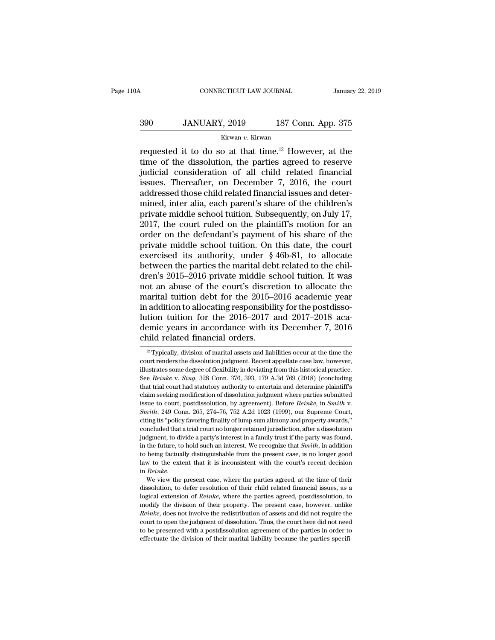# CONNECTICUT LAW JOURNAL January 22, 2019<br>390 JANUARY, 2019 187 Conn. App. 375<br>Kirwan v. Kirwan

### Kirwan *v.* Kirwan

FREE CONNECTICUT LAW JOURNAL January 22, 2019<br>
390 JANUARY, 2019 187 Conn. App. 375<br>  $\frac{\text{Kirwan } v. \text{ Kirwan}}{\text{Frequencies at the time of the dissolution, the parties agreed to reserve}}$ 390 JANUARY, 2019 187 Conn. App. 375<br>
Kirwan v. Kirwan<br>
Trequested it to do so at that time.<sup>12</sup> However, at the<br>
time of the dissolution, the parties agreed to reserve<br>
judicial consideration of all child related financi  $\frac{390}{\text{Kirwan } v. \text{ Kirwan}}$  187 Conn. App. 375<br>
requested it to do so at that time.<sup>12</sup> However, at the<br>
time of the dissolution, the parties agreed to reserve<br>
judicial consideration of all child related financial<br>
issues. 390 JANUARY, 2019 187 Conn. App. 375<br>
Kirwan v. Kirwan<br>
requested it to do so at that time.<sup>12</sup> However, at the<br>
time of the dissolution, the parties agreed to reserve<br>
judicial consideration of all child related financia 390 JANUARY, 2019 187 Conn. App. 375<br>
Kirwan v. Kirwan<br>
requested it to do so at that time.<sup>12</sup> However, at the<br>
time of the dissolution, the parties agreed to reserve<br>
judicial consideration of all child related financia External Ref. 2. However, at the time of the dissolution, the parties agreed to reserve judicial consideration of all child related financial issues. Thereafter, on December 7, 2016, the court addressed those child relate requested it to do so at that time.<sup>12</sup> However, at the time of the dissolution, the parties agreed to reserve judicial consideration of all child related financial issues. Thereafter, on December 7, 2016, the court addres time of the dissolution, the parties agreed to reserve<br>judicial consideration of all child related financial<br>issues. Thereafter, on December 7, 2016, the court<br>addressed those child related financial issues and deter-<br>mine judicial consideration of all child related financial<br>issues. Thereafter, on December 7, 2016, the court<br>addressed those child related financial issues and deter-<br>mined, inter alia, each parent's share of the children's<br>pr issues. Thereafter, on December 7, 2016, the court<br>addressed those child related financial issues and deter-<br>mined, inter alia, each parent's share of the children's<br>private middle school tuition. Subsequently, on July 17 addressed those child related financial issues and deter-<br>mined, inter alia, each parent's share of the children's<br>private middle school tuition. Subsequently, on July 17,<br>2017, the court ruled on the plaintiff's motion fo mined, inter alia, each parent's share of the children's<br>private middle school tuition. Subsequently, on July 17,<br>2017, the court ruled on the plaintiff's motion for an<br>order on the defendant's payment of his share of the<br> private middle school tuition. Subsequently, on July 17, 2017, the court ruled on the plaintiff's motion for an order on the defendant's payment of his share of the private middle school tuition. On this date, the court e 2017, the court ruled on the plaintiff's motion for an order on the defendant's payment of his share of the private middle school tuition. On this date, the court exercised its authority, under  $\S$  46b-81, to allocate bet order on the defendant's payment of his share of the<br>private middle school tuition. On this date, the court<br>exercised its authority, under  $\S$  46b-81, to allocate<br>between the parties the marital debt related to the chil-<br> private middle school tuition. On this date, the court exercised its authority, under  $\S$  46b-81, to allocate between the parties the marital debt related to the children's 2015–2016 private middle school tuition. It was exercised its authority, under § 46b-81, to allocate<br>between the parties the marital debt related to the chil-<br>dren's 2015–2016 private middle school tuition. It was<br>not an abuse of the court's discretion to allocate the<br>m between the parties the marital debt related to the children's 2015–2016 private middle school tuition. It was<br>not an abuse of the court's discretion to allocate the<br>marital tuition debt for the 2015–2016 academic year<br>in dren's 2015–2016 private middle schoot an abuse of the court's discremential tuition debt for the 2015–2<br>in addition to allocating responsibility lution tuition for the 2016–2017 ademic years in accordance with its child 12 addition to allocating responsibility for the postdissotion tuition for the 2016–2017 and 2017–2018 aca-<br>emic years in accordance with its December 7, 2016<br>nild related financial orders.<br><sup>12</sup> Typically, division of mar lution tuition for the 2016–2017 and 2017–2018 aca-<br>demic years in accordance with its December 7, 2016<br>child related financial orders.<br><sup>12</sup> Typically, division of marital assets and liabilities occur at the time the<br>court

demic years in accordance with its December 7, 2016<br>child related financial orders.<br> $\frac{12}{12}$  Typically, division of marital assets and liabilities occur at the time the<br>court renders the dissolution judgment. Recent ap Consequently and the contract of the B December 1, 2010<br>Child related financial orders.<br><sup>12</sup> Typically, division of marital assets and liabilities occur at the time the<br>court renders the dissolution judgment. Recent appell That trial court in that trial courts.<br>
<sup>12</sup> Typically, division of marital assets and liabilities occur at the time the court renders the dissolution judgment. Recent appellate case law, however, illustrates some degree <sup>12</sup> Typically, division of marital assets and liabilities occur at the time the court renders the dissolution judgment. Recent appellate case law, however, illustrates some degree of flexibility in deviating from this hi court renders the dissolution judgment. Recent appellate case law, however, illustrates some degree of flexibility in deviating from this historical practice. See *Reinke* v. *Sing*, 328 Conn. 376, 393, 179 A.3d 769 (2018) See Reinke v. Sing, 328 Conn. 376, 393, 179 A.3d 769 (2018) (concluding that trial court had statutory authority to entertain and determine plaintiff's claim seeking modification of dissolution judgment where parties subm that trial court had statutory authority to entertain and determine plaintiff's claim seeking modification of dissolution judgment where parties submitted issue to court, postdissolution, by agreement). Before *Reinke*, i claim seeking modification of dissolution judgment where parties submitted issue to court, postdissolution, by agreement). Before *Reinke*, in *Smith* v. *Smith*, 249 Conn. 265, 274–76, 752 A.2d 1023 (1999), our Supreme C issue to court, postdissolution, by agreement). Before *Reinke*, in *Smith* v.<br> *Smith*, 249 Conn. 265, 274–76, 752 A.2d 1023 (1999), our Supreme Court,<br>
citing its "policy favoring finality of lump sum alimony and propert *Smith*, 249 Conn. 265, 274–76, 752 A.2d 1023 (1999), our Supreme Court, eiting its "policy favoring finality of lump sum alimony and property awards," concluded that a trial court no longer retained jurisdiction, after a eiting its "policy favoring finality of lump sum alimony and property awards,"<br>concluded that a trial court no longer retained jurisdiction, after a dissolution<br>judgment, to divide a party's interest in a family trust if concluded that a trial court no longer retained jurisdiction, after a dissolution judgment, to divide a party's interest in a family trust if the party was found, in the future, to hold such an interest. We recognize that in the future, to hold such an interest. We recognize that *Smith*, in addition to being factually distinguishable from the present case, is no longer good law to the extent that it is inconsistent with the court's recent

In the being factually distinguishable from the present case, is no longer good law to the extent that it is inconsistent with the court's recent decision in *Reinke*.<br>We view the present case, where the parties agreed, at modify the extent that it is inconsistent with the court's recent decision<br>in Reinke.<br>We view the present case, where the parties agreed, at the time of their<br>dissolution, to defer resolution of their child related financi in *Reinke*.<br> *Reinke*.<br> *Reinke*, we view the present case, where the parties agreed, at the time of their dissolution, to defer resolution of their child related financial issues, as a logical extension of *Reinke*, wher We view the present case, where the parties agreed, at the time of their dissolution, to defer resolution of their child related financial issues, as a logical extension of *Reinke*, where the parties agreed, postdissolut dissolution, to defer resolution of their child related financial issues, as a logical extension of *Reinke*, where the parties agreed, postdissolution, to modify the division of their property. The present case, however, logical extension of *Reinke*, where the parties agreed, postdissolution, to modify the division of their property. The present case, however, unlike *Reinke*, does not involve the redistribution of assets and did not req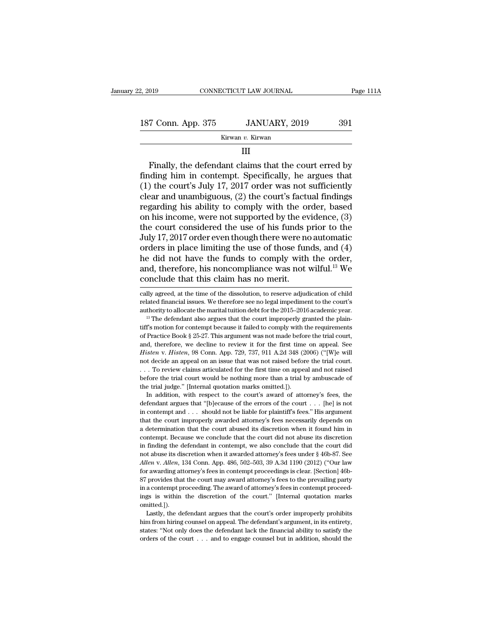### Kirwan *v.* Kirwan

### III

Frame Coronal App. 375 JANUARY, 2019 391<br>
Kirwan v. Kirwan<br>
III<br>
Finally, the defendant claims that the court erred by<br>
III<br>
Alta court's July 17, 2017 order was not sufficiently 187 Conn. App. 375 JANUARY, 2019 391<br>
Kirwan v. Kirwan<br>
III<br>
Finally, the defendant claims that the court erred by<br>
finding him in contempt. Specifically, he argues that<br>
(1) the court's July 17, 2017 order was not suffici 187 Conn. App. 375 JANUARY, 2019 391<br>  $\overline{\text{Kirwan } v. \text{ Kirwan}}$  11<br>
III<br>
Finally, the defendant claims that the court erred by<br>
finding him in contempt. Specifically, he argues that<br>
(1) the court's July 17, 2017 order was not Example 19 Kirwan v. Kirwan<br>
Example 19 Kirwan<br>
Example 11 III<br>
Finally, the defendant claims that the court erred by<br>
finding him in contempt. Specifically, he argues that<br>
(1) the court's July 17, 2017 order was not suf Finally, the defendant claims that the court erred by<br>finding him in contempt. Specifically, he argues that<br>(1) the court's July 17, 2017 order was not sufficiently<br>clear and unambiguous, (2) the court's factual findings<br>r Finally, the defendant claims that the court erred by<br>finding him in contempt. Specifically, he argues that<br>(1) the court's July 17, 2017 order was not sufficiently<br>clear and unambiguous, (2) the court's factual findings<br> Finally, the defendant claims that the court erred by<br>finding him in contempt. Specifically, he argues that<br>(1) the court's July 17, 2017 order was not sufficiently<br>clear and unambiguous, (2) the court's factual findings<br> finding him in contempt. Specifically, he argues that<br>
(1) the court's July 17, 2017 order was not sufficiently<br>
clear and unambiguous, (2) the court's factual findings<br>
regarding his ability to comply with the order, bas (1) the court's July 17, 2017 order was not sufficiently<br>clear and unambiguous, (2) the court's factual findings<br>regarding his ability to comply with the order, based<br>on his income, were not supported by the evidence, (3) clear and unambiguous, (2) the court's factual findings<br>regarding his ability to comply with the order, based<br>on his income, were not supported by the evidence, (3)<br>the court considered the use of his funds prior to the<br>J regarding his ability to comply with the order, based<br>on his income, were not supported by the evidence, (3)<br>the court considered the use of his funds prior to the<br>July 17, 2017 order even though there were no automatic<br>or on his income, were not supported by the even the court considered the use of his funds p July 17, 2017 order even though there were no orders in place limiting the use of those fun he did not have the funds to comply with orders in place limiting the use of those funds, and (4)<br>he did not have the funds to comply with the order,<br>and, therefore, his noncompliance was not wilful.<sup>13</sup> We<br>conclude that this claim has no merit.<br>cally agreed, at he did not have the funds to comply with the order,<br>and, therefore, his noncompliance was not wilful.<sup>13</sup> We<br>conclude that this claim has no merit.<br>cally agreed, at the time of the dissolution, to reserve adjudication of c

and, therefore, his noncompliance was not wilful.<sup>13</sup> We<br>conclude that this claim has no merit.<br> $\frac{1}{2}$  cally agreed, at the time of the dissolution, to reserve adjudication of child<br>related financial issues. We therefo

CONCIUGE THAT THIS CLAINT HAS NO INETIT.<br>
cally agreed, at the time of the dissolution, to reserve adjudication of child<br>
related financial issues. We therefore see no legal impediment to the court's<br>
authority to allocat cally agreed, at the time of the dissolution, to reserve adjudication of child<br>related financial issues. We therefore see no legal impediment to the court's<br>authority to allocate the marital tuition debt for the 2015–2016 between the court's and financial issues. We therefore see no legal impediment to the court's authority to allocate the marital tuition debt for the 2015–2016 academic year.<br><sup>13</sup> The defendant also argues that the court im **Example 2015–2016** academic year.<br>
<sup>13</sup> The defendant also argues that the court improperly granted the plaintiff's motion for contempt because it failed to comply with the requirements of Practice Book § 25-27. This argu <sup>13</sup> The defendant also argues that the court improperly granted the plain-<br><sup>13</sup> The defendant also argues that the court improperly granted the plain-<br>tiff's motion for contempt because it failed to comply with the requi tiff's motion for contempt because it failed to comply with the requirements<br>of Practice Book § 25-27. This argument was not made before the trial court,<br>and, therefore, we decline to review it for the first time on appea of Practice Book § 25-27. This argument was not made before the trial court, and, therefore, we decline to review it for the first time on appeal. See *Histen v. Histen*, 98 Conn. App. 729, 737, 911 A.2d 348 (2006) ("[W]e % of Practice Book § 25-27. This argument was not made before the trial court, and, therefore, we decline to review it for the first time on appeal. See *Histen* v. *Histen*, 98 Conn. App. 729, 737, 911 A.2d 348 (2006) (" In addition, with respect to the court's award of attorney's fees, the fendant argues that was not raised before the trial court.<br>
To review claims articulated for the first time on appeal and not raised of fore the trial not decide an appeal on an issue that was not raised before the trial court.<br>
. . . To review claims articulated for the first time on appeal and not raised<br>
before the trial court would be nothing more than a trial by am

in contempt and . . . To review claims articulated for the first time on appeal and not raised before the trial court would be nothing more than a trial by ambuscade of the trial judge." [Internal quotation marks omitted. that the court would be nothing more than a trial by ambuscade of the trial judge." [Internal quotation marks omitted.]). In addition, with respect to the court's award of attorney's fees, the defendant argues that "[b]ec the trial judge." [Internal quotation marks omitted.]).<br>
In addition, with respect to the court's award of attorney's fees, the<br>
defendant argues that "[b]ecause of the errors of the court . . . [he] is not<br>
in contempt a In addition, with respect to the court's award of attorney's fees, the defendant argues that "[b]ecause of the errors of the court . . . [he] is not in contempt and . . . should not be liable for plaintiff's fees." His ar defendant argues that "[b]ecause of the errors of the court  $\dots$  [he] is not in contempt and  $\dots$  should not be liable for plaintiff's fees." His argument that the court improperly awarded attorney's fees necessarily depe in contempt and ... should not be liable for plaintiff's fees." His argument that the court improperly awarded attorney's fees necessarily depends on a determination that the court abused its discretion when it found him *Allen* v. *Allen*, the court improperly awarded attorney's fees necessarily depends on a determination that the court abused its discretion when it found him in contempt. Because we conclude that the court did not abuse i award and the court abused its discretion when it found him in contempt. Because we conclude that the court did not abuse its discretion in finding the defendant in contempt, we also conclude that the court did not abuse i contempt. Because we conclude that the court did not abuse its discretion in finding the defendant in contempt, we also conclude that the court did not abuse its discretion when it awarded attorney's fees under § 46b-87. S in finding the defendant in contempt, we also conclude that the court did not abuse its discretion when it awarded attorney's fees under  $\$  46b-87. See *Allen* v. *Allen*, 134 Conn. App. 486, 502–503, 39 A.3d 1190 (2012) in the discretion when it awarded attorney's fees under § 46b-87. See *Allen* v. *Allen*, 134 Conn. App. 486, 502–503, 39 A.3d 1190 (2012) ("Our law for awarding attorney's fees in contempt proceedings is clear. [Section] omitted.]). r awarding attorney's fees in contempt proceedings is clear. [Section] 46-<br>provides that the court may award attorney's fees to the prevailing party<br>a contempt proceeding. The award of attorney's fees in contempt proceed-<br> For provides that the court may award attorney's fees to the prevailing party<br>in a contempt proceeding. The award of attorney's fees in contempt proceed-<br>ings is within the discretion of the court." [Internal quotation ma

in a contempt proceeding. The award of attorney's fees in contempt proceedings is within the discretion of the court." [Internal quotation marks omitted.]).<br>Lastly, the defendant argues that the court's order improperly p in a contempt proceeding. The award of attorney's fees in contempt proceedings is within the discretion of the court." [Internal quotation marks omitted.]). Lastly, the defendant argues that the court's order improperly p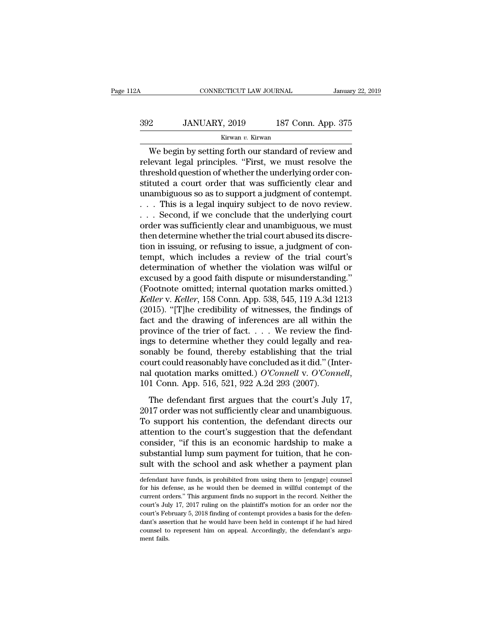### CONNECTICUT LAW JOURNAL January 22, 2019<br>392 JANUARY, 2019 187 Conn. App. 375<br>Kirwan v. Kirwan Kirwan *v.* Kirwan

CONNECTICUT LAW JOURNAL January 22, 2019<br>
2 JANUARY, 2019 187 Conn. App. 375<br>
Kirwan v. Kirwan<br>
We begin by setting forth our standard of review and<br>
levant legal principles. "First, we must resolve the<br>
resheld question o The Samuel of the Harace of Samuel Parameters.<br>
The Begin by setting forth our standard of review and<br>
The begin by setting forth our standard of review and<br>
relevant legal principles. "First, we must resolve the<br>
threshol  $\begin{array}{cc}\n 392 & \text{JANUARY, } 2019 & \text{187 Conn. App. 375}\n \hline\n\text{Kirwan } v. \text{ Kirwan}\n \hline\n \text{We begin by setting forth our standard of review and relevant legal principles. "First, we must resolve the threshold question of whether the underlying order constituted a court order that was sufficiently clear and unambiguous so as to support a judgment of contour.\n\end{array}$  $392$  JANUARY, 2019 187 Conn. App. 375<br>
Kirwan v. Kirwan<br>
We begin by setting forth our standard of review and<br>
relevant legal principles. "First, we must resolve the<br>
threshold question of whether the underlying order co Kirwan v. Kirwan<br>
Kirwan v. Kirwan<br>
We begin by setting forth our standard of review and<br>
relevant legal principles. "First, we must resolve the<br>
threshold question of whether the underlying order con-<br>
stituted a court or Example 19 and the setting forth our standard of review and relevant legal principles. "First, we must resolve the threshold question of whether the underlying order constituted a court order that was sufficiently clear a We begin by setting forth our standard of review and<br>relevant legal principles. "First, we must resolve the<br>threshold question of whether the underlying order con-<br>stituted a court order that was sufficiently clear and<br>un relevant legal principles. "First, we must resolve the<br>threshold question of whether the underlying order con-<br>stituted a court order that was sufficiently clear and<br>unambiguous so as to support a judgment of contempt.<br>. . threshold question of whether the underlying order constituted a court order that was sufficiently clear and unambiguous so as to support a judgment of contempt.<br>  $\dots$  This is a legal inquiry subject to de novo review.<br> stituted a court order that was sufficiently clear and<br>unambiguous so as to support a judgment of contempt.<br>... This is a legal inquiry subject to de novo review.<br>... Second, if we conclude that the underlying court<br>order unambiguous so as to support a judgment of contempt.<br>  $\dots$  This is a legal inquiry subject to de novo review.<br>  $\dots$  Second, if we conclude that the underlying court<br>
order was sufficiently clear and unambiguous, we must<br> ... This is a legal inquiry subject to de novo review.<br>... Second, if we conclude that the underlying court<br>order was sufficiently clear and unambiguous, we must<br>then determine whether the trial court abused its discre-<br>t ... Second, if we conclude that the underlying court<br>order was sufficiently clear and unambiguous, we must<br>then determine whether the trial court abused its discre-<br>tion in issuing, or refusing to issue, a judgment of con order was sufficiently clear and unambiguous, we must<br>then determine whether the trial court abused its discre-<br>tion in issuing, or refusing to issue, a judgment of con-<br>tempt, which includes a review of the trial court's<br> then determine whether the trial court abused its discretion in issuing, or refusing to issue, a judgment of contempt, which includes a review of the trial court's determination of whether the violation was wilful or excus tion in issuing, or refusing to issue, a judgment of con-<br>tempt, which includes a review of the trial court's<br>determination of whether the violation was wilful or<br>excused by a good faith dispute or misunderstanding."<br>(Foot tempt, which includes a review of the trial court's<br>determination of whether the violation was wilful or<br>excused by a good faith dispute or misunderstanding."<br>(Footnote omitted; internal quotation marks omitted.)<br>*Keller* determination of whether the violation was wilful or excused by a good faith dispute or misunderstanding."<br>(Footnote omitted; internal quotation marks omitted.)<br>Keller v. Keller, 158 Conn. App. 538, 545, 119 A.3d 1213<br>(201 excused by a good faith dispute or misunderstanding."<br>(Footnote omitted; internal quotation marks omitted.)<br>*Keller* v. *Keller*, 158 Conn. App. 538, 545, 119 A.3d 1213<br>(2015). "[T]he credibility of witnesses, the finding (Footnote omitted; internal quotation marks omitted.)<br>Keller v. Keller, 158 Conn. App. 538, 545, 119 A.3d 1213<br>(2015). "[T]he credibility of witnesses, the findings of<br>fact and the drawing of inferences are all within the Keller v. Keller, 158 Conn. App. 538, 545, 119 A.3d 1213 (2015). "[T]he credibility of witnesses, the findings of fact and the drawing of inferences are all within the province of the trier of fact. . . . We review the fi (2015). "[T]he credibility of witnesses, the findings of fact and the drawing of inferences are all within the province of the trier of fact. . . . We review the findings to determine whether they could legally and reason gs to determine whether they could legally and rea-<br>nably be found, thereby establishing that the trial<br>urt could reasonably have concluded as it did." (Inter-<br>1 quotation marks omitted.) O'Connell v. O'Connell,<br>1 Conn. A mgs to accommon meaner and y coald regary and rea<br>sonably be found, thereby establishing that the trial<br>court could reasonably have concluded as it did." (Inter-<br>nal quotation marks omitted.) O'Connell v. O'Connell,<br>101 Co

Formsty be Found, dietery examining diat die Trial<br>court could reasonably have concluded as it did." (Inter-<br>nal quotation marks omitted.) O'Connell v. O'Connell,<br>101 Conn. App. 516, 521, 922 A.2d 293 (2007).<br>The defendan attention marks omitted.) O'Connell v. O'Connell,<br>
101 Conn. App. 516, 521, 922 A.2d 293 (2007).<br>
The defendant first argues that the court's July 17,<br>
2017 order was not sufficiently clear and unambiguous.<br>
To support hi The defendant first argues that the court's July 17,<br>2017 order was not sufficiently clear and unambiguous.<br>To support his contention, the defendant directs our<br>attention to the court's suggestion that the defendant<br>consi The defendant first argues that the court's July 17, 2017 order was not sufficiently clear and unambiguous.<br>To support his contention, the defendant directs our attention to the court's suggestion that the defendant consid The defendant first argues that the court's July 17,<br>2017 order was not sufficiently clear and unambiguous.<br>To support his contention, the defendant directs our<br>attention to the court's suggestion that the defendant<br>consid attention to the court's suggestion that the defendant<br>consider, "if this is an economic hardship to make a<br>substantial lump sum payment for tuition, that he con-<br>sult with the school and ask whether a payment plan<br>defenda consider, "if this is an economic hardship to make a<br>substantial lump sum payment for tuition, that he con-<br>sult with the school and ask whether a payment plan<br>defendant have funds, is prohibited from using them to [engage

substantial lump sum payment for tuition, that he consult with the school and ask whether a payment plan<br>defendant have funds, is prohibited from using them to [engage] counsel<br>for his defense, as he would then be deemed i subcurristive Form and ask whether a payment plan<br>defendant have funds, is prohibited from using them to [engage] counsel<br>for his defense, as he would then be deemed in willful contempt of the<br>current orders." This argumen sult with the school and ask whether a payment plan<br>defendant have funds, is prohibited from using them to [engage] counsel<br>for his defense, as he would then be deemed in willful contempt of the<br>current orders." This argum defendant have funds, is prohibited from using them to [engage] counsel<br>for his defense, as he would then be deemed in willful contempt of the<br>current orders." This argument finds no support in the record. Neither the<br>cour for his defense, as he would then be deemed in will<br>ful contempt of the current orders." This argument finds no support in the record. Neither the court's July 17, 2017 ruling on the plaintiff's motion for an order nor th current orders." This argument finds no support in the record. Neither the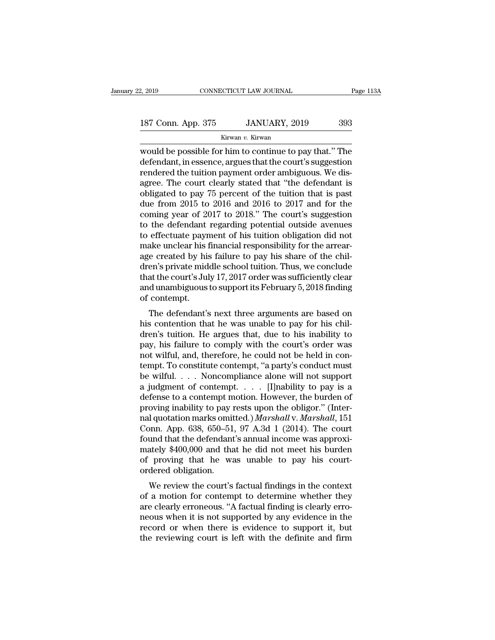| 2, 2019            | CONNECTICUT LAW JOURNAL | Page 113A |
|--------------------|-------------------------|-----------|
| 187 Conn. App. 375 | JANUARY, 2019           | 393       |
|                    | Kirwan v. Kirwan        |           |

Example 2, 2019 CONNECTICUT LAW JOURNAL Page 113A<br>
187 Conn. App. 375 JANUARY, 2019 393<br>
Kirwan v. Kirwan<br>
would be possible for him to continue to pay that.'' The<br>
defendant, in essence, argues that the court's suggestio 187 Conn. App. 375 JANUARY, 2019 393<br>Kirwan v. Kirwan<br>Would be possible for him to continue to pay that." The<br>defendant, in essence, argues that the court's suggestion<br>rendered the tuition payment order ambiguous. We dis-<br> 187 Conn. App. 375 JANUARY, 2019 393<br>
Kirwan v. Kirwan<br>
would be possible for him to continue to pay that." The<br>
defendant, in essence, argues that the court's suggestion<br>
rendered the tuition payment order ambiguous. We 187 Conn. App. 375 JANUARY, 2019 393<br>
Kirwan v. Kirwan<br>
would be possible for him to continue to pay that." The<br>
defendant, in essence, argues that the court's suggestion<br>
rendered the tuition payment order ambiguous. We EXECUTE: THE CONSERVED CONTROLLED, 2019<br>
Kirwan v. Kirwan<br>
would be possible for him to continue to pay that." The<br>
defendant, in essence, argues that the court's suggestion<br>
rendered the tuition payment order ambiguous. Extremant v. Kirwan<br>
would be possible for him to continue to pay that." The<br>
defendant, in essence, argues that the court's suggestion<br>
rendered the tuition payment order ambiguous. We dis-<br>
agree. The court clearly stat would be possible for him to continue to pay that." The<br>defendant, in essence, argues that the court's suggestion<br>rendered the tuition payment order ambiguous. We dis-<br>agree. The court clearly stated that "the defendant is defendant, in essence, argues that the court's suggestion<br>rendered the tuition payment order ambiguous. We dis-<br>agree. The court clearly stated that "the defendant is<br>obligated to pay 75 percent of the tuition that is past rendered the tuition payment order ambiguous. We disagree. The court clearly stated that "the defendant is obligated to pay 75 percent of the tuition that is past due from 2015 to 2016 and 2016 to 2017 and for the coming y agree. The court clearly stated that "the defendant is obligated to pay 75 percent of the tuition that is past<br>due from 2015 to 2016 and 2016 to 2017 and for the<br>coming year of 2017 to 2018." The court's suggestion<br>to the obligated to pay 75 percent of the tuition that is past<br>due from 2015 to 2016 and 2016 to 2017 and for the<br>coming year of 2017 to 2018." The court's suggestion<br>to the defendant regarding potential outside avenues<br>to effect due from 2015 to 2016 and 2016 to 2017 and for the<br>coming year of 2017 to 2018." The court's suggestion<br>to the defendant regarding potential outside avenues<br>to effectuate payment of his tuition obligation did not<br>make uncl coming year of 2017 to 2018." The court's suggestion<br>to the defendant regarding potential outside avenues<br>to effectuate payment of his tuition obligation did not<br>make unclear his financial responsibility for the arrear-<br>ag to the defendant regarding potential outside avenues<br>to effectuate payment of his tuition obligation did not<br>make unclear his financial responsibility for the arrear-<br>age created by his failure to pay his share of the chil to effectuate payn<br>make unclear his i<br>age created by his<br>dren's private mid<br>that the court's Jul<br>and unambiguous<br>of contempt.<br>The defendant's are unclear his miancial responsionity for the arreated<br>e created by his failure to pay his share of the chil-<br>en's private middle school tuition. Thus, we conclude<br>at the court's July 17, 2017 order was sufficiently clear age created by his failure to pay his share of the children's private middle school tuition. Thus, we conclude<br>that the court's July 17, 2017 order was sufficiently clear<br>and unambiguous to support its February 5, 2018 fin

dren's private inique school tuition. Thus, we conclude<br>that the court's July 17, 2017 order was sufficiently clear<br>and unambiguous to support its February 5, 2018 finding<br>of contempt.<br>The defendant's next three arguments and unambiguous to support its February 5, 2018 finding<br>and unambiguous to support its February 5, 2018 finding<br>of contempt.<br>The defendant's next three arguments are based on<br>his contention that he was unable to pay for hi and unamoguous to support its rebruary 5, 2018 intuity<br>of contempt.<br>The defendant's next three arguments are based on<br>his contention that he was unable to pay for his chil-<br>dren's tuition. He argues that, due to his inabil The defendant's next three arguments are based on<br>his contention that he was unable to pay for his chil-<br>dren's tuition. He argues that, due to his inability to<br>pay, his failure to comply with the court's order was<br>not wil The defendant's next three arguments are based on<br>his contention that he was unable to pay for his chil-<br>dren's tuition. He argues that, due to his inability to<br>pay, his failure to comply with the court's order was<br>not wi his contention that he was unable to pay for his children's tuition. He argues that, due to his inability to pay, his failure to comply with the court's order was not wilful, and, therefore, he could not be held in contem dren's tuition. He argues that, due to his inability to<br>pay, his failure to comply with the court's order was<br>not wilful, and, therefore, he could not be held in con-<br>tempt. To constitute contempt, "a party's conduct must pay, his failure to comply with the court's order was<br>not wilful, and, therefore, he could not be held in con-<br>tempt. To constitute contempt, "a party's conduct must<br>be wilful.... Noncompliance alone will not support<br>a ju not wilful, and, therefore, he could not be held in contempt. To constitute contempt, "a party's conduct must<br>be wilful. . . . Noncompliance alone will not support<br>a judgment of contempt. . . . . [I]nability to pay is a<br>de tempt. To constitute contempt, "a party's conduct must<br>be wilful. . . . Noncompliance alone will not support<br>a judgment of contempt. . . . . [I]nability to pay is a<br>defense to a contempt motion. However, the burden of<br>pro be wilful. . . . Noncompliance alone will not support<br>a judgment of contempt. . . . . [I]nability to pay is a<br>defense to a contempt motion. However, the burden of<br>proving inability to pay rests upon the obligor." (Inter-<br> a judgment of contempt. . . . . [I]nability to pay is a<br>defense to a contempt motion. However, the burden of<br>proving inability to pay rests upon the obligor." (Inter-<br>nal quotation marks omitted.) *Marshall* v. *Marshall* defense to a contempt motion. However, the burden of<br>proving inability to pay rests upon the obligor." (Inter-<br>nal quotation marks omitted.) *Marshall* v. *Marshall*, 151<br>Conn. App. 638, 650–51, 97 A.3d 1 (2014). The court proving inability to pay i<br>nal quotation marks omit<br>Conn. App. 638, 650–51<br>found that the defendant<br>mately \$400,000 and tha<br>of proving that he wa<br>ordered obligation.<br>We review the court's more in the court's factual findings in the court<br>and that the defendant's annual income was approxi-<br>ately \$400,000 and that he did not meet his burden<br>proving that he was unable to pay his court-<br>dered obligation.<br>We rev Conti. App. 056, 050–51, 97 A.5d 1 (2014). The court<br>found that the defendant's annual income was approxi-<br>mately \$400,000 and that he did not meet his burden<br>of proving that he was unable to pay his court-<br>ordered obliga

Francely \$400,000 and that he did not meet his burden<br>of proving that he was unable to pay his court-<br>ordered obligation.<br>We review the court's factual findings in the context<br>of a motion for contempt to determine whether matery \$400,000 and that he tud not meet his burdent<br>of proving that he was unable to pay his court-<br>ordered obligation.<br>We review the court's factual findings in the context<br>of a motion for contempt to determine whether t or proving that he was unable to pay its court-<br>ordered obligation.<br>We review the court's factual findings in the context<br>of a motion for contempt to determine whether they<br>are clearly erroneous. "A factual finding is clea We review the court's factual findings in the context<br>of a motion for contempt to determine whether they<br>are clearly erroneous. "A factual finding is clearly erro-<br>neous when it is not supported by any evidence in the<br>reco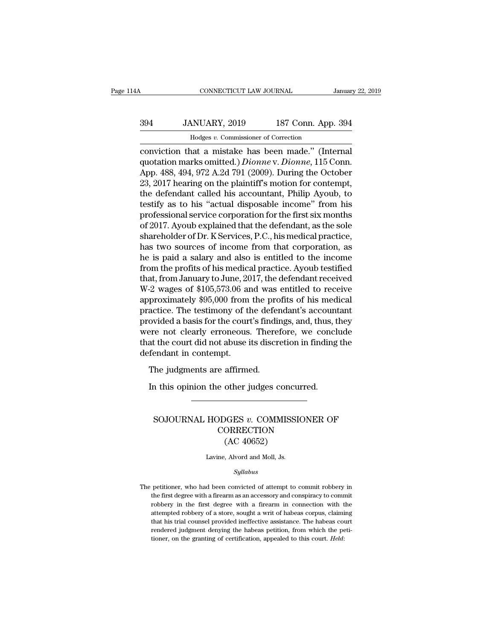## CONNECTICUT LAW JOURNAL January 22, 2019<br>394 JANUARY, 2019 187 Conn. App. 394<br>Hodges v. Commissioner of Correction CONNECTICUT LAW JOURNAL<br>MUARY, 2019 187 Conn. App<br>Hodges *v.* Commissioner of Correction<br>nat. a mistake has been made " (Inte

CONNECTICUT LAW JOURNAL January 22, 20<br>
394 JANUARY, 2019 187 Conn. App. 394<br>
Hodges v. Commissioner of Correction<br>
conviction that a mistake has been made.'' (Internal<br>
quotation marks omitted.) Dionne v. Dionne, 115 Conn 394 JANUARY, 2019 187 Conn. App. 394<br>
Hodges v. Commissioner of Correction<br>
conviction that a mistake has been made." (Internal<br>
quotation marks omitted.) *Dionne* v. *Dionne*, 115 Conn.<br>
App. 488, 494, 972 A.2d 791 (2009)  $394$  JANUARY, 2019 187 Conn. App. 394<br>
Hodges v. Commissioner of Correction<br>
conviction that a mistake has been made." (Internal<br>
quotation marks omitted.) *Dionne* v. *Dionne*, 115 Conn.<br>
App. 488, 494, 972 A.2d 791 (20 394 JANUARY, 2019 187 Conn. App. 394<br>
Hodges v. Commissioner of Correction<br>
conviction that a mistake has been made." (Internal<br>
quotation marks omitted.) *Dionne* v. *Dionne*, 115 Conn.<br>
App. 488, 494, 972 A.2d 791 (2009 Hodges v. Commissioner of Correction<br>
conviction that a mistake has been made." (Internal<br>
quotation marks omitted.) *Dionne* v. *Dionne*, 115 Conn.<br>
App. 488, 494, 972 A.2d 791 (2009). During the October<br>
23, 2017 hearing thodges v. Commissioner of Correction<br>conviction that a mistake has been made." (Internal<br>quotation marks omitted.) *Dionne* v. *Dionne*, 115 Conn.<br>App. 488, 494, 972 A.2d 791 (2009). During the October<br>23, 2017 hearing on conviction that a mistake has been made." (Internal<br>quotation marks omitted.) *Dionne* v. *Dionne*, 115 Conn.<br>App. 488, 494, 972 A.2d 791 (2009). During the October<br>23, 2017 hearing on the plaintiff's motion for contempt,<br> quotation marks omitted.) *Dionne* v. *Dionne*, 115 Conn.<br>App. 488, 494, 972 A.2d 791 (2009). During the October<br>23, 2017 hearing on the plaintiff's motion for contempt,<br>the defendant called his accountant, Philip Ayoub, t App. 488, 494, 972 A.2d 791 (2009). During the October 23, 2017 hearing on the plaintiff's motion for contempt, the defendant called his accountant, Philip Ayoub, to testify as to his "actual disposable income" from his pr 23, 2017 hearing on the plaintiff's motion for contempt,<br>the defendant called his accountant, Philip Ayoub, to<br>testify as to his "actual disposable income" from his<br>professional service corporation for the first six months the defendant called his accountant, Philip Ayoub, to<br>testify as to his "actual disposable income" from his<br>professional service corporation for the first six months<br>of 2017. Ayoub explained that the defendant, as the sole testify as to his "actual disposable income" from his<br>professional service corporation for the first six months<br>of 2017. Ayoub explained that the defendant, as the sole<br>shareholder of Dr. K Services, P.C., his medical prac professional service corporation for the first six months<br>of 2017. Ayoub explained that the defendant, as the sole<br>shareholder of Dr. K Services, P.C., his medical practice,<br>has two sources of income from that corporation, of 2017. Ayoub explained that the defendant, as the sole<br>shareholder of Dr. K Services, P.C., his medical practice,<br>has two sources of income from that corporation, as<br>he is paid a salary and also is entitled to the income shareholder of Dr. K Services, P.C., his medical practice,<br>has two sources of income from that corporation, as<br>he is paid a salary and also is entitled to the income<br>from the profits of his medical practice. Ayoub testifie has two sources of income from that corporation, as<br>he is paid a salary and also is entitled to the income<br>from the profits of his medical practice. Ayoub testified<br>that, from January to June, 2017, the defendant received<br> he is paid a salary and also is entitled to the income<br>from the profits of his medical practice. Ayoub testified<br>that, from January to June, 2017, the defendant received<br>W-2 wages of \$105,573.06 and was entitled to receive from the profits of his medical practice. Ayoub testified<br>that, from January to June, 2017, the defendant received<br>W-2 wages of \$105,573.06 and was entitled to receive<br>approximately \$95,000 from the profits of his medical<br> that, from January to June, 2017, the defendant received W-2 wages of \$105,573.06 and was entitled to receive approximately \$95,000 from the profits of his medical practice. The testimony of the defendant's accountant prov W-2 wages of \$105,573.06 are<br>approximately \$95,000 from<br>practice. The testimony of the<br>provided a basis for the court<br>were not clearly erroneous.<br>that the court did not abuse i<br>defendant in contempt.<br>The judgments are affi Formally (12), the production for the deferment of the deferment of the deferment of a basis for the court's finding are not clearly erroneous. There at the court did not abuse its discreparat in contempt.<br>The judgments ar ovided a basis for the court's findings, and, thus, there not clearly erroneous. Therefore, we concleat the court did not abuse its discretion in finding fendant in contempt.<br>The judgments are affirmed.<br>In this opinion the

### Fragments are affirmed.<br>
The judgments are affirmed.<br>
A this opinion the other judges concurred.<br>
SOJOURNAL HODGES *v.* COMMISSIONER OF<br>
CORRECTION<br>
CAC 40653) **CORRECTION** other judges concu<br>
OGES v. COMMISSI<br>
ORRECTION<br>
(AC 40652)<br>
, Alvord and Moll, Js. SOJOURNAL HODGES  $v$ . COMMISSIONER OF<br>CORRECTION<br>(AC 40652)<br>Lavine, Alvord and Moll, Js.

### *Syllabus*

 $(AC 40652)$ <br>Lavine, Alvord and Moll, Js.<br> $Syllabus$ <br>The petitioner, who had been convicted of attempt to commit robbery in the first degree with a firearm as an accessory and conspiracy to commit Lavine, Alvord and Moll, Js.<br>
Syllabus<br>
petitioner, who had been convicted of attempt to commit robbery in<br>
the first degree with a firearm as an accessory and conspiracy to commit<br>
robbery in the first degree with a firea Lavine, Alvord and Moll, Js.<br>
Syllabus<br>
petitioner, who had been convicted of attempt to commit robbery in<br>
the first degree with a firearm as an accessory and conspiracy to commit<br>
robbery in the first degree with a firea  $Syllabus$ <br>petitioner, who had been convicted of attempt to commit robbery in<br>the first degree with a firearm as an accessory and conspiracy to commit<br>robbery in the first degree with a firearm in connection with the<br>attempted syaloots<br>that first degree with a firearm as an accessory and conspiracy to commit<br>robbery in the first degree with a firearm in connection with the<br>attempted robbery of a store, sought a writ of habeas corpus, claiming<br>th petitioner, who had been convicted of attempt to commit robbery in the first degree with a firearm as an accessory and conspiracy to commit robbery in the first degree with a firearm in connection with the attempted robbe the first degree with a firearm as an accessory and conspiracy to comrobbery in the first degree with a firearm in connection with the attempted robbery of a store, sought a writ of habeas corpus, claimit that his trial co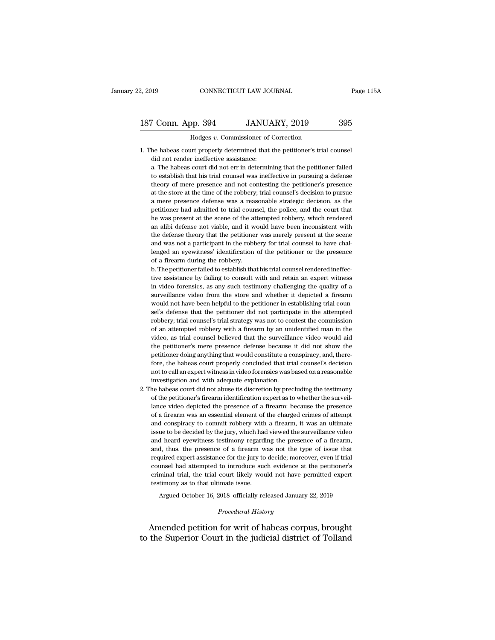## 2, 2019 CONNECTICUT LAW JOURNAL Page 115A<br>187 Conn. App. 394 JANUARY, 2019 395<br>Hodges v. Commissioner of Correction 2, 2019 CONNECTICUT LAW JOURNAL<br>187 Conn. App. 394 JANUARY, 2019 395<br>Hodges *v*. Commissioner of Correction<br>1. The habeas court properly determined that the petitioner's trial counsel

187 Conn. App. 394 JANUARY, 2019 395<br>
Hodges v. Commissioner of Correction<br>
1. The habeas court properly determined that the petitioner's trial counsel<br>
did not render ineffective assistance: France Commissioner of<br>
Hodges v. Commissioner of<br>
the habeas court properly determined that<br>
did not render ineffective assistance:<br>
a. The habeas court did not err in determine

Frame Marketter Marketter and the habeas court properly determined that the petitioner's trial counsel<br>the habeas court properly determined that the petitioner's trial counsel<br>did not render ineffective assistance:<br>a. The to establish that the petitioner's trial counsel<br>that have assistance that the petitioner's trial counsel<br>did not render ineffective assistance:<br>a. The habeas court did not err in determining that the petitioner failed<br>to Hodges v. Commissioner of Correction<br>he habeas court properly determined that the petitioner's trial counsel<br>did not render ineffective assistance:<br>a. The habeas court did not err in determining that the petitioner failed<br> he habeas court properly determined that the petitioner's trial counsel<br>did not render ineffective assistance:<br>a. The habeas court did not err in determining that the petitioner failed<br>to establish that his trial counsel w did not render ineffective assistance:<br>a. The habeas court did not err in determining that the petitioner failed<br>to establish that his trial counsel was ineffective in pursuing a defense<br>theory of mere presence and not con a. The habeas court did not err in determining that the petitioner failed to establish that his trial counsel was ineffective in pursuing a defense theory of mere presence and not contesting the petitioner's presence at th at the establish that his trial counsel was ineffective in pursuing a defense theory of mere presence and not contesting the petitioner's presence at the store at the time of the robbery; trial counsel's decision to pursue theory of mere presence and not contesting the petitioner's presence at the store at the time of the robbery; trial counsel's decision to pursue a mere presence defense was a reasonable strategic decision, as the petitione at the store at the time of the robbery; trial counsel's decision to pursue a mere presence defense was a reasonable strategic decision, as the petitioner had admitted to trial counsel, the police, and the court that he wa at the store at the time of the robbery; trial counsel's decision to pursue a mere presence defense was a reasonable strategic decision, as the petitioner had admitted to trial counsel, the police, and the court that he wa petitioner had admitted to trial counsel, the police, and the court that he was present at the scene of the attempted robbery, which rendered an alibi defense not viable, and it would have been inconsistent with the defens he was present at the scene of the attempted robbery, which rendered<br>an alibi defense not viable, and it would have been inconsistent with<br>the defense theory that the petitioner was merely present at the scene<br>and was not an alibi defense not viable, and it would have been inconsistent with<br>the defense theory that the petitioner was merely present at the scene<br>and was not a participant in the robbery for trial counsel to have chal-<br>lenged a the defense theory that the petitioner was merely present at the scene and was not a participant in the robbery for trial counsel to have challenged an eyewitness' identification of the petitioner or the presence of a fire

and was not a participant in the robbery for trial counsel to have challenged an eyewitness' identification of the petitioner or the presence of a firearm during the robbery.<br>
b. The petitioner failed to establish that his lenged an eyewitness' identification of the petitioner or the presence<br>of a firearm during the robbery.<br>b. The petitioner failed to establish that his trial counsel rendered ineffec-<br>tive assistance by failing to consult w of a firearm during the robbery.<br>
b. The petitioner failed to establish that his trial counsel rendered ineffec-<br>
tive assistance by failing to consult with and retain an expert witness<br>
in video forensics, as any such tes b. The petitioner failed to establish that his trial counsel rendered ineffective assistance by failing to consult with and retain an expert witness in video forensics, as any such testimony challenging the quality of a su tive assistance by failing to consult with and retain an expert witness<br>in video forensics, as any such testimony challenging the quality of a<br>surveillance video from the store and whether it depicted a firearm<br>would not h in video forensics, as any such testimony challenging the quality of a surveillance video from the store and whether it depicted a firearm would not have been helpful to the petitioner in establishing trial counsel's defen surveillance video from the store and whether it depicted a firearm would not have been helpful to the petitioner in establishing trial counsel's defense that the petitioner did not participate in the attempted robbery; tr would not have been helpful to the petitioner in establishing trial counsel's defense that the petitioner did not participate in the attempted robbery; trial counsel's trial strategy was not to contest the commission of an sel's defense that the petitioner did not participate in the attempted robbery; trial counsel's trial strategy was not to contest the commission of an attempted robbery with a firearm by an unidentified man in the video, a robbery; trial counsel's trial strategy was not to contest the commission<br>of an attempted robbery with a firearm by an unidentified man in the<br>video, as trial counsel believed that the surveillance video would aid<br>the peti of an attempted robbery with a firearm by an unidentified man in the video, as trial counsel believed that the surveillance video would aid the petitioner's mere presence defense because it did not show the petitioner doin video, as trial counsel believed that the surveillar<br>the petitioner's mere presence defense because<br>petitioner doing anything that would constitute a co<br>fore, the habeas court properly concluded that tri<br>not to call an exp the petitioner's mere presence defense because it did not show the petitioner doing anything that would constitute a conspiracy, and, therefore, the habeas court properly concluded that trial counsel's decision not to call petitioner doing anything that would constitute a conspiracy, and, therefore, the habeas court properly concluded that trial counsel's decision not to call an expert witness in video forensics was based on a reasonable inv

fore, the habeas court properly concluded that trial counsel's decision not to call an expert witness in video forensics was based on a reasonable investigation and with adequate explanation.<br>He habeas court did not abuse not to call an expert witness in video forensics was based on a reasonable<br>investigation and with adequate explanation.<br>he habeas court did not abuse its discretion by precluding the testimony<br>of the petitioner's firearm i investigation and with adequate explanation.<br>he habeas court did not abuse its discretion by precluding the testimony<br>of the petitioner's firearm identification expert as to whether the surveil-<br>lance video depicted the pr he habeas court did not abuse its discretion by precluding the testimony of the petitioner's firearm identification expert as to whether the surveillance video depicted the presence of a firearm: because the presence of a of the petitioner's firearm identification expert as to whether the surveillance video depicted the presence of a firearm, because the presence of a firearm was an essential element of the charged crimes of attempt and con lance video depicted the presence of a firearm: because the presence of a firearm was an essential element of the charged crimes of attempt and conspiracy to commit robbery with a firearm, it was an ultimate issue to be de of a firearm was an essential element of the charged crimes of attempt<br>and conspiracy to commit robbery with a firearm, it was an ultimate<br>issue to be decided by the jury, which had viewed the surveillance video<br>and heard and conspiracy to commit robbery with a firearm, it was an ultimate issue to be decided by the jury, which had viewed the surveillance video and heard eyewitness testimony regarding the presence of a firearm, and, thus, th issue to be decided by the jury, which had viewed the surveillance video and heard eyewitness testimony regarding the presence of a firearm, and, thus, the presence of a firearm was not the type of issue that required expe and heard eyewitness testimony regardiand, thus, the presence of a firearm w<br>required expert assistance for the jury to<br>counsel had attempted to introduce suc<br>criminal trial, the trial court likely wou<br>testimony as to that d, thus, the presence of a firearm was not the type of issue that<br>quired expert assistance for the jury to decide; moreover, even if trial<br>unsel had attempted to introduce such evidence at the petitioner's<br>minal trial, the % counsel had attempted to introduce such evidence at the petitioner's<br>
criminal trial, the trial court likely would not have permitted expert<br>
testimony as to that ultimate issue.<br>
Argued October 16, 2018–officially relea % counsel had attempted to introduce such evidence at the petitioner's<br>criminal trial, the trial court likely would not have permitted expert<br>testimony as to that ultimate issue.<br>Argued October 16, 2018–officially released

reform the Superior Court in the judicial district of Tolland<br>the Superior Court in the judicial district of Tolland<br>to the Superior Court in the judicial district of Tolland<br>to the Superior Court in the judicial district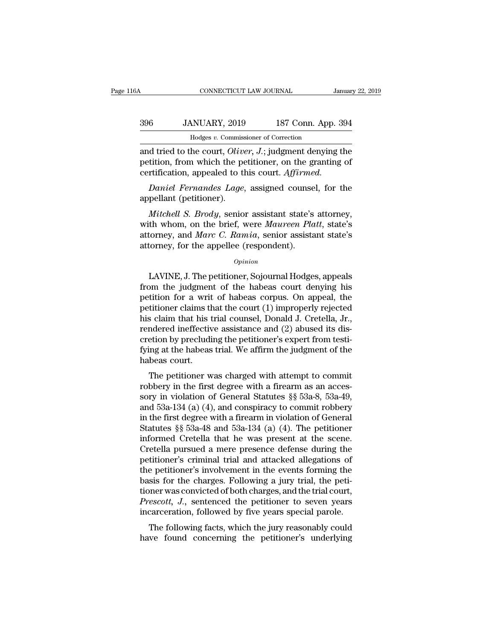## CONNECTICUT LAW JOURNAL January 22, 2019<br>396 JANUARY, 2019 187 Conn. App. 394<br>Hodges v. Commissioner of Correction CONNECTICUT LAW JOURNAL<br>MUARY, 2019 187 Conn. App<br>Hodges *v.* Commissioner of Correction<br>he court *Oliver J* : judgment denvine

CONNECTICUT LAW JOURNAL January 22, 2019<br>
396 JANUARY, 2019 187 Conn. App. 394<br>
Hodges v. Commissioner of Correction<br>
and tried to the court, *Oliver*, *J*.; judgment denying the<br>
petition, from which the petitioner, on th 396 JANUARY, 2019 187 Conn. App. 394<br>
Hodges v. Commissioner of Correction<br>
and tried to the court, *Oliver*, *J*.; judgment denying the<br>
petition, from which the petitioner, on the granting of<br>
certification, appealed to 396 JANUARY, 2019 187 Conn. App. 39<br>
Hodges v. Commissioner of Correction<br>
and tried to the court, *Oliver*, *J*.; judgment denying th<br>
petition, from which the petitioner, on the granting<br>
certification, appealed to this *Banda Daniel Brandes v. Commissioner of Correction*<br>*Daniel Brandes v. Commissioner of Correction*<br>*Daniel for the court, Oliver, J.*; judgment denying the<br>*Daniel Fernandes Lage*, assigned counsel, for the<br>*pellant (pe* Hodges v. Commiss<br>and tried to the court, *Olive*<br>petition, from which the perfectification, appealed to the<br>*Daniel Fernandes Lage*,<br>appellant (petitioner).<br>*Mitchell S. Brody*, senion *M* at tried to the court, *Oliver*, *J*.; judgment denying the tition, from which the petitioner, on the granting of rtification, appealed to this court. *Affirmed.*<br> *Daniel Fernandes Lage*, assigned counsel, for the pel

petition, from which the petitioner, on the granting of<br>certification, appealed to this court. Affirmed.<br>Daniel Fernandes Lage, assigned counsel, for the<br>appellant (petitioner).<br>Mitchell S. Brody, senior assistant state's certification, appealed to this court. Affirmed.<br> *Daniel Fernandes Lage*, assigned counsel, for the<br>
appellant (petitioner).<br> *Mitchell S. Brody*, senior assistant state's attorney,<br>
with whom, on the brief, were *Maureen* Daniel Fernandes Lage, assigned counse<br>appellant (petitioner).<br>Mitchell S. Brody, senior assistant state's<br>with whom, on the brief, were Maureen Pla<br>attorney, and Marc C. Ramia, senior assista<br>attorney, for the appellee (r Mitchell S. Brody, senior assistant state's attorney,<br>th whom, on the brief, were Maureen Platt, state's<br>torney, and Marc C. Ramia, senior assistant state's<br>torney, for the appellee (respondent).<br>Opinion<br>LAVINE, J. The pet

### *Opinion*

with whom, on the brief, were *Maureen Platt*, state's<br>attorney, and *Marc C. Ramia*, senior assistant state's<br>attorney, for the appellee (respondent).<br> $o_{pinion}$ <br>LAVINE, J. The petitioner, Sojournal Hodges, appeals<br>from the attorney, and *Marc C. Ramia*, senior assistant state's<br>attorney, for the appellee (respondent).<br> $opinion$ <br>LAVINE, J. The petitioner, Sojournal Hodges, appeals<br>from the judgment of the habeas court denying his<br>petition for a wr attorney, for the appellee (respondent).<br> *Opinion*<br>
LAVINE, J. The petitioner, Sojournal Hodges, appeals<br>
from the judgment of the habeas court denying his<br>
petition for a writ of habeas corpus. On appeal, the<br>
petitioner *Opinion*<br>
LAVINE, J. The petitioner, Sojournal Hodges, appeals<br>
from the judgment of the habeas court denying his<br>
petition for a writ of habeas corpus. On appeal, the<br>
petitioner claims that the court (1) improperly reje LAVINE, J. The petitioner, Sojournal Hodges, appeals<br>from the judgment of the habeas court denying his<br>petition for a writ of habeas corpus. On appeal, the<br>petitioner claims that the court (1) improperly rejected<br>his clai LAVINE, J. The petitioner, Sojournal Hodges, appeals<br>from the judgment of the habeas court denying his<br>petition for a writ of habeas corpus. On appeal, the<br>petitioner claims that the court (1) improperly rejected<br>his claim from the judgment of the habeas court denying his<br>petition for a writ of habeas corpus. On appeal, the<br>petitioner claims that the court  $(1)$  improperly rejected<br>his claim that his trial counsel, Donald J. Cretella, Jr.,<br> petition for a writ<br>petitioner claims th<br>his claim that his t<br>rendered ineffectiv<br>cretion by precludi<br>fying at the habeas<br>habeas court.<br>The petitioner w Example 1 and the court (1) improperly rejected<br>s claim that his trial counsel, Donald J. Cretella, Jr.,<br>ndered ineffective assistance and (2) abused its dis-<br>etion by precluding the petitioner's expert from testi-<br>ing at robbery in the first degree with a firearm as an accessory in violation of General Statutes  $\S$  53a-8, 53a-49, and 53a 134 (a) (4) and conspiracy to commit robbery in the first degree with a firearm as an accessory in vio

Fendered menective assistance and  $(2)$  abused its uncertion by precluding the petitioner's expert from testifying at the habeas trial. We affirm the judgment of the habeas court.<br>The petitioner was charged with attempt t fying at the habeas trial. We affirm the judgment of the<br>habeas court.<br>The petitioner was charged with attempt to commit<br>robbery in the first degree with a firearm as an acces-<br>sory in violation of General Statutes §§ 53a is the first degree with a firearm is an accessory in violation of General Statutes  $\S$  53a-8, 53a-49, and 53a-134 (a) (4), and conspiracy to commit robbery in the first degree with a firearm in violation of General Statu The petitioner was charged with attempt to commit<br>robbery in the first degree with a firearm as an accessory in violation of General Statutes  $\S$  53a-8, 53a-49,<br>and 53a-134 (a) (4), and conspiracy to commit robbery<br>in the The petitioner was charged with attempt to commit<br>robbery in the first degree with a firearm as an acces-<br>sory in violation of General Statutes §§ 53a-8, 53a-49,<br>and 53a-134 (a) (4), and conspiracy to commit robbery<br>in the robbery in the first degree with a firearm as an accessory in violation of General Statutes  $\S$  53a-8, 53a-49, and 53a-134 (a) (4), and conspiracy to commit robbery in the first degree with a firearm in violation of Gener sory in violation of General Statutes §§ 53a-8, 53a-49,<br>and 53a-134 (a) (4), and conspiracy to commit robbery<br>in the first degree with a firearm in violation of General<br>Statutes §§ 53a-48 and 53a-134 (a) (4). The petitione and 53a-134 (a) (4), and conspiracy to commit robbery<br>in the first degree with a firearm in violation of General<br>Statutes §§ 53a-48 and 53a-134 (a) (4). The petitioner<br>informed Cretella that he was present at the scene.<br>Cr in the first degree with a firearm in violation of General<br>Statutes §§ 53a-48 and 53a-134 (a) (4). The petitioner<br>informed Cretella that he was present at the scene.<br>Cretella pursued a mere presence defense during the<br>pet Statutes §§ 53a-48 and 53a-134 (a) (4). The petitioner<br>informed Cretella that he was present at the scene.<br>Cretella pursued a mere presence defense during the<br>petitioner's criminal trial and attacked allegations of<br>the pe informed Cretella that he was present at the scene.<br>Cretella pursued a mere presence defense during the<br>petitioner's criminal trial and attacked allegations of<br>the petitioner's involvement in the events forming the<br>basis f Cretella pursued a mere presence defense during the<br>petitioner's criminal trial and attacked allegations of<br>the petitioner's involvement in the events forming the<br>basis for the charges. Following a jury trial, the peti-<br>ti Exercise is criminal that and attacked anegations of<br>e petitioner's involvement in the events forming the<br>sis for the charges. Following a jury trial, the peti-<br>pher was convicted of both charges, and the trial court,<br>resc the petitioner's involvement in the events forming the<br>basis for the charges. Following a jury trial, the peti-<br>tioner was convicted of both charges, and the trial court,<br>*Prescott*, J., sentenced the petitioner to seven y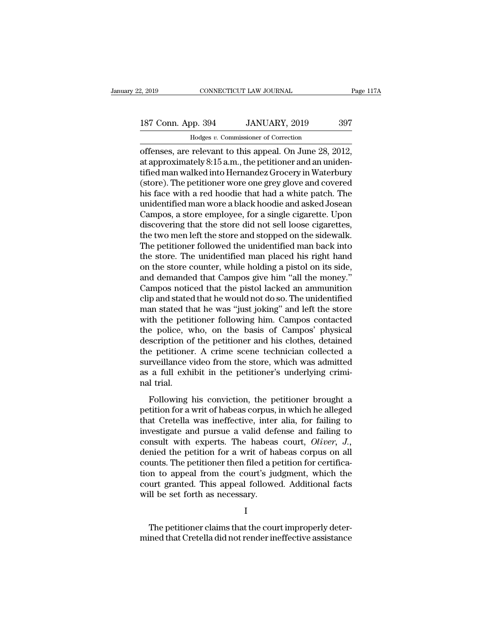# 2, 2019 CONNECTICUT LAW JOURNAL Page 117A<br>187 Conn. App. 394 JANUARY, 2019 397<br>Hodges v. Commissioner of Correction

2, 2019 CONNECTICUT LAW JOURNAL<br>187 Conn. App. 394 JANUARY, 2019 397<br>Hodges *v.* Commissioner of Correction<br>offenses, are relevant to this appeal. On June 28, 2012, 2, 2019 CONNECTICUT LAW JOURNAL Page 11<br>
187 Conn. App. 394 JANUARY, 2019 397<br>
Hodges v. Commissioner of Correction<br>
offenses, are relevant to this appeal. On June 28, 2012,<br>
at approximately 8:15 a.m., the petitioner and 187 Conn. App. 394 JANUARY, 2019 397<br>
Hodges v. Commissioner of Correction<br>
offenses, are relevant to this appeal. On June 28, 2012,<br>
at approximately 8:15 a.m., the petitioner and an uniden-<br>
tified man walked into Hernan 187 Conn. App. 394 JANUARY, 2019 397<br>
Hodges v. Commissioner of Correction<br>
offenses, are relevant to this appeal. On June 28, 2012,<br>
at approximately 8:15 a.m., the petitioner and an uniden-<br>
tified man walked into Herna 187 Conn. App. 394 JANUARY, 2019 397<br>
Hodges  $v$ . Commissioner of Correction<br>
offenses, are relevant to this appeal. On June 28, 2012,<br>
at approximately 8:15 a.m., the petitioner and an uniden-<br>
tified man walked into Her Hodges v. Commissioner of Correction<br>
offenses, are relevant to this appeal. On June 28, 2012,<br>
at approximately 8:15 a.m., the petitioner and an uniden-<br>
tified man walked into Hernandez Grocery in Waterbury<br>
(store). The Hodges v. Commissioner of Correction<br>
offenses, are relevant to this appeal. On June 28, 2012,<br>
at approximately 8:15 a.m., the petitioner and an uniden-<br>
tified man walked into Hernandez Grocery in Waterbury<br>
(store). The offenses, are relevant to this appeal. On June 28, 2012,<br>at approximately 8:15 a.m., the petitioner and an uniden-<br>tified man walked into Hernandez Grocery in Waterbury<br>(store). The petitioner wore one grey glove and cover at approximately 8:15 a.m., the petitioner and an unidentified man walked into Hernandez Grocery in Waterbury<br>(store). The petitioner wore one grey glove and covered<br>his face with a red hoodie that had a white patch. The<br>u tified man walked into Hernandez Grocery in Waterbury<br>(store). The petitioner wore one grey glove and covered<br>his face with a red hoodie that had a white patch. The<br>unidentified man wore a black hoodie and asked Josean<br>Cam (store). The petitioner wore one grey glove and covered<br>his face with a red hoodie that had a white patch. The<br>unidentified man wore a black hoodie and asked Josean<br>Campos, a store employee, for a single cigarette. Upon<br>di his face with a red hoodie that had a white patch. The unidentified man wore a black hoodie and asked Josean Campos, a store employee, for a single cigarette. Upon discovering that the store did not sell loose cigarettes, unidentified man wore a black hoodie and asked Josean<br>Campos, a store employee, for a single cigarette. Upon<br>discovering that the store did not sell loose cigarettes,<br>the two men left the store and stopped on the sidewalk. Campos, a store employee, for a single cigarette. Upon<br>discovering that the store did not sell loose cigarettes,<br>the two men left the store and stopped on the sidewalk.<br>The petitioner followed the unidentified man back int discovering that the store did not sell loose cigarettes,<br>the two men left the store and stopped on the sidewalk.<br>The petitioner followed the unidentified man back into<br>the store. The unidentified man placed his right hand the two men left the store and stopped on the sidewalk.<br>The petitioner followed the unidentified man back into<br>the store. The unidentified man placed his right hand<br>on the store counter, while holding a pistol on its side, The petitioner followed the unidentified man back into<br>the store. The unidentified man placed his right hand<br>on the store counter, while holding a pistol on its side,<br>and demanded that Campos give him "all the money."<br>Camp the store. The unidentified man placed his right hand<br>on the store counter, while holding a pistol on its side,<br>and demanded that Campos give him "all the money."<br>Campos noticed that the pistol lacked an ammunition<br>clip an on the store counter, while holding a pistol on its side,<br>and demanded that Campos give him "all the money."<br>Campos noticed that the pistol lacked an ammunition<br>clip and stated that he would not do so. The unidentified<br>man and demanded that Campos give him "all the money."<br>Campos noticed that the pistol lacked an ammunition<br>clip and stated that he would not do so. The unidentified<br>man stated that he was "just joking" and left the store<br>with Campos noticed that the pistol lacked an ammunition<br>clip and stated that he would not do so. The unidentified<br>man stated that he was "just joking" and left the store<br>with the petitioner following him. Campos contacted<br>the clip and stated that he would not do so. The unidentified<br>man stated that he was "just joking" and left the store<br>with the petitioner following him. Campos contacted<br>the police, who, on the basis of Campos' physical<br>descri man stated that he was "just joking" and left the store<br>with the petitioner following him. Campos contacted<br>the police, who, on the basis of Campos' physical<br>description of the petitioner and his clothes, detained<br>the peti with the petit<br>the police, w<br>description of<br>the petitioner<br>surveillance v<br>as a full exh<br>nal trial.<br>Following ] Following his conviction, the petitioner subsequential and the petitioner. A crime scene technician collected a reveillance video from the store, which was admitted a full exhibit in the petitioner's underlying crimi-<br>I tr description of the petitioner. A crime scene technician collected a<br>surveillance video from the store, which was admitted<br>as a full exhibit in the petitioner's underlying crimi-<br>nal trial.<br>Following his conviction, the pet

surveillance video from the store, which was admitted<br>as a full exhibit in the petitioner's underlying crimi-<br>nal trial.<br>Following his conviction, the petitioner brought a<br>petition for a writ of habeas corpus, in which he as a full exhibit in the petitioner's underlying crimi-<br>nal trial.<br>Following his conviction, the petitioner brought a<br>petition for a writ of habeas corpus, in which he alleged<br>that Cretella was ineffective, inter alia, fo Experiment with the performant problem and trial.<br>
Following his conviction, the petitioner brought a<br>
petition for a writ of habeas corpus, in which he alleged<br>
that Cretella was ineffective, inter alia, for failing to<br>
i Following his conviction, the petitioner brought a<br>petition for a writ of habeas corpus, in which he alleged<br>that Cretella was ineffective, inter alia, for failing to<br>investigate and pursue a valid defense and failing to<br> Following his conviction, the petitioner brought a petition for a writ of habeas corpus, in which he alleged that Cretella was ineffective, inter alia, for failing to investigate and pursue a valid defense and failing to petition for a writ of habeas corpus, in which he alleged<br>that Cretella was ineffective, inter alia, for failing to<br>investigate and pursue a valid defense and failing to<br>consult with experts. The habeas court, *Oliver*, *J* that Cretella was ineffective, inter alia, for failing to<br>investigate and pursue a valid defense and failing to<br>consult with experts. The habeas court, *Oliver*, *J.*,<br>denied the petition for a writ of habeas corpus on all investigate and pursue a valid defeconsult with experts. The habeas<br>denied the petition for a writ of ha<br>counts. The petitioner then filed a p<br>tion to appeal from the court's ju<br>court granted. This appeal followe<br>will be s unts. The petitioner then filed a petition for certification to appeal from the court's judgment, which the urt granted. This appeal followed. Additional facts is all be set forth as necessary.<br>
I<br>
The petitioner claims th tion to appeal from the court's judgment, which the<br>court granted. This appeal followed. Additional facts<br>will be set forth as necessary.<br>I<br>The petitioner claims that the court improperly deter-<br>mined that Cretella did not

I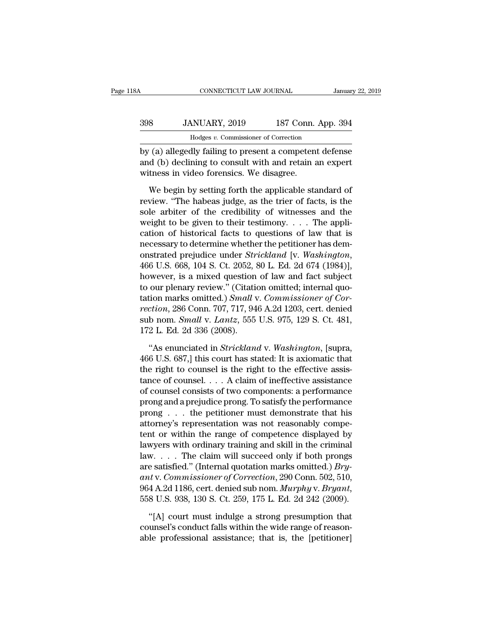| 18A | CONNECTICUT LAW JOURNAL                                 |  | January 22, 2019   |  |
|-----|---------------------------------------------------------|--|--------------------|--|
| 398 | JANUARY, 2019                                           |  | 187 Conn. App. 394 |  |
|     | Hodges v. Commissioner of Correction                    |  |                    |  |
|     | by (a) allegedly failing to present a competent defense |  |                    |  |

CONNECTICUT LAW JOURNAL January 22, 2019<br>
398 JANUARY, 2019 187 Conn. App. 394<br>
Hodges v. Commissioner of Correction<br>
by (a) allegedly failing to present a competent defense<br>
and (b) declining to consult with and retain an 398 JANUARY, 2019 187 Conn. App. 394<br>Hodges v. Commissioner of Correction<br>by (a) allegedly failing to present a competent defense<br>and (b) declining to consult with and retain an expert<br>witness in video forensics. We disagr  $398$  JANUARY, 2019 187 Conn.<br>
Hodges v. Commissioner of Correction<br>
by (a) allegedly failing to present a competen<br>
and (b) declining to consult with and retain a<br>
witness in video forensics. We disagree.<br>
We begin by se  $\frac{1}{187}$  MNUART, 2019 187 CONIT. App. 394<br>
Hodges v. Commissioner of Correction<br>
(a) allegedly failing to present a competent defense<br>
d (b) declining to consult with and retain an expert<br>
tness in video forensics. We

For the habeas v. Commissioner of Correction<br>by (a) allegedly failing to present a competent defense<br>and (b) declining to consult with and retain an expert<br>witness in video forensics. We disagree.<br>We begin by setting forth by (a) allegedly failing to present a competent defense<br>and (b) declining to consult with and retain an expert<br>witness in video forensics. We disagree.<br>We begin by setting forth the applicable standard of<br>review. "The habe and (b) declining to consult with and retain an expert<br>witness in video forensics. We disagree.<br>We begin by setting forth the applicable standard of<br>review. "The habeas judge, as the trier of facts, is the<br>sole arbiter of witness in video forensics. We disagree.<br>We begin by setting forth the applicable standard of<br>review. "The habeas judge, as the trier of facts, is the<br>sole arbiter of the credibility of witnesses and the<br>weight to be give We begin by setting forth the applicable standard of<br>review. "The habeas judge, as the trier of facts, is the<br>sole arbiter of the credibility of witnesses and the<br>weight to be given to their testimony. . . . The appli-<br>ca We begin by setting forth the applicable standard of<br>review. "The habeas judge, as the trier of facts, is the<br>sole arbiter of the credibility of witnesses and the<br>weight to be given to their testimony. . . . The appli-<br>cat sole arbiter of the credibility of witnesses and the<br>weight to be given to their testimony.... The appli-<br>cation of historical facts to questions of law that is<br>necessary to determine whether the petitioner has dem-<br>onstr weight to be given to their testimony.... The application of historical facts to questions of law that is<br>necessary to determine whether the petitioner has demonstrated prejudice under *Strickland* [v. *Washington*,<br>466 U cation of historical facts to questions of law that is<br>necessary to determine whether the petitioner has dem-<br>onstrated prejudice under *Strickland* [v. *Washington*,<br>466 U.S. 668, 104 S. Ct. 2052, 80 L. Ed. 2d 674 (1984)] necessary to determine whether the petitioner has demonstrated prejudice under *Strickland* [v. *Washington*, 466 U.S. 668, 104 S. Ct. 2052, 80 L. Ed. 2d 674 (1984)], however, is a mixed question of law and fact subject to onstrated prejudice under *Strickland* [v. *Washington*, 466 U.S. 668, 104 S. Ct. 2052, 80 L. Ed. 2d 674 (1984)], however, is a mixed question of law and fact subject to our plenary review." (Citation omitted; internal quo 466 U.S. 668, 104 S. Ct. 2052, a<br>however, is a mixed question<br>to our plenary review." (Citatio<br>tation marks omitted.) *Small v*<br>rection, 286 Conn. 707, 717, 94<br>sub nom. *Small v. Lantz*, 555<br>172 L. Ed. 2d 336 (2008).<br>"As our plenary review." (Citation omitted; internal quotion marks omitted.) *Small v. Commissioner of Corction*, 286 Conn. 707, 717, 946 A.2d 1203, cert. denied<br>b nom. *Small v. Lantz*, 555 U.S. 975, 129 S. Ct. 481,<br>2 L. Ed. tation marks omitted.) *Small v. Commissioner of Correction*, 286 Conn. 707, 717, 946 A.2d 1203, cert. denied<br>sub nom. *Small v. Lantz*, 555 U.S. 975, 129 S. Ct. 481,<br>172 L. Ed. 2d 336 (2008).<br>"As enunciated in *Stricklan* 

rection, 286 Conn. 707, 717, 946 A.2d 1203, cert. denied<br>sub nom. *Small v. Lantz*, 555 U.S. 975, 129 S. Ct. 481,<br>172 L. Ed. 2d 336 (2008).<br>"As enunciated in *Strickland v. Washington*, [supra,<br>466 U.S. 687,] this court h sub nom. *Small v. Lantz*, 555 U.S. 975, 129 S. Ct. 481,<br>172 L. Ed. 2d 336 (2008).<br>
"As enunciated in *Strickland v. Washington*, [supra,<br>466 U.S. 687,] this court has stated: It is axiomatic that<br>
the right to counsel is 172 L. Ed. 2d 336 (2008).<br>
"As enunciated in *Strickland* v. *Washington*, [supra, 466 U.S. 687,] this court has stated: It is axiomatic that<br>
the right to counsel is the right to the effective assistance<br>
of counsel  $\dots$ "As enunciated in *Strickland* v. *Washington*, [supra, 466 U.S. 687,] this court has stated: It is axiomatic that the right to counsel is the right to the effective assistance of counsel. . . . A claim of ineffective ass "As enunciated in *Strickland* v. *Washington*, [supra, 466 U.S. 687,] this court has stated: It is axiomatic that the right to counsel is the right to the effective assistance of counsel . . . . A claim of ineffective as 466 U.S. 687,] this court has stated: It is axiomatic that<br>the right to counsel is the right to the effective assis-<br>tance of counsel. . . . A claim of ineffective assistance<br>of counsel consists of two components: a perfo the right to counsel is the right to the effective assistance<br>tance of counsel.... A claim of ineffective assistance<br>of counsel consists of two components: a performance<br>prong and a prejudice prong. To satisfy the perform tance of counsel.... A claim of ineffective assistance<br>of counsel consists of two components: a performance<br>prong and a prejudice prong. To satisfy the performance<br>prong ... the petitioner must demonstrate that his<br>attorn of counsel consists of two components: a performance<br>prong and a prejudice prong. To satisfy the performance<br>prong . . . the petitioner must demonstrate that his<br>attorney's representation was not reasonably compe-<br>tent or prong and a prejudice prong. To satisfy the performance<br>prong . . . the petitioner must demonstrate that his<br>attorney's representation was not reasonably compe-<br>tent or within the range of competence displayed by<br>lawyers w prong . . . the petitioner must demonstrate that his<br>attorney's representation was not reasonably compe-<br>tent or within the range of competence displayed by<br>lawyers with ordinary training and skill in the criminal<br>law. . . attorney's representation was not reasonably competent or within the range of competence displayed by lawyers with ordinary training and skill in the criminal law. . . . The claim will succeed only if both prongs are satis w. . . . . The claim will succeed only if both prongs<br>e satisfied." (Internal quotation marks omitted.) *Bry-*<br>t v. *Commissioner of Correction*, 290 Conn. 502, 510,<br>4 A.2d 1186, cert. denied sub nom. *Murphy* v. *Bryant* are satisfied." (Internal quotation marks omitted.) *Bry-*<br>ant v. Commissioner of Correction, 290 Conn. 502, 510,<br>964 A.2d 1186, cert. denied sub nom. *Murphy v. Bryant*,<br>558 U.S. 938, 130 S. Ct. 259, 175 L. Ed. 2d 242 (20 ant v. Commissioner of Correction, 290 Conn. 502, 510, 964 A.2d 1186, cert. denied sub nom. Murphy v. Bryant, 558 U.S. 938, 130 S. Ct. 259, 175 L. Ed. 2d 242 (2009).<br>"[A] court must indulge a strong presumption that counse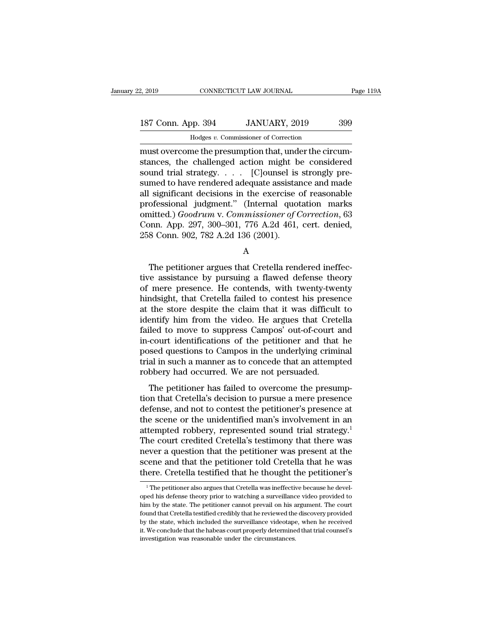## 2, 2019 CONNECTICUT LAW JOURNAL Page 119A<br>187 Conn. App. 394 JANUARY, 2019 399<br>Hodges v. Commissioner of Correction CONNECTICUT LAW JOURNAL<br>Dp. 394 JANUARY, 2019<br>Hodges *v.* Commissioner of Correction<br>me the presumption that under the circ

2, 2019 CONNECTICUT LAW JOURNAL<br>
187 Conn. App. 394 JANUARY, 2019 399<br>
Hodges v. Commissioner of Correction<br>
must overcome the presumption that, under the circum-<br>
stances, the challenged action might be considered<br>
sound 187 Conn. App. 394 JANUARY, 2019 399<br>
Hodges v. Commissioner of Correction<br>
must overcome the presumption that, under the circum-<br>
stances, the challenged action might be considered<br>
sound trial strategy. . . . [C]ounsel i 187 Conn. App. 394 JANUARY, 2019 399<br>
Hodges v. Commissioner of Correction<br>
must overcome the presumption that, under the circum-<br>
stances, the challenged action might be considered<br>
sound trial strategy. . . . . [C]ounsel 187 Conn. App. 394 JANUARY, 2019 399<br>  $\frac{187 \text{ Con. App. 394}}{1000}$  Hodges *v.* Commissioner of Correction<br>
must overcome the presumption that, under the circum-<br>
stances, the challenged action might be considered<br>
sound tr  $\frac{1}{\text{Hodges } v. \text{ Commissioner of Correction}}$ <br>
must overcome the presumption that, under the circumstances, the challenged action might be considered<br>
sound trial strategy. . . . . [C]ounsel is strongly pre-<br>
sumed to have rendered adequate a  $\frac{\text{Hodges } v. \text{ Commonssoner of Correction}}{\text{must overcome the presupption that, under the circum-  
stances, the challenged action might be considered}\nsound trial strategy. . . . [C]aunsel is strongly pre-  
sumed to have rendered adequate assistance and made\nall significant decisions in the exercise of reasonable\nprofessional judgment." (Internal quotation marks\nomitted.) \nGoodrum v. \nCommissioner of Correction, 63\nConn, Ann. 297–300–301–776, A. 2d. 461, cart, denied$ must overcome the presumption that, under the circum-<br>stances, the challenged action might be considered<br>sound trial strategy. . . . . [C]ounsel is strongly pre-<br>sumed to have rendered adequate assistance and made<br>all sign stances, the challenged action might be considered<br>sound trial strategy. . . . . [C]ounsel is strongly pre-<br>sumed to have rendered adequate assistance and made<br>all significant decisions in the exercise of reasonable<br>profe 2010 Sound trial strategy. . . . . [C]ounsel is<br>
sumed to have rendered adequate assistan<br>
all significant decisions in the exercise<br>
professional judgment." (Internal quot<br>
omitted.)  $Goodrum$  v.  $Commissioner$  of  $\ell$ <br>
Conn. App. 297, ofessional judgment." (Internal quotation marks<br>
inted.) *Goodrum* v. *Commissioner of Correction*, 63<br>
inn. App. 297, 300–301, 776 A.2d 461, cert. denied,<br>
8 Conn. 902, 782 A.2d 136 (2001).<br>
A<br>
The petitioner argues that

A

omitted.) *Goodrum* v. *Commissioner of Correction*, 63<br>
Conn. App. 297, 300–301, 776 A.2d 461, cert. denied,<br>
258 Conn. 902, 782 A.2d 136 (2001).<br>
A<br>
The petitioner argues that Cretella rendered ineffec-<br>
tive assistance Conn. App. 297, 300–301, 776 A.2d 461, cert. denied,<br>258 Conn. 902, 782 A.2d 136 (2001).<br>A<br>The petitioner argues that Cretella rendered ineffec-<br>tive assistance by pursuing a flawed defense theory<br>of mere presence. He cont 258 Conn. 902, 782 A.2d 136 (2001).<br>
A<br>
The petitioner argues that Cretella rendered ineffec-<br>
tive assistance by pursuing a flawed defense theory<br>
of mere presence. He contends, with twenty-twenty<br>
hindsight, that Cretell A<br>
The petitioner argues that Cretella rendered ineffec-<br>
tive assistance by pursuing a flawed defense theory<br>
of mere presence. He contends, with twenty-twenty<br>
hindsight, that Cretella failed to contest his presence<br>
at The petitioner argues that Cretella rendered ineffec-<br>tive assistance by pursuing a flawed defense theory<br>of mere presence. He contends, with twenty-twenty<br>hindsight, that Cretella failed to contest his presence<br>at the sto The petitioner argues that Cretella rendered ineffective assistance by pursuing a flawed defense theory<br>of mere presence. He contends, with twenty-twenty<br>hindsight, that Cretella failed to contest his presence<br>at the store tive assistance by pursuing a flawed defense theory<br>of mere presence. He contends, with twenty-twenty<br>hindsight, that Cretella failed to contest his presence<br>at the store despite the claim that it was difficult to<br>identify of mere presence. He contends, with twenty-twenty<br>hindsight, that Cretella failed to contest his presence<br>at the store despite the claim that it was difficult to<br>identify him from the video. He argues that Cretella<br>failed hindsight, that Cretella failed to contest his presence<br>at the store despite the claim that it was difficult to<br>identify him from the video. He argues that Cretella<br>failed to move to suppress Campos' out-of-court and<br>in-co at the store despite the claim that it was difficult<br>identify him from the video. He argues that Cret<br>failed to move to suppress Campos' out-of-court i<br>in-court identifications of the petitioner and that<br>posed questions to The petitioner is also shall economicalled to move to suppress Campos' out-of-court and court identifications of the petitioner and that he seed questions to Campos in the underlying criminal al in such a manner as to conc tance to move to suppress campos out-or-court and<br>in-court identifications of the petitioner and that he<br>posed questions to Campos in the underlying criminal<br>trial in such a manner as to concede that an attempted<br>robbery h

m-court identifications of the petitioner and that he<br>posed questions to Campos in the underlying criminal<br>trial in such a manner as to concede that an attempted<br>robbery had occurred. We are not persuaded.<br>The petitioner posed questions to campos in the underlying erminat<br>trial in such a manner as to concede that an attempted<br>robbery had occurred. We are not persuaded.<br>The petitioner has failed to overcome the presump-<br>tion that Cretella's rain in sach a mainter as to concede that an attempted<br>robbery had occurred. We are not persuaded.<br>The petitioner has failed to overcome the presump-<br>tion that Cretella's decision to pursue a mere presence at<br>defense, and The petitioner has failed to overcome the presumption that Cretella's decision to pursue a mere presence defense, and not to contest the petitioner's presence at the scene or the unidentified man's involvement in an attem The petitioner has failed to overcome the presumption that Cretella's decision to pursue a mere presence defense, and not to contest the petitioner's presence at the scene or the unidentified man's involvement in an attemp tion that Cretella's decision to pursue a mere presence<br>defense, and not to contest the petitioner's presence at<br>the scene or the unidentified man's involvement in an<br>attempted robbery, represented sound trial strategy.<sup>1</sup> defense, and not to contest the petitioner's presence at<br>the scene or the unidentified man's involvement in an<br>attempted robbery, represented sound trial strategy.<sup>1</sup><br>The court credited Cretella's testimony that there was<br> he court credited Cretella's testimony that there was<br>ever a question that the petitioner was present at the<br>cene and that the petitioner told Cretella that he was<br>ere. Cretella testified that he thought the petitioner's<br><sup></sup> never a question that the petitioner was present at the scene and that the petitioner told Cretella that he was there. Cretella testified that he thought the petitioner's  $\frac{1}{1}$  The petitioner also argues that Cretella

scene and that the petitioner told Cretella that he was<br>there. Cretella testified that he thought the petitioner's<br><sup>1</sup>The petitioner also argues that Cretella was ineffective because he devel-<br>oped his defense theory prior for the control test if the performance of the reviewed that the performance of the performance of the performance in The performance is defense theory prior to watching a surveillance video provided to him by the state. T The petitioner also argues that Cretella was ineffective because he developed his defense theory prior to watching a surveillance video provided to him by the state. The petitioner cannot prevail on his argument. The court <sup>1</sup> The petitioner also argues that Cretella was ineffective because he developed his defense theory prior to watching a surveillance video provided to him by the state. The petitioner cannot prevail on his argument. The oped his defense theory prior to watching a surveillance video provided to him by the state. The petitioner cannot prevail on his argument. The court found that Cretella testified credibly that he reviewed the discovery pr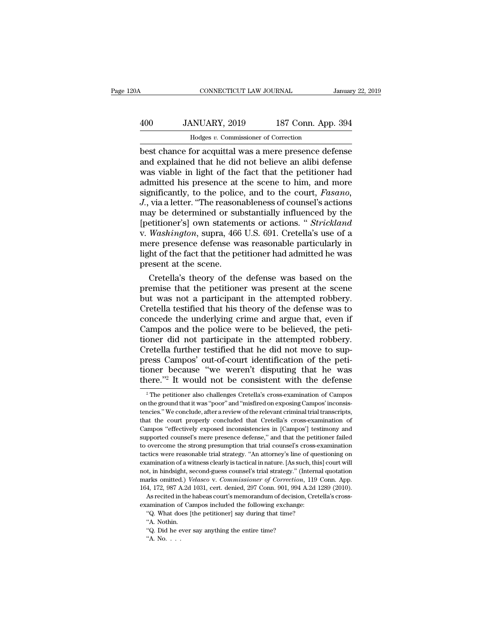## CONNECTICUT LAW JOURNAL January 22, 2019<br>
400 JANUARY, 2019 187 Conn. App. 394<br>
Hodges v. Commissioner of Correction CONNECTICUT LAW JOURNAL<br>MUARY, 2019 187 Conn. App<br>Hodges *v.* Commissioner of Correction<br>for acquittal was a mere presence def

CONNECTICUT LAW JOURNAL January 22, 2019<br> **Best Chance for acquittal was a mere presence defense**<br>
and explained that he did not believe an alibi defense<br>
the stripht of the fact that the netitionar had Manuary, 2019 187 Conn. App. 394<br>
Hodges v. Commissioner of Correction<br>
best chance for acquittal was a mere presence defense<br>
and explained that he did not believe an alibi defense<br>
was viable in light of the fact that th was viable in light of the fact that the petitioner had  $\frac{400}{400}$  JANUARY, 2019 187 Conn. App. 394<br>
Hodges v. Commissioner of Correction<br>
best chance for acquittal was a mere presence defense<br>
and explained that he did not believe an alibi defense<br>
was viable in light of t Hodges v. Commissioner of Correction<br>best chance for acquittal was a mere presence defense<br>and explained that he did not believe an alibi defense<br>was viable in light of the fact that the petitioner had<br>admitted his presenc *Hodges v. Commissioner of Correction*<br>
best chance for acquittal was a mere presence defense<br>
and explained that he did not believe an alibi defense<br>
was viable in light of the fact that the petitioner had<br>
admitted his p best chance for acquittal was a mere presence defense<br>and explained that he did not believe an alibi defense<br>was viable in light of the fact that the petitioner had<br>admitted his presence at the scene to him, and more<br>signi and explained that he did not believe an alibi defense<br>was viable in light of the fact that the petitioner had<br>admitted his presence at the scene to him, and more<br>significantly, to the police, and to the court, *Fasano*,<br> was viable in light of the fact that the petitioner had<br>admitted his presence at the scene to him, and more<br>significantly, to the police, and to the court, *Fasano*,<br>*J.*, via a letter. "The reasonableness of counsel's act admitted his presence at the scene to him, and more<br>significantly, to the police, and to the court, *Fasano*,<br>*J.*, via a letter. "The reasonableness of counsel's actions<br>may be determined or substantially influenced by th significantly, to the police, and to the court, *Fasano*,<br>J., via a letter. "The reasonableness of counsel's actions<br>may be determined or substantially influenced by the<br>[petitioner's] own statements or actions. " *Strickl* J., via a letter. "The reason<br>may be determined or sul<br>[petitioner's] own stateme<br>v. *Washington*, supra, 466<br>mere presence defense wa<br>light of the fact that the pe<br>present at the scene.<br>Cretella's theory of the ay be determined or substantially influenced by the<br>etitioner's] own statements or actions. " *Strickland*<br>Washington, supra, 466 U.S. 691. Cretella's use of a<br>ere presence defense was reasonable particularly in<br>the of the [petitioner's] own statements or actions. " *Strickland*<br>v. *Washington*, supra, 466 U.S. 691. Cretella's use of a<br>mere presence defense was reasonable particularly in<br>light of the fact that the petitioner had admitted he

v. *Washington*, supra, 466 U.S. 691. Cretella's use of a<br>mere presence defense was reasonable particularly in<br>light of the fact that the petitioner had admitted he was<br>present at the scene.<br>Cretella's theory of the defens mere presence defense was reasonable particularly in<br>light of the fact that the petitioner had admitted he was<br>present at the scene.<br>Cretella's theory of the defense was based on the<br>premise that the petitioner was present light of the fact that the petitioner had admitted he was<br>present at the scene.<br>Cretella's theory of the defense was based on the<br>premise that the petitioner was present at the scene<br>but was not a participant in the attemp present at the scene.<br>Cretella's theory of the defense was based on the<br>premise that the petitioner was present at the scene<br>but was not a participant in the attempted robbery.<br>Cretella testified that his theory of the def Cretella's theory of the defense was based on the<br>premise that the petitioner was present at the scene<br>but was not a participant in the attempted robbery.<br>Cretella testified that his theory of the defense was to<br>concede th premise that the petitioner was present at the scene<br>but was not a participant in the attempted robbery.<br>Cretella testified that his theory of the defense was to<br>concede the underlying crime and argue that, even if<br>Campos but was not a participant in the attempted robbery.<br>Cretella testified that his theory of the defense was to concede the underlying crime and argue that, even if<br>Campos and the police were to be believed, the peti-<br>tioner Cretella testified that his theory of the defense was to<br>concede the underlying crime and argue that, even if<br>Campos and the police were to be believed, the peti-<br>tioner did not participate in the attempted robbery.<br>Cretel concede the underlying crime and argue that, even if Campos and the police were to be believed, the petitioner did not participate in the attempted robbery.<br>Cretella further testified that he did not move to suppress Camp retella further testified that he did not move to sup-<br>ress Campos' out-of-court identification of the peti-<br>oner because "we weren't disputing that he was<br>lere."<sup>2</sup> It would not be consistent with the defense<br><sup>2</sup> The peti press Campos' out-of-court identification of the peti-<br>tioner because "we weren't disputing that he was<br>there."<sup>2</sup> It would not be consistent with the defense<br><sup>2</sup> The petitioner also challenges Cretella's cross-examination

tioner because "we weren't disputing that he was<br>there."<sup>2</sup> It would not be consistent with the defense<br> $\frac{1}{2}$  The petitioner also challenges Cretella's cross-examination of Campos<br>on the ground that it was "poor" and there."<sup>2</sup> It would not be consistent with the defense<br>
<sup>2</sup> The petitioner also challenges Cretella's cross-examination of Campos<br>
on the ground that it was "poor" and "misfired on exposing Campos" inconsis-<br>
tencies." We The petitioner also challenges Cretella's cross-examination of Campos<br>
<sup>2</sup> The petitioner also challenges Cretella's cross-examination of Campos<br>
on the ground that it was "poor" and "misfired on exposing Campos' inconsis-<sup>2</sup> The petitioner also challenges Cretella's cross-examination of Campos on the ground that it was "poor" and "misfired on exposing Campos' inconsistencies." We conclude, after a review of the relevant criminal trial tra on the ground that it was "poor" and "misfired on exposing Campos' inconsistencies." We conclude, after a review of the relevant criminal trial transcripts, that the court properly concluded that Cretella's cross-examinati tencies." We conclude, after a review of the relevant criminal trial transcripts, that the court properly concluded that Cretella's cross-examination of Campos "effectively exposed inconsistencies in [Campos'] testimony an examination of a witness clearly is tactical in nature. That the court properly concluded that Cretella's cross-examination of Campos "effectively exposed inconsistencies in [Campos'] testimony and supported counsel's mere Campos "effectively exposed inconsistencies in [Campos'] testimony and supported counsel's mere presence defense," and that the petitioner failed to overcome the strong presumption that trial counsel's cross-examination ta supported counsel's mere presence defense," and that the petitioner failed to overcome the strong presumption that trial counsel's cross-examination tactics were reasonable trial strategy. "An attorney's line of questionin to overcome the strong presumption that trial counsel's cross-examination tactics were reasonable trial strategy. "An attorney's line of questioning on examination of a witness clearly is tactical in nature. [As such, this etics were reasonable trial strategy. "An attorney's line of questioning on amination of a witness clearly is tactical in nature. [As such, this] court will t, in hindsight, second-guess coursel's trial strategy." (Interna examination of a witness clearly is tactical in nature. [As such, this] court will not, in hindsight, second-guess counsel's trial strategy." (Internal quotation marks omitted.) *Velasco* v. *Commissioner of Correction*, not, in hindsight, second-guess counsel's trial strategy." (Internal quotation marks omitted.) *Velasco* v. *Commissioner of Correction*, 119 Conn. App. 164, 172, 987 A.2d 1031, cert. denied, 297 Conn. 901, 994 A.2d 1289 marks omitted.) Velasco v. Commissioner of Correction, 119 Conn. App. 164, 172, 987 A.2d 1031, cert. denied, 297 Conn. 901, 994 A.2d 1289 (2010). As recited in the habeas court's memorandum of decision, Cretella's cross-e 164, 172, 987 A.2d 1031, cert. denied, 297 Conn. 901, 994 A.2d 1289 (2010).

As recited in the habeas court's memorandum of decision, Cretella's cross-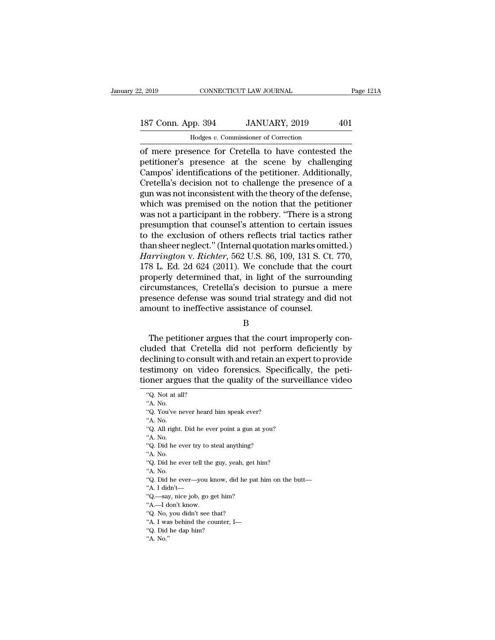## 2, 2019 CONNECTICUT LAW JOURNAL Page 121A<br>187 Conn. App. 394 JANUARY, 2019 401<br>Hodges v. Commissioner of Correction CONNECTICUT LAW JOURNAL<br>Dp. 394 JANUARY, 2019<br>Hodges *v.* Commissioner of Correction<br>sence for Cretella to have contested

2, 2019 CONNECTICUT LAW JOURNAL Page 121A<br>
187 Conn. App. 394 JANUARY, 2019 401<br>
Hodges v. Commissioner of Correction<br>
of mere presence for Cretella to have contested the<br>
petitioner's presence at the scene by challenging<br> 187 Conn. App. 394 JANUARY, 2019 401<br>
Hodges v. Commissioner of Correction<br>
of mere presence for Cretella to have contested the<br>
petitioner's presence at the scene by challenging<br>
Campos' identifications of the petitioner. 187 Conn. App. 394 JANUARY, 2019 401<br>
Hodges v. Commissioner of Correction<br>
of mere presence for Cretella to have contested the<br>
petitioner's presence at the scene by challenging<br>
Campos' identifications of the petitioner 187 Conn. App. 394 JANUARY, 2019 401<br>
Hodges  $v$ . Commissioner of Correction<br>
of mere presence for Cretella to have contested the<br>
petitioner's presence at the scene by challenging<br>
Campos' identifications of the petition Hodges v. Commissioner of Correction<br>
of mere presence for Cretella to have contested the<br>
petitioner's presence at the scene by challenging<br>
Campos' identifications of the petitioner. Additionally,<br>
Cretella's decision no Hodges v. Commissioner of Correction<br>
of mere presence for Cretella to have contested the<br>
petitioner's presence at the scene by challenging<br>
Campos' identifications of the petitioner. Additionally,<br>
Cretella's decision no of mere presence for Cretella to have contested the<br>petitioner's presence at the scene by challenging<br>Campos' identifications of the petitioner. Additionally,<br>Cretella's decision not to challenge the presence of a<br>gun was petitioner's presence at the scene by challenging<br>Campos' identifications of the petitioner. Additionally,<br>Cretella's decision not to challenge the presence of a<br>gun was not inconsistent with the theory of the defense,<br>whi Campos' identifications of the petitioner. Additionally,<br>Cretella's decision not to challenge the presence of a<br>gun was not inconsistent with the theory of the defense,<br>which was premised on the notion that the petitioner Cretella's decision not to challenge the presence of a<br>gun was not inconsistent with the theory of the defense,<br>which was premised on the notion that the petitioner<br>was not a participant in the robbery. "There is a strong<br> gun was not inconsistent with the theory of the defense,<br>which was premised on the notion that the petitioner<br>was not a participant in the robbery. "There is a strong<br>presumption that counsel's attention to certain issues<br> which was premised on the notion that the petitioner<br>was not a participant in the robbery. "There is a strong<br>presumption that counsel's attention to certain issues<br>to the exclusion of others reflects trial tactics rather<br> was not a participant in the robbery. "There is a strong<br>presumption that counsel's attention to certain issues<br>to the exclusion of others reflects trial tactics rather<br>than sheer neglect." (Internal quotation marks omitte presumption that counsel's attention to certain issues<br>to the exclusion of others reflects trial tactics rather<br>than sheer neglect." (Internal quotation marks omitted.)<br>Harrington v. Richter, 562 U.S. 86, 109, 131 S. Ct. 7 to the exclusion of others reflects trial tactics rather<br>than sheer neglect." (Internal quotation marks omitted.)<br>Harrington v. Richter, 562 U.S. 86, 109, 131 S. Ct. 770,<br>178 L. Ed. 2d 624 (2011). We conclude that the cour than sheer neglect." (Internal quotation marks omit<br> *Harrington* v. *Richter*, 562 U.S. 86, 109, 131 S. Ct<br>
178 L. Ed. 2d 624 (2011). We conclude that the exercive<br>
properly determined that, in light of the surrour<br>
circ operly determined that, in light of the surrounding<br>
reumstances, Cretella's decision to pursue a mere<br>
esence defense was sound trial strategy and did not<br>
nount to ineffective assistance of counsel.<br>
B<br>
The petitioner ar

### B

circumstances, Cretella's decision to pursue a mere<br>presence defense was sound trial strategy and did not<br>amount to ineffective assistance of counsel.<br>B<br>The petitioner argues that the court improperly con-<br>cluded that Cret presence defense was sound trial strategy and did not<br>amount to ineffective assistance of counsel.<br>B<br>The petitioner argues that the court improperly con-<br>cluded that Cretella did not perform deficiently by<br>declining to con the interactive assistance of counsel.<br>B<br>The petitioner argues that the court improperly concluded that Cretella did not perform deficiently by<br>declining to consult with and retain an expert to provide<br>testimony on video f B<br>
The petitioner argues that the court improperly con-<br>
cluded that Cretella did not perform deficiently by<br>
declining to consult with and retain an expert to provide<br>
testimony on video forensics. Specifically, the peticluded that Cretella did not perform deficiently by declining to consult with and retain an expert to provide testimony on video forensics. Specifically, the petitioner argues that the quality of the surveillance video  $\frac$ eclining to<br>stimony<br>oner argu<br>"Q. Not at al<br>"A. No.<br>"Q. You've n Solution is that the quality of the straight of the straight was that the quality of the straight was the straight was the straight was the straight was the straight was the straight was the straight was the straight of th Samony<br>
oner argu<br>
"Q. Not at a<br>"A. No.<br>"Q. You've n<br>"A. No.<br>"Q. All right.

- "A. No.<br>"Q. Did he ever try to steal anything?"<br>"A. No.<br>"Q. Did he ever tell the guy, yeah, get him?"<br>A. No.<br>"Q. Did he ever—you know, did he pat him on the butt—"A. I didn't—" "A. No.<br>"A. No.<br>"Q. Did he ever—you know, did he p"A. I didn't—<br>"Q.—say, nice job, go get him?<br>"A.—I don't know.<br>"Q. No, you didn't see that?"<br>A. I was behind the counter, I— "Q. Did he ever—you know, did he pat him on the bu"A. I didn't—<br>"Q.—say, nice job, go get him?<br>"Q.—say, nice job, go get him?<br>"A.—I don't know.<br>"Q. No, you didn't see that?<br>"A. I was behind the counter, I—<br>"Q. Did he dap h
- 
- 
- 
- 
- "A. I didn't—<br>"A. I didn't—<br>"Q.—say, nice job, go get him"<br>A.—I don't know.<br>"Q. No, you didn't see that?"<br>A. I was behind the counter,<br>"Q. Did he dap him?" "<br>"Q. —say<br>"A. —I d<br>"Q. No.<br>"A. I wa<br>"Q. Did
- 

<sup>&</sup>quot;Q. Not at all?<br>"A. No.<br>"Q. You've never heard him speak ever<br>"A. No.<br>"Q. All right. Did he ever point a gun<br>"A. No.<br>"Q. Did he ever try to steal anything?<br>"A. No. "Q. You've n<br>"A. No.<br>"Q. All right."<br>A. No.<br>"Q. Did he e"A. No.

Oner argues that the quality of the surve<br>"Q. Not at all?<br>"A. No.<br>"Q. You've never heard him speak ever?<br>"A. No.<br>"Q. All right. Did he ever point a gun at you?<br>"A. No. "Q. All right. Did he ever point a gun at you? "A. No.<br>"A. No.<br>"Q. All right. Did he ever point a gun at you?"<br>"A. No.<br>"Q. Did he ever try to steal anything?"<br>A. No.<br>"Q. Did he ever tell the guy, yeah, get him?"<br>A. No. "Q. All right.<br>"A. No.<br>"Q. Did he e<br>"A. No.<br>"Q. Did he e"A. No.

<sup>&</sup>quot;Q. Did he ever try to steal anyth<br>"A. No.<br>"Q. Did he ever tell the guy, yeah<br>"A. No.<br>"Q. Did he ever—you know, did l<br>"A. I didn't—<br>"Q.—say, nice job, go get him?

<sup>&</sup>quot;A. No.<br>"A. No.<br>"Q. Did he ever tell the guy, yeah, get h<br>"A. No.<br>"Q. Did he ever—you know, did he pat<br>"A. I didn't—<br>"Q.—say, nice job, go get him?<br>"A.—I don't know. "Q. Did he ever tell the<br>"A. No.<br>"A. No.<br>"Q. Did he ever—you know."<br>A. I didn't—<br>"Q.—say, nice job, go g<br>"A.—I don't know."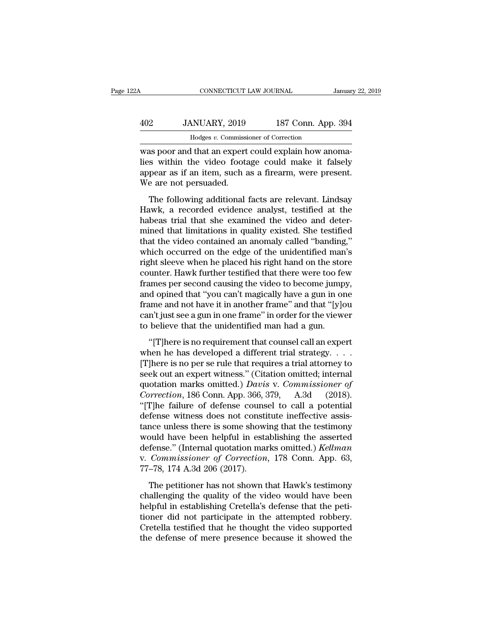## CONNECTICUT LAW JOURNAL January 22, 2019<br>402 JANUARY, 2019 187 Conn. App. 394<br>Hodges v. Commissioner of Correction CONNECTICUT LAW JOURNAL<br>MUARY, 2019 187 Conn. App<br>Hodges *v.* Commissioner of Correction<br>I that an expert could explain how and

CONNECTICUT LAW JOURNAL<br>
Januar<br>
402 JANUARY, 2019 187 Conn. App. 394<br>
Hodges v. Commissioner of Correction<br>
was poor and that an expert could explain how anoma-<br>
lies within the video footage could make it falsely<br>
appear MORET MANUARY, 2019 187 Conn. App. 394<br>
Hodges v. Commissioner of Correction<br>
Was poor and that an expert could explain how anomalies<br>
within the video footage could make it falsely<br>
appear as if an item, such as a firearm  $\frac{402}{402}$  JANUARY, 2019 187 Conn. App. 394<br>Hodges v. Commissioner of Correction<br>was poor and that an expert could explain how anoma-<br>lies within the video footage could make it falsely<br>appear as if an item, such as a  $\frac{402}{\text{Hodges } v. \text{ Commission}}$ <br>  $\frac{Hodges v. \text{ Commission}}{1000}$ <br>
Was poor and that an expert<br>
lies within the video foota<br>
appear as if an item, such a<br>
We are not persuaded.<br>
The following additional  $\frac{1}{100}$  Hodges  $v$ . Commissioner of Correction<br>
as poor and that an expert could explain how anomass within the video footage could make it falsely<br>
pear as if an item, such as a firearm, were present.<br>
e are not pers was poor and that an expert could explain how anomalies within the video footage could make it falsely<br>appear as if an item, such as a firearm, were present.<br>We are not persuaded.<br>The following additional facts are relevan

was poor and that an expert could explain now anomalies within the video footage could make it falsely appear as if an item, such as a firearm, were present.<br>We are not persuaded.<br>The following additional facts are relevan mes whall the video loodge codat make a fasely<br>appear as if an item, such as a firearm, were present.<br>We are not persuaded.<br>The following additional facts are relevant. Lindsay<br>Hawk, a recorded evidence analyst, testified the video contained an anomaly called "banding,"<br>The following additional facts are relevant. Lindsay<br>Hawk, a recorded evidence analyst, testified at the<br>habeas trial that she examined the video and deter-<br>mined that limit The following additional facts are relevant. Lindsay<br>Hawk, a recorded evidence analyst, testified at the<br>habeas trial that she examined the video and deter-<br>mined that limitations in quality existed. She testified<br>that the The following additional facts are relevant. Lindsay<br>Hawk, a recorded evidence analyst, testified at the<br>habeas trial that she examined the video and deter-<br>mined that limitations in quality existed. She testified<br>that the Hawk, a recorded evidence analyst, testified at the<br>habeas trial that she examined the video and deter-<br>mined that limitations in quality existed. She testified<br>that the video contained an anomaly called "banding,"<br>which o habeas trial that she examined the video and deter-<br>mined that limitations in quality existed. She testified<br>that the video contained an anomaly called "banding,"<br>which occurred on the edge of the unidentified man's<br>right mined that limitations in quality existed. She testified<br>that the video contained an anomaly called "banding,"<br>which occurred on the edge of the unidentified man's<br>right sleeve when he placed his right hand on the store<br>co that the video contained an anomaly called "banding,"<br>which occurred on the edge of the unidentified man's<br>right sleeve when he placed his right hand on the store<br>counter. Hawk further testified that there were too few<br>fra which occurred on the edge of the unidentified man's<br>right sleeve when he placed his right hand on the store<br>counter. Hawk further testified that there were too few<br>frames per second causing the video to become jumpy,<br>and right sleeve when he placed his right hand on the sto:<br>counter. Hawk further testified that there were too fe<br>frames per second causing the video to become jump<br>and opined that "you can't magically have a gun in or<br>frame a ancer. Hawn ratater essamed and there were too rew<br>
imes per second causing the video to become jumpy,<br>
d opined that "you can't magically have a gun in one<br>
immediate a gun in one frame" and that "[y]ou<br>
n't just see a g rances per second classing are video to second jumpy,<br>and opined that "you can't magically have a gun in one<br>frame and not have it in another frame" and that "[y]ou<br>can't just see a gun in one frame" in order for the view

frame and not have it in another frame" and that "[y]ou<br>can't just see a gun in one frame" in order for the viewer<br>to believe that the unidentified man had a gun.<br>"[T]here is no requirement that counsel call an expert<br>whe Frame and not have non-dinoater name and and a gun<br>can't just see a gun in one frame" in order for the viewer<br>to believe that the unidentified man had a gun.<br>"[T]here is no requirement that counsel call an expert<br>when he to believe that the unidentified man had a gun.<br>
"[T]here is no requirement that counsel call an expert<br>
when he has developed a different trial strategy....<br>
[T]here is no per se rule that requires a trial attorney to<br>
se <sup>2</sup> Correction and the dimension and that radia digation.<br>
<sup>2</sup> Correction and the dimensional connect when he has developed a different trial strategy. . . . . <br>
[T]here is no per se rule that requires a trial attorney to<br> "[T]here is no requirement that counsel call an expert<br>when he has developed a different trial strategy. . . . .<br>[T]here is no per se rule that requires a trial attorney to<br>seek out an expert witness." (Citation omitted; when he has developed a different trial strategy. . . . . [T]here is no per se rule that requires a trial attorney to seek out an expert witness." (Citation omitted; internal quotation marks omitted.) *Davis* v. *Commissi* [T]here is no per se rule that requires a trial attorney to<br>seek out an expert witness." (Citation omitted; internal<br>quotation marks omitted.) *Davis* v. *Commissioner of*<br>*Correction*, 186 Conn. App. 366, 379, A.3d (2018 seek out an expert witness." (Citation omitted; internal<br>quotation marks omitted.) *Davis* v. *Commissioner of*<br>*Correction*, 186 Conn. App. 366, 379, A.3d (2018).<br>"[T]he failure of defense counsel to call a potential<br>defe quotation marks omitted.) *Davis* v. *Commissioner of*<br> *Correction*, 186 Conn. App. 366, 379, A.3d (2018).<br>
"[T]he failure of defense counsel to call a potential<br>
defense witness does not constitute ineffective assis-<br>
ta Correction, 186 Conn. App. 366, 379, A.3d (2018).<br>
"[T]he failure of defense counsel to call a potential<br>
defense witness does not constitute ineffective assis-<br>
tance unless there is some showing that the testimony<br>
would "[T]he failure of defense couns<br>defense witness does not constitance unless there is some show<br>would have been helpful in esta<br>defense." (Internal quotation man<br>v. *Commissioner of Correction*<br>77–78, 174 A.3d 206 (2017).<br>T These whiless does not constant increase the cases<br>note unless there is some showing that the testimony<br>puld have been helpful in establishing the asserted<br>fense." (Internal quotation marks omitted.) *Kellman*<br>*Commissione* ance ances are is some showing and are testimony<br>would have been helpful in establishing the asserted<br>defense." (Internal quotation marks omitted.) *Kellman*<br>v. *Commissioner of Correction*, 178 Conn. App. 63,<br>77–78, 174 A

helpful in establishing the asserted<br>defense." (Internal quotation marks omitted.) *Kellman*<br>v. *Commissioner of Correction*, 178 Conn. App. 63,<br>77–78, 174 A.3d 206 (2017).<br>The petitioner has not shown that Hawk's testimon order and the attended relation of Correction, 178 Conn. App. 63,<br>77–78, 174 A.3d 206 (2017).<br>The petitioner has not shown that Hawk's testimony<br>challenging the quality of the video would have been<br>helpful in establishing Cretella testified that he thought the video supported the defense of mere presence because it showed the defense of mere presence because it showed the defense of mere presence because it showed the defense of mere presen The petitioner has not shown that Hawk's testimony<br>challenging the quality of the video would have been<br>helpful in establishing Cretella's defense that the peti-<br>tioner did not participate in the attempted robbery.<br>Cretell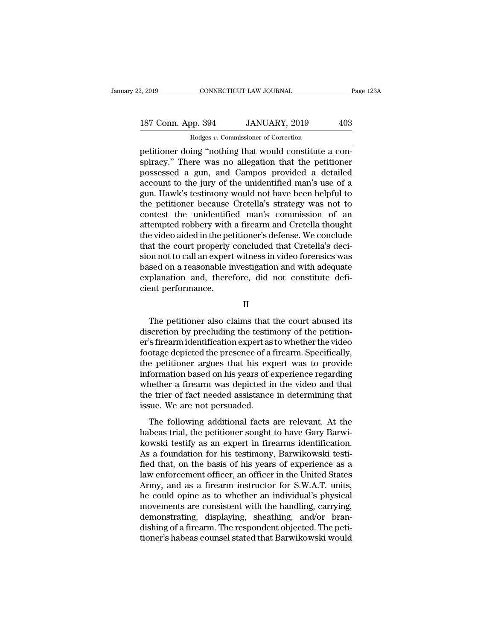January 22, 2019 CONNECTICUT LAW JOURNAL Page 123A<br>
187 Conn. App. 394 JANUARY, 2019 403<br>
Hodges v. Commissioner of Correction<br>
petitioner doing "nothing that would constitute a con-<br>
spiracy." There was no allegation that 187 Conn. App. 394 JANUARY, 2019 403<br>
Hodges v. Commissioner of Correction<br>
petitioner doing "nothing that would constitute a conspiracy." There was no allegation that the petitioner<br>
possessed a gun, and Campos provided a 187 Conn. App. 394 JANUARY, 2019 403<br>
Hodges v. Commissioner of Correction<br>
petitioner doing "nothing that would constitute a conspiracy." There was no allegation that the petitioner<br>
possessed a gun, and Campos provided 187 Conn. App. 394 JANUARY, 2019 403<br>
Hodges v. Commissioner of Correction<br>
petitioner doing "nothing that would constitute a conspiracy." There was no allegation that the petitioner<br>
possessed a gun, and Campos provided Hodges v. Commissioner of Correction<br>petitioner doing "nothing that would constitute a con-<br>spiracy." There was no allegation that the petitioner<br>possessed a gun, and Campos provided a detailed<br>account to the jury of the u Hodges v. Commissioner of Correction<br>petitioner doing "nothing that would constitute a con-<br>spiracy." There was no allegation that the petitioner<br>possessed a gun, and Campos provided a detailed<br>account to the jury of the u petitioner doing "nothing that would constitute a conspiracy." There was no allegation that the petitioner possessed a gun, and Campos provided a detailed account to the jury of the unidentified man's use of a gun. Hawk's spiracy." There was no allegation that the petitioner<br>possessed a gun, and Campos provided a detailed<br>account to the jury of the unidentified man's use of a<br>gun. Hawk's testimony would not have been helpful to<br>the petition possessed a gun, and Campos provided a detailed<br>account to the jury of the unidentified man's use of a<br>gun. Hawk's testimony would not have been helpful to<br>the petitioner because Cretella's strategy was not to<br>contest the account to the jury of the unidentified man's use of a<br>gun. Hawk's testimony would not have been helpful to<br>the petitioner because Cretella's strategy was not to<br>contest the unidentified man's commission of an<br>attempted ro gun. Hawk's testimony would not have been helpful to<br>the petitioner because Cretella's strategy was not to<br>contest the unidentified man's commission of an<br>attempted robbery with a firearm and Cretella thought<br>the video aid the petitioner because Cretella's strategy was not to<br>contest the unidentified man's commission of an<br>attempted robbery with a firearm and Cretella thought<br>the video aided in the petitioner's defense. We conclude<br>that the contest the unidentified man's commission of an<br>attempted robbery with a firearm and Cretella thought<br>the video aided in the petitioner's defense. We conclude<br>that the court properly concluded that Cretella's deci-<br>sion no attempted robbery with<br>the video aided in the pet<br>that the court properly<br>sion not to call an expert<br>based on a reasonable in<br>explanation and, there<br>cient performance. on not to call an expert witness in video forensics was<br>sed on a reasonable investigation and with adequate<br>planation and, therefore, did not constitute defi-<br>ent performance.<br>II<br>The petitioner also claims that the court a

II

based on a reasonable investigation and with adequate<br>explanation and, therefore, did not constitute defi-<br>cient performance.<br>II<br>The petitioner also claims that the court abused its<br>discretion by precluding the testimony o explanation and, therefore, did not constitute defi-<br>cient performance.<br>II<br>The petitioner also claims that the court abused its<br>discretion by precluding the testimony of the petition-<br>er's firearm identification expert as For performance.<br>
II<br>
The petitioner also claims that the court abused its<br>
discretion by precluding the testimony of the petition-<br>
er's firearm identification expert as to whether the video<br>
footage depicted the presence II<br>
The petitioner also claims that the court abused its<br>
discretion by precluding the testimony of the petition-<br>
er's firearm identification expert as to whether the video<br>
footage depicted the presence of a firearm. Spe The petitioner also claims that the court abused its<br>discretion by precluding the testimony of the petition-<br>er's firearm identification expert as to whether the video<br>footage depicted the presence of a firearm. Specifical The petitioner also claims that the court abused its<br>discretion by precluding the testimony of the petition-<br>er's firearm identification expert as to whether the video<br>footage depicted the presence of a firearm. Specifical discretion by precluding the testimony of the petition-<br>er's firearm identification expert as to whether the video<br>footage depicted the presence of a firearm. Specifically,<br>the petitioner argues that his expert was to prov er's firearm identification expert as<br>footage depicted the presence of a :<br>the petitioner argues that his exp<br>information based on his years of e<br>whether a firearm was depicted in<br>the trier of fact needed assistance<br>issue. Following additional facts are relevant. At the beas trial, the petitioner argues that his expert was to provide formation based on his years of experience regarding nether a firearm was depicted in the video and that e tr information based on his years of experience regarding<br>information based on his years of experience regarding<br>whether a firearm was depicted in the video and that<br>the trier of fact needed assistance in determining that<br>iss

mormalon based on his years of experience regarding<br>whether a firearm was depicted in the video and that<br>the trier of fact needed assistance in determining that<br>issue. We are not persuaded.<br>The following additional facts a As a foundation for the basis are relevant. At the habeas trial, the petitional facts are relevant. At the habeas trial, the petitioner sought to have Gary Barwikowski testify as an expert in firearms identification. As a fissue. We are not persuaded.<br>
The following additional facts are relevant. At the<br>
habeas trial, the petitioner sought to have Gary Barwi-<br>
kowski testify as an expert in firearms identification.<br>
As a foundation for his The following additional facts are relevant. At the<br>habeas trial, the petitioner sought to have Gary Barwi-<br>kowski testify as an expert in firearms identification.<br>As a foundation for his testimony, Barwikowski testi-<br>fied The following additional facts are relevant. At the habeas trial, the petitioner sought to have Gary Barwi-<br>kowski testify as an expert in firearms identification.<br>As a foundation for his testimony, Barwikowski testi-<br>fied habeas trial, the petitioner sought to have Gary Barwi-<br>kowski testify as an expert in firearms identification.<br>As a foundation for his testimony, Barwikowski testi-<br>fied that, on the basis of his years of experience as a<br> kowski testify as an expert in firearms identification.<br>As a foundation for his testimony, Barwikowski testified that, on the basis of his years of experience as a<br>law enforcement officer, an officer in the United States<br>A As a foundation for his testimony, Barwikowski testified that, on the basis of his years of experience as a law enforcement officer, an officer in the United States Army, and as a firearm instructor for S.W.A.T. units, he fied that, on the basis of his years of experience as a<br>law enforcement officer, an officer in the United States<br>Army, and as a firearm instructor for S.W.A.T. units,<br>he could opine as to whether an individual's physical<br>m law enforcement officer, an officer in the United States<br>Army, and as a firearm instructor for S.W.A.T. units,<br>he could opine as to whether an individual's physical<br>movements are consistent with the handling, carrying,<br>dem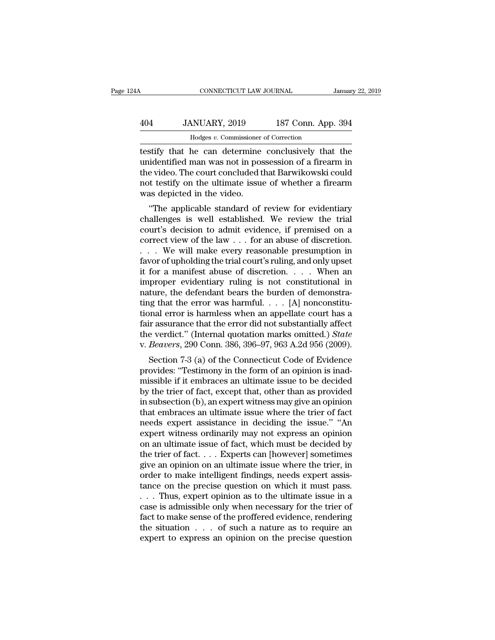## CONNECTICUT LAW JOURNAL January 22, 2019<br>404 JANUARY, 2019 187 Conn. App. 394<br>Hodges v. Commissioner of Correction CONNECTICUT LAW JOURNAL<br>MUARY, 2019 187 Conn. App<br>Hodges *v.* Commissioner of Correction<br>he can determine conclusively that

CONNECTICUT LAW JOURNAL January 22, 2019<br>
404 JANUARY, 2019 187 Conn. App. 394<br>
Hodges v. Commissioner of Correction<br>
testify that he can determine conclusively that the<br>
unidentified man was not in possession of a firearm 104 JANUARY, 2019 187 Conn. App. 394<br>
Hodges v. Commissioner of Correction<br>
testify that he can determine conclusively that the<br>
unidentified man was not in possession of a firearm in<br>
the video. The court concluded that B  $\frac{404}{\text{Hodges } v. \text{ Commissioner of Correction}}$ <br>  $\frac{Hodges v. \text{ Commissioner of Correction}}{Hodelt, \text{total}}$ <br>  $\frac{Hodges v. \text{ Commissioner of Correction}}{Hodget}$ <br>  $\frac{Hodges}{Hildet}$ <br>  $\frac{Hodges}{Hildet}$ <br>  $\frac{Hodges}{Hildet}$ <br>  $\frac{Hodges}{Hildet}$ <br>  $\frac{Hodges}{Hildet}$ <br>  $\frac{Hodges}{Hildet}$ <br>  $\frac{Hodges}{Hildet}$ <br>  $\frac{Hodges}{Hildet}$ <br>  $\frac{Hodges}{Hildet}$ <br>  $\frac{404}{\text{Hodges } v. \text{ Commissioner of Correction}}$ <br>  $\frac{404}{\text{Hodges } v. \text{ Commissioner of Correction}}$ <br>
testify that he can determine conclusively that the<br>
unidentified man was not in possession of a firearm in<br>
the video. The court concluded that Barwikowski could<br>
n Hodges *v*. Commissioner<br>testify that he can determine<br>unidentified man was not in pos<br>the video. The court concluded t<br>not testify on the ultimate issue<br>was depicted in the video.<br>"The applicable standard of Supplicable standard conclusively that the identified man was not in possession of a firearm in evideo. The court concluded that Barwikowski could to testify on the ultimate issue of whether a firearm as depicted in the vi destription that the can determine conclusively that the unidentified man was not in possession of a firearm in the video. The court concluded that Barwikowski could not testify on the ultimate issue of whether a firearm w

muderatined mail was not in possession of a meanin in<br>the video. The court concluded that Barwikowski could<br>not testify on the ultimate issue of whether a firearm<br>was depicted in the video.<br>"The applicable standard of rev The video. The court concrided that Barwikowski could<br>not testify on the ultimate issue of whether a firearm<br>was depicted in the video.<br>"The applicable standard of review for evidentiary<br>challenges is well established. We not testify on the unifiate issue of whether a firearm<br>was depicted in the video.<br>"The applicable standard of review for evidentiary<br>challenges is well established. We review the trial<br>court's decision to admit evidence, i was depicted in the video.<br>
"The applicable standard of review for evidentiary<br>
challenges is well established. We review the trial<br>
court's decision to admit evidence, if premised on a<br>
correct view of the law . . . for "The applicable standard of review for evidentiary<br>challenges is well established. We review the trial<br>court's decision to admit evidence, if premised on a<br>correct view of the law . . . for an abuse of discretion.<br>. . . . challenges is well established. We review the trial<br>court's decision to admit evidence, if premised on a<br>correct view of the law . . . for an abuse of discretion.<br>. . . We will make every reasonable presumption in<br>favor o court's decision to admit evidence, if premised on a<br>correct view of the law . . . for an abuse of discretion.<br>. . . . We will make every reasonable presumption in<br>favor of upholding the trial court's ruling, and only ups correct view of the law . . . for an abuse of discretion.<br>
. . . . We will make every reasonable presumption in<br>
favor of upholding the trial court's ruling, and only upset<br>
it for a manifest abuse of discretion. . . . Wh ... We will make every reasonable presumption in<br>favor of upholding the trial court's ruling, and only upset<br>it for a manifest abuse of discretion.... When an<br>improper evidentiary ruling is not constitutional in<br>nature, t favor of upholding the trial court's ruling, and only upset<br>it for a manifest abuse of discretion. . . . When an<br>improper evidentiary ruling is not constitutional in<br>nature, the defendant bears the burden of demonstra-<br>ti it for a manifest abuse of discretion. . . . When an<br>improper evidentiary ruling is not constitutional in<br>nature, the defendant bears the burden of demonstra-<br>ting that the error was harmful. . . . [A] nonconstitu-<br>tional improper evidentiary ruling is not constitutional in<br>nature, the defendant bears the burden of demonstra-<br>ting that the error was harmful. . . . [A] nonconstitu-<br>tional error is harmless when an appellate court has a<br>fair ture, the defendant bears the burden of demonstra-<br>ig that the error was harmful.  $\ldots$  [A] nonconstitu-<br>nnal error is harmless when an appellate court has a<br>ir assurance that the error did not substantially affect<br>e verd tional error was naminal.  $\ldots$  [A] nonconstructional error is harmless when an appellate court has a fair assurance that the error did not substantially affect the verdict." (Internal quotation marks omitted.) *State* v.

fair assurance that the error did not substantially affect<br>the verdict." (Internal quotation marks omitted.) State<br>v. Beavers, 290 Conn. 386, 396–97, 963 A.2d 956 (2009).<br>Section 7-3 (a) of the Connecticut Code of Evidenc rain assurance that the error did not substantiany affect<br>the verdict." (Internal quotation marks omitted.) *State*<br>v. *Beavers*, 290 Conn. 386, 396–97, 963 A.2d 956 (2009).<br>Section 7-3 (a) of the Connecticut Code of Evide in subsection 7-3 (a) of the Connecticut Code of Evidence<br>provides: "Testimony in the form of an opinion is inad-<br>missible if it embraces an ultimate issue to be decided<br>by the trier of fact, except that, other than as pr that embraces an ultimate issue where the trier of fact, except that, other than as provided by the trier of fact, except that, other than as provided by the trier of fact, except that, other than as provided in subsectio Section 7-3 (a) of the Connecticut Code of Evidence<br>provides: "Testimony in the form of an opinion is inad-<br>missible if it embraces an ultimate issue to be decided<br>by the trier of fact, except that, other than as provided<br> provides: "Testimony in the form of an opinion is inad-<br>missible if it embraces an ultimate issue to be decided<br>by the trier of fact, except that, other than as provided<br>in subsection (b), an expert witness may give an opi missible if it embraces an ultimate issue to be decided<br>by the trier of fact, except that, other than as provided<br>in subsection (b), an expert witness may give an opinion<br>that embraces an ultimate issue where the trier of by the trier of fact, except that, other than as provided<br>in subsection (b), an expert witness may give an opinion<br>that embraces an ultimate issue where the trier of fact<br>needs expert assistance in deciding the issue." "An in subsection (b), an expert witness may give an opinion<br>that embraces an ultimate issue where the trier of fact<br>needs expert assistance in deciding the issue." "An<br>expert witness ordinarily may not express an opinion<br>on a that embraces an ultimate issue where the trier of fact<br>needs expert assistance in deciding the issue." "An<br>expert witness ordinarily may not express an opinion<br>on an ultimate issue of fact, which must be decided by<br>the tr needs expert assistance in deciding the issue." "An expert witness ordinarily may not express an opinion<br>on an ultimate issue of fact, which must be decided by<br>the trier of fact. . . . Experts can [however] sometimes<br>give expert witness ordinarily may not express an opinion<br>on an ultimate issue of fact, which must be decided by<br>the trier of fact. . . . Experts can [however] sometimes<br>give an opinion on an ultimate issue where the trier, in on an ultimate issue of fact, which must be decided by<br>the trier of fact. . . . Experts can [however] sometimes<br>give an opinion on an ultimate issue where the trier, in<br>order to make intelligent findings, needs expert ass the trier of fact. . . . Experts can [however] sometimes<br>give an opinion on an ultimate issue where the trier, in<br>order to make intelligent findings, needs expert assis-<br>tance on the precise question on which it must pass give an opinion on an ultimate issue where the trier, in<br>order to make intelligent findings, needs expert assis-<br>tance on the precise question on which it must pass.<br>. . . Thus, expert opinion as to the ultimate issue in order to make intelligent findings, needs expert assistance on the precise question on which it must pass.<br>  $\dots$  Thus, expert opinion as to the ultimate issue in a<br>
case is admissible only when necessary for the trier of<br>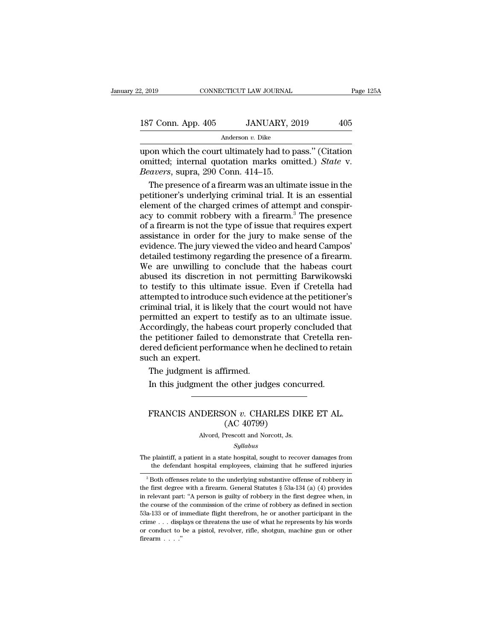| 2, 2019            |  | CONNECTICUT LAW JOURNAL | Page 125A |  |
|--------------------|--|-------------------------|-----------|--|
|                    |  |                         |           |  |
| 187 Conn. App. 405 |  | JANUARY, 2019           | 405       |  |
| Anderson v. Dike   |  |                         |           |  |

2, 2019 CONNECTICUT LAW JOURNAL Page 125A<br>
187 Conn. App. 405 JANUARY, 2019 405<br>
Anderson v. Dike<br>
upon which the court ultimately had to pass." (Citation<br>
omitted; internal quotation marks omitted.) *State* v.<br> *Requers* 187 Conn. App. 405 JANUARY, 2019 405<br>Anderson v. Dike<br>upon which the court ultimately had to pass." (Citation<br>omitted; internal quotation marks omitted.) *State* v.<br>Beavers, supra, 290 Conn. 414–15. *Beaverson 1890*<br> *Beaverson v. Dike*<br> *Beavers*, supra, 290 Conn. 414–15.<br>
The presence of a firearm was an ultimed.  $\begin{array}{r} \text{7 Conn. App. 405} \hline \text{Anderson } v. \text{ Dike} \end{array}$ <br>
on which the court ultimately had to pass." (Citation<br>
initted; internal quotation marks omitted.) *State* v.<br> *eavers*, supra, 290 Conn. 414–15.<br>
The presence of a firearm was

Anderson v. Dike<br>
upon which the court ultimately had to pass." (Citation<br>
omitted; internal quotation marks omitted.) *State* v.<br> *Beavers*, supra, 290 Conn. 414–15.<br>
The presence of a firearm was an ultimate issue in th males in a share of a Bikel and to pass." (Citation<br>
omitted; internal quotation marks omitted.) *State* v.<br> *Beavers*, supra, 290 Conn. 414–15.<br>
The presence of a firearm was an ultimate issue in the<br>
petitioner's underl upon which the court ultimately had to pass." (Citation<br>
omitted; internal quotation marks omitted.) *State* v.<br> *Beavers*, supra, 290 Conn. 414–15.<br>
The presence of a firearm was an ultimate issue in the<br>
petitioner's un omitted; internal quotation marks omitted.) *State* v.<br> *Beavers*, supra, 290 Conn. 414–15.<br>
The presence of a firearm was an ultimate issue in the<br>
petitioner's underlying criminal trial. It is an essential<br>
element of th Beavers, supra, 290 Conn. 414–15.<br>
The presence of a firearm was an ultimate issue in the<br>
petitioner's underlying criminal trial. It is an essential<br>
element of the charged crimes of attempt and conspir-<br>
acy to commit r The presence of a firearm was an ultimate issue in the petitioner's underlying criminal trial. It is an essential element of the charged crimes of attempt and conspiracy to commit robbery with a firearm.<sup>3</sup> The presence of petitioner's underlying criminal trial. It is an essential<br>element of the charged crimes of attempt and conspir-<br>acy to commit robbery with a firearm.<sup>3</sup> The presence<br>of a firearm is not the type of issue that requires exp element of the charged crimes of attempt and conspiracy to commit robbery with a firearm.<sup>3</sup> The presence of a firearm is not the type of issue that requires expert assistance in order for the jury to make sense of the evi acy to commit robbery with a firearm.<sup>3</sup> The presence<br>of a firearm is not the type of issue that requires expert<br>assistance in order for the jury to make sense of the<br>evidence. The jury viewed the video and heard Campos'<br>d of a firearm is not the type of issue that requires expert<br>assistance in order for the jury to make sense of the<br>evidence. The jury viewed the video and heard Campos'<br>detailed testimony regarding the presence of a firearm. assistance in order for the jury to make sense of the<br>evidence. The jury viewed the video and heard Campos'<br>detailed testimony regarding the presence of a firearm.<br>We are unwilling to conclude that the habeas court<br>abused evidence. The jury viewed the video and heard Campos'<br>detailed testimony regarding the presence of a firearm.<br>We are unwilling to conclude that the habeas court<br>abused its discretion in not permitting Barwikowski<br>to testif detailed testimony regarding the presence of a firearm.<br>We are unwilling to conclude that the habeas court<br>abused its discretion in not permitting Barwikowski<br>to testify to this ultimate issue. Even if Cretella had<br>attempt We are unwilling to conclude that the habeas court<br>abused its discretion in not permitting Barwikowski<br>to testify to this ultimate issue. Even if Cretella had<br>attempted to introduce such evidence at the petitioner's<br>crimin abused its discretion in not permitting Barwikowski<br>to testify to this ultimate issue. Even if Cretella had<br>attempted to introduce such evidence at the petitioner's<br>criminal trial, it is likely that the court would not hav to testify to this ultimate issue. Even if Cretella had<br>attempted to introduce such evidence at the petitioner's<br>criminal trial, it is likely that the court would not have<br>permitted an expert to testify as to an ultimate i attempted to introduceriminal trial, it is like permitted an expert.<br>Accordingly, the habel the petitioner failed<br>dered deficient performancy such an expert.<br>The judgment is at iminal trial, it is likely that the correction and expert to testify as ecordingly, the habeas court proves pertitioner failed to demonstrated deficient performance where the and expert.<br>The judgment is affirmed.<br>In this j Final details are expert to testify as to an unimate issue<br>coordingly, the habeas court properly concluded the<br>petitioner failed to demonstrate that Cretella re<br>red deficient performance when he declined to reta<br>ch an expe

### red deficient performance when he declined to retain<br>ch an expert.<br>The judgment is affirmed.<br>In this judgment the other judges concurred.<br>FRANCIS ANDERSON *v*. CHARLES DIKE ET AL.<br>(AC 40799) firmed.<br>
e other judges cone<br>
ON v. CHARLES D<br>
(AC 40799)<br>
Prescott and Norcott, Js. In this judgment the other judges concurred.<br>  $\overbrace{\text{FRANCIS ANDERSON } v. \text{ CHARLES DIKE ET AL. (AC 40799)}}$ <br>
Alvord, Prescott and Norcott, Js. FRANCIS ANDERSON  $v$ . CHARLES DIKE ET AL.<br>
(AC 40799)<br>
Alvord, Prescott and Norcott, Js.<br>  $Syllabus$ <br>
The plaintiff, a patient in a state hospital, sought to recover damages from<br>
the defendant hospital employees, claiming th

### *Syllabus*

(AC 40799)<br>
Alvord, Prescott and Norcott, Js.<br>
Syllabus<br>
plaintiff, a patient in a state hospital, sought to recover damages from<br>
the defendant hospital employees, claiming that he suffered injuries<br>
Both offenses relate

<sup>3</sup> Both offenses relate to the underlying substantive offense of robbery in the defendant hospital employees, claiming that he suffered injuries<br><sup>3</sup> Both offenses relate to the underlying substantive offense of robbery in  $\label{eq:22} Syllabus$  <br> The plaintiff, a patient in a state hospital, sought to recover damages from<br>the defendant hospital employees, claiming that he suffered injuries<br> $^3$ Both offenses relate to the underlying substantive offe The plaintiff, a patient in a state hospital, sought to recover damages from<br>the defendant hospital employees, claiming that he suffered injuries<br> $\frac{1}{3}$ Both offenses relate to the underlying substantive offense of robb The plaintiff, a patient in a state hospital, sought to recover damages from<br>the defendant hospital employees, claiming that he suffered injuries<br> $\frac{1}{3}$ Both offenses relate to the underlying substantive offense of robb <sup>3</sup> Both offenses relate to the underlying substantive offense of robbery in<br><sup>3</sup> Both offenses relate to the underlying substantive offense of robbery in<br>the first degree with a firearm. General Statutes § 53a-134 (a) (4) <sup>3</sup> Both offenses relate to the underlying substantive offense of robbery in the first degree with a firearm. General Statutes  $\S$  53a-134 (a) (4) provides in relevant part: "A person is guilty of robbery in the first deg the first degree with a firearm. General Statutes § 53a-134 (a) (4) provides in relevant part: "A person is guilty of robbery in the first degree when, in the course of the commission of the crime of robbery as defined in me was exercised<br>in relevant part<br>the course of the<br>53a-133 or of in<br>crime ... disp<br>or conduct to<br>firearm ....."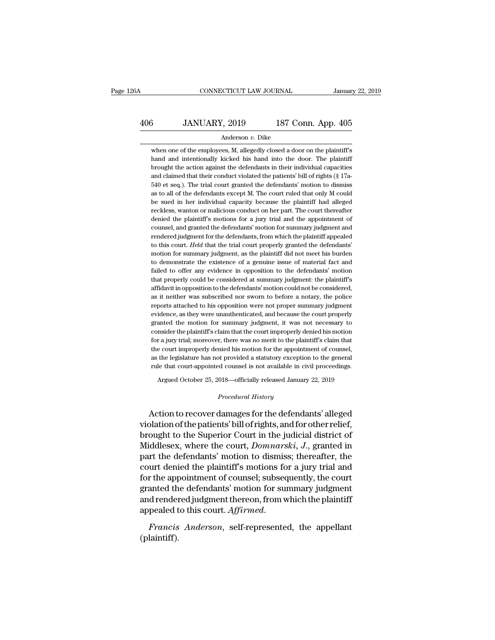# CONNECTICUT LAW JOURNAL January 22, 2019<br>
406 JANUARY, 2019 187 Conn. App. 405<br>
Anderson v. Dike

### Anderson *v.* Dike

3<br>
MUARY, 2019 187 Conn. App. 405<br>
Anderson v. Dike<br>
when one of the employees, M, allegedly closed a door on the plaintiff's<br>
and and intentionally kicked his hand into the door. The plaintiff **hand and intentionally kicked his hand intentionally kicked his hand into the door.** The plaintiff's brought the action against the defendants in their individual capacities **brought the 30** JANUARY, 2019 187 Conn. App. 405<br>
Anderson  $v$ . Dike<br>
when one of the employees, M, allegedly closed a door on the plaintiff's<br>
hand and intentionally kicked his hand into the door. The plaintiff<br>
brought Anderson v. Dike<br>Anderson v. Dike<br>Mand and intentionally kicked his hand into the door. The plaintiff<br>brought the action against the defendants in their individual capacities<br>and claimed that their conduct violated the pat Anderson v. Dike<br>
Sharehoven when one of the employees, M, allegedly closed a door on the plaintiff's<br>
hand and intentionally kicked his hand into the door. The plaintiff<br>
brought the action against the defendants in their when one of the employees, M, allegedly closed a door on the plaintiff's<br>hand and intentionally kicked his hand into the door. The plaintiff<br>brought the action against the defendants in their individual capacities<br>and clai hand and intentionally kicked his hand into the door. The plaintiff brought the action against the defendants in their individual capacities and claimed that their conduct violated the patients' bill of rights (§ 17a-540 e brought the action against the defendants in their individual capacities<br>and claimed that their conduct violated the patients' bill of rights (§ 17a-<br>540 et seq.). The trial court granted the defendants' motion to dismiss<br> and claimed that their conduct violated the patients' bill of rights (§ 17a-540 et seq.). The trial court granted the defendants' motion to dismiss as to all of the defendants except M. The court ruled that only M could be 540 et seq.). The trial court granted the defendants' motion to dismiss<br>as to all of the defendants except M. The court ruled that only M could<br>be sued in her individual capacity because the plaintiff had alleged<br>reckless, as to all of the defendants except M. The court ruled that only M could<br>be sued in her individual capacity because the plaintiff had alleged<br>reckless, wanton or malicious conduct on her part. The court thereafter<br>denied th be sued in her individual capacity because the plaintiff had alleged<br>reckless, wanton or malicious conduct on her part. The court thereafter<br>denied the plaintiff's motions for a jury trial and the appointment of<br>counsel, a reckless, wanton or malicious conduct on her part. The court thereafter denied the plaintiff's motions for a jury trial and the appointment of counsel, and granted the defendants' motion for summary judgment and rendered j denied the plaintiff's motions for a jury trial and the appointment of counsel, and granted the defendants' motion for summary judgment and rendered judgment for the defendants, from which the plaintiff appealed to this co counsel, and granted the defendants' motion for summary judgment and<br>rendered judgment for the defendants, from which the plaintiff appealed<br>to this court. Held that the trial court properly granted the defendants'<br>motion rendered judgment for the defendants, from which the plaintiff appealed<br>to this court. Held that the trial court properly granted the defendants'<br>motion for summary judgment, as the plaintiff did not meet his burden<br>to dem to this court. Held that the trial court properly granted the defendants' motion for summary judgment, as the plaintiff did not meet his burden to demonstrate the existence of a genuine issue of material fact and failed t motion for summary judgment, as the plaintiff did not meet his burden<br>to demonstrate the existence of a genuine issue of material fact and<br>failed to offer any evidence in opposition to the defendants' motion<br>that properly to demonstrate the existence of a genuine issue of material fact and failed to offer any evidence in opposition to the defendants' motion that properly could be considered at summary judgment: the plaintiff's affidavit in failed to offer any evidence in opposition to the defendants' motion<br>that properly could be considered at summary judgment: the plaintiff's<br>affidavit in opposition to the defendants' motion could not be considered,<br>as it n that properly could be considered at summary judgment: the plaintiff's<br>affidavit in opposition to the defendants' motion could not be considered,<br>as it neither was subscribed nor sworn to before a notary, the police<br>report affidavit in opposition to the defendants' motion could not be considered, as it neither was subscribed nor sworn to before a notary, the police reports attached to his opposition were not proper summary judgment evidence, as it neither was subscribed nor sworn to before a notary, the police reports attached to his opposition were not proper summary judgment evidence, as they were unauthenticated, and because the court properly granted the m reports attached to his opposition were not proper summary judgment evidence, as they were unauthenticated, and because the court properly granted the motion for summary judgment, it was not necessary to consider the plain evidence, as they were unauthenticated, and because the court properly granted the motion for summary judgment, it was not necessary to consider the plaintiff's claim that the court improperly denied his motion for a jury granted the motion for summary judgment, it was not necessary to consider the plaintiff's claim that the court improperly denied his motion for a jury trial; moreover, there was no merit to the plaintiff's claim that the c Argued October 25, 2018—officially released January 22, 2019<br>The same of the plaintiff's claim that<br>the ecourt improperly denied his motion for the appointment of counsel,<br>the legislature has not provided a statutory excep the court improperly denied his motion for the appointment of counsel,<br>as the legislature has not provided a statutory exception to the general<br>rule that court-appointed counsel is not available in civil proceedings.<br>Argue

the court improperly denied his motion for the appointment of counsel,<br>as the legislature has not provided a statutory exception to the general<br>rule that court-appointed counsel is not available in civil proceedings.<br>Argue as the legislature has not provided a statutory exception to the general<br>rule that court-appointed counsel is not available in civil proceedings.<br>Argued October 25, 2018—officially released January 22, 2019<br>*Procedural His* Argued October 25, 2018—officially released January 22, 2019<br>
Procedural History<br>
Action to recover damages for the defendants' alleged<br>
violation of the patients' bill of rights, and for other relief,<br>
brought to the Supe Argued October 25, 2018—officially released January 22, 2019<br>
Procedural History<br>
Action to recover damages for the defendants' alleged<br>
violation of the patients' bill of rights, and for other relief,<br>
brought to the Supe *Procedural History*<br>Action to recover damages for the defendants' alleged<br>violation of the patients' bill of rights, and for other relief,<br>brought to the Superior Court in the judicial district of<br>Middlesex, where the cou Action to recover damages for the defendants' alleged<br>violation of the patients' bill of rights, and for other relief,<br>brought to the Superior Court in the judicial district of<br>Middlesex, where the court, *Domnarski*, *J*. Action to recover damages for the defendants' alleged<br>violation of the patients' bill of rights, and for other relief,<br>brought to the Superior Court in the judicial district of<br>Middlesex, where the court, *Domnarski*, J., violation of the patients' bill of rights, and for other relief,<br>brought to the Superior Court in the judicial district of<br>Middlesex, where the court, *Domnarski*, *J*., granted in<br>part the defendants' motion to dismiss; t brought to the Superior Court in the judicial district of<br>Middlesex, where the court, *Domnarski*, *J*., granted in<br>part the defendants' motion to dismiss; thereafter, the<br>court denied the plaintiff's motions for a jury tr Middlesex, where the court, *Domnarski*, *J.*, granted in part the defendants' motion to dismiss; thereafter, the court denied the plaintiff's motions for a jury trial and for the appointment of counsel; subsequently, the

(plaintiff).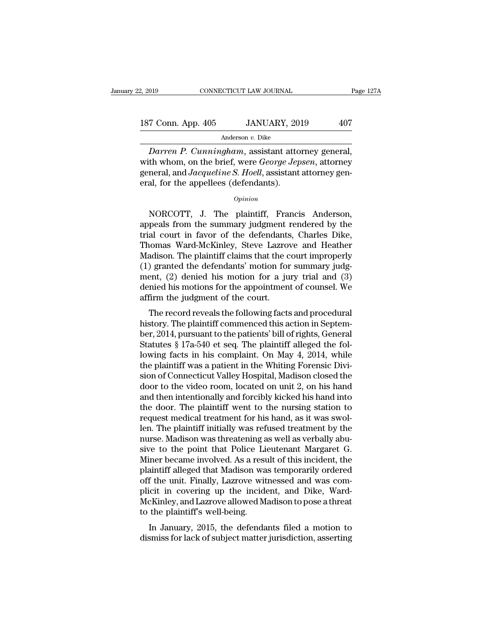# 2, 2019 CONNECTICUT LAW JOURNAL Page 127A<br>187 Conn. App. 405 JANUARY, 2019 407<br>Anderson v. Dike

### Anderson *v.* Dike

<sup>019</sup> CONNECTICUT LAW JOURNAL Page 12<br>
<sup>2</sup> Conn. App. 405 JANUARY, 2019 407<br>
<sup>2</sup> Anderson *v*. Dike<br> *Darren P. Cunningham*, assistant attorney general,<br>
th whom, on the brief, were *George Jepsen*, attorney 187 Conn. App. 405 JANUARY, 2019 407<br>Anderson v. Dike<br>Darren P. Cunningham, assistant attorney general,<br>with whom, on the brief, were *George Jepsen*, attorney<br>general, and *Jacqueline S. Hoell*, assistant attorney general 187 Conn. App. 405 JANUARY, 2019 407<br>Anderson *v*. Dike<br>*Darren P. Cunningham*, assistant attorney general,<br>with whom, on the brief, were *George Jepsen*, attorney<br>general, and *Jacqueline S. Hoell*, assistant attorney gen 187 Conn. App. 405 JANUARY, 20<br>
Anderson v. Dike<br>
Darren P. Cunningham, assistant atto<br>
with whom, on the brief, were *George Jep*<br>
general, and *Jacqueline S. Hoell*, assistant<br>
eral, for the appellees (defendants).<br>  $o$ Darren P. Cunningham, assistant attorney general,<br>th whom, on the brief, were *George Jepsen*, attorney<br>neral, and *Jacqueline S. Hoell*, assistant attorney gen-<br>al, for the appellees (defendants).<br>*Opinion*<br>NORCOTT, J. Th

### *Opinion*

with whom, on the brief, were *George Jepsen*, attorney<br>general, and *Jacqueline S. Hoell*, assistant attorney general, for the appellees (defendants).<br>*Opinion*<br>NORCOTT, J. The plaintiff, Francis Anderson,<br>appeals from th general, and *Jacqueline S. Hoell*, assistant attorney general, for the appellees (defendants).<br> *Opinion*<br>
NORCOTT, J. The plaintiff, Francis Anderson,<br>
appeals from the summary judgment rendered by the<br>
trial court in fa eral, for the appellees (defendants).<br>
opinion<br>
NORCOTT, J. The plaintiff, Francis Anderson,<br>
appeals from the summary judgment rendered by the<br>
trial court in favor of the defendants, Charles Dike,<br>
Thomas Ward-McKinley, opinion<br>
MORCOTT, J. The plaintiff, Francis Anderson,<br>
appeals from the summary judgment rendered by the<br>
trial court in favor of the defendants, Charles Dike,<br>
Thomas Ward-McKinley, Steve Lazrove and Heather<br>
Madison. The MORCOTT, J. The plaintiff, Francis Anderson,<br>appeals from the summary judgment rendered by the<br>trial court in favor of the defendants, Charles Dike,<br>Thomas Ward-McKinley, Steve Lazrove and Heather<br>Madison. The plaintiff c NORCOTT, J. The plaintiff, Francis Anderson,<br>appeals from the summary judgment rendered by the<br>trial court in favor of the defendants, Charles Dike,<br>Thomas Ward-McKinley, Steve Lazrove and Heather<br>Madison. The plaintiff cl appeals from the summary judgment rendered by the<br>trial court in favor of the defendants, Charles Dike,<br>Thomas Ward-McKinley, Steve Lazrove and Heather<br>Madison. The plaintiff claims that the court improperly<br>(1) granted th trial court in favor of the defendants<br>Thomas Ward-McKinley, Steve Lazro<br>Madison. The plaintiff claims that the c<br>(1) granted the defendants' motion for<br>ment, (2) denied his motion for a ju<br>denied his motions for the appoi Following ward-McKinley, sleve Lazrove and Treather<br>adison. The plaintiff claims that the court improperly<br>) granted the defendants' motion for summary judg-<br>ent, (2) denied his motion for a jury trial and (3)<br>mied his mot matuson. The plaintiff claims that the court improperty<br>
(1) granted the defendants' motion for summary judg-<br>
ment, (2) denied his motions for the appointment of counsel. We<br>
affirm the judgment of the court.<br>
The record

(1) granted the defendants motion for summary judgment, (2) denied his motions for the appointment of counsel. We affirm the judgment of the court.<br>The record reveals the following facts and procedural history. The plaint Statutes § 17a-540 et seq. The plaintiff was a patient of May 41at and (3) denied his motions for the appointment of counsel. We affirm the judgment of the court.<br>The record reveals the following facts and procedural hist defilem the judgment of the court.<br>
The record reveals the following facts and procedural<br>
history. The plaintiff commenced this action in Septem-<br>
ber, 2014, pursuant to the patients' bill of rights, General<br>
Statutes § 1 The record reveals the following facts and procedural<br>history. The plaintiff commenced this action in Septem-<br>ber, 2014, pursuant to the patients' bill of rights, General<br>Statutes § 17a-540 et seq. The plaintiff alleged t The record reveals the following facts and procedural<br>history. The plaintiff commenced this action in Septem-<br>ber, 2014, pursuant to the patients' bill of rights, General<br>Statutes § 17a-540 et seq. The plaintiff alleged th history. The plaintiff commenced this action in September, 2014, pursuant to the patients' bill of rights, General Statutes § 17a-540 et seq. The plaintiff alleged the following facts in his complaint. On May 4, 2014, whil ber, 2014, pursuant to the patients' bill of rights, General<br>Statutes § 17a-540 et seq. The plaintiff alleged the fol-<br>lowing facts in his complaint. On May 4, 2014, while<br>the plaintiff was a patient in the Whiting Forensi Statutes § 17a-540 et seq. The plaintiff alleged the fol-<br>lowing facts in his complaint. On May 4, 2014, while<br>the plaintiff was a patient in the Whiting Forensic Divi-<br>sion of Connecticut Valley Hospital, Madison closed t lowing facts in his complaint. On May 4, 2014, while<br>the plaintiff was a patient in the Whiting Forensic Divi-<br>sion of Connecticut Valley Hospital, Madison closed the<br>door to the video room, located on unit 2, on his hand<br> the plaintiff was a patient in the Whiting Forensic Division of Connecticut Valley Hospital, Madison closed the<br>door to the video room, located on unit 2, on his hand<br>and then intentionally and forcibly kicked his hand int sion of Connecticut Valley Hospital, Madison closed the<br>door to the video room, located on unit 2, on his hand<br>and then intentionally and forcibly kicked his hand into<br>the door. The plaintiff went to the nursing station to door to the video room, located on unit 2, on his hand<br>and then intentionally and forcibly kicked his hand into<br>the door. The plaintiff went to the nursing station to<br>request medical treatment for his hand, as it was swoland then intentionally and forcibly kicked his hand into<br>the door. The plaintiff went to the nursing station to<br>request medical treatment for his hand, as it was swol-<br>len. The plaintiff initially was refused treatment by the door. The plaintiff went to the nursing station to<br>request medical treatment for his hand, as it was swol-<br>len. The plaintiff initially was refused treatment by the<br>nurse. Madison was threatening as well as verbally ab request medical treatment for his hand, as it was swollen. The plaintiff initially was refused treatment by the<br>nurse. Madison was threatening as well as verbally abu-<br>sive to the point that Police Lieutenant Margaret G.<br>M len. The plaintiff initially was refused treatment by the<br>nurse. Madison was threatening as well as verbally abu-<br>sive to the point that Police Lieutenant Margaret G.<br>Miner became involved. As a result of this incident, th nurse. Madison was threatening as well as verbally abusive to the point that Police Lieutenant Margaret G.<br>Miner became involved. As a result of this incident, the plaintiff alleged that Madison was temporarily ordered<br>off sive to the point that Police Lie<br>Miner became involved. As a resu<br>plaintiff alleged that Madison wa<br>off the unit. Finally, Lazrove wit<br>plicit in covering up the incide<br>McKinley, and Lazrove allowed M<br>to the plaintiff's we In Became involved. As a result of this incluent, the laintiff alleged that Madison was temporarily ordered f the unit. Finally, Lazrove witnessed and was comicit in covering up the incident, and Dike, Ward-<br>CKinley, and L plantificant and matter was temporally ordered<br>off the unit. Finally, Lazrove witnessed and was com-<br>plicit in covering up the incident, and Dike, Ward-<br>McKinley, and Lazrove allowed Madison to pose a threat<br>to the plainti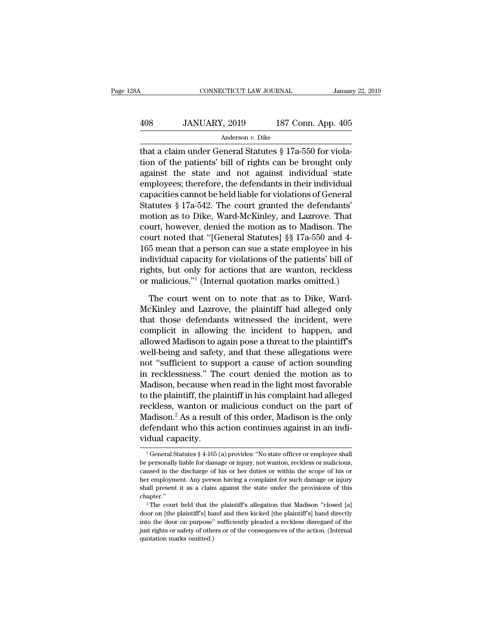### CONNECTICUT LAW JOURNAL January 22, 2019<br>
408 JANUARY, 2019 187 Conn. App. 405<br>
Anderson v. Dike Anderson *v.* Dike

CONNECTICUT LAW JOURNAL Januar<br>
408 JANUARY, 2019 187 Conn. App. 405<br>
Anderson v. Dike<br>
that a claim under General Statutes § 17a-550 for viola-<br>
tion of the patients' bill of rights can be brought only  $\begin{array}{r} \text{3408} \\ \text{408} \\ \text{408} \\ \text{408} \\ \text{409} \\ \text{401} \\ \text{401} \\ \text{402} \\ \text{403} \\ \text{404} \\ \text{405} \\ \text{406} \\ \text{408} \\ \text{409} \\ \text{400} \\ \text{400} \\ \text{400} \\ \text{400} \\ \text{400} \\ \text{400} \\ \text{400} \\ \text{400} \\ \text{400} \\ \text{400} \\ \text{400} \\ \text{400} \\ \text{4$ 408 JANUARY, 2019 187 Conn. App. 405<br>Anderson v. Dike<br>that a claim under General Statutes  $\S 17a-550$  for viola-<br>tion of the patients' bill of rights can be brought only<br>against the state and not against individual state<br> 408 JANUARY, 2019 187 Conn. App. 405<br>
Anderson *v*. Dike<br>
that a claim under General Statutes § 17a-550 for viola-<br>
tion of the patients' bill of rights can be brought only<br>
against the state and not against individual st Anderson v. Dike<br>
that a claim under General Statutes § 17a-550 for viola-<br>
tion of the patients' bill of rights can be brought only<br>
against the state and not against individual state<br>
employees; therefore, the defendant  $\frac{1}{2}$  and  $\frac{1}{2}$  and  $\frac{1}{2}$  and  $\frac{1}{2}$  and  $\frac{1}{2}$  and  $\frac{1}{2}$  and  $\frac{1}{2}$  and  $\frac{1}{2}$  and  $\frac{1}{2}$  and  $\frac{1}{2}$  and  $\frac{1}{2}$  and  $\frac{1}{2}$  and  $\frac{1}{2}$  and  $\frac{1}{2}$  and  $\frac{1}{2}$  and  $\frac{1}{2}$  a that a claim under General Statutes  $\S 17a-550$  for violation of the patients' bill of rights can be brought only against the state and not against individual state employees; therefore, the defendants in their individual tion of the patients' bill of rights can be brought only<br>against the state and not against individual state<br>employees; therefore, the defendants in their individual<br>capacities cannot be held liable for violations of Gener against the state and not against individual state<br>employees; therefore, the defendants in their individual<br>capacities cannot be held liable for violations of General<br>Statutes § 17a-542. The court granted the defendants'<br>m employees; therefore, the defendants in their individual<br>capacities cannot be held liable for violations of General<br>Statutes § 17a-542. The court granted the defendants'<br>motion as to Dike, Ward-McKinley, and Lazrove. That<br> capacities cannot be held liable for violations of General<br>Statutes § 17a-542. The court granted the defendants'<br>motion as to Dike, Ward-McKinley, and Lazrove. That<br>court, however, denied the motion as to Madison. The<br>cour Statutes § 17a-542. The court granted the defendants'<br>motion as to Dike, Ward-McKinley, and Lazrove. That<br>court, however, denied the motion as to Madison. The<br>court noted that "[General Statutes] §§ 17a-550 and 4-<br>165 mean motion as to Dike, Ward-McKinley, and Lazrove. That<br>court, however, denied the motion as to Madison. The<br>court noted that "[General Statutes] §§ 17a-550 and 4-<br>165 mean that a person can sue a state employee in his<br>individ urt noted that "[General Statutes] §§ 17a-550 and 4-<br>5 mean that a person can sue a state employee in his<br>dividual capacity for violations of the patients' bill of<br>the state, but only for actions that are wanton, reckless<br> 165 mean that a person can sue a state employee in his<br>individual capacity for violations of the patients' bill of<br>rights, but only for actions that are wanton, reckless<br>or malicious."<sup>1</sup> (Internal quotation marks omitted.

individual capacity for violations of the patients' bill of<br>rights, but only for actions that are wanton, reckless<br>or malicious."<sup>1</sup> (Internal quotation marks omitted.)<br>The court went on to note that as to Dike, Ward-<br>McKi rights, but only for actions that are wanton, reckless<br>or malicious."<sup>1</sup> (Internal quotation marks omitted.)<br>The court went on to note that as to Dike, Ward-<br>McKinley and Lazrove, the plaintiff had alleged only<br>that those or malicious."<sup>1</sup> (Internal quotation marks omitted.)<br>The court went on to note that as to Dike, Ward-McKinley and Lazrove, the plaintiff had alleged only<br>that those defendants witnessed the incident, were<br>complicit in all The court went on to note that as to Dike, Ward-<br>McKinley and Lazrove, the plaintiff had alleged only<br>that those defendants witnessed the incident, were<br>complicit in allowing the incident to happen, and<br>allowed Madison to The court went on to note that as to Dike, Ward-<br>McKinley and Lazrove, the plaintiff had alleged only<br>that those defendants witnessed the incident, were<br>complicit in allowing the incident to happen, and<br>allowed Madison to McKinley and Lazrove, the plaintiff had alleged only<br>that those defendants witnessed the incident, were<br>complicit in allowing the incident to happen, and<br>allowed Madison to again pose a threat to the plaintiff's<br>well-being that those defendants witnessed the incident, were<br>complicit in allowing the incident to happen, and<br>allowed Madison to again pose a threat to the plaintiff's<br>well-being and safety, and that these allegations were<br>not "suf complicit in allowing the incident to happen, and<br>allowed Madison to again pose a threat to the plaintiff's<br>well-being and safety, and that these allegations were<br>not "sufficient to support a cause of action sounding<br>in re allowed Madison to again pose a threat to the plaintiff's<br>well-being and safety, and that these allegations were<br>not "sufficient to support a cause of action sounding<br>in recklessness." The court denied the motion as to<br>Mad well-being and safety, and that these allegations were<br>not "sufficient to support a cause of action sounding<br>in recklessness." The court denied the motion as to<br>Madison, because when read in the light most favorable<br>to the not "sufficient to support a cause of action sounding<br>in recklessness." The court denied the motion as to<br>Madison, because when read in the light most favorable<br>to the plaintiff, the plaintiff in his complaint had alleged<br> in recklessness." Th<br>Madison, because wh<br>to the plaintiff, the pl:<br>reckless, wanton or<br>Madison.<sup>2</sup> As a result<br>defendant who this a<br>vidual capacity.<br> $\frac{1}{16}$ reckless, wanton or malicious conduct on the part of Madison.<sup>2</sup> As a result of this order, Madison is the only defendant who this action continues against in an individual capacity.<br>  $\frac{1}{1}$  General Statutes § 4-165 (a Madison.<sup>2</sup> As a result of this order, Madison is the only<br>defendant who this action continues against in an indi-<br>vidual capacity.<br> $\frac{1}{1}$  General Statutes § 4-165 (a) provides: "No state officer or employee shall<br>be p

defendant who this action continues against in an indi-<br>vidual capacity.<br><sup>1</sup>General Statutes § 4-165 (a) provides: "No state officer or employee shall<br>be personally liable for damage or injury, not wanton, reckless or mali vidual capacity.<br>
<sup>1</sup> General Statutes § 4-165 (a) provides: "No state officer or employee shall<br>
be personally liable for damage or injury, not wanton, reckless or malicious,<br>
caused in the discharge of his or her duties shall presently.<br>
The correct of the state of the personally liable for damage or injury, not wanton, reckless or malicious, caused in the discharge of his or her duties or within the scope of his or her employment. Any p chapter.'' Presonally liable for damage or injury, not wanton, reckless or malicious, used in the discharge of his or her duties or within the scope of his or r employment. Any person having a complaint for such damage or injury all Experiment and discharge of his or her duties or within the scope of his or<br>her employment. Any person having a complaint for such damage or injury<br>shall present it as a claim against the state under the provisions of this

From the door on purpose'' sufficiently pleaded a reckless disregard of the door on [the plaintiff's] hand and then kicked [the plaintiff's] hand directly about the door on purpose'' sufficiently pleaded a reckless disrega her employment. Any person having a complaint for such damage or injury shall present it as a claim against the state under the provisions of this chapter."<br>
<sup>2</sup> The court held that the plaintiff's allegation that Madison into the door on purpose" sufficiently pleaded a reckless disregard of the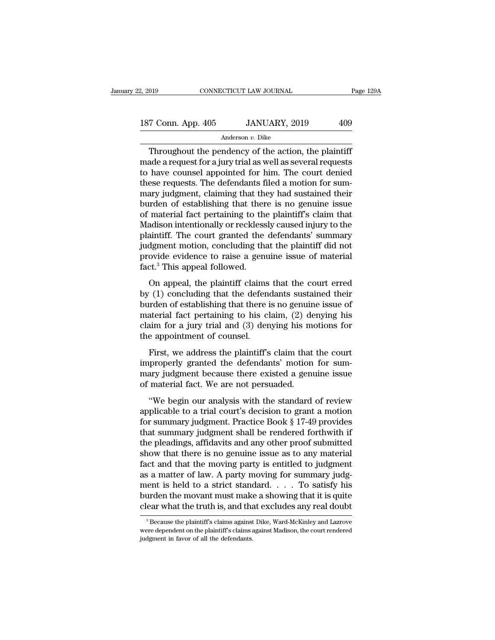| 2, 2019            | CONNECTICUT LAW JOURNAL | Page 129A |
|--------------------|-------------------------|-----------|
| 187 Conn. App. 405 | JANUARY, 2019           | 409       |
|                    | Anderson v. Dike        |           |

Throughout the pendency of the action, the plaintiff<br>ade a request for a jury trial as well as several requests<br>have counsel amounted for him. The court donied 187 Conn. App. 405 JANUARY, 2019 409<br>Anderson v. Dike<br>Throughout the pendency of the action, the plaintiff<br>made a request for a jury trial as well as several requests<br>to have counsel appointed for him. The court denied<br>th 187 Conn. App. 405 JANUARY, 2019 409<br>Anderson v. Dike<br>Throughout the pendency of the action, the plaintiff<br>made a request for a jury trial as well as several requests<br>to have counsel appointed for him. The court denied<br>th 187 Conn. App.  $405$  JANUARY,  $2019$  409<br>Anderson *v*. Dike<br>Throughout the pendency of the action, the plaintiff<br>made a request for a jury trial as well as several requests<br>to have counsel appointed for him. The court den Anderson v. Dike<br>
Throughout the pendency of the action, the plaintiff<br>
made a request for a jury trial as well as several requests<br>
to have counsel appointed for him. The court denied<br>
these requests. The defendants file Anderson *v*. Dike<br>
Throughout the pendency of the action, the plaintiff<br>
made a request for a jury trial as well as several requests<br>
to have counsel appointed for him. The court denied<br>
these requests. The defendants fil Throughout the pendency of the action, the plaintiff<br>made a request for a jury trial as well as several requests<br>to have counsel appointed for him. The court denied<br>these requests. The defendants filed a motion for sum-<br>ma made a request for a jury trial as well as several requests<br>to have counsel appointed for him. The court denied<br>these requests. The defendants filed a motion for sum-<br>mary judgment, claiming that they had sustained their<br>b to have counsel appointed for him. The court denied<br>these requests. The defendants filed a motion for sum-<br>mary judgment, claiming that they had sustained their<br>burden of establishing that there is no genuine issue<br>of mate these requests. The defendants filed a motion for sum-<br>mary judgment, claiming that they had sustained their<br>burden of establishing that there is no genuine issue<br>of material fact pertaining to the plaintiff's claim that<br>M mary judgment, claiming that they had sustained their<br>burden of establishing that there is no genuine issue<br>of material fact pertaining to the plaintiff's claim that<br>Madison intentionally or recklessly caused injury to the burden of establishing that ther<br>of material fact pertaining to the<br>Madison intentionally or reckless<br>plaintiff. The court granted the<br>judgment motion, concluding the<br>provide evidence to raise a gen<br>fact.<sup>3</sup> This appeal fo nate in the pertaining to the plaintin's claim that<br>adison intentionally or recklessly caused injury to the<br>aintiff. The court granted the defendants' summary<br>dgment motion, concluding that the plaintiff did not<br>ovide evid by the court and the defendants' summary<br>plaintiff. The court granted the defendants' summary<br>judgment motion, concluding that the plaintiff did not<br>provide evidence to raise a genuine issue of material<br>fact.<sup>3</sup> This appe

full published and determined burden of provide evidence to raise a genuine issue of material fact.<sup>3</sup> This appeal followed.<br>
On appeal, the plaintiff claims that the court erred by (1) concluding that the defendants sust provide evidence to raise a genuine issue of material<br>fact.<sup>3</sup> This appeal followed.<br>On appeal, the plaintiff claims that the court erred<br>by (1) concluding that the defendants sustained their<br>burden of establishing that th fact.<sup>3</sup> This appeal followed.<br>
On appeal, the plaintiff claims that the court erred<br>
by (1) concluding that the defendants sustained their<br>
burden of establishing that there is no genuine issue of<br>
material fact pertaini the appear followed.<br>
On appeal, the plaintiff claims<br>
by (1) concluding that the defend<br>
burden of establishing that there is<br>
material fact pertaining to his cl<br>
claim for a jury trial and (3) den<br>
the appointment of cou First, we address the plaintiff's claim that the court effect<br>
for a straining that there is no genuine issue of<br>
aterial fact pertaining to his claim, (2) denying his<br>
aim for a jury trial and (3) denying his motions for burden of establishing that there is no genuine issue of<br>burden of establishing that there is no genuine issue of<br>material fact pertaining to his claim, (2) denying his<br>claim for a jury trial and (3) denying his motions f

but act of establishing and dicte is no gendine issue of material fact pertaining to his claim, (2) denying his claim for a jury trial and (3) denying his motions for the appointment of counsel.<br>First, we address the plain claim for a jury trial and (3) denying his model.<br>the appointment of counsel.<br>First, we address the plaintiff's claim that<br>improperly granted the defendants' motion<br>mary judgment because there existed a genu<br>of material f e appointment of counsel.<br>
First, we address the plaintiff's claim that the court<br>
properly granted the defendants' motion for sum-<br>
ary judgment because there existed a genuine issue<br>
material fact. We are not persuaded.<br> First, we address the plaintiff's claim that the court<br>
improperly granted the defendants' motion for summary judgment because there existed a genuine issue<br>
of material fact. We are not persuaded.<br>
"We begin our analysis

First, we address are plantantly claim and are court<br>improperly granted the defendants' motion for sum-<br>mary judgment because there existed a genuine issue<br>of material fact. We are not persuaded.<br>"We begin our analysis wit the property granted are detendantly induced for bath mary judgment because there existed a genuine issue<br>of material fact. We are not persuaded.<br>"We begin our analysis with the standard of review<br>applicable to a trial cou the pleadings, affidavits and the provided to independent the standard of review applicable to a trial court's decision to grant a motion for summary judgment. Practice Book § 17-49 provides that summary judgment shall be "We begin our analysis with the standard of review<br>applicable to a trial court's decision to grant a motion<br>for summary judgment. Practice Book § 17-49 provides<br>that summary judgment shall be rendered forthwith if<br>the ple "We begin our analysis with the standard of review<br>applicable to a trial court's decision to grant a motion<br>for summary judgment. Practice Book § 17-49 provides<br>that summary judgment shall be rendered forthwith if<br>the ple applicable to a trial court's decision to grant a motion<br>for summary judgment. Practice Book § 17-49 provides<br>that summary judgment shall be rendered forthwith if<br>the pleadings, affidavits and any other proof submitted<br>sho for summary judgment. Practice Book § 17-49 provides<br>that summary judgment shall be rendered forthwith if<br>the pleadings, affidavits and any other proof submitted<br>show that there is no genuine issue as to any material<br>fact that summary judgment shall be rendered forthwith if<br>the pleadings, affidavits and any other proof submitted<br>show that there is no genuine issue as to any material<br>fact and that the moving party is entitled to judgment<br>as the pleadings, affidavits and any other proof submitted<br>show that there is no genuine issue as to any material<br>fact and that the moving party is entitled to judgment<br>as a matter of law. A party moving for summary judg-<br>me 3 a matter of law. A party moving for summary judge-<br>ent is held to a strict standard. . . . . To satisfy his<br>urden the movant must make a showing that it is quite<br>ear what the truth is, and that excludes any real doubt<br>ment is held to a strict standard. . . . . To satisfy his<br>burden the movant must make a showing that it is quite<br>clear what the truth is, and that excludes any real doubt<br> $\frac{1}{3}$ Because the plaintiff's claims against Di

burden the movant must make<br>clear what the truth is, and that<br><sup>3</sup> Because the plaintiff's claims against<br>were dependent on the plaintiff's claims a<br>judgment in favor of all the defendants.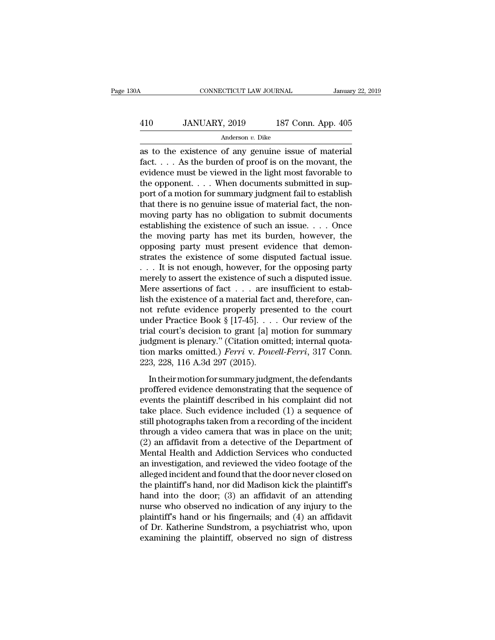# CONNECTICUT LAW JOURNAL January 22, 2019<br>
410 JANUARY, 2019 187 Conn. App. 405<br>
Anderson v. Dike

### Anderson *v.* Dike

CONNECTICUT LAW JOURNAL January 22, 20<br>  $\begin{array}{r} \text{January 22, 20} \\ \text{AMUARY, 2019} \\ \text{Anderson } v. \text{ Dike} \end{array}$ <br>
as to the existence of any genuine issue of material<br>
fact.... As the burden of proof is on the movant, the<br>
evidence must be Factor 1 and 187 Conneight 187 Conneight 187 Conneight 187 Conneight 187 Conneight 187 Conneight 188 as to the existence of any genuine issue of material fact.  $\dots$  As the burden of proof is on the movant, the evidence mu 410 JANUARY, 2019 187 Conn. App. 405<br>Anderson v. Dike<br>as to the existence of any genuine issue of material<br>fact.... As the burden of proof is on the movant, the<br>evidence must be viewed in the light most favorable to<br>the o  $\frac{410}{410}$  JANUARY, 2019 187 Conn. App. 405<br>Anderson *v*. Dike<br>as to the existence of any genuine issue of material<br>fact.... As the burden of proof is on the movant, the<br>evidence must be viewed in the light most favora Anderson *v*. Dike<br>
as to the existence of any genuine issue of material<br>
fact.... As the burden of proof is on the movant, the<br>
evidence must be viewed in the light most favorable to<br>
the opponent.... When documents subm Anderson *v*. Dike<br>
as to the existence of any genuine issue of material<br>
fact,  $\ldots$  As the burden of proof is on the movant, the<br>
evidence must be viewed in the light most favorable to<br>
the opponent,  $\ldots$ . When documen as to the existence of any genuine issue of material fact. . . . As the burden of proof is on the movant, the evidence must be viewed in the light most favorable to the opponent. . . . When documents submitted in support fact. . . . . As the burden of proof is on the movant, the evidence must be viewed in the light most favorable to the opponent. . . . When documents submitted in support of a motion for summary judgment fail to establish evidence must be viewed in the light most favorable to<br>the opponent. . . . When documents submitted in sup-<br>port of a motion for summary judgment fail to establish<br>that there is no genuine issue of material fact, the nonthe opponent. . . . When documents submitted in support of a motion for summary judgment fail to establish that there is no genuine issue of material fact, the non-<br>moving party has no obligation to submit documents estab port of a motion for summary judgment fail to establish<br>that there is no genuine issue of material fact, the non-<br>moving party has no obligation to submit documents<br>establishing the existence of such an issue. . . . Once<br>t that there is no genuine issue of material fact, the non-<br>moving party has no obligation to submit documents<br>establishing the existence of such an issue. . . . Once<br>the moving party has met its burden, however, the<br>opposin moving party has no obligation to submit documents<br>establishing the existence of such an issue. . . . Once<br>the moving party has met its burden, however, the<br>opposing party must present evidence that demon-<br>strates the exi establishing the existence of such an issue. . . . Once<br>the moving party has met its burden, however, the<br>opposing party must present evidence that demon-<br>strates the existence of some disputed factual issue.<br>. . . It is the moving party has met its burden, however, the<br>opposing party must present evidence that demon-<br>strates the existence of some disputed factual issue.<br>... It is not enough, however, for the opposing party<br>merely to asse % opposing party must present evidence that demonstrates the existence of some disputed factual issue.<br>  $\dots$  It is not enough, however, for the opposing party<br>
merely to assert the existence of such a disputed issue.<br>
Mer strates the existence of some disputed factual issue.<br>
... It is not enough, however, for the opposing party<br>
merely to assert the existence of such a disputed issue.<br>
Mere assertions of fact ... are insufficient to estab-... It is not enough, however, for the opposing party<br>merely to assert the existence of such a disputed issue.<br>Mere assertions of fact ... are insufficient to estab-<br>lish the existence of a material fact and, therefore, c merely to assert the existence of such a disputed issue.<br>Mere assertions of fact  $\dots$  are insufficient to establish the existence of a material fact and, therefore, cannot refute evidence properly presented to the court<br>u Mere assertions of fact . . . are insufficient to establish the existence of a material fact and, therefore, cannot refute evidence properly presented to the court under Practice Book § [17-45]. . . . Our review of the tri lish the existence of a material fact<br>not refute evidence properly pres<br>under Practice Book § [17-45]...<br>trial court's decision to grant [a] n<br>judgment is plenary." (Citation omi<br>tion marks omitted.) *Ferri* v. Powe<br>223, 2 In the Practice Book § [17-45].... Our review of the<br>al court's decision to grant [a] motion for summary<br>dgment is plenary." (Citation omitted; internal quota-<br>n marks omitted.) *Ferri* v. *Powell-Ferri*, 317 Conn.<br>3, 228 final court's decision to grant [a] motion for summary<br>judgment is plenary." (Citation omitted; internal quota-<br>tion marks omitted.) *Ferri* v. *Powell-Ferri*, 317 Conn.<br>223, 228, 116 A.3d 297 (2015).<br>In their motion for

judgment is plenary." (Citation omitted; internal quotation marks omitted.) *Ferri* v. *Powell-Ferri*, 317 Conn.<br>223, 228, 116 A.3d 297 (2015).<br>In their motion for summary judgment, the defendants<br>proffered evidence demon tion marks omitted.) *Ferri* v. *Powell-Ferri*, 317 Conn.<br>223, 228, 116 A.3d 297 (2015).<br>In their motion for summary judgment, the defendants<br>proffered evidence demonstrating that the sequence of<br>events the plaintiff desc 223, 228, 116 A.3d 297 (2015).<br>
In their motion for summary judgment, the defendants<br>
proffered evidence demonstrating that the sequence of<br>
events the plaintiff described in his complaint did not<br>
take place. Such eviden In their motion for summary judgment, the defendants<br>proffered evidence demonstrating that the sequence of<br>events the plaintiff described in his complaint did not<br>take place. Such evidence included (1) a sequence of<br>still In their motion for summary judgment, the defendants<br>proffered evidence demonstrating that the sequence of<br>events the plaintiff described in his complaint did not<br>take place. Such evidence included (1) a sequence of<br>still proffered evidence demonstrating that the sequence of<br>events the plaintiff described in his complaint did not<br>take place. Such evidence included (1) a sequence of<br>still photographs taken from a recording of the incident<br>th events the plaintiff described in his complaint did not<br>take place. Such evidence included (1) a sequence of<br>still photographs taken from a recording of the incident<br>through a video camera that was in place on the unit;<br>(2 take place. Such evidence included (1) a sequence of<br>still photographs taken from a recording of the incident<br>through a video camera that was in place on the unit;<br>(2) an affidavit from a detective of the Department of<br>Men still photographs taken from a recording of the incident<br>through a video camera that was in place on the unit;<br>(2) an affidavit from a detective of the Department of<br>Mental Health and Addiction Services who conducted<br>an in through a video camera that was in place on the unit;<br>(2) an affidavit from a detective of the Department of<br>Mental Health and Addiction Services who conducted<br>an investigation, and reviewed the video footage of the<br>alleg (2) an affidavit from a detective of the Department of<br>Mental Health and Addiction Services who conducted<br>an investigation, and reviewed the video footage of the<br>alleged incident and found that the door never closed on<br>th Mental Health and Addiction Services who conducted<br>an investigation, and reviewed the video footage of the<br>alleged incident and found that the door never closed on<br>the plaintiff's hand, nor did Madison kick the plaintiff's an investigation, and reviewed the video footage of the<br>alleged incident and found that the door never closed on<br>the plaintiff's hand, nor did Madison kick the plaintiff's<br>hand into the door; (3) an affidavit of an attendi alleged incident and found that the door never closed on<br>the plaintiff's hand, nor did Madison kick the plaintiff's<br>hand into the door; (3) an affidavit of an attending<br>nurse who observed no indication of any injury to the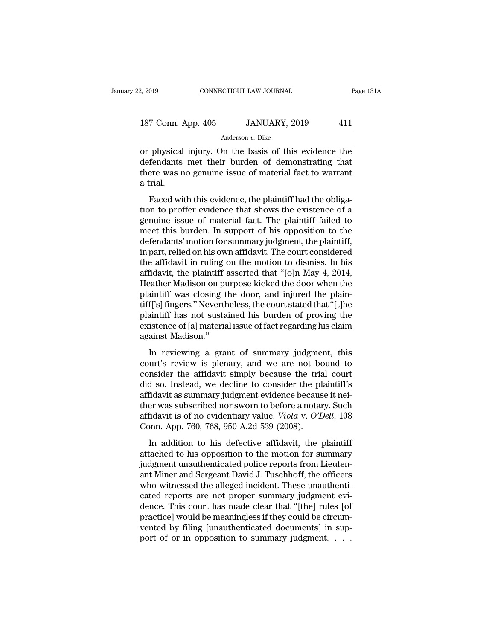# 2, 2019 CONNECTICUT LAW JOURNAL Page 131A<br>187 Conn. App. 405 JANUARY, 2019 411<br>Anderson v. Dike

Anderson *v.* Dike

 $\frac{2,2019}{2,2019}$  CONNECTICUT LAW JOURNAL Page 131A<br>
187 Conn. App. 405 JANUARY, 2019 411<br>
Anderson v. Dike<br>
or physical injury. On the basis of this evidence the<br>
defendants met their burden of demonstrating that<br>
ther 187 Conn. App. 405 JANUARY, 2019 411<br>Anderson v. Dike<br>or physical injury. On the basis of this evidence the<br>defendants met their burden of demonstrating that<br>there was no genuine issue of material fact to warrant 187 Conn. App. 405 JANUARY, 2019 411<br>Anderson v. Dike<br>or physical injury. On the basis of this evidence the<br>defendants met their burden of demonstrating that<br>there was no genuine issue of material fact to warrant<br>a trial. 187 Conn. A<br>
or physical<br>
defendants<br>
there was n<br>
a trial.<br>
Faced wit Anderson  $v$ . Dike<br>physical injury. On the basis of this evidence the<br>fendants met their burden of demonstrating that<br>ere was no genuine issue of material fact to warrant<br>trial.<br>Faced with this evidence, the plaintiff had or physical injury. On the basis of this evidence the<br>defendants met their burden of demonstrating that<br>there was no genuine issue of material fact to warrant<br>a trial.<br>Faced with this evidence, the plaintiff had the obliga

of physical nijury. On the basis of this evidence the<br>defendants met their burden of demonstrating that<br>there was no genuine issue of material fact to warrant<br>a trial.<br>Faced with this evidence, the plaintiff had the obliga mericanal met the burden of demonstrating that<br>there was no genuine issue of material fact to warrant<br>a trial.<br>Faced with this evidence, the plaintiff had the obliga-<br>tion to proffer evidence that shows the existence of a<br> a trial.<br>
a trial.<br>
Faced with this evidence, the plaintiff had the obligation to proffer evidence that shows the existence of a<br>
genuine issue of material fact. The plaintiff failed to<br>
meet this burden. In support of his Faced with this evidence, the plaintiff had the obligation to proffer evidence that shows the existence of a genuine issue of material fact. The plaintiff failed to meet this burden. In support of his opposition to the de Faced with this evidence, the plaintiff had the obligation to proffer evidence that shows the existence of a genuine issue of material fact. The plaintiff failed to meet this burden. In support of his opposition to the def tion to proffer evidence that shows the existence of a<br>genuine issue of material fact. The plaintiff failed to<br>meet this burden. In support of his opposition to the<br>defendants' motion for summary judgment, the plaintiff,<br>i genuine issue of material fact. The plaintiff failed to<br>meet this burden. In support of his opposition to the<br>defendants' motion for summary judgment, the plaintiff,<br>in part, relied on his own affidavit. The court consider meet this burden. In support of his opposition to the<br>defendants' motion for summary judgment, the plaintiff,<br>in part, relied on his own affidavit. The court considered<br>the affidavit in ruling on the motion to dismiss. In defendants' motion for summary judgment, the plaintiff,<br>in part, relied on his own affidavit. The court considered<br>the affidavit in ruling on the motion to dismiss. In his<br>affidavit, the plaintiff asserted that "[o]n May 4 in part, relied on his own affidavit. The court considered<br>the affidavit in ruling on the motion to dismiss. In his<br>affidavit, the plaintiff asserted that "[0]n May 4, 2014,<br>Heather Madison on purpose kicked the door when the affidavit in ruling on the motion to dismiss. In his<br>affidavit, the plaintiff asserted that "[0]n May 4, 2014,<br>Heather Madison on purpose kicked the door when the<br>plaintiff was closing the door, and injured the plain-<br> affidavit, the plaintiff<br>Heather Madison on pu<br>plaintiff was closing t<br>tiff['s] fingers." Neverth<br>plaintiff has not susta<br>existence of [a] materia<br>against Madison."<br>In reviewing a gra in a grant of summary judgment, this urt's review is plenary, and we are not bound to hain-<br>If's] fingers." Nevertheless, the court stated that "[t]he<br>aintiff has not sustained his burden of proving the<br>istence of [a] mate plantari was electing are door, and nyared are plant<br>tiff['s] fingers." Nevertheless, the court stated that "[t]he<br>plaintiff has not sustained his burden of proving the<br>existence of [a] material issue of fact regarding his

consider the simple plaintiff has not sustained his burden of proving the existence of [a] material issue of fact regarding his claim against Madison."<br>In reviewing a grant of summary judgment, this court's review is plena plantari has not sustained his station of proving are<br>existence of [a] material issue of fact regarding his claim<br>against Madison."<br>In reviewing a grant of summary judgment, this<br>court's review is plenary, and we are not b against Madison."<br>
In reviewing a grant of summary judgment, this<br>
court's review is plenary, and we are not bound to<br>
consider the affidavit simply because the trial court<br>
did so. Instead, we decline to consider the pla In reviewing a grant of summary judgment, this<br>court's review is plenary, and we are not bound to<br>consider the affidavit simply because the trial court<br>did so. Instead, we decline to consider the plaintiff's<br>affidavit as In reviewing a grant of summary judgment, this court's review is plenary, and we are not bound to consider the affidavit simply because the trial court did so. Instead, we decline to consider the plaintiff's affidavit as s court's review is plenary, and we are not bo<br>consider the affidavit simply because the tria<br>did so. Instead, we decline to consider the pl<br>affidavit as summary judgment evidence becaus<br>ther was subscribed nor sworn to befo In addition to his defective affidavit, the plaintiff's<br>Individual summary judgment evidence because it nei-<br>er was subscribed nor sworn to before a notary. Such<br>fidavit is of no evidentiary value. *Viola* v. *O'Dell*, 10 attached to his summary judgment evidence because it neither was subscribed nor sworn to before a notary. Such<br>affidavit is of no evidentiary value. *Viola v. O'Dell*, 108<br>Conn. App. 760, 768, 950 A.2d 539 (2008).<br>In addit

diffidavit as summary judgment evidence seculase is ner ther was subscribed nor sworn to before a notary. Such affidavit is of no evidentiary value. *Viola* v. *O'Dell*, 108 Conn. App. 760, 768, 950 A.2d 539 (2008). In add anticle was subsecuted not sworn to before a notary. Such<br>affidavit is of no evidentiary value. *Viola v. O'Dell*, 108<br>Conn. App. 760, 768, 950 A.2d 539 (2008).<br>In addition to his defective affidavit, the plaintiff<br>attache conn. App. 760, 768, 950 A.2d 539 (2008).<br>In addition to his defective affidavit, the plaintiff<br>attached to his opposition to the motion for summary<br>judgment unauthenticated police reports from Lieuten-<br>ant Miner and Serge In addition to his defective affidavit, the plaintiff<br>attached to his opposition to the motion for summary<br>judgment unauthenticated police reports from Lieuten-<br>ant Miner and Sergeant David J. Tuschhoff, the officers<br>who w In addition to his defective affidavit, the plaintiff<br>attached to his opposition to the motion for summary<br>judgment unauthenticated police reports from Lieuten-<br>ant Miner and Sergeant David J. Tuschhoff, the officers<br>who w attached to his opposition to the motion for summary<br>judgment unauthenticated police reports from Lieuten-<br>ant Miner and Sergeant David J. Tuschhoff, the officers<br>who witnessed the alleged incident. These unauthenti-<br>cated judgment unauthenticated police reports from Lieuten-<br>ant Miner and Sergeant David J. Tuschhoff, the officers<br>who witnessed the alleged incident. These unauthenti-<br>cated reports are not proper summary judgment evi-<br>dence. and Miner and Sergeant David J. Tuschhoff, the officers<br>who witnessed the alleged incident. These unauthenti-<br>cated reports are not proper summary judgment evi-<br>dence. This court has made clear that "[the] rules [of<br>practi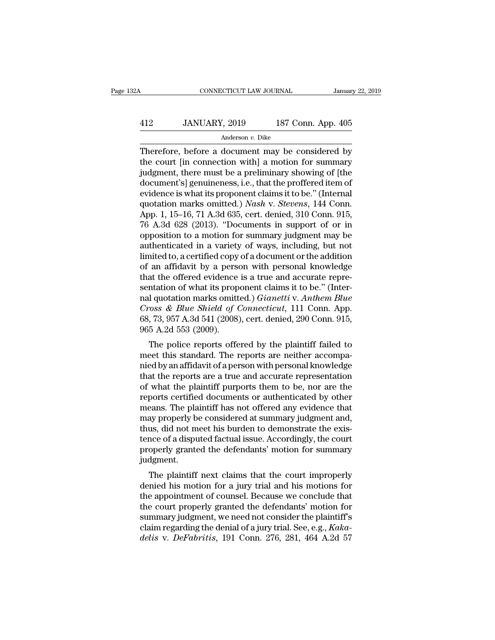# CONNECTICUT LAW JOURNAL January 22, 2019<br>412 JANUARY, 2019 187 Conn. App. 405<br>Anderson v. Dike

### Anderson *v.* Dike

CONNECTICUT LAW JOURNAL January 22, 2019<br>  $\begin{array}{r}\n 412 \quad \text{JANUARY, } 2019 \quad \text{187 Conn. App. 405}\n \hline\n \text{Anderson } v. \text{ Dike}\n \end{array}$ <br>
Therefore, before a document may be considered by<br>
the court [in connection with] a motion for summary<br>
in  $\begin{array}{ccc}\n & \text{JANUARY, 2019} & \text{187 Conn. App. 405}\n \hline\n & \text{Anderson } v. \text{ Dike}\n \end{array}$ <br>
Therefore, before a document may be considered by<br>
the court [in connection with] a motion for summary<br>
judgment, there must be a preliminary showing of  $\frac{\text{A12}}{\text{Anderson } v. \text{ Dike}}$ <br>
Anderson  $v. \text{ Dike}$ <br>
Therefore, before a document may be considered by<br>
the court [in connection with] a motion for summary<br>
judgment, there must be a preliminary showing of [the<br>
document's] gen  $\frac{\text{A12}}{\text{Anderson } v. \text{ Dike}}$ <br>
Anderson  $v. \text{ Dike}}$ <br>
Therefore, before a document may be considered by<br>
the court [in connection with] a motion for summary<br>
judgment, there must be a preliminary showing of [the<br>
document's] gen Anderson v. Dike<br>
Therefore, before a document may be considered by<br>
the court [in connection with] a motion for summary<br>
judgment, there must be a preliminary showing of [the<br>
document's] genuineness, i.e., that the proff Anderson *v*. *Dike*<br>
Therefore, before a document may be considered by<br>
the court [in connection with] a motion for summary<br>
judgment, there must be a preliminary showing of [the<br>
document's] genuineness, i.e., that the p Therefore, before a document may be considered by<br>the court [in connection with] a motion for summary<br>judgment, there must be a preliminary showing of [the<br>document's] genuineness, i.e., that the proffered item of<br>evidence the court [in connection with] a motion for summary<br>judgment, there must be a preliminary showing of [the<br>document's] genuineness, i.e., that the proffered item of<br>evidence is what its proponent claims it to be." (Internal judgment, there must be a preliminary showing of [the document's] genuineness, i.e., that the proffered item of evidence is what its proponent claims it to be." (Internal quotation marks omitted.) *Nash v. Stevens*, 144 Co document's] genuineness, i.e., that the proffered item of<br>evidence is what its proponent claims it to be." (Internal<br>quotation marks omitted.) *Nash v. Stevens*, 144 Conn.<br>App. 1, 15–16, 71 A.3d 635, cert. denied, 310 Conn evidence is what its proponent claims it to be." (Internal<br>quotation marks omitted.) *Nash v. Stevens*, 144 Conn.<br>App. 1, 15–16, 71 A.3d 635, cert. denied, 310 Conn. 915,<br>76 A.3d 628 (2013). "Documents in support of or in<br> quotation marks omitted.) *Nash v. Stevens*, 144 Conn.<br>App. 1, 15–16, 71 A.3d 635, cert. denied, 310 Conn. 915,<br>76 A.3d 628 (2013). "Documents in support of or in<br>opposition to a motion for summary judgment may be<br>authent App. 1, 15–16, 71 A.3d 635, cert. denied, 310 Conn. 915, 76 A.3d 628 (2013). "Documents in support of or in opposition to a motion for summary judgment may be authenticated in a variety of ways, including, but not limited 76 A.3d 628 (2013). "Documents in support of or in opposition to a motion for summary judgment may be authenticated in a variety of ways, including, but not limited to, a certified copy of a document or the addition of an opposition to a motion for summary judgment may be<br>authenticated in a variety of ways, including, but not<br>limited to, a certified copy of a document or the addition<br>of an affidavit by a person with personal knowledge<br>that authenticated in a variety of ways, including, but not<br>limited to, a certified copy of a document or the addition<br>of an affidavit by a person with personal knowledge<br>that the offered evidence is a true and accurate repre-<br> limited to, a certified copy of a document or the addition<br>of an affidavit by a person with personal knowledge<br>that the offered evidence is a true and accurate repre-<br>sentation of what its proponent claims it to be." (Inte % of an affidavit by a perse<br>that the offered evidence<br>sentation of what its prop<br>nal quotation marks omitt<br>*Cross & Blue Shield of* (<br>68, 73, 957 A.3d 541 (2008)<br>965 A.2d 553 (2009).<br>The police reports offe at the onered evidence is a the and accurate repre-<br>
Intation of what its proponent claims it to be." (Inter-<br>
1 quotation marks omitted.) *Gianetti* v. Anthem Blue<br>
oss & Blue Shield of Connecticut, 111 Conn. App.<br>
73, 95 sentation of what its proponent claims it to be. (Inter-<br>nal quotation marks omitted.) *Gianetti* v. *Anthem Blue*<br>*Cross & Blue Shield of Connecticut*, 111 Conn. App.<br>68, 73, 957 A.3d 541 (2008), cert. denied, 290 Conn. 9

nal quotation marks onlifted.) Gramette V. Anthem Bute<br>Cross & Blue Shield of Connecticut, 111 Conn. App.<br>68, 73, 957 A.3d 541 (2008), cert. denied, 290 Conn. 915,<br>965 A.2d 553 (2009).<br>The police reports offered by the pla that the reports are a true and accurate representation<br>of  $8, 73, 957$  A.3d 541 (2008), cert. denied, 290 Conn. 915,<br>965 A.2d 553 (2009).<br>The police reports offered by the plaintiff failed to<br>meet this standard. The repo oo, 15, 951 A.5d 941 (2006), cert. defiled, 290 Collit. 915,<br>965 A.2d 553 (2009).<br>The police reports offered by the plaintiff failed to<br>meet this standard. The reports are neither accompa-<br>nied by an affidavit of a person Free police reports offered by the plaintiff failed to<br>meet this standard. The reports are neither accompa-<br>nied by an affidavit of a person with personal knowledge<br>that the reports are a true and accurate representation<br>o The police reports offered by the plaintiff failed to<br>meet this standard. The reports are neither accompa-<br>nied by an affidavit of a person with personal knowledge<br>that the reports are a true and accurate representation<br>of meet this standard. The reports are neither accompa-<br>nied by an affidavit of a person with personal knowledge<br>that the reports are a true and accurate representation<br>of what the plaintiff purports them to be, nor are the<br>r nied by an affidavit of a person with personal knowledge<br>that the reports are a true and accurate representation<br>of what the plaintiff purports them to be, nor are the<br>reports certified documents or authenticated by other<br> that the reports are a true and accurate representation<br>of what the plaintiff purports them to be, nor are the<br>reports certified documents or authenticated by other<br>means. The plaintiff has not offered any evidence that<br>ma of what the plaintiff purports them to be, nor are the reports certified documents or authenticated by other means. The plaintiff has not offered any evidence that may properly be considered at summary judgment and, thus, judgment. Fails. The plaintiff nass not offered any evidence that<br>ay properly be considered at summary judgment and,<br>us, did not meet his burden to demonstrate the exis-<br>nce of a disputed factual issue. Accordingly, the court<br>operly may properly be considered at summary judgment and,<br>thus, did not meet his burden to demonstrate the exis-<br>tence of a disputed factual issue. Accordingly, the court<br>properly granted the defendants' motion for summary<br>judgm

thus, and not meet ins burden to demonstrate the existence of a disputed factual issue. Accordingly, the court<br>properly granted the defendants' motion for summary<br>judgment.<br>The plaintiff next claims that the court improper tence of a displied factual issue. Accordingly, the court<br>properly granted the defendants' motion for summary<br>judgment.<br>The plaintiff next claims that the court improperly<br>denied his motion for a jury trial and his motions fully granted the defendants motion for summary<br>judgment.<br>The plaintiff next claims that the court improperly<br>denied his motion for a jury trial and his motions for<br>the appointment of counsel. Because we conclude that<br>the The plaintiff next claims that the court improperly<br>denied his motion for a jury trial and his motions for<br>the appointment of counsel. Because we conclude that<br>the court properly granted the defendants' motion for<br>summary The plaintiff next claims that the court improperly<br>denied his motion for a jury trial and his motions for<br>the appointment of counsel. Because we conclude that<br>the court properly granted the defendants' motion for<br>summary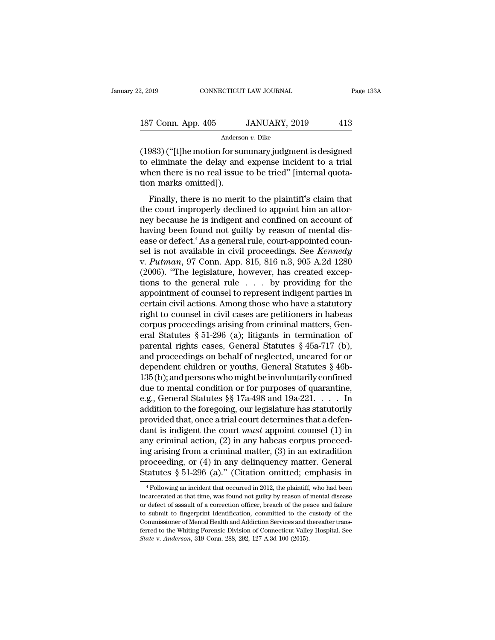# 2, 2019 CONNECTICUT LAW JOURNAL Page 133A<br>187 Conn. App. 405 JANUARY, 2019 413<br>Anderson v. Dike

Anderson *v.* Dike

(2, 2019 CONNECTICUT LAW JOURNAL Page 133A<br>
187 Conn. App. 405 JANUARY, 2019 413<br>
Anderson v. Dike<br>
(1983) ("[t]he motion for summary judgment is designed<br>
to eliminate the delay and expense incident to a trial<br>
when ther 187 Conn. App. 405 JANUARY, 2019 413<br>Anderson v. Dike<br>(1983) ("[t]he motion for summary judgment is designed<br>to eliminate the delay and expense incident to a trial<br>when there is no real issue to be tried" [internal quota-187 Conn. App. 405 JANUARY, 2019 413<br>Anderson v. Dike<br>(1983) ("[t]he motion for summary judgment is designed<br>to eliminate the delay and expense incident to a trial<br>when there is no real issue to be tried" [internal quota-187 Conn. App. 405<br>
Andersc<br>
(1983) ("[t]he motion for su<br>
to eliminate the delay and<br>
when there is no real issue<br>
tion marks omitted]).<br>
Finally, there is no merit Anderson  $v$ . Dike<br>  $\frac{983}{t}$  ("[t]he motion for summary judgment is designed<br>
eliminate the delay and expense incident to a trial<br>
nen there is no real issue to be tried" [internal quota-<br>
nen marks omitted]).<br>
Finally  $(1983)$  ("[t]he motion for summary judgment is designed<br>to eliminate the delay and expense incident to a trial<br>when there is no real issue to be tried" [internal quota-<br>tion marks omitted]).<br>Finally, there is no merit to

(1565) (Tefter motion for summary judgment is designed<br>to eliminate the delay and expense incident to a trial<br>when there is no real issue to be tried" [internal quota-<br>tion marks omitted]).<br>Finally, there is no merit to t when there is no real issue to be tried" [internal quotation marks omitted]).<br>Finally, there is no merit to the plaintiff's claim that<br>the court improperly declined to appoint him an attor-<br>ney because he is indigent and Finally, there is no real issue to be their pinternal quotation marks omitted]).<br>Finally, there is no merit to the plaintiff's claim that<br>the court improperly declined to appoint him an attor-<br>ney because he is indigent a Finally, there is no merit to the plaintiff's claim that<br>the court improperly declined to appoint him an attor-<br>ney because he is indigent and confined on account of<br>having been found not guilty by reason of mental dis-<br>ea Finally, there is no merit to the plaintiff's claim that<br>the court improperly declined to appoint him an attor-<br>ney because he is indigent and confined on account of<br>having been found not guilty by reason of mental dis-<br>ea the court improperly declined to appoint him an attor-<br>ney because he is indigent and confined on account of<br>having been found not guilty by reason of mental dis-<br>ease or defect.<sup>4</sup> As a general rule, court-appointed coun ney because he is indigent and confined on account of<br>having been found not guilty by reason of mental dis-<br>ease or defect.<sup>4</sup> As a general rule, court-appointed coun-<br>sel is not available in civil proceedings. See *Kenned* having been found not guilty by reason of mental dis-<br>ease or defect.<sup>4</sup> As a general rule, court-appointed coun-<br>sel is not available in civil proceedings. See *Kennedy*<br>v. Putman, 97 Conn. App. 815, 816 n.3, 905 A.2d 12 ease or defect.<sup>4</sup> As a general rule, court-appointed counsel is not available in civil proceedings. See *Kennedy*<br>v. Putman, 97 Conn. App. 815, 816 n.3, 905 A.2d 1280<br>(2006). "The legislature, however, has created excepsel is not available in civil proceedings. See *Kennedy*<br>v. Putman, 97 Conn. App. 815, 816 n.3, 905 A.2d 1280<br>(2006). "The legislature, however, has created excep-<br>tions to the general rule . . . by providing for the<br>appo v. *Putman*, 97 Conn. App. 815, 816 n.3, 905 A.2d 1280 (2006). "The legislature, however, has created exceptions to the general rule  $\ldots$  by providing for the appointment of counsel to represent indigent parties in certa (2006). "The legislature, however, has created exceptions to the general rule  $\ldots$  by providing for the appointment of counsel to represent indigent parties in certain civil actions. Among those who have a statutory righ tions to the general rule  $\ldots$  by providing for the appointment of counsel to represent indigent parties in certain civil actions. Among those who have a statutory right to counsel in civil cases are petitioners in habea appointment of counsel to represent indigent parties in<br>certain civil actions. Among those who have a statutory<br>right to counsel in civil cases are petitioners in habeas<br>corpus proceedings arising from criminal matters, Ge certain civil actions. Among those who have a statutory<br>right to counsel in civil cases are petitioners in habeas<br>corpus proceedings arising from criminal matters, Gen-<br>eral Statutes § 51-296 (a); litigants in termination right to counsel in civil cases are petitioners in habeas<br>corpus proceedings arising from criminal matters, Gen-<br>eral Statutes § 51-296 (a); litigants in termination of<br>parental rights cases, General Statutes § 45a-717 (b corpus proceedings arising from criminal matters, General Statutes § 51-296 (a); litigants in termination of parental rights cases, General Statutes § 45a-717 (b), and proceedings on behalf of neglected, uncared for or de eral Statutes §§1-296 (a); litigants in termination of<br>parental rights cases, General Statutes § 45a-717 (b),<br>and proceedings on behalf of neglected, uncared for or<br>dependent children or youths, General Statutes § 46b-<br>135 parental rights cases, General Statutes § 45a-717 (b),<br>and proceedings on behalf of neglected, uncared for or<br>dependent children or youths, General Statutes § 46b-<br>135 (b); and persons who might be involuntarily confined<br>d and proceedings on behalf of neglected, uncared for or<br>dependent children or youths, General Statutes § 46b-<br>135(b); and persons who might be involuntarily confined<br>due to mental condition or for purposes of quarantine,<br>e dependent children or youths, General Statutes  $\S$  46b-<br>135(b); and persons who might be involuntarily confined<br>due to mental condition or for purposes of quarantine,<br>e.g., General Statutes  $\S$  17a-498 and 19a-221. . . . 135 (b); and persons who might be involuntarily confined<br>due to mental condition or for purposes of quarantine,<br>e.g., General Statutes §§ 17a-498 and 19a-221. . . . In<br>addition to the foregoing, our legislature has statut due to mental condition or for purposes of quarantine,<br>e.g., General Statutes §§ 17a-498 and 19a-221. . . . In<br>addition to the foregoing, our legislature has statutorily<br>provided that, once a trial court determines that a e.g., General Statutes §§ 17a-498 and 19a-221. . . . . In<br>addition to the foregoing, our legislature has statutorily<br>provided that, once a trial court determines that a defen-<br>dant is indigent the court *must* appoint cou addition to the foregoing, our legislature has statutorily<br>provided that, once a trial court determines that a defen-<br>dant is indigent the court *must* appoint counsel (1) in<br>any criminal action, (2) in any habeas corpus Note that that impures a criminal matter, (3) in an extradition<br>roceeding, or (4) in any delinquency matter. General<br>tatutes § 51-296 (a)." (Citation omitted; emphasis in<br> $\frac{4}{3}$ Following an incident that occurred in 20 ing arising from a criminal matter,  $(3)$  in an extradition<br>proceeding, or  $(4)$  in any delinquency matter. General<br>Statutes § 51-296  $(a)$ ." (Citation omitted; emphasis in<br> $\frac{4}{1}$ Following an incident that occurred in 2

proceeding, or (4) in any delinquency matter. General Statutes § 51-296 (a)." (Citation omitted; emphasis in  $+$ Following an incident that occurred in 2012, the plaintiff, who had been incarcerated at that time, was found **Statutes** § 51-296 (a)." (Citation omitted; emphasis in  $\frac{4}{1}$ Following an incident that occurred in 2012, the plaintiff, who had been incarcerated at that time, was found not guilty by reason of mental disease or def Statutes  $S$  51-250 ( $\alpha$ ). (Citation Omitted, emphass in  $\alpha$  + Following an incident that occurred in 2012, the plaintiff, who had been incarcerated at that time, was found not guilty by reason of mental disease or defe <sup>4</sup> Following an incident that occurred in 2012, the plaintiff, who had been incarcerated at that time, was found not guilty by reason of mental disease or defect of assault of a correction officer, breach of the peace an incarcerated at that time, was found not guilty by reason of mental disease or defect of assault of a correction officer, breach of the peace and failure to submit to fingerprint identification, committed to the custody of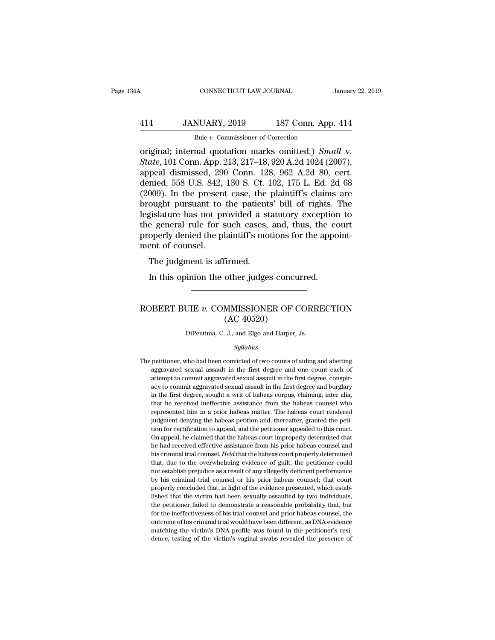## CONNECTICUT LAW JOURNAL January 22, 2019<br>414 JANUARY, 2019 187 Conn. App. 414<br>Buie v. Commissioner of Correction CONNECTICUT LAW JOURNAL<br>NUARY, 2019 187 Conn. App<br>Buie *v.* Commissioner of Correction<br>nal. quotation. marks. omitted.). Sm

CONNECTICUT LAW JOURNAL January 22, 20<br>
414 JANUARY, 2019 187 Conn. App. 414<br>
<sup>Buie v</sup>. Commissioner of Correction<br>
original; internal quotation marks omitted.) *Small* v.<br> *State*, 101 Conn. App. 213, 217–18, 920 A.2d 102 *State*, 101 Conn. App. 2019 *State*, 101 Conn. App. 213, 217–18, 920 A.2d 1024 (2007), appeal dismissed, 290 Conn. 128, 962 A.2d 80, cert.<br> *State*, 101 Conn. App. 213, 217–18, 920 A.2d 1024 (2007), appeal dismissed, 290 414 JANUARY, 2019 187 Conn. App. 414<br>
Buie v. Commissioner of Correction<br>
original; internal quotation marks omitted.) *Small* v.<br> *State*, 101 Conn. App. 213, 217–18, 920 A.2d 1024 (2007),<br>
appeal dismissed, 290 Conn. 12 414 JANUARY, 2019 187 Conn. App. 414<br>
Buie v. Commissioner of Correction<br>
original; internal quotation marks omitted.) *Small* v.<br> *State*, 101 Conn. App. 213, 217–18, 920 A.2d 1024 (2007),<br>
appeal dismissed, 290 Conn. 12 Bue v. Commissioner of Correction<br>
original; internal quotation marks omitted.) Small v.<br>
State, 101 Conn. App. 213, 217–18, 920 A.2d 1024 (2007),<br>
appeal dismissed, 290 Conn. 128, 962 A.2d 80, cert.<br>
denied, 558 U.S. 842 Bue v. Commissioner of Correction<br>
original; internal quotation marks omitted.) *Small v.*<br> *State*, 101 Conn. App. 213, 217–18, 920 A.2d 1024 (2007),<br>
appeal dismissed, 290 Conn. 128, 962 A.2d 80, cert.<br>
denied, 558 U.S. original; internal quotation marks omitted.) *Small v.*<br> *State*, 101 Conn. App. 213, 217–18, 920 A.2d 1024 (2007),<br>
appeal dismissed, 290 Conn. 128, 962 A.2d 80, cert.<br>
denied, 558 U.S. 842, 130 S. Ct. 102, 175 L. Ed. 2d State, 101 Conn. App. 213, 217–18, 920 A.2d 1024 (2007),<br>appeal dismissed, 290 Conn. 128, 962 A.2d 80, cert.<br>denied, 558 U.S. 842, 130 S. Ct. 102, 175 L. Ed. 2d 68<br>(2009). In the present case, the plaintiff's claims are<br>br appeal dismissed, 290 Conn. 128, 962 A.2d 80, cert.<br>denied, 558 U.S. 842, 130 S. Ct. 102, 175 L. Ed. 2d 68<br>(2009). In the present case, the plaintiff's claims are<br>brought pursuant to the patients' bill of rights. The<br>legis denied, 558 U.S. 842,<br>(2009). In the present<br>brought pursuant to<br>legislature has not pr<br>the general rule for s<br>properly denied the pl<br>ment of counsel.<br>The judgment is aff Food). In the present case, the<br>pought pursuant to the patient:<br>gislature has not provided a st<br>e general rule for such cases,<br>operly denied the plaintiff's mo<br>ent of counsel.<br>The judgment is affirmed.<br>In this opinion the Next; Equivalent and Sylidature has not provided a statutory exception<br>is general rule for such cases, and, thus, the concepty denied the plaintiff's motions for the apport<br>of counsel.<br>The judgment is affirmed.<br>In this opi

### ment of counsel.<br>
The judgment is affirmed.<br>
In this opinion the other judges concurred.<br>
ROBERT BUIE *v*. COMMISSIONER OF CORRECTION<br>
(AC 40520) firmed.<br>
other judges concu<br>
MMISSIONER OF C<br>
(AC 40520)<br>
J., and Elgo and Harper, ROBERT BUIE  $v$ . COMMISSIONER OF CORRECTION<br>(AC 40520)<br>DiPentima, C. J., and Elgo and Harper, Js.

### *Syllabus*

 $(AC 40520)$ <br>DiPentima, C. J., and Elgo and Harper, Js.<br> $Syllabus$ <br>The petitioner, who had been convicted of two counts of aiding and abetting<br>aggravated sexual assault in the first degree and one count each of DiPentima, C. J., and Elgo and Harper, Js.<br>Syllabus<br>petitioner, who had been convicted of two counts of aiding and abetting<br>aggravated sexual assault in the first degree and one count each of<br>attempt to commit aggravated s The petitioner, who had been convicted of two counts of aiding and abetting aggravated sexual assault in the first degree, conspir-<br>acy to commit aggravated sexual assault in the first degree, conspir-<br>acy to commit aggrav Syllabus<br>
petitioner, who had been convicted of two counts of aiding and abetting<br>
aggravated sexual assault in the first degree and one count each of<br>
attempt to commit aggravated sexual assault in the first degree conspi sylatous<br>petitioner, who had been convicted of two counts of aiding and abetting<br>aggravated sexual assault in the first degree and one count each of<br>attempt to commit aggravated sexual assault in the first degree and burgl petitioner, who had been convicted of two counts of aiding and abetting aggravated sexual assault in the first degree and one count each of attempt to commit aggravated sexual assault in the first degree, conspiracy to com represented sexual assault in the first degree and one count each of attempt to commit aggravated sexual assault in the first degree, conspiracy to commit aggravated sexual assault in the first degree and burglary in the f attempt to commit aggravated sexual assault in the first degree, conspir-<br>acy to commit aggravated sexual assault in the first degree and burglary<br>in the first degree, sought a writ of habeas corpus, claiming, inter alia,<br> acy to commit aggravated sexual assault in the first degree and burglary<br>in the first degree, sought a writ of habeas corpus, claiming, inter alia,<br>that he received ineffective assistance from the habeas counsel who<br>repres in the first degree, sought a writ of habeas corpus, claiming, inter alia, that he received ineffective assistance from the habeas counsel who represented him in a prior habeas matter. The habeas court rendered judgment de that he received ineffective assistance from the habeas counsel who represented him in a prior habeas matter. The habeas counsel who represented him in a prior habeas petition and, thereafter, granted the petition for cert represented him in a prior habeas matter. The habeas court rendered judgment denying the habeas petition and, thereafter, granted the petition for cretification to appeal, and the petitioner appealed to this court. On appe righter denying the habeas petition and, thereafter, granted the petition for certification to appeal, and the petitioner appealed to this court.<br>On appeal, he claimed that the habeas court improperly determined that<br>he ha not contribute to appeal, and the petitioner appealed to this court.<br>On appeal, he claimed that the habeas court improperly determined that<br>he had received effective assistance from his prior habeas counsel and<br>his crimina On appeal, he claimed that the habeas court improperly determined that he had received effective assistance from his prior habeas counsel and his criminal trial counsel. *Held* that the habeas court properly determined tha be had received effective assistance from his prior habeas counsel and his criminal trial counsel. *Held* that the habeas court properly determined that, due to the overwhelming evidence of guilt, the petitioner could not his criminal trial counsel. Held that the habeas court properly determined that, due to the overwhelming evidence of guilt, the petitioner could not establish prejudice as a result of any allegedly deficient performance by that, due to the overwhelming evidence of guilt, the petitioner could not establish prejudice as a result of any allegedly deficient performance by his criminal trial counsel or his prior habeas counsel; that court properl from the stablish prejudice as a result of any allegedly deficient performance<br>by his criminal trial counsel or his prior habeas counsel; that court<br>properly concluded that, in light of the evidence presented, which establ by his criminal trial counsel or his prior habeas counsel; that court<br>properly concluded that, in light of the evidence presented, which estab-<br>lished that the victim had been sexually assaulted by two individuals,<br>the pet properly concluded that, in light of the evidence presented, which established that the victim had been sexually assaulted by two individuals, the petitioner failed to demonstrate a reasonable probability that, but for the lished that the victim had been sexually assaulted by two individuals,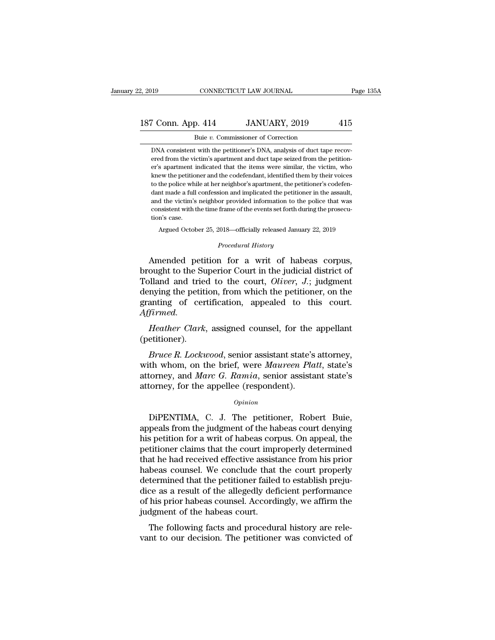## 2, 2019 CONNECTICUT LAW JOURNAL Page 135A<br>187 Conn. App. 414 JANUARY, 2019 415<br>Buie v. Commissioner of Correction CONNECTICUT LAW JOURNAL<br>
9. 414 JANUARY, 2019<br>
Buie *v*. Commissioner of Correction<br>
t with the petitioner's DNA, analysis of duct tap

France Constant Marketter Commissioner of Correction<br>
DNA consistent with the petitioner's DNA, analysis of duct tape recov-<br>
DNA consistent with the petitioner's DNA, analysis of duct tape recov-<br>
Prediction-From Marty, 2019 and Taylor and Samuel and Samuel Buie v. Commissioner of Correction<br>
Samuel v. Commissioner of Correction<br>
DNA consistent with the petitioner's DNA, analysis of duct tape recover<br>
ered from the victim's ap Framer Commissioner of Correction<br>
Buie v. Commissioner of Correction<br>
DNA consistent with the petitioner's DNA, analysis of duct tape recovered from the victim's apartment and duct tape seized from the petitioner's apartm Buie v. Commissioner of Correction<br>
DNA consistent with the petitioner's DNA, analysis of duct tape recov-<br>
ered from the victim's apartment and duct tape seized from the petition-<br>
er's apartment indicated that the items Buie v. Commissioner of Correction<br>DNA consistent with the petitioner's DNA, analysis of duct tape recov-<br>reed from the victim's apartment and duct tape seized from the petition-<br>er's apartment indicated that the items wer DNA consistent with the petitioner's DNA, analysis of duct tape recovered from the victim's apartment and duct tape seized from the petitioner's apartment indicated that the items were similar, the victim, who knew the pet ered from the victim's apartment and duct tape seized from the petition-<br>er's apartment indicated that the items were similar, the victim, who<br>knew the petitioner and the codefendant, identified them by their voices<br>to the er's apartment indicated that the items were similar, the victim, who knew the petitioner and the codefendant, identified them by their voices to the police while at her neighbor's apartment, the petitioner's codefendant m or a parameter of the police which<br>to the police which dant made a full<br>and the victim's<br>consistent with t<br>tion's case.<br>Argued Octob the police while at her neighbor's apartment, the petitioner's codefen-<br>ht made a full confession and implicated the petitioner in the assault,<br>d the victim's neighbor provided information to the police that was<br>nsistent w and the victim's neighbor provided information to the police that was<br>
consistent with the time frame of the events set forth during the prosecu-<br>
tion's case.<br>
Argued October 25, 2018—officially released January 22, 2019<br> and the victim's neighbor provided information to the police that was<br>consistent with the time frame of the events set forth during the prosecu-<br>tion's case.<br>Argued October 25, 2018—officially released January 22, 2019<br>*P* 

consistent with the time frame of the events set forth during the prosecution's case.<br>
Argued October 25, 2018—officially released January 22, 2019<br> *Procedural History*<br> **Amended petition for a writ of habeas corpus,<br>
bro** tion's case.<br>
Argued October 25, 2018—officially released January 22, 2019<br>
Procedural History<br>
Amended petition for a writ of habeas corpus,<br>
brought to the Superior Court in the judicial district of<br>
Tolland and tried to Argued October 25, 2018—officially released January 22, 2019<br> *Procedural History*<br> **Amended petition for a writ of habeas corpus,**<br>
brought to the Superior Court in the judicial district of<br>
Tolland and tried to the court *Procedural History*<br>Amended petition for a writ of habeas corpus,<br>brought to the Superior Court in the judicial district of<br>Tolland and tried to the court, *Oliver*, *J*.; judgment<br>denying the petition, from which the pet *Affirmed.* Allended petrior for a will of habeas corpus,<br>
bught to the Superior Court in the judicial district of<br>
plland and tried to the court, *Oliver*, *J*.; judgment<br>
mying the petition, from which the petitioner, on the<br>
anting *Bruce R. Lockwood, senior* appealed to this court.<br>*Bruce R. Lockwood, senior assistant state's attorney,*<br>*Bruce R. Lockwood, senior assistant state's attorney,*<br>th whom, on the brief, were *Maureen Platt*, state's<br>torne

(petitioner).

granting of certification, appealed to this court.<br>
Affirmed.<br>
Heather Clark, assigned counsel, for the appellant<br>
(petitioner).<br>
Bruce R. Lockwood, senior assistant state's attorney,<br>
with whom, on the brief, were Maureen Affirmed.<br> *Heather Clark*, assigned counsel, for the appellant<br>
(petitioner).<br> *Bruce R. Lockwood*, senior assistant state's attorney,<br>
with whom, on the brief, were *Maureen Platt*, state's<br>
attorney, and *Marc G. Ramia* Heather Clark, assigned counsel, for the (petitioner).<br>Bruce R. Lockwood, senior assistant state's with whom, on the brief, were Maureen Plantorney, and Marc G. Ramia, senior assistantorney, for the appellee (respondent).<br> *Bruce R. Lockwood*, senior assistant state's attorney,<br>th whom, on the brief, were *Maureen Platt*, state's<br>torney, and *Marc G. Ramia*, senior assistant state's<br>torney, for the appellee (respondent).<br>*Opinion*<br>DiPENTIMA,

### *Opinion*

with whom, on the brief, were *Maureen Platt*, state's<br>attorney, and *Marc G. Ramia*, senior assistant state's<br>attorney, for the appellee (respondent).<br> $opinion$ <br>DiPENTIMA, C. J. The petitioner, Robert Buie,<br>appeals from the ju attorney, and *Marc G. Ramia*, senior assistant state's<br>attorney, for the appellee (respondent).<br> $opinion$ <br>DiPENTIMA, C. J. The petitioner, Robert Buie,<br>appeals from the judgment of the habeas court denying<br>his petition for a w opinion<br>
opinion<br>
DiPENTIMA, C. J. The petitioner, Robert Buie,<br>
appeals from the judgment of the habeas court denying<br>
his petition for a writ of habeas corpus. On appeal, the<br>
petitioner claims that the court improperly opinion<br>DiPENTIMA, C. J. The petitioner, Robert Buie,<br>appeals from the judgment of the habeas court denying<br>his petition for a writ of habeas corpus. On appeal, the<br>petitioner claims that the court improperly determined<br>th DiPENTIMA, C. J. The petitioner, Robert Buie,<br>appeals from the judgment of the habeas court denying<br>his petition for a writ of habeas corpus. On appeal, the<br>petitioner claims that the court improperly determined<br>that he ha DiPENTIMA, C. J. The petitioner, Robert Buie,<br>appeals from the judgment of the habeas court denying<br>his petition for a writ of habeas corpus. On appeal, the<br>petitioner claims that the court improperly determined<br>that he ha appeals from the judgment of the habeas court denying<br>his petition for a writ of habeas corpus. On appeal, the<br>petitioner claims that the court improperly determined<br>that he had received effective assistance from his prior his petition for a writ of habeas corpus. On appeal, the petitioner claims that the court improperly determined that he had received effective assistance from his prior habeas counsel. We conclude that the court properly d petitioner claims that the court imp<br>that he had received effective assist<br>habeas counsel. We conclude that<br>determined that the petitioner failed<br>dice as a result of the allegedly def<br>of his prior habeas counsel. Accord<br>ju at he had received enective assistance from his prior<br>beas counsel. We conclude that the court properly<br>termined that the petitioner failed to establish preju-<br>ce as a result of the allegedly deficient performance<br>his prio value of the petitioner failed to establish prejudice as a result of the allegedly deficient performance of his prior habeas counsel. Accordingly, we affirm the judgment of the habeas court.<br>The following facts and procedu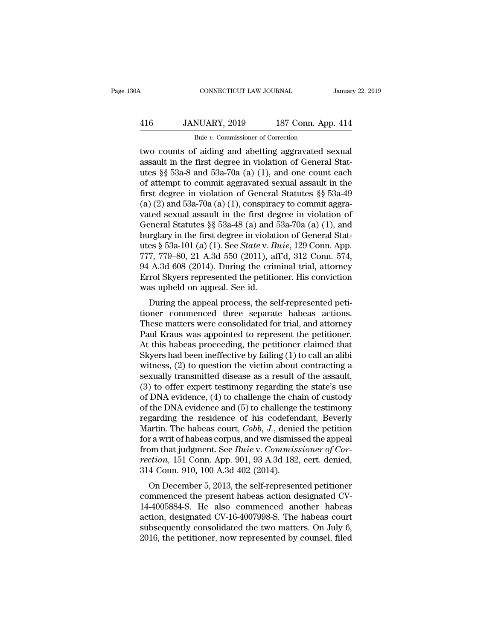## CONNECTICUT LAW JOURNAL January 22, 2019<br>416 JANUARY, 2019 187 Conn. App. 414<br>Buie v. Commissioner of Correction CONNECTICUT LAW JOURNAL<br>NUARY, 2019 187 Conn. App<br>Buie *v.* Commissioner of Correction<br>f aiding and abetting aggravated s

CONNECTICUT LAW JOURNAL January 22, 20<br>
416 JANUARY, 2019 187 Conn. App. 414<br>
Buie v. Commissioner of Correction<br>
two counts of aiding and abetting aggravated sexual<br>
assault in the first degree in violation of General Sta 416 JANUARY, 2019 187 Conn. App. 414<br>Buie v. Commissioner of Correction<br>two counts of aiding and abetting aggravated sexual<br>assault in the first degree in violation of General Stat-<br>utes §§ 53a-8 and 53a-70a (a) (1), and 416 JANUARY, 2019 187 Conn. App. 414<br>
Buie v. Commissioner of Correction<br>
two counts of aiding and abetting aggravated sexual<br>
assault in the first degree in violation of General Stat-<br>
utes §§ 53a-8 and 53a-70a (a) (1), **EXECUTE:**  $\frac{360}{20}$  and  $\frac{187}{2019}$  commissioner of Correction<br>two counts of aiding and abetting aggravated sexual<br>assault in the first degree in violation of General Stat-<br>utes §§ 53a-8 and 53a-70a (a) (1), and on Fig. 2.1. Commissioner of Correction<br>fivolences of aiding and abetting aggravated sexual<br>assault in the first degree in violation of General Stat-<br>utes §§ 53a-8 and 53a-70a (a) (1), and one count each<br>of attempt to commit <sup>Bue v</sup>. Commissioner of Correction<br>two counts of aiding and abetting aggravated sexual<br>assault in the first degree in violation of General Stat-<br>utes §§ 53a-8 and 53a-70a (a) (1), and one count each<br>of attempt to commit two counts of aiding and abetting aggravated sexual<br>assault in the first degree in violation of General Stat-<br>utes §§ 53a-8 and 53a-70a (a) (1), and one count each<br>of attempt to commit aggravated sexual assault in the<br>fir assault in the first degree in violation of General Stat-<br>utes §§ 53a-8 and 53a-70a (a) (1), and one count each<br>of attempt to commit aggravated sexual assault in the<br>first degree in violation of General Statutes §§ 53a-49 utes §§ 53a-8 and 53a-70a (a) (1), and one count each<br>of attempt to commit aggravated sexual assault in the<br>first degree in violation of General Statutes §§ 53a-49<br>(a) (2) and 53a-70a (a) (1), conspiracy to commit aggra-<br> of attempt to commit aggravated sexual assault in the<br>first degree in violation of General Statutes §§ 53a-49<br>(a) (2) and 53a-70a (a) (1), conspiracy to commit aggra-<br>vated sexual assault in the first degree in violation o first degree in violation of General Statutes §§ 53a-49 (a) (2) and 53a-70a (a) (1), conspiracy to commit aggravated sexual assault in the first degree in violation of General Statutes §§ 53a-48 (a) and 53a-70a (a) (1), a (a) (2) and 53a-70a (a) (1), conspiracy to commit aggravated sexual assault in the first degree in violation of General Statutes §§ 53a-48 (a) and 53a-70a (a) (1), and burglary in the first degree in violation of General vated sexual assault in the first degree in violation of<br>General Statutes §§ 53a-48 (a) and 53a-70a (a) (1), and<br>burglary in the first degree in violation of General Stat-<br>utes § 53a-101 (a) (1). See *State* v. *Buie*, 12 General Statutes  $\S$  53a-48 (a) and burglary in the first degree in violat<br>utes  $\S$  53a-101 (a) (1). See *State* v. *B*<br>777, 779–80, 21 A.3d 550 (2011), at<br>94 A.3d 608 (2014). During the crin<br>Errol Skyers represented the Example 19 and 10 and 10. See State v. Buie, 129 Conn. App.<br>
7, 779–80, 21 A.3d 550 (2011), aff<sup>d</sup>, 312 Conn. 574, A.3d 608 (2014). During the criminal trial, attorney<br>
rol Skyers represented the petitioner. His convictio dies y 55a-101 (a) (1). See *State v. Bute*, 128 Conn. App.<br>777, 779–80, 21 A.3d 550 (2011), aff'd, 312 Conn. 574,<br>94 A.3d 608 (2014). During the criminal trial, attorney<br>Errol Skyers represented the petitioner. His convic

The Hassex matter show the criminal trial, attorney<br>
94 A.3d 608 (2014). During the criminal trial, attorney<br>
Errol Skyers represented the petitioner. His conviction<br>
was upheld on appeal process, the self-represented pet  $\sigma_{H}$  Errol Skyers represented the petitioner. His conviction<br>was upheld on appeal. See id.<br>During the appeal process, the self-represented petitioner commenced three separate habeas actions.<br>These matters were consolid Error skyers represented the petitioner. This conviction<br>was upheld on appeal process, the self-represented peti-<br>tioner commenced three separate habeas actions.<br>These matters were consolidated for trial, and attorney<br>Paul Was upheld on appeal. See id.<br>
During the appeal process, the self-represented peti-<br>
tioner commenced three separate habeas actions.<br>
These matters were consolidated for trial, and attorney<br>
Paul Kraus was appointed to re During the appeal process, the self-represented peti-<br>tioner commenced three separate habeas actions.<br>These matters were consolidated for trial, and attorney<br>Paul Kraus was appointed to represent the petitioner.<br>At this ha tioner commenced three separate habeas actions.<br>These matters were consolidated for trial, and attorney<br>Paul Kraus was appointed to represent the petitioner.<br>At this habeas proceeding, the petitioner claimed that<br>Skyers h These matters were consolidated for trial, and attorney<br>Paul Kraus was appointed to represent the petitioner.<br>At this habeas proceeding, the petitioner claimed that<br>Skyers had been ineffective by failing (1) to call an al Paul Kraus was appointed to represent the petitioner.<br>At this habeas proceeding, the petitioner claimed that<br>Skyers had been ineffective by failing (1) to call an alibi<br>witness, (2) to question the victim about contracting At this habeas proceeding, the petitioner claimed that<br>Skyers had been ineffective by failing (1) to call an alibi<br>witness, (2) to question the victim about contracting a<br>sexually transmitted disease as a result of the ass Skyers had been ineffective by failing (1) to call an alibi<br>witness, (2) to question the victim about contracting a<br>sexually transmitted disease as a result of the assault,<br>(3) to offer expert testimony regarding the stat witness, (2) to question the victim about contracting a<br>sexually transmitted disease as a result of the assault,<br>(3) to offer expert testimony regarding the state's use<br>of DNA evidence, (4) to challenge the chain of custod sexually transmitted disease as a result of the assault,<br>
(3) to offer expert testimony regarding the state's use<br>
of DNA evidence, (4) to challenge the chain of custody<br>
of the DNA evidence and (5) to challenge the testi (3) to offer expert testimony regarding the state's use<br>of DNA evidence, (4) to challenge the chain of custody<br>of the DNA evidence and (5) to challenge the testimony<br>regarding the residence of his codefendant, Beverly<br>Mar of DNA evidence, (4) to challenge the chain of custody<br>of the DNA evidence and (5) to challenge the testimony<br>regarding the residence of his codefendant, Beverly<br>Martin. The habeas court, *Cobb*, *J*., denied the petition<br> of the DNA evidence and (5) to challenge<br>regarding the residence of his codefeno<br>Martin. The habeas court, *Cobb*, *J.*, denie<br>for a writ of habeas corpus, and we dismiss<br>from that judgment. See *Buie* v. *Commiss*<br>rection garding the restaence of his coderendant, Beverly<br>artin. The habeas court, *Cobb*, *J*., denied the petition<br>r a writ of habeas corpus, and we dismissed the appeal<br>om that judgment. See *Buie* v. *Commissioner of Cor-<br>cti* Martin. The habeas court, Cool, J., defied the petition<br>for a writ of habeas corpus, and we dismissed the appeal<br>from that judgment. See *Buie v. Commissioner of Cor-*<br>*rection*, 151 Conn. App. 901, 93 A.3d 182, cert. den

161 a with of habeas corpus, and we distinssed the appear<br>from that judgment. See *Buie v. Commissioner of Cor-*<br>rection, 151 Conn. App. 901, 93 A.3d 182, cert. denied,<br>314 Conn. 910, 100 A.3d 402 (2014).<br>On December 5, 2 Fraction, 151 Conn. App. 901, 93 A.3d 182, cert. denied, 314 Conn. 910, 100 A.3d 402 (2014).<br>
On December 5, 2013, the self-represented petitioner<br>
commenced the present habeas action designated CV-<br>
14-4005884-S. He also subsequently consolidated the two matters. On July 6, 2016, the petitioner, now represented petitioner commenced the present habeas action designated CV-14-4005884-S. He also commenced another habeas action, designated CV 2014 Collit.  $310$ , 100 A.3d  $402$  ( $2014$ ).<br>
On December 5, 2013, the self-represented petitioner<br>
commenced the present habeas action designated CV-<br>
14-4005884-S. He also commenced another habeas<br>
action, designated CV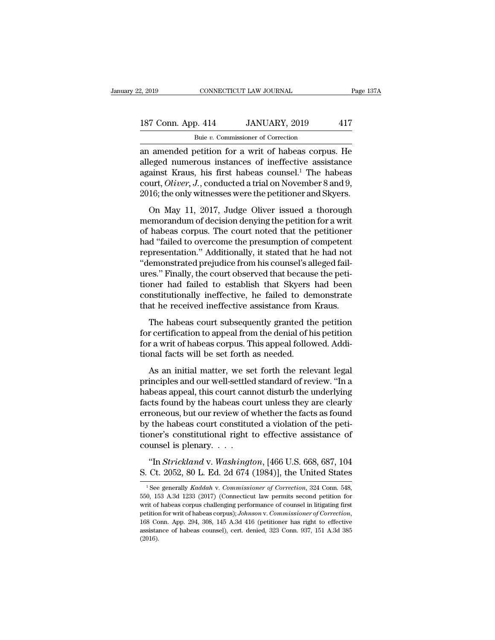## 2, 2019 CONNECTICUT LAW JOURNAL Page 137A<br>187 Conn. App. 414 JANUARY, 2019 417<br>Buie v. Commissioner of Correction Buie *v.* Commissioner of Correction

2, 2019 CONNECTICUT LAW JOURNAL Page 137A<br>
187 Conn. App. 414 JANUARY, 2019 417<br>
Buie v. Commissioner of Correction<br>
an amended petition for a writ of habeas corpus. He<br>
alleged numerous instances of ineffective assistanc 187 Conn. App. 414 JANUARY, 2019 417<br>
Buie v. Commissioner of Correction<br>
an amended petition for a writ of habeas corpus. He<br>
alleged numerous instances of ineffective assistance<br>
against Kraus, his first habeas counsel.<sup></sup> 187 Conn. App. 414 JANUARY, 2019 417<br>
Buje v. Commissioner of Correction<br>
an amended petition for a writ of habeas corpus. He<br>
alleged numerous instances of ineffective assistance<br>
against Kraus, his first habeas counsel. 187 Conn. App. 414 JANUARY, 2019 417<br>
<sup>Buie v. Commissioner of Correction</sup><br>
an amended petition for a writ of habeas corpus. He<br>
alleged numerous instances of ineffective assistance<br>
against Kraus, his first habeas counsel Buie *v*. Commissioner of Correction<br>an amended petition for a writ of habeas corpus. He<br>alleged numerous instances of ineffective assistance<br>against Kraus, his first habeas counsel.<sup>1</sup> The habeas<br>court, *Oliver*, *J*., co amended petition for a writ of habeas corpus. He<br>eged numerous instances of ineffective assistance<br>ainst Kraus, his first habeas counsel.<sup>1</sup> The habeas<br>urt, *Oliver*, *J*., conducted a trial on November 8 and 9,<br>16; the o an ancherace perfact for a writ of nascess corpus. He<br>alleged numerous instances of ineffective assistance<br>against Kraus, his first habeas counsel.<sup>1</sup> The habeas<br>court, *Oliver*, *J*., conducted a trial on November 8 and 9

and a metallical matrices of increased a system as<br>against Kraus, his first habeas counsel.<sup>1</sup> The habeas<br>court, *Oliver*, *J*., conducted a trial on November 8 and 9,<br>2016; the only witnesses were the petitioner and Skyer depends that, the finite tracease counser. The hasces court,  $Oliver$ ,  $J$ , conducted a trial on November 8 and 9, 2016; the only witnesses were the petitioner and Skyers.<br>On May 11, 2017, Judge Oliver issued a thorough memor 2016; the only witnesses were the petitioner and Skyers.<br>
On May 11, 2017, Judge Oliver issued a thorough<br>
memorandum of decision denying the petition for a writ<br>
of habeas corpus. The court noted that the petitioner<br>
had The magnetic from the performance of the performance of the performance of the memorandum of decision denying the petition for a writ of habeas corpus. The court noted that the petitioner had "failed to overcome the presum On May 11, 2017, Judge Oliver issued a thorough<br>memorandum of decision denying the petition for a writ<br>of habeas corpus. The court noted that the petitioner<br>had "failed to overcome the presumption of competent<br>representati memorandum of decision denying the petition for a writ<br>of habeas corpus. The court noted that the petitioner<br>had "failed to overcome the presumption of competent<br>representation." Additionally, it stated that he had not<br>"de of habeas corpus. The court noted that the petitioner<br>had "failed to overcome the presumption of competent<br>representation." Additionally, it stated that he had not<br>"demonstrated prejudice from his counsel's alleged fail-<br>u had "failed to overcome the presumption of competent<br>representation." Additionally, it stated that he had not<br>"demonstrated prejudice from his counsel's alleged fail-<br>ures." Finally, the court observed that because the pet emonstrated prejudice from his counsel's alleged fail-<br>es." Finally, the court observed that because the peti-<br>pher had failed to establish that Skyers had been<br>mstitutionally ineffective, he failed to demonstrate<br>at he re denotes." Finally, the court observed that because the petitioner had failed to establish that Skyers had been<br>constitutionally ineffective, he failed to demonstrate<br>that he received ineffective assistance from Kraus.<br>The

for a writ of habeas corpus. The set of stablish that Skyers had been constitutionally ineffective, he failed to demonstrate that he received ineffective assistance from Kraus.<br>The habeas court subsequently granted the pet From the alternative of statement and stay of constitutionally ineffective, he failed to der<br>that he received ineffective assistance from<br>The habeas court subsequently granted th<br>for a writ of habeas corpus. This appeal fo at he received ineffective assistance from Kraus.<br>The habeas court subsequently granted the petition<br>r a writ of habeas corpus. This appeal followed. Addi-<br>nnal facts will be set forth as needed.<br>As an initial matter, we s The habeas court subsequently granted the petition<br>for certification to appeal from the denial of his petition<br>for a writ of habeas corpus. This appeal followed. Addi-<br>tional facts will be set forth as needed.<br>As an initia

For certification to appeal from the denial of his petition<br>for a writ of habeas corpus. This appeal followed. Addi-<br>tional facts will be set forth as needed.<br>As an initial matter, we set forth the relevant legal<br>principle For a writ of habeas corpus. This appeal followed. Additional facts will be set forth as needed.<br>As an initial matter, we set forth the relevant legal<br>principles and our well-settled standard of review. "In a<br>habeas appeal error a with of has east corpular rins applycant from weat ristantional facts will be set forth as needed.<br>As an initial matter, we set forth the relevant legal<br>principles and our well-settled standard of review. "In a<br>hab As an initial matter, we set forth the relevant legal<br>principles and our well-settled standard of review. "In a<br>habeas appeal, this court cannot disturb the underlying<br>facts found by the habeas court unless they are clearl As an initial matter, we set forth the relevant legal<br>principles and our well-settled standard of review. "In a<br>habeas appeal, this court cannot disturb the underlying<br>facts found by the habeas court unless they are clear principles and our well-settled<br>habeas appeal, this court can<br>facts found by the habeas cour<br>erroneous, but our review of v<br>by the habeas court constitut<br>tioner's constitutional right t<br>counsel is plenary. . . . .<br>"In *Str* the state of the habeas court unless they are clearly roneous, but our review of whether the facts as found the habeas court constituted a violation of the peti-<br>ner's constitutional right to effective assistance of unsel erroneous, but our review of whether the facts as found<br>by the habeas court constituted a violation of the peti-<br>tioner's constitutional right to effective assistance of<br>counsel is plenary....<br>"In *Strickland* v. *Washing* 

1 Strickland v. *Washington*, [466 U.S. 668, 687, 104<br>
2 Ct. 2052, 80 L. Ed. 2d 674 (1984)], the United States<br>
<sup>1</sup> See generally *Kaddah* v. *Commissioner of Correction*, 324 Conn. 548,<br>
<sup>1</sup> See generally *Kaddah* v. *Com* 

<sup>&</sup>quot;In *Strickland* v. *Washington*, [466 U.S. 668, 687, 104<br>S. Ct. 2052, 80 L. Ed. 2d 674 (1984)], the United States<br><sup>1</sup> See generally *Kaddah* v. *Commissioner of Correction*, 324 Conn. 548,<br>550, 153 A.3d 1233 (2017) (Conn "In *Strickland* v. *Washington*, [466 U.S. 668, 687, 104<br>S. Ct. 2052, 80 L. Ed. 2d 674 (1984)], the United States<br><sup>1</sup>See generally *Kaddah* v. *Commissioner of Correction*, 324 Conn. 548,<br>550, 153 A.3d 1233 (2017) (Conne petition for Material Factor of Galean Field Connection of Correction, 324 Conn. 548, 550, 153 A.3d 1233 (2017) (Connecticut law permits second petition for writ of habeas corpus challenging performance of counsel in litig <sup>1</sup> See generally *Kaddah* v. *Commissioner of Correction*, 324 Conn. 548, 550, 153 A.3d 1233 (2017) (Connecticut law permits second petition for writ of habeas corpus challenging performance of counsel in litigating firs (2016).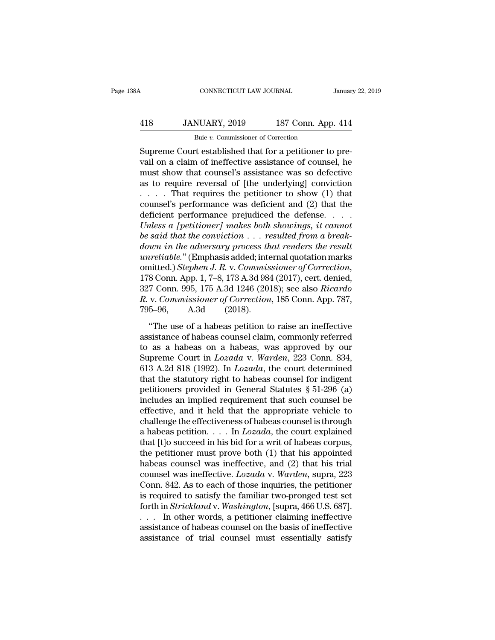## CONNECTICUT LAW JOURNAL January 22, 2019<br>418 JANUARY, 2019 187 Conn. App. 414<br>Buie v. Commissioner of Correction CONNECTICUT LAW JOURNAL<br>NUARY, 2019 187 Conn. App<br>Buie *v.* Commissioner of Correction<br>Testablished that for a netitioner to

CONNECTICUT LAW JOURNAL<br>
SUPREMENTARY, 2019 187 Conn. App. 414<br>
Buie v. Commissioner of Correction<br>
Supreme Court established that for a petitioner to pre-<br>
vail on a claim of ineffective assistance of counsel, he Value of the underlying a claim of the underlying consistency of the mass of the mass so defective<br>
The must show that counsel's assistance of counsel, he must show that counsel's assistance was so defective<br>
The underlyin 418 JANUARY, 2019 187 Conn. App. 414<br>
Buje v. Commissioner of Correction<br>
Supreme Court established that for a petitioner to prevail on a claim of ineffective assistance of counsel, he<br>
must show that counsel's assistance 418 JANUARY, 2019 187 Conn. App. 414<br>
Buie v. Commissioner of Correction<br>
Supreme Court established that for a petitioner to prevail on a claim of ineffective assistance of counsel, he<br>
must show that counsel's assistance Buie *v*. Commissioner of Correction<br>
Supreme Court established that for a petitioner to prevail on a claim of ineffective assistance of counsel, he<br>
must show that counsel's assistance was so defective<br>
as to require rev Bue v. Commissioner of Correction<br>
Supreme Court established that for a petitioner to pre-<br>
vail on a claim of ineffective assistance of counsel, he<br>
must show that counsel's assistance was so defective<br>
as to require rev Supreme Court established that for a petitioner to prevail on a claim of ineffective assistance of counsel, he<br>must show that counsel's assistance was so defective<br>as to require reversal of [the underlying] conviction<br> $\dots$ *Unionerally a a claim of ineffective assistance of counsel, he* must show that counsel's assistance was so defective as to require reversal of [the underlying] conviction  $\ldots$ . That requires the petitioner to show (1) t must show that counsel's assistance was so defective<br>as to require reversal of [the underlying] conviction<br>.....That requires the petitioner to show (1) that<br>counsel's performance was deficient and (2) that the<br>deficient p *down in the adversary process that requires the petitioner to show (1) that counsel's performance was deficient and (2) that the deficient performance prejudiced the defense....<br>Unless a [petitioner] makes both showings, unreliable.* That requires the petitioner to show (1) that counsel's performance was deficient and (2) that the deficient performance prejudiced the defense.  $\ldots$  *Unless a [petitioner] makes both showings, it cannot* b counsel's performance was deficient and (2) that the<br>deficient performance prejudiced the defense. . . . .<br>*Unless a [petitioner] makes both showings, it cannot*<br>be said that the conviction . . . resulted from a break-<br>dow Unless a [petitioner] makes both showings, it cannot<br>be said that the conviction . . . resulted from a break-<br>down in the adversary process that renders the result<br>unreliable." (Emphasis added; internal quotation marks<br>omi *R. B. B. interianal that the conviction* . . . *resulted from a break-down in the adversary process that renders the result unreliable."* (Emphasis added; internal quotation marks omitted.) *Stephen J. R. v. Commissioner* down in the adversary process the<br>
unreliable." (Emphasis added; inte<br>
omitted.) Stephen J. R. v. Commis<br>
178 Conn. App. 1, 7–8, 173 A.3d 984<br>
327 Conn. 995, 175 A.3d 1246 (201<br>
R. v. Commissioner of Correction<br>
795–96, A. inted.) Stephen J. R. v. Commissioner of Correction,<br>8 Conn. App. 1, 7–8, 173 A.3d 984 (2017), cert. denied,<br>7 Conn. 995, 175 A.3d 1246 (2018); see also Ricardo<br>v. Commissioner of Correction, 185 Conn. App. 787,<br>5–96, A.3d 178 Conn. App. 1, 7–8, 173 A.3d 984 (2017), cert. denied,<br>327 Conn. 995, 175 A.3d 1246 (2018); see also *Ricardo*<br>*R. v. Commissioner of Correction*, 185 Conn. App. 787,<br>795–96, A.3d (2018).<br>"The use of a habeas petition

1.0 com. 1.pp. 1, 1. 0, 1.0 1.8 at 801 (2011), ecr. achiea,<br>327 Conn. 995, 175 A.3d 1246 (2018); see also *Ricardo*<br>*R. v. Commissioner of Correction*, 185 Conn. App. 787,<br>795–96, A.3d (2018).<br>"The use of a habeas petitio R. v. *Commissioner of Correction*, 185 Conn. App. 787,<br>795–96, A.3d (2018).<br>"The use of a habeas petition to raise an ineffective<br>assistance of habeas counsel claim, commonly referred<br>to as a habeas on a habeas, was appro 1618 A.3d (2018).<br> **Example 2018** (2018).<br> **Example 2018** (2018).<br> **Example 2018** The use of a habeas petition to raise an ineffective<br>
assistance of habeas counsel claim, commonly referred<br>
to as a habeas on a habeas, was "The use of a habeas petition to raise an ineffective<br>assistance of habeas counsel claim, commonly referred<br>to as a habeas on a habeas, was approved by our<br>Supreme Court in *Lozada* v. Warden, 223 Conn. 834,<br>613 A.2d 818 "The use of a habeas petition to raise an ineffective<br>assistance of habeas counsel claim, commonly referred<br>to as a habeas on a habeas, was approved by our<br>Supreme Court in *Lozada* v. *Warden*, 223 Conn. 834,<br>613 A.2d 81 assistance of habeas counsel claim, commonly referred<br>to as a habeas on a habeas, was approved by our<br>Supreme Court in *Lozada* v. *Warden*, 223 Conn. 834,<br>613 A.2d 818 (1992). In *Lozada*, the court determined<br>that the s to as a habeas on a habeas, was approved by our<br>Supreme Court in *Lozada* v. *Warden*, 223 Conn. 834,<br>613 A.2d 818 (1992). In *Lozada*, the court determined<br>that the statutory right to habeas counsel for indigent<br>petition Supreme Court in *Lozada* v. *Warden*, 223 Conn. 834, 613 A.2d 818 (1992). In *Lozada*, the court determined that the statutory right to habeas counsel for indigent petitioners provided in General Statutes § 51-296 (a) in 613 A.2d 818 (1992). In *Lozada*, the court determined<br>that the statutory right to habeas counsel for indigent<br>petitioners provided in General Statutes § 51-296 (a)<br>includes an implied requirement that such counsel be<br>eff that the statutory right to habeas counsel for indigent<br>petitioners provided in General Statutes § 51-296 (a)<br>includes an implied requirement that such counsel be<br>effective, and it held that the appropriate vehicle to<br>cha petitioners provided in General Statutes  $\S$  51-296 (a)<br>includes an implied requirement that such counsel be<br>effective, and it held that the appropriate vehicle to<br>challenge the effectiveness of habeas counsel is through<br> includes an implied requirement that such counsel be effective, and it held that the appropriate vehicle to challenge the effectiveness of habeas counsel is through a habeas petition. . . . In  $Lozada$ , the court explained t effective, and it held that the appropriate vehicle to<br>challenge the effectiveness of habeas counsel is through<br>a habeas petition. . . . In *Lozada*, the court explained<br>that [t]o succeed in his bid for a writ of habeas co challenge the effectiveness of habeas counsel is through<br>a habeas petition. . . . In  $Lozada$ , the court explained<br>that [t]o succeed in his bid for a writ of habeas corpus,<br>the petitioner must prove both (1) that his appoint a habeas petition. . . . In *Lozada*, the court explained<br>that [t]o succeed in his bid for a writ of habeas corpus,<br>the petitioner must prove both (1) that his appointed<br>habeas counsel was ineffective. *Lozada* v. *Warden* that [t]o succeed in his bid for a writ of habeas corpus,<br>the petitioner must prove both (1) that his appointed<br>habeas counsel was ineffective, and (2) that his trial<br>counsel was ineffective. *Lozada* v. *Warden*, supra, 2 the petitioner must prove both (1) that his appointed<br>habeas counsel was ineffective, and (2) that his trial<br>counsel was ineffective. *Lozada* v. Warden, supra, 223<br>Conn. 842. As to each of those inquiries, the petitioner habeas counsel was ineffective, and (2) that his trial<br>counsel was ineffective. *Lozada* v. Warden, supra, 223<br>Conn. 842. As to each of those inquiries, the petitioner<br>is required to satisfy the familiar two-pronged test counsel was ineffective. *Lozada* v. *Warden*, supra, 223<br>Conn. 842. As to each of those inquiries, the petitioner<br>is required to satisfy the familiar two-pronged test set<br>forth in *Strickland* v. *Washington*, [supra, 46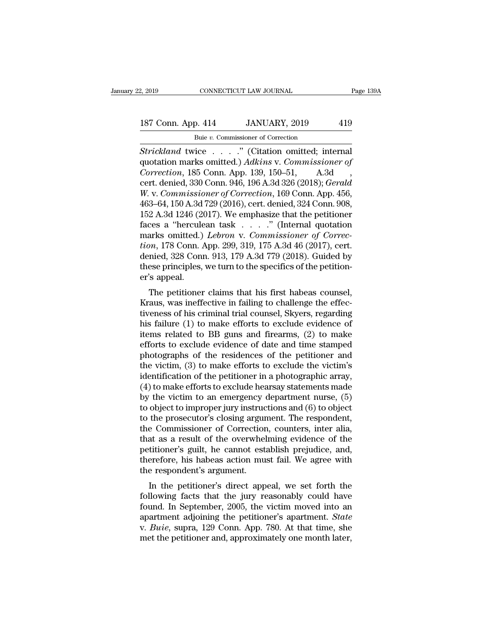# 2, 2019 CONNECTICUT LAW JOURNAL Page 139A<br>187 Conn. App. 414 JANUARY, 2019 419<br>Buie v. Commissioner of Correction

2, 2019 CONNECTICUT LAW JOURNAL<br>
Buie *v.* Commissioner of Correction<br>
Strickland twice . . . . . " (Citation omitted; internal <sup>2, 2019</sup> CONNECTICUT LAW JOURNAL Page 13:<br> **Strickland twice . . . .**." (Citation omitted; internal quotation marks omitted.) *Adkins* v. *Commissioner of* Correction 185 Conn. Ann. 130, 150, 51. A 3d 187 Conn. App. 414 JANUARY, 2019 419<br>
Buie v. Commissioner of Correction<br>
Strickland twice . . . . " (Citation omitted; internal<br>
quotation marks omitted.) *Adkins* v. *Commissioner of*<br>
Correction, 185 Conn. App. 139, 150 <sup>187</sup> Conn. App. 414 JANUARY, 2019 419<br>
<sup>Buie v. Commissioner of Correction<br> *Chrickland* twice . . . . . " (Citation omitted; internal<br>
quotation marks omitted.) *Adkins* v. *Commissioner of*<br> *Correction*, 185 Conn. App.</sup> 187 Conn. App. 414 JANUARY, 2019 419<br>
Buie v. Commissioner of Correction<br>
Strickland twice . . . . " (Citation omitted; internal<br>
quotation marks omitted.) *Adkins* v. *Commissioner of*<br> *Correction*, 185 Conn. App. 139, 1 *Buie v. Commissioner of Correction*<br>*Strickland* twice . . . . ." (Citation omitted; internal quotation marks omitted.) *Adkins v. Commissioner of Correction*, 185 Conn. App. 139, 150–51, A.3d , cert. denied, 330 Conn. 94 Bue v. Commissioner of Correction<br>
Strickland twice . . . . ." (Citation omitted; internal<br>
quotation marks omitted.)  $Adkins$  v. Commissioner of<br>
Correction, 185 Conn. 946, 196 A.3d 326 (2018); Gerald<br>
W. v. Commissioner of Strickland twice . . . . ." (Citation omitted; internal<br>quotation marks omitted.) Adkins v. Commissioner of<br>Correction, 185 Conn. App. 139, 150–51, A.3d<br>cert. denied, 330 Conn. 946, 196 A.3d 326 (2018); Gerald<br>W. v. Commi quotation marks omitted.)  $Adkins$  v. Commissioner of<br>
Correction, 185 Conn. App. 139, 150–51, A.3d<br>
cert. denied, 330 Conn. 946, 196 A.3d 326 (2018); Gerald<br>
W. v. Commissioner of Correction, 169 Conn. App. 456,<br>
463–64, 150 Correction, 185 Conn. App. 139, 150–51, A.3d<br>
cert. denied, 330 Conn. 946, 196 A.3d 326 (2018); *Gerald*<br> *W. v. Commissioner of Correction*, 169 Conn. App. 456,<br>
463–64, 150 A.3d 729 (2016), cert. denied, 324 Conn. 908,<br> cert. denied, 330 Conn. 946, 196 A.3d 326 (2018); *Gerald* W. v. *Commissioner of Correction*, 169 Conn. App. 456, 463–64, 150 A.3d 729 (2016), cert. denied, 324 Conn. 908, 152 A.3d 1246 (2017). We emphasize that the petit W. v. Commissioner of Correction, 169 Conn. App. 456, 463–64, 150 A.3d 729 (2016), cert. denied, 324 Conn. 908, 152 A.3d 1246 (2017). We emphasize that the petitioner faces a "herculean task  $\ldots$ " (Internal quotation mar 463–64, 150 A.3d 729 (2016), cert. denied, 324 Conn. 908, 152 A.3d 1246 (2017). We emphasize that the petitioner faces a "herculean task  $\ldots$ " (Internal quotation marks omitted.) *Lebron* v. *Commissioner of Correction*, 152 A.3d 1246 (2)<br>faces a "hercule<br>marks omitted.)<br>*tion*, 178 Conn. *i*<br>denied, 328 Conn<br>these principles,<br>er's appeal.<br>The petitioner The petitioner claims that his first habeas counsel,<br>and the petition. App. 299, 319, 175 A.3d 46 (2017), cert.<br>nied, 328 Conn. 913, 179 A.3d 779 (2018). Guided by<br>ese principles, we turn to the specifics of the petitiontion, 178 Conn. App. 299, 319, 175 A.3d 46 (2017), cert.<br>denied, 328 Conn. 913, 179 A.3d 779 (2018). Guided by<br>these principles, we turn to the specifics of the petition-<br>er's appeal.<br>The petitioner claims that his first

tion, 178 Collii. App. 299, 319, 179 A.3d 40 (2017), cert.<br>denied, 328 Conn. 913, 179 A.3d 779 (2018). Guided by<br>these principles, we turn to the specifics of the petition-<br>er's appeal.<br>The petitioner claims that his firs defined, 528 Collit. 915, 179 A.5d 779 (2016). Guided by<br>these principles, we turn to the specifics of the petition-<br>er's appeal.<br>The petitioner claims that his first habeas counsel,<br>Kraus, was ineffective in failing to ch items principles, we turn to the specifics of the perition-<br>er's appeal.<br>The petitioner claims that his first habeas counsel,<br>Kraus, was ineffective in failing to challenge the effec-<br>tiveness of his criminal trial counsel The petitioner claims that his first habeas counsel,<br>Kraus, was ineffective in failing to challenge the effec-<br>tiveness of his criminal trial counsel, Skyers, regarding<br>his failure (1) to make efforts to exclude evidence The petitioner claims that his first habeas counsel,<br>Kraus, was ineffective in failing to challenge the effec-<br>tiveness of his criminal trial counsel, Skyers, regarding<br>his failure (1) to make efforts to exclude evidence o Kraus, was ineffective in failing to challenge the effec-<br>tiveness of his criminal trial counsel, Skyers, regarding<br>his failure (1) to make efforts to exclude evidence of<br>items related to BB guns and firearms, (2) to make tiveness of his criminal trial counsel, Skyers, regarding<br>his failure (1) to make efforts to exclude evidence of<br>items related to BB guns and firearms, (2) to make<br>efforts to exclude evidence of date and time stamped<br>photo his failure (1) to make efforts to exclude evidence of<br>items related to BB guns and firearms, (2) to make<br>efforts to exclude evidence of date and time stamped<br>photographs of the residences of the petitioner and<br>the victim items related to BB guns and firearms,  $(2)$  to make<br>efforts to exclude evidence of date and time stamped<br>photographs of the residences of the petitioner and<br>the victim,  $(3)$  to make efforts to exclude the victim's<br>ident efforts to exclude evidence of date and time stamped<br>photographs of the residences of the petitioner and<br>the victim, (3) to make efforts to exclude the victim's<br>identification of the petitioner in a photographic array,<br>(4) photographs of the residences of the petitioner and<br>the victim, (3) to make efforts to exclude the victim's<br>identification of the petitioner in a photographic array,<br>(4) to make efforts to exclude hearsay statements made<br>b the victim, (3) to make efforts to exclude the victim's<br>identification of the petitioner in a photographic array,<br>(4) to make efforts to exclude hearsay statements made<br>by the victim to an emergency department nurse, (5)<br>t identification of the petitioner in a photographic array,<br>
(4) to make efforts to exclude hearsay statements made<br>
by the victim to an emergency department nurse, (5)<br>
to object to improper jury instructions and (6) to ob (4) to make efforts to exclude hearsay statements made<br>by the victim to an emergency department nurse,  $(5)$ <br>to object to improper jury instructions and  $(6)$  to object<br>to the prosecutor's closing argument. The respondent by the victim to an emergency department nurse, (5)<br>to object to improper jury instructions and (6) to object<br>to the prosecutor's closing argument. The respondent,<br>the Commissioner of Correction, counters, inter alia,<br>that to object to improper jury instructo the prosecutor's closing argum<br>the Commissioner of Correction<br>that as a result of the overwhel<br>petitioner's guilt, he cannot est<br>therefore, his habeas action mu<br>the respondent's argumen In the prosecutor's closing argument. The respondent,<br>
at as a result of the overwhelming evidence of the<br>
titioner's guilt, he cannot establish prejudice, and,<br>
erefore, his habeas action must fail. We agree with<br>
e respo the Collinial Solier of Correction, Counters, inter ana,<br>that as a result of the overwhelming evidence of the<br>petitioner's guilt, he cannot establish prejudice, and,<br>therefore, his habeas action must fail. We agree with<br>th

fracture as a result of the overwhending evidence of the<br>petitioner's guilt, he cannot establish prejudice, and,<br>therefore, his habeas action must fail. We agree with<br>the respondent's argument.<br>In the petitioner's direct petitioner's guint, the cannot establish prejudice, and,<br>therefore, his habeas action must fail. We agree with<br>the respondent's argument.<br>In the petitioner's direct appeal, we set forth the<br>following facts that the jury re therefore, his habeas action must fail. We agree with<br>the respondent's argument.<br>In the petitioner's direct appeal, we set forth the<br>following facts that the jury reasonably could have<br>found. In September, 2005, the victim In the petitioner's direct appeal, we set forth the following facts that the jury reasonably could have found. In September, 2005, the victim moved into an apartment adjoining the petitioner's apartment. *State* v. *Buie*,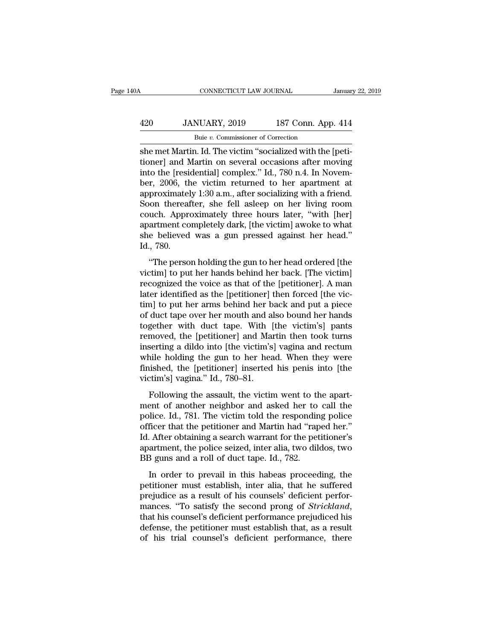## CONNECTICUT LAW JOURNAL January 22, 2019<br>
420 JANUARY, 2019 187 Conn. App. 414<br>
Buie v. Commissioner of Correction CONNECTICUT LAW JOURNAL<br>NUARY, 2019 187 Conn. App<br>Buie *v.* Commissioner of Correction<br>1 Id The victim "socialized with the

CONNECTICUT LAW JOURNAL<br>
She met Martin. Id. The victim "Socialized with the [peti-<br>
she met Martin. Id. The victim "socialized with the [peti-<br>
tioner] and Martin on several occasions after moving<br>
into the [recidential] 187 Conn. App. 414<br>
187 Conn. App. 414<br>
187 Conn. App. 414<br>
187 Conn. App. 414<br>
187 Conn. App. 414<br>
187 Conn. App. 414<br>
187 Conn. App. 414<br>
188 External occasions after moving<br>
188 External occasions after moving<br>
189 Exte 420 JANUARY, 2019 187 Conn. App. 414<br>
Buje v. Commissioner of Correction<br>
she met Martin. Id. The victim "socialized with the [peti-<br>
tioner] and Martin on several occasions after moving<br>
into the [residential] complex."  $\begin{array}{ll}\n 420 & \text{JANUARY, } 2019 & \text{187 Conn. App. 414} \\
 \hline\n \text{Buie } v. \text{ Commissioner of Correction} \\
 \text{she met Martin. Id. The victim "socialized with the [peti-  
tioner] and Martin on several occasions after moving} \\
 \text{into the [residental] complex." Id., 780 n.4. In November, 2006, the victim returned to her apartment at approximately 1:30 a.m., after socializing with a friend. Soon, thoroughly also, on her living room} \n\end{array}$ Buie v. Commissioner of Correction<br>
she met Martin. Id. The victim "socialized with the [peti-<br>
tioner] and Martin on several occasions after moving<br>
into the [residential] complex." Id., 780 n.4. In Novem-<br>
ber, 2006, th Bue v. Commissioner of Correction<br>
she met Martin. Id. The victim "socialized with the [peti-<br>
tioner] and Martin on several occasions after moving<br>
into the [residential] complex." Id., 780 n.4. In Novem-<br>
ber, 2006, the she met Martin. Id. The victim "socialized with the [petitioner] and Martin on several occasions after moving<br>into the [residential] complex." Id., 780 n.4. In Novem-<br>ber, 2006, the victim returned to her apartment at<br>appr tioner] and Martin on several occasions after moving<br>into the [residential] complex." Id., 780 n.4. In Novem-<br>ber, 2006, the victim returned to her apartment at<br>approximately 1:30 a.m., after socializing with a friend.<br>Soo into the [residential] complex." Id., 780 n.4. In November, 2006, the victim returned to her apartment at approximately 1:30 a.m., after socializing with a friend. Soon thereafter, she fell asleep on her living room couch. ber, 2006, the<br>approximatel<br>Soon thereat<br>couch. Appro<br>apartment co<br>she believed<br>Id., 780.<br>"The perso Froamately 1.50 a.m., after socializing with a friend.<br>
on thereafter, she fell asleep on her living room<br>
uch. Approximately three hours later, "with [her]<br>
artment completely dark, [the victim] awoke to what<br>
e believed victime. Approximately three hours later, "with [her]<br>apartment completely dark, [the victim] awoke to what<br>she believed was a gun pressed against her head."<br>Id., 780.<br>"The person holding the gun to her head ordered [the<br>v

recousting the victions and the viction of the viction and she believed was a gun pressed against her head."<br>Id., 780.<br>"The person holding the gun to her head ordered [the victim] to put her hands behind her back. [The vic dependence on procety data, the treating awords to what<br>she believed was a gun pressed against her head."<br>Id., 780.<br>"The person holding the gun to her head ordered [the<br>victim] to put her hands behind her back. [The victim Id., 780.<br>
"The person holding the gun to her head ordered [the victim] to put her hands behind her back. [The victim]<br>
recognized the voice as that of the [petitioner]. A man<br>
later identified as the [petitioner] then fo and, 1999.<br>
"The person holding the gun to her head ordered [the<br>
victim] to put her hands behind her back. [The victim]<br>
recognized the voice as that of the [petitioner]. A man<br>
later identified as the [petitioner] then f "The person holding the gun to her head ordered [the<br>victim] to put her hands behind her back. [The victim]<br>recognized the voice as that of the [petitioner]. A man<br>later identified as the [petitioner] then forced [the vicvictim] to put her hands behind her back. [The victim]<br>recognized the voice as that of the [petitioner]. A man<br>later identified as the [petitioner] then forced [the vic-<br>tim] to put her arms behind her back and put a piece recognized the voice as that of the [petitioner]. A man<br>later identified as the [petitioner] then forced [the vic-<br>tim] to put her arms behind her back and put a piece<br>of duct tape over her mouth and also bound her hands<br>t later identified as the [petitioner] then forced [the vic-<br>tim] to put her arms behind her back and put a piece<br>of duct tape over her mouth and also bound her hands<br>together with duct tape. With [the victim's] pants<br>remove tim] to put her arms behind her back and put a piece<br>of duct tape over her mouth and also bound her hands<br>together with duct tape. With [the victim's] pants<br>removed, the [petitioner] and Martin then took turns<br>inserting a of duct tape over her mouth and al<br>together with duct tape. With [<br>removed, the [petitioner] and Mai<br>inserting a dildo into [the victim's<br>while holding the gun to her hea<br>finished, the [petitioner] inserted<br>victim's] vagin moved, the [petitioner] and Martin then took turns<br>serting a dildo into [the victim's] vagina and rectum<br>nile holding the gun to her head. When they were<br>uished, the [petitioner] inserted his penis into [the<br>tim's] vagina. menting a dildo into [the victim's] vagina and rectum<br>while holding the gun to her head. When they were<br>finished, the [petitioner] inserted his penis into [the<br>victim's] vagina." Id., 780–81.<br>Following the assault, the vic

molecularly a did the gun to her head. When they were<br>finished, the [petitioner] inserted his penis into [the<br>victim's] vagina." Id., 780–81.<br>Following the assault, the victim went to the apart-<br>ment of another neighbor an finished, the [petitioner] inserted his penis into [the victim's] vagina." Id., 780–81.<br>Following the assault, the victim went to the apart-<br>ment of another neighbor and asked her to call the police. Id., 781. The victim Following the assault, the victim went to the apartment of another neighbor and asked her to call the police. Id., 781. The victim told the responding police officer that the petitioner and Martin had "raped her." Id. Aft Following the assault, the victim went to the apart-<br>ment of another neighbor and asked her to call the<br>police. Id., 781. The victim told the responding police<br>officer that the petitioner and Martin had "raped her."<br>Id. Af Following the assault, the victim went to the ment of another neighbor and asked her to police. Id., 781. The victim told the respondin officer that the petitioner and Martin had "rap Id. After obtaining a search warrant f In or another heighbor and asked her to can the<br>lice. Id., 781. The victim told the responding police<br>ficer that the petitioner and Martin had "raped her."<br>After obtaining a search warrant for the petitioner's<br>artment, the petitioner that the petitioner and Martin had "raped her."<br>Id. After obtaining a search warrant for the petitioner's<br>apartment, the police seized, inter alia, two dildos, two<br>BB guns and a roll of duct tape. Id., 782.<br>In o

presented that the performant for the performant in the subset of the second that the performant is a result of duct tape. Id., 782.<br>In order to prevail in this habeas proceeding, the performance must establish, inter alia mances. 'the police seized, inter alia, two dildos, two<br>BB guns and a roll of duct tape. Id., 782.<br>In order to prevail in this habeas proceeding, the<br>petitioner must establish, inter alia, that he suffered<br>prejudice as a r Definition of the petitioner must establish, inter alia, that he suffered prejudice as a result of his counsels' deficient performances. "To satisfy the second prong of *Strickland*, that his counsel's deficient performanc In order to prevail in this habeas proceeding, the petitioner must establish, inter alia, that he suffered prejudice as a result of his counsels' deficient performances. "To satisfy the second prong of *Strickland*, that h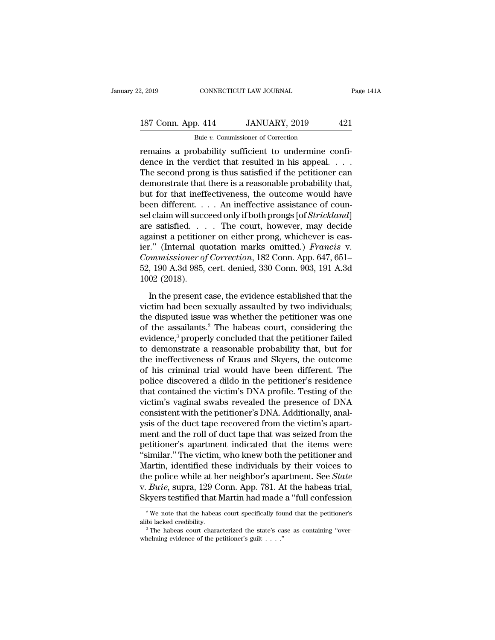# 2, 2019 CONNECTICUT LAW JOURNAL Page 141A<br>187 Conn. App. 414 JANUARY, 2019 421<br>Buie v. Commissioner of Correction

Puis 2, 2019<br>
Buie *v.* Commissioner of Correction<br>
remains a probability sufficient to undermine confi-<br>
dence in the verdict that resulted in his appeal....<br>
The second proper is thus estisfied if the positioner confi-187 Conn. App. 414 JANUARY, 2019 421<br>
Buie v. Commissioner of Correction<br>
Termains a probability sufficient to undermine confi-<br>
dence in the verdict that resulted in his appeal. . . .<br>
The second prong is thus satisfied i 187 Conn. App. 414 JANUARY, 2019 421<br>
Buje v. Commissioner of Correction<br>
Termains a probability sufficient to undermine confi-<br>
dence in the verdict that resulted in his appeal. . . .<br>
The second prong is thus satisfied 187 Conn. App. 414 JANUARY, 2019 421<br>
Buje v. Commissioner of Correction<br>
remains a probability sufficient to undermine confi-<br>
dence in the verdict that resulted in his appeal. . . .<br>
The second prong is thus satisfied i Buie v. Commissioner of Correction<br>
remains a probability sufficient to undermine confi-<br>
dence in the verdict that resulted in his appeal. . . .<br>
The second prong is thus satisfied if the petitioner can<br>
demonstrate that  $\frac{1}{2}$  but v. Commissioner of Correction<br>
remains a probability sufficient to undermine confi-<br>
dence in the verdict that resulted in his appeal. . . .<br>
The second prong is thus satisfied if the petitioner can<br>
demonst remains a probability sufficient to undermine confi-<br>dence in the verdict that resulted in his appeal. . . .<br>The second prong is thus satisfied if the petitioner can<br>demonstrate that there is a reasonable probability that, dence in the verdict that resulted in his appeal. . . .<br>The second prong is thus satisfied if the petitioner can<br>demonstrate that there is a reasonable probability that,<br>but for that ineffectiveness, the outcome would hav The second prong is thus satisfied if the petitioner can<br>demonstrate that there is a reasonable probability that,<br>but for that ineffectiveness, the outcome would have<br>been different. . . . An ineffective assistance of cou demonstrate that there is a reasonable probability that,<br>but for that ineffectiveness, the outcome would have<br>been different. . . . An ineffective assistance of coun-<br>sel claim will succeed only if both prongs [of *Strickl* but for that ineffectiveness, the outcome would have<br>been different. . . . An ineffective assistance of coun-<br>sel claim will succeed only if both prongs [of *Strickland*]<br>are satisfied. . . . The court, however, may decide been different. . . . An ineffective assistance of counsel claim will succeed only if both prongs [of *Strickland*] are satisfied. . . . The court, however, may decide against a petitioner on either prong, whichever is eas sel claim will succ<br>are satisfied. . .<br>against a petition<br>ier.'' (Internal qu<br>*Commissioner of*<br>52, 190 A.3d 985,<br>1002 (2018).<br>In the present c ainst a petitioner on either prong, whichever is eas-<br>
..." (Internal quotation marks omitted.) *Francis* v.<br> *mmissioner of Correction*, 182 Conn. App. 647, 651–<br>
, 190 A.3d 985, cert. denied, 330 Conn. 903, 191 A.3d<br>
02 victim had production marks omitted.) *Francis* v.<br>Commissioner of Correction, 182 Conn. App. 647, 651–<br>52, 190 A.3d 985, cert. denied, 330 Conn. 903, 191 A.3d<br>1002 (2018).<br>In the present case, the evidence established th

Commissioner of Correction, 182 Conn. App. 647, 651–<br>52, 190 A.3d 985, cert. denied, 330 Conn. 903, 191 A.3d<br>1002 (2018).<br>In the present case, the evidence established that the<br>victim had been sexually assaulted by two in 52, 190 A.3d 985, cert. denied, 330 Conn. 903, 191 A.3d<br>1002 (2018).<br>In the present case, the evidence established that the<br>victim had been sexually assaulted by two individuals;<br>the disputed issue was whether the petitio 1002 (2018).<br>
In the present case, the evidence established that the<br>
victim had been sexually assaulted by two individuals;<br>
the disputed issue was whether the petitioner was one<br>
of the assailants.<sup>2</sup> The habeas court, In the present case, the evidence established that the victim had been sexually assaulted by two individuals;<br>the disputed issue was whether the petitioner was one<br>of the assailants.<sup>2</sup> The habeas court, considering the<br>e In the present case, the evidence established that the<br>victim had been sexually assaulted by two individuals;<br>the disputed issue was whether the petitioner was one<br>of the assailants.<sup>2</sup> The habeas court, considering the<br>e victim had been sexually assaulted by two individuals;<br>the disputed issue was whether the petitioner was one<br>of the assailants.<sup>2</sup> The habeas court, considering the<br>evidence,<sup>3</sup> properly concluded that the petitioner faile the disputed issue was whether the petitioner was one<br>of the assailants.<sup>2</sup> The habeas court, considering the<br>evidence,<sup>3</sup> properly concluded that the petitioner failed<br>to demonstrate a reasonable probability that, but for of the assailants.<sup>2</sup> The habeas court, considering the<br>evidence,<sup>3</sup> properly concluded that the petitioner failed<br>to demonstrate a reasonable probability that, but for<br>the ineffectiveness of Kraus and Skyers, the outcome<br> evidence,<sup>3</sup> properly concluded that the petitioner failed<br>to demonstrate a reasonable probability that, but for<br>the ineffectiveness of Kraus and Skyers, the outcome<br>of his criminal trial would have been different. The<br>pol to demonstrate a reasonable probability that, but for<br>the ineffectiveness of Kraus and Skyers, the outcome<br>of his criminal trial would have been different. The<br>police discovered a dildo in the petitioner's residence<br>that c the ineffectiveness of Kraus and Skyers, the outcome<br>of his criminal trial would have been different. The<br>police discovered a dildo in the petitioner's residence<br>that contained the victim's DNA profile. Testing of the<br>vict of his criminal trial would have been different. The<br>police discovered a dildo in the petitioner's residence<br>that contained the victim's DNA profile. Testing of the<br>victim's vaginal swabs revealed the presence of DNA<br>consi police discovered a dildo in the petitioner's residence<br>that contained the victim's DNA profile. Testing of the<br>victim's vaginal swabs revealed the presence of DNA<br>consistent with the petitioner's DNA. Additionally, anal-<br> that contained the victim's DNA profile. Testing of the<br>victim's vaginal swabs revealed the presence of DNA<br>consistent with the petitioner's DNA. Additionally, anal-<br>ysis of the duct tape recovered from the victim's apartvictim's vaginal swabs revealed the presence of DNA<br>consistent with the petitioner's DNA. Additionally, anal-<br>ysis of the duct tape recovered from the victim's apart-<br>ment and the roll of duct tape that was seized from the consistent with the petitioner's DNA. Additionally, analysis of the duct tape recovered from the victim's apartment and the roll of duct tape that was seized from the petitioner's apartment indicated that the items were "s ysis of the duct tape recovered from the victim's apartment and the roll of duct tape that was seized from the petitioner's apartment indicated that the items were "similar." The victim, who knew both the petitioner and Ma ment and the roll of duct tape that was seized from the petitioner's apartment indicated that the items were "similar." The victim, who knew both the petitioner and Martin, identified these individuals by their voices to artin, identified these individuals by their voices to<br>le police while at her neighbor's apartment. See *State*<br>*Buie*, supra, 129 Conn. App. 781. At the habeas trial,<br>kyers testified that Martin had made a "full confessio the police while at her neighbor's apartment. See *State* v. *Buie*, supra, 129 Conn. App. 781. At the habeas trial, Skyers testified that Martin had made a "full confession  $\frac{2}{\pi}$  We note that the habeas court specif

Skyers testified that Martin had made<br>
<sup>2</sup> We note that the habeas court specifically fou<br>
alibi lacked credibility.<br>
<sup>3</sup> The habeas court characterized the state's ca<br>
whelming evidence of the petitioner's guilt . . . ."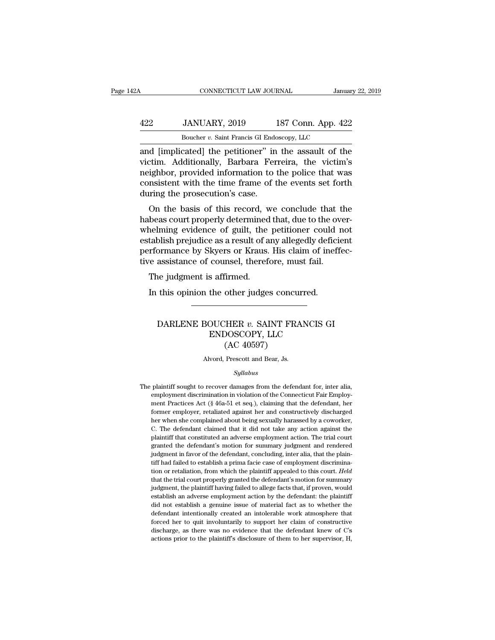## CONNECTICUT LAW JOURNAL January 22, 2019<br>422 JANUARY, 2019 187 Conn. App. 422<br>Boucher v. Saint Francis GI Endoscopy, LLC CONNECTICUT LAW JOURNAL Janua<br>JANUARY, 2019 187 Conn. App. 42:<br>Boucher *v.* Saint Francis GI Endoscopy, LLC<br>catedl the netitioner" in the assault of the

CONNECTICUT LAW JOURNAL January 22, 2019<br>
422 JANUARY, 2019 187 Conn. App. 422<br>
Boucher v. Saint Francis GI Endoscopy, LLC<br>
and [implicated] the petitioner'' in the assault of the<br>
victim. Additionally, Barbara Ferreira, t Victor of the victim. App. 422<br>
Victor *v*. Saint Francis GI Endoscopy, LLC<br>
and [implicated] the petitioner" in the assault of the<br>
victim. Additionally, Barbara Ferreira, the victim's<br>
meighbor, provided information to t  $\frac{422}{\text{Boucher } v. \text{ Saint Francis Gl Endoscopy, LLC}}$ <br>Boucher v. Saint Francis GI Endoscopy, LLC<br>and [implicated] the petitioner" in the assault of the<br>victim. Additionally, Barbara Ferreira, the victim's<br>neighbor, provided information to the  $\frac{422}{\text{Boucher } v. \text{ Saint Francis GI Endoscopy, LLC}}$ <br>Boucher v. Saint Francis GI Endoscopy, LLC<br>and [implicated] the petitioner" in the assault of the<br>victim. Additionally, Barbara Ferreira, the victim's<br>neighbor, provided information to the Boucher *v*. Saint Francis GI Endo<br>and [implicated] the petitioner" in<br>victim. Additionally, Barbara Fer<br>neighbor, provided information to t<br>consistent with the time frame of t<br>during the prosecution's case.<br>On the basis o d [implicated] the petitioner" in the assault of the<br>tim. Additionally, Barbara Ferreira, the victim's<br>ighbor, provided information to the police that was<br>msistent with the time frame of the events set forth<br>ring the prose and [impicated] the petholier in the assault of the<br>victim. Additionally, Barbara Ferreira, the victim's<br>neighbor, provided information to the police that was<br>consistent with the time frame of the events set forth<br>during t

whelming evidence of guilt, the petition of the police that was<br>consistent with the time frame of the events set forth<br>during the prosecution's case.<br>On the basis of this record, we conclude that the<br>habeas court properly reignoor, provided information to the police that was<br>consistent with the time frame of the events set forth<br>during the prosecution's case.<br>On the basis of this record, we conclude that the<br>habeas court properly determined between twith the time frame of the events set forth<br>during the prosecution's case.<br>On the basis of this record, we conclude that the<br>habeas court properly determined that, due to the over-<br>whelming evidence of guilt, the on the basis of this record, we conclude that thabeas court properly determined that, due to the overwhelming evidence of guilt, the petitioner could nestablish prejudice as a result of any allegedly deficies performance b on the basis of this record, wheas court properly determined<br>nelming evidence of guilt, the<br>tablish prejudice as a result of a<br>rformance by Skyers or Kraus.<br>re assistance of counsel, thereft<br>The judgment is affirmed.<br>In th In the petitioner could tablish prejudice as a result of any allegedly deficition<br>tablish prejudice as a result of any allegedly deficition<br>from ance by Skyers or Kraus. His claim of inef<br>re assistance of counsel, therefor

### assistance of counsel, therefore, must fail.<br>
ie judgment is affirmed.<br>
this opinion the other judges concurred.<br>
DARLENE BOUCHER *v*. SAINT FRANCIS GI<br>
ENDOSCOPY, LLC<br>
(AC 40597) STAT AND STATE CONTROLLER USING STATE CONTROLLER USING STATE CONTROLLER USING STATE CONTROLLER CONTROLLER CONTROLLER CONTROLLER CONTROLLER CONTROLLER CONTROLLER CONTROLLER CONTROLLER CONTROLLER CONTROLLER CONTROLLER CONTRO other judges concu<br>
HER v. SAINT FR/<br>
DOSCOPY, LLC<br>
(AC 40597)<br>
Prescott and Bear, Js. DARLENE BOUCHER  $v$ . SAINT FRANCIS GI<br>ENDOSCOPY, LLC<br>(AC 40597)<br>Alvord, Prescott and Bear, Js.

### *Syllabus*

 $\left( \mathrm{AC}\ 40597\right)$ <br>Alvord, Prescott and Bear, Js.<br> $Syllabus$ <br>The plaintiff sought to recover damages from the defendant for, inter alia,<br>employment discrimination in violation of the Connecticut Fair Employ-The plaintiff sought to recover damages from the defendant for, inter alia, employment discrimination in violation of the Connecticut Fair Employment Practices Act ( $\frac{6}{3}$  46a-51 et seq.), claiming that the defendant, Mord, Prescott and Bear, Js.<br>
Syllabus<br>
plaintiff sought to recover damages from the defendant for, inter alia,<br>
employment discrimination in violation of the Connecticut Fair Employ-<br>
ment Practices Act (§ 46a-51 et seq.)  $\label{eq:22} Syllabus$  plaintiff sought to recover damages from the defendant for, inter alia, employment discrimination in violation of the Connecticut Fair Employment Practices Act (§ 46a-51 et seq.), claiming that the defendant *Syllabus*<br>plaintiff sought to recover damages from the defendant for, inter alia,<br>employment discrimination in violation of the Connecticut Fair Employ-<br>ment Practices Act (§ 46a-51 et seq.), claiming that the defendant, plaintiff sought to recover damages from the defendant for, inter alia, employment discrimination in violation of the Connecticut Fair Employment Practices Act (§ 46a-51 et seq.), claiming that the defendant, her former e plantiff that constituted an adverse employment and constructive that Employment Practices Act (§ 46a-51 et seq.), claiming that the defendant, her former employer, retaliated against her and constructively discharged her enter Practices Act (§ 46a-51 et seq.), claiming that the defendant, her former employer, retaliated against her and constructively discharged her when she complained about being sexually harassed by a coworker, C. The de former employer, retaliated against her and constructively discharged<br>former employer, retaliated against her and constructively discharged<br>her when she complained about being sexually harassed by a coworker,<br>C. The defend For when she complained about being sexually harassed by a coworker, C. The defendant claimed that it did not take any action against the plaintiff that constituted an adverse employment action. The trial court granted the I. The defendant claimed that it did not take any action against the plaintiff that constituted an adverse employment action. The trial court granted the defendant's motion for summary judgment and rendered judgment in fav plaintiff that constituted an adverse employment action. The trial court<br>granted the defendant's motion for summary judgment and rendered<br>judgment in favor of the defendant, concluding, inter alia, that the plain-<br>tiff had granted the defendant's motion for summary judgment and rendered judgment in favor of the defendant, concluding, inter alia, that the plaintiff had failed to establish a prima facie case of employment discrimination or ret judgment in favor of the defendant, concluding, inter alia, that the plaintiff had failed to establish a prima facie case of employment discrimination or retaliation, from which the plaintiff appealed to this court. *Held* diff had failed to establish a prima facie case of employment discrimination or retaliation, from which the plaintiff appealed to this court. *Held* that the trial court properly granted the defendant's motion for summary tiff had failed to establish a prima facie case of employment discrimination or retaliation, from which the plaintiff appealed to this court. Held that the trial court properly granted the defendant's motion for summary j for the trial court properly granted the defendant's motion for summary<br>judgment, the plaintiff having failed to allege facts that, if proven, would<br>establish an adverse employment action by the defendant: the plaintiff<br>di judgment, the plaintiff having failed to allege facts that, if proven, would establish an adverse employment action by the defendant: the plaintiff did not establish a genuine issue of material fact as to whether the defen establish an adverse employment action by the defendant: the plaintiff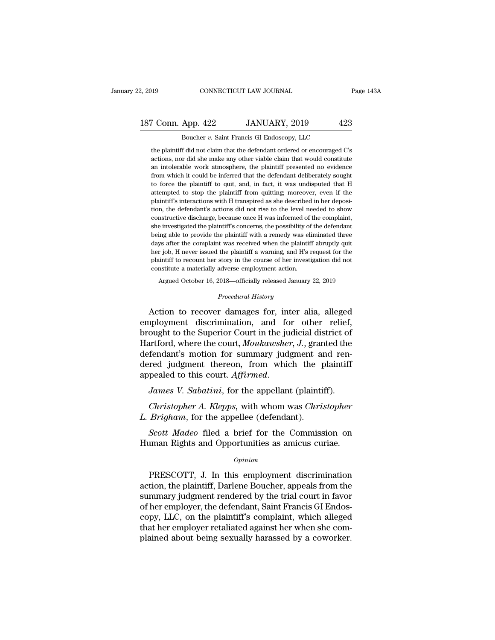## 2, 2019 CONNECTICUT LAW JOURNAL Page 143A<br>187 Conn. App. 422 JANUARY, 2019 423<br>Boucher v. Saint Francis GI Endoscopy, LLC 2, 2019 CONNECTICUT LAW JOURNAL<br>187 Conn. App. 422 JANUARY, 2019 423<br>Boucher *v*. Saint Francis GI Endoscopy, LLC<br>the plaintiff did not claim that the defendant ordered or encouraged C's

The plaintiff did not claim that the defendant ordered or encouraged C's actions, nor did she make any other viable claim that would constitute Francis Commandons, 1992<br>
a Coucher v. Saint Francis GI Endoscopy, LLC<br>
the plaintiff did not claim that the defendant ordered or encouraged C's<br>
actions, nor did she make any other viable claim that would constitute<br>
an i Frames and Marketter Western Handes Boucher w. Saint Francis GI Endoscopy, LLC<br>the plaintiff did not claim that the defendant ordered or encouraged C's<br>actions, nor did she make any other viable claim that would constitute From Boucher v. Saint Francis GI Endoscopy, LLC<br>the plaintiff did not claim that the defendant ordered or encouraged C's<br>actions, nor did she make any other viable claim that would constitute<br>an intolerable work atmospher Boucher v. Saint Francis GI Endoscopy, LLC<br>the plaintiff did not claim that the defendant ordered or encouraged C's<br>actions, nor did she make any other viable claim that would constitute<br>an intolerable work atmosphere, the the plaintiff did not claim that the defendant ordered or encouraged C's<br>actions, nor did she make any other viable claim that would constitute<br>an intolerable work atmosphere, the plaintiff presented no evidence<br>from which actions, nor did she make any other viable claim that would constitute<br>actions, nor did she make any other viable claim that would constitute<br>from which it could be inferred that the defendant deliberately sought<br>to force an intolerable work atmosphere, the plaintiff presented no evidence from which it could be inferred that the defendant deliberately sought to force the plaintiff to quit, and, in fact, it was undisputed that H attempted to from which it could be inferred that the defendant deliberately sought<br>to force the plaintiff to quit, and, in fact, it was undisputed that H<br>attempted to stop the plaintiff from quitting; moreover, even if the<br>plaintiff's she is to force the plaintiff to quit, and, in fact, it was undisputed that H attempted to stop the plaintiff from quitting; moreover, even if the plaintiff's interactions with H transpired as she described in her deposit able to provide the plaintiff from quitting; moreover, even if the plaintiff's interactions with H transpired as she described in her deposition, the defendant's actions did not rise to the level needed to show constructiv plaintiff's interactions with H transpired as she described in her deposition, the defendant's actions did not rise to the level needed to show constructive discharge, because once H was informed of the complaint, she inve from, the defendant's actions did not rise to the level needed to show constructive discharge, because once H was informed of the complaint, she investigated the plaintiff's concerns, the possibility of the defendant being constructive discharge, because once H was informed of the complaint, she investigated the plaintiff's concerns, the possibility of the defendant being able to provide the plaintiff with a remedy was eliminated three days constructive discharge, because once H was informed of the complaint, she investigated the plaintiff's concerns, the possibility of the defendant being able to provide the plaintiff with a remedy was eliminated three days ing able to provide the plaintiff with a remedy was eliminated three ys after the complaint was received when the plaintiff abruptly quit r job, H never issued the plaintiff a warning, and H's request for the initiff to re her job, H never issued the plaintiff a warning, and H's request for the plaintiff to recount her story in the course of her investigation did not constitute a materially adverse employment action.<br>Argued October 16, 2018— May and the complaint was received when the plaintin abruptly due<br>her job, H never issued the plaintiff a warning, and H's request for the<br>plaintiff to recount her story in the course of her investigation did not<br>constitut

plaintiff to recount her story in the course of her investigation did not<br>constitute a materially adverse employment action.<br>Argued October 16, 2018—officially released January 22, 2019<br>*Procedural History*<br>Action to recov constitute a materially adverse employment action.<br>
Argued October 16, 2018—officially released January 22, 2019<br>
Procedural History<br>
Action to recover damages for, inter alia, alleged<br>
employment discrimination, and for o Argued October 16, 2018—officially released January 22, 2019<br>
Procedural History<br>
Action to recover damages for, inter alia, alleged<br>
employment discrimination, and for other relief,<br>
brought to the Superior Court in the j *Procedural History*<br>Action to recover damages for, inter alia, alleged<br>employment discrimination, and for other relief,<br>brought to the Superior Court in the judicial district of<br>Hartford, where the court, *Moukawsher*, *J* Action to recover damages for, inter alia, alleged<br>employment discrimination, and for other relief,<br>brought to the Superior Court in the judicial district of<br>Hartford, where the court, *Moukawsher*, *J*., granted the<br>defen Action to recover damages for, inter alia, alleged<br>employment discrimination, and for other relief,<br>brought to the Superior Court in the judicial district of<br>Hartford, where the court, *Moukawsher*, *J.*, granted the<br>defen *Christopher A. Kloukawsher, J.*, granted the fendant's motion for summary judgment and ren-<br>red judgment thereon, from which the plaintiff<br>pealed to this court. *Affirmed*.<br>*James V. Sabatini*, for the appellant (plaintif defendant's motion for summary judgment and<br>dered judgment thereon, from which the p<br>appealed to this court. Affirmed.<br>James V. Sabatini, for the appellant (plainti<br>Christopher A. Klepps, with whom was Chri.<br>L. Brigham, fo

Frequend a brief for the appellant (plaintiff).<br> *James V. Sabatini*, for the appellant (plaintiff).<br> *Christopher A. Klepps*, with whom was *Christopher*<br> *Brigham*, for the appellee (defendant).<br> *Scott Madeo* filed a br *James V. Sabatini*, for the appellant (plaintiff).<br> *Christopher A. Klepps*, with whom was *Christopher*<br> *L. Brigham*, for the appellee (defendant).<br> *Scott Madeo* filed a brief for the Commission on<br>
Human Rights and Op

### *Opinion*

*Brigham*, for the appellee (defendant).<br> *Scott Madeo* filed a brief for the Commission on<br>
iman Rights and Opportunities as amicus curiae.<br> *Opinion*<br>
PRESCOTT, J. In this employment discrimination<br>
tion, the plaintiff,  $\begin{array}{c} \textit{Scott Madeo} \end{array}$  filed a brief for the Commission on Human Rights and Opportunities as amicus curiae.<br>  $\begin{array}{c} \textit{opinion} \end{array}$  PRESCOTT, J. In this employment discrimination action, the plaintiff, Darlene Boucher, ap Scott Madeo filed a brief for the Commission on<br>Human Rights and Opportunities as amicus curiae.<br> $opinion$ <br>PRESCOTT, J. In this employment discrimination<br>action, the plaintiff, Darlene Boucher, appeals from the<br>summary judgmen Human Rights and Opportunities as amicus curiae.<br>
opinion<br>
PRESCOTT, J. In this employment discrimination<br>
action, the plaintiff, Darlene Boucher, appeals from the<br>
summary judgment rendered by the trial court in favor<br>
of opinion<br>
opinion<br>
action, the plaintiff, Darlene Boucher, appeals from the<br>
summary judgment rendered by the trial court in favor<br>
of her employer, the defendant, Saint Francis GI Endos-<br>
copy, LLC, on the plaintiff's comp opmon<br>periodic discrimination<br>action, the plaintiff, Darlene Boucher, appeals from the<br>summary judgment rendered by the trial court in favor<br>of her employer, the defendant, Saint Francis GI Endos-<br>copy, LLC, on the plainti PRESCOTT, J. In this employment discrimination<br>action, the plaintiff, Darlene Boucher, appeals from the<br>summary judgment rendered by the trial court in favor<br>of her employer, the defendant, Saint Francis GI Endos-<br>copy, LL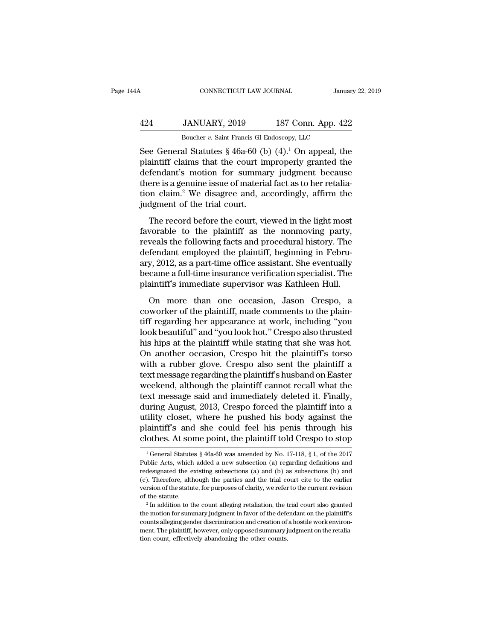## CONNECTICUT LAW JOURNAL January 22, 2019<br>424 JANUARY, 2019 187 Conn. App. 422<br>Boucher v. Saint Francis GI Endoscopy, LLC CONNECTICUT LAW JOURNAL January 22, 2019<br>424 JANUARY, 2019 187 Conn. App. 422<br>Boucher *v*. Saint Francis GI Endoscopy, LLC<br>See General Statutes § 46a-60 (b) (4).<sup>1</sup> On appeal, the

CONNECTICUT LAW JOURNAL January 22, 2019<br>
424 JANUARY, 2019 187 Conn. App. 422<br>
Boucher v. Saint Francis GI Endoscopy, LLC<br>
See General Statutes § 46a-60 (b) (4).<sup>1</sup> On appeal, the<br>
plaintiff claims that the court improper  $\frac{424}{\text{Boucher } v. \text{ Saint Francis GI Endoscopy, LLC}}$ <br>Boucher v. Saint Francis GI Endoscopy, LLC<br>See General Statutes § 46a-60 (b) (4).<sup>1</sup> On appeal, the<br>plaintiff claims that the court improperly granted the<br>defendant's motion for summary jud  $\frac{424}{\text{Boucher } v. \text{ Saint Francis GI Endoscopy, LLC}}$ <br>Boucher v. Saint Francis GI Endoscopy, LLC<br>See General Statutes § 46a-60 (b) (4).<sup>1</sup> On appeal, the<br>plaintiff claims that the court improperly granted the<br>defendant's motion for summary judg 424 JANUARY, 2019 187 Conn. App. 422<br>Boucher v. Saint Francis GI Endoscopy, LLC<br>See General Statutes § 46a-60 (b) (4).<sup>1</sup> On appeal, the<br>plaintiff claims that the court improperly granted the<br>defendant's motion for summar Boucher *v*. Saint Francis GI Endoscopy, LLC<br>See General Statutes § 46a-60 (b) (4).<sup>1</sup> On appeal, the<br>plaintiff claims that the court improperly granted the<br>defendant's motion for summary judgment because<br>there is a genui Boucher v. Samt Francis GI E<br>See General Statutes  $\S$  46a-60 (b<br>plaintiff claims that the court in<br>defendant's motion for summa<br>there is a genuine issue of materia<br>tion claim.<sup>2</sup> We disagree and, a<br>judgment of the trial c aintiff claims that the court improperly granted the fendant's motion for summary judgment because<br>ere is a genuine issue of material fact as to her retalia-<br>on claim.<sup>2</sup> We disagree and, accordingly, affirm the<br>dgment of Frament claims and are court improperty granted are<br>defendant's motion for summary judgment because<br>there is a genuine issue of material fact as to her retalia-<br>tion claim.<sup>2</sup> We disagree and, accordingly, affirm the<br>judgm

reventually solid to the standard product there is a genuine issue of material fact as to her retaliation claim.<sup>2</sup> We disagree and, accordingly, affirm the judgment of the trial court.<br>The record before the court, viewed defendant employed the countries as the reduction claim.<sup>2</sup> We disagree and, accordingly, affirm the judgment of the trial court.<br>The record before the court, viewed in the light most favorable to the plaintiff as the nonm judgment of the trial court.<br>
The record before the court, viewed in the light most<br>
favorable to the plaintiff as the nonmoving party,<br>
reveals the following facts and procedural history. The<br>
defendant employed the plain The record before the court, viewed in the light most<br>favorable to the plaintiff as the nonmoving party,<br>reveals the following facts and procedural history. The<br>defendant employed the plaintiff, beginning in Febru-<br>ary, 20 The record before the court, viewed in the light most favorable to the plaintiff as the nonmoving party, reveals the following facts and procedural history. The defendant employed the plaintiff, beginning in February, 2012 For the fendant end plant. The state is and procedural history. The fendant employed the plaintiff, beginning in Febru-<br>y, 2012, as a part-time office assistant. She eventually<br>came a full-time insurance verification speci reveals the following facts and procedural history. The defendant employed the plaintiff, beginning in February, 2012, as a part-time office assistant. She eventually became a full-time insurance verification specialist. T

ary, 2012, as a part-time office assistant. She eventually<br>became a full-time insurance verification specialist. The<br>plaintiff's immediate supervisor was Kathleen Hull.<br>On more than one occasion, Jason Crespo, a<br>coworker o Look beame a full-time insurance verification specialist. The plaintiff's immediate supervisor was Kathleen Hull.<br>On more than one occasion, Jason Crespo, a coworker of the plaintiff, made comments to the plaintiff regardi plaintiff's immediate supervisor was Kathleen Hull.<br>On more than one occasion, Jason Crespo, a<br>coworker of the plaintiff, made comments to the plain-<br>tiff regarding her appearance at work, including "you<br>look beautiful" an On more than one occasion, Jason Crespo, a<br>coworker of the plaintiff, made comments to the plain-<br>tiff regarding her appearance at work, including "you<br>look beautiful" and "you look hot." Crespo also thrusted<br>his hips at t On more than one occasion, Jason Crespo, a<br>coworker of the plaintiff, made comments to the plain-<br>tiff regarding her appearance at work, including "you<br>look beautiful" and "you look hot." Crespo also thrusted<br>his hips at t coworker of the plaintiff, made comments to the plaintiff regarding her appearance at work, including "you look beautiful" and "you look hot." Crespo also thrusted his hips at the plaintiff while stating that she was hot. tiff regarding her appearance at work, including "you<br>look beautiful" and "you look hot." Crespo also thrusted<br>his hips at the plaintiff while stating that she was hot.<br>On another occasion, Crespo hit the plaintiff's torso look beautiful" and "you look hot." Crespo also thrusted<br>his hips at the plaintiff while stating that she was hot.<br>On another occasion, Crespo hit the plaintiff's torso<br>with a rubber glove. Crespo also sent the plaintiff a his hips at the plaintiff while stating that she was hot.<br>On another occasion, Crespo hit the plaintiff's torso<br>with a rubber glove. Crespo also sent the plaintiff a<br>text message regarding the plaintiff's husband on Easter On another occasion, Crespo hit the plaintiff's torso<br>with a rubber glove. Crespo also sent the plaintiff a<br>text message regarding the plaintiff's husband on Easter<br>weekend, although the plaintiff cannot recall what the<br>te with a rubber glove. Crespo also sent the plaintiff a<br>text message regarding the plaintiff's husband on Easter<br>weekend, although the plaintiff cannot recall what the<br>text message said and immediately deleted it. Finally,<br>d text message regarding the plaintiff's husband on Easter<br>weekend, although the plaintiff cannot recall what the<br>text message said and immediately deleted it. Finally,<br>during August, 2013, Crespo forced the plaintiff into during August, 2013, Crespo forced the plaintiff into a utility closet, where he pushed his body against the plaintiff's and she could feel his penis through his clothes. At some point, the plaintiff told Crespo to stop utility closet, where he pushed his body against the plaintiff's and she could feel his penis through his clothes. At some point, the plaintiff told Crespo to stop  $\frac{1}{1}$  General Statutes § 46a-60 was amended by No. 17

plaintiff's and she could feel his penis through his clothes. At some point, the plaintiff told Crespo to stop  $\frac{1}{1}$  General Statutes  $\frac{8}{16a-60}$  was amended by No. 17-118,  $\frac{8}{1}$ , of the 2017 Public Acts, which clothes. At some point, the plaintiff told Crespo to stop  $\frac{1}{1}$  General Statutes § 46a-60 was amended by No. 17-118, § 1, of the 2017 Public Acts, which added a new subsection (a) regarding definitions and redesignate version of the statute, for purposes of clarity, we refer to the current revision of the statute, for purposes of clarity, we refer to the current revision of the statute. <sup>1</sup> General Statutes § 46a-60 was amended by No. 17-118, § 1, of the 2017<br>Public Acts, which added a new subsection (a) regarding definitions and<br>redesignated the existing subsections (a) and (b) as subsections (b) and<br>(c redesignated the existing subsections (a) and (b) as subsections (b) and (c). Therefore, although the parties and the trial court cite to the earlier version of the statute, for purposes of clarity, we refer to the curren version of the statute, for purposes of clarity, we refer to the current revision

<sup>(</sup>c). Therefore, although the parties and the trial court cite to the earlier version of the statute, for purposes of clarity, we refer to the current revision of the statute.<br>
<sup>2</sup> In addition to the count alleging retalia  $2$  In addition to the count alleging retaliation, the trial court also granted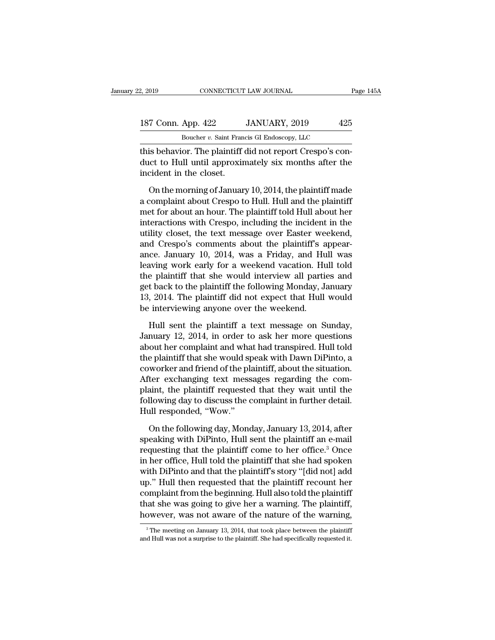| 2, 2019            | CONNECTICUT LAW JOURNAL                                   |     |
|--------------------|-----------------------------------------------------------|-----|
| 187 Conn. App. 422 | JANUARY, 2019                                             | 425 |
|                    | Boucher v. Saint Francis GI Endoscopy, LLC                |     |
|                    | this behavior. The plaintiff did not report Crespo's con- |     |

2, 2019 CONNECTICUT LAW JOURNAL<br>
187 Conn. App. 422 JANUARY, 2019 425<br>
Boucher v. Saint Francis GI Endoscopy, LLC<br>
this behavior. The plaintiff did not report Crespo's con-<br>
duct to Hull until approximately six months afte 187 Conn. App. 422 JANUARY, 2019 425<br>Boucher v. Saint Francis GI Endoscopy, LLC<br>this behavior. The plaintiff did not report Crespo's conduct to Hull until approximately six months after the<br>incident in the closet.  $\begin{tabular}{r} 187 \textbf{Conn. App. 422} \\ \hline \textbf{Boucher } v. \textbf{Saint Fran} \\ \textbf{this behavior. The plaintiff (duct to Hull until approxir incident in the closest.} \\ \textbf{On the morning of January 2012} \\ \end{tabular}$  $\frac{1}{100}$  Boucher v. Saint Francis GI Endoscopy, LLC<br>
is behavior. The plaintiff did not report Crespo's con-<br>
ict to Hull until approximately six months after the<br>
cident in the closet.<br>
On the morning of January 10, 2

Boucher  $v$ . Saint Francis GI Endoscopy, LLC<br>this behavior. The plaintiff did not report Crespo's con-<br>duct to Hull until approximately six months after the<br>incident in the closet.<br>On the morning of January 10, 2014, the this behavior. The plaintiff did not report Crespo's conduct to Hull until approximately six months after the<br>incident in the closet.<br>On the morning of January 10, 2014, the plaintiff made<br>a complaint about Crespo to Hull. duct to Hull until approximately six months after the<br>incident in the closet.<br>On the morning of January 10, 2014, the plaintiff made<br>a complaint about Crespo to Hull. Hull and the plaintiff<br>met for about an hour. The plain incident in the closet.<br>
On the morning of January 10, 2014, the plaintiff made<br>
a complaint about Crespo to Hull. Hull and the plaintiff<br>
met for about an hour. The plaintiff told Hull about her<br>
interactions with Crespo On the morning of January 10, 2014, the plaintiff made<br>a complaint about Crespo to Hull. Hull and the plaintiff<br>met for about an hour. The plaintiff told Hull about her<br>interactions with Crespo, including the incident in t On the morning of January 10, 2014, the plaintiff made<br>a complaint about Crespo to Hull. Hull and the plaintiff<br>met for about an hour. The plaintiff told Hull about her<br>interactions with Crespo, including the incident in t a complaint about Crespo to Hull. Hull and the plaintiff<br>met for about an hour. The plaintiff told Hull about her<br>interactions with Crespo, including the incident in the<br>utility closet, the text message over Easter weekend met for about an hour. The plaintiff told Hull about her<br>interactions with Crespo, including the incident in the<br>utility closet, the text message over Easter weekend,<br>and Crespo's comments about the plaintiff's appear-<br>anc interactions with Crespo, including the incident in the<br>utility closet, the text message over Easter weekend,<br>and Crespo's comments about the plaintiff's appear-<br>ance. January 10, 2014, was a Friday, and Hull was<br>leaving w utility closet, the text message over Easter weekend,<br>and Crespo's comments about the plaintiff's appear-<br>ance. January 10, 2014, was a Friday, and Hull was<br>leaving work early for a weekend vacation. Hull told<br>the plaintif and Crespo's comments about the plaintiff's a<br>ance. January 10, 2014, was a Friday, and Hu<br>leaving work early for a weekend vacation. Hu<br>the plaintiff that she would interview all partie<br>get back to the plaintiff the follo aving work early for a weekend vacation. Hull told<br>e plaintiff that she would interview all parties and<br>t back to the plaintiff the following Monday, January<br>, 2014. The plaintiff did not expect that Hull would<br>interviewin the plaintiff that she would interview all parties and<br>get back to the plaintiff the following Monday, January<br>13, 2014. The plaintiff did not expect that Hull would<br>be interviewing anyone over the weekend.<br>Hull sent the p

get back to the plaintiff the following Monday, January<br>13, 2014. The plaintiff did not expect that Hull would<br>be interviewing anyone over the weekend.<br>Hull sent the plaintiff a text message on Sunday,<br>January 12, 2014, in 13, 2014. The plaintiff did not expect that Hull would<br>be interviewing anyone over the weekend.<br>Hull sent the plaintiff a text message on Sunday,<br>January 12, 2014, in order to ask her more questions<br>about her complaint an be interviewing anyone over the weekend.<br>
Hull sent the plaintiff a text message on Sunday,<br>
January 12, 2014, in order to ask her more questions<br>
about her complaint and what had transpired. Hull told<br>
the plaintiff that Hull sent the plaintiff a text message on Sunday,<br>January 12, 2014, in order to ask her more questions<br>about her complaint and what had transpired. Hull told<br>the plaintiff that she would speak with Dawn DiPinto, a<br>coworker Hull sent the plaintiff a text message on Sunday,<br>January 12, 2014, in order to ask her more questions<br>about her complaint and what had transpired. Hull told<br>the plaintiff that she would speak with Dawn DiPinto, a<br>coworker January 12, 2014, in order to ask her more questions<br>about her complaint and what had transpired. Hull told<br>the plaintiff that she would speak with Dawn DiPinto, a<br>coworker and friend of the plaintiff, about the situation. about her complaint and wha<br>the plaintiff that she would sp<br>coworker and friend of the pla<br>After exchanging text mess<br>plaint, the plaintiff requested<br>following day to discuss the c<br>Hull responded, "Wow."<br>On the following d worker and friend of the plaintiff, about the situation.<br>
ter exchanging text messages regarding the com-<br>
aint, the plaintiff requested that they wait until the<br>
llowing day to discuss the complaint in further detail.<br>
ul After exchanging text messages regarding the complaint, the plaintiff requested that they wait until the following day to discuss the complaint in further detail.<br>Hull responded, "Wow."<br>On the following day, Monday, Januar

plaint, the plaintiff requested that they wait until the following day to discuss the complaint in further detail.<br>Hull responded, "Wow."<br>On the following day, Monday, January 13, 2014, after<br>speaking with DiPinto, Hull se following day to discuss the complaint in further detail.<br>Hull responded, "Wow."<br>On the following day, Monday, January 13, 2014, after<br>speaking with DiPinto, Hull sent the plaintiff an e-mail<br>requesting that the plaintiff Hull responded, "Wow."<br>
On the following day, Monday, January 13, 2014, after<br>
speaking with DiPinto, Hull sent the plaintiff an e-mail<br>
requesting that the plaintiff come to her office.<sup>3</sup> Once<br>
in her office, Hull told t On the following day, Monday, January 13, 2014, after<br>speaking with DiPinto, Hull sent the plaintiff an e-mail<br>requesting that the plaintiff come to her office.<sup>3</sup> Once<br>in her office, Hull told the plaintiff that she had s On the following day, Monday, January 13, 2014, after<br>speaking with DiPinto, Hull sent the plaintiff an e-mail<br>requesting that the plaintiff come to her office.<sup>3</sup> Once<br>in her office, Hull told the plaintiff that she had s speaking with DiPinto, Hull sent the plaintiff an e-mail<br>requesting that the plaintiff come to her office.<sup>3</sup> Once<br>in her office, Hull told the plaintiff that she had spoken<br>with DiPinto and that the plaintiff's story "[di requesting that the plaintiff come to her office.<sup>3</sup> Once<br>in her office, Hull told the plaintiff that she had spoken<br>with DiPinto and that the plaintiff's story "[did not] add<br>up." Hull then requested that the plaintiff re 9. Hull then requested that the plaintiff recount her<br>omplaint from the beginning. Hull also told the plaintiff<br>at she was going to give her a warning. The plaintiff,<br>owever, was not aware of the nature of the warning,<br><sup>3</sup> complaint from the beginning. Hull also told the plaintiff<br>that she was going to give her a warning. The plaintiff,<br>however, was not aware of the nature of the warning,<br> $\frac{1}{3}$ The meeting on January 13, 2014, that took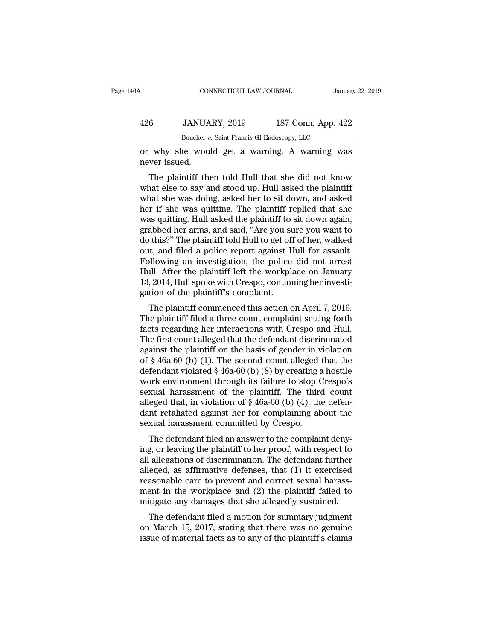| ЗA            | CONNECTICUT LAW JOURNAL                            | January 22, 2019   |
|---------------|----------------------------------------------------|--------------------|
| 426           | JANUARY, 2019                                      | 187 Conn. App. 422 |
|               | Boucher v. Saint Francis GI Endoscopy, LLC         |                    |
| never issued. | or why she would get a warning. A warning was      |                    |
|               | The plaintiff then told Hull that she did not know |                    |

 $\frac{187 \text{ Conn.} \text{ App. } 422}{\text{Boucher } v. \text{ Saint Francis GI Endoscopy, LLC}}$ <br>why she would get a warning. A warning was<br>ver issued.<br>The plaintiff then told Hull that she did not know<br>nat else to say and stood up. Hull asked the plaintiff<br>and she was d  $\frac{426}{Boucher v. Saint Francis GI Endoscopy, LLC}$ <br>
or why she would get a warning. A warning was<br>
never issued.<br>
The plaintiff then told Hull that she did not know<br>
what else to say and stood up. Hull asked the plaintiff<br>
what she was doing, aske Boucher  $v$ . Saint Francis GI Endoscopy, LLC<br>
or why she would get a warning. A warning was<br>
never issued.<br>
The plaintiff then told Hull that she did not know<br>
what else to say and stood up. Hull asked the plaintiff<br>
what or why she would get a warning. A warning was<br>never issued.<br>The plaintiff then told Hull that she did not know<br>what else to say and stood up. Hull asked the plaintiff<br>what she was doing, asked her to sit down, and asked<br>he or why she would get a warning. A warning was<br>never issued.<br>The plaintiff then told Hull that she did not know<br>what else to say and stood up. Hull asked the plaintiff<br>what she was doing, asked her to sit down, and asked<br>he The plaintiff then told Hull that she did not know<br>what else to say and stood up. Hull asked the plaintiff<br>what she was doing, asked her to sit down, and asked<br>her if she was quitting. The plaintiff replied that she<br>was qu The plaintiff then told Hull that she did not know<br>what else to say and stood up. Hull asked the plaintiff<br>what she was doing, asked her to sit down, and asked<br>her if she was quitting. The plaintiff replied that she<br>was qu what else to say and stood up. Hull asked the plaintiff<br>what she was doing, asked her to sit down, and asked<br>her if she was quitting. The plaintiff replied that she<br>was quitting. Hull asked the plaintiff to sit down again, what she was doing, asked her to sit down, and asked<br>her if she was quitting. The plaintiff replied that she<br>was quitting. Hull asked the plaintiff to sit down again,<br>grabbed her arms, and said, "Are you sure you want to<br>d her if she was quitting. The plaintiff replied that she<br>was quitting. Hull asked the plaintiff to sit down again,<br>grabbed her arms, and said, "Are you sure you want to<br>do this?" The plaintiff told Hull to get off of her, w was quitting. Hull asked the plaintiff to sit down again, grabbed her arms, and said, "Are you sure you want to do this?" The plaintiff told Hull to get off of her, walked out, and filed a police report against Hull for as grabbed her arms, and said, "Are you su<br>do this?" The plaintiff told Hull to get off<br>out, and filed a police report against H<br>Following an investigation, the police<br>Hull. After the plaintiff left the workpl:<br>13, 2014, Hull The plaintiff comments and the police report against Hull for assault.<br>Illowing an investigation, the police did not arrest<br>Ill. After the plaintiff left the workplace on January<br>, 2014, Hull spoke with Crespo, continuing out, and filed a poince report against rium for assaunt.<br>Following an investigation, the police did not arrest<br>Hull. After the plaintiff left the workplace on January<br>13, 2014, Hull spoke with Crespo, continuing her invest

Following an investigation, the poince that not artest<br>Hull. After the plaintiff left the workplace on January<br>13, 2014, Hull spoke with Crespo, continuing her investi-<br>gation of the plaintiff's complaint.<br>The plaintiff co The first count alleged that the basis of gender in vesti-<br>gation of the plaintiff's complaint.<br>The plaintiff commenced this action on April 7, 2016.<br>The plaintiff filed a three count complaint setting forth<br>facts regardi 15, 2014, Hull spoke what Crespo, communing her invesu-<br>gation of the plaintiff's complaint.<br>The plaintiff filed a three count complaint setting forth<br>facts regarding her interactions with Crespo and Hull.<br>The first count The plaintiff commenced this action on April 7, 2016.<br>The plaintiff filed a three count complaint setting forth<br>facts regarding her interactions with Crespo and Hull.<br>The first count alleged that the defendant discriminat The plaintiff commenced this action on April 7, 2016.<br>The plaintiff filed a three count complaint setting forth<br>facts regarding her interactions with Crespo and Hull.<br>The first count alleged that the defendant discriminat The plaintiff filed a three count complaint setting forth<br>facts regarding her interactions with Crespo and Hull.<br>The first count alleged that the defendant discriminated<br>against the plaintiff on the basis of gender in vio facts regarding her interactions with Crespo and Hull.<br>The first count alleged that the defendant discriminated<br>against the plaintiff on the basis of gender in violation<br>of  $\S$  46a-60 (b) (1). The second count alleged tha The first count alleged that the defendant discriminated<br>against the plaintiff on the basis of gender in violation<br>of § 46a-60 (b) (1). The second count alleged that the<br>defendant violated § 46a-60 (b) (8) by creating a h against the plaintiff on the basis of gender in violation<br>of  $\S$  46a-60 (b) (1). The second count alleged that the<br>defendant violated  $\S$  46a-60 (b) (8) by creating a hostile<br>work environment through its failure to stop C of § 46a-60 (b) (1). The second count alleged defendant violated § 46a-60 (b) (8) by creating a work environment through its failure to stop (sexual harassment of the plaintiff. The third alleged that, in violation of § 4 The defendant violated  $\frac{1}{2}$  and  $\frac{1}{2}$  and  $\frac{1}{2}$  and  $\frac{1}{2}$  and  $\frac{1}{2}$  and  $\frac{1}{2}$  and  $\frac{1}{2}$  and  $\frac{1}{2}$  and  $\frac{1}{2}$  and  $\frac{1}{2}$  and  $\frac{1}{2}$  and  $\frac{1}{2}$  and  $\frac{1}{2}$  and  $\frac{1}{2}$  and  $\$ work environment through its rande to stop crespo's<br>sexual harassment of the plaintiff. The third count<br>alleged that, in violation of  $\S$  46a-60 (b) (4), the defen-<br>dant retaliated against her for complaining about the<br>se

sexuar harassment of the plantific. The time count<br>alleged that, in violation of § 46a-60 (b) (4), the defen-<br>dant retaliated against her for complaining about the<br>sexual harassment committed by Crespo.<br>The defendant filed alleged that, in violation of  $\S$  40a<sup>-00</sup> (b) (4), the defendant retaliated against her for complaining about the sexual harassment committed by Crespo.<br>The defendant filed an answer to the complaint denying, or leaving reasonal harassment committed by Crespo.<br>The defendant filed an answer to the complaint deny-<br>ing, or leaving the plaintiff to her proof, with respect to<br>all allegations of discrimination. The defendant further<br>alleged, as Sexuar narassment committed by Orespo.<br>The defendant filed an answer to the complaint deny-<br>ing, or leaving the plaintiff to her proof, with respect to<br>all allegations of discrimination. The defendant further<br>alleged, as a The defendant filed an answer to the complaint denying, or leaving the plaintiff to her proof, with respect to all allegations of discrimination. The defendant further alleged, as affirmative defenses, that (1) it exercise g, or leaving the plantifilm to the proof, which respect to allegations of discrimination. The defendant further eged, as affirmative defenses, that (1) it exercised as<br>onable care to prevent and correct sexual harassent alleged, as affirmative defenses, that (1) it exercised<br>reasonable care to prevent and correct sexual harass-<br>ment in the workplace and (2) the plaintiff failed to<br>mitigate any damages that she allegedly sustained.<br>The def Franklington as annihilative defenses, that  $(1)$  it exercised reasonable care to prevent and correct sexual harassment in the workplace and  $(2)$  the plaintiff failed to mitigate any damages that she allegedly sustained.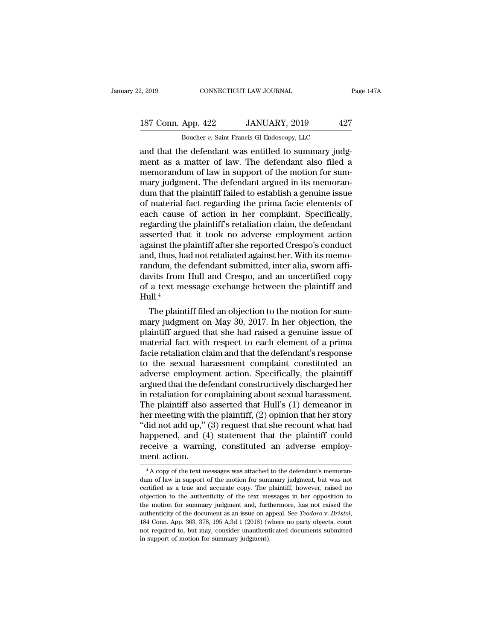### 2, 2019 CONNECTICUT LAW JOURNAL Page 147A<br>187 Conn. App. 422 JANUARY, 2019 427<br>Boucher v. Saint Francis GI Endoscopy, LLC CONNECTICUT LAW JOURNAL<br>App. 422 JANUARY, 2019 42'<br>Boucher *v.* Saint Francis GI Endoscopy, LLC<br>ne defendant was entitled to summary judg

2, 2019 CONNECTICUT LAW JOURNAL<br>
187 Conn. App. 422 JANUARY, 2019 427<br>
Boucher v. Saint Francis GI Endoscopy, LLC<br>
and that the defendant was entitled to summary judg-<br>
ment as a matter of law. The defendant also filed a<br> 187 Conn. App. 422 JANUARY, 2019 427<br>Boucher v. Saint Francis GI Endoscopy, LLC<br>and that the defendant was entitled to summary judg-<br>ment as a matter of law. The defendant also filed a<br>memorandum of law in support of the m 187 Conn. App. 422 JANUARY, 2019 427<br>Boucher v. Saint Francis GI Endoscopy, LLC<br>and that the defendant was entitled to summary judg-<br>ment as a matter of law. The defendant also filed a<br>memorandum of law in support of the 187 Conn. App. 422 JANUARY, 2019 427<br>Boucher v. Saint Francis GI Endoscopy, LLC<br>and that the defendant was entitled to summary judgment as a matter of law. The defendant also filed a<br>memorandum of law in support of the mo Boucher *v*. Saint Francis GI Endoscopy, LLC<br>and that the defendant was entitled to summary judg-<br>ment as a matter of law. The defendant also filed a<br>memorandum of law in support of the motion for sum-<br>mary judgment. The Boucher v. Saint Francis GI Endoscopy, LLC<br>and that the defendant was entitled to summary judg-<br>ment as a matter of law. The defendant also filed a<br>memorandum of law in support of the motion for sum-<br>mary judgment. The de and that the defendant was entitled to summary judgment as a matter of law. The defendant also filed a memorandum of law in support of the motion for summary judgment. The defendant argued in its memorandum that the plaint ment as a matter of law. The defendant also filed a<br>memorandum of law in support of the motion for sum-<br>mary judgment. The defendant argued in its memoran-<br>dum that the plaintiff failed to establish a genuine issue<br>of mate memorandum of law in support of the motion for sum-<br>mary judgment. The defendant argued in its memoran-<br>dum that the plaintiff failed to establish a genuine issue<br>of material fact regarding the prima facie elements of<br>each mary judgment. The defendant argued in its memorandum that the plaintiff failed to establish a genuine issue<br>of material fact regarding the prima facie elements of<br>each cause of action in her complaint. Specifically,<br>regar dum that the plaintiff failed to establish a genuine issue<br>of material fact regarding the prima facie elements of<br>each cause of action in her complaint. Specifically,<br>regarding the plaintiff's retaliation claim, the defend of material fact regarding the prima facie elements of<br>each cause of action in her complaint. Specifically,<br>regarding the plaintiff's retaliation claim, the defendant<br>asserted that it took no adverse employment action<br>agai each cause of action in her complaint. Specifically,<br>regarding the plaintiff's retaliation claim, the defendant<br>asserted that it took no adverse employment action<br>against the plaintiff after she reported Crespo's conduct<br>a regarding the plaintiff's retaliation claim, the defendant<br>asserted that it took no adverse employment action<br>against the plaintiff after she reported Crespo's conduct<br>and, thus, had not retaliated against her. With its me Hull. $4$ amst the plaintiff atter she reported Crespo s conduct<br>d, thus, had not retaliated against her. With its memo-<br>ndum, the defendant submitted, inter alia, sworn affi-<br>wits from Hull and Crespo, and an uncertified copy<br>a te and, thus, had not retallated against her. With its memo-<br>randum, the defendant submitted, inter alia, sworn affi-<br>davits from Hull and Crespo, and an uncertified copy<br>of a text message exchange between the plaintiff and<br>H

randum, the derendant submitted, inter aila, sworn am-<br>davits from Hull and Crespo, and an uncertified copy<br>of a text message exchange between the plaintiff and<br>Hull.<sup>4</sup><br>The plaintiff filed an objection to the motion for s davits from Hull and Crespo, and an uncertified copy<br>of a text message exchange between the plaintiff and<br>Hull.<sup>4</sup><br>The plaintiff filed an objection to the motion for sum-<br>mary judgment on May 30, 2017. In her objection, t or a text message exchange between the plaintiff and<br>Hull.<sup>4</sup><br>The plaintiff filed an objection to the motion for sum-<br>mary judgment on May 30, 2017. In her objection, the<br>plaintiff argued that she had raised a genuine issu Hull.<br>The plaintiff filed an objection to the motion for summary judgment on May 30, 2017. In her objection, the<br>plaintiff argued that she had raised a genuine issue of<br>material fact with respect to each element of a prima The plaintiff filed an objection to the motion for summary judgment on May 30, 2017. In her objection, the plaintiff argued that she had raised a genuine issue of material fact with respect to each element of a prima facie mary judgment on May 30, 2017. In her objection, the plaintiff argued that she had raised a genuine issue of material fact with respect to each element of a prima facie retaliation claim and that the defendant's response t plaintiff argued that she had raised a genuine issue of<br>material fact with respect to each element of a prima<br>facie retaliation claim and that the defendant's response<br>to the sexual harassment complaint constituted an<br>adve material fact with respect to each element of a prima<br>facie retaliation claim and that the defendant's response<br>to the sexual harassment complaint constituted an<br>adverse employment action. Specifically, the plaintiff<br>argue facie retaliation claim and that the defendant's response<br>to the sexual harassment complaint constituted an<br>adverse employment action. Specifically, the plaintiff<br>argued that the defendant constructively discharged her<br>in to the sexual harassment complaint constituted an<br>adverse employment action. Specifically, the plaintiff<br>argued that the defendant constructively discharged her<br>in retaliation for complaining about sexual harassment.<br>The p adverse employment action. Specifically, the plaintiff<br>argued that the defendant constructively discharged her<br>in retaliation for complaining about sexual harassment.<br>The plaintiff also asserted that Hull's (1) demeanor in argued that the defendant constructively discharged her<br>in retaliation for complaining about sexual harassment.<br>The plaintiff also asserted that Hull's (1) demeanor in<br>her meeting with the plaintiff, (2) opinion that her s in retaliation for c<br>The plaintiff also<br>her meeting with t<br>"did not add up," (<br>happened, and (4<br>receive a warnin<br>ment action. did not add up," (3) request that she recount what had<br>appened, and (4) statement that the plaintiff could<br>ceive a warning, constituted an adverse employ-<br>ent action.<br><sup>4</sup>A copy of the text messages was attached to the defe happened, and (4) statement that the plaintiff could<br>receive a warning, constituted an adverse employ-<br>ment action.<br> $\frac{4 \text{ A copy of the text messages was attached to the defendant's memorandum of law in support of the motion for summary judgment, but was not certified as a true and accurate copy. The plaintiff, however, raised no$ 

receive a warning, constituted an adverse employ-<br>ment action.<br><sup>4</sup>A copy of the text messages was attached to the defendant's memorandum of law in support of the motion for summary judgment, but was not certified as a true ment action.<br>
<sup>4</sup> A copy of the text messages was attached to the defendant's memorandum of law in support of the motion for summary judgment, but was not certified as a true and accurate copy. The plaintiff, however, rais  $^{4}$ A copy of the text messages was attached to the defendant's memorandum of law in support of the motion for summary judgment, but was not certified as a true and accurate copy. The plaintiff, however, raised no object <sup>4</sup> A copy of the text messages was attached to the defendant's memorandum of law in support of the motion for summary judgment, but was not certified as a true and accurate copy. The plaintiff, however, raised no objecti certified as a true and accurate copy. The plaintiff, however, raised no<br>objection to the authenticity of the text messages in her opposition to<br>the motion for summary judgment and, furthermore, has not raised the<br>authenti certified as a true and accurate copy. The plaintiff, however, raised no objection to the authenticity of the text messages in her opposition to the motion for summary judgment and, furthermore, has not raised the authent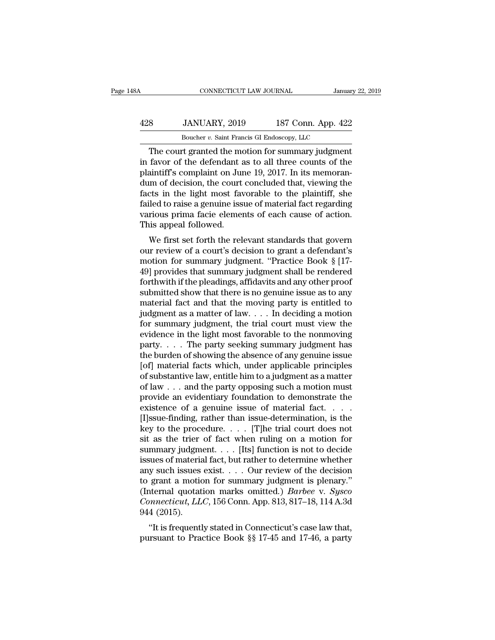### CONNECTICUT LAW JOURNAL January 22, 2019<br>
428 JANUARY, 2019 187 Conn. App. 422<br>
Boucher v. Saint Francis GI Endoscopy, LLC CONNECTICUT LAW JOURNAL Janua<br>JANUARY, 2019 187 Conn. App. 42:<br>Boucher *v.* Saint Francis GI Endoscopy, LLC<br>ort granted the motion for summary judgment

CONNECTICUT LAW JOURNAL January 22, 2019<br>
Sanuary 22, 2019<br>
Boucher v. Saint Francis GI Endoscopy, LLC<br>
The court granted the motion for summary judgment<br>
favor of the defendant as to all three counts of the<br>
sintiff's com  $\frac{428}{\text{Boucher } v. \text{ Saint Francis GI Endoscopy, LLC}}$ <br>
In favor of the defendant as to all three counts of the plaintiff's complaint on June 19, 2017. In its memoran-<br>
The count granted the motion for summary judgment<br>
plaintiff's complaint on  $\frac{428}{\text{Boucher } v. \text{ Saint Francis GI Endoscopy, LLC}}$ <br>Boucher v. Saint Francis GI Endoscopy, LLC<br>The court granted the motion for summary judgment<br>in favor of the defendant as to all three counts of the<br>plaintiff's complaint on June 19, 2017.  $\frac{428}{\text{Boucher } v. \text{ Saint Francis GI Endoscopy, LLC}}$ <br>Boucher *v.* Saint Francis GI Endoscopy, LLC<br>The court granted the motion for summary judgment<br>in favor of the defendant as to all three counts of the<br>plaintiff's complaint on June 19, 2017. For example, the light most favorable to the plaintiff most favor of the defendant as to all three counts of the plaintiff's complaint on June 19, 2017. In its memorandum of decision, the court concluded that, viewing the  $\overline{B}$  Boucher *v*. Sant Francis GI Endoscopy, LLC<br>
The court granted the motion for summary judgment<br>
in favor of the defendant as to all three counts of the<br>
plaintiff's complaint on June 19, 2017. In its memoran-<br>
du The court granted the motion for summary judgment<br>in favor of the defendant as to all three counts of the<br>plaintiff's complaint on June 19, 2017. In its memoran-<br>dum of decision, the court concluded that, viewing the<br>facts in favor of the defendant a<br>plaintiff's complaint on Jur<br>dum of decision, the court<br>facts in the light most fax<br>failed to raise a genuine iss<br>various prima facie elemer<br>This appeal followed.<br>We first set forth the rele Multim's complaint on June 19, 2017. In its inemoral-<br>im of decision, the court concluded that, viewing the<br>cts in the light most favorable to the plaintiff, she<br>iled to raise a genuine issue of material fact regarding<br>rio our of decision, the court concluded that, viewing the<br>facts in the light most favorable to the plaintiff, she<br>failed to raise a genuine issue of material fact regarding<br>various prima facie elements of each cause of action

racts in the light most ravorable to the plantum, she<br>failed to raise a genuine issue of material fact regarding<br>various prima facie elements of each cause of action.<br>This appeal followed.<br>We first set forth the relevant s raned to raise a genuine issue of inaterial ract regarding<br>various prima facie elements of each cause of action.<br>This appeal followed.<br>We first set forth the relevant standards that govern<br>our review of a court's decision various prima racie elements of each cause of action.<br>This appeal followed.<br>We first set forth the relevant standards that govern<br>our review of a court's decision to grant a defendant's<br>motion for summary judgment. "Practi This appear followed.<br>
We first set forth the relevant standards that govern<br>
our review of a court's decision to grant a defendant's<br>
motion for summary judgment. "Practice Book § [17-<br>
49] provides that summary judgment We first set forth the relevant standards that govern<br>our review of a court's decision to grant a defendant's<br>motion for summary judgment. "Practice Book § [17-<br>49] provides that summary judgment shall be rendered<br>forthwi our review of a court's decision to grant a defendant's<br>motion for summary judgment. "Practice Book § [17-49] provides that summary judgment shall be rendered<br>forthwith if the pleadings, affidavits and any other proof<br>subm motion for summary judgment, "Practice Book § [17-49] provides that summary judgment shall be rendered forthwith if the pleadings, affidavits and any other proof submitted show that there is no genuine issue as to any mat 49] provides that summary judgment shall be rendered<br>forthwith if the pleadings, affidavits and any other proof<br>submitted show that there is no genuine issue as to any<br>material fact and that the moving party is entitled t forthwith if the pleadings, affidavits and any other proof<br>submitted show that there is no genuine issue as to any<br>material fact and that the moving party is entitled to<br>judgment as a matter of law. . . . In deciding a mo submitted show that there is no genuine issue as to any<br>material fact and that the moving party is entitled to<br>judgment as a matter of law.... In deciding a motion<br>for summary judgment, the trial court must view the<br>evide material fact and that the moving party is entitled to<br>judgment as a matter of law. . . . In deciding a motion<br>for summary judgment, the trial court must view the<br>evidence in the light most favorable to the nonmoving<br>part judgment as a matter of law. . . . In deciding a motion<br>for summary judgment, the trial court must view the<br>evidence in the light most favorable to the nonmoving<br>party. . . . The party seeking summary judgment has<br>the bur for summary judgment, the trial court must view the evidence in the light most favorable to the nonmoving party. . . . The party seeking summary judgment has the burden of showing the absence of any genuine issue [of] mat evidence in the light most favorable to the nonmoving<br>party. . . . The party seeking summary judgment has<br>the burden of showing the absence of any genuine issue<br>[of] material facts which, under applicable principles<br>of su party. . . . The party seeking summary judgment has<br>the burden of showing the absence of any genuine issue<br>[of] material facts which, under applicable principles<br>of substantive law, entitle him to a judgment as a matter<br>o the burden of showing the absence of any genuine issue<br>[of] material facts which, under applicable principles<br>of substantive law, entitle him to a judgment as a matter<br>of law  $\ldots$  and the party opposing such a motion mus [of] material facts which, under applicable principles<br>of substantive law, entitle him to a judgment as a matter<br>of law . . . and the party opposing such a motion must<br>provide an evidentiary foundation to demonstrate the<br> % of substantive law, entitle him to a judgment as a matter<br>of law . . . and the party opposing such a motion must<br>provide an evidentiary foundation to demonstrate the<br>existence of a genuine issue of material fact. . . .<br> of law . . . and the party opposing such a motion must<br>provide an evidentiary foundation to demonstrate the<br>existence of a genuine issue of material fact. . . .<br>[I]ssue-finding, rather than issue-determination, is the<br>key provide an evidentiary foundation to demonstrate the<br>existence of a genuine issue of material fact. . . .<br>[I]ssue-finding, rather than issue-determination, is the<br>key to the procedure. . . . [T]he trial court does not<br>sit any such issues exist. . . . Our review of the decision [I]ssue-finding, rather than issue-determination, is the<br>key to the procedure. . . . [T]he trial court does not<br>sit as the trier of fact when ruling on a motion for<br>summary judgment. . . . [Its] function is not to decide<br> key to the procedure. . . . . [T]he trial court does not<br>sit as the trier of fact when ruling on a motion for<br>summary judgment. . . . [Its] function is not to decide<br>issues of material fact, but rather to determine whether sit as the trier of fact when ruling on a motion for<br>summary judgment. . . . . [Its] function is not to decide<br>issues of material fact, but rather to determine whether<br>any such issues exist. . . . Our review of the decisio summary judgm<br>issues of materia<br>any such issues<br>to grant a motic<br>(Internal quotat<br>*Connecticut*, *LL*<br>944 (2015).<br>"It is frequentl but is formaterial ract, but rather to determine whether<br>y such issues exist.... Our review of the decision<br>grant a motion for summary judgment is plenary."<br>ternal quotation marks omitted.) *Barbee* v. Sysco<br>mmecticut, LLC any such issues exist. . . . Our review of the decision<br>to grant a motion for summary judgment is plenary."<br>(Internal quotation marks omitted.) *Barbee* v. *Sysco*<br>*Connecticut, LLC*, 156 Conn. App. 813, 817–18, 114 A.3d<br>9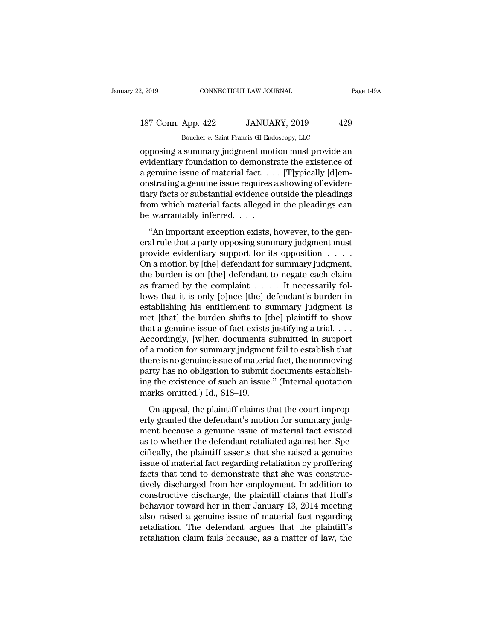### 2, 2019 CONNECTICUT LAW JOURNAL Page 149A<br>187 Conn. App. 422 JANUARY, 2019 429<br>Boucher v. Saint Francis GI Endoscopy, LLC CONNECTICUT LAW JOURNAL<br>App. 422 JANUARY, 2019 429<br>Boucher *v.* Saint Francis GI Endoscopy, LLC<br>summary judgment motion must provide at

opposing a summary judgment motion must provide an<br>evidentiary foundation to demonstrate the existence of<br>a summary judgment motion must provide an<br>evidentiary foundation to demonstrate the existence of<br>a sequine issue of 187 Conn. App. 422 JANUARY, 2019 429<br>
Boucher v. Saint Francis GI Endoscopy, LLC<br>
opposing a summary judgment motion must provide an<br>
evidentiary foundation to demonstrate the existence of<br>
a genuine issue of material fact 187 Conn. App. 422 JANUARY, 2019 429<br>
Boucher v. Saint Francis GI Endoscopy, LLC<br>
opposing a summary judgment motion must provide an<br>
evidentiary foundation to demonstrate the existence of<br>
a genuine issue of material fac 187 Conn. App. 422 JANUARY, 2019 429<br>Boucher v. Saint Francis GI Endoscopy, LLC<br>opposing a summary judgment motion must provide an<br>evidentiary foundation to demonstrate the existence of<br>a genuine issue of material fact. . Boucher v. Saint Francis GI Endoscopy, LLC<br>
opposing a summary judgment motion must provide an<br>
evidentiary foundation to demonstrate the existence of<br>
a genuine issue of material fact. . . . [T]ypically [d]em-<br>
onstratin Frames GE Endoscopy, LEC<br>opposing a summary judgment motion must provide an<br>evidentiary foundation to demonstrate the existence of<br>a genuine issue of material fact. . . . . [T]ypically [d]em-<br>onstrating a genuine issue re opposing a summary judgment mot<br>evidentiary foundation to demonstra<br>a genuine issue of material fact...<br>onstrating a genuine issue requires<br>tiary facts or substantial evidence o<br>from which material facts alleged i<br>be warra Exercise of material fact. . . . [T]ypically [d]em-<br>strating a genuine issue requires a showing of eviden-<br>ary facts or substantial evidence outside the pleadings<br>om which material facts alleged in the pleadings can<br>warran eral rule that a particle issue requires a showing of evidentiary facts or substantial evidence outside the pleadings<br>from which material facts alleged in the pleadings can<br>be warrantably inferred.  $\dots$ <br>"An important exce

provide a substantial evidence outside the pleadings<br>from which material facts alleged in the pleadings can<br>be warrantably inferred. . . .<br>"An important exception exists, however, to the gen-<br>eral rule that a party opposi From which material facts alleged in the pleadings can<br>be warrantably inferred. . . .<br>"An important exception exists, however, to the gen-<br>eral rule that a party opposing summary judgment must<br>provide evidentiary support the warrantably inferred. . . .<br>
"An important exception exists, however, to the general rule that a party opposing summary judgment must<br>
provide evidentiary support for its opposition . . . . .<br>
On a motion by [the] defe An important exception exists, however, to the general rule that a party opposing summary judgment must<br>provide evidentiary support for its opposition  $\dots$ .<br>On a motion by [the] defendant for summary judgment,<br>the burden "An important exception exists, however, to the general rule that a party opposing summary judgment must<br>provide evidentiary support for its opposition  $\dots$ .<br>On a motion by [the] defendant for summary judgment,<br>the burden eral rule that a party opposing summary judgment must<br>provide evidentiary support for its opposition  $\ldots$ .<br>On a motion by [the] defendant for summary judgment,<br>the burden is on [the] defendant to negate each claim<br>as fra provide evidentiary support for its opposition . . . . .<br>On a motion by [the] defendant for summary judgment,<br>the burden is on [the] defendant to negate each claim<br>as framed by the complaint . . . . It necessarily fol-<br>lo On a motion by [the] defendant for summary judgment,<br>the burden is on [the] defendant to negate each claim<br>as framed by the complaint  $\dots$ . It necessarily fol-<br>lows that it is only [o]nce [the] defendant's burden in<br>estab the burden is on [the] defendant to negate each claim<br>as framed by the complaint  $\dots$  . It necessarily fol-<br>lows that it is only [o]nce [the] defendant's burden in<br>establishing his entitlement to summary judgment is<br>met [ as framed by the complaint  $\dots$  . It necessarily follows that it is only [o]nce [the] defendant's burden in establishing his entitlement to summary judgment is met [that] the burden shifts to [the] plaintiff to show that lows that it is only [o]nce [the] defendant's burden in<br>establishing his entitlement to summary judgment is<br>met [that] the burden shifts to [the] plaintiff to show<br>that a genuine issue of fact exists justifying a trial. . establishing his entitlement to summary judgment is<br>met [that] the burden shifts to [the] plaintiff to show<br>that a genuine issue of fact exists justifying a trial. . . .<br>Accordingly, [w]hen documents submitted in support<br> met [that] the burden shifts to [the] plaintiff to show<br>that a genuine issue of fact exists justifying a trial. . . .<br>Accordingly, [w]hen documents submitted in support<br>of a motion for summary judgment fail to establish th that a genuine issue of fact exists<br>Accordingly, [w]hen documents<br>of a motion for summary judgmen<br>there is no genuine issue of materia<br>party has no obligation to submit<br>ing the existence of such an issue<br>marks omitted.) Id a motion for summary judgment fail to establish that<br>are is no genuine issue of material fact, the nonmoving<br>rty has no obligation to submit documents establish-<br>g the existence of such an issue." (Internal quotation<br>arks there is no genuine issue of material fact, the nonmoving<br>party has no obligation to submit documents establish-<br>ing the existence of such an issue." (Internal quotation<br>marks omitted.) Id., 818–19.<br>On appeal, the plaintif

party has no obligation to submit documents establishing the existence of such an issue." (Internal quotation<br>marks omitted.) Id., 818–19.<br>On appeal, the plaintiff claims that the court improp-<br>erly granted the defendant's ing the existence of such an issue." (Internal quotation<br>marks omitted.) Id., 818–19.<br>On appeal, the plaintiff claims that the court improp-<br>erly granted the defendant's motion for summary judg-<br>ment because a genuine issu marks omitted.) Id., 818–19.<br>
On appeal, the plaintiff claims that the court improp-<br>
erly granted the defendant's motion for summary judg-<br>
ment because a genuine issue of material fact existed<br>
as to whether the defendan On appeal, the plaintiff claims that the court improperly granted the defendant's motion for summary judgment because a genuine issue of material fact existed as to whether the defendant retaliated against her. Specificall On appeal, the plaintiff claims that the court improperly granted the defendant's motion for summary judgment because a genuine issue of material fact existed as to whether the defendant retaliated against her. Specificall erly granted the defendant's motion for summary judgment because a genuine issue of material fact existed<br>as to whether the defendant retaliated against her. Spe-<br>cifically, the plaintiff asserts that she raised a genuine<br> ment because a genuine issue of material fact existed<br>as to whether the defendant retaliated against her. Spe-<br>cifically, the plaintiff asserts that she raised a genuine<br>issue of material fact regarding retaliation by prof as to whether the defendant retaliated against her. Specifically, the plaintiff asserts that she raised a genuine<br>issue of material fact regarding retaliation by proffering<br>facts that tend to demonstrate that she was const cifically, the plaintiff asserts that she raised a genuine<br>issue of material fact regarding retaliation by proffering<br>facts that tend to demonstrate that she was construc-<br>tively discharged from her employment. In addition issue of material fact regarding retaliation by proffering<br>facts that tend to demonstrate that she was construc-<br>tively discharged from her employment. In addition to<br>constructive discharge, the plaintiff claims that Hull' facts that tend to demonstrate that she was constructively discharged from her employment. In addition to constructive discharge, the plaintiff claims that Hull's behavior toward her in their January 13, 2014 meeting also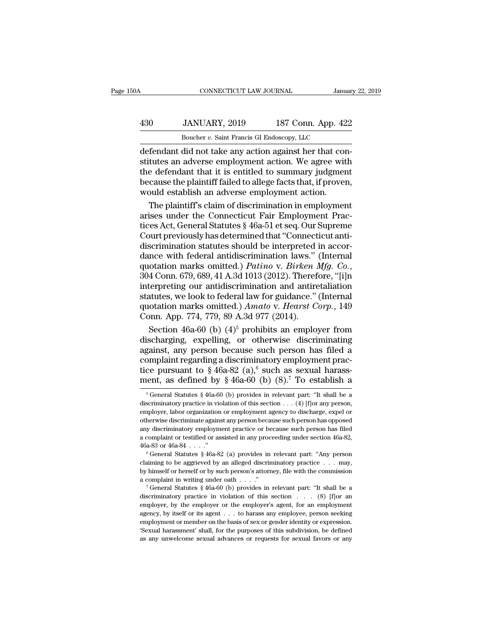# CONNECTICUT LAW JOURNAL January 22, 2019<br>
430 JANUARY, 2019 187 Conn. App. 422<br>
Boucher v. Saint Francis GI Endoscopy, LLC CONNECTICUT LAW JOURNAL January 22, 2019<br> **EXECUTE ANTINUARY, 2019** 187 Conn. App. 422<br>
Boucher *v*. Saint Francis GI Endoscopy, LLC<br>
defendant did not take any action against her that con-

CONNECTICUT LAW JOURNAL<br>
Januar<br>
430 JANUARY, 2019 187 Conn. App. 422<br>
Boucher v. Saint Francis GI Endoscopy, LLC<br>
defendant did not take any action against her that con-<br>
stitutes an adverse employment action. We agree wi  $\begin{tabular}{ll} \bf 430 & JANUARY, 2019 & 187 Conn. App. 422 \\ \hline \multicolumn{3}{l}{Boucher $v$. Saint Francis GI Endoscopy, LLC} \\ \hline \end{tabular} \begin{tabular}{ll} \bf 430 & JANUARY, 2019 & 187 Conn. App. 422 \\ \hline \end{tabular} \end{tabular} \begin{tabular}{ll} \bf 430 & 187 Conn. App. 422 \\ \hline \end{tabular} \end{tabular} \begin{tabular}{ll} \bf 431 & 422}\\ \hline \end{tabular} \end{tabular} \begin{tabular}{ll} \bf$  $\frac{430}{\text{Boucher } v. \text{ Saint Francis Gl Endoscopy, LLC}}$ <br>Boucher  $v. \text{ Saint Francis Gl Endoscopy, LLC}}$ <br>defendant did not take any action against her that constitutes an adverse employment action. We agree with<br>the defendant that it is entitled to summary judgment<br>  $\frac{430}{280}$  JANUARY, 2019 187 Conn. App. 422<br>Boucher *v*. Saint Francis GI Endoscopy, LLC<br>defendant did not take any action against her that constitutes an adverse employment action. We agree with<br>the defendant that it Boucher v. Saint Francis GI Endoscopy, LLC<br>defendant did not take any action against her that constitutes an adverse employment action. We agree wit<br>the defendant that it is entitled to summary judgmen<br>because the plaintif  $\frac{1}{2}$  bodder *t*. Sand Francis of Endoscopy, EEC<br>fendant did not take any action against her that con-<br>tutes an adverse employment action. We agree with<br>e defendant that it is entitled to summary judgment<br>cause the pl defendant did not take any action against her that constitutes an adverse employment action. We agree with the defendant that it is entitled to summary judgment because the plaintiff failed to allege facts that, if proven,

stitutes an adverse employment action. We agree with<br>the defendant that it is entitled to summary judgment<br>because the plaintiff failed to allege facts that, if proven,<br>would establish an adverse employment action.<br>The pla the defendant that it is entitled to summary judgment<br>because the plaintiff failed to allege facts that, if proven,<br>would establish an adverse employment action.<br>The plaintiff's claim of discrimination in employment<br>arises because the plaintiff failed to allege facts that, if proven,<br>would establish an adverse employment action.<br>The plaintiff's claim of discrimination in employment<br>arises under the Connecticut Fair Employment Prac-<br>tices Ac would establish an adverse employment action.<br>
The plaintiff's claim of discrimination in employment<br>
arises under the Connecticut Fair Employment Prac-<br>
tices Act, General Statutes § 46a-51 et seq. Our Supreme<br>
Court pre The plaintiff's claim of discrimination in employment<br>arises under the Connecticut Fair Employment Prac-<br>tices Act, General Statutes § 46a-51 et seq. Our Supreme<br>Court previously has determined that "Connecticut anti-<br>disc tices Act, General Statutes § 46a-51 et seq. Our Supreme<br>Court previously has determined that "Connecticut anti-<br>discrimination statutes should be interpreted in accor-<br>dance with federal antidiscrimination laws." (Intern Court previously has determined that "Connecticut anti-<br>discrimination statutes should be interpreted in accor-<br>dance with federal antidiscrimination laws." (Internal<br>quotation marks omitted.) *Patino* v. *Birken Mfg. Co.* discrimination statutes should be interpreted in accordance with federal antidiscrimination laws." (Internal quotation marks omitted.) *Patino* v. *Birken Mfg. Co.*, 304 Conn. 679, 689, 41 A.3d 1013 (2012). Therefore, "[i] dance with federal antidiscrimination laws."<br>quotation marks omitted.) *Patino* v. *Birken* 1<br>304 Conn. 679, 689, 41 A.3d 1013 (2012). Theref<br>interpreting our antidiscrimination and antire<br>statutes, we look to federal law otation marks omitted.) *Patino* v. *Birken Mfg. Co.*,<br>4 Conn. 679, 689, 41 A.3d 1013 (2012). Therefore, "[i]n<br>terpreting our antidiscrimination and antiretaliation<br>atutes, we look to federal law for guidance." (Internal<br> 304 Conn. 679, 689, 41 A.3d 1013 (2012). Therefore, "[i]n<br>interpreting our antidiscrimination and antiretaliation<br>statutes, we look to federal law for guidance." (Internal<br>quotation marks omitted.) Amato v. Hearst Corp.,

interpreting our antidiscrimination and antiretaliation<br>statutes, we look to federal law for guidance." (Internal<br>quotation marks omitted.) Amato v. Hearst Corp., 149<br>Conn. App. 774, 779, 89 A.3d 977 (2014).<br>Section 46a-6 statutes, we look to federal law for guidance." (Internal<br>quotation marks omitted.) Amato v. Hearst Corp., 149<br>Conn. App. 774, 779, 89 A.3d 977 (2014).<br>Section 46a-60 (b) (4)<sup>5</sup> prohibits an employer from<br>discharging, exp quotation marks omitted.) Amato v. Hearst Corp., 149<br>Conn. App. 774, 779, 89 A.3d 977 (2014).<br>Section 46a-60 (b) (4)<sup>5</sup> prohibits an employer from<br>discharging, expelling, or otherwise discriminating<br>against, any person be Conn. App. 774, 779, 89 A.3d 977 (2014).<br>
Section 46a-60 (b) (4)<sup>5</sup> prohibits an employer from<br>
discharging, expelling, or otherwise discriminating<br>
against, any person because such person has filed a<br>
complaint regarding gainst, any person because such person has filed a<br>omplaint regarding a discriminatory employment prac-<br>ce pursuant to § 46a-82 (a),<sup>6</sup> such as sexual harass-<br>ent, as defined by § 46a-60 (b) (8).<sup>7</sup> To establish a<br><sup>5</sup> Gen complaint regarding a discriminatory employment practice pursuant to § 46a-82 (a),<sup>6</sup> such as sexual harassment, as defined by § 46a-60 (b) (8).<sup>7</sup> To establish a <sup>5</sup> General Statutes § 46a-60 (b) provides in relevant par

tice pursuant to § 46a-82 (a),<sup>6</sup> such as sexual harassment, as defined by § 46a-60 (b) (8).<sup>7</sup> To establish a<br><sup>5</sup> General Statutes § 46a-60 (b) provides in relevant part: "It shall be a<br>discriminatory practice in violati ment, as defined by § 46a-60 (b) (8).<sup>7</sup> To establish a<br>
<sup>5</sup> General Statutes § 46a-60 (b) provides in relevant part: "It shall be a<br>
discriminatory practice in violation of this section . . . (4) [f]or any person,<br>
emplo Firent, as defined by  $\frac{1}{8}$  40a-00 (b) (c). To establish a<br>
<sup>5</sup> General Statutes  $\frac{1}{8}$  46a-60 (b) provides in relevant part: "It shall be a<br>
discriminatory practice in violation of this section . . . (4) [f]or any  $^5$  General Statutes  $\,$  46a-60 (b) provides in relevant part: "It shall be a discriminatory practice in violation of this section . . . (4) [f]<br>or any person, employer, labor organization or employment agency to discha discriminatory practice in violation of this section . . . (4) [f] or any person, employer, labor organization or employment agency to discharge, expel or otherwise discriminate against any person because such person has otherwise discriminate against any person because such person has opposed<br>any discriminatory employment practice or because such person has opposed<br>any discriminatory employment practice or because such person has filed<br>a

by the multipleted and performance and a complaint or testified or assisted in any proceeding under section 46a-82, 46a-83 or 46a-84 . . . ."<br>  $\frac{6}{3}$  General Statutes § 46a-82 (a) provides in relevant part: "Any person a complaint or testified or assisted in any proceeding under section 46a-82,<br>46a-83 or 46a-84 . . . ."<br><sup>6</sup> General Statutes § 46a-82 (a) provides in relevant part: "Any person<br>claiming to be aggrieved by an alleged discri <sup>6</sup> General Statutes § 46a-82 (a) provides in relevant part: "Any person claiming to be aggrieved by an alleged discriminatory practice . . . may, by himself or herself or by such person's attorney, file with the commissi

claiming to be aggrieved by an alleged discriminatory practice . . . may, by himself or herself or by such person's attorney, file with the commission a complaint in writing under oath . . . ."<br>
<sup>7</sup> General Statutes § 46a by himself or herself or by such person's attorney, file with the commission<br>a complaint in writing under oath . . . ."<br> $\frac{7}{7}$  General Statutes § 46a-60 (b) provides in relevant part: "It shall be a<br>discriminatory prac a complaint in writing under oath . . . ."<br>
<sup>7</sup> General Statutes § 46a-60 (b) provides in relevant part: "It shall be a discriminatory practice in violation of this section . . . (8) [f]or an employer, by the employer or <sup>7</sup> General Statutes § 46a-60 (b) provides in relevant part: "It shall be a discriminatory practice in violation of this section  $\ldots$  (8) [f] or an employer, by the employer or the employer's agent, for an employment age discriminatory practice in violation of this section  $\ldots$  (8) [f] or an employer, by the employer or the employer's agent, for an employment agency, by itself or its agent  $\ldots$  to harass any employee, person seeking emp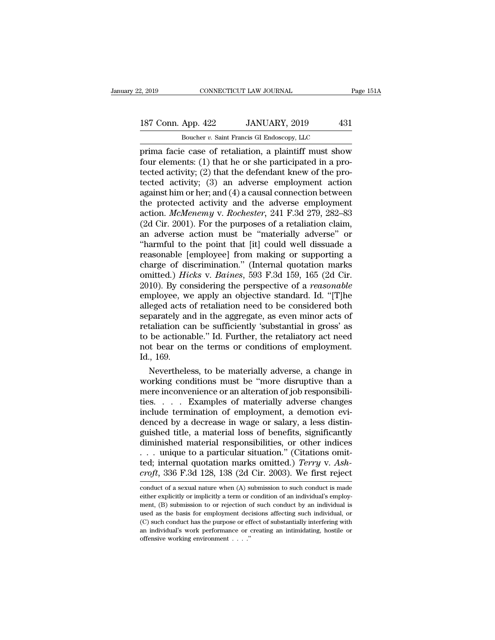### 2, 2019 CONNECTICUT LAW JOURNAL Page 151A<br>187 Conn. App. 422 JANUARY, 2019 431<br>Boucher v. Saint Francis GI Endoscopy, LLC CONNECTICUT LAW JOURNAL<br>
App. 422 JANUARY, 2019 43<br>
Boucher *v.* Saint Francis GI Endoscopy, LLC<br>
e case of retaliation a plaintiff must show

prima facie case of retaliation, a plaintiff must show 187 Conn. App. 422 JANUARY, 2019 431<br>Boucher v. Saint Francis GI Endoscopy, LLC<br>prima facie case of retaliation, a plaintiff must show<br>four elements: (1) that he or she participated in a pro-<br>tected activity: (2) that the 187 Conn. App. 422 JANUARY, 2019 431<br>Boucher v. Saint Francis GI Endoscopy, LLC<br>prima facie case of retaliation, a plaintiff must show<br>four elements: (1) that he or she participated in a pro-<br>tected activity; (2) that the 187 Conn. App. 422 JANUARY, 2019 431<br>
Boucher v. Saint Francis GI Endoscopy, LLC<br>
prima facie case of retaliation, a plaintiff must show<br>
four elements: (1) that he or she participated in a pro-<br>
tected activity; (2) that Boucher v. Saint Francis GI Endoscopy, LLC<br>prima facie case of retaliation, a plaintiff must show<br>four elements: (1) that he or she participated in a pro-<br>tected activity; (2) that the defendant knew of the pro-<br>tected ac Boucher *v*. Saint Francis GI Endoscopy, LLC<br>prima facie case of retaliation, a plaintiff must show<br>four elements: (1) that he or she participated in a pro-<br>tected activity; (2) that the defendant knew of the pro-<br>tected prima facie case of retaliation, a plaintiff must show<br>four elements: (1) that he or she participated in a pro-<br>tected activity; (2) that the defendant knew of the pro-<br>tected activity; (3) an adverse employment action<br>aga four elements: (1) that he or she participated in a pro-<br>tected activity; (2) that the defendant knew of the pro-<br>tected activity; (3) an adverse employment action<br>against him or her; and (4) a causal connection between<br>t tected activity; (2) that the defendant knew of the protected activity; (3) an adverse employment action against him or her; and (4) a causal connection between the protected activity and the adverse employment action. *M* tected activity; (3) an adverse employment action<br>against him or her; and (4) a causal connection between<br>the protected activity and the adverse employment<br>action. *McMenemy* v. *Rochester*, 241 F.3d 279, 282–83<br>(2d Cir. against him or her; and (4) a causal connection between<br>the protected activity and the adverse employment<br>action. *McMenemy* v. *Rochester*, 241 F.3d 279, 282–83<br>(2d Cir. 2001). For the purposes of a retaliation claim,<br>an the protected activity and the adverse employment<br>action. *McMenemy* v. *Rochester*, 241 F.3d 279, 282–83<br>(2d Cir. 2001). For the purposes of a retaliation claim,<br>an adverse action must be "materially adverse" or<br>"harmful action. *McMenemy* v. *Rochester*, 241 F.3d 279, 282–83<br>(2d Cir. 2001). For the purposes of a retaliation claim,<br>an adverse action must be "materially adverse" or<br>"harmful to the point that [it] could well dissuade a<br>reaso (2d Cir. 2001). For the purposes of a retaliation claim,<br>an adverse action must be "materially adverse" or<br>"harmful to the point that [it] could well dissuade a<br>reasonable [employee] from making or supporting a<br>charge of d an adverse action must be "materially adverse" or<br>
"harmful to the point that [it] could well dissuade a<br>
reasonable [employee] from making or supporting a<br>
charge of discrimination." (Internal quotation marks<br>
omitted.) "harmful to the point that [it] could well dissuade a<br>reasonable [employee] from making or supporting a<br>charge of discrimination." (Internal quotation marks<br>omitted.) *Hicks* v. *Baines*, 593 F.3d 159, 165 (2d Cir.<br>2010). reasonable [employee] from making or supporting a<br>charge of discrimination." (Internal quotation marks<br>omitted.) *Hicks* v. *Baines*, 593 F.3d 159, 165 (2d Cir.<br>2010). By considering the perspective of a *reasonable*<br>emplo charge of discrimination." (Internal quotation marks<br>omitted.) Hicks v. Baines, 593 F.3d 159, 165 (2d Cir.<br>2010). By considering the perspective of a *reasonable*<br>employee, we apply an objective standard. Id. "[T]he<br>allege omitted.) *Hicks* v. *Baines*, 593 F.3d 159, 165 (2d Cir.<br>2010). By considering the perspective of a *reasonable*<br>employee, we apply an objective standard. Id. "[T]he<br>alleged acts of retaliation need to be considered both<br> 2010). By considering the perspective of a *reasonable* employee, we apply an objective standard. Id. "[T]he alleged acts of retaliation need to be considered both separately and in the aggregate, as even minor acts of ret employee, walleged acts<br>separately an<br>retaliation ca<br>to be actiona<br>not bear on<br>Id., 169.<br>Neverthele eged acts of retaliation need to be considered both<br>parately and in the aggregate, as even minor acts of<br>taliation can be sufficiently 'substantial in gross' as<br>be actionable." Id. Further, the retaliatory act need<br>at bear separately and in the aggregate, as even minor acts of<br>retaliation can be sufficiently 'substantial in gross' as<br>to be actionable." Id. Further, the retaliatory act need<br>not bear on the terms or conditions of employment.<br>I

retaliation can be sufficiently 'substantial in gross' as<br>to be actionable." Id. Further, the retaliatory act need<br>not bear on the terms or conditions of employment.<br>Id., 169.<br>Nevertheless, to be materially adverse, a chan to be actionable." Id. Further, the retaliatory act need<br>not bear on the terms or conditions of employment.<br>Id., 169.<br>Nevertheless, to be materially adverse, a change in<br>working conditions must be "more disruptive than a<br> not bear on the terms or conditions of employment.<br>Id., 169.<br>Nevertheless, to be materially adverse, a change in<br>working conditions must be "more disruptive than a<br>mere inconvenience or an alteration of job responsibili-<br>t Id., 169.<br>
Nevertheless, to be materially adverse, a change in<br>
working conditions must be "more disruptive than a<br>
mere inconvenience or an alteration of job responsibili-<br>
ties. . . . . Examples of materially adverse cha Nevertheless, to be materially adverse, a change in<br>working conditions must be "more disruptive than a<br>mere inconvenience or an alteration of job responsibili-<br>ties..... Examples of materially adverse changes<br>include term working conditions must be "more disruptive than a<br>mere inconvenience or an alteration of job responsibili-<br>ties. . . . Examples of materially adverse changes<br>include termination of employment, a demotion evi-<br>denced by a mere inconvenience or an alteration of job responsibilities. . . . . Examples of materially adverse changes include termination of employment, a demotion evidenced by a decrease in wage or salary, a less distinguished tit ties. . . . . Examples of materially adverse changes<br>include termination of employment, a demotion evi-<br>denced by a decrease in wage or salary, a less distin-<br>guished title, a material loss of benefits, significantly<br>dimin include termination of employment, a demotion evi-<br>denced by a decrease in wage or salary, a less distin-<br>guished title, a material loss of benefits, significantly<br>diminished material responsibilities, or other indices<br>... diminished material responsibilities, or other indices<br>
... unique to a particular situation." (Citations omit-<br>
ted; internal quotation marks omitted.) *Terry* v. Ash-<br>
croft, 336 F.3d 128, 138 (2d Cir. 2003). We first r ... unique to a particular situation." (Citations omitted; internal quotation marks omitted.) *Terry* v. *Ashcroft*, 336 F.3d 128, 138 (2d Cir. 2003). We first reject conduct of a sexual nature when (A) submission to such

ted; internal quotation marks omitted.) *Terry* v. Ash-<br>croft, 336 F.3d 128, 138 (2d Cir. 2003). We first reject<br>conduct of a sexual nature when (A) submission to such conduct is made<br>either explicitly or implicitly a ter croft, 336 F.3d 128, 138 (2d Cir. 2003). We first reject<br>conduct of a sexual nature when (A) submission to such conduct is made<br>either explicitly or implicitly a term or condition of an individual's employ-<br>ment, (B) subm (C) such conduct of a sexual nature when (A) submission to such conduct is made either explicitly or implicitly a term or condition of an individual's employment, (B) submission to or rejection of such conduct by an indiv conduct of a sexual nature when (A) submission to such conduct is made either explicitly or implicitly a term or condition of an individual's employment, (B) submission to or rejection of such conduct by an individual is either explicitly or implicitly a term or condition of an individual's employ-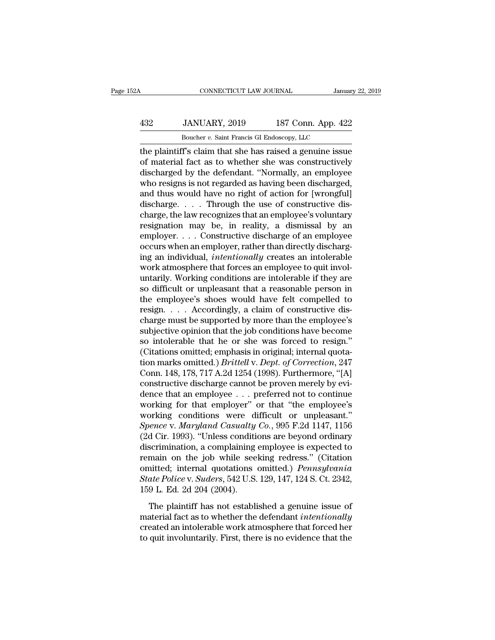### CONNECTICUT LAW JOURNAL January 22, 2019<br>
432 JANUARY, 2019 187 Conn. App. 422<br>
Boucher v. Saint Francis GI Endoscopy, LLC CONNECTICUT LAW JOURNAL January<br>JANUARY, 2019 187 Conn. App. 422<br>Boucher *v.* Saint Francis GI Endoscopy, LLC<br>T's claim that she has raised a genuine issue

CONNECTICUT LAW JOURNAL January 22, 2019<br>
432 JANUARY, 2019 187 Conn. App. 422<br>
Boucher v. Saint Francis GI Endoscopy, LLC<br>
the plaintiff's claim that she has raised a genuine issue<br>
of material fact as to whether she was MANUARY, 2019 187 Conn. App. 422<br>
Boucher v. Saint Francis GI Endoscopy, LLC<br>
the plaintiff's claim that she has raised a genuine issue<br>
of material fact as to whether she was constructively<br>
discharged by the defendant. "  $\frac{432}{\text{Boucher } v. \text{ Saint Francis GI Endoscopy, LLC}}$ <br>Boucher *v.* Saint Francis GI Endoscopy, LLC<br>the plaintiff's claim that she has raised a genuine issue<br>of material fact as to whether she was constructively<br>discharged by the defendant. "Nor  $\frac{432}{\text{Boucher } v. \text{ Saint Francis GI Endoscopy, LLC}}$ <br>Boucher  $v. \text{ Saint Francis GI Endoscopy, LLC}}$ <br>the plaintiff's claim that she has raised a genuine issue<br>of material fact as to whether she was constructively<br>discharged by the defendant. "Normally, an employee Boucher *v*. Saint Francis GI Endoscopy, LLC<br>the plaintiff's claim that she has raised a genuine issue<br>of material fact as to whether she was constructively<br>discharged by the defendant. "Normally, an employee<br>who resigns Boucher v. Samt Francis G Endoscopy, LLC<br>the plaintiff's claim that she has raised a genuine issue<br>of material fact as to whether she was constructively<br>discharged by the defendant. "Normally, an employee<br>who resigns is n the plaintiff's claim that she has raised a genuine issue<br>of material fact as to whether she was constructively<br>discharged by the defendant. "Normally, an employee<br>who resigns is not regarded as having been discharged,<br>and of material fact as to whether she was constructively<br>discharged by the defendant. "Normally, an employee<br>who resigns is not regarded as having been discharged,<br>and thus would have no right of action for [wrongful]<br>dischar discharged by the defendant. "Normally, an employee<br>who resigns is not regarded as having been discharged,<br>and thus would have no right of action for [wrongful]<br>discharge. . . . . Through the use of constructive dis-<br>charg who resigns is not regarded as having been discharged,<br>and thus would have no right of action for [wrongful]<br>discharge. . . . Through the use of constructive dis-<br>charge, the law recognizes that an employee's voluntary<br>re and thus would have no right of action for [wrongful]<br>discharge. . . . . Through the use of constructive dis-<br>charge, the law recognizes that an employee's voluntary<br>resignation may be, in reality, a dismissal by an<br>employ discharge. . . . Through the use of constructive discharge, the law recognizes that an employee's voluntary resignation may be, in reality, a dismissal by an employer. . . . Constructive discharge of an employee occurs whe charge, the law recognizes that an employee's voluntary<br>resignation may be, in reality, a dismissal by an<br>employer....Constructive discharge of an employee<br>occurs when an employer, rather than directly discharg-<br>ing an ind resignation may be, in reality, a dismissal by an employer.... Constructive discharge of an employee occurs when an employer, rather than directly discharging an individual, *intentionally* creates an intolerable work atm employer. . . . Constructive discharge of an employee<br>occurs when an employer, rather than directly discharg-<br>ing an individual, *intentionally* creates an intolerable<br>work atmosphere that forces an employee to quit invol occurs when an employer, rather than directly discharging an individual, *intentionally* creates an intolerable<br>work atmosphere that forces an employee to quit involuntarily. Working conditions are intolerable if they are<br> ing an individual, *intentionally* creates an intolerable<br>work atmosphere that forces an employee to quit invol-<br>untarily. Working conditions are intolerable if they are<br>so difficult or unpleasant that a reasonable person work atmosphere that forces an employee to quit involuntarily. Working conditions are intolerable if they are<br>so difficult or unpleasant that a reasonable person in<br>the employee's shoes would have felt compelled to<br>resign. untarily. Working conditions are intolerable if they are<br>so difficult or unpleasant that a reasonable person in<br>the employee's shoes would have felt compelled to<br>resign. . . . Accordingly, a claim of constructive dis-<br>cha so difficult or unpleasant that a reasonable person in<br>the employee's shoes would have felt compelled to<br>resign. . . . Accordingly, a claim of constructive dis-<br>charge must be supported by more than the employee's<br>subject the employee's shoes would have felt compelled to<br>resign. . . . Accordingly, a claim of constructive dis-<br>charge must be supported by more than the employee's<br>subjective opinion that the job conditions have become<br>so intol resign. . . . . Accordingly, a claim of constructive discharge must be supported by more than the employee's subjective opinion that the job conditions have become so intolerable that he or she was forced to resign." (Cit charge must be supported by more than the employee's<br>subjective opinion that the job conditions have become<br>so intolerable that he or she was forced to resign."<br>(Citations omitted; emphasis in original; internal quota-<br>ti subjective opinion that the job conditions have become<br>so intolerable that he or she was forced to resign."<br>(Citations omitted; emphasis in original; internal quota-<br>tion marks omitted.) *Brittell* v. *Dept. of Correction* so intolerable that he or she was forced to resign."<br>(Citations omitted; emphasis in original; internal quotation marks omitted.) *Brittell* v. *Dept. of Correction*, 247<br>Conn. 148, 178, 717 A.2d 1254 (1998). Furthermore, (Citations omitted; emphasis in original; internal quotation marks omitted.) *Brittell* v. *Dept. of Correction*, 247 Conn. 148, 178, 717 A.2d 1254 (1998). Furthermore, "[A] constructive discharge cannot be proven merely tion marks omitted.) *Brittell v. Dept. of Correction*, 247<br>Conn. 148, 178, 717 A.2d 1254 (1998). Furthermore, "[A]<br>constructive discharge cannot be proven merely by evi-<br>dence that an employee . . . preferred not to conti Conn. 148, 178, 717 A.2d 1254 (1998). Furthermore, "[A]<br>constructive discharge cannot be proven merely by evi-<br>dence that an employee . . . preferred not to continue<br>working for that employer" or that "the employee's<br>work constructive discharge cannot be proven merely by evidence that an employee  $\ldots$  preferred not to continue<br>working for that employer" or that "the employee's<br>working conditions were difficult or unpleasant."<br>Spence v. Ma dence that an employee . . . preferred not to continue<br>working for that employer" or that "the employee's<br>working conditions were difficult or unpleasant."<br>Spence v. Maryland Casualty Co., 995 F.2d 1147, 1156<br>(2d Cir. 199 working for that employer" or that "the employee's<br>working conditions were difficult or unpleasant."<br>*Spence v. Maryland Casualty Co.*, 995 F.2d 1147, 1156<br>(2d Cir. 1993). "Unless conditions are beyond ordinary<br>discriminat *Spence v. Maryland Casualty Co.*, 995 F.2d 1147, 1156 (2d Cir. 1993). "Unless conditions are beyond ordinary discrimination, a complaining employee is expected to remain on the job while seeking redress." (Citation omitte Spence v. Maryland Casualty<br>(2d Cir. 1993). "Unless conditi<br>discrimination, a complaining<br>remain on the job while see<br>omitted; internal quotations<br>State Police v. Suders, 542 U.S.<br>159 L. Ed. 2d 204 (2004).<br>The plaintiff ha Scrimination, a complaining employee is expected to<br>main on the job while seeking redress." (Citation<br>nitted; internal quotations omitted.) *Pennsylvania*<br>ate Police v. Suders, 542 U.S. 129, 147, 124 S. Ct. 2342,<br>9 L. Ed. material factor as the defendant of the defendant of the defendant *State Police v. Suders*, 542 U.S. 129, 147, 124 S. Ct. 2342, 159 L. Ed. 2d 204 (2004).<br>The plaintiff has not established a genuine issue of material fact

created an internal quotations omitted.) *Pennsylvania*<br>State Police v. Suders, 542 U.S. 129, 147, 124 S. Ct. 2342,<br>159 L. Ed. 2d 204 (2004).<br>The plaintiff has not established a genuine issue of<br>material fact as to whether State Police v. Suders, 542 U.S. 129, 147, 124 S. Ct. 2342, 159 L. Ed. 2d 204 (2004).<br>The plaintiff has not established a genuine issue of material fact as to whether the defendant *intentionally* created an intolerable wo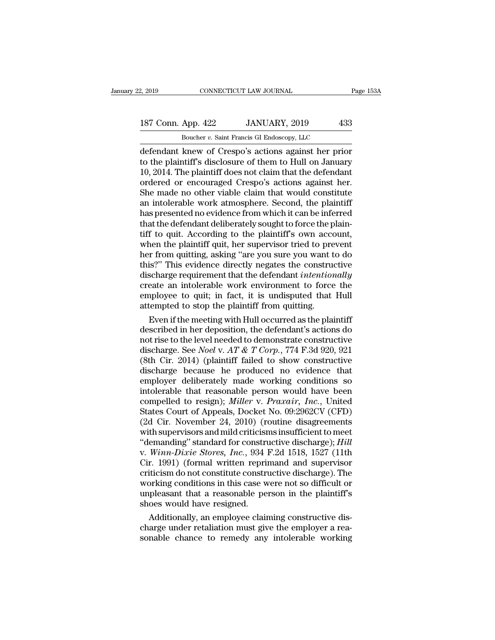### 2, 2019 CONNECTICUT LAW JOURNAL Page 153A<br>187 Conn. App. 422 JANUARY, 2019 433<br>Boucher v. Saint Francis GI Endoscopy, LLC CONNECTICUT LAW JOURNAL<br>
App. 422 JANUARY, 2019 43<br>
Boucher *v.* Saint Francis GI Endoscopy, LLC<br>
knew of Cresno's actions against her prio

2, 2019 CONNECTICUT LAW JOURNAL Page 153A<br>
187 Conn. App. 422 JANUARY, 2019 433<br>
Boucher v. Saint Francis GI Endoscopy, LLC<br>
defendant knew of Crespo's actions against her prior<br>
to the plaintiff's disclosure of them to Hu 187 Conn. App. 422 JANUARY, 2019 433<br>Boucher v. Saint Francis GI Endoscopy, LLC<br>defendant knew of Crespo's actions against her prior<br>to the plaintiff's disclosure of them to Hull on January<br>10, 2014. The plaintiff does not 187 Conn. App. 422 JANUARY, 2019 433<br>
Boucher v. Saint Francis GI Endoscopy, LLC<br>
defendant knew of Crespo's actions against her prior<br>
to the plaintiff's disclosure of them to Hull on January<br>
10, 2014. The plaintiff doe 187 Conn. App. 422 JANUARY, 2019 433<br>
Boucher  $v$ . Saint Francis GI Endoscopy, LLC<br>
defendant knew of Crespo's actions against her prior<br>
to the plaintiff's disclosure of them to Hull on January<br>
10, 2014. The plaintiff d Boucher v. Saint Francis GI Endoscopy, LLC<br>defendant knew of Crespo's actions against her prior<br>to the plaintiff's disclosure of them to Hull on January<br>10, 2014. The plaintiff does not claim that the defendant<br>ordered or Boucher v. Saint Francis GI Endoscopy, LLC<br>defendant knew of Crespo's actions against her prior<br>to the plaintiff's disclosure of them to Hull on January<br>10, 2014. The plaintiff does not claim that the defendant<br>ordered or defendant knew of Crespo's actions against her prior<br>to the plaintiff's disclosure of them to Hull on January<br>10, 2014. The plaintiff does not claim that the defendant<br>ordered or encouraged Crespo's actions against her.<br>Sh to the plaintiff's disclosure of them to Hull on January 10, 2014. The plaintiff does not claim that the defendant ordered or encouraged Crespo's actions against her. She made no other viable claim that would constitute an 10, 2014. The plaintiff does not claim that the defendant<br>ordered or encouraged Crespo's actions against her.<br>She made no other viable claim that would constitute<br>an intolerable work atmosphere. Second, the plaintiff<br>has p ordered or encouraged Crespo's actions against her.<br>She made no other viable claim that would constitute<br>an intolerable work atmosphere. Second, the plaintiff<br>has presented no evidence from which it can be inferred<br>that th She made no other viable claim that would constitute<br>an intolerable work atmosphere. Second, the plaintiff<br>has presented no evidence from which it can be inferred<br>that the defendant deliberately sought to force the plain-<br> an intolerable work atmosphere. Second, the plaintiff<br>has presented no evidence from which it can be inferred<br>that the defendant deliberately sought to force the plain-<br>tiff to quit. According to the plaintiff's own accoun has presented no evidence from which it can be inferred<br>that the defendant deliberately sought to force the plain-<br>tiff to quit. According to the plaintiff's own account,<br>when the plaintiff quit, her supervisor tried to pr that the defendant deliberately sought to force the plain-<br>tiff to quit. According to the plaintiff's own account,<br>when the plaintiff quit, her supervisor tried to prevent<br>her from quitting, asking "are you sure you want t tiff to quit. According to the plaintiff's own account,<br>when the plaintiff quit, her supervisor tried to prevent<br>her from quitting, asking "are you sure you want to do<br>this?" This evidence directly negates the constructive when the plaintiff quit, her supervisor tried to pre<br>her from quitting, asking "are you sure you want t<br>this?" This evidence directly negates the construe<br>discharge requirement that the defendant *intentior*<br>create an into If the methanics, asking "are you sure you want to do<br>is?" This evidence directly negates the constructive<br>scharge requirement that the defendant *intentionally*<br>eate an intolerable work environment to force the<br>ployee to this?" This evidence directly negates the constructive<br>discharge requirement that the defendant *intentionally*<br>create an intolerable work environment to force the<br>employee to quit; in fact, it is undisputed that Hull<br>att

discharge requirement that the defendant *intentionally*<br>create an intolerable work environment to force the<br>employee to quit; in fact, it is undisputed that Hull<br>attempted to stop the plaintiff from quitting.<br>Even if the create an intolerable work environment to force the<br>employee to quit; in fact, it is undisputed that Hull<br>attempted to stop the plaintiff from quitting.<br>Even if the meeting with Hull occurred as the plaintiff<br>described in employee to quit; in fact, it is undisputed that Hull<br>attempted to stop the plaintiff from quitting.<br>Even if the meeting with Hull occurred as the plaintiff<br>described in her deposition, the defendant's actions do<br>not rise attempted to stop the plaintiff from quitting.<br>
Even if the meeting with Hull occurred as the plaintiff<br>
described in her deposition, the defendant's actions do<br>
not rise to the level needed to demonstrate constructive<br>
d Even if the meeting with Hull occurred as the plaintiff<br>described in her deposition, the defendant's actions do<br>not rise to the level needed to demonstrate constructive<br>discharge. See *Noel* v. *AT & T Corp.*, 774 F.3d 92 described in her deposition, the defendant's actions do<br>not rise to the level needed to demonstrate constructive<br>discharge. See *Noel* v. AT & T Corp., 774 F.3d 920, 921<br>(8th Cir. 2014) (plaintiff failed to show constructi not rise to the level needed to demonstrate constructive<br>discharge. See *Noel* v. *AT* & *T* Corp., 774 F.3d 920, 921<br>(8th Cir. 2014) (plaintiff failed to show constructive<br>discharge because he produced no evidence that<br>em discharge. See *Noel* v. *AT & T Corp.*, 774 F.3d 920, 921 (8th Cir. 2014) (plaintiff failed to show constructive discharge because he produced no evidence that employer deliberately made working conditions so intolerable (8th Cir. 2014) (plaintiff failed to show constructive<br>discharge because he produced no evidence that<br>employer deliberately made working conditions so<br>intolerable that reasonable person would have been<br>compelled to resign discharge because he produced no evidence that<br>employer deliberately made working conditions so<br>intolerable that reasonable person would have been<br>compelled to resign); *Miller* v. *Praxair*, *Inc.*, United<br>States Court of employer deliberately made working conditions so<br>
intolerable that reasonable person would have been<br>
compelled to resign); *Miller* v. *Praxair*, *Inc.*, United<br>
States Court of Appeals, Docket No. 09:2962CV (CFD)<br>
(2d Ci intolerable that reasonable person would have been<br>compelled to resign); *Miller* v. *Praxair*, *Inc.*, United<br>States Court of Appeals, Docket No. 09:2962CV (CFD)<br>(2d Cir. November 24, 2010) (routine disagreements<br>with sup compelled to resign); *Miller* v. *Praxair*, *Inc.*, United<br>States Court of Appeals, Docket No. 09:2962CV (CFD)<br>(2d Cir. November 24, 2010) (routine disagreements<br>with supervisors and mild criticisms insufficient to meet<br>" States Court of Appeals, Docket No. 09:2962CV (CFD)<br>(2d Cir. November 24, 2010) (routine disagreements<br>with supervisors and mild criticisms insufficient to meet<br>"demanding" standard for constructive discharge); *Hill*<br>v. W (2d Cir. November 24, 2010) (routine disagreements<br>with supervisors and mild criticisms insufficient to meet<br>"demanding" standard for constructive discharge);  $Hill$ <br>v. Winn-Dixie Stores, Inc., 934 F.2d 1518, 1527 (11th<br>Cir with supervisors and mild criticisms insufficient to meet<br>
"demanding" standard for constructive discharge); *Hill*<br>
v. *Winn-Dixie Stores*, *Inc.*, 934 F.2d 1518, 1527 (11th<br>
Cir. 1991) (formal written reprimand and super "demanding" standard for construent v. Winn-Dixie Stores, Inc., 934<br>Cir. 1991) (formal written reprincriticism do not constitute construent<br>working conditions in this case we unpleasant that a reasonable per<br>shoes would ha Winn-Dixie Stores, Inc., 934 F.2d 1518, 1527 (11th<br>r. 1991) (formal written reprimand and supervisor<br>iticism do not constitute constructive discharge). The<br>orking conditions in this case were not so difficult or<br>pleasant Cir. 1991) (formal written reprimand and supervisor<br>criticism do not constitute constructive discharge). The<br>working conditions in this case were not so difficult or<br>unpleasant that a reasonable person in the plaintiff's<br>s criticism do not constitute constructive discharge). The<br>working conditions in this case were not so difficult or<br>unpleasant that a reasonable person in the plaintiff's<br>shoes would have resigned.<br>Additionally, an employee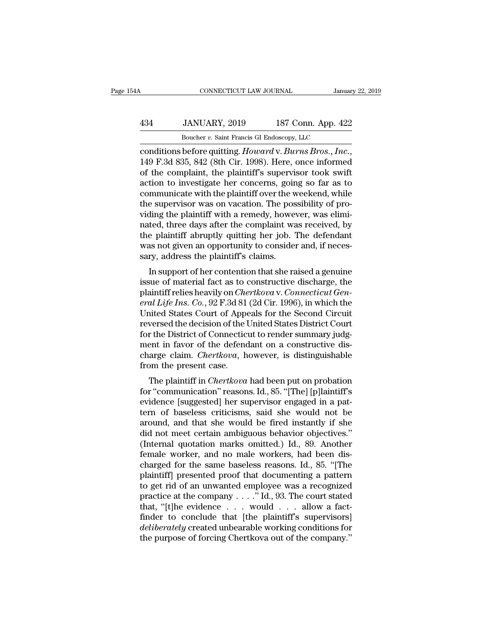### CONNECTICUT LAW JOURNAL January 22, 2019<br>
434 JANUARY, 2019 187 Conn. App. 422<br>
Boucher v. Saint Francis GI Endoscopy, LLC CONNECTICUT LAW JOURNAL January<br>JANUARY, 2019 187 Conn. App. 42:<br>Boucher *v.* Saint Francis GI Endoscopy, LLC<br>before quitting Howard v Burns Bros Inc.

connecticut LAW JOURNAL January 22, 2019<br>
434 JANUARY, 2019 187 Conn. App. 422<br>
<sup>Boucher</sup> v. Saint Francis GI Endoscopy, LLC<br>
conditions before quitting. *Howard* v. *Burns Bros.*, *Inc.*, 149 F.3d 835, 842 (8th Cir. 1998)  $\frac{434}{\text{Boucher } v. \text{ Saint Francis Gl Endoscopy, LLC}}$ <br>  $\frac{Boucher v. \text{ Saint Francis Gl Endoscopy, LLC}}{\text{conditions before quitting. } Howard v. Burns Bros., Inc.,}$ <br>  $149 \text{ F.3d } 835, 842 \text{ (8th Cir. 1998). Here, once informed of the complaint, the plaintiff's supervisor took swift action to investigate her concerns, going so far as to communicate with the plaintiff's work would with the algorithm.}$  $\frac{434}{\text{Boucher } v. \text{ Saint Francis GI Endoscopy, LLC}}$ <br>
Boucher *v.* Saint Francis GI Endoscopy, LLC<br>
conditions before quitting. *Howard v. Burns Bros., Inc.*,<br>
149 F.3d 835, 842 (8th Cir. 1998). Here, once informed<br>
of the complaint, the plai Boucher v. Saint Francis GI Endoscopy, LLC<br>
conditions before quitting. Howard v. Burns Bros., Inc.,<br>
149 F.3d 835, 842 (8th Cir. 1998). Here, once informed<br>
of the complaint, the plaintiff's supervisor took swift<br>
action Boucher v. Samt Francis GI Endoscopy, LLC<br>
conditions before quitting. Howard v. Burns Bros., Inc.,<br>
149 F.3d 835, 842 (8th Cir. 1998). Here, once informed<br>
of the complaint, the plaintiff's supervisor took swift<br>
action conditions before quitting. *Howard* v. *Burns Bros., Inc.*, 149 F.3d 835, 842 (8th Cir. 1998). Here, once informed of the complaint, the plaintiff's supervisor took swift action to investigate her concerns, going so far a 149 F.3d 835, 842 (8th Cir. 1998). Here, once informed<br>of the complaint, the plaintiff's supervisor took swift<br>action to investigate her concerns, going so far as to<br>communicate with the plaintiff over the weekend, while<br>t of the complaint, the plaintiff's supervisor took swift<br>action to investigate her concerns, going so far as to<br>communicate with the plaintiff over the weekend, while<br>the supervisor was on vacation. The possibility of pro-<br> action to investigate her concerns, going so far as to communicate with the plaintiff over the weekend, while the supervisor was on vacation. The possibility of providing the plaintiff with a remedy, however, was eliminate communicate with the plaintiff over the v<br>the supervisor was on vacation. The pos<br>viding the plaintiff with a remedy, howe<br>nated, three days after the complaint wa<br>the plaintiff abruptly quitting her job. '<br>was not given a E supervisor was on vacation. The possibility of pro-<br>ling the plaintiff with a remedy, however, was elimi-<br>ted, three days after the complaint was received, by<br>e plaintiff abruptly quitting her job. The defendant<br>as not g viding the plaintiff with a felliedy, however, was emidented, three days after the complaint was received, by<br>the plaintiff abruptly quitting her job. The defendant<br>was not given an opportunity to consider and, if neces-<br>

rated, three days after the complaint was received, by<br>the plaintiff abruptly quitting her job. The defendant<br>was not given an opportunity to consider and, if neces-<br>sary, address the plaintiff's claims.<br>In support of her real paintin abruptly quitting her job. The defendant<br>was not given an opportunity to consider and, if neces-<br>sary, address the plaintiff's claims.<br>In support of her contention that she raised a genuine<br>issue of material f was not given an opportuntly to consider and, if necessary, address the plaintiff's claims.<br>In support of her contention that she raised a genuine<br>issue of material fact as to constructive discharge, the<br>plaintiff relies h sary, address the plantin's claims.<br>In support of her contention that she raised a genuine<br>issue of material fact as to constructive discharge, the<br>plaintiff relies heavily on *Chertkova* v. *Connecticut Gen-<br>eral Life Ins* In support of her contention that she raised a genuine<br>issue of material fact as to constructive discharge, the<br>plaintiff relies heavily on *Chertkova* v. *Connecticut Gen-<br>eral Life Ins. Co.*, 92 F.3d 81 (2d Cir. 1996), i issue of material fact as to constructive discharge, the plaintiff relies heavily on *Chertkova v. Connecticut General Life Ins. Co.*, 92 F.3d 81 (2d Cir. 1996), in which the United States Court of Appeals for the Second C plaintiff relies heavily on *Chertkova* v. *Connecticut General Life Ins. Co.*, 92 F.3d 81 (2d Cir. 1996), in which the United States Court of Appeals for the Second Circuit reversed the decision of the United States Distr eral Life Ins. Co., 92 F.3d 81<br>United States Court of Apper<br>reversed the decision of the l<br>for the District of Connectic<br>ment in favor of the defence<br>charge claim. *Chertkova*, h<br>from the present case.<br>The plaintiff in *Ch* Inted states Court of Appeais for the second Circuit<br>versed the decision of the United States District Court<br>r the District of Connecticut to render summary judg-<br>ent in favor of the defendant on a constructive dis-<br>arge c reversed the decision of the Onted States District Court<br>for the District of Connecticut to render summary judg-<br>ment in favor of the defendant on a constructive dis-<br>charge claim. *Chertkova*, however, is distinguishable<br>

For the District of Connecticut to Fender summary Judg-<br>ment in favor of the defendant on a constructive dis-<br>charge claim. *Chertkova*, however, is distinguishable<br>from the present case.<br>The plaintiff in *Chertkova* had b then in favor of the defendant of a constructive disclonary<br>charge claim. *Chertkova*, however, is distinguishable<br>from the present case.<br>The plaintiff in *Chertkova* had been put on probation<br>for "communication" reasons. The plaintiff in *Cherhood*, nowever, is distinguishable<br>from the present case.<br>The plaintiff in *Chertkova* had been put on probation<br>for "communication" reasons. Id., 85. "[The] [p]laintiff's<br>evidence [suggested] her su The plaintiff in *Chertkova* had been put on probation<br>for "communication" reasons. Id., 85. "[The] [p]laintiff's<br>evidence [suggested] her supervisor engaged in a pat-<br>tern of baseless criticisms, said she would not be<br>aro The plaintiff in *Chertkova* had been put on probation<br>for "communication" reasons. Id., 85. "[The] [p]laintiff's<br>evidence [suggested] her supervisor engaged in a pat-<br>tern of baseless criticisms, said she would not be<br>aro for "communication" reasons. Id., 85. "[The] [p]laintiff's<br>evidence [suggested] her supervisor engaged in a pat-<br>tern of baseless criticisms, said she would not be<br>around, and that she would be fired instantly if she<br>did n evidence [suggested] her supervisor engaged in a pattern of baseless criticisms, said she would not be around, and that she would be fired instantly if she did not meet certain ambiguous behavior objectives."<br>(Internal quo tern of baseless criticisms, said she would not be<br>around, and that she would be fired instantly if she<br>did not meet certain ambiguous behavior objectives."<br>(Internal quotation marks omitted.) Id., 89. Another<br>female worke around, and that she would be fired instantly if she<br>did not meet certain ambiguous behavior objectives."<br>(Internal quotation marks omitted.) Id., 89. Another<br>female worker, and no male workers, had been dis-<br>charged for did not meet certain ambiguous behavior objectives."<br>(Internal quotation marks omitted.) Id., 89. Another<br>female worker, and no male workers, had been dis-<br>charged for the same baseless reasons. Id., 85. "[The<br>plaintiff] p (Internal quotation marks omitted.) Id., 89. Another<br>female worker, and no male workers, had been dis-<br>charged for the same baseless reasons. Id., 85. "[The<br>plaintiff] presented proof that documenting a pattern<br>to get rid female worker, and no male workers, had been discharged for the same baseless reasons. Id., 85. "[The plaintiff] presented proof that documenting a pattern to get rid of an unwanted employee was a recognized practice at t charged for the same baseless reasons. Id., 85. "[The plaintiff] presented proof that documenting a pattern to get rid of an unwanted employee was a recognized practice at the company . . . . " Id., 93. The court stated th plaintiff] presented proof that documenting a pattern<br>to get rid of an unwanted employee was a recognized<br>practice at the company . . . ." Id., 93. The court stated<br>that, "[t]he evidence . . . would . . . allow a fact-<br>fin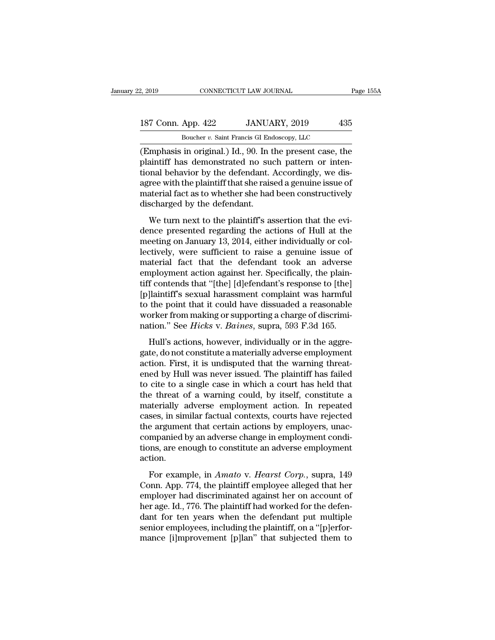### 2, 2019 CONNECTICUT LAW JOURNAL Page 155A<br>187 Conn. App. 422 JANUARY, 2019 435<br>Boucher v. Saint Francis GI Endoscopy, LLC CONNECTICUT LAW JOURNAL<br>
App. 422 JANUARY, 2019 43<br>
Boucher *v.* Saint Francis GI Endoscopy, LLC<br>
in original ) Id 90 In the present case the

(2, 2019 CONNECTICUT LAW JOURNAL Page 155A<br>
187 Conn. App. 422 JANUARY, 2019 435<br>
Boucher v. Saint Francis GI Endoscopy, LLC<br>
(Emphasis in original.) Id., 90. In the present case, the plaintiff has demonstrated no such pat 187 Conn. App. 422 JANUARY, 2019 435<br>
Boucher v. Saint Francis GI Endoscopy, LLC<br>
(Emphasis in original.) Id., 90. In the present case, the<br>
plaintiff has demonstrated no such pattern or inten-<br>
tional behavior by the defe 187 Conn. App. 422 JANUARY, 2019 435<br>Boucher v. Saint Francis GI Endoscopy, LLC<br>(Emphasis in original.) Id., 90. In the present case, the<br>plaintiff has demonstrated no such pattern or inten-<br>tional behavior by the defenda 187 Conn. App. 422 JANUARY, 2019 435<br>Boucher v. Saint Francis GI Endoscopy, LLC<br>(Emphasis in original.) Id., 90. In the present case, the<br>plaintiff has demonstrated no such pattern or inten-<br>tional behavior by the defenda Boucher v. Saint Francis GI Endoscopy, LLC<br>
(Emphasis in original.) Id., 90. In the present case, the<br>
plaintiff has demonstrated no such pattern or inten-<br>
tional behavior by the defendant. Accordingly, we dis-<br>
agree wi discharged by the defendant. Miphasis in original.) fall, *bo*. In the present ease, the aintiff has demonstrated no such pattern or inten-<br>mal behavior by the defendant. Accordingly, we dis-<br>ree with the plaintiff that she raised a genuine issue of<br>a plantari has denoted all better pattern of meet<br>tional behavior by the defendant. Accordingly, we dis-<br>agree with the plaintiff that she raised a genuine issue of<br>material fact as to whether she had been constructively<br>dis

method is the plaintiff that she raised a genuine issue of material fact as to whether she had been constructively discharged by the defendant.<br>We turn next to the plaintiff's assertion that the evidence presented regardin lect which plant that she raised a genuite issue of<br>material fact as to whether she had been constructively<br>discharged by the defendant.<br>We turn next to the plaintiff's assertion that the evi-<br>dence presented regarding the material fact as to whencef she had been constructively<br>discharged by the defendant.<br>We turn next to the plaintiff's assertion that the evi-<br>dence presented regarding the actions of Hull at the<br>meeting on January 13, 2014, We turn next to the plaintiff's assertion that the evi-<br>dence presented regarding the actions of Hull at the<br>meeting on January 13, 2014, either individually or col-<br>lectively, were sufficient to raise a genuine issue of<br>m We turn next to the plaintiff's assertion that the evi-<br>dence presented regarding the actions of Hull at the<br>meeting on January 13, 2014, either individually or col-<br>lectively, were sufficient to raise a genuine issue of<br>m dence presented regarding the actions of Hull at the<br>meeting on January 13, 2014, either individually or col-<br>lectively, were sufficient to raise a genuine issue of<br>material fact that the defendant took an adverse<br>employme meeting on January 13, 2014, either individually or collectively, were sufficient to raise a genuine issue of material fact that the defendant took an adverse employment action against her. Specifically, the plaintiff con lectively, were sufficient to raise a genuine issue of material fact that the defendant took an adverse employment action against her. Specifically, the plaintiff contends that "[the] [d]efendant's response to [the] [p]lai material fact that the defendant took an adverse<br>employment action against her. Specifically, the plain-<br>tiff contends that "[the] [d]efendant's response to [the]<br>[p]laintiff's sexual harassment complaint was harmful<br>to th f contends that "[the] [d]efendant's response to [the]<br>Ilaintiff's sexual harassment complaint was harmful<br>the point that it could have dissuaded a reasonable<br>orker from making or supporting a charge of discrimi-<br>tion." S In contents and [inc] [a]cremative response to [are]<br>
[p]laintiff's sexual harassment complaint was harmful<br>
to the point that it could have dissuaded a reasonable<br>
worker from making or supporting a charge of discrimi-<br>

Explanant B Bexada hardssinent complaint was narmed<br>to the point that it could have dissuaded a reasonable<br>worker from making or supporting a charge of discrimi-<br>nation." See *Hicks* v. *Baines*, supra, 593 F.3d 165.<br>Hull' end by Hull was never issued. The plaintiff has failed<br>the phase of discrimination." See *Hicks* v. *Baines*, supra, 593 F.3d 165.<br>Hull's actions, however, individually or in the aggregate, do not constitute a materially a mation." See *Hicks* v. *Baines*, supra, 593 F.3d 165.<br>Hull's actions, however, individually or in the aggregate, do not constitute a materially adverse employment<br>action. First, it is undisputed that the warning threat-<br> Hull's actions, however, individually or in the aggregate, do not constitute a materially adverse employment<br>action. First, it is undisputed that the warning threat-<br>ened by Hull was never issued. The plaintiff has failed<br> Hull's actions, however, individually or in the aggregate, do not constitute a materially adverse employment<br>action. First, it is undisputed that the warning threat-<br>ened by Hull was never issued. The plaintiff has failed<br> gate, do not constitute a materially adverse employment<br>action. First, it is undisputed that the warning threat-<br>ened by Hull was never issued. The plaintiff has failed<br>to cite to a single case in which a court has held th action. First, it is undisputed that the warning threatened by Hull was never issued. The plaintiff has failed to cite to a single case in which a court has held that the threat of a warning could, by itself, constitute a ened by Hull was never issued. The plaintiff has failed<br>to cite to a single case in which a court has held that<br>the threat of a warning could, by itself, constitute a<br>materially adverse employment action. In repeated<br>cases to cite to a single case in which a court has held that<br>the threat of a warning could, by itself, constitute a<br>materially adverse employment action. In repeated<br>cases, in similar factual contexts, courts have rejected<br>the action. For example, in *Amato* v. *Hearst Corp.*, suppresses, in similar factual contexts, courts have rejected<br>a argument that certain actions by employers, unac-<br>mpanied by an adverse change in employment condi-<br>ns, are enough cases, in similar lactuar contents, coal is nave rejected<br>the argument that certain actions by employment condi-<br>tions, are enough to constitute an adverse employment<br>action.<br>For example, in *Amato* v. *Hearst Corp.*, supr

ence argument and ecreain actions by employment condi-<br>companied by an adverse change in employment condi-<br>tions, are enough to constitute an adverse employment<br>action.<br>For example, in *Amato* v. *Hearst Corp.*, supra, 149 For example, in *Amato* v. *Hearst Corp.*, supra, 149<br>Conn. App. 774, the plaintiff employee alleged that her<br>employer had discriminated against her on account of<br>her age. Id., 776. The plaintiff had worked for the defenaction.<br>
For example, in *Amato* v. *Hearst Corp.*, supra, 149<br>
Conn. App. 774, the plaintiff employee alleged that her<br>
employer had discriminated against her on account of<br>
her age. Id., 776. The plaintiff had worked for For example, in *Amato* v. *Hearst Corp.*, supra, 149 Conn. App. 774, the plaintiff employee alleged that her employer had discriminated against her on account of her age. Id., 776. The plaintiff had worked for the defenda For example, in *Amato* v. *Hearst Corp.*, supra, 149 Conn. App. 774, the plaintiff employee alleged that her employer had discriminated against her on account of her age. Id., 776. The plaintiff had worked for the defenda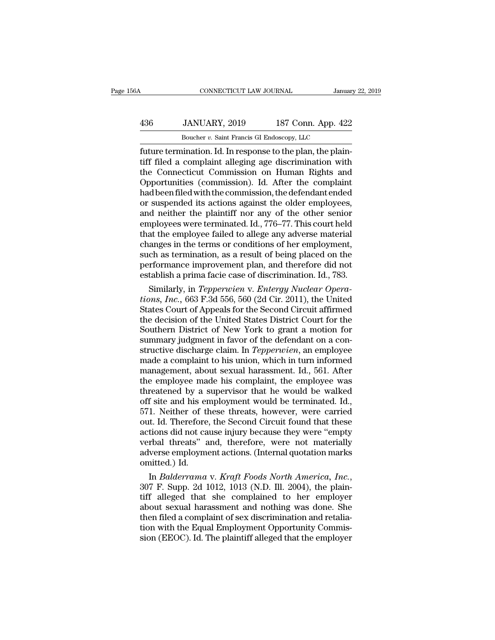### CONNECTICUT LAW JOURNAL January 22, 2019<br>
436 JANUARY, 2019 187 Conn. App. 422<br>
Boucher v. Saint Francis GI Endoscopy, LLC CONNECTICUT LAW JOURNAL January<br>JANUARY, 2019 187 Conn. App. 422<br>Boucher *v.* Saint Francis GI Endoscopy, LLC<br>Dination Id In response to the plan, the plain

FUNDER CONNECTICUT LAW JOURNAL<br>
Future 187 Conn. App. 422<br>
Boucher v. Saint Francis GI Endoscopy, LLC<br>
future termination. Id. In response to the plan, the plain-<br>
tiff filed a complaint alleging age discrimination with<br>
t 136 JANUARY, 2019 187 Conn. App. 422<br>
Boucher v. Saint Francis GI Endoscopy, LLC<br>
future termination. Id. In response to the plan, the plain-<br>
tiff filed a complaint alleging age discrimination with<br>
the Connecticut Commis  $\frac{436}{\text{Boucher } v. \text{ Saint Francis Gl Endoscopy, LLC}}$ <br>  $\frac{Boucher v. \text{ Saint Francis Gl Endoscopy, LLC}}{\text{future termination. Id. In response to the plan, the plain-  
tiff filed a complaint alleging age discrimination with  
the Connecticut Commission on Human Rights and  
Opportunities (commission). Id. After the complaint  
had been filed with the commission the defendant anded$  $\frac{436}{22}$  Boucher v. Saint Francis GI Endoscopy, LLC<br>
Euture termination. Id. In response to the plan, the plain-<br>
tiff filed a complaint alleging age discrimination with<br>
the Connecticut Commission on Human Rights and Boucher v. Saint Francis GI Endoscopy, LLC<br>
future termination. Id. In response to the plan, the plain-<br>
tiff filed a complaint alleging age discrimination with<br>
the Connecticut Commission on Human Rights and<br>
Opportuniti Boucher *v*. Saint Francis GI Endoscopy, LLC<br>future termination. Id. In response to the plan, the plain-<br>tiff filed a complaint alleging age discrimination with<br>the Connecticut Commission on Human Rights and<br>Opportunities future termination. Id. In response to the plan, the plaintiff filed a complaint alleging age discrimination with<br>the Connecticut Commission on Human Rights and<br>Opportunities (commission). Id. After the complaint<br>had been tiff filed a complaint alleging age discrimination with<br>the Connecticut Commission on Human Rights and<br>Opportunities (commission). Id. After the complaint<br>had been filed with the commission, the defendant ended<br>or suspende the Connecticut Commission on Human Rights and<br>Opportunities (commission). Id. After the complaint<br>had been filed with the commission, the defendant ended<br>or suspended its actions against the older employees,<br>and neither t Opportunities (commission). Id. After the complaint<br>had been filed with the commission, the defendant ended<br>or suspended its actions against the older employees,<br>and neither the plaintiff nor any of the other senior<br>employ had been filed with the commission, the defendant ended<br>or suspended its actions against the older employees,<br>and neither the plaintiff nor any of the other senior<br>employees were terminated. Id., 776–77. This court held<br>th or suspended its actions against the older employees,<br>and neither the plaintiff nor any of the other senior<br>employees were terminated. Id., 776–77. This court held<br>that the employee failed to allege any adverse material<br>ch and neither the plaintiff nor any of the other senior<br>employees were terminated. Id., 776–77. This court held<br>that the employee failed to allege any adverse material<br>changes in the terms or conditions of her employment,<br>su ployees were terminated. Id., 776–77. This court held<br>at the employee failed to allege any adverse material<br>anges in the terms or conditions of her employment,<br>ch as termination, as a result of being placed on the<br>rformanc that the employee failed to allege any adverse material<br>changes in the terms or conditions of her employment,<br>such as termination, as a result of being placed on the<br>performance improvement plan, and therefore did not<br>esta

changes in the terms or conditions of her employment,<br>such as termination, as a result of being placed on the<br>performance improvement plan, and therefore did not<br>establish a prima facie case of discrimination. Id., 783.<br>Si such as termination, as a result of being placed on the<br>performance improvement plan, and therefore did not<br>establish a prima facie case of discrimination. Id., 783.<br>Similarly, in *Tepperwien* v. *Entergy Nuclear Opera-<br>ti* performance improvement plan, and therefore did not<br>establish a prima facie case of discrimination. Id., 783.<br>Similarly, in *Tepperwien* v. *Entergy Nuclear Opera-<br>tions, Inc.*, 663 F.3d 556, 560 (2d Cir. 2011), the United establish a prima facie case of discrimination. Id., 783.<br>
Similarly, in *Tepperwien* v. *Entergy Nuclear Operations, Inc.*, 663 F.3d 556, 560 (2d Cir. 2011), the United<br>
States Court of Appeals for the Second Circuit affi Similarly, in *Tepperwien* v. *Entergy Nuclear Operations, Inc.*, 663 F.3d 556, 560 (2d Cir. 2011), the United States Court of Appeals for the Second Circuit affirmed the decision of the United States District Court for th tions, *Inc.*, 663 F.3d 556, 560 (2d Cir. 2011), the United<br>States Court of Appeals for the Second Circuit affirmed<br>the decision of the United States District Court for the<br>Southern District of New York to grant a motion f States Court of Appeals for the Second Circuit affirmed<br>the decision of the United States District Court for the<br>Southern District of New York to grant a motion for<br>summary judgment in favor of the defendant on a con-<br>stru the decision of the United States District Court for the<br>Southern District of New York to grant a motion for<br>summary judgment in favor of the defendant on a con-<br>structive discharge claim. In *Tepperwien*, an employee<br>made Southern District of New York to grant a motion for<br>summary judgment in favor of the defendant on a con-<br>structive discharge claim. In *Tepperwien*, an employee<br>made a complaint to his union, which in turn informed<br>managem summary judgment in favor of the defendant on a constructive discharge claim. In *Tepperwien*, an employee made a complaint to his union, which in turn informed management, about sexual harassment. Id., 561. After the empl structive discharge claim. In *Tepperwien*, an employee<br>made a complaint to his union, which in turn informed<br>management, about sexual harassment. Id., 561. After<br>the employee made his complaint, the employee was<br>threatene made a complaint to his union, which in turn informed<br>management, about sexual harassment. Id., 561. After<br>the employee made his complaint, the employee was<br>threatened by a supervisor that he would be walked<br>off site and h management, about sexual harassment. Id., 561. After<br>the employee made his complaint, the employee was<br>threatened by a supervisor that he would be walked<br>off site and his employment would be terminated. Id.,<br>571. Neither o the employee made his complaint, the employee was<br>threatened by a supervisor that he would be walked<br>off site and his employment would be terminated. Id.,<br>571. Neither of these threats, however, were carried<br>out. Id. There threatened by a supervisor that he would be walked<br>off site and his employment would be terminated. Id.,<br>571. Neither of these threats, however, were carried<br>out. Id. Therefore, the Second Circuit found that these<br>actions off site and his er<br>571. Neither of tl<br>out. Id. Therefore<br>actions did not ca<br>verbal threats" a<br>adverse employme<br>omitted.) Id.<br>In *Balderrama* 571. Neither of these threats, however, were carried<br>out. Id. Therefore, the Second Circuit found that these<br>actions did not cause injury because they were "empty<br>verbal threats" and, therefore, were not materially<br>adverse

actions did not cause injury because they were "empty<br>verbal threats" and, therefore, were not materially<br>adverse employment actions. (Internal quotation marks<br>omitted.) Id.<br>In *Balderrama* v. *Kraft Foods North America, I* verbal threats" and, therefore, were not materially<br>adverse employment actions. (Internal quotation marks<br>omitted.) Id.<br>In *Balderrama* v. *Kraft Foods North America, Inc.*,<br>307 F. Supp. 2d 1012, 1013 (N.D. Ill. 2004), the adverse employment actions. (Internal quotation marks<br>omitted.) Id.<br>In *Balderrama v. Kraft Foods North America, Inc.*,<br>307 F. Supp. 2d 1012, 1013 (N.D. Ill. 2004), the plain-<br>tiff alleged that she complained to her employ omitted.) Id.<br>
In *Balderrama v. Kraft Foods North America, Inc.*, 307 F. Supp. 2d 1012, 1013 (N.D. Ill. 2004), the plaintiff alleged that she complained to her employer<br>
about sexual harassment and nothing was done. She<br> In *Balderrama v. Kraft Foods North America, Inc.*, 307 F. Supp. 2d 1012, 1013 (N.D. Ill. 2004), the plaintiff alleged that she complained to her employer about sexual harassment and nothing was done. She then filed a comp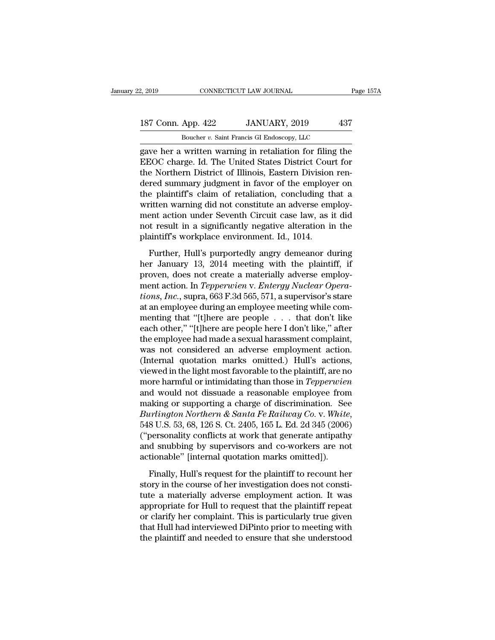### 2, 2019 CONNECTICUT LAW JOURNAL Page 157A<br>187 Conn. App. 422 JANUARY, 2019 437<br>Boucher v. Saint Francis GI Endoscopy, LLC CONNECTICUT LAW JOURNAL<br>
App. 422 JANUARY, 2019 43<br>
Boucher *v.* Saint Francis GI Endoscopy, LLC<br>
written warning in retaliation for filing the

ext. 2019 CONNECTICUT LAW JOURNAL Page 157A<br>
187 Conn. App. 422 JANUARY, 2019 437<br>
Boucher v. Saint Francis GI Endoscopy, LLC<br>
gave her a written warning in retaliation for filing the<br>
EEOC charge. Id. The United States Di 187 Conn. App. 422 JANUARY, 2019 437<br>Boucher v. Saint Francis GI Endoscopy, LLC<br>gave her a written warning in retaliation for filing the<br>EEOC charge. Id. The United States District Court for<br>the Northern District of Illino 187 Conn. App. 422 JANUARY, 2019 437<br>
Boucher v. Saint Francis GI Endoscopy, LLC<br>
gave her a written warning in retaliation for filing the<br>
EEOC charge. Id. The United States District Court for<br>
the Northern District of I 187 Conn. App. 422 JANUARY, 2019 437<br>
Boucher v. Saint Francis GI Endoscopy, LLC<br>
gave her a written warning in retaliation for filing the<br>
EEOC charge. Id. The United States District Court for<br>
the Northern District of I Boucher *v*. Saint Francis GI Endoscopy, LLC<br>gave her a written warning in retaliation for filing the<br>EEOC charge. Id. The United States District Court for<br>the Northern District of Illinois, Eastern Division ren-<br>dered su Boucher *v.* Samt Francis Gr Endoscopy, LLC<br>gave her a written warning in retaliation for filing the<br>EEOC charge. Id. The United States District Court for<br>the Northern District of Illinois, Eastern Division ren-<br>dered sum gave her a written warning in retaliation for filing the<br>EEOC charge. Id. The United States District Court for<br>the Northern District of Illinois, Eastern Division ren-<br>dered summary judgment in favor of the employer on<br>the EEOC charge. Id. The United States District Court for<br>the Northern District of Illinois, Eastern Division ren-<br>dered summary judgment in favor of the employer on<br>the plaintiff's claim of retaliation, concluding that a<br>writ the Northern District of Illinois, Eastern Division<br>dered summary judgment in favor of the employer<br>the plaintiff's claim of retaliation, concluding the<br>written warning did not constitute an adverse em<br>ment action under Se Further, Hull's purportedly angry demeanor during that a sitten warning did not constitute an adverse employ-<br>ent action under Seventh Circuit case law, as it did<br>t result in a significantly negative alteration in the<br>aint her Frankraming did not constitute an adverse employment action under Seventh Circuit case law, as it did<br>not result in a significantly negative alteration in the<br>plaintiff's workplace environment. Id., 1014.<br>Further, Hull

ment action under Seventh Circuit case law, as it did<br>not result in a significantly negative alteration in the<br>plaintiff's workplace environment. Id., 1014.<br>Further, Hull's purportedly angry demeanor during<br>her January 13 mot result in a significantly negative alteration in the<br>plaintiff's workplace environment. Id., 1014.<br>Further, Hull's purportedly angry demeanor during<br>her January 13, 2014 meeting with the plaintiff, if<br>proven, does not **Example 11 Figure environment.** Id., 1014.<br> **Further, Hull's purportedly angry demeanor during**<br>
her January 13, 2014 meeting with the plaintiff, if<br>
proven, does not create a materially adverse employ-<br>
ment action. In Further, Hull's purportedly angry demeanor during<br>her January 13, 2014 meeting with the plaintiff, if<br>proven, does not create a materially adverse employ-<br>ment action. In *Tepperwien* v. *Entergy Nuclear Opera-<br>tions, Inc* Further, Hull's purportedly angry demeanor during<br>her January 13, 2014 meeting with the plaintiff, if<br>proven, does not create a materially adverse employ-<br>ment action. In *Tepperwien* v. *Entergy Nuclear Opera-<br>tions, Inc* her January 13, 2014 meeting with the plaintiff, if<br>proven, does not create a materially adverse employ-<br>ment action. In *Tepperwien* v. *Entergy Nuclear Opera-<br>tions, Inc.*, supra, 663 F.3d 565, 571, a supervisor's stare<br> proven, does not create a materially adverse employ-<br>ment action. In *Tepperwien* v. *Entergy Nuclear Opera-<br>tions, Inc.*, supra, 663 F.3d 565, 571, a supervisor's stare<br>at an employee during an employee meeting while comment action. In *Tepperwien* v. *Entergy Nuclear Operations, Inc.*, supra, 663 F.3d 565, 571, a supervisor's stare at an employee during an employee meeting while commenting that "[t]here are people . . . that don't like e tions, Inc., supra, 663 F.3d 565, 571, a supervisor's stare<br>at an employee during an employee meeting while com-<br>menting that "[t]here are people  $\ldots$  that don't like<br>each other," "[t]here are people here I don't like," at an employee during an employee meeting while commenting that "[t]here are people . . . that don't like<br>each other," "[t]here are people here I don't like," after<br>the employee had made a sexual harassment complaint,<br>was menting that "[t]here are people . . . that don't like<br>each other," "[t]here are people here I don't like," after<br>the employee had made a sexual harassment complaint,<br>was not considered an adverse employment action.<br>(Inter each other," "[t]here are people here I don't like," after<br>the employee had made a sexual harassment complaint,<br>was not considered an adverse employment action.<br>(Internal quotation marks omitted.) Hull's actions,<br>viewed in the employee had made a sexual harassment complaint,<br>was not considered an adverse employment action.<br>(Internal quotation marks omitted.) Hull's actions,<br>viewed in the light most favorable to the plaintiff, are no<br>more ha *Burlington Morthern Andreign Co.*<br> *Burlington Morthern Northern Northern Northern Northern Northern Northern And Would not dissuade a reasonable employee from making or supporting a charge of discrimination. See <i>Burling* viewed in the light most favorable to the plaintiff, are no<br>more harmful or intimidating than those in *Tepperwien*<br>and would not dissuade a reasonable employee from<br>making or supporting a charge of discrimination. See<br>*Bu* more harmful or intimidating than those in *Tepperwien*<br>and would not dissuade a reasonable employee from<br>making or supporting a charge of discrimination. See<br>*Burlington Northern & Santa Fe Railway Co.* v. *White*,<br>548 U and would not dissuade a reasonable employee from<br>making or supporting a charge of discrimination. Se<br>Burlington Northern & Santa Fe Railway Co. v. White<br>548 U.S. 53, 68, 126 S. Ct. 2405, 165 L. Ed. 2d 345 (2006<br>("personal *urlington Northern & Santa Fe Railway Co.* v. *White*,<br>8 U.S. 53, 68, 126 S. Ct. 2405, 165 L. Ed. 2d 345 (2006)<br>personality conflicts at work that generate antipathy<br>d snubbing by supervisors and co-workers are not<br>tionab 548 U.S. 53, 68, 126 S. Ct. 2405, 165 L. Ed. 2d 345 (2006)<br>("personality conflicts at work that generate antipathy<br>and snubbing by supervisors and co-workers are not<br>actionable" [internal quotation marks omitted]).<br>Finall

("personality conflicts at work that generate antipathy<br>and snubbing by supervisors and co-workers are not<br>actionable" [internal quotation marks omitted]).<br>Finally, Hull's request for the plaintiff to recount her<br>story in and snubbing by supervisors and co-workers are not<br>actionable" [internal quotation marks omitted]).<br>Finally, Hull's request for the plaintiff to recount her<br>story in the course of her investigation does not consti-<br>tute a actionable" [internal quotation marks omitted]).<br>Finally, Hull's request for the plaintiff to recount her<br>story in the course of her investigation does not consti-<br>tute a materially adverse employment action. It was<br>approp Finally, Hull's request for the plaintiff to recount her<br>story in the course of her investigation does not consti-<br>tute a materially adverse employment action. It was<br>appropriate for Hull to request that the plaintiff repe Finally, Hull's request for the plaintiff to recount her<br>story in the course of her investigation does not consti-<br>tute a materially adverse employment action. It was<br>appropriate for Hull to request that the plaintiff repe